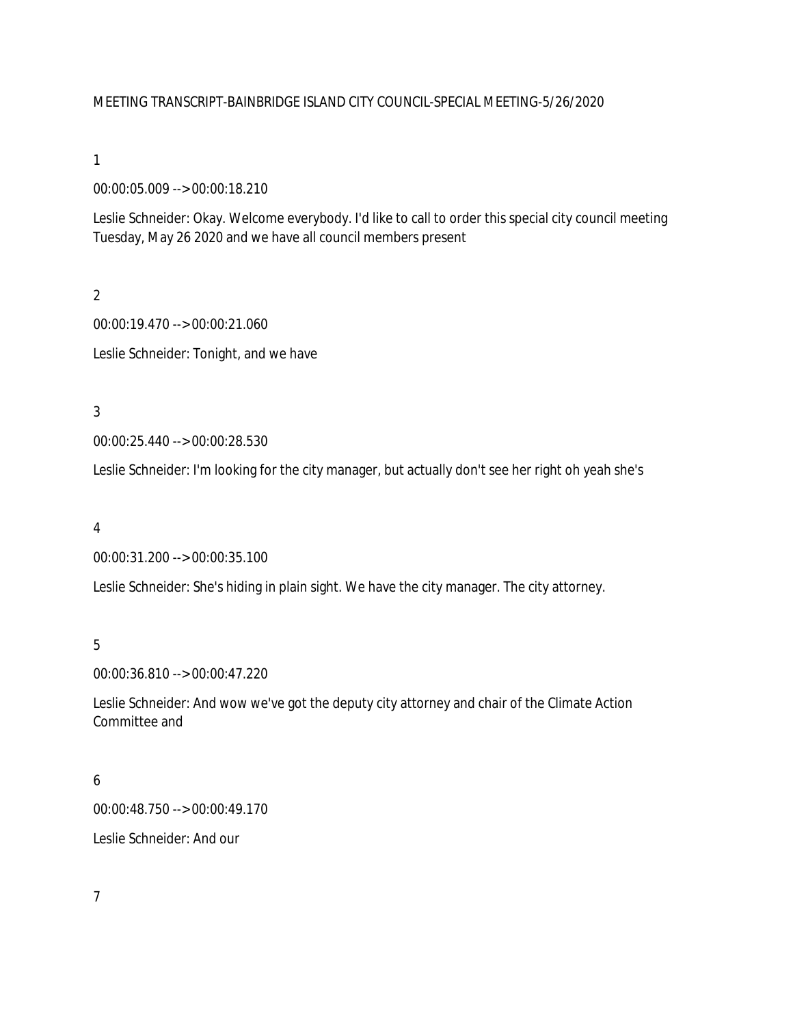### MEETING TRANSCRIPT-BAINBRIDGE ISLAND CITY COUNCIL-SPECIAL MEETING-5/26/2020

1

00:00:05.009 --> 00:00:18.210

Leslie Schneider: Okay. Welcome everybody. I'd like to call to order this special city council meeting Tuesday, May 26 2020 and we have all council members present

2 00:00:19.470 --> 00:00:21.060 Leslie Schneider: Tonight, and we have

3

00:00:25.440 --> 00:00:28.530

Leslie Schneider: I'm looking for the city manager, but actually don't see her right oh yeah she's

4

00:00:31.200 --> 00:00:35.100

Leslie Schneider: She's hiding in plain sight. We have the city manager. The city attorney.

5

00:00:36.810 --> 00:00:47.220

Leslie Schneider: And wow we've got the deputy city attorney and chair of the Climate Action Committee and

6

00:00:48.750 --> 00:00:49.170

Leslie Schneider: And our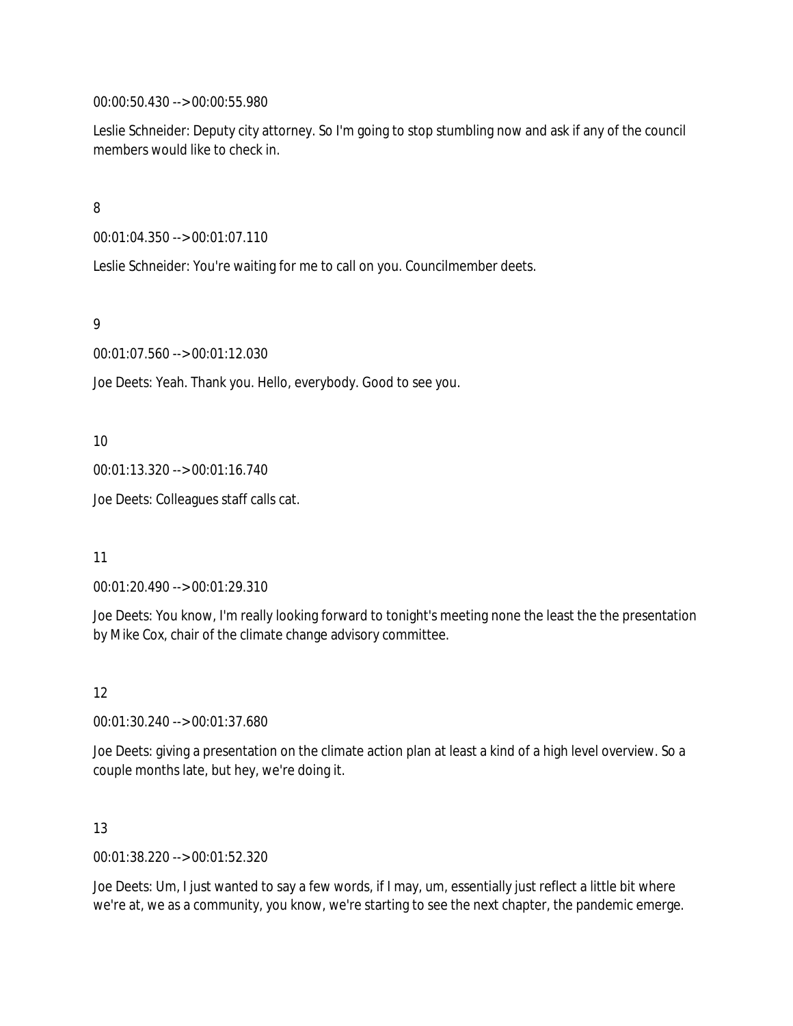00:00:50.430 --> 00:00:55.980

Leslie Schneider: Deputy city attorney. So I'm going to stop stumbling now and ask if any of the council members would like to check in.

8

00:01:04.350 --> 00:01:07.110

Leslie Schneider: You're waiting for me to call on you. Councilmember deets.

9

00:01:07.560 --> 00:01:12.030

Joe Deets: Yeah. Thank you. Hello, everybody. Good to see you.

10

00:01:13.320 --> 00:01:16.740

Joe Deets: Colleagues staff calls cat.

11

00:01:20.490 --> 00:01:29.310

Joe Deets: You know, I'm really looking forward to tonight's meeting none the least the the presentation by Mike Cox, chair of the climate change advisory committee.

12

00:01:30.240 --> 00:01:37.680

Joe Deets: giving a presentation on the climate action plan at least a kind of a high level overview. So a couple months late, but hey, we're doing it.

13

00:01:38.220 --> 00:01:52.320

Joe Deets: Um, I just wanted to say a few words, if I may, um, essentially just reflect a little bit where we're at, we as a community, you know, we're starting to see the next chapter, the pandemic emerge.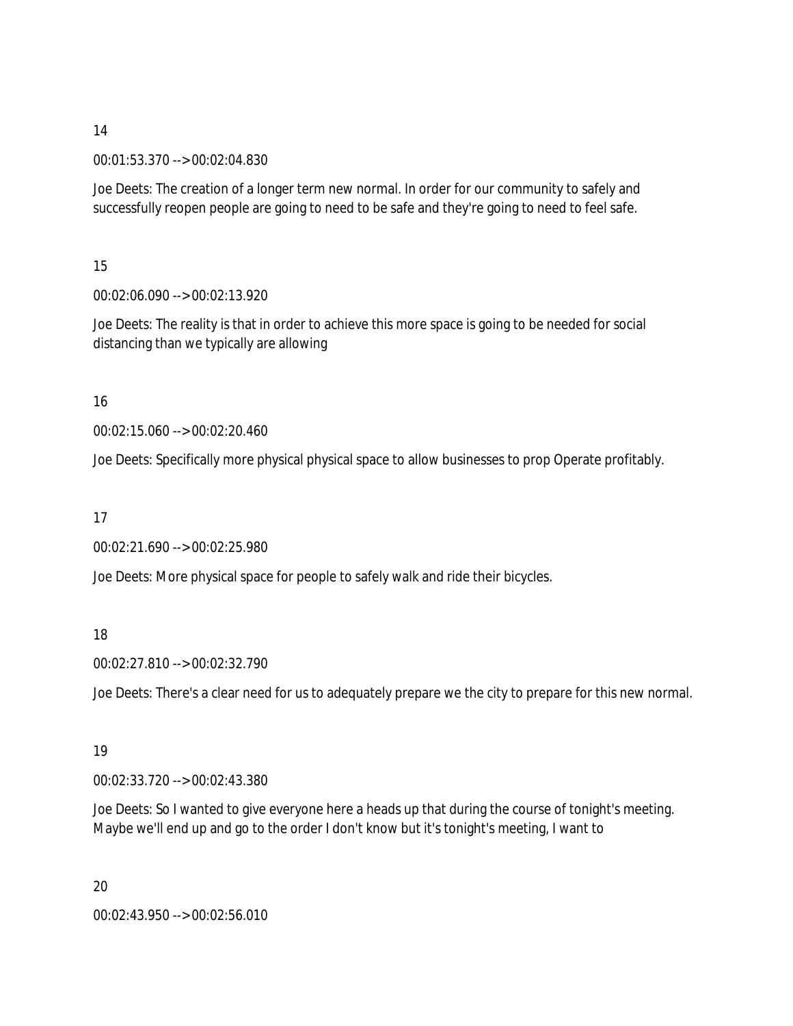00:01:53.370 --> 00:02:04.830

Joe Deets: The creation of a longer term new normal. In order for our community to safely and successfully reopen people are going to need to be safe and they're going to need to feel safe.

15

00:02:06.090 --> 00:02:13.920

Joe Deets: The reality is that in order to achieve this more space is going to be needed for social distancing than we typically are allowing

# 16

00:02:15.060 --> 00:02:20.460

Joe Deets: Specifically more physical physical space to allow businesses to prop Operate profitably.

17

00:02:21.690 --> 00:02:25.980

Joe Deets: More physical space for people to safely walk and ride their bicycles.

# 18

00:02:27.810 --> 00:02:32.790

Joe Deets: There's a clear need for us to adequately prepare we the city to prepare for this new normal.

# 19

00:02:33.720 --> 00:02:43.380

Joe Deets: So I wanted to give everyone here a heads up that during the course of tonight's meeting. Maybe we'll end up and go to the order I don't know but it's tonight's meeting, I want to

20 00:02:43.950 --> 00:02:56.010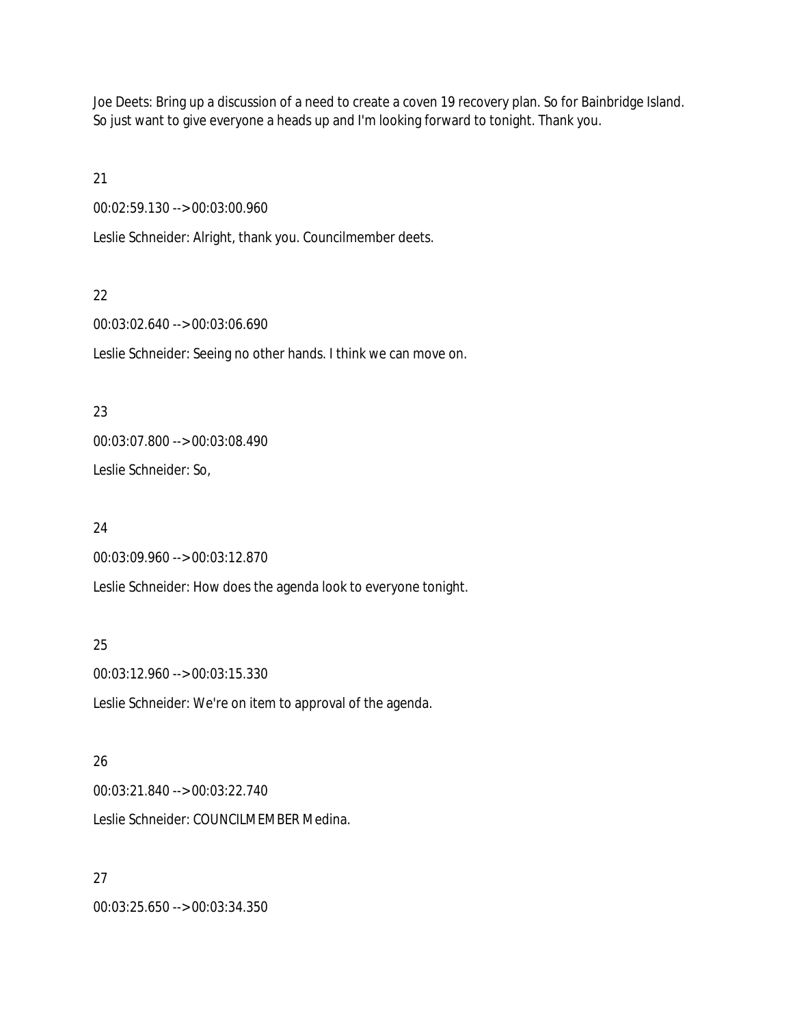Joe Deets: Bring up a discussion of a need to create a coven 19 recovery plan. So for Bainbridge Island. So just want to give everyone a heads up and I'm looking forward to tonight. Thank you.

21

00:02:59.130 --> 00:03:00.960

Leslie Schneider: Alright, thank you. Councilmember deets.

## 22

00:03:02.640 --> 00:03:06.690

Leslie Schneider: Seeing no other hands. I think we can move on.

## 23

00:03:07.800 --> 00:03:08.490

Leslie Schneider: So,

### 24

00:03:09.960 --> 00:03:12.870

Leslie Schneider: How does the agenda look to everyone tonight.

# 25

00:03:12.960 --> 00:03:15.330

Leslie Schneider: We're on item to approval of the agenda.

# 26

00:03:21.840 --> 00:03:22.740 Leslie Schneider: COUNCILMEMBER Medina.

# 27

00:03:25.650 --> 00:03:34.350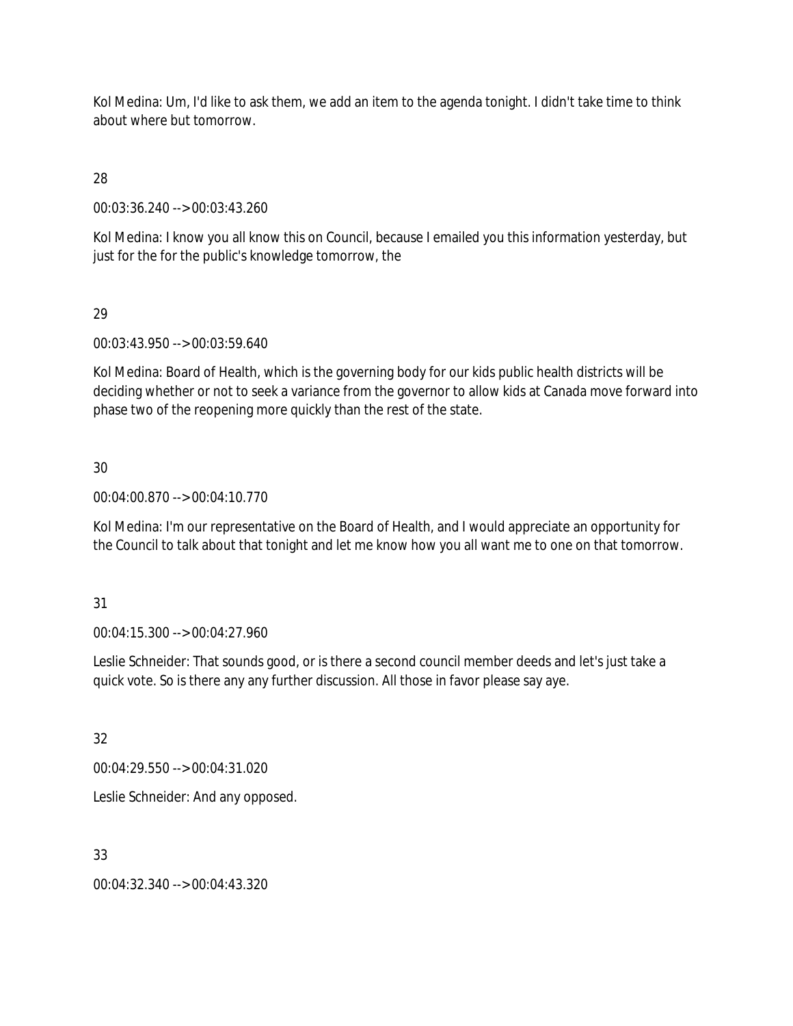Kol Medina: Um, I'd like to ask them, we add an item to the agenda tonight. I didn't take time to think about where but tomorrow.

28

00:03:36.240 --> 00:03:43.260

Kol Medina: I know you all know this on Council, because I emailed you this information yesterday, but just for the for the public's knowledge tomorrow, the

# 29

00:03:43.950 --> 00:03:59.640

Kol Medina: Board of Health, which is the governing body for our kids public health districts will be deciding whether or not to seek a variance from the governor to allow kids at Canada move forward into phase two of the reopening more quickly than the rest of the state.

# 30

00:04:00.870 --> 00:04:10.770

Kol Medina: I'm our representative on the Board of Health, and I would appreciate an opportunity for the Council to talk about that tonight and let me know how you all want me to one on that tomorrow.

### 31

00:04:15.300 --> 00:04:27.960

Leslie Schneider: That sounds good, or is there a second council member deeds and let's just take a quick vote. So is there any any further discussion. All those in favor please say aye.

# 32

00:04:29.550 --> 00:04:31.020

Leslie Schneider: And any opposed.

# 33

00:04:32.340 --> 00:04:43.320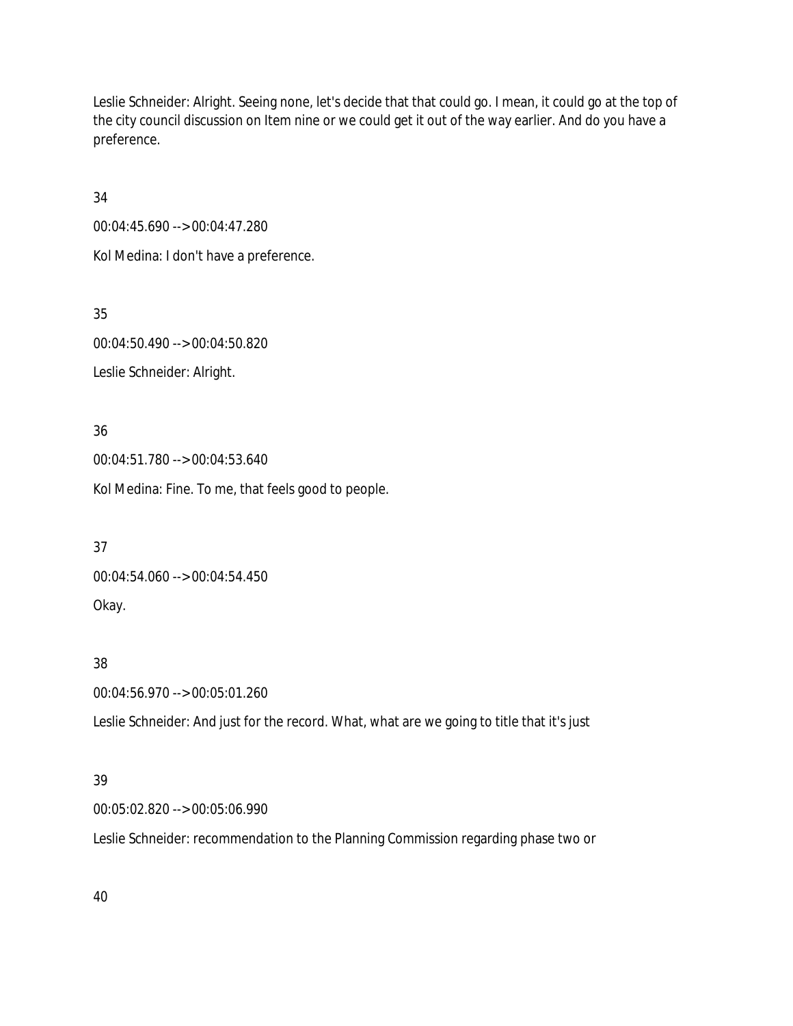Leslie Schneider: Alright. Seeing none, let's decide that that could go. I mean, it could go at the top of the city council discussion on Item nine or we could get it out of the way earlier. And do you have a preference.

34

00:04:45.690 --> 00:04:47.280

Kol Medina: I don't have a preference.

35

00:04:50.490 --> 00:04:50.820 Leslie Schneider: Alright.

36 00:04:51.780 --> 00:04:53.640

Kol Medina: Fine. To me, that feels good to people.

37 00:04:54.060 --> 00:04:54.450 Okay.

38

00:04:56.970 --> 00:05:01.260

Leslie Schneider: And just for the record. What, what are we going to title that it's just

# 39

00:05:02.820 --> 00:05:06.990

Leslie Schneider: recommendation to the Planning Commission regarding phase two or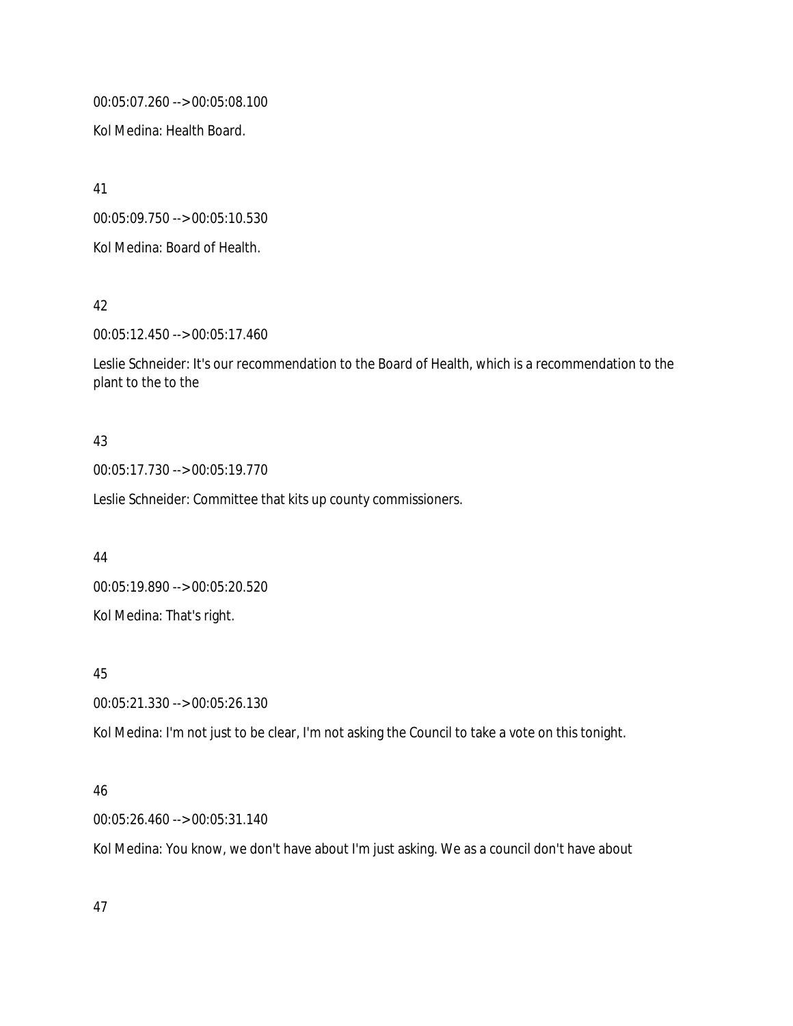00:05:07.260 --> 00:05:08.100

Kol Medina: Health Board.

41

00:05:09.750 --> 00:05:10.530

Kol Medina: Board of Health.

42

00:05:12.450 --> 00:05:17.460

Leslie Schneider: It's our recommendation to the Board of Health, which is a recommendation to the plant to the to the

# 43

00:05:17.730 --> 00:05:19.770

Leslie Schneider: Committee that kits up county commissioners.

44

00:05:19.890 --> 00:05:20.520 Kol Medina: That's right.

45

00:05:21.330 --> 00:05:26.130

Kol Medina: I'm not just to be clear, I'm not asking the Council to take a vote on this tonight.

# 46

00:05:26.460 --> 00:05:31.140

Kol Medina: You know, we don't have about I'm just asking. We as a council don't have about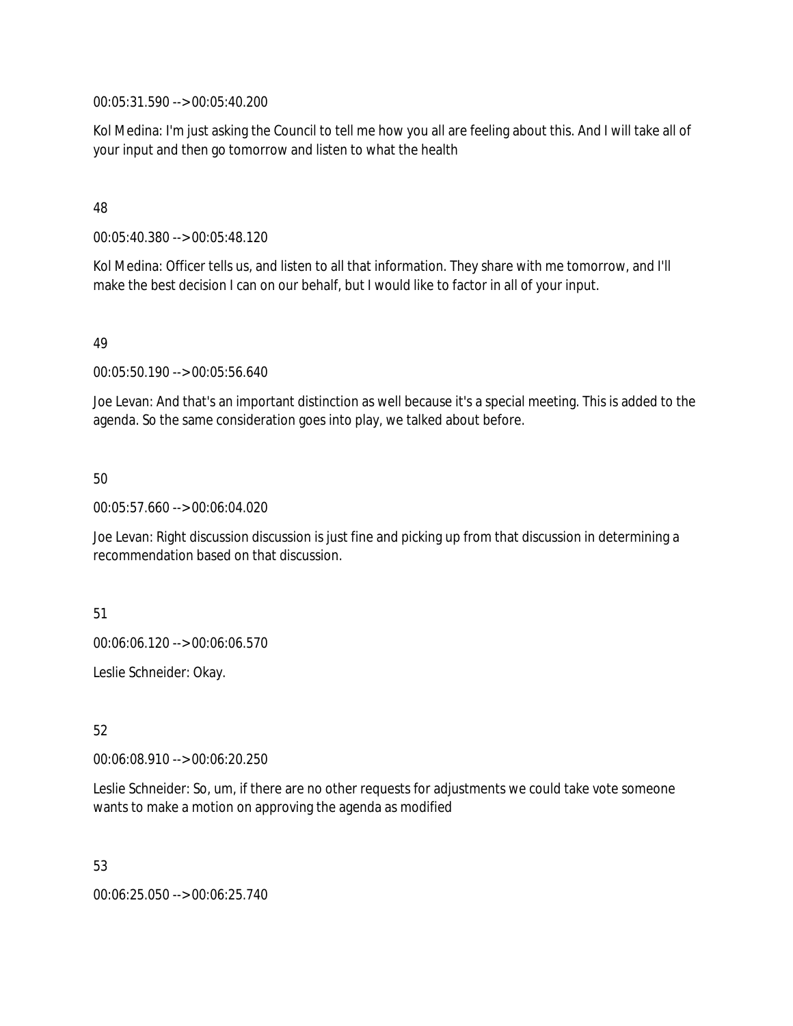00:05:31.590 --> 00:05:40.200

Kol Medina: I'm just asking the Council to tell me how you all are feeling about this. And I will take all of your input and then go tomorrow and listen to what the health

## 48

00:05:40.380 --> 00:05:48.120

Kol Medina: Officer tells us, and listen to all that information. They share with me tomorrow, and I'll make the best decision I can on our behalf, but I would like to factor in all of your input.

## 49

00:05:50.190 --> 00:05:56.640

Joe Levan: And that's an important distinction as well because it's a special meeting. This is added to the agenda. So the same consideration goes into play, we talked about before.

## 50

00:05:57.660 --> 00:06:04.020

Joe Levan: Right discussion discussion is just fine and picking up from that discussion in determining a recommendation based on that discussion.

### 51

00:06:06.120 --> 00:06:06.570

Leslie Schneider: Okay.

# 52

00:06:08.910 --> 00:06:20.250

Leslie Schneider: So, um, if there are no other requests for adjustments we could take vote someone wants to make a motion on approving the agenda as modified

### 53

00:06:25.050 --> 00:06:25.740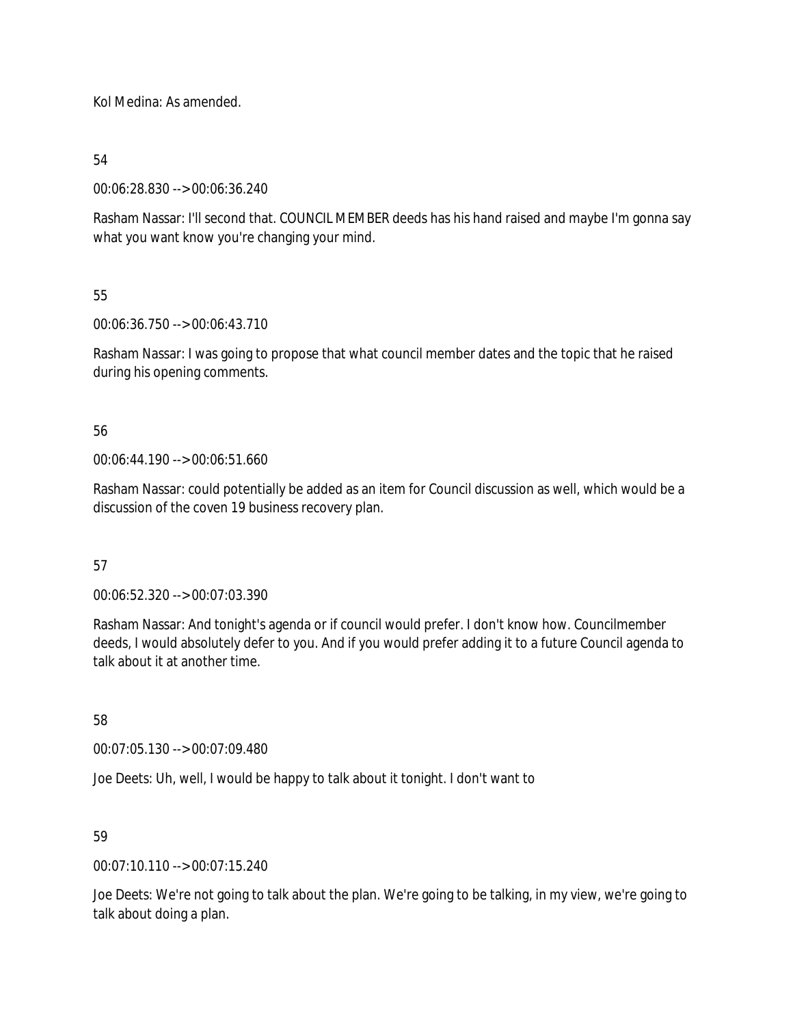Kol Medina: As amended.

54

00:06:28.830 --> 00:06:36.240

Rasham Nassar: I'll second that. COUNCIL MEMBER deeds has his hand raised and maybe I'm gonna say what you want know you're changing your mind.

55

00:06:36.750 --> 00:06:43.710

Rasham Nassar: I was going to propose that what council member dates and the topic that he raised during his opening comments.

56

00:06:44.190 --> 00:06:51.660

Rasham Nassar: could potentially be added as an item for Council discussion as well, which would be a discussion of the coven 19 business recovery plan.

57

00:06:52.320 --> 00:07:03.390

Rasham Nassar: And tonight's agenda or if council would prefer. I don't know how. Councilmember deeds, I would absolutely defer to you. And if you would prefer adding it to a future Council agenda to talk about it at another time.

58

00:07:05.130 --> 00:07:09.480

Joe Deets: Uh, well, I would be happy to talk about it tonight. I don't want to

59

00:07:10.110 --> 00:07:15.240

Joe Deets: We're not going to talk about the plan. We're going to be talking, in my view, we're going to talk about doing a plan.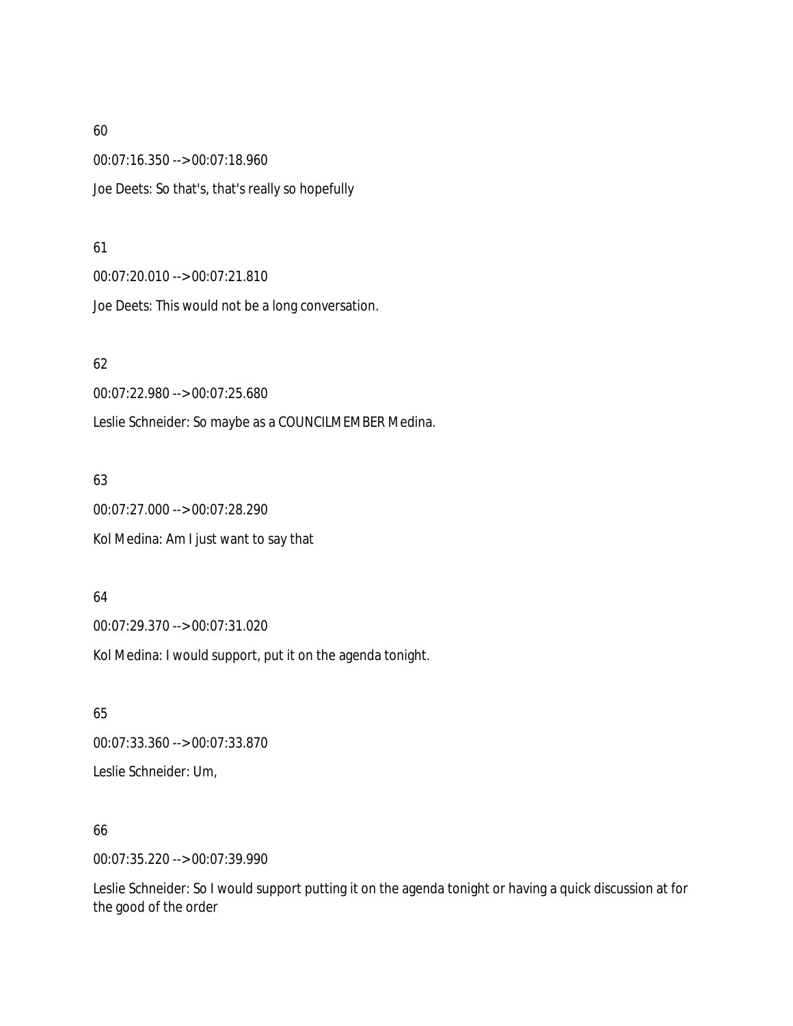00:07:16.350 --> 00:07:18.960 Joe Deets: So that's, that's really so hopefully

### 61

00:07:20.010 --> 00:07:21.810

Joe Deets: This would not be a long conversation.

## 62

00:07:22.980 --> 00:07:25.680

Leslie Schneider: So maybe as a COUNCILMEMBER Medina.

# 63

00:07:27.000 --> 00:07:28.290 Kol Medina: Am I just want to say that

# 64

00:07:29.370 --> 00:07:31.020

Kol Medina: I would support, put it on the agenda tonight.

# 65 00:07:33.360 --> 00:07:33.870 Leslie Schneider: Um,

# 66

00:07:35.220 --> 00:07:39.990

Leslie Schneider: So I would support putting it on the agenda tonight or having a quick discussion at for the good of the order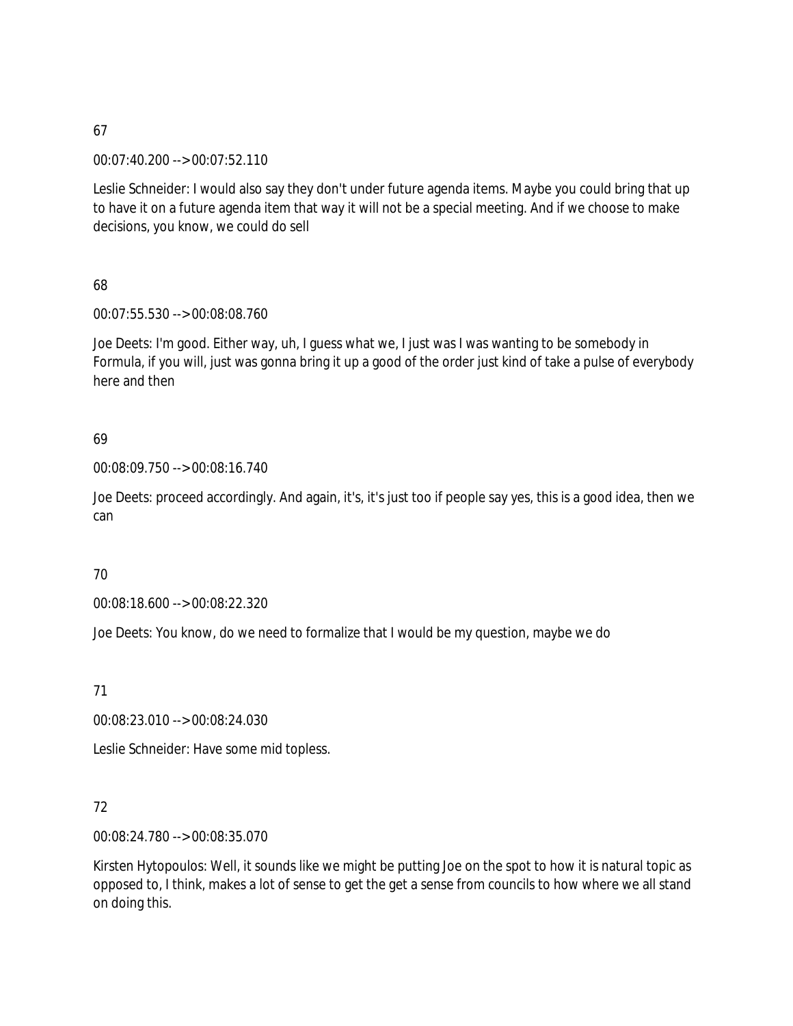00:07:40.200 --> 00:07:52.110

Leslie Schneider: I would also say they don't under future agenda items. Maybe you could bring that up to have it on a future agenda item that way it will not be a special meeting. And if we choose to make decisions, you know, we could do sell

68

00:07:55.530 --> 00:08:08.760

Joe Deets: I'm good. Either way, uh, I guess what we, I just was I was wanting to be somebody in Formula, if you will, just was gonna bring it up a good of the order just kind of take a pulse of everybody here and then

# 69

00:08:09.750 --> 00:08:16.740

Joe Deets: proceed accordingly. And again, it's, it's just too if people say yes, this is a good idea, then we can

# 70

00:08:18.600 --> 00:08:22.320

Joe Deets: You know, do we need to formalize that I would be my question, maybe we do

71

00:08:23.010 --> 00:08:24.030

Leslie Schneider: Have some mid topless.

# 72

00:08:24.780 --> 00:08:35.070

Kirsten Hytopoulos: Well, it sounds like we might be putting Joe on the spot to how it is natural topic as opposed to, I think, makes a lot of sense to get the get a sense from councils to how where we all stand on doing this.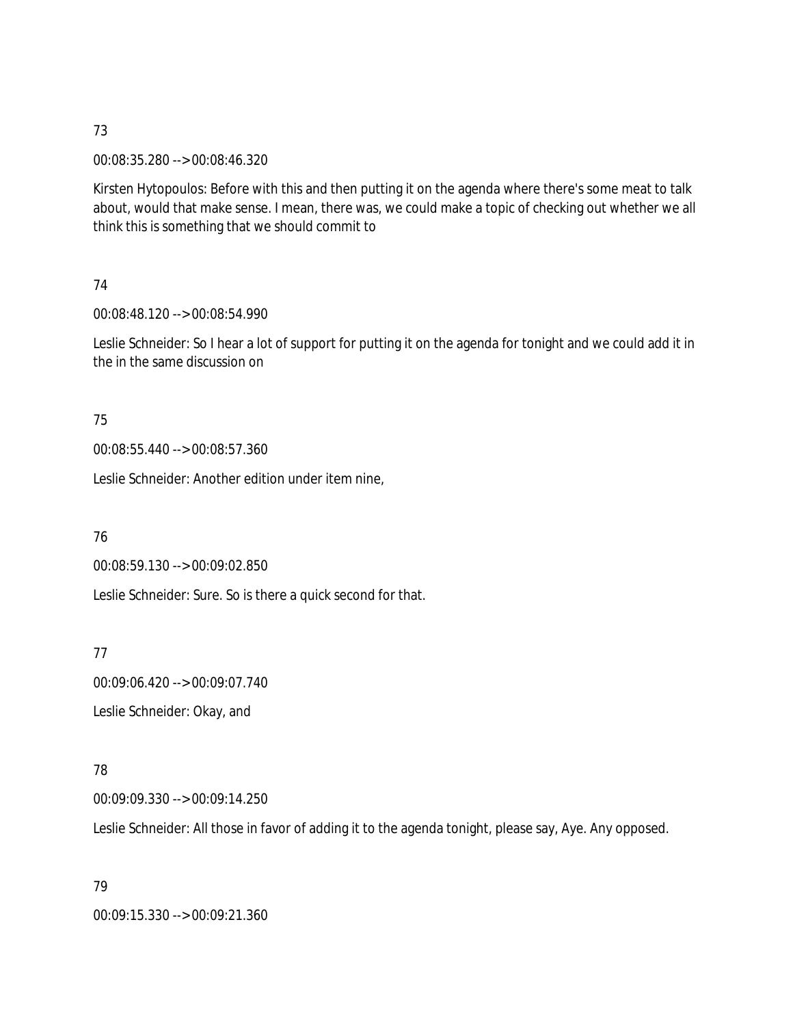00:08:35.280 --> 00:08:46.320

Kirsten Hytopoulos: Before with this and then putting it on the agenda where there's some meat to talk about, would that make sense. I mean, there was, we could make a topic of checking out whether we all think this is something that we should commit to

### 74

00:08:48.120 --> 00:08:54.990

Leslie Schneider: So I hear a lot of support for putting it on the agenda for tonight and we could add it in the in the same discussion on

## 75

00:08:55.440 --> 00:08:57.360

Leslie Schneider: Another edition under item nine,

### 76

00:08:59.130 --> 00:09:02.850

Leslie Schneider: Sure. So is there a quick second for that.

77

00:09:06.420 --> 00:09:07.740 Leslie Schneider: Okay, and

# 78

00:09:09.330 --> 00:09:14.250

Leslie Schneider: All those in favor of adding it to the agenda tonight, please say, Aye. Any opposed.

# 79 00:09:15.330 --> 00:09:21.360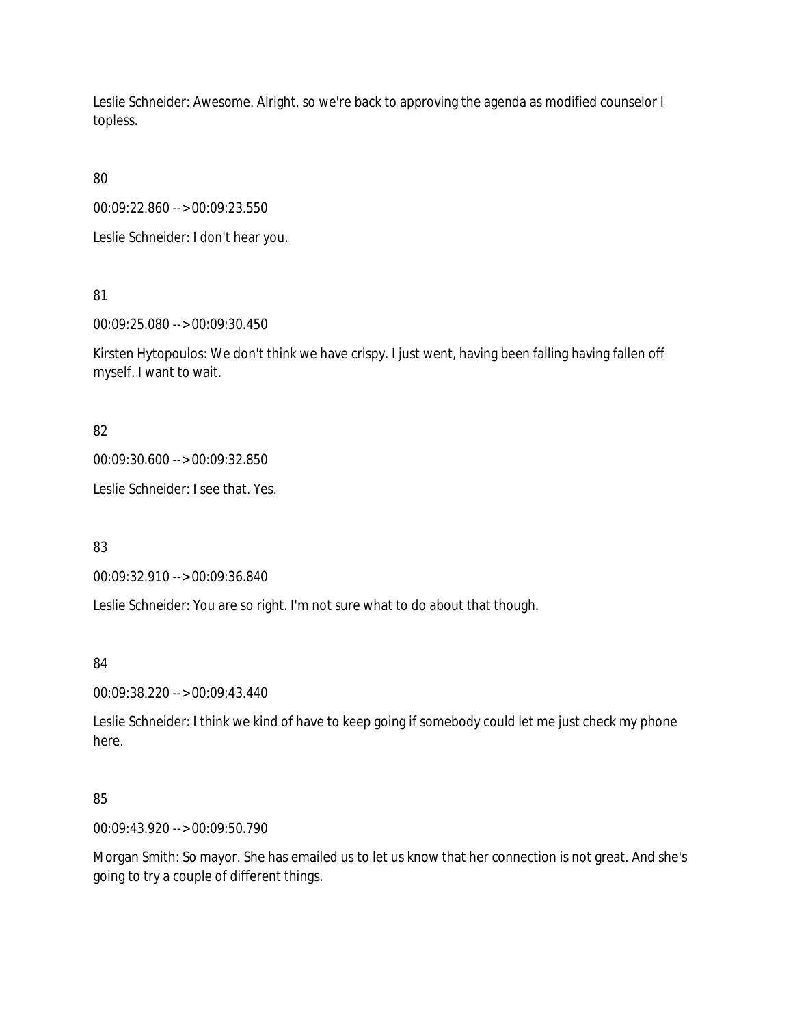Leslie Schneider: Awesome. Alright, so we're back to approving the agenda as modified counselor I topless.

80

00:09:22.860 --> 00:09:23.550

Leslie Schneider: I don't hear you.

81

00:09:25.080 --> 00:09:30.450

Kirsten Hytopoulos: We don't think we have crispy. I just went, having been falling having fallen off myself. I want to wait.

82

00:09:30.600 --> 00:09:32.850

Leslie Schneider: I see that. Yes.

83

00:09:32.910 --> 00:09:36.840

Leslie Schneider: You are so right. I'm not sure what to do about that though.

84

00:09:38.220 --> 00:09:43.440

Leslie Schneider: I think we kind of have to keep going if somebody could let me just check my phone here.

# 85

00:09:43.920 --> 00:09:50.790

Morgan Smith: So mayor. She has emailed us to let us know that her connection is not great. And she's going to try a couple of different things.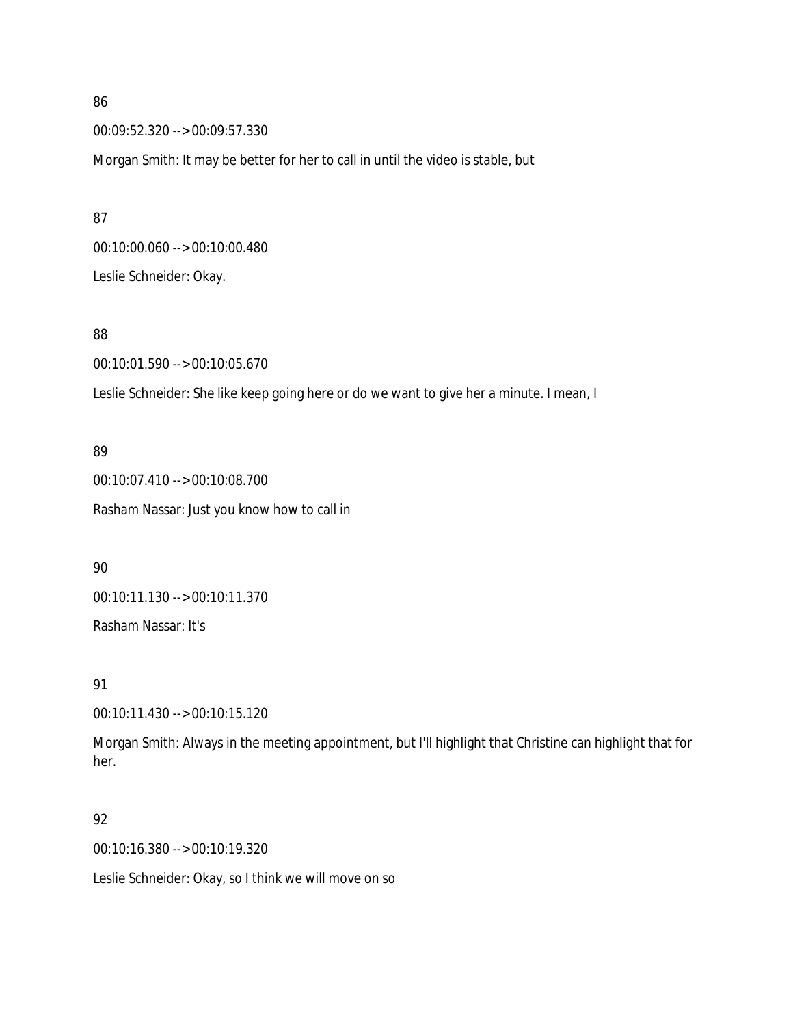00:09:52.320 --> 00:09:57.330

Morgan Smith: It may be better for her to call in until the video is stable, but

00:10:00.060 --> 00:10:00.480 Leslie Schneider: Okay.

## 88

00:10:01.590 --> 00:10:05.670

Leslie Schneider: She like keep going here or do we want to give her a minute. I mean, I

## 89

00:10:07.410 --> 00:10:08.700 Rasham Nassar: Just you know how to call in

90

00:10:11.130 --> 00:10:11.370

Rasham Nassar: It's

91

00:10:11.430 --> 00:10:15.120

Morgan Smith: Always in the meeting appointment, but I'll highlight that Christine can highlight that for her.

### 92

00:10:16.380 --> 00:10:19.320

Leslie Schneider: Okay, so I think we will move on so

86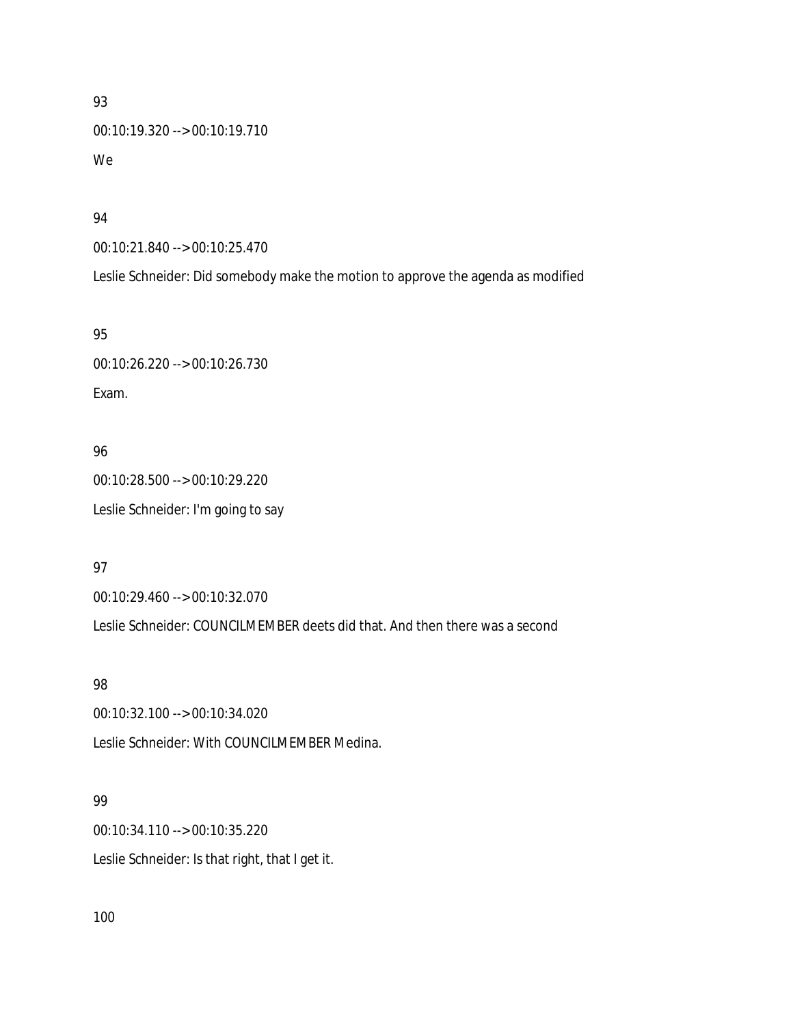# 93 00:10:19.320 --> 00:10:19.710 We

### 94

00:10:21.840 --> 00:10:25.470

Leslie Schneider: Did somebody make the motion to approve the agenda as modified

### 95

00:10:26.220 --> 00:10:26.730 Exam.

# 96

00:10:28.500 --> 00:10:29.220 Leslie Schneider: I'm going to say

# 97

00:10:29.460 --> 00:10:32.070

Leslie Schneider: COUNCILMEMBER deets did that. And then there was a second

# 98

00:10:32.100 --> 00:10:34.020 Leslie Schneider: With COUNCILMEMBER Medina.

# 99

00:10:34.110 --> 00:10:35.220 Leslie Schneider: Is that right, that I get it.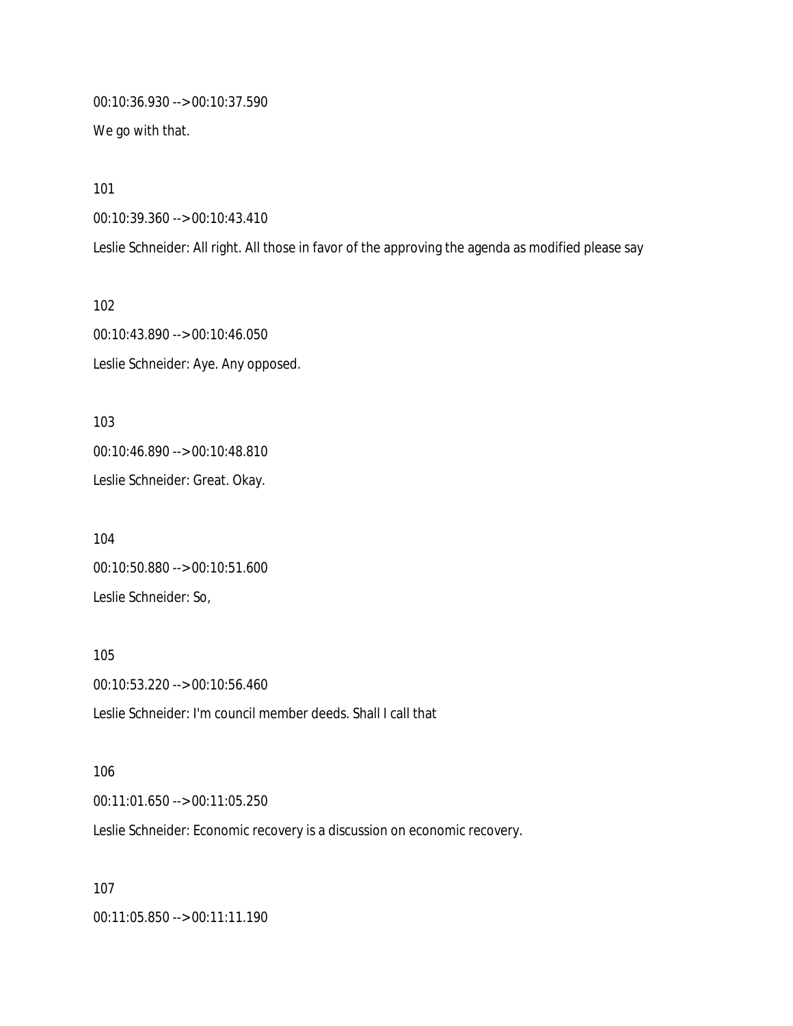00:10:36.930 --> 00:10:37.590 We go with that.

101

00:10:39.360 --> 00:10:43.410

Leslie Schneider: All right. All those in favor of the approving the agenda as modified please say

102 00:10:43.890 --> 00:10:46.050 Leslie Schneider: Aye. Any opposed.

103 00:10:46.890 --> 00:10:48.810 Leslie Schneider: Great. Okay.

104 00:10:50.880 --> 00:10:51.600 Leslie Schneider: So,

105 00:10:53.220 --> 00:10:56.460 Leslie Schneider: I'm council member deeds. Shall I call that

106 00:11:01.650 --> 00:11:05.250 Leslie Schneider: Economic recovery is a discussion on economic recovery.

107 00:11:05.850 --> 00:11:11.190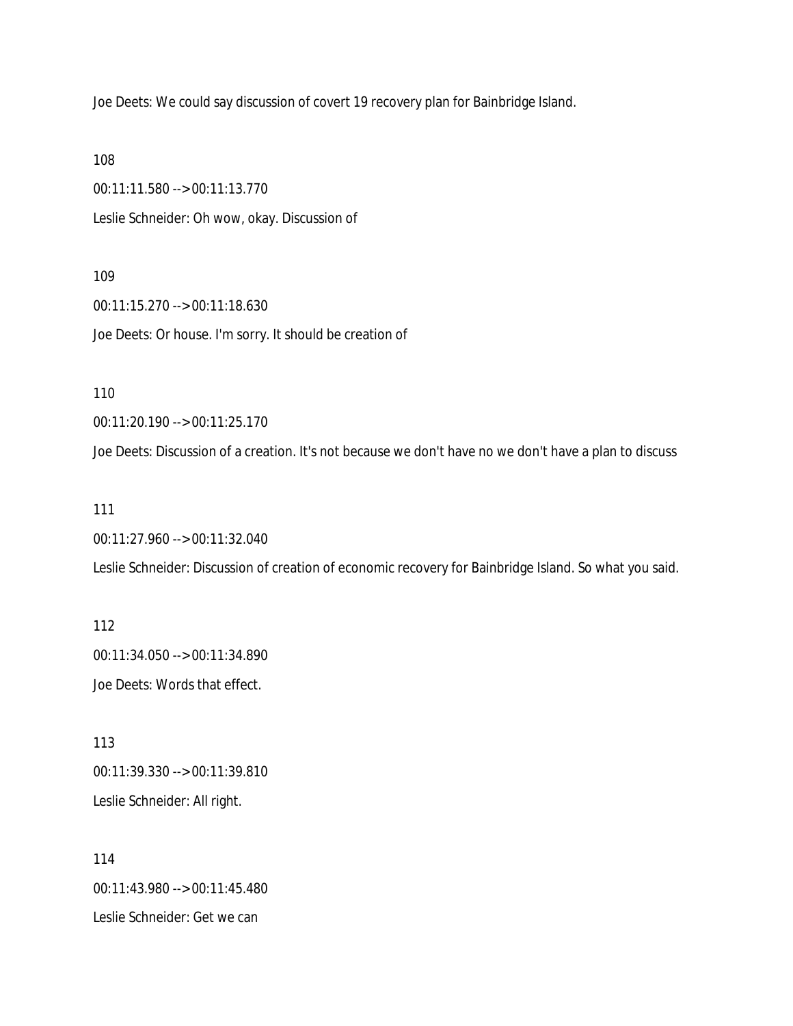Joe Deets: We could say discussion of covert 19 recovery plan for Bainbridge Island.

108

00:11:11.580 --> 00:11:13.770 Leslie Schneider: Oh wow, okay. Discussion of

109

00:11:15.270 --> 00:11:18.630 Joe Deets: Or house. I'm sorry. It should be creation of

110

00:11:20.190 --> 00:11:25.170

Joe Deets: Discussion of a creation. It's not because we don't have no we don't have a plan to discuss

111

00:11:27.960 --> 00:11:32.040

Leslie Schneider: Discussion of creation of economic recovery for Bainbridge Island. So what you said.

112 00:11:34.050 --> 00:11:34.890 Joe Deets: Words that effect.

113 00:11:39.330 --> 00:11:39.810 Leslie Schneider: All right.

114 00:11:43.980 --> 00:11:45.480 Leslie Schneider: Get we can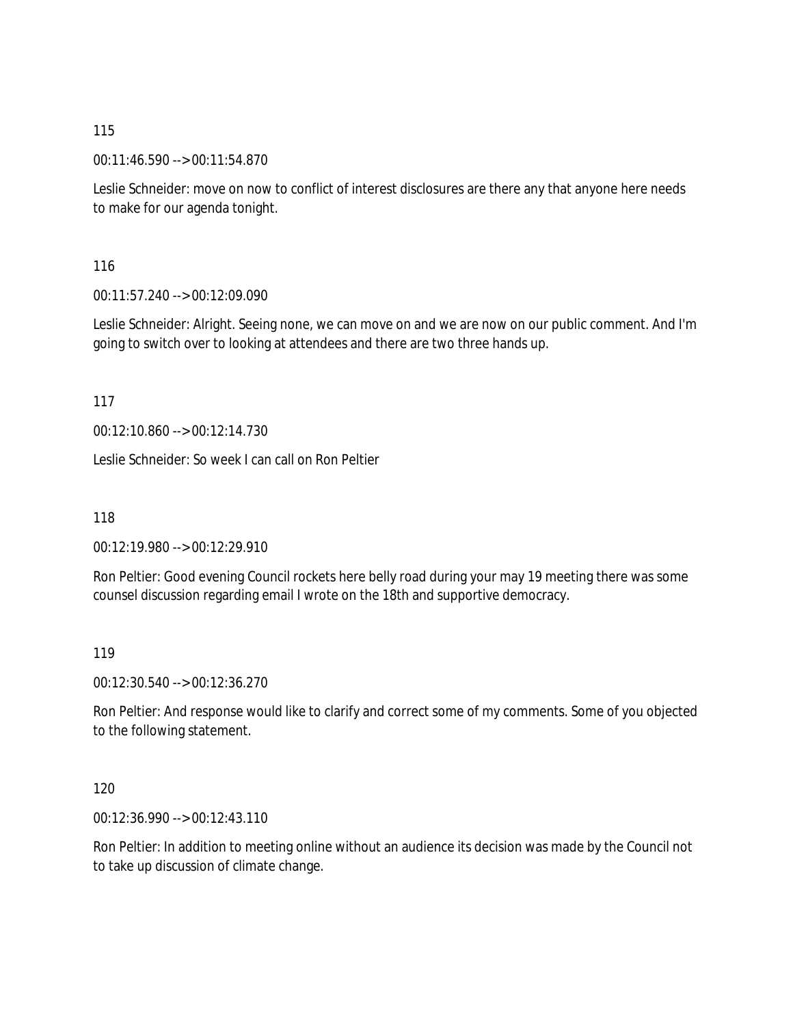00:11:46.590 --> 00:11:54.870

Leslie Schneider: move on now to conflict of interest disclosures are there any that anyone here needs to make for our agenda tonight.

116

00:11:57.240 --> 00:12:09.090

Leslie Schneider: Alright. Seeing none, we can move on and we are now on our public comment. And I'm going to switch over to looking at attendees and there are two three hands up.

117

00:12:10.860 --> 00:12:14.730

Leslie Schneider: So week I can call on Ron Peltier

118

00:12:19.980 --> 00:12:29.910

Ron Peltier: Good evening Council rockets here belly road during your may 19 meeting there was some counsel discussion regarding email I wrote on the 18th and supportive democracy.

119

00:12:30.540 --> 00:12:36.270

Ron Peltier: And response would like to clarify and correct some of my comments. Some of you objected to the following statement.

120

00:12:36.990 --> 00:12:43.110

Ron Peltier: In addition to meeting online without an audience its decision was made by the Council not to take up discussion of climate change.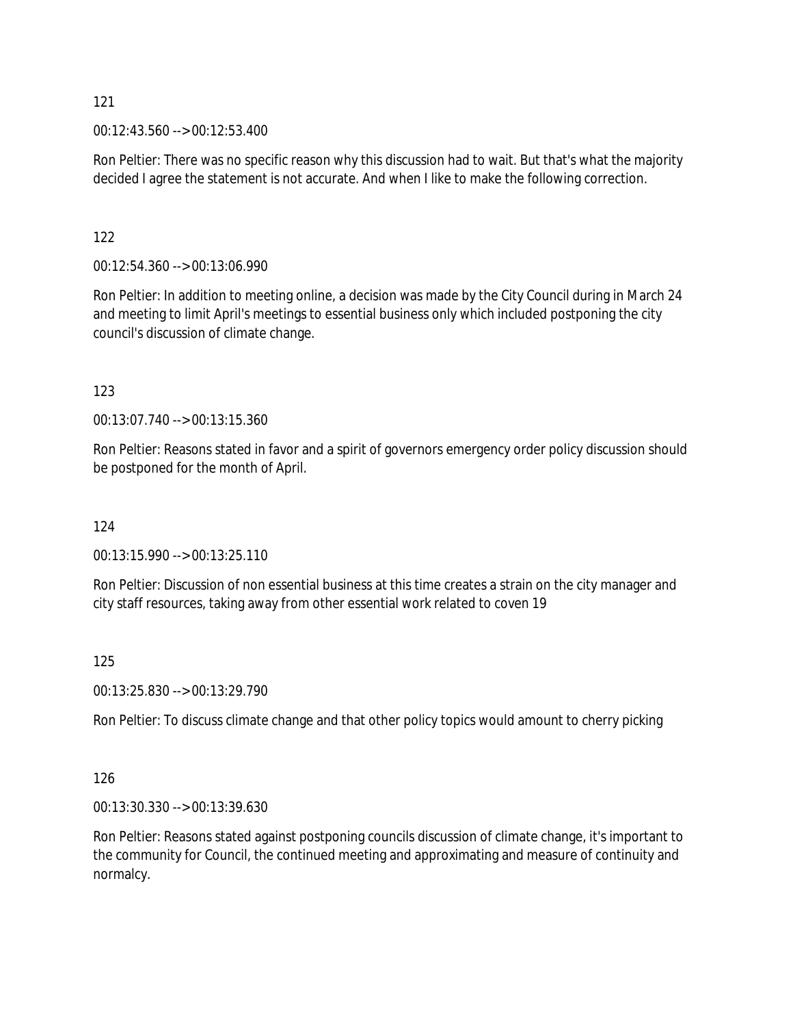00:12:43.560 --> 00:12:53.400

Ron Peltier: There was no specific reason why this discussion had to wait. But that's what the majority decided I agree the statement is not accurate. And when I like to make the following correction.

# 122

00:12:54.360 --> 00:13:06.990

Ron Peltier: In addition to meeting online, a decision was made by the City Council during in March 24 and meeting to limit April's meetings to essential business only which included postponing the city council's discussion of climate change.

# 123

00:13:07.740 --> 00:13:15.360

Ron Peltier: Reasons stated in favor and a spirit of governors emergency order policy discussion should be postponed for the month of April.

# 124

00:13:15.990 --> 00:13:25.110

Ron Peltier: Discussion of non essential business at this time creates a strain on the city manager and city staff resources, taking away from other essential work related to coven 19

# 125

00:13:25.830 --> 00:13:29.790

Ron Peltier: To discuss climate change and that other policy topics would amount to cherry picking

# 126

00:13:30.330 --> 00:13:39.630

Ron Peltier: Reasons stated against postponing councils discussion of climate change, it's important to the community for Council, the continued meeting and approximating and measure of continuity and normalcy.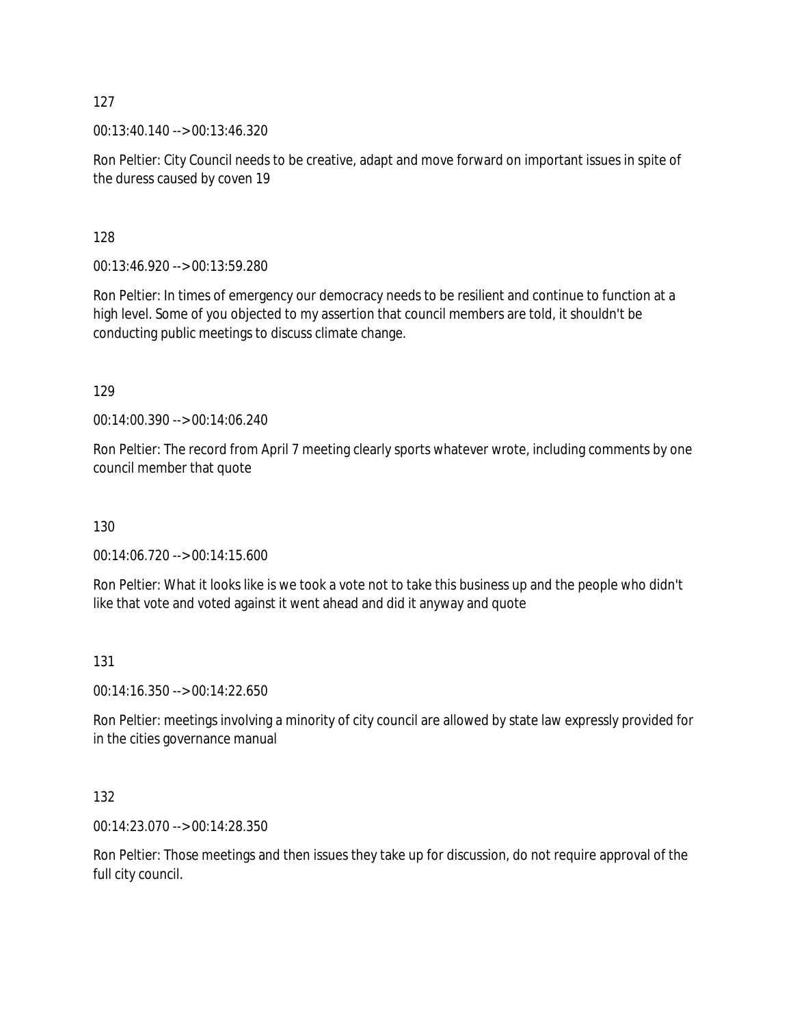00:13:40.140 --> 00:13:46.320

Ron Peltier: City Council needs to be creative, adapt and move forward on important issues in spite of the duress caused by coven 19

128

00:13:46.920 --> 00:13:59.280

Ron Peltier: In times of emergency our democracy needs to be resilient and continue to function at a high level. Some of you objected to my assertion that council members are told, it shouldn't be conducting public meetings to discuss climate change.

129

00:14:00.390 --> 00:14:06.240

Ron Peltier: The record from April 7 meeting clearly sports whatever wrote, including comments by one council member that quote

130

00:14:06.720 --> 00:14:15.600

Ron Peltier: What it looks like is we took a vote not to take this business up and the people who didn't like that vote and voted against it went ahead and did it anyway and quote

### 131

00:14:16.350 --> 00:14:22.650

Ron Peltier: meetings involving a minority of city council are allowed by state law expressly provided for in the cities governance manual

132

00:14:23.070 --> 00:14:28.350

Ron Peltier: Those meetings and then issues they take up for discussion, do not require approval of the full city council.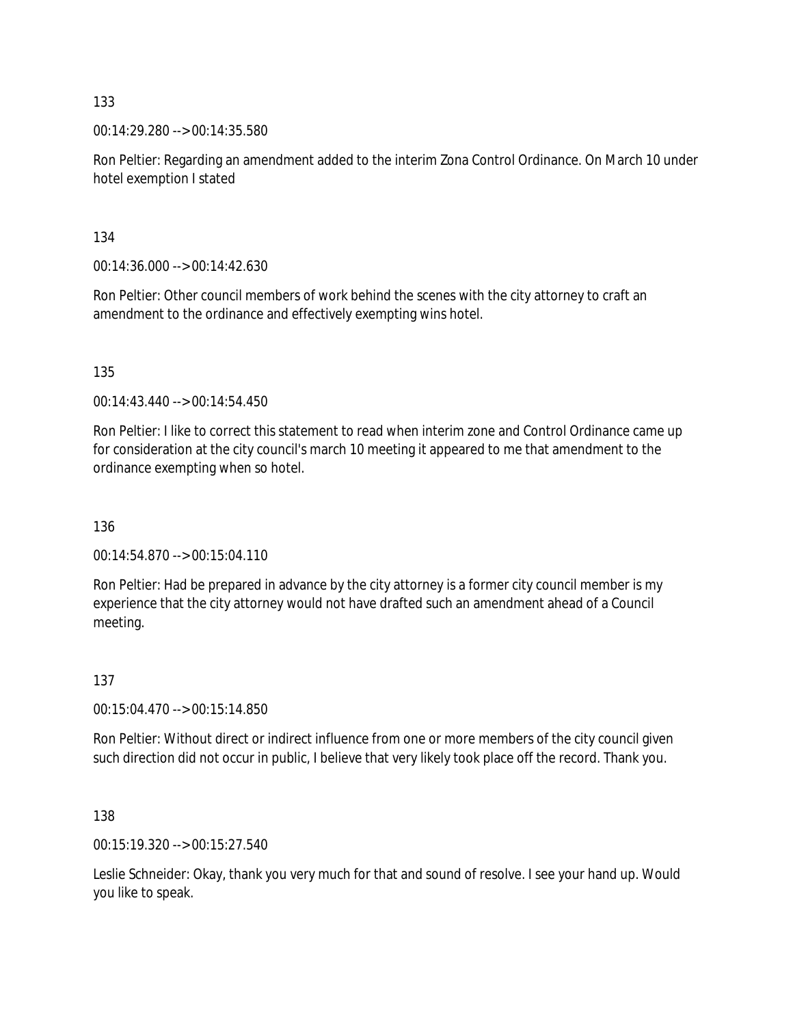00:14:29.280 --> 00:14:35.580

Ron Peltier: Regarding an amendment added to the interim Zona Control Ordinance. On March 10 under hotel exemption I stated

134

00:14:36.000 --> 00:14:42.630

Ron Peltier: Other council members of work behind the scenes with the city attorney to craft an amendment to the ordinance and effectively exempting wins hotel.

135

 $00.14.43.440 -\geq 00.14.54.450$ 

Ron Peltier: I like to correct this statement to read when interim zone and Control Ordinance came up for consideration at the city council's march 10 meeting it appeared to me that amendment to the ordinance exempting when so hotel.

136

00:14:54.870 --> 00:15:04.110

Ron Peltier: Had be prepared in advance by the city attorney is a former city council member is my experience that the city attorney would not have drafted such an amendment ahead of a Council meeting.

137

00:15:04.470 --> 00:15:14.850

Ron Peltier: Without direct or indirect influence from one or more members of the city council given such direction did not occur in public, I believe that very likely took place off the record. Thank you.

138

00:15:19.320 --> 00:15:27.540

Leslie Schneider: Okay, thank you very much for that and sound of resolve. I see your hand up. Would you like to speak.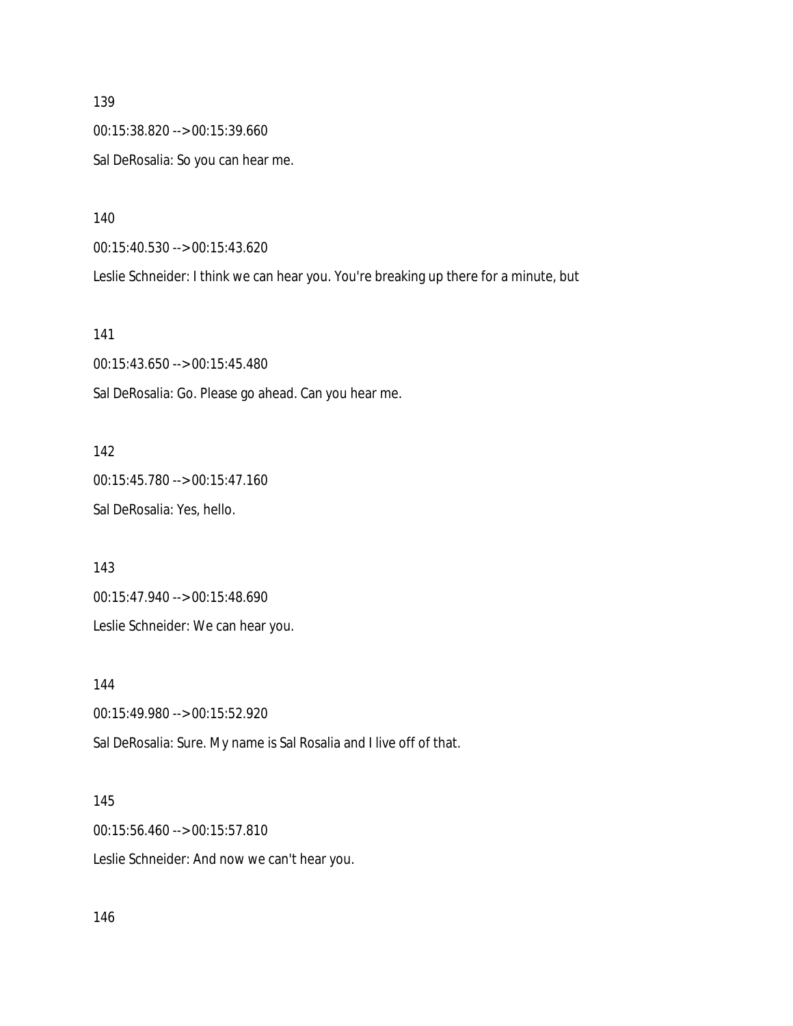00:15:38.820 --> 00:15:39.660 Sal DeRosalia: So you can hear me.

140

00:15:40.530 --> 00:15:43.620

Leslie Schneider: I think we can hear you. You're breaking up there for a minute, but

141

00:15:43.650 --> 00:15:45.480 Sal DeRosalia: Go. Please go ahead. Can you hear me.

142 00:15:45.780 --> 00:15:47.160

Sal DeRosalia: Yes, hello.

143

00:15:47.940 --> 00:15:48.690

Leslie Schneider: We can hear you.

144

00:15:49.980 --> 00:15:52.920

Sal DeRosalia: Sure. My name is Sal Rosalia and I live off of that.

145

00:15:56.460 --> 00:15:57.810

Leslie Schneider: And now we can't hear you.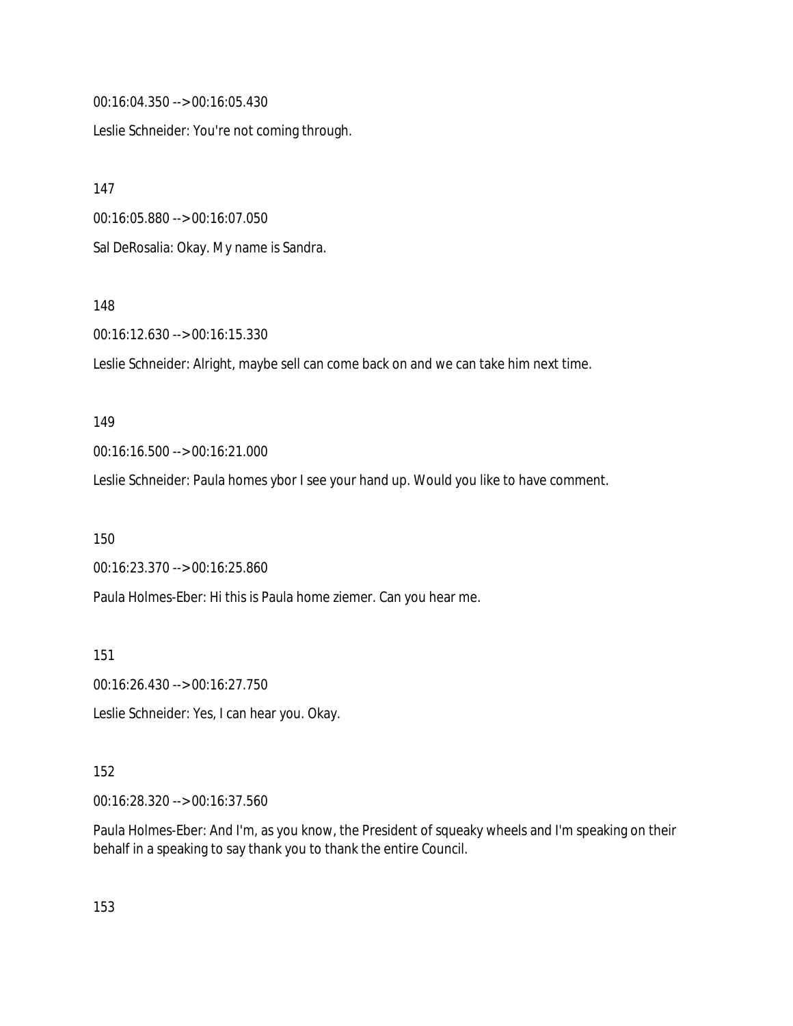00:16:04.350 --> 00:16:05.430

Leslie Schneider: You're not coming through.

147

00:16:05.880 --> 00:16:07.050

Sal DeRosalia: Okay. My name is Sandra.

### 148

00:16:12.630 --> 00:16:15.330

Leslie Schneider: Alright, maybe sell can come back on and we can take him next time.

#### 149

00:16:16.500 --> 00:16:21.000

Leslie Schneider: Paula homes ybor I see your hand up. Would you like to have comment.

150

00:16:23.370 --> 00:16:25.860

Paula Holmes-Eber: Hi this is Paula home ziemer. Can you hear me.

151

00:16:26.430 --> 00:16:27.750

Leslie Schneider: Yes, I can hear you. Okay.

### 152

00:16:28.320 --> 00:16:37.560

Paula Holmes-Eber: And I'm, as you know, the President of squeaky wheels and I'm speaking on their behalf in a speaking to say thank you to thank the entire Council.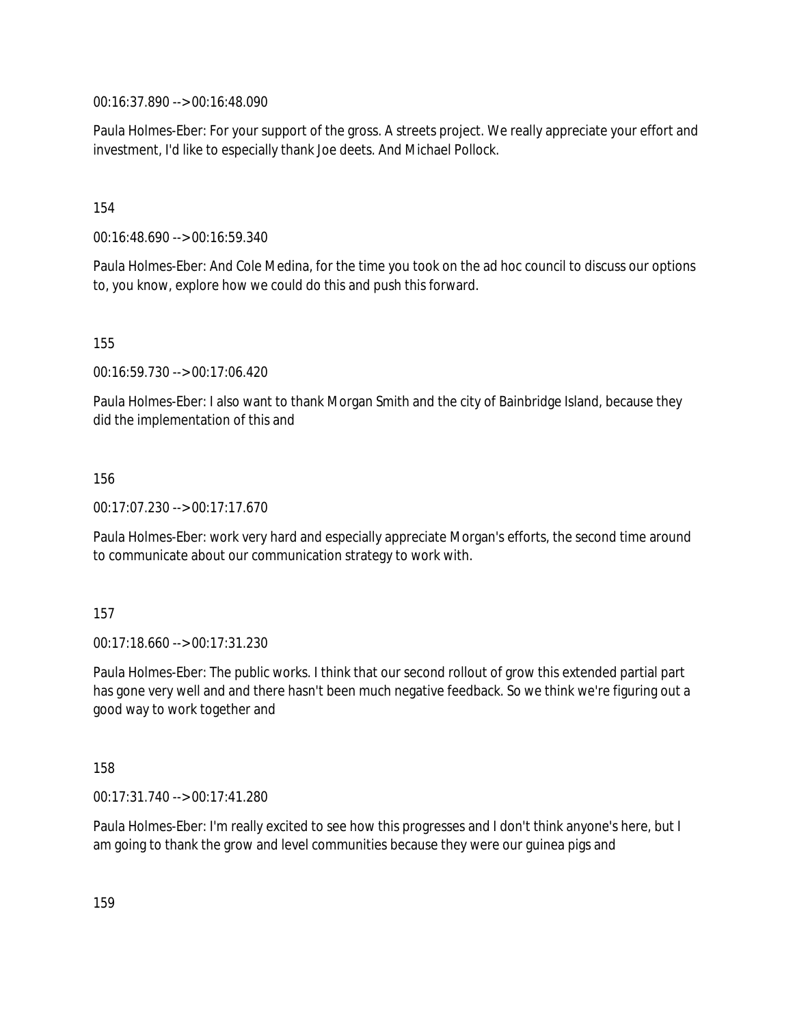00:16:37.890 --> 00:16:48.090

Paula Holmes-Eber: For your support of the gross. A streets project. We really appreciate your effort and investment, I'd like to especially thank Joe deets. And Michael Pollock.

154

00:16:48.690 --> 00:16:59.340

Paula Holmes-Eber: And Cole Medina, for the time you took on the ad hoc council to discuss our options to, you know, explore how we could do this and push this forward.

155

00:16:59.730 --> 00:17:06.420

Paula Holmes-Eber: I also want to thank Morgan Smith and the city of Bainbridge Island, because they did the implementation of this and

156

00:17:07.230 --> 00:17:17.670

Paula Holmes-Eber: work very hard and especially appreciate Morgan's efforts, the second time around to communicate about our communication strategy to work with.

157

00:17:18.660 --> 00:17:31.230

Paula Holmes-Eber: The public works. I think that our second rollout of grow this extended partial part has gone very well and and there hasn't been much negative feedback. So we think we're figuring out a good way to work together and

158

00:17:31.740 --> 00:17:41.280

Paula Holmes-Eber: I'm really excited to see how this progresses and I don't think anyone's here, but I am going to thank the grow and level communities because they were our guinea pigs and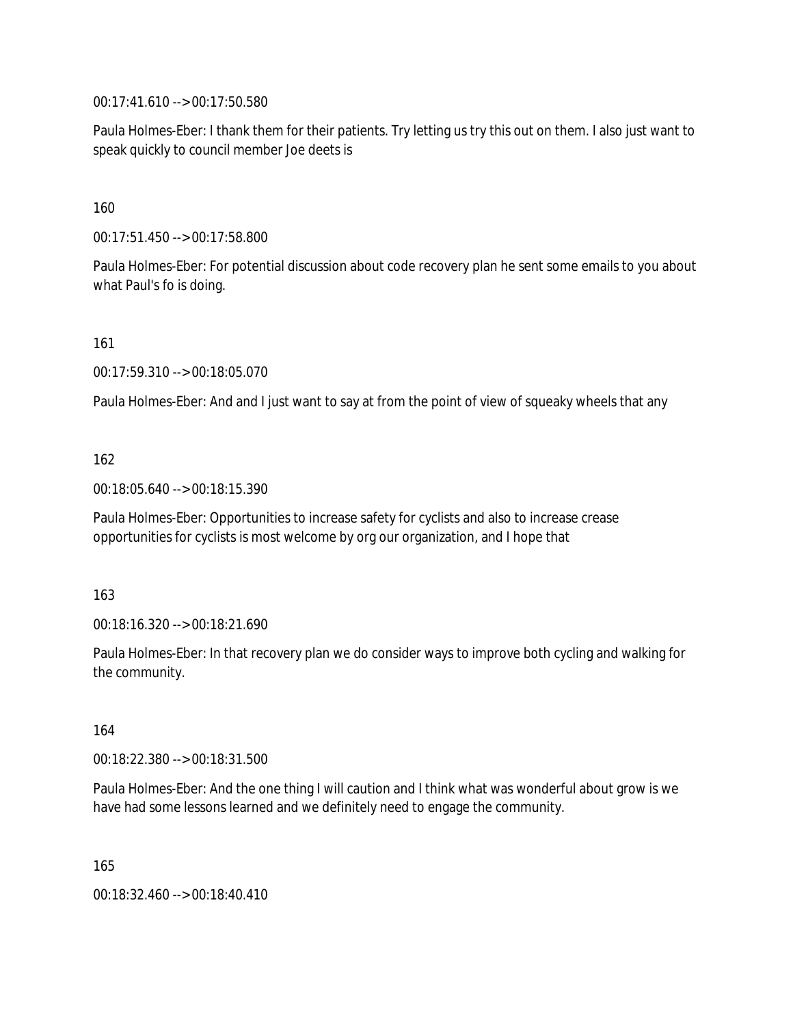00:17:41.610 --> 00:17:50.580

Paula Holmes-Eber: I thank them for their patients. Try letting us try this out on them. I also just want to speak quickly to council member Joe deets is

160

00:17:51.450 --> 00:17:58.800

Paula Holmes-Eber: For potential discussion about code recovery plan he sent some emails to you about what Paul's fo is doing.

161

00:17:59.310 --> 00:18:05.070

Paula Holmes-Eber: And and I just want to say at from the point of view of squeaky wheels that any

### 162

00:18:05.640 --> 00:18:15.390

Paula Holmes-Eber: Opportunities to increase safety for cyclists and also to increase crease opportunities for cyclists is most welcome by org our organization, and I hope that

### 163

00:18:16.320 --> 00:18:21.690

Paula Holmes-Eber: In that recovery plan we do consider ways to improve both cycling and walking for the community.

164

00:18:22.380 --> 00:18:31.500

Paula Holmes-Eber: And the one thing I will caution and I think what was wonderful about grow is we have had some lessons learned and we definitely need to engage the community.

165

00:18:32.460 --> 00:18:40.410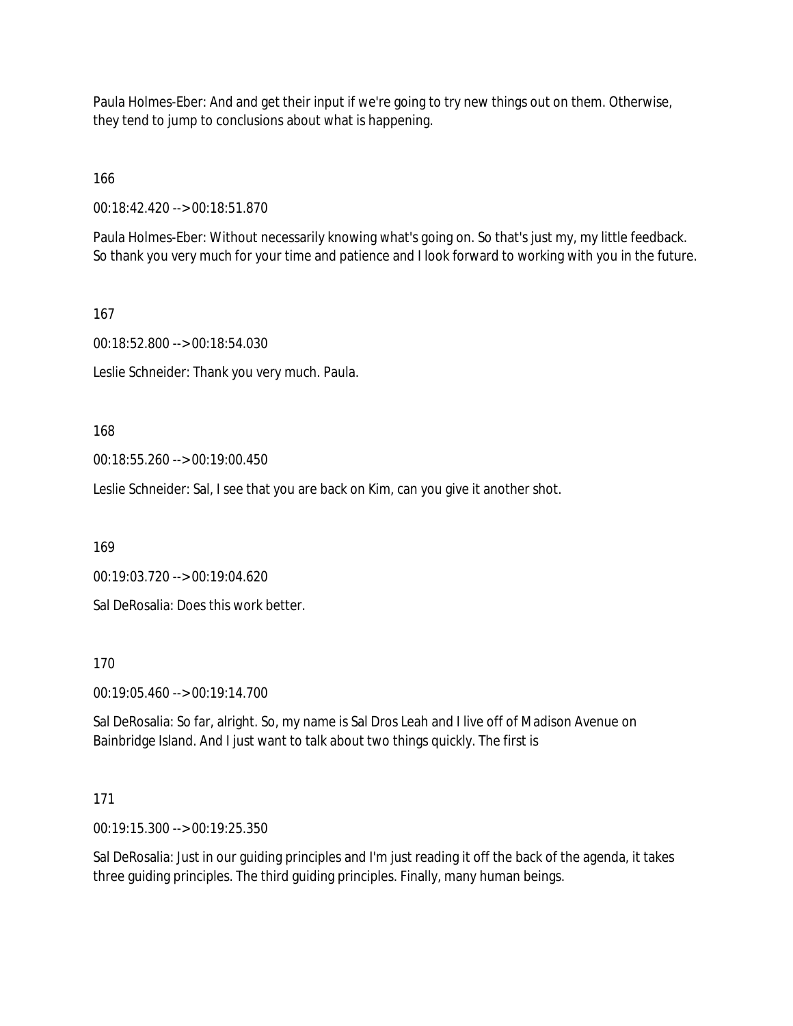Paula Holmes-Eber: And and get their input if we're going to try new things out on them. Otherwise, they tend to jump to conclusions about what is happening.

166

00:18:42.420 --> 00:18:51.870

Paula Holmes-Eber: Without necessarily knowing what's going on. So that's just my, my little feedback. So thank you very much for your time and patience and I look forward to working with you in the future.

167

00:18:52.800 --> 00:18:54.030

Leslie Schneider: Thank you very much. Paula.

168

00:18:55.260 --> 00:19:00.450

Leslie Schneider: Sal, I see that you are back on Kim, can you give it another shot.

169

00:19:03.720 --> 00:19:04.620

Sal DeRosalia: Does this work better.

170

00:19:05.460 --> 00:19:14.700

Sal DeRosalia: So far, alright. So, my name is Sal Dros Leah and I live off of Madison Avenue on Bainbridge Island. And I just want to talk about two things quickly. The first is

# 171

00:19:15.300 --> 00:19:25.350

Sal DeRosalia: Just in our guiding principles and I'm just reading it off the back of the agenda, it takes three guiding principles. The third guiding principles. Finally, many human beings.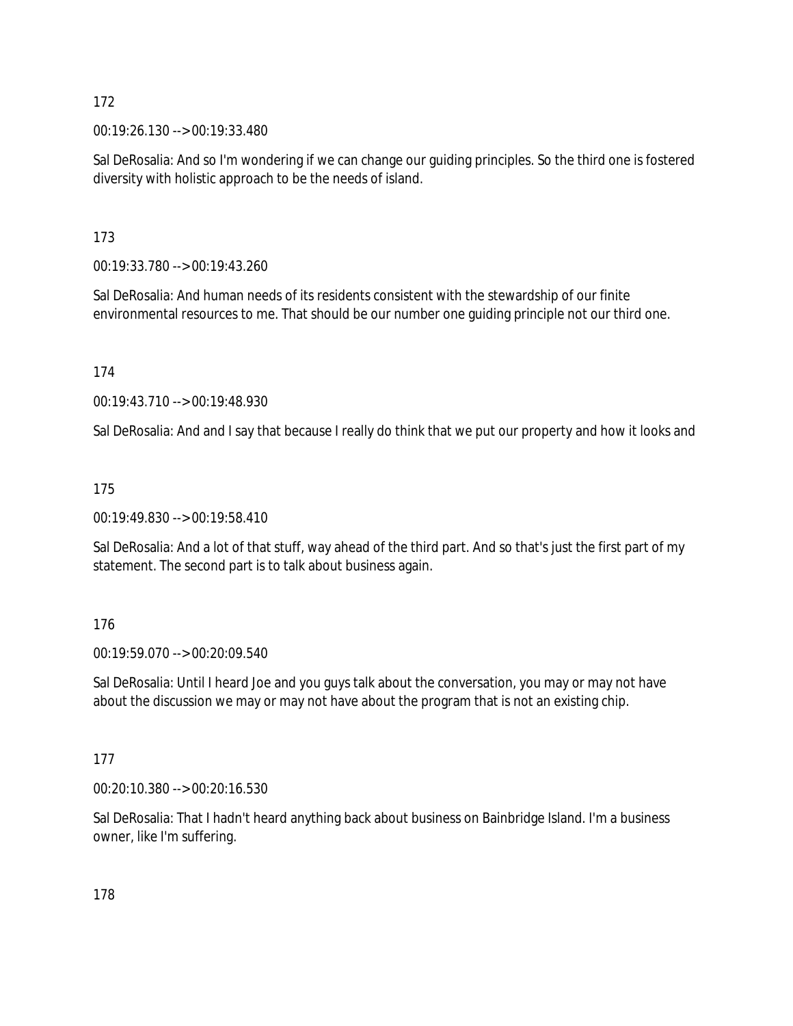00:19:26.130 --> 00:19:33.480

Sal DeRosalia: And so I'm wondering if we can change our guiding principles. So the third one is fostered diversity with holistic approach to be the needs of island.

173

00:19:33.780 --> 00:19:43.260

Sal DeRosalia: And human needs of its residents consistent with the stewardship of our finite environmental resources to me. That should be our number one guiding principle not our third one.

174

00:19:43.710 --> 00:19:48.930

Sal DeRosalia: And and I say that because I really do think that we put our property and how it looks and

175

00:19:49.830 --> 00:19:58.410

Sal DeRosalia: And a lot of that stuff, way ahead of the third part. And so that's just the first part of my statement. The second part is to talk about business again.

### 176

00:19:59.070 --> 00:20:09.540

Sal DeRosalia: Until I heard Joe and you guys talk about the conversation, you may or may not have about the discussion we may or may not have about the program that is not an existing chip.

### 177

00:20:10.380 --> 00:20:16.530

Sal DeRosalia: That I hadn't heard anything back about business on Bainbridge Island. I'm a business owner, like I'm suffering.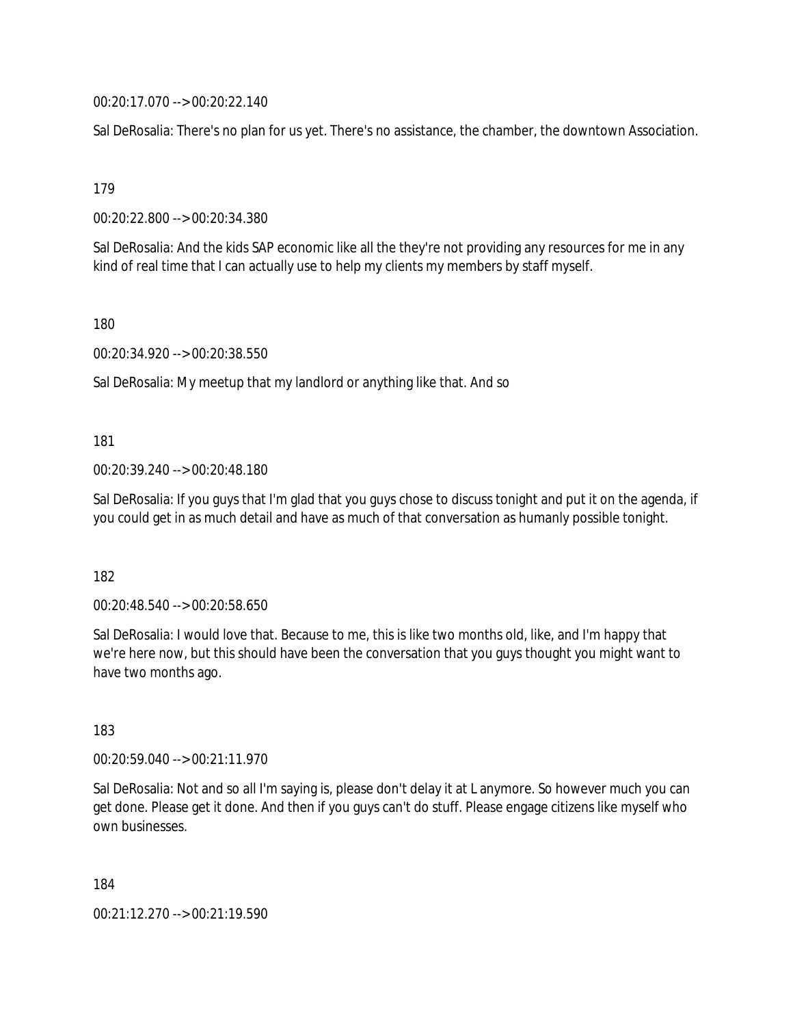00:20:17.070 --> 00:20:22.140

Sal DeRosalia: There's no plan for us yet. There's no assistance, the chamber, the downtown Association.

179

00:20:22.800 --> 00:20:34.380

Sal DeRosalia: And the kids SAP economic like all the they're not providing any resources for me in any kind of real time that I can actually use to help my clients my members by staff myself.

180

00:20:34.920 --> 00:20:38.550

Sal DeRosalia: My meetup that my landlord or anything like that. And so

181

00:20:39.240 --> 00:20:48.180

Sal DeRosalia: If you guys that I'm glad that you guys chose to discuss tonight and put it on the agenda, if you could get in as much detail and have as much of that conversation as humanly possible tonight.

182

00:20:48.540 --> 00:20:58.650

Sal DeRosalia: I would love that. Because to me, this is like two months old, like, and I'm happy that we're here now, but this should have been the conversation that you guys thought you might want to have two months ago.

183

00:20:59.040 --> 00:21:11.970

Sal DeRosalia: Not and so all I'm saying is, please don't delay it at L anymore. So however much you can get done. Please get it done. And then if you guys can't do stuff. Please engage citizens like myself who own businesses.

184

00:21:12.270 --> 00:21:19.590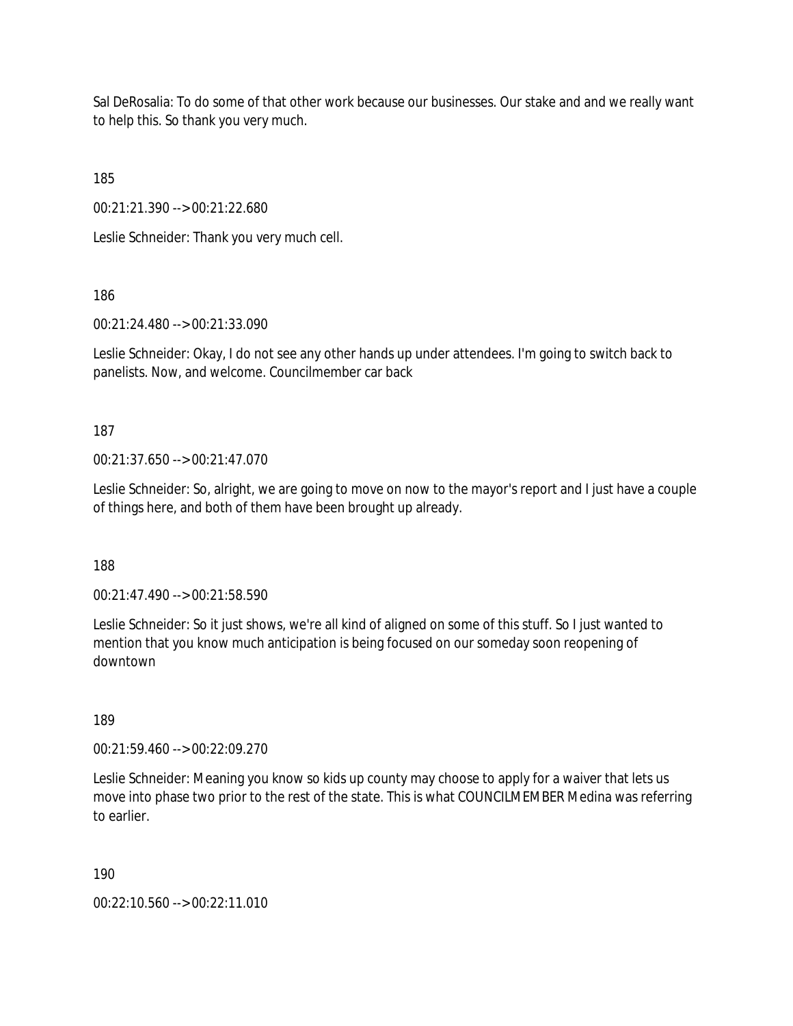Sal DeRosalia: To do some of that other work because our businesses. Our stake and and we really want to help this. So thank you very much.

185

00:21:21.390 --> 00:21:22.680

Leslie Schneider: Thank you very much cell.

186

00:21:24.480 --> 00:21:33.090

Leslie Schneider: Okay, I do not see any other hands up under attendees. I'm going to switch back to panelists. Now, and welcome. Councilmember car back

187

00:21:37.650 --> 00:21:47.070

Leslie Schneider: So, alright, we are going to move on now to the mayor's report and I just have a couple of things here, and both of them have been brought up already.

188

00:21:47.490 --> 00:21:58.590

Leslie Schneider: So it just shows, we're all kind of aligned on some of this stuff. So I just wanted to mention that you know much anticipation is being focused on our someday soon reopening of downtown

189

00:21:59.460 --> 00:22:09.270

Leslie Schneider: Meaning you know so kids up county may choose to apply for a waiver that lets us move into phase two prior to the rest of the state. This is what COUNCILMEMBER Medina was referring to earlier.

190

00:22:10.560 --> 00:22:11.010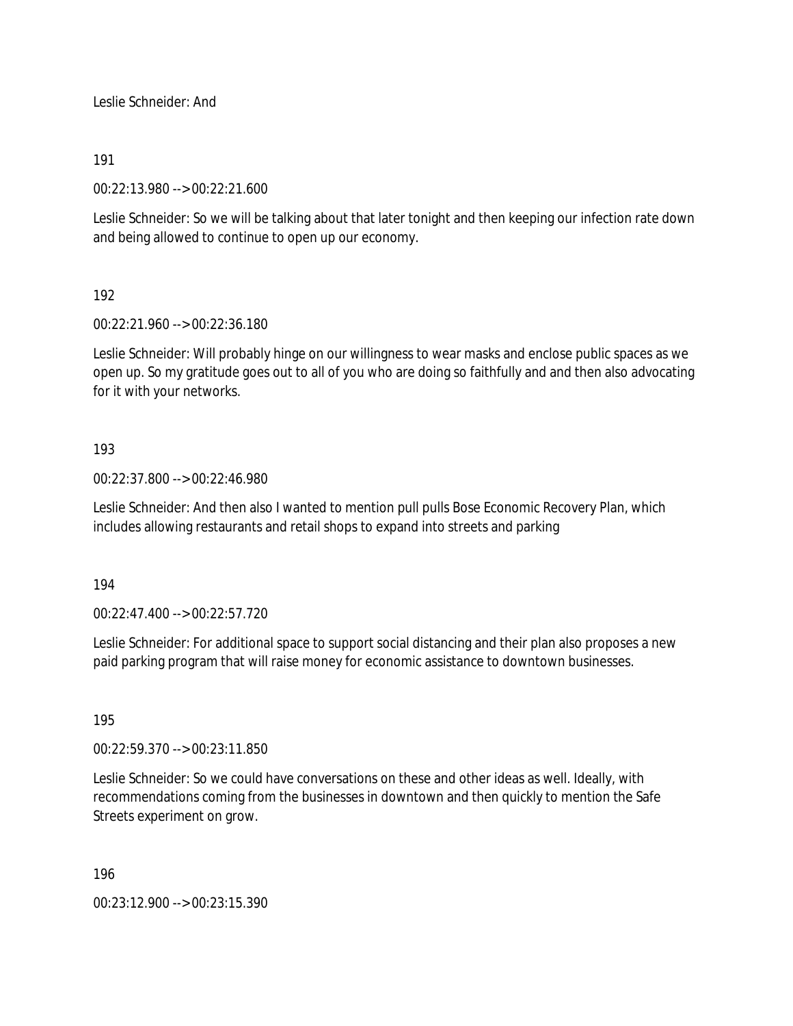Leslie Schneider: And

## 191

00:22:13.980 --> 00:22:21.600

Leslie Schneider: So we will be talking about that later tonight and then keeping our infection rate down and being allowed to continue to open up our economy.

# 192

00:22:21.960 --> 00:22:36.180

Leslie Schneider: Will probably hinge on our willingness to wear masks and enclose public spaces as we open up. So my gratitude goes out to all of you who are doing so faithfully and and then also advocating for it with your networks.

## 193

00:22:37.800 --> 00:22:46.980

Leslie Schneider: And then also I wanted to mention pull pulls Bose Economic Recovery Plan, which includes allowing restaurants and retail shops to expand into streets and parking

194

00:22:47.400 --> 00:22:57.720

Leslie Schneider: For additional space to support social distancing and their plan also proposes a new paid parking program that will raise money for economic assistance to downtown businesses.

195

00:22:59.370 --> 00:23:11.850

Leslie Schneider: So we could have conversations on these and other ideas as well. Ideally, with recommendations coming from the businesses in downtown and then quickly to mention the Safe Streets experiment on grow.

196

00:23:12.900 --> 00:23:15.390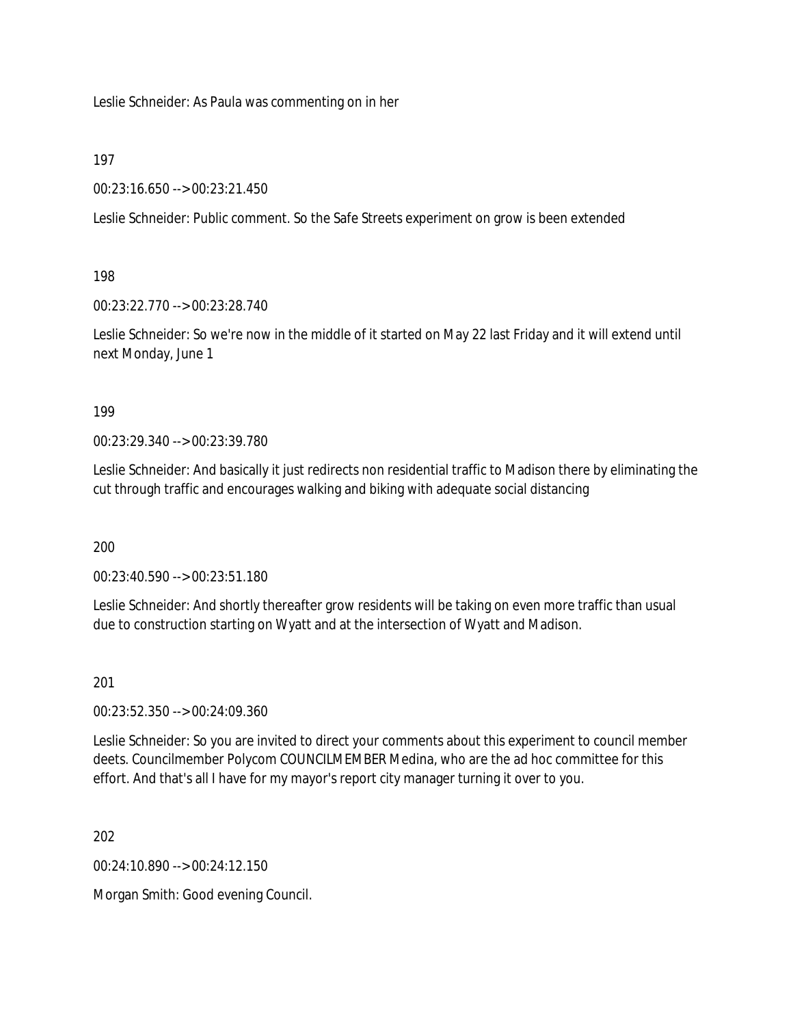Leslie Schneider: As Paula was commenting on in her

197

00:23:16.650 --> 00:23:21.450

Leslie Schneider: Public comment. So the Safe Streets experiment on grow is been extended

198

00:23:22.770 --> 00:23:28.740

Leslie Schneider: So we're now in the middle of it started on May 22 last Friday and it will extend until next Monday, June 1

199

00:23:29.340 --> 00:23:39.780

Leslie Schneider: And basically it just redirects non residential traffic to Madison there by eliminating the cut through traffic and encourages walking and biking with adequate social distancing

200

00:23:40.590 --> 00:23:51.180

Leslie Schneider: And shortly thereafter grow residents will be taking on even more traffic than usual due to construction starting on Wyatt and at the intersection of Wyatt and Madison.

201

00:23:52.350 --> 00:24:09.360

Leslie Schneider: So you are invited to direct your comments about this experiment to council member deets. Councilmember Polycom COUNCILMEMBER Medina, who are the ad hoc committee for this effort. And that's all I have for my mayor's report city manager turning it over to you.

202

 $00.24.10.890 -> 00.24.12.150$ 

Morgan Smith: Good evening Council.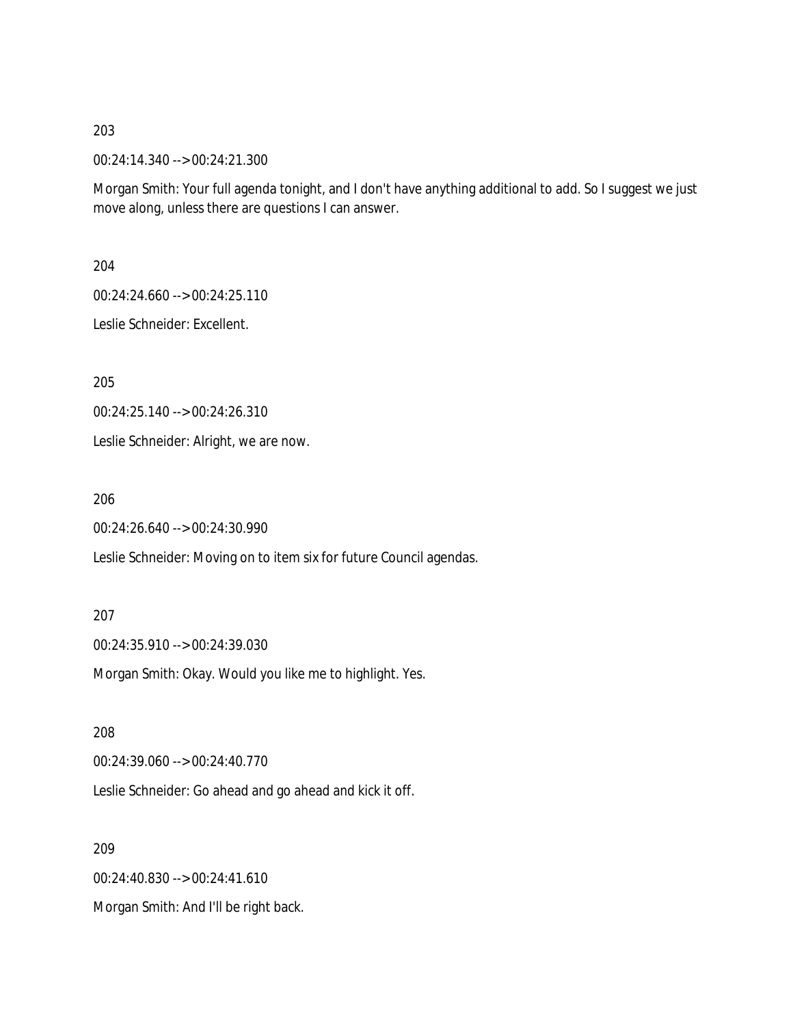00:24:14.340 --> 00:24:21.300

Morgan Smith: Your full agenda tonight, and I don't have anything additional to add. So I suggest we just move along, unless there are questions I can answer.

204

00:24:24.660 --> 00:24:25.110

Leslie Schneider: Excellent.

205

00:24:25.140 --> 00:24:26.310

Leslie Schneider: Alright, we are now.

206

00:24:26.640 --> 00:24:30.990

Leslie Schneider: Moving on to item six for future Council agendas.

#### 207

00:24:35.910 --> 00:24:39.030

Morgan Smith: Okay. Would you like me to highlight. Yes.

208

00:24:39.060 --> 00:24:40.770

Leslie Schneider: Go ahead and go ahead and kick it off.

209

00:24:40.830 --> 00:24:41.610

Morgan Smith: And I'll be right back.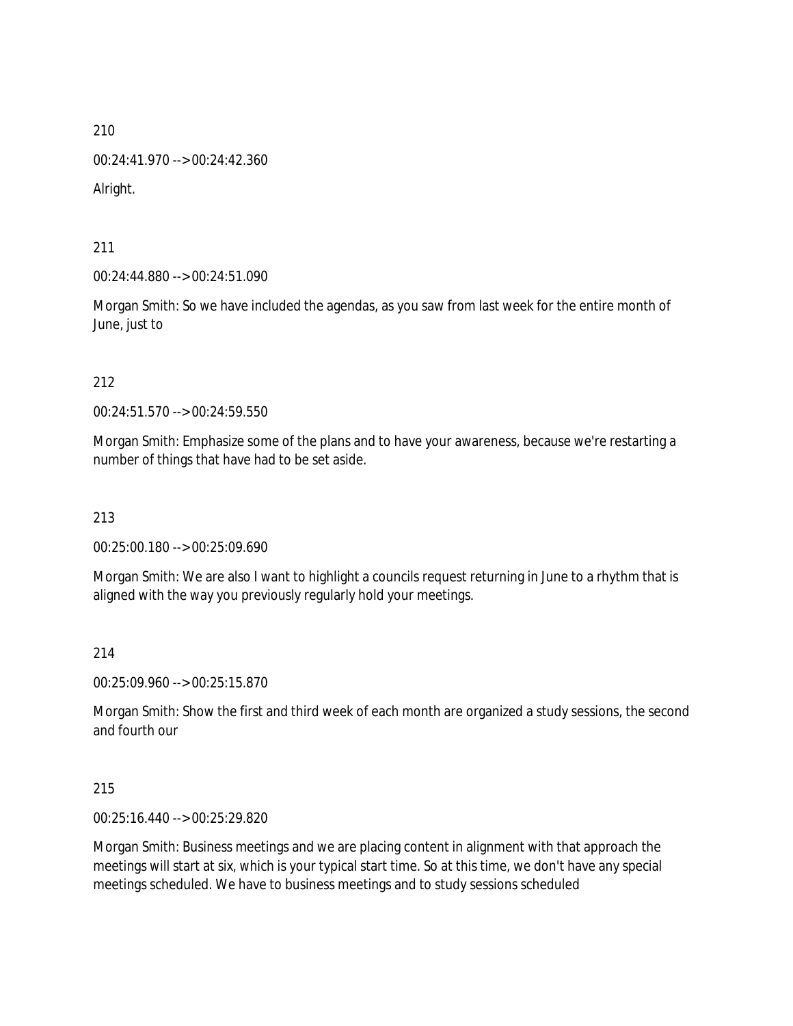00:24:41.970 --> 00:24:42.360

Alright.

211

00:24:44.880 --> 00:24:51.090

Morgan Smith: So we have included the agendas, as you saw from last week for the entire month of June, just to

212

00:24:51.570 --> 00:24:59.550

Morgan Smith: Emphasize some of the plans and to have your awareness, because we're restarting a number of things that have had to be set aside.

213

00:25:00.180 --> 00:25:09.690

Morgan Smith: We are also I want to highlight a councils request returning in June to a rhythm that is aligned with the way you previously regularly hold your meetings.

214

00:25:09.960 --> 00:25:15.870

Morgan Smith: Show the first and third week of each month are organized a study sessions, the second and fourth our

215

00:25:16.440 --> 00:25:29.820

Morgan Smith: Business meetings and we are placing content in alignment with that approach the meetings will start at six, which is your typical start time. So at this time, we don't have any special meetings scheduled. We have to business meetings and to study sessions scheduled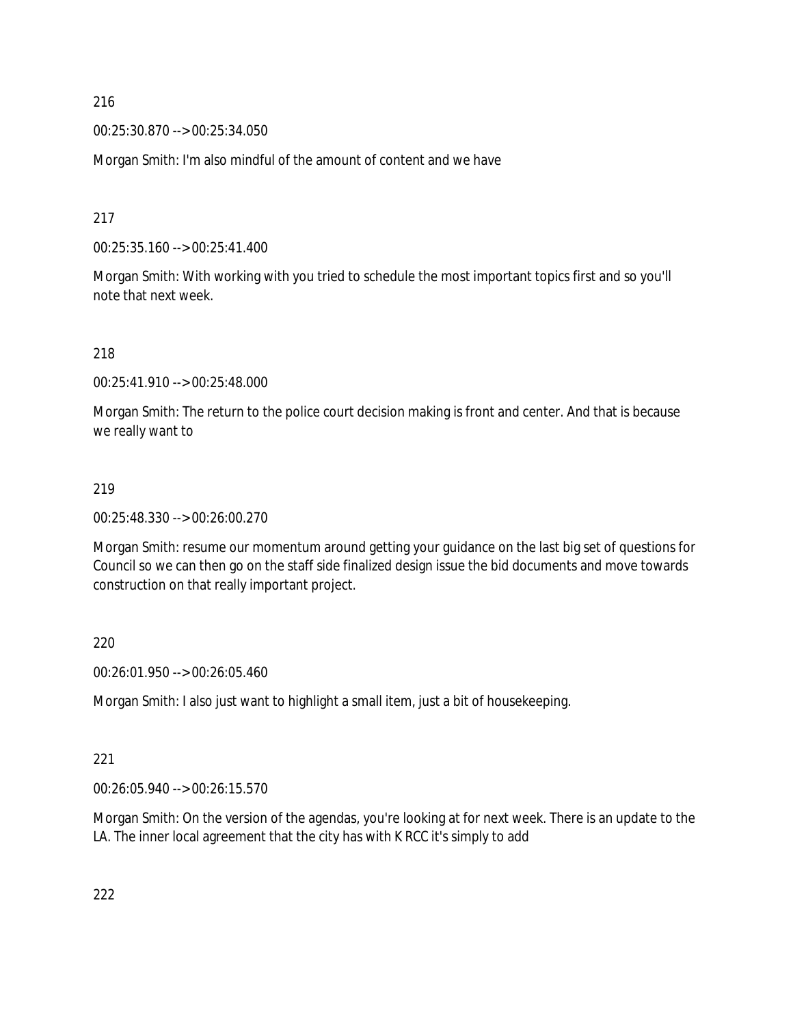00:25:30.870 --> 00:25:34.050

Morgan Smith: I'm also mindful of the amount of content and we have

217

00:25:35.160 --> 00:25:41.400

Morgan Smith: With working with you tried to schedule the most important topics first and so you'll note that next week.

218

00:25:41.910 --> 00:25:48.000

Morgan Smith: The return to the police court decision making is front and center. And that is because we really want to

### 219

00:25:48.330 --> 00:26:00.270

Morgan Smith: resume our momentum around getting your guidance on the last big set of questions for Council so we can then go on the staff side finalized design issue the bid documents and move towards construction on that really important project.

220

00:26:01.950 --> 00:26:05.460

Morgan Smith: I also just want to highlight a small item, just a bit of housekeeping.

### 221

00:26:05.940 --> 00:26:15.570

Morgan Smith: On the version of the agendas, you're looking at for next week. There is an update to the LA. The inner local agreement that the city has with K RCC it's simply to add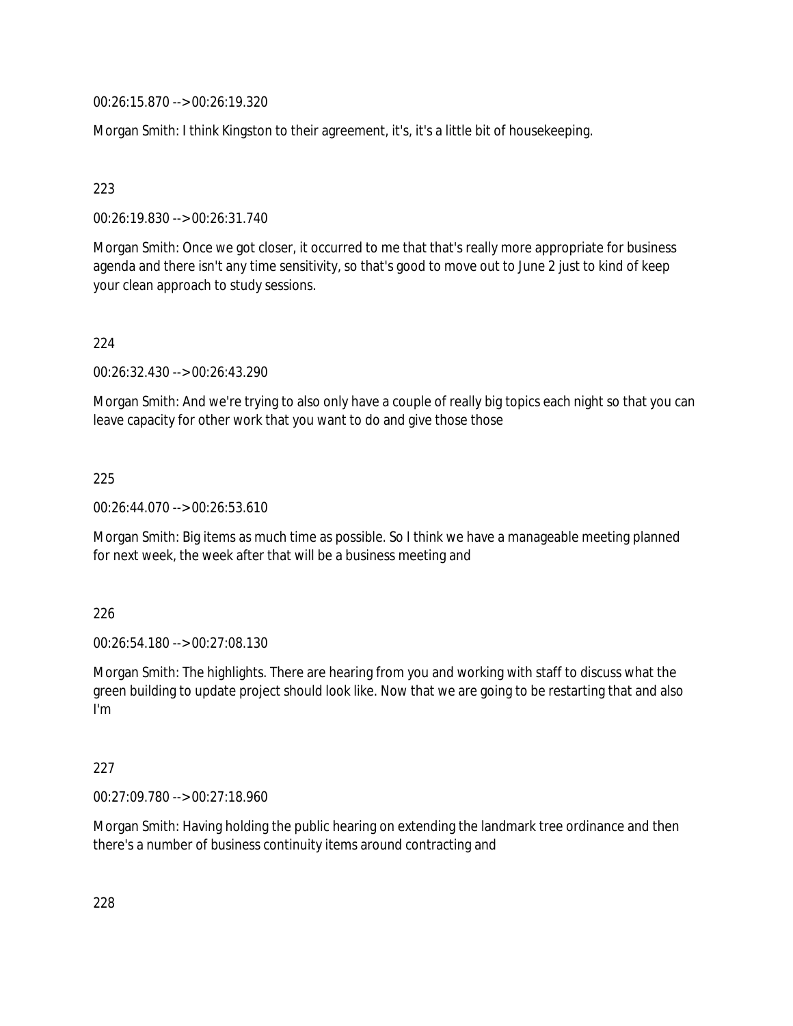00:26:15.870 --> 00:26:19.320

Morgan Smith: I think Kingston to their agreement, it's, it's a little bit of housekeeping.

223

00:26:19.830 --> 00:26:31.740

Morgan Smith: Once we got closer, it occurred to me that that's really more appropriate for business agenda and there isn't any time sensitivity, so that's good to move out to June 2 just to kind of keep your clean approach to study sessions.

224

00:26:32.430 --> 00:26:43.290

Morgan Smith: And we're trying to also only have a couple of really big topics each night so that you can leave capacity for other work that you want to do and give those those

225

00:26:44.070 --> 00:26:53.610

Morgan Smith: Big items as much time as possible. So I think we have a manageable meeting planned for next week, the week after that will be a business meeting and

226

00:26:54.180 --> 00:27:08.130

Morgan Smith: The highlights. There are hearing from you and working with staff to discuss what the green building to update project should look like. Now that we are going to be restarting that and also I'm

227

00:27:09.780 --> 00:27:18.960

Morgan Smith: Having holding the public hearing on extending the landmark tree ordinance and then there's a number of business continuity items around contracting and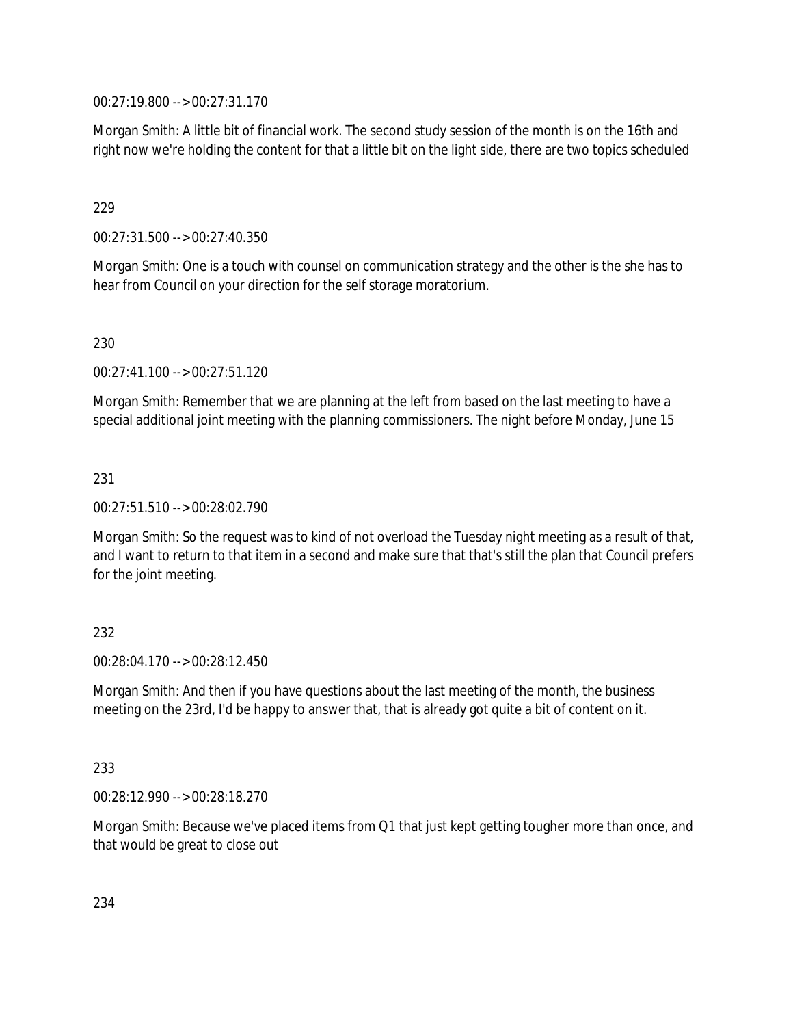00:27:19.800 --> 00:27:31.170

Morgan Smith: A little bit of financial work. The second study session of the month is on the 16th and right now we're holding the content for that a little bit on the light side, there are two topics scheduled

## 229

00:27:31.500 --> 00:27:40.350

Morgan Smith: One is a touch with counsel on communication strategy and the other is the she has to hear from Council on your direction for the self storage moratorium.

## 230

00:27:41.100 --> 00:27:51.120

Morgan Smith: Remember that we are planning at the left from based on the last meeting to have a special additional joint meeting with the planning commissioners. The night before Monday, June 15

## 231

00:27:51.510 --> 00:28:02.790

Morgan Smith: So the request was to kind of not overload the Tuesday night meeting as a result of that, and I want to return to that item in a second and make sure that that's still the plan that Council prefers for the joint meeting.

### 232

00:28:04.170 --> 00:28:12.450

Morgan Smith: And then if you have questions about the last meeting of the month, the business meeting on the 23rd, I'd be happy to answer that, that is already got quite a bit of content on it.

### 233

00:28:12.990 --> 00:28:18.270

Morgan Smith: Because we've placed items from Q1 that just kept getting tougher more than once, and that would be great to close out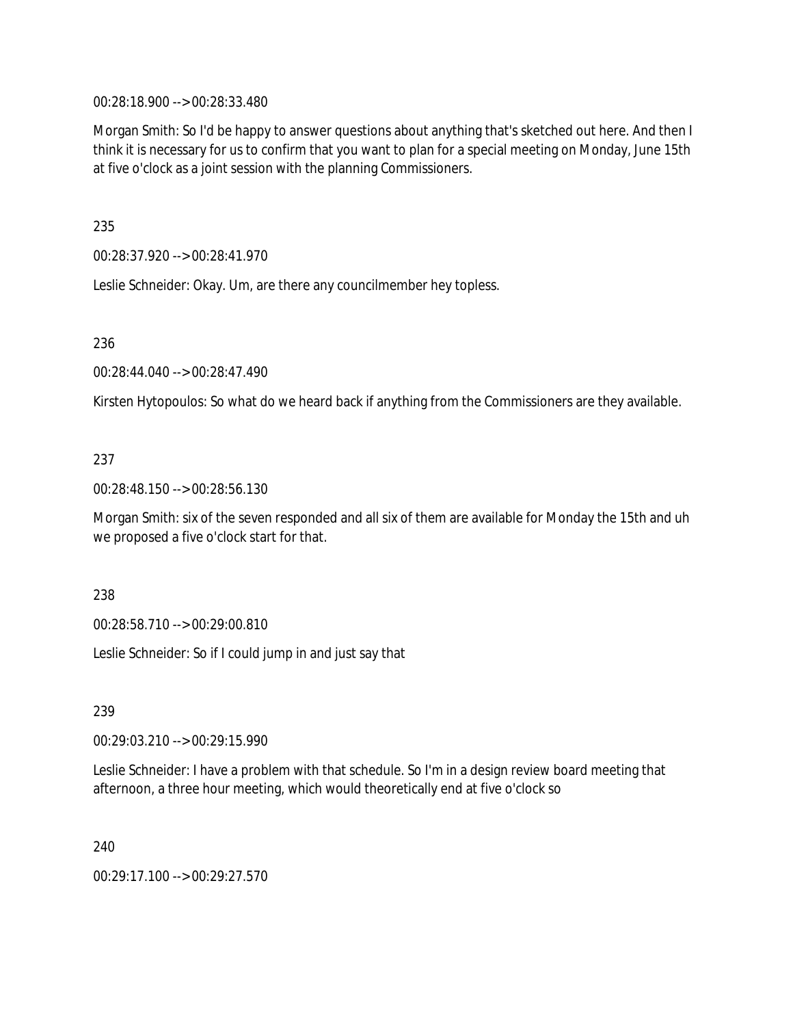00:28:18.900 --> 00:28:33.480

Morgan Smith: So I'd be happy to answer questions about anything that's sketched out here. And then I think it is necessary for us to confirm that you want to plan for a special meeting on Monday, June 15th at five o'clock as a joint session with the planning Commissioners.

235

00:28:37.920 --> 00:28:41.970

Leslie Schneider: Okay. Um, are there any councilmember hey topless.

236

00:28:44.040 --> 00:28:47.490

Kirsten Hytopoulos: So what do we heard back if anything from the Commissioners are they available.

## 237

00:28:48.150 --> 00:28:56.130

Morgan Smith: six of the seven responded and all six of them are available for Monday the 15th and uh we proposed a five o'clock start for that.

238

00:28:58.710 --> 00:29:00.810

Leslie Schneider: So if I could jump in and just say that

239

00:29:03.210 --> 00:29:15.990

Leslie Schneider: I have a problem with that schedule. So I'm in a design review board meeting that afternoon, a three hour meeting, which would theoretically end at five o'clock so

240

00:29:17.100 --> 00:29:27.570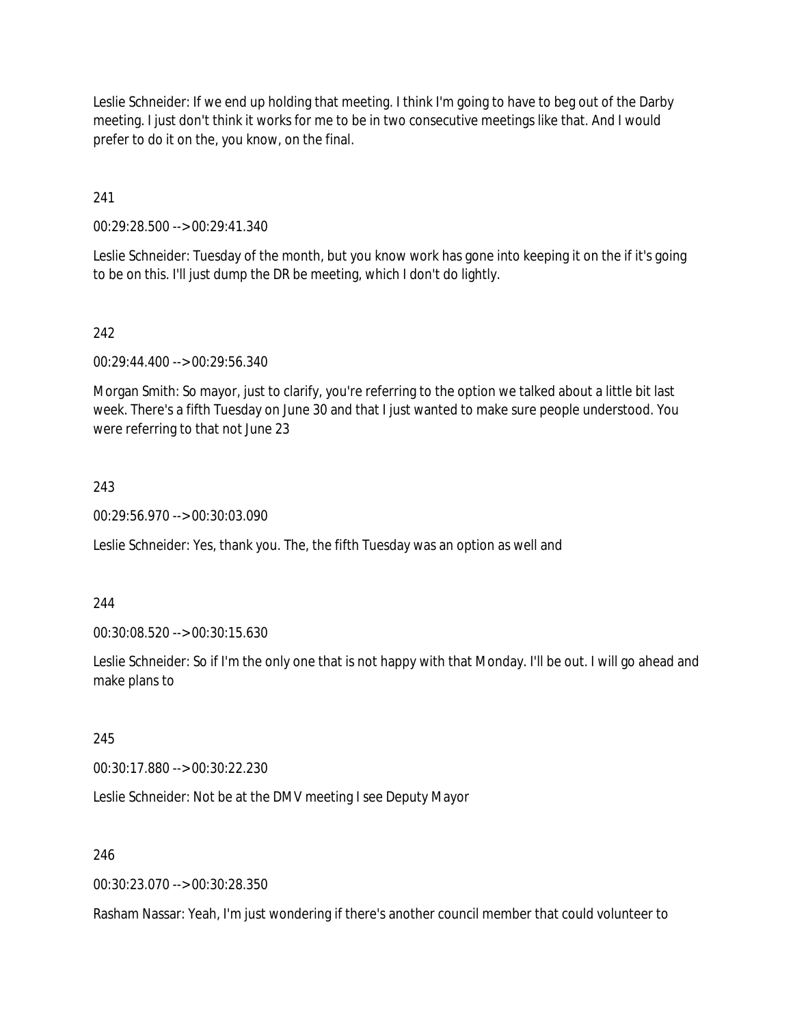Leslie Schneider: If we end up holding that meeting. I think I'm going to have to beg out of the Darby meeting. I just don't think it works for me to be in two consecutive meetings like that. And I would prefer to do it on the, you know, on the final.

241

00:29:28.500 --> 00:29:41.340

Leslie Schneider: Tuesday of the month, but you know work has gone into keeping it on the if it's going to be on this. I'll just dump the DR be meeting, which I don't do lightly.

## 242

00:29:44.400 --> 00:29:56.340

Morgan Smith: So mayor, just to clarify, you're referring to the option we talked about a little bit last week. There's a fifth Tuesday on June 30 and that I just wanted to make sure people understood. You were referring to that not June 23

## 243

00:29:56.970 --> 00:30:03.090

Leslie Schneider: Yes, thank you. The, the fifth Tuesday was an option as well and

244

00:30:08.520 --> 00:30:15.630

Leslie Schneider: So if I'm the only one that is not happy with that Monday. I'll be out. I will go ahead and make plans to

245

00:30:17.880 --> 00:30:22.230

Leslie Schneider: Not be at the DMV meeting I see Deputy Mayor

246

00:30:23.070 --> 00:30:28.350

Rasham Nassar: Yeah, I'm just wondering if there's another council member that could volunteer to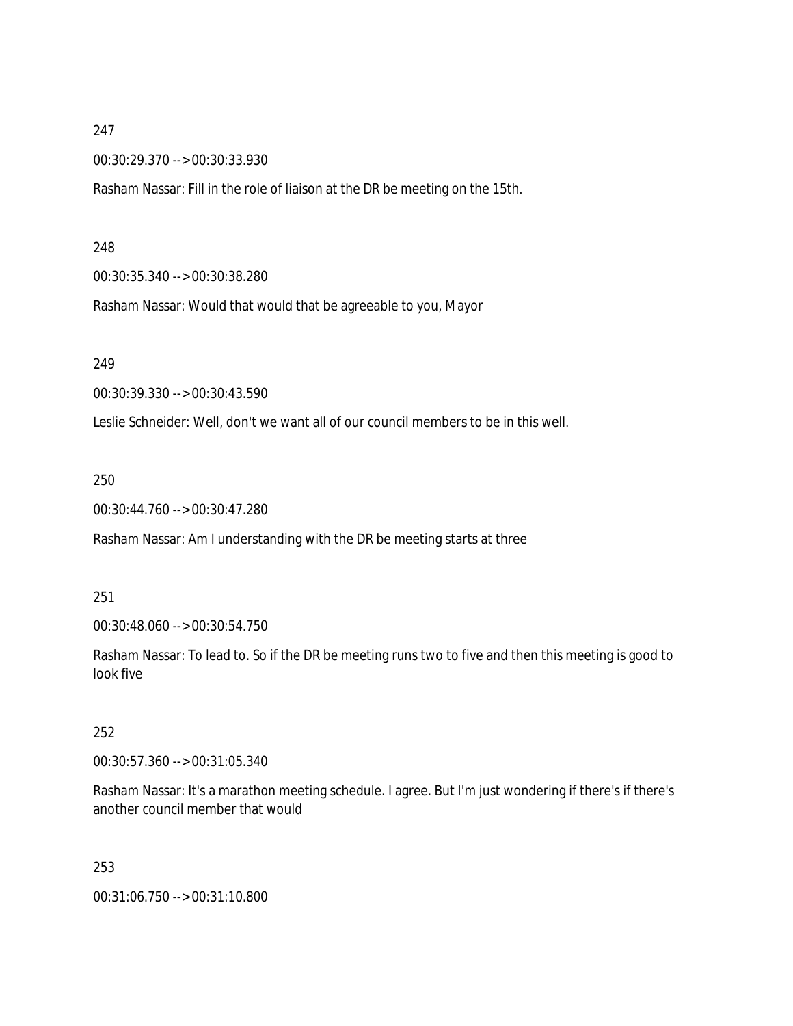## 247

00:30:29.370 --> 00:30:33.930

Rasham Nassar: Fill in the role of liaison at the DR be meeting on the 15th.

#### 248

00:30:35.340 --> 00:30:38.280

Rasham Nassar: Would that would that be agreeable to you, Mayor

#### 249

00:30:39.330 --> 00:30:43.590

Leslie Schneider: Well, don't we want all of our council members to be in this well.

#### 250

00:30:44.760 --> 00:30:47.280

Rasham Nassar: Am I understanding with the DR be meeting starts at three

#### 251

00:30:48.060 --> 00:30:54.750

Rasham Nassar: To lead to. So if the DR be meeting runs two to five and then this meeting is good to look five

## 252

00:30:57.360 --> 00:31:05.340

Rasham Nassar: It's a marathon meeting schedule. I agree. But I'm just wondering if there's if there's another council member that would

#### 253

00:31:06.750 --> 00:31:10.800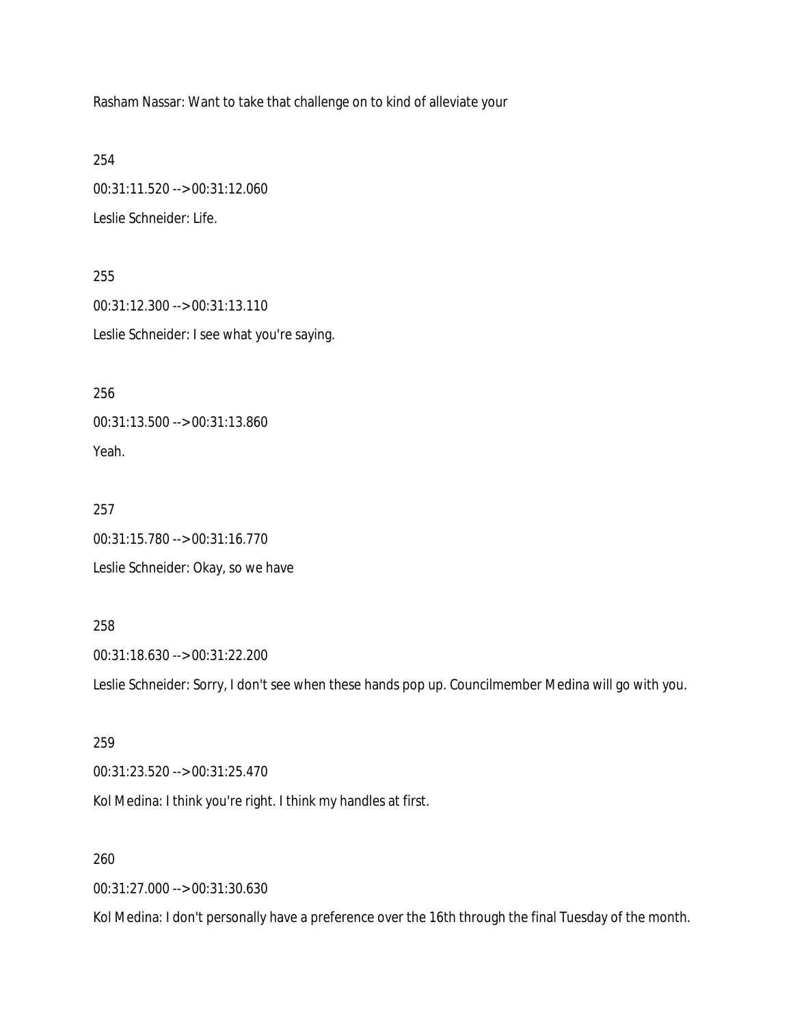Rasham Nassar: Want to take that challenge on to kind of alleviate your

254

00:31:11.520 --> 00:31:12.060

Leslie Schneider: Life.

255 00:31:12.300 --> 00:31:13.110 Leslie Schneider: I see what you're saying.

256 00:31:13.500 --> 00:31:13.860 Yeah.

257 00:31:15.780 --> 00:31:16.770 Leslie Schneider: Okay, so we have

258

00:31:18.630 --> 00:31:22.200

Leslie Schneider: Sorry, I don't see when these hands pop up. Councilmember Medina will go with you.

259

00:31:23.520 --> 00:31:25.470

Kol Medina: I think you're right. I think my handles at first.

260

00:31:27.000 --> 00:31:30.630

Kol Medina: I don't personally have a preference over the 16th through the final Tuesday of the month.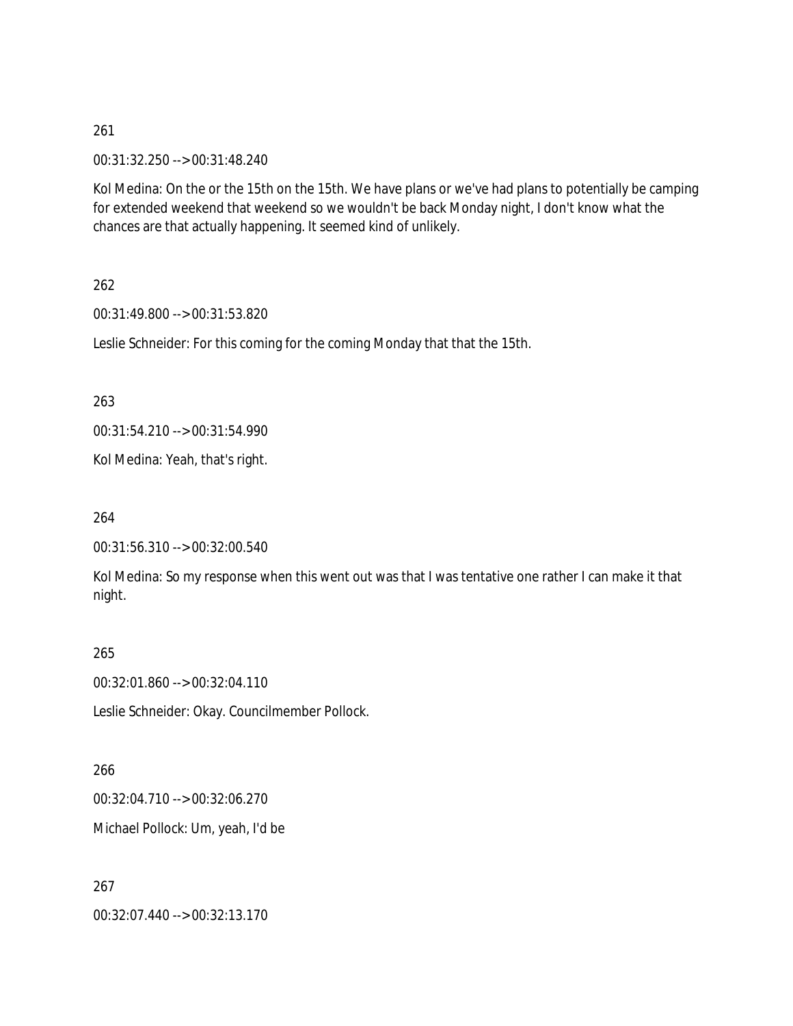261

00:31:32.250 --> 00:31:48.240

Kol Medina: On the or the 15th on the 15th. We have plans or we've had plans to potentially be camping for extended weekend that weekend so we wouldn't be back Monday night, I don't know what the chances are that actually happening. It seemed kind of unlikely.

262

00:31:49.800 --> 00:31:53.820

Leslie Schneider: For this coming for the coming Monday that that the 15th.

263

00:31:54.210 --> 00:31:54.990

Kol Medina: Yeah, that's right.

264

```
00:31:56.310 --> 00:32:00.540
```
Kol Medina: So my response when this went out was that I was tentative one rather I can make it that night.

265

00:32:01.860 --> 00:32:04.110

Leslie Schneider: Okay. Councilmember Pollock.

266 00:32:04.710 --> 00:32:06.270 Michael Pollock: Um, yeah, I'd be

267 00:32:07.440 --> 00:32:13.170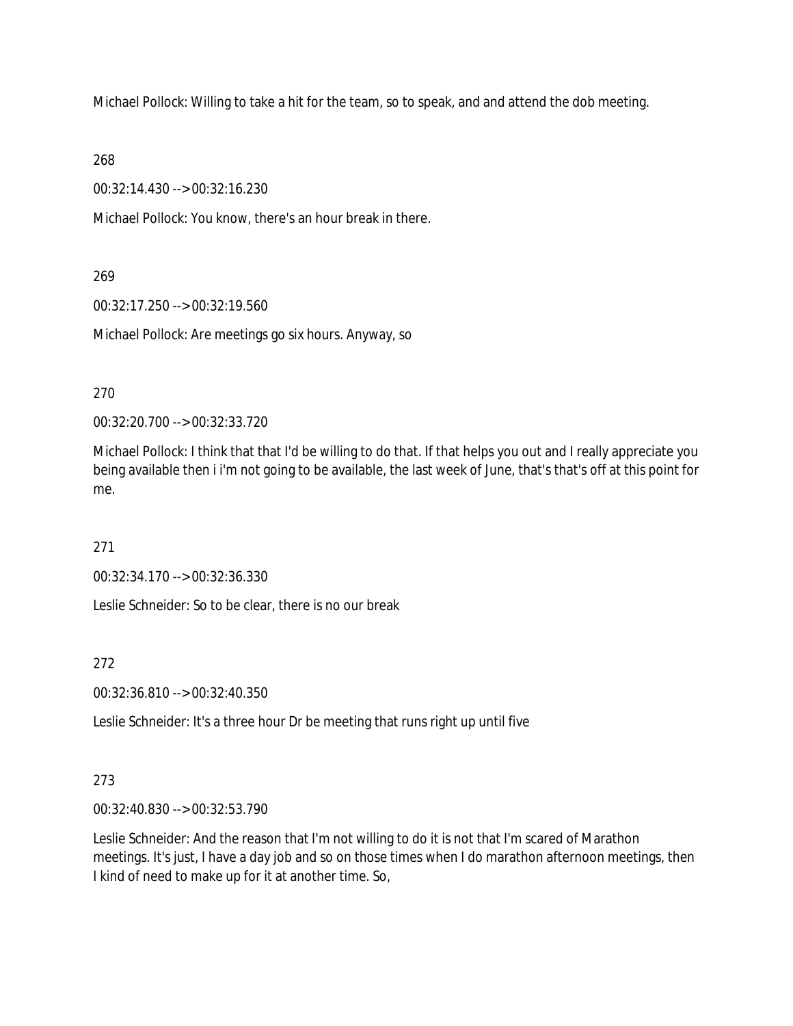Michael Pollock: Willing to take a hit for the team, so to speak, and and attend the dob meeting.

268

00:32:14.430 --> 00:32:16.230

Michael Pollock: You know, there's an hour break in there.

## 269

00:32:17.250 --> 00:32:19.560

Michael Pollock: Are meetings go six hours. Anyway, so

270

00:32:20.700 --> 00:32:33.720

Michael Pollock: I think that that I'd be willing to do that. If that helps you out and I really appreciate you being available then i i'm not going to be available, the last week of June, that's that's off at this point for me.

271

00:32:34.170 --> 00:32:36.330

Leslie Schneider: So to be clear, there is no our break

272

00:32:36.810 --> 00:32:40.350

Leslie Schneider: It's a three hour Dr be meeting that runs right up until five

# 273

00:32:40.830 --> 00:32:53.790

Leslie Schneider: And the reason that I'm not willing to do it is not that I'm scared of Marathon meetings. It's just, I have a day job and so on those times when I do marathon afternoon meetings, then I kind of need to make up for it at another time. So,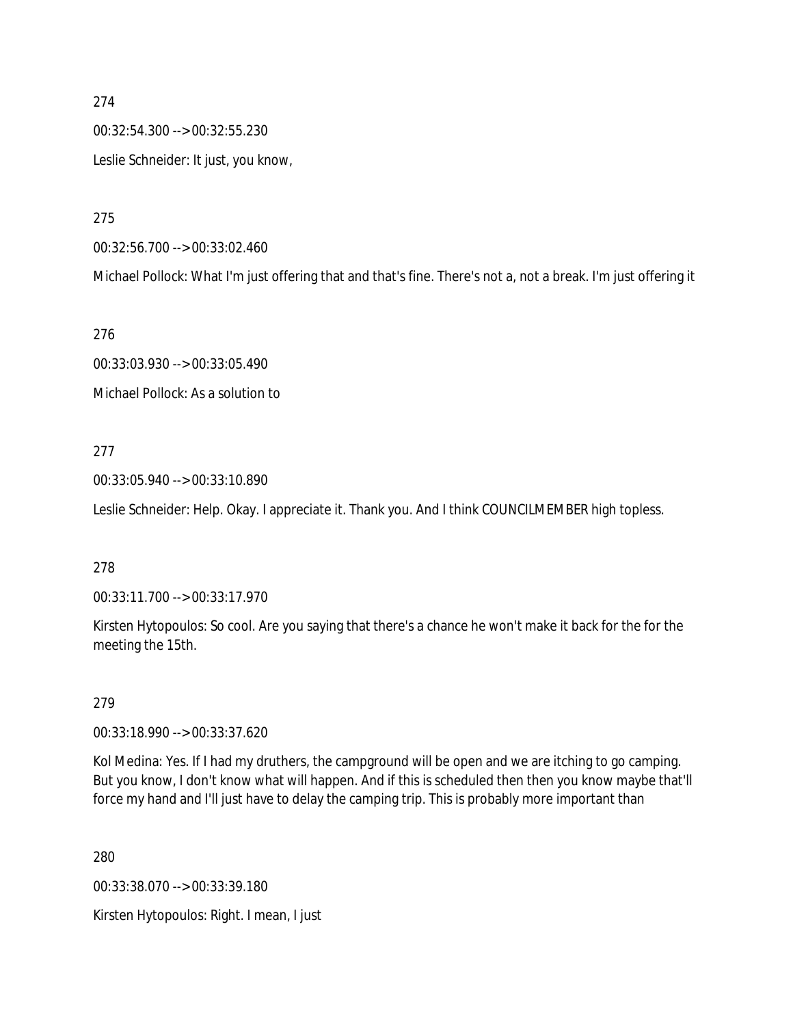00:32:54.300 --> 00:32:55.230 Leslie Schneider: It just, you know,

275

00:32:56.700 --> 00:33:02.460

Michael Pollock: What I'm just offering that and that's fine. There's not a, not a break. I'm just offering it

276

00:33:03.930 --> 00:33:05.490 Michael Pollock: As a solution to

#### 277

00:33:05.940 --> 00:33:10.890

Leslie Schneider: Help. Okay. I appreciate it. Thank you. And I think COUNCILMEMBER high topless.

#### 278

00:33:11.700 --> 00:33:17.970

Kirsten Hytopoulos: So cool. Are you saying that there's a chance he won't make it back for the for the meeting the 15th.

279

00:33:18.990 --> 00:33:37.620

Kol Medina: Yes. If I had my druthers, the campground will be open and we are itching to go camping. But you know, I don't know what will happen. And if this is scheduled then then you know maybe that'll force my hand and I'll just have to delay the camping trip. This is probably more important than

280

00:33:38.070 --> 00:33:39.180

Kirsten Hytopoulos: Right. I mean, I just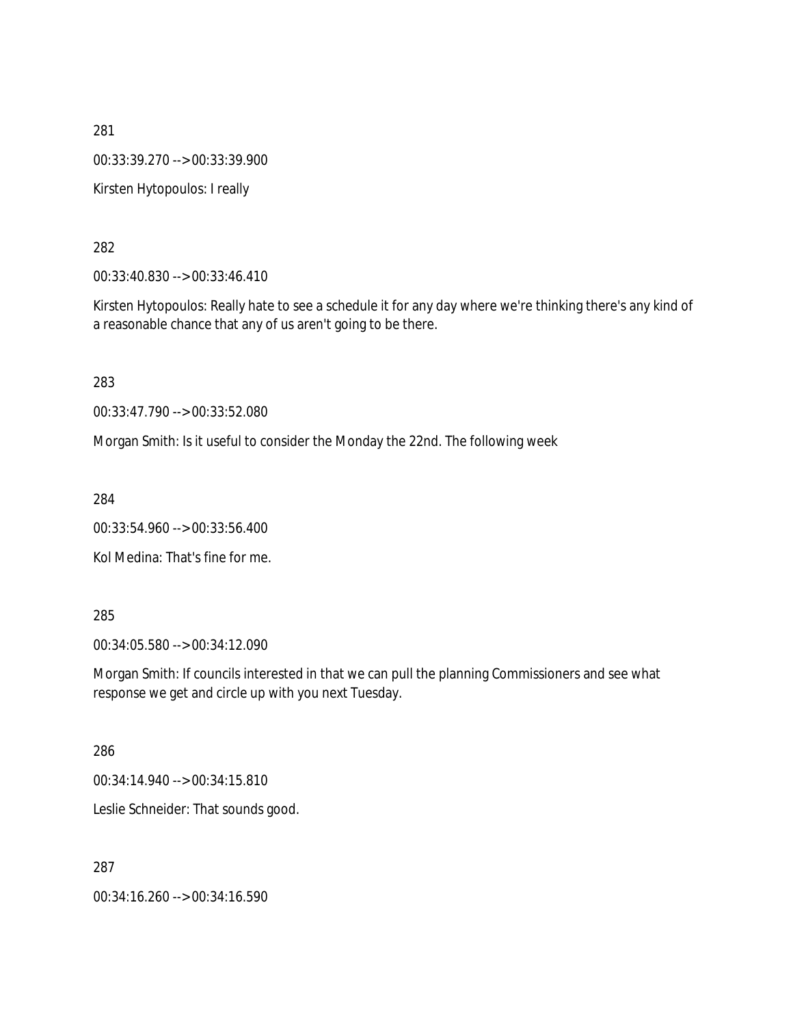281 00:33:39.270 --> 00:33:39.900 Kirsten Hytopoulos: I really

282

00:33:40.830 --> 00:33:46.410

Kirsten Hytopoulos: Really hate to see a schedule it for any day where we're thinking there's any kind of a reasonable chance that any of us aren't going to be there.

283

00:33:47.790 --> 00:33:52.080

Morgan Smith: Is it useful to consider the Monday the 22nd. The following week

284

00:33:54.960 --> 00:33:56.400

Kol Medina: That's fine for me.

285

00:34:05.580 --> 00:34:12.090

Morgan Smith: If councils interested in that we can pull the planning Commissioners and see what response we get and circle up with you next Tuesday.

286

00:34:14.940 --> 00:34:15.810

Leslie Schneider: That sounds good.

287

00:34:16.260 --> 00:34:16.590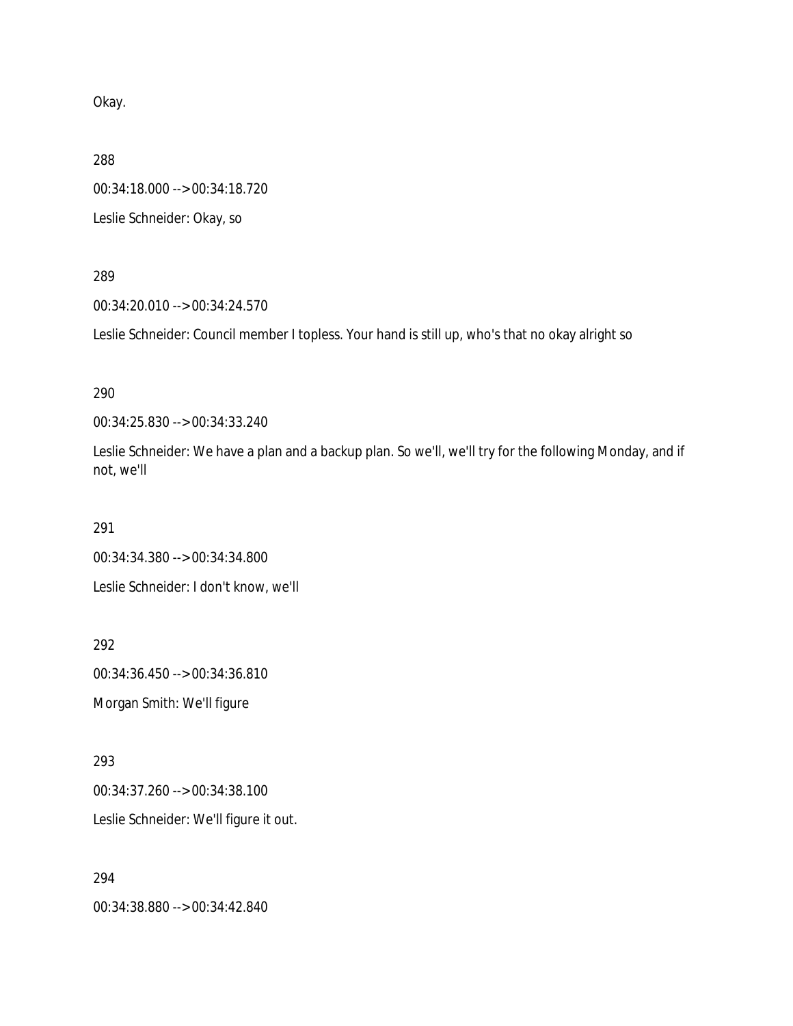Okay.

288

00:34:18.000 --> 00:34:18.720

Leslie Schneider: Okay, so

289

00:34:20.010 --> 00:34:24.570

Leslie Schneider: Council member I topless. Your hand is still up, who's that no okay alright so

290

00:34:25.830 --> 00:34:33.240

Leslie Schneider: We have a plan and a backup plan. So we'll, we'll try for the following Monday, and if not, we'll

291

00:34:34.380 --> 00:34:34.800

Leslie Schneider: I don't know, we'll

292 00:34:36.450 --> 00:34:36.810 Morgan Smith: We'll figure

293 00:34:37.260 --> 00:34:38.100 Leslie Schneider: We'll figure it out.

294 00:34:38.880 --> 00:34:42.840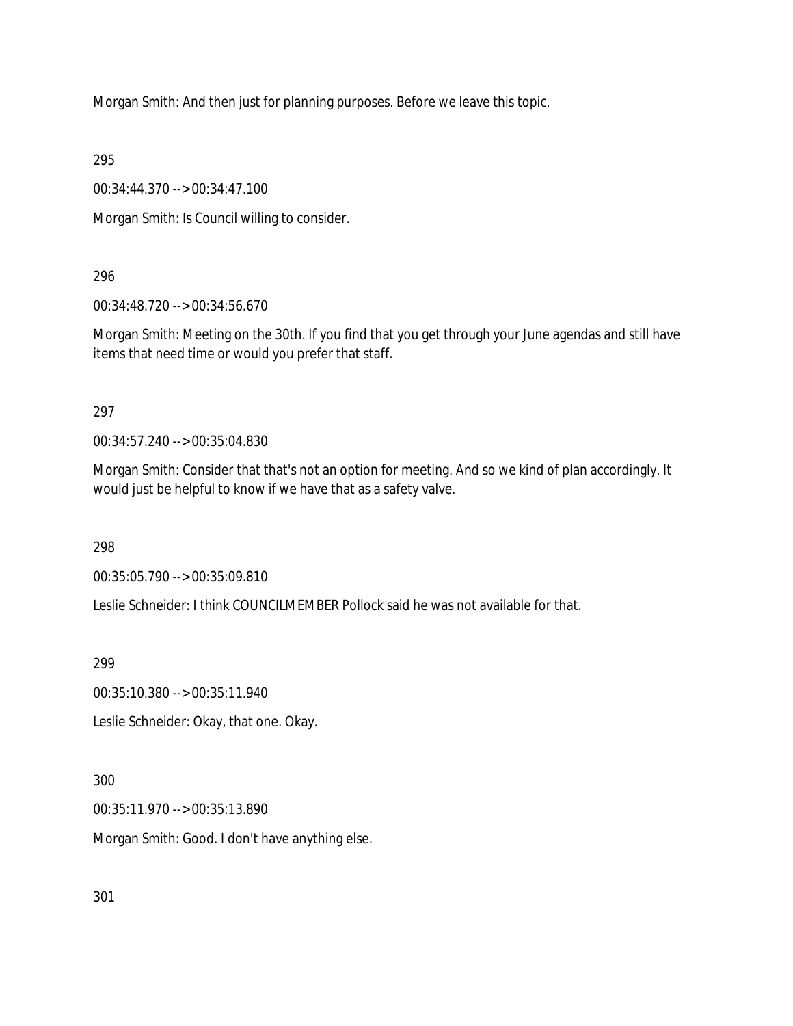Morgan Smith: And then just for planning purposes. Before we leave this topic.

295

00:34:44.370 --> 00:34:47.100

Morgan Smith: Is Council willing to consider.

296

00:34:48.720 --> 00:34:56.670

Morgan Smith: Meeting on the 30th. If you find that you get through your June agendas and still have items that need time or would you prefer that staff.

297

00:34:57.240 --> 00:35:04.830

Morgan Smith: Consider that that's not an option for meeting. And so we kind of plan accordingly. It would just be helpful to know if we have that as a safety valve.

298

00:35:05.790 --> 00:35:09.810

Leslie Schneider: I think COUNCILMEMBER Pollock said he was not available for that.

299

00:35:10.380 --> 00:35:11.940

Leslie Schneider: Okay, that one. Okay.

300

00:35:11.970 --> 00:35:13.890

Morgan Smith: Good. I don't have anything else.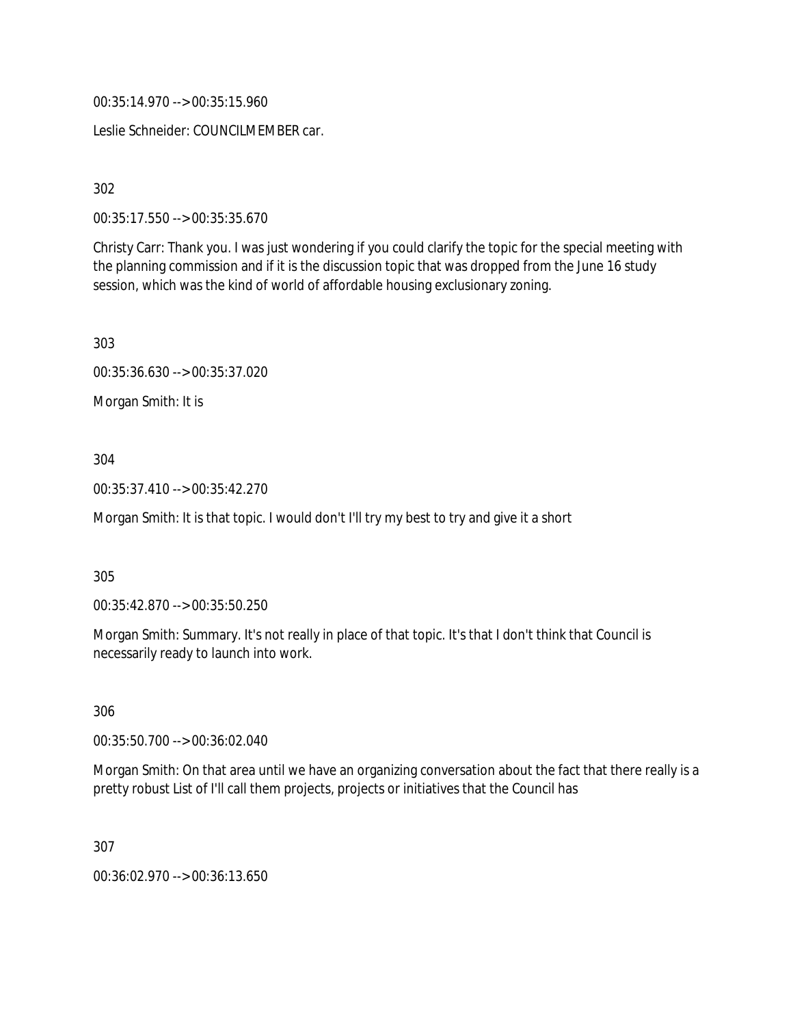00:35:14.970 --> 00:35:15.960

Leslie Schneider: COUNCILMEMBER car.

302

00:35:17.550 --> 00:35:35.670

Christy Carr: Thank you. I was just wondering if you could clarify the topic for the special meeting with the planning commission and if it is the discussion topic that was dropped from the June 16 study session, which was the kind of world of affordable housing exclusionary zoning.

303

00:35:36.630 --> 00:35:37.020

Morgan Smith: It is

304

00:35:37.410 --> 00:35:42.270

Morgan Smith: It is that topic. I would don't I'll try my best to try and give it a short

305

00:35:42.870 --> 00:35:50.250

Morgan Smith: Summary. It's not really in place of that topic. It's that I don't think that Council is necessarily ready to launch into work.

306

00:35:50.700 --> 00:36:02.040

Morgan Smith: On that area until we have an organizing conversation about the fact that there really is a pretty robust List of I'll call them projects, projects or initiatives that the Council has

307

00:36:02.970 --> 00:36:13.650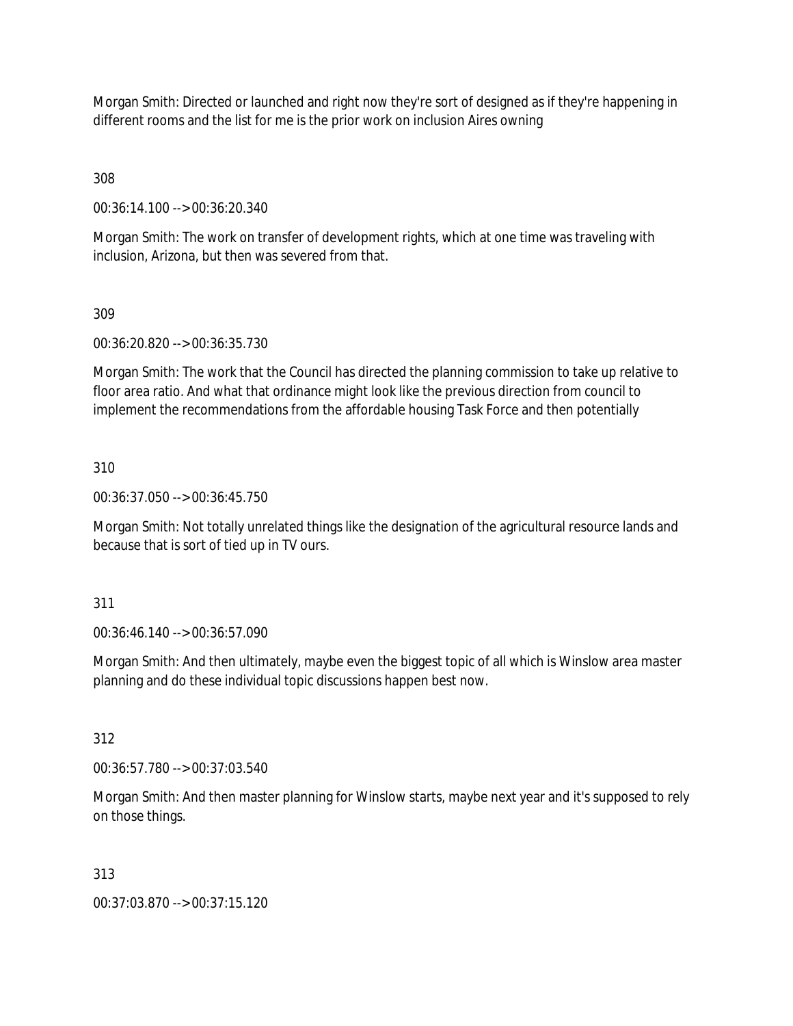Morgan Smith: Directed or launched and right now they're sort of designed as if they're happening in different rooms and the list for me is the prior work on inclusion Aires owning

308

00:36:14.100 --> 00:36:20.340

Morgan Smith: The work on transfer of development rights, which at one time was traveling with inclusion, Arizona, but then was severed from that.

309

00:36:20.820 --> 00:36:35.730

Morgan Smith: The work that the Council has directed the planning commission to take up relative to floor area ratio. And what that ordinance might look like the previous direction from council to implement the recommendations from the affordable housing Task Force and then potentially

310

00:36:37.050 --> 00:36:45.750

Morgan Smith: Not totally unrelated things like the designation of the agricultural resource lands and because that is sort of tied up in TV ours.

311

00:36:46.140 --> 00:36:57.090

Morgan Smith: And then ultimately, maybe even the biggest topic of all which is Winslow area master planning and do these individual topic discussions happen best now.

312

00:36:57.780 --> 00:37:03.540

Morgan Smith: And then master planning for Winslow starts, maybe next year and it's supposed to rely on those things.

313

00:37:03.870 --> 00:37:15.120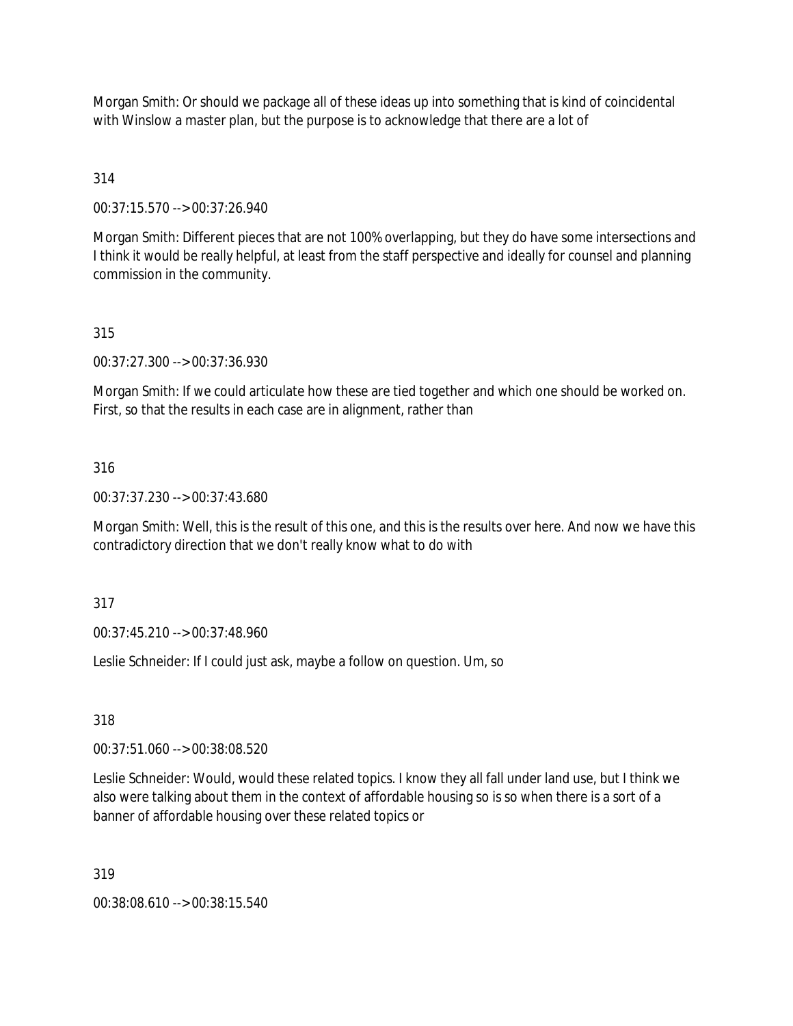Morgan Smith: Or should we package all of these ideas up into something that is kind of coincidental with Winslow a master plan, but the purpose is to acknowledge that there are a lot of

# 314

00:37:15.570 --> 00:37:26.940

Morgan Smith: Different pieces that are not 100% overlapping, but they do have some intersections and I think it would be really helpful, at least from the staff perspective and ideally for counsel and planning commission in the community.

# 315

00:37:27.300 --> 00:37:36.930

Morgan Smith: If we could articulate how these are tied together and which one should be worked on. First, so that the results in each case are in alignment, rather than

# 316

00:37:37.230 --> 00:37:43.680

Morgan Smith: Well, this is the result of this one, and this is the results over here. And now we have this contradictory direction that we don't really know what to do with

# 317

00:37:45.210 --> 00:37:48.960

Leslie Schneider: If I could just ask, maybe a follow on question. Um, so

# 318

00:37:51.060 --> 00:38:08.520

Leslie Schneider: Would, would these related topics. I know they all fall under land use, but I think we also were talking about them in the context of affordable housing so is so when there is a sort of a banner of affordable housing over these related topics or

## 319

00:38:08.610 --> 00:38:15.540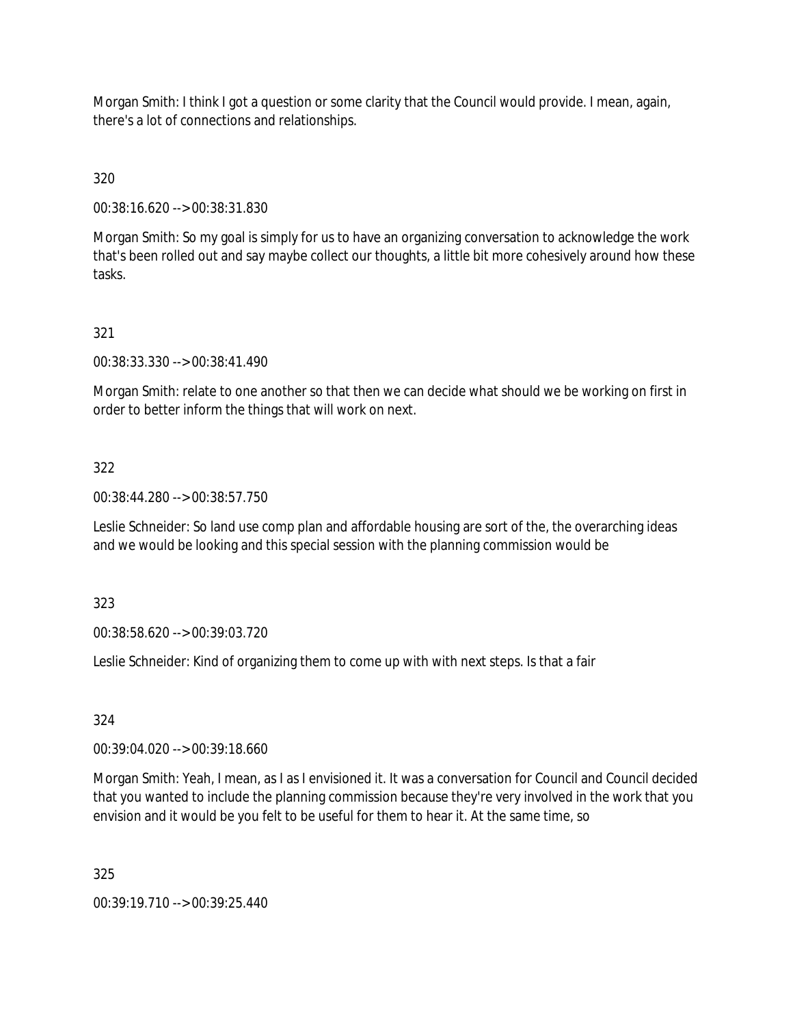Morgan Smith: I think I got a question or some clarity that the Council would provide. I mean, again, there's a lot of connections and relationships.

320

00:38:16.620 --> 00:38:31.830

Morgan Smith: So my goal is simply for us to have an organizing conversation to acknowledge the work that's been rolled out and say maybe collect our thoughts, a little bit more cohesively around how these tasks.

## 321

00:38:33.330 --> 00:38:41.490

Morgan Smith: relate to one another so that then we can decide what should we be working on first in order to better inform the things that will work on next.

#### 322

00:38:44.280 --> 00:38:57.750

Leslie Schneider: So land use comp plan and affordable housing are sort of the, the overarching ideas and we would be looking and this special session with the planning commission would be

323

00:38:58.620 --> 00:39:03.720

Leslie Schneider: Kind of organizing them to come up with with next steps. Is that a fair

324

00:39:04.020 --> 00:39:18.660

Morgan Smith: Yeah, I mean, as I as I envisioned it. It was a conversation for Council and Council decided that you wanted to include the planning commission because they're very involved in the work that you envision and it would be you felt to be useful for them to hear it. At the same time, so

325

00:39:19.710 --> 00:39:25.440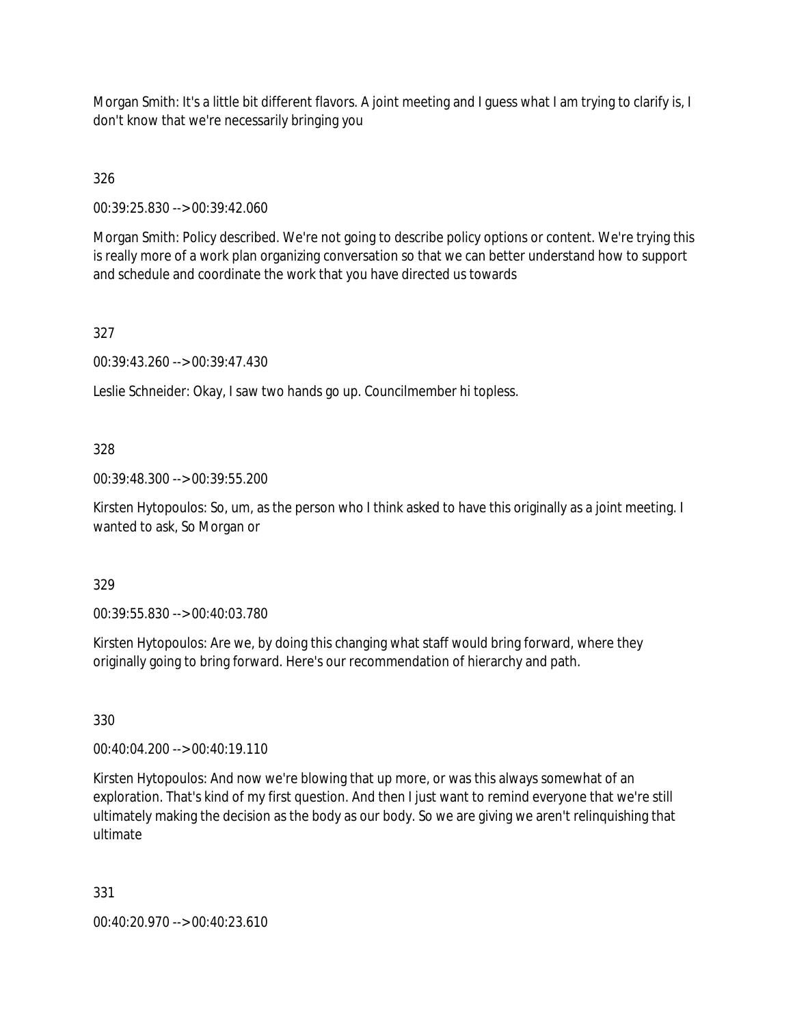Morgan Smith: It's a little bit different flavors. A joint meeting and I guess what I am trying to clarify is, I don't know that we're necessarily bringing you

326

00:39:25.830 --> 00:39:42.060

Morgan Smith: Policy described. We're not going to describe policy options or content. We're trying this is really more of a work plan organizing conversation so that we can better understand how to support and schedule and coordinate the work that you have directed us towards

327

00:39:43.260 --> 00:39:47.430

Leslie Schneider: Okay, I saw two hands go up. Councilmember hi topless.

328

00:39:48.300 --> 00:39:55.200

Kirsten Hytopoulos: So, um, as the person who I think asked to have this originally as a joint meeting. I wanted to ask, So Morgan or

329

00:39:55.830 --> 00:40:03.780

Kirsten Hytopoulos: Are we, by doing this changing what staff would bring forward, where they originally going to bring forward. Here's our recommendation of hierarchy and path.

330

00:40:04.200 --> 00:40:19.110

Kirsten Hytopoulos: And now we're blowing that up more, or was this always somewhat of an exploration. That's kind of my first question. And then I just want to remind everyone that we're still ultimately making the decision as the body as our body. So we are giving we aren't relinquishing that ultimate

331

00:40:20.970 --> 00:40:23.610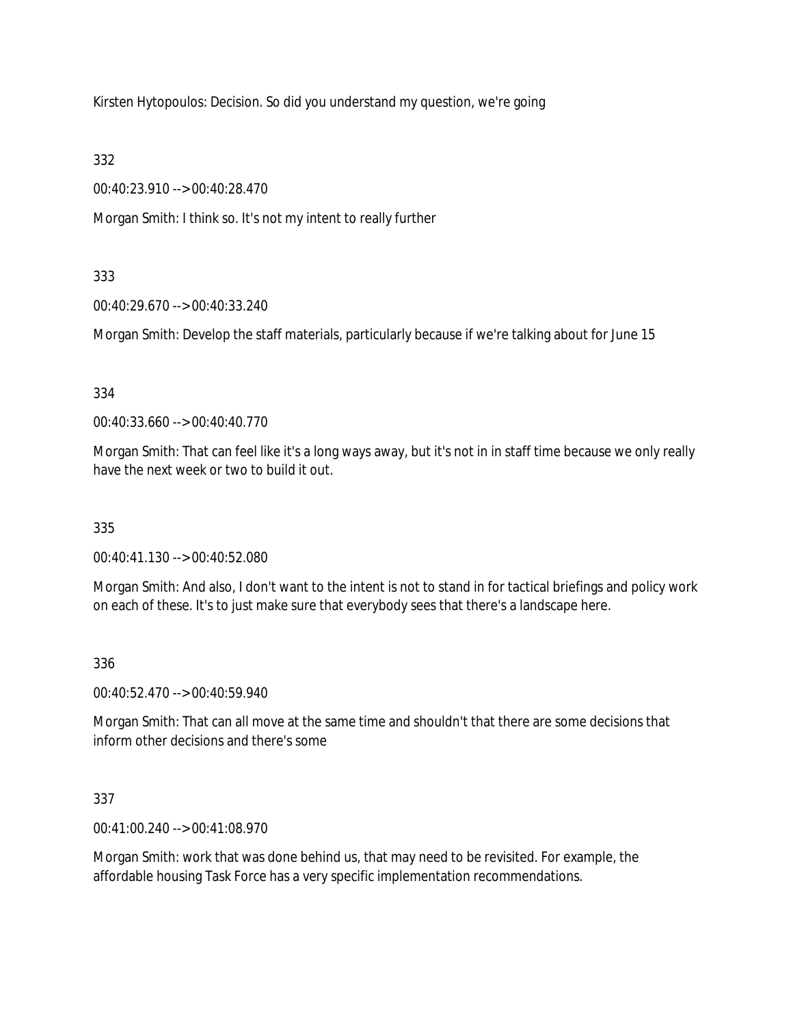Kirsten Hytopoulos: Decision. So did you understand my question, we're going

332

00:40:23.910 --> 00:40:28.470

Morgan Smith: I think so. It's not my intent to really further

# 333

00:40:29.670 --> 00:40:33.240

Morgan Smith: Develop the staff materials, particularly because if we're talking about for June 15

# 334

00:40:33.660 --> 00:40:40.770

Morgan Smith: That can feel like it's a long ways away, but it's not in in staff time because we only really have the next week or two to build it out.

# 335

00:40:41.130 --> 00:40:52.080

Morgan Smith: And also, I don't want to the intent is not to stand in for tactical briefings and policy work on each of these. It's to just make sure that everybody sees that there's a landscape here.

# 336

00:40:52.470 --> 00:40:59.940

Morgan Smith: That can all move at the same time and shouldn't that there are some decisions that inform other decisions and there's some

# 337

00:41:00.240 --> 00:41:08.970

Morgan Smith: work that was done behind us, that may need to be revisited. For example, the affordable housing Task Force has a very specific implementation recommendations.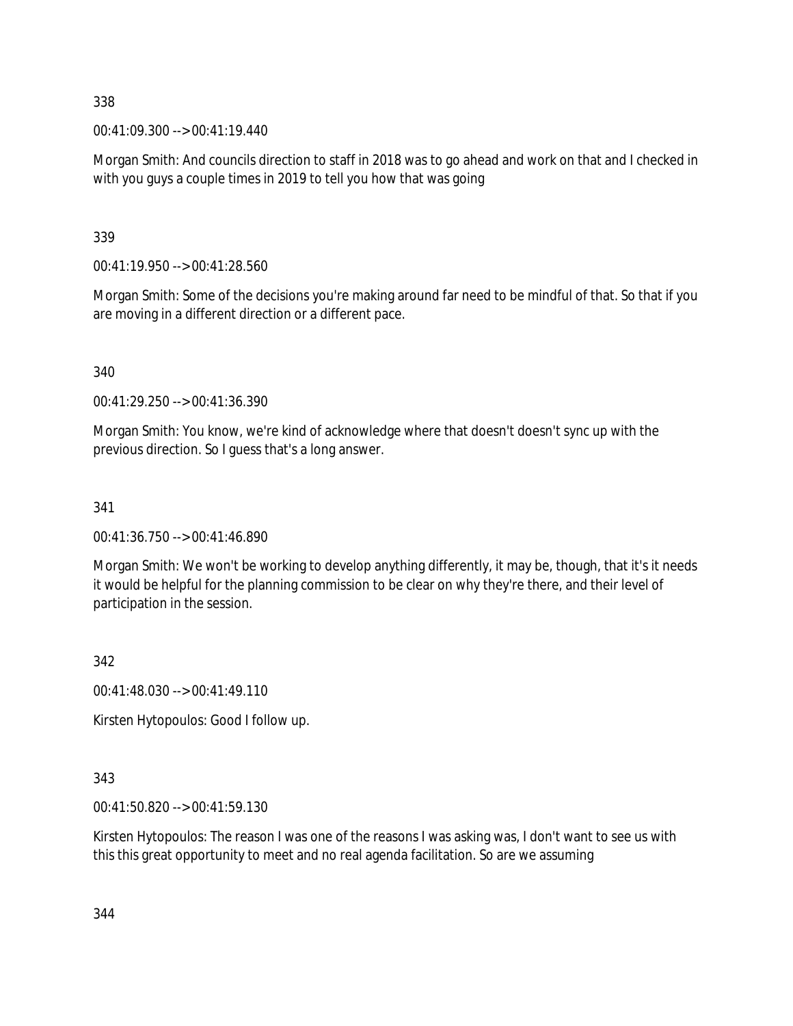338

00:41:09.300 --> 00:41:19.440

Morgan Smith: And councils direction to staff in 2018 was to go ahead and work on that and I checked in with you guys a couple times in 2019 to tell you how that was going

339

00:41:19.950 --> 00:41:28.560

Morgan Smith: Some of the decisions you're making around far need to be mindful of that. So that if you are moving in a different direction or a different pace.

340

00:41:29.250 --> 00:41:36.390

Morgan Smith: You know, we're kind of acknowledge where that doesn't doesn't sync up with the previous direction. So I guess that's a long answer.

341

00:41:36.750 --> 00:41:46.890

Morgan Smith: We won't be working to develop anything differently, it may be, though, that it's it needs it would be helpful for the planning commission to be clear on why they're there, and their level of participation in the session.

342

00:41:48.030 --> 00:41:49.110

Kirsten Hytopoulos: Good I follow up.

343

00:41:50.820 --> 00:41:59.130

Kirsten Hytopoulos: The reason I was one of the reasons I was asking was, I don't want to see us with this this great opportunity to meet and no real agenda facilitation. So are we assuming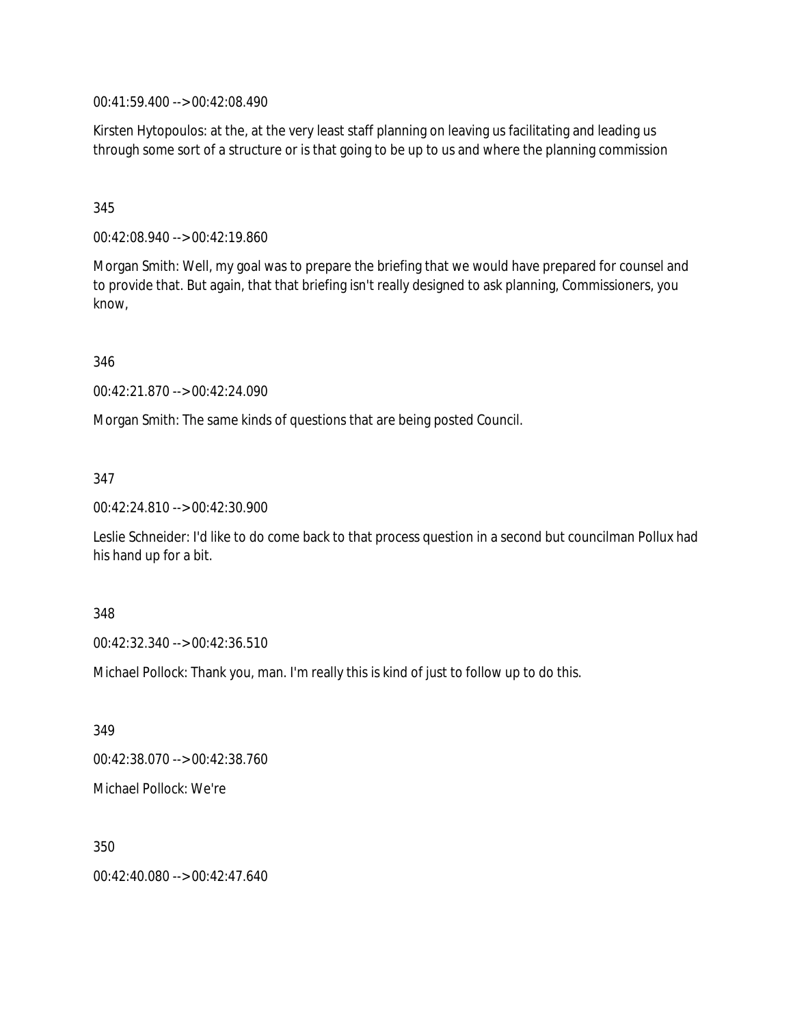00:41:59.400 --> 00:42:08.490

Kirsten Hytopoulos: at the, at the very least staff planning on leaving us facilitating and leading us through some sort of a structure or is that going to be up to us and where the planning commission

## 345

00:42:08.940 --> 00:42:19.860

Morgan Smith: Well, my goal was to prepare the briefing that we would have prepared for counsel and to provide that. But again, that that briefing isn't really designed to ask planning, Commissioners, you know,

346

00:42:21.870 --> 00:42:24.090

Morgan Smith: The same kinds of questions that are being posted Council.

347

00:42:24.810 --> 00:42:30.900

Leslie Schneider: I'd like to do come back to that process question in a second but councilman Pollux had his hand up for a bit.

## 348

00:42:32.340 --> 00:42:36.510

Michael Pollock: Thank you, man. I'm really this is kind of just to follow up to do this.

349 00:42:38.070 --> 00:42:38.760 Michael Pollock: We're

350

00:42:40.080 --> 00:42:47.640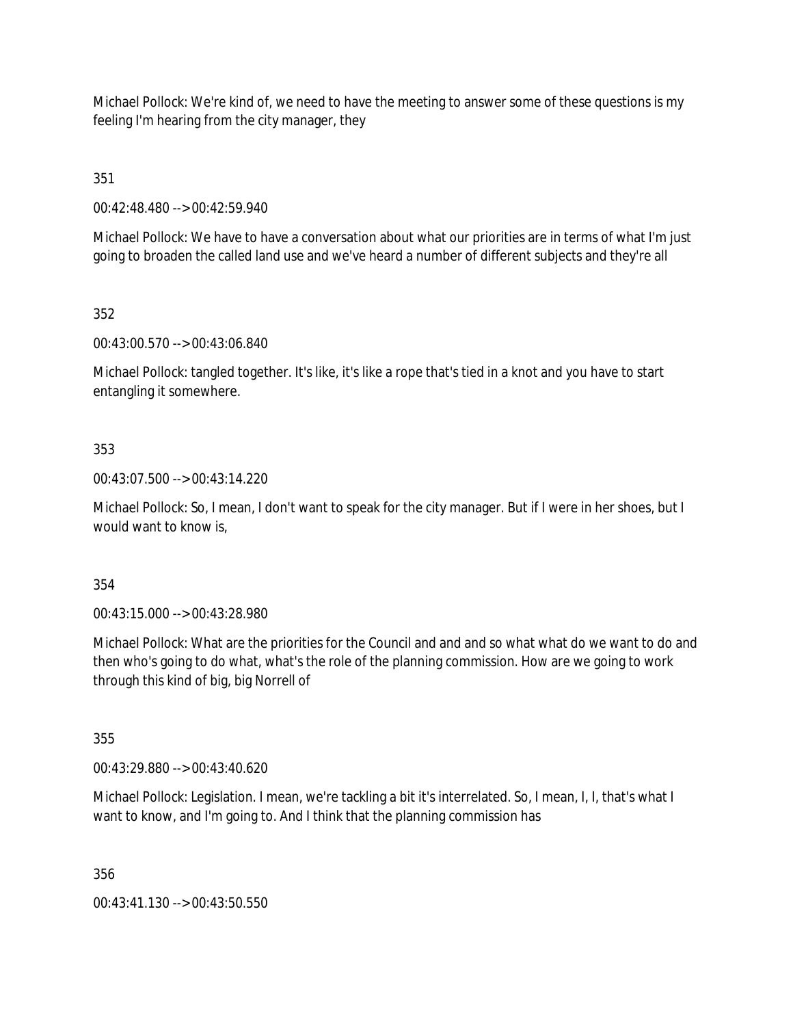Michael Pollock: We're kind of, we need to have the meeting to answer some of these questions is my feeling I'm hearing from the city manager, they

351

00:42:48.480 --> 00:42:59.940

Michael Pollock: We have to have a conversation about what our priorities are in terms of what I'm just going to broaden the called land use and we've heard a number of different subjects and they're all

352

00:43:00.570 --> 00:43:06.840

Michael Pollock: tangled together. It's like, it's like a rope that's tied in a knot and you have to start entangling it somewhere.

## 353

00:43:07.500 --> 00:43:14.220

Michael Pollock: So, I mean, I don't want to speak for the city manager. But if I were in her shoes, but I would want to know is,

354

00:43:15.000 --> 00:43:28.980

Michael Pollock: What are the priorities for the Council and and and so what what do we want to do and then who's going to do what, what's the role of the planning commission. How are we going to work through this kind of big, big Norrell of

355

00:43:29.880 --> 00:43:40.620

Michael Pollock: Legislation. I mean, we're tackling a bit it's interrelated. So, I mean, I, I, that's what I want to know, and I'm going to. And I think that the planning commission has

356

00:43:41.130 --> 00:43:50.550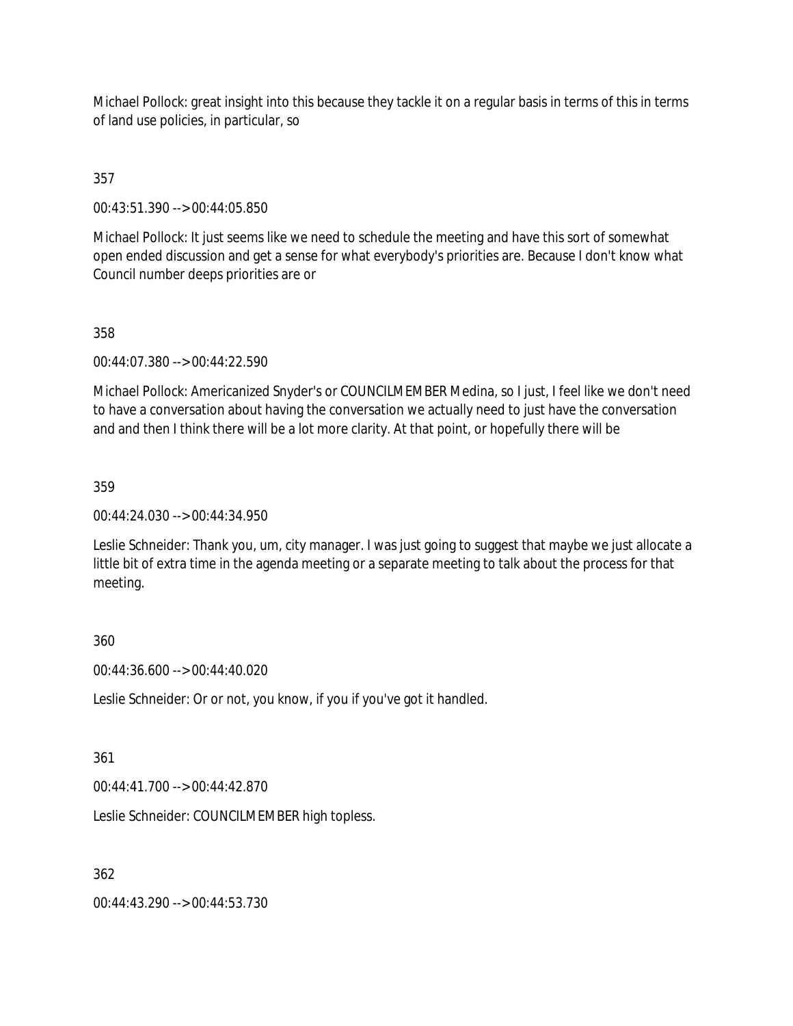Michael Pollock: great insight into this because they tackle it on a regular basis in terms of this in terms of land use policies, in particular, so

## 357

00:43:51.390 --> 00:44:05.850

Michael Pollock: It just seems like we need to schedule the meeting and have this sort of somewhat open ended discussion and get a sense for what everybody's priorities are. Because I don't know what Council number deeps priorities are or

## 358

00:44:07.380 --> 00:44:22.590

Michael Pollock: Americanized Snyder's or COUNCILMEMBER Medina, so I just, I feel like we don't need to have a conversation about having the conversation we actually need to just have the conversation and and then I think there will be a lot more clarity. At that point, or hopefully there will be

#### 359

00:44:24.030 --> 00:44:34.950

Leslie Schneider: Thank you, um, city manager. I was just going to suggest that maybe we just allocate a little bit of extra time in the agenda meeting or a separate meeting to talk about the process for that meeting.

## 360

00:44:36.600 --> 00:44:40.020

Leslie Schneider: Or or not, you know, if you if you've got it handled.

## 361

00:44:41.700 --> 00:44:42.870

Leslie Schneider: COUNCILMEMBER high topless.

## 362

00:44:43.290 --> 00:44:53.730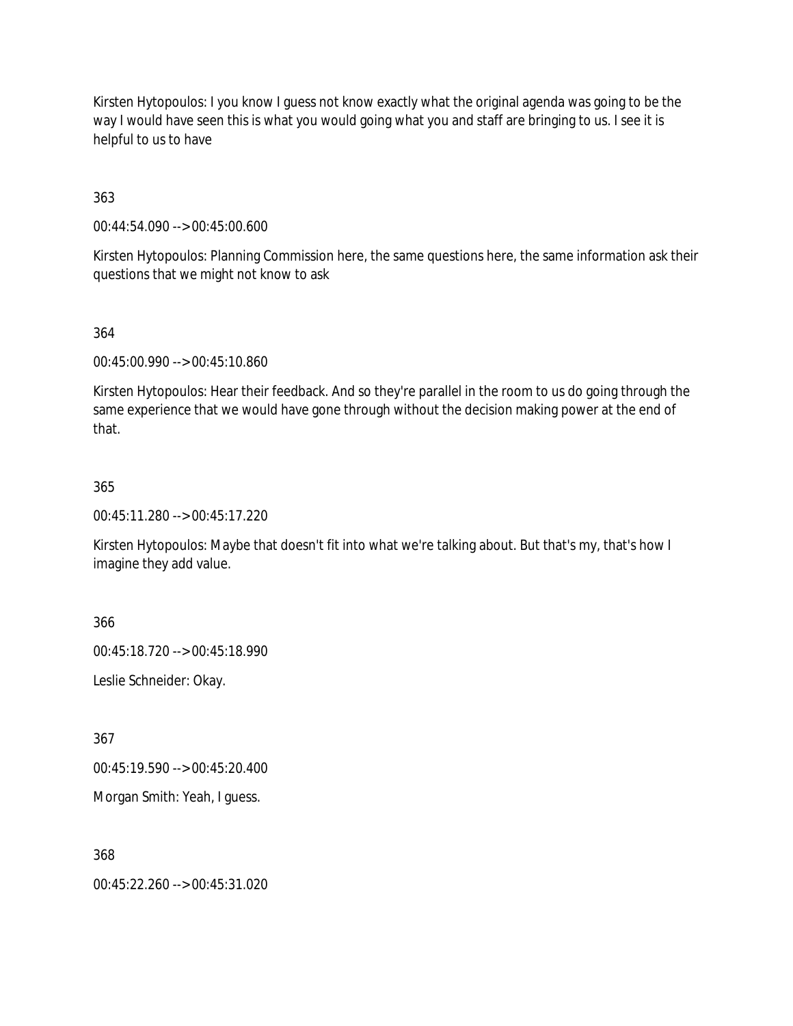Kirsten Hytopoulos: I you know I guess not know exactly what the original agenda was going to be the way I would have seen this is what you would going what you and staff are bringing to us. I see it is helpful to us to have

363

00:44:54.090 --> 00:45:00.600

Kirsten Hytopoulos: Planning Commission here, the same questions here, the same information ask their questions that we might not know to ask

#### 364

00:45:00.990 --> 00:45:10.860

Kirsten Hytopoulos: Hear their feedback. And so they're parallel in the room to us do going through the same experience that we would have gone through without the decision making power at the end of that.

#### 365

00:45:11.280 --> 00:45:17.220

Kirsten Hytopoulos: Maybe that doesn't fit into what we're talking about. But that's my, that's how I imagine they add value.

366

00:45:18.720 --> 00:45:18.990

Leslie Schneider: Okay.

367

00:45:19.590 --> 00:45:20.400

Morgan Smith: Yeah, I guess.

368

00:45:22.260 --> 00:45:31.020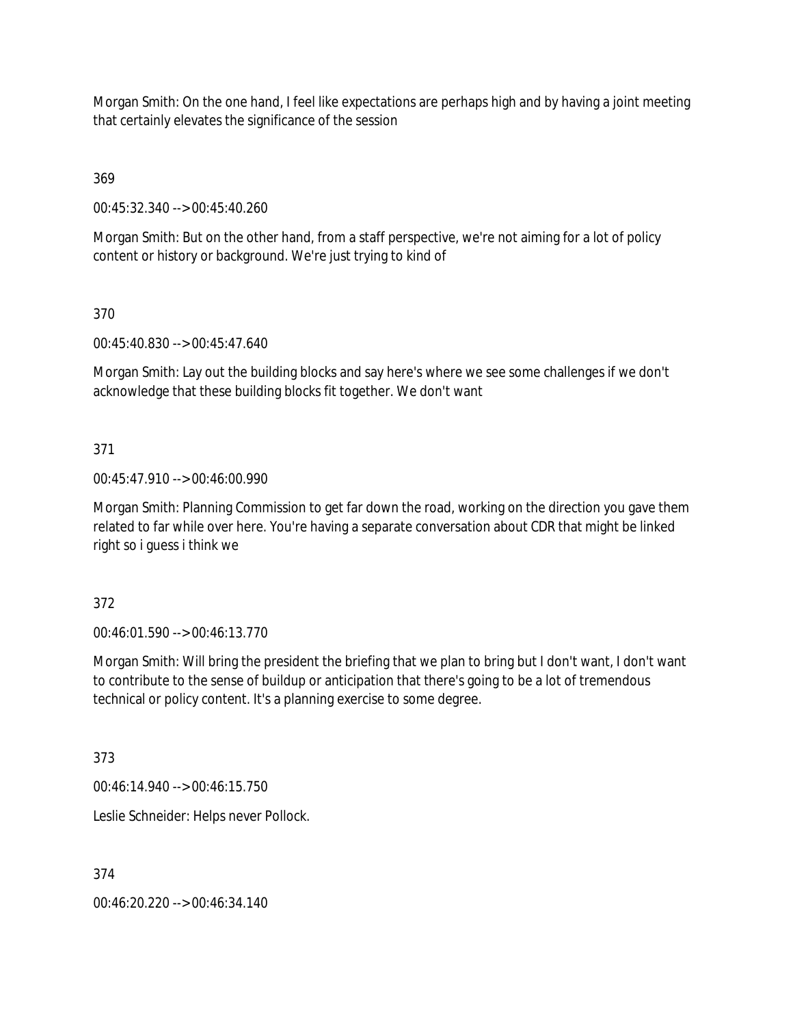Morgan Smith: On the one hand, I feel like expectations are perhaps high and by having a joint meeting that certainly elevates the significance of the session

369

00:45:32.340 --> 00:45:40.260

Morgan Smith: But on the other hand, from a staff perspective, we're not aiming for a lot of policy content or history or background. We're just trying to kind of

370

00:45:40.830 --> 00:45:47.640

Morgan Smith: Lay out the building blocks and say here's where we see some challenges if we don't acknowledge that these building blocks fit together. We don't want

371

00:45:47.910 --> 00:46:00.990

Morgan Smith: Planning Commission to get far down the road, working on the direction you gave them related to far while over here. You're having a separate conversation about CDR that might be linked right so i guess i think we

372

00:46:01.590 --> 00:46:13.770

Morgan Smith: Will bring the president the briefing that we plan to bring but I don't want, I don't want to contribute to the sense of buildup or anticipation that there's going to be a lot of tremendous technical or policy content. It's a planning exercise to some degree.

373

00:46:14.940 --> 00:46:15.750

Leslie Schneider: Helps never Pollock.

374

00:46:20.220 --> 00:46:34.140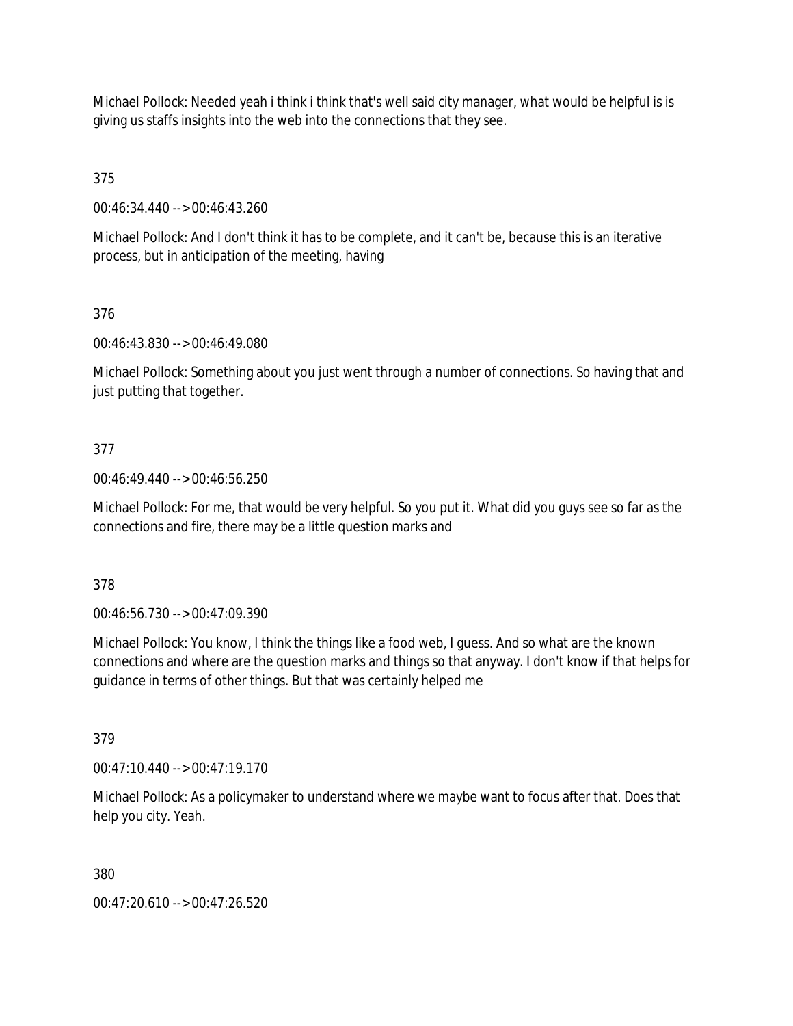Michael Pollock: Needed yeah i think i think that's well said city manager, what would be helpful is is giving us staffs insights into the web into the connections that they see.

375

00:46:34.440 --> 00:46:43.260

Michael Pollock: And I don't think it has to be complete, and it can't be, because this is an iterative process, but in anticipation of the meeting, having

376

00:46:43.830 --> 00:46:49.080

Michael Pollock: Something about you just went through a number of connections. So having that and just putting that together.

## 377

00:46:49.440 --> 00:46:56.250

Michael Pollock: For me, that would be very helpful. So you put it. What did you guys see so far as the connections and fire, there may be a little question marks and

378

00:46:56.730 --> 00:47:09.390

Michael Pollock: You know, I think the things like a food web, I guess. And so what are the known connections and where are the question marks and things so that anyway. I don't know if that helps for guidance in terms of other things. But that was certainly helped me

379

00:47:10.440 --> 00:47:19.170

Michael Pollock: As a policymaker to understand where we maybe want to focus after that. Does that help you city. Yeah.

380

00:47:20.610 --> 00:47:26.520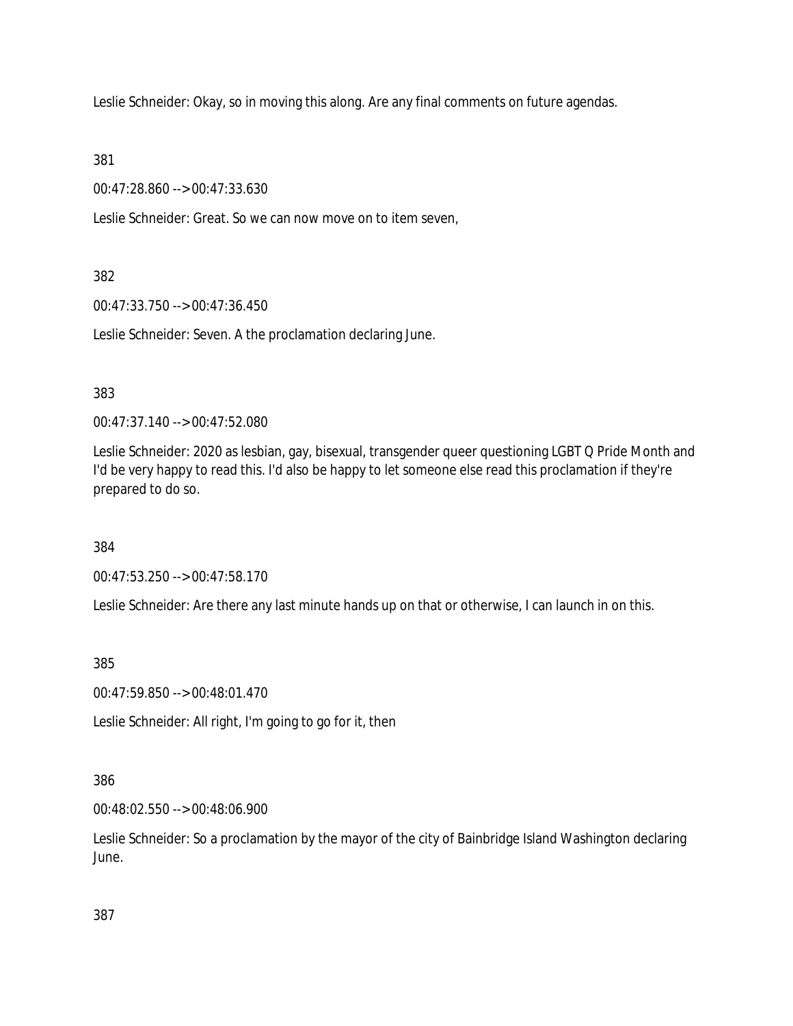Leslie Schneider: Okay, so in moving this along. Are any final comments on future agendas.

381

00:47:28.860 --> 00:47:33.630

Leslie Schneider: Great. So we can now move on to item seven,

382

00:47:33.750 --> 00:47:36.450

Leslie Schneider: Seven. A the proclamation declaring June.

383

00:47:37.140 --> 00:47:52.080

Leslie Schneider: 2020 as lesbian, gay, bisexual, transgender queer questioning LGBT Q Pride Month and I'd be very happy to read this. I'd also be happy to let someone else read this proclamation if they're prepared to do so.

384

00:47:53.250 --> 00:47:58.170

Leslie Schneider: Are there any last minute hands up on that or otherwise, I can launch in on this.

385

00:47:59.850 --> 00:48:01.470

Leslie Schneider: All right, I'm going to go for it, then

386

00:48:02.550 --> 00:48:06.900

Leslie Schneider: So a proclamation by the mayor of the city of Bainbridge Island Washington declaring June.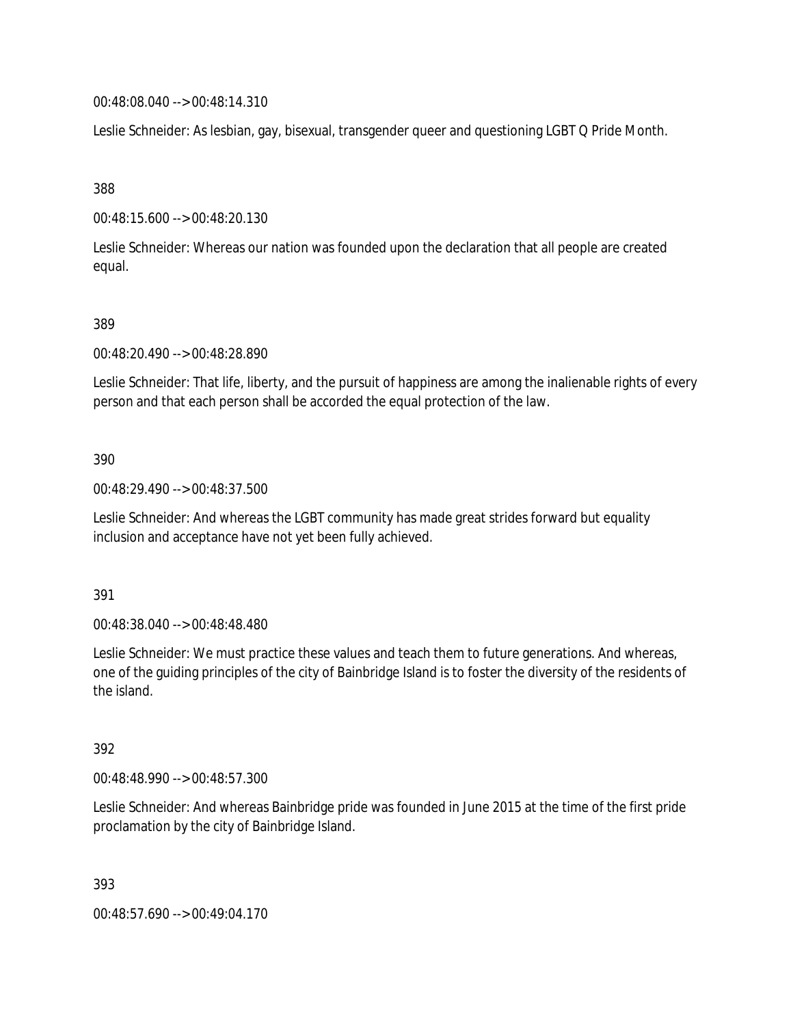00:48:08.040 --> 00:48:14.310

Leslie Schneider: As lesbian, gay, bisexual, transgender queer and questioning LGBT Q Pride Month.

388

00:48:15.600 --> 00:48:20.130

Leslie Schneider: Whereas our nation was founded upon the declaration that all people are created equal.

## 389

00:48:20.490 --> 00:48:28.890

Leslie Schneider: That life, liberty, and the pursuit of happiness are among the inalienable rights of every person and that each person shall be accorded the equal protection of the law.

## 390

00:48:29.490 --> 00:48:37.500

Leslie Schneider: And whereas the LGBT community has made great strides forward but equality inclusion and acceptance have not yet been fully achieved.

## 391

00:48:38.040 --> 00:48:48.480

Leslie Schneider: We must practice these values and teach them to future generations. And whereas, one of the guiding principles of the city of Bainbridge Island is to foster the diversity of the residents of the island.

## 392

00:48:48.990 --> 00:48:57.300

Leslie Schneider: And whereas Bainbridge pride was founded in June 2015 at the time of the first pride proclamation by the city of Bainbridge Island.

393

00:48:57.690 --> 00:49:04.170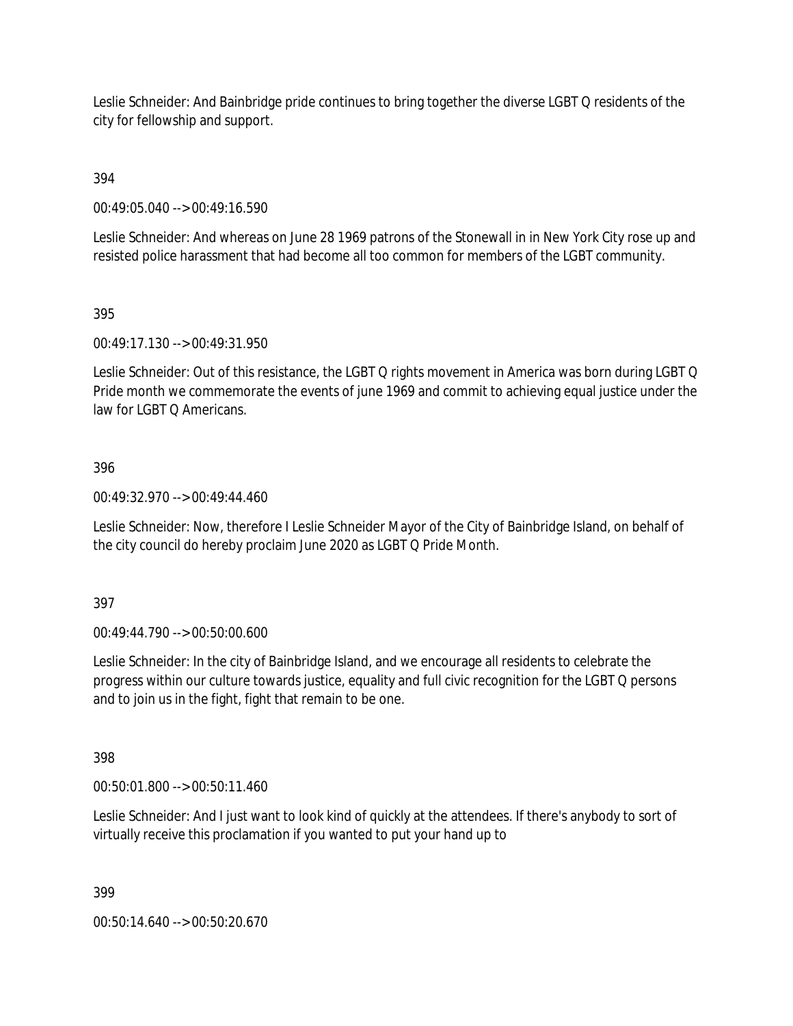Leslie Schneider: And Bainbridge pride continues to bring together the diverse LGBT Q residents of the city for fellowship and support.

394

00:49:05.040 --> 00:49:16.590

Leslie Schneider: And whereas on June 28 1969 patrons of the Stonewall in in New York City rose up and resisted police harassment that had become all too common for members of the LGBT community.

395

00:49:17.130 --> 00:49:31.950

Leslie Schneider: Out of this resistance, the LGBT Q rights movement in America was born during LGBT Q Pride month we commemorate the events of june 1969 and commit to achieving equal justice under the law for LGBT Q Americans.

## 396

00:49:32.970 --> 00:49:44.460

Leslie Schneider: Now, therefore I Leslie Schneider Mayor of the City of Bainbridge Island, on behalf of the city council do hereby proclaim June 2020 as LGBT Q Pride Month.

397

00:49:44.790 --> 00:50:00.600

Leslie Schneider: In the city of Bainbridge Island, and we encourage all residents to celebrate the progress within our culture towards justice, equality and full civic recognition for the LGBT Q persons and to join us in the fight, fight that remain to be one.

398

00:50:01.800 --> 00:50:11.460

Leslie Schneider: And I just want to look kind of quickly at the attendees. If there's anybody to sort of virtually receive this proclamation if you wanted to put your hand up to

399

00:50:14.640 --> 00:50:20.670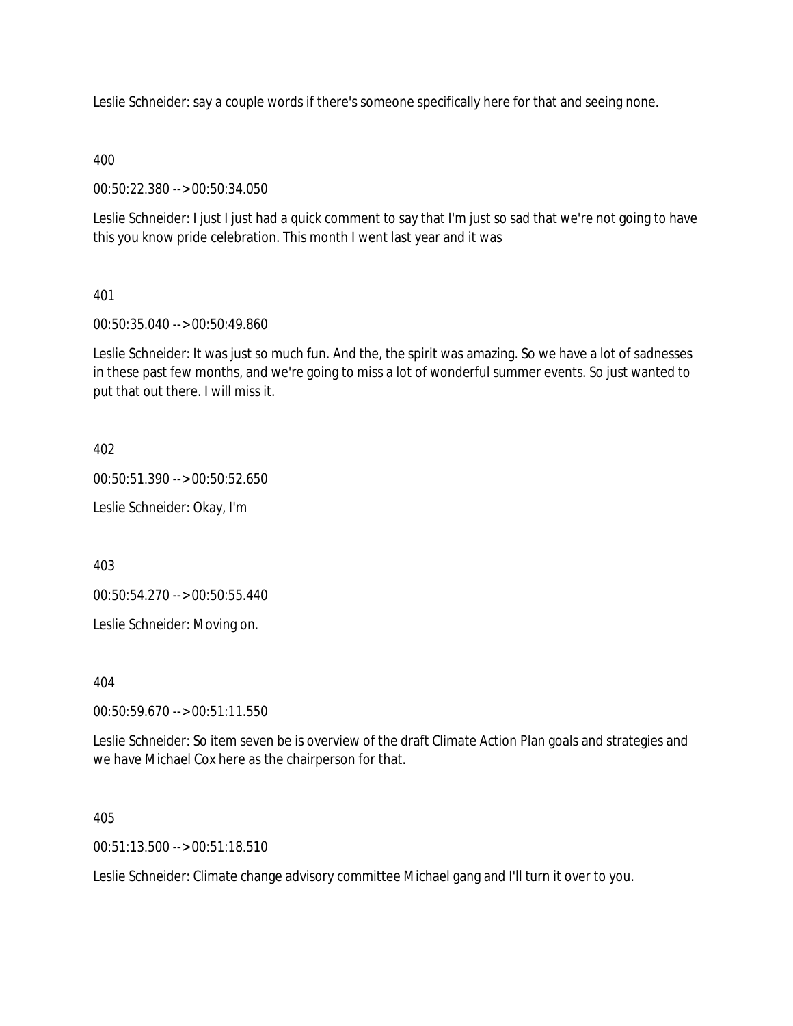Leslie Schneider: say a couple words if there's someone specifically here for that and seeing none.

400

00:50:22.380 --> 00:50:34.050

Leslie Schneider: I just I just had a quick comment to say that I'm just so sad that we're not going to have this you know pride celebration. This month I went last year and it was

# 401

00:50:35.040 --> 00:50:49.860

Leslie Schneider: It was just so much fun. And the, the spirit was amazing. So we have a lot of sadnesses in these past few months, and we're going to miss a lot of wonderful summer events. So just wanted to put that out there. I will miss it.

402

00:50:51.390 --> 00:50:52.650

Leslie Schneider: Okay, I'm

403

00:50:54.270 --> 00:50:55.440

Leslie Schneider: Moving on.

404

00:50:59.670 --> 00:51:11.550

Leslie Schneider: So item seven be is overview of the draft Climate Action Plan goals and strategies and we have Michael Cox here as the chairperson for that.

405

00:51:13.500 --> 00:51:18.510

Leslie Schneider: Climate change advisory committee Michael gang and I'll turn it over to you.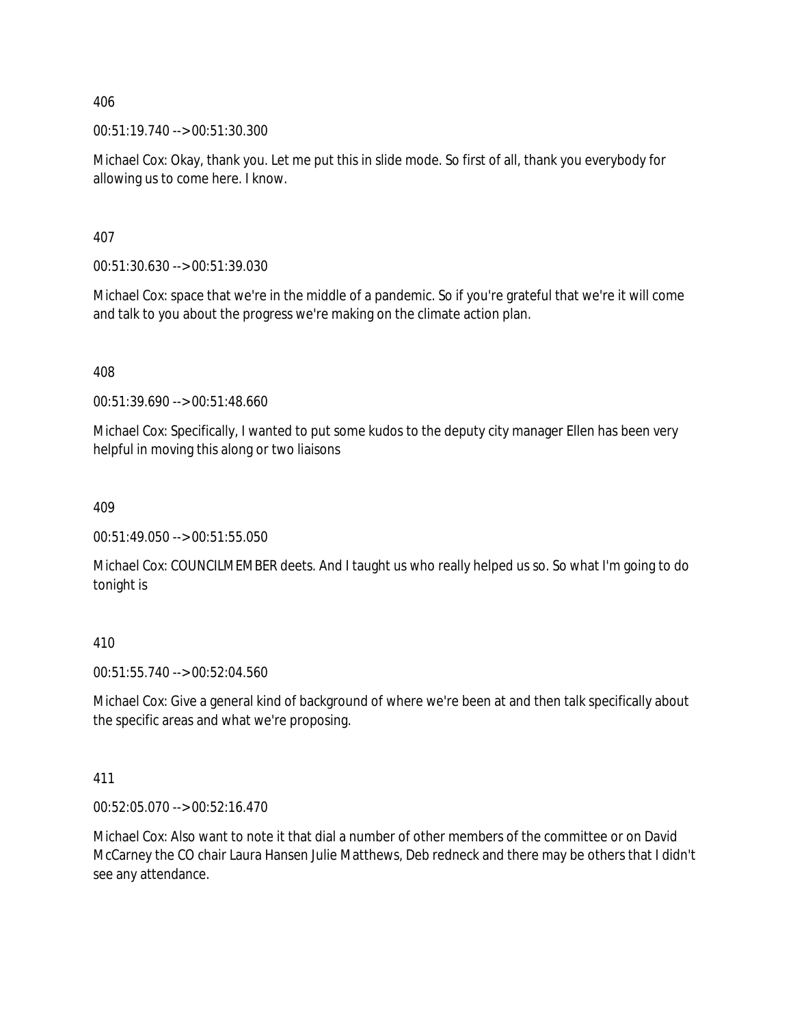406

00:51:19.740 --> 00:51:30.300

Michael Cox: Okay, thank you. Let me put this in slide mode. So first of all, thank you everybody for allowing us to come here. I know.

407

00:51:30.630 --> 00:51:39.030

Michael Cox: space that we're in the middle of a pandemic. So if you're grateful that we're it will come and talk to you about the progress we're making on the climate action plan.

408

00:51:39.690 --> 00:51:48.660

Michael Cox: Specifically, I wanted to put some kudos to the deputy city manager Ellen has been very helpful in moving this along or two liaisons

409

00:51:49.050 --> 00:51:55.050

Michael Cox: COUNCILMEMBER deets. And I taught us who really helped us so. So what I'm going to do tonight is

410

00:51:55.740 --> 00:52:04.560

Michael Cox: Give a general kind of background of where we're been at and then talk specifically about the specific areas and what we're proposing.

411

00:52:05.070 --> 00:52:16.470

Michael Cox: Also want to note it that dial a number of other members of the committee or on David McCarney the CO chair Laura Hansen Julie Matthews, Deb redneck and there may be others that I didn't see any attendance.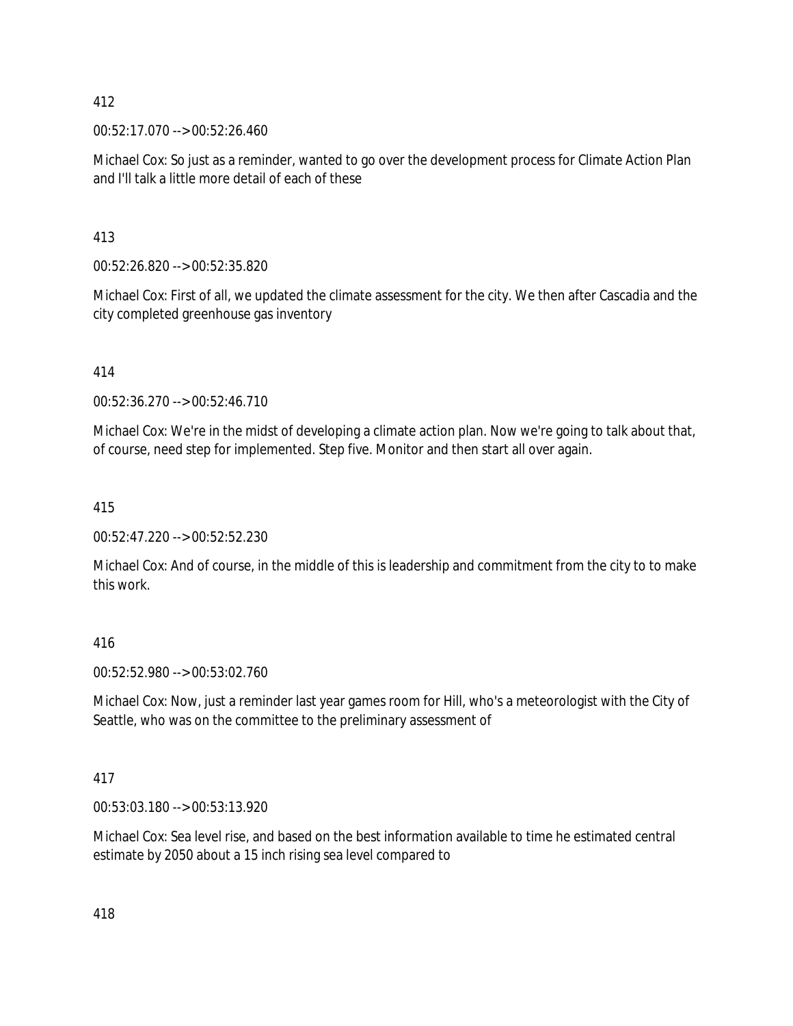## 412

00:52:17.070 --> 00:52:26.460

Michael Cox: So just as a reminder, wanted to go over the development process for Climate Action Plan and I'll talk a little more detail of each of these

413

00:52:26.820 --> 00:52:35.820

Michael Cox: First of all, we updated the climate assessment for the city. We then after Cascadia and the city completed greenhouse gas inventory

414

00:52:36.270 --> 00:52:46.710

Michael Cox: We're in the midst of developing a climate action plan. Now we're going to talk about that, of course, need step for implemented. Step five. Monitor and then start all over again.

415

00:52:47.220 --> 00:52:52.230

Michael Cox: And of course, in the middle of this is leadership and commitment from the city to to make this work.

416

00:52:52.980 --> 00:53:02.760

Michael Cox: Now, just a reminder last year games room for Hill, who's a meteorologist with the City of Seattle, who was on the committee to the preliminary assessment of

417

00:53:03.180 --> 00:53:13.920

Michael Cox: Sea level rise, and based on the best information available to time he estimated central estimate by 2050 about a 15 inch rising sea level compared to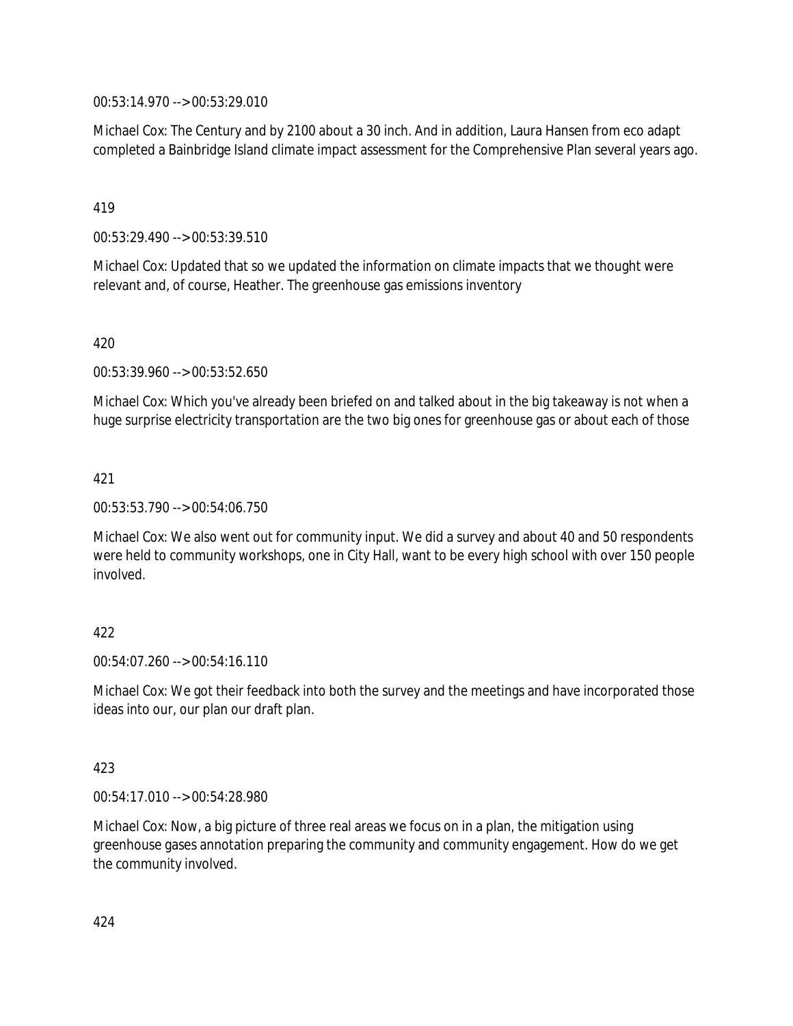00:53:14.970 --> 00:53:29.010

Michael Cox: The Century and by 2100 about a 30 inch. And in addition, Laura Hansen from eco adapt completed a Bainbridge Island climate impact assessment for the Comprehensive Plan several years ago.

419

00:53:29.490 --> 00:53:39.510

Michael Cox: Updated that so we updated the information on climate impacts that we thought were relevant and, of course, Heather. The greenhouse gas emissions inventory

420

00:53:39.960 --> 00:53:52.650

Michael Cox: Which you've already been briefed on and talked about in the big takeaway is not when a huge surprise electricity transportation are the two big ones for greenhouse gas or about each of those

421

00:53:53.790 --> 00:54:06.750

Michael Cox: We also went out for community input. We did a survey and about 40 and 50 respondents were held to community workshops, one in City Hall, want to be every high school with over 150 people involved.

## 422

 $00:54:07.260 \rightarrow 00:54:16.110$ 

Michael Cox: We got their feedback into both the survey and the meetings and have incorporated those ideas into our, our plan our draft plan.

## 423

00:54:17.010 --> 00:54:28.980

Michael Cox: Now, a big picture of three real areas we focus on in a plan, the mitigation using greenhouse gases annotation preparing the community and community engagement. How do we get the community involved.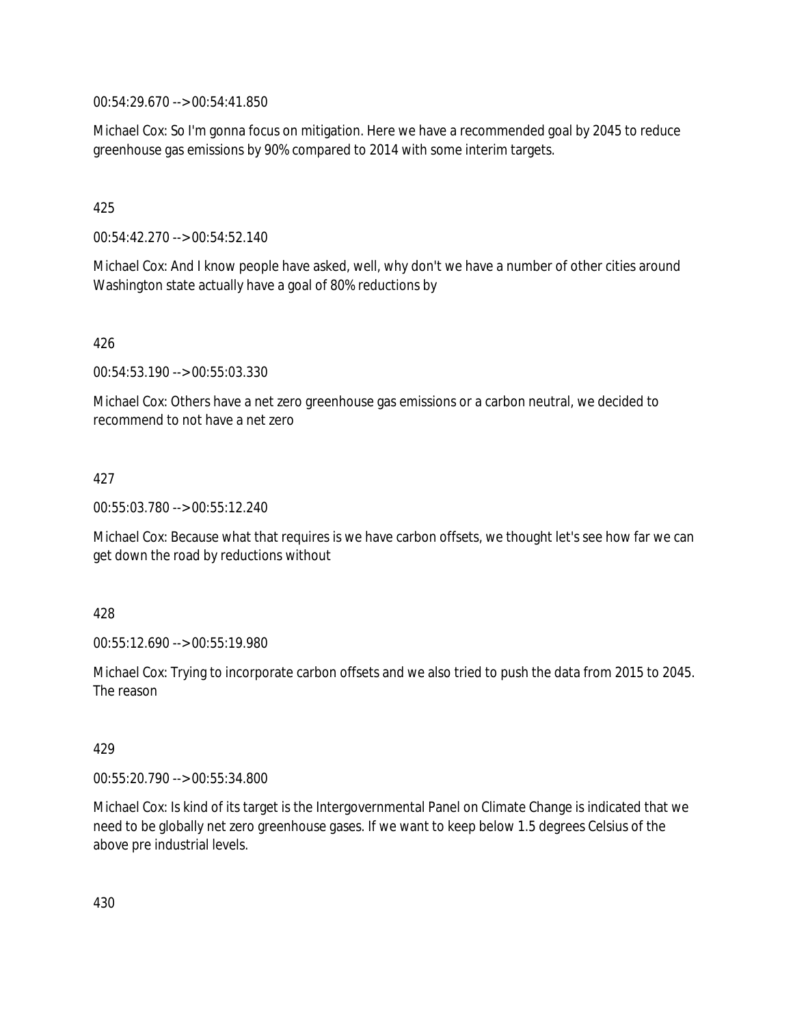00:54:29.670 --> 00:54:41.850

Michael Cox: So I'm gonna focus on mitigation. Here we have a recommended goal by 2045 to reduce greenhouse gas emissions by 90% compared to 2014 with some interim targets.

425

00:54:42.270 --> 00:54:52.140

Michael Cox: And I know people have asked, well, why don't we have a number of other cities around Washington state actually have a goal of 80% reductions by

426

00:54:53.190 --> 00:55:03.330

Michael Cox: Others have a net zero greenhouse gas emissions or a carbon neutral, we decided to recommend to not have a net zero

427

00:55:03.780 --> 00:55:12.240

Michael Cox: Because what that requires is we have carbon offsets, we thought let's see how far we can get down the road by reductions without

428

00:55:12.690 --> 00:55:19.980

Michael Cox: Trying to incorporate carbon offsets and we also tried to push the data from 2015 to 2045. The reason

429

00:55:20.790 --> 00:55:34.800

Michael Cox: Is kind of its target is the Intergovernmental Panel on Climate Change is indicated that we need to be globally net zero greenhouse gases. If we want to keep below 1.5 degrees Celsius of the above pre industrial levels.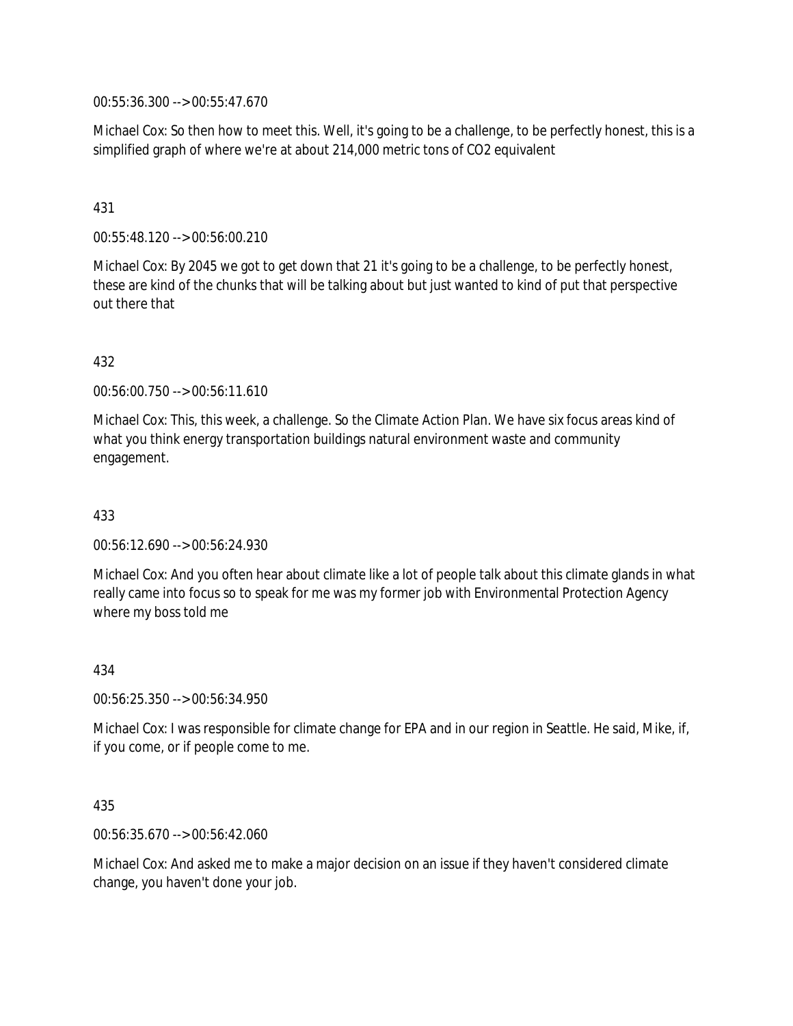00:55:36.300 --> 00:55:47.670

Michael Cox: So then how to meet this. Well, it's going to be a challenge, to be perfectly honest, this is a simplified graph of where we're at about 214,000 metric tons of CO2 equivalent

## 431

00:55:48.120 --> 00:56:00.210

Michael Cox: By 2045 we got to get down that 21 it's going to be a challenge, to be perfectly honest, these are kind of the chunks that will be talking about but just wanted to kind of put that perspective out there that

## 432

00:56:00.750 --> 00:56:11.610

Michael Cox: This, this week, a challenge. So the Climate Action Plan. We have six focus areas kind of what you think energy transportation buildings natural environment waste and community engagement.

## 433

00:56:12.690 --> 00:56:24.930

Michael Cox: And you often hear about climate like a lot of people talk about this climate glands in what really came into focus so to speak for me was my former job with Environmental Protection Agency where my boss told me

#### 434

00:56:25.350 --> 00:56:34.950

Michael Cox: I was responsible for climate change for EPA and in our region in Seattle. He said, Mike, if, if you come, or if people come to me.

## 435

00:56:35.670 --> 00:56:42.060

Michael Cox: And asked me to make a major decision on an issue if they haven't considered climate change, you haven't done your job.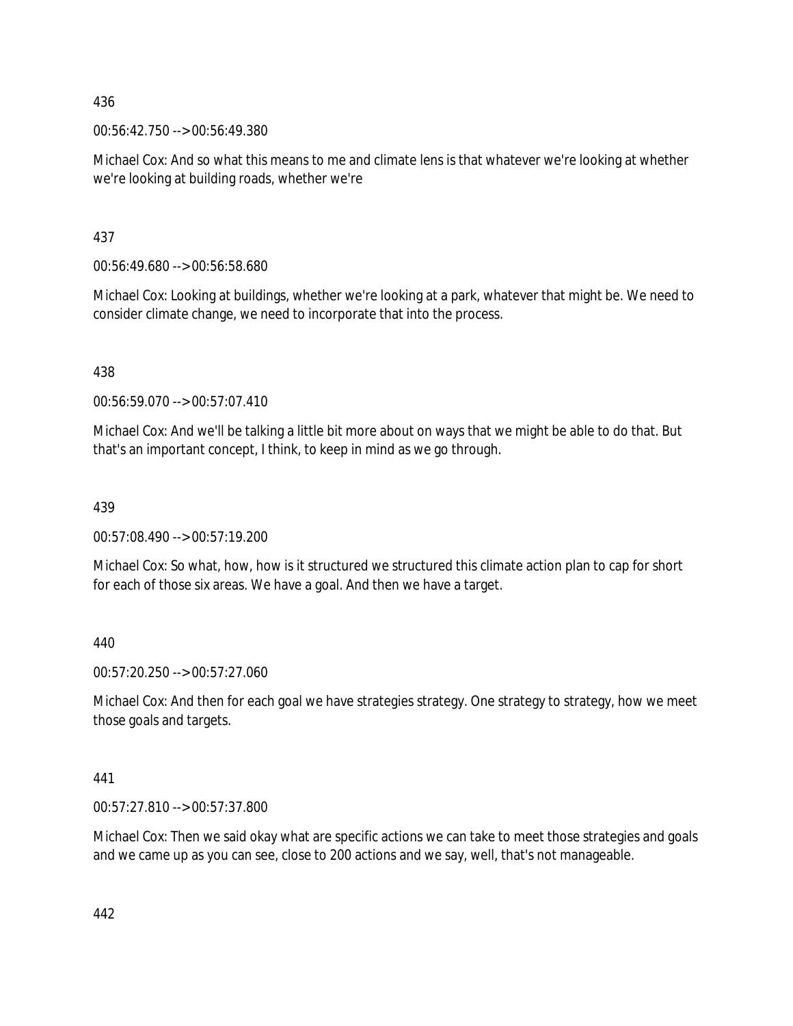436

00:56:42.750 --> 00:56:49.380

Michael Cox: And so what this means to me and climate lens is that whatever we're looking at whether we're looking at building roads, whether we're

437

00:56:49.680 --> 00:56:58.680

Michael Cox: Looking at buildings, whether we're looking at a park, whatever that might be. We need to consider climate change, we need to incorporate that into the process.

438

00:56:59.070 --> 00:57:07.410

Michael Cox: And we'll be talking a little bit more about on ways that we might be able to do that. But that's an important concept, I think, to keep in mind as we go through.

439

00:57:08.490 --> 00:57:19.200

Michael Cox: So what, how, how is it structured we structured this climate action plan to cap for short for each of those six areas. We have a goal. And then we have a target.

440

00:57:20.250 --> 00:57:27.060

Michael Cox: And then for each goal we have strategies strategy. One strategy to strategy, how we meet those goals and targets.

441

00:57:27.810 --> 00:57:37.800

Michael Cox: Then we said okay what are specific actions we can take to meet those strategies and goals and we came up as you can see, close to 200 actions and we say, well, that's not manageable.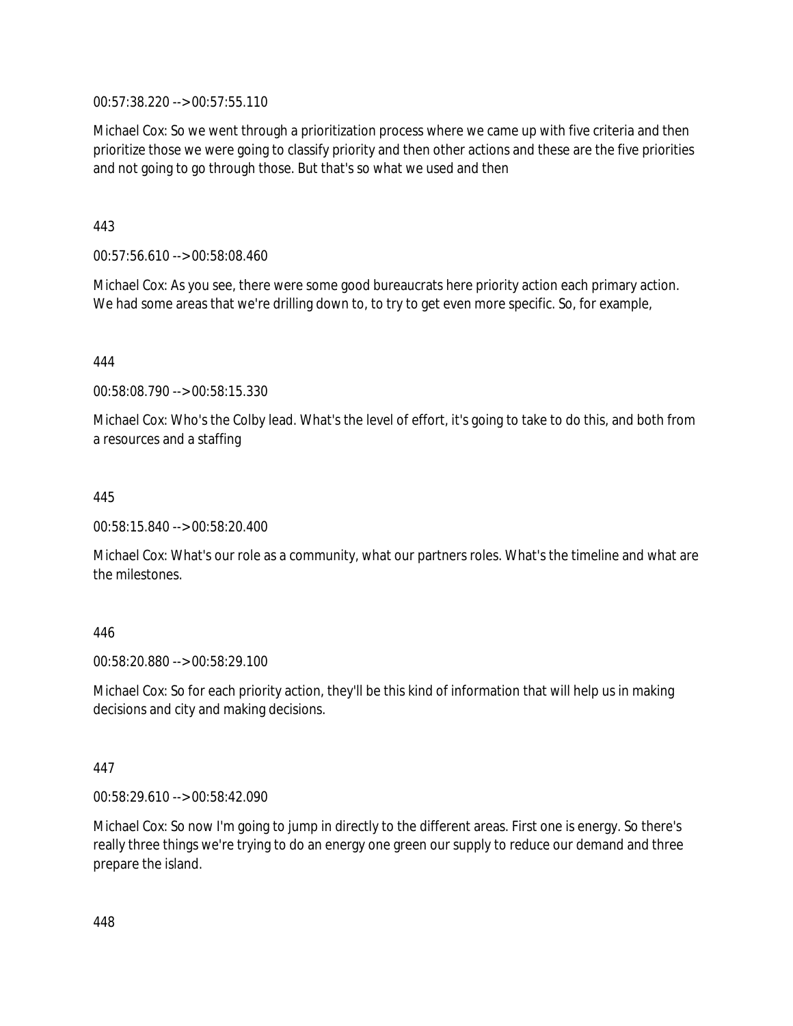00:57:38.220 --> 00:57:55.110

Michael Cox: So we went through a prioritization process where we came up with five criteria and then prioritize those we were going to classify priority and then other actions and these are the five priorities and not going to go through those. But that's so what we used and then

443

00:57:56.610 --> 00:58:08.460

Michael Cox: As you see, there were some good bureaucrats here priority action each primary action. We had some areas that we're drilling down to, to try to get even more specific. So, for example,

444

00:58:08.790 --> 00:58:15.330

Michael Cox: Who's the Colby lead. What's the level of effort, it's going to take to do this, and both from a resources and a staffing

445

00:58:15.840 --> 00:58:20.400

Michael Cox: What's our role as a community, what our partners roles. What's the timeline and what are the milestones.

446

00:58:20.880 --> 00:58:29.100

Michael Cox: So for each priority action, they'll be this kind of information that will help us in making decisions and city and making decisions.

447

00:58:29.610 --> 00:58:42.090

Michael Cox: So now I'm going to jump in directly to the different areas. First one is energy. So there's really three things we're trying to do an energy one green our supply to reduce our demand and three prepare the island.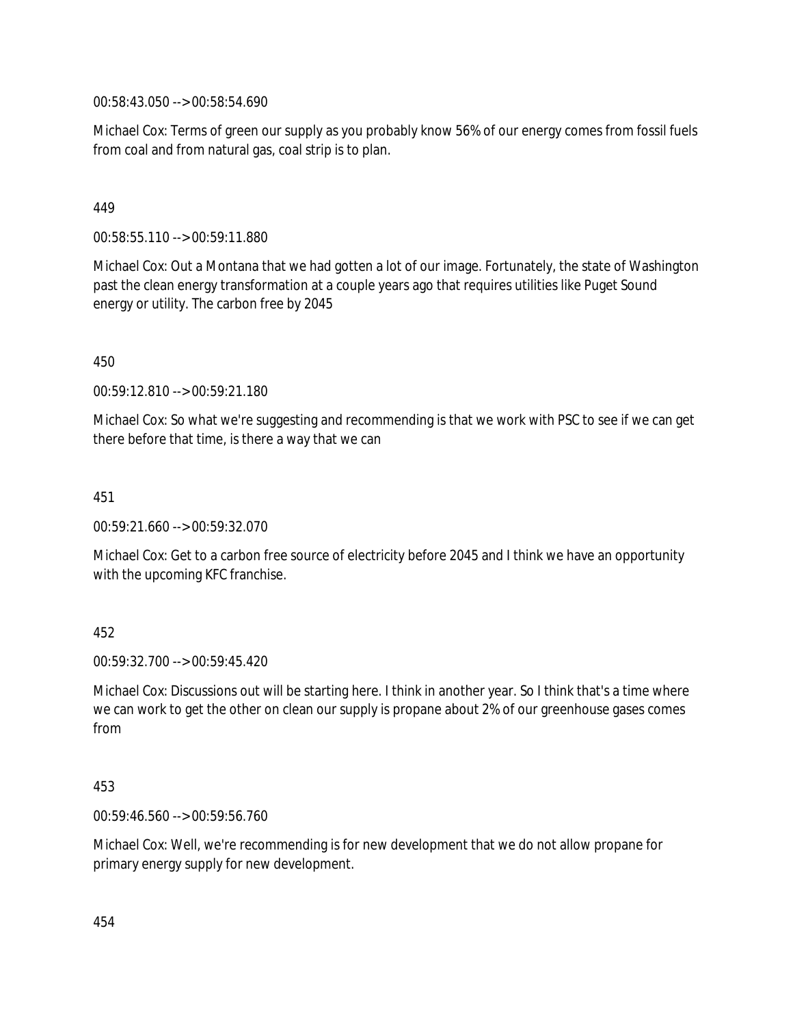00:58:43.050 --> 00:58:54.690

Michael Cox: Terms of green our supply as you probably know 56% of our energy comes from fossil fuels from coal and from natural gas, coal strip is to plan.

## 449

00:58:55.110 --> 00:59:11.880

Michael Cox: Out a Montana that we had gotten a lot of our image. Fortunately, the state of Washington past the clean energy transformation at a couple years ago that requires utilities like Puget Sound energy or utility. The carbon free by 2045

450

00:59:12.810 --> 00:59:21.180

Michael Cox: So what we're suggesting and recommending is that we work with PSC to see if we can get there before that time, is there a way that we can

451

00:59:21.660 --> 00:59:32.070

Michael Cox: Get to a carbon free source of electricity before 2045 and I think we have an opportunity with the upcoming KFC franchise.

## 452

00:59:32.700 --> 00:59:45.420

Michael Cox: Discussions out will be starting here. I think in another year. So I think that's a time where we can work to get the other on clean our supply is propane about 2% of our greenhouse gases comes from

#### 453

00:59:46.560 --> 00:59:56.760

Michael Cox: Well, we're recommending is for new development that we do not allow propane for primary energy supply for new development.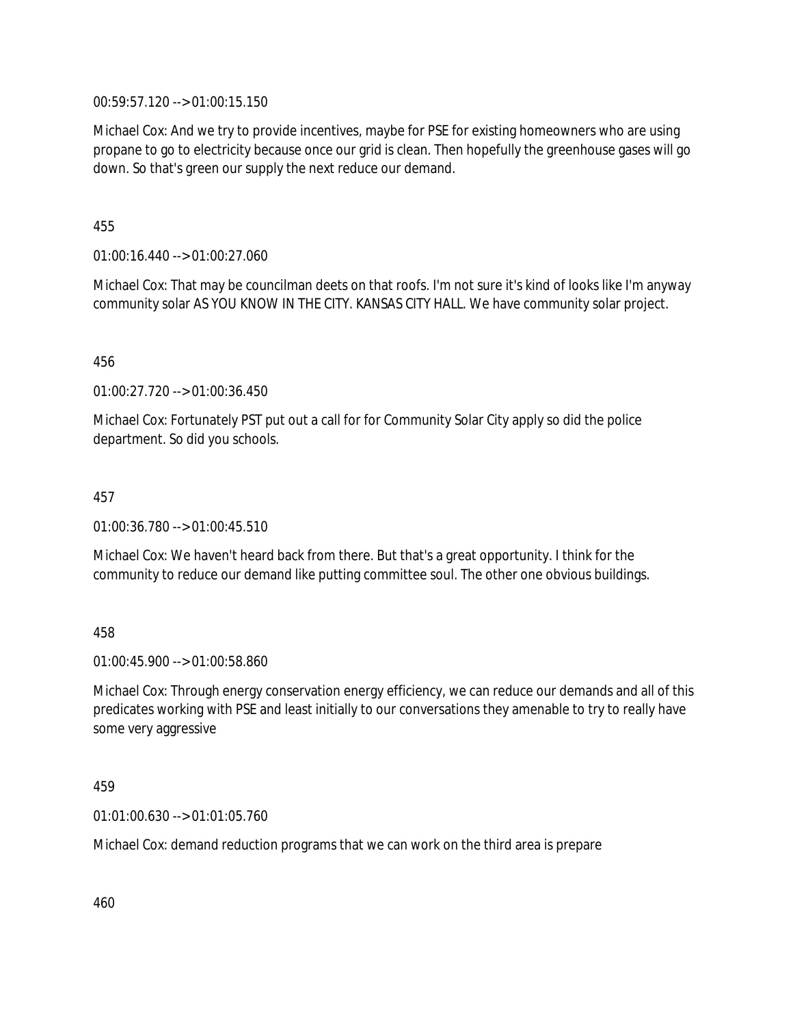00:59:57.120 --> 01:00:15.150

Michael Cox: And we try to provide incentives, maybe for PSE for existing homeowners who are using propane to go to electricity because once our grid is clean. Then hopefully the greenhouse gases will go down. So that's green our supply the next reduce our demand.

455

01:00:16.440 --> 01:00:27.060

Michael Cox: That may be councilman deets on that roofs. I'm not sure it's kind of looks like I'm anyway community solar AS YOU KNOW IN THE CITY. KANSAS CITY HALL. We have community solar project.

456

01:00:27.720 --> 01:00:36.450

Michael Cox: Fortunately PST put out a call for for Community Solar City apply so did the police department. So did you schools.

457

01:00:36.780 --> 01:00:45.510

Michael Cox: We haven't heard back from there. But that's a great opportunity. I think for the community to reduce our demand like putting committee soul. The other one obvious buildings.

458

01:00:45.900 --> 01:00:58.860

Michael Cox: Through energy conservation energy efficiency, we can reduce our demands and all of this predicates working with PSE and least initially to our conversations they amenable to try to really have some very aggressive

459

01:01:00.630 --> 01:01:05.760

Michael Cox: demand reduction programs that we can work on the third area is prepare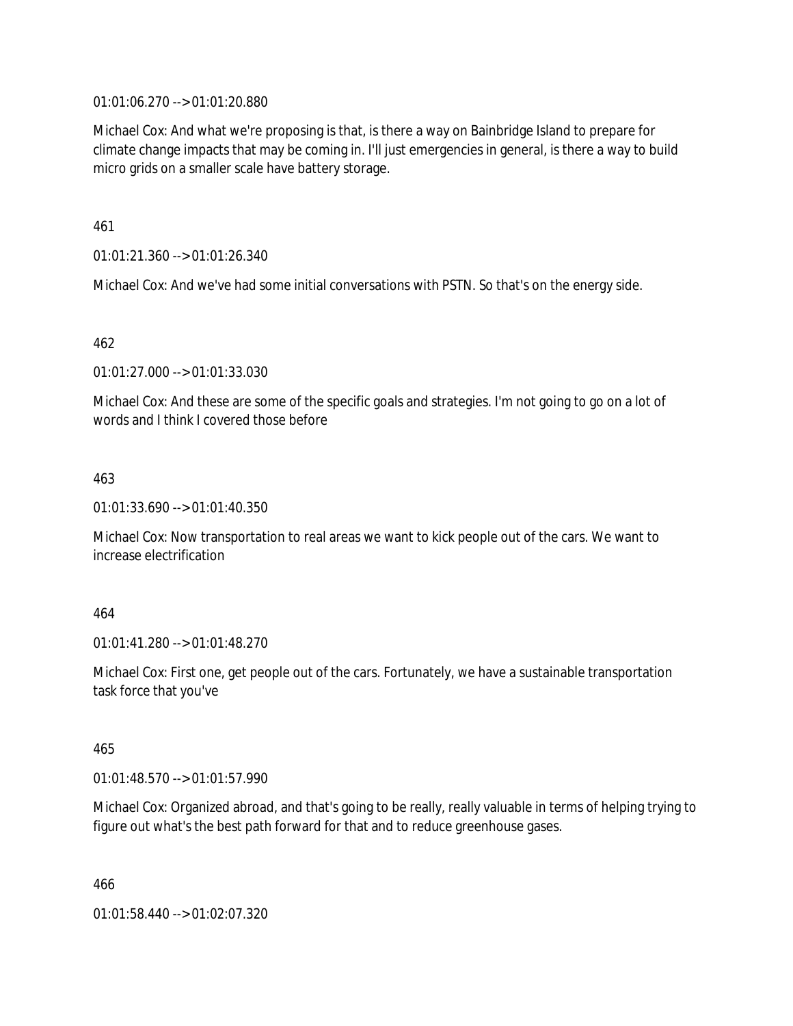01:01:06.270 --> 01:01:20.880

Michael Cox: And what we're proposing is that, is there a way on Bainbridge Island to prepare for climate change impacts that may be coming in. I'll just emergencies in general, is there a way to build micro grids on a smaller scale have battery storage.

461

01:01:21.360 --> 01:01:26.340

Michael Cox: And we've had some initial conversations with PSTN. So that's on the energy side.

462

01:01:27.000 --> 01:01:33.030

Michael Cox: And these are some of the specific goals and strategies. I'm not going to go on a lot of words and I think I covered those before

463

01:01:33.690 --> 01:01:40.350

Michael Cox: Now transportation to real areas we want to kick people out of the cars. We want to increase electrification

464

01:01:41.280 --> 01:01:48.270

Michael Cox: First one, get people out of the cars. Fortunately, we have a sustainable transportation task force that you've

465

01:01:48.570 --> 01:01:57.990

Michael Cox: Organized abroad, and that's going to be really, really valuable in terms of helping trying to figure out what's the best path forward for that and to reduce greenhouse gases.

466

01:01:58.440 --> 01:02:07.320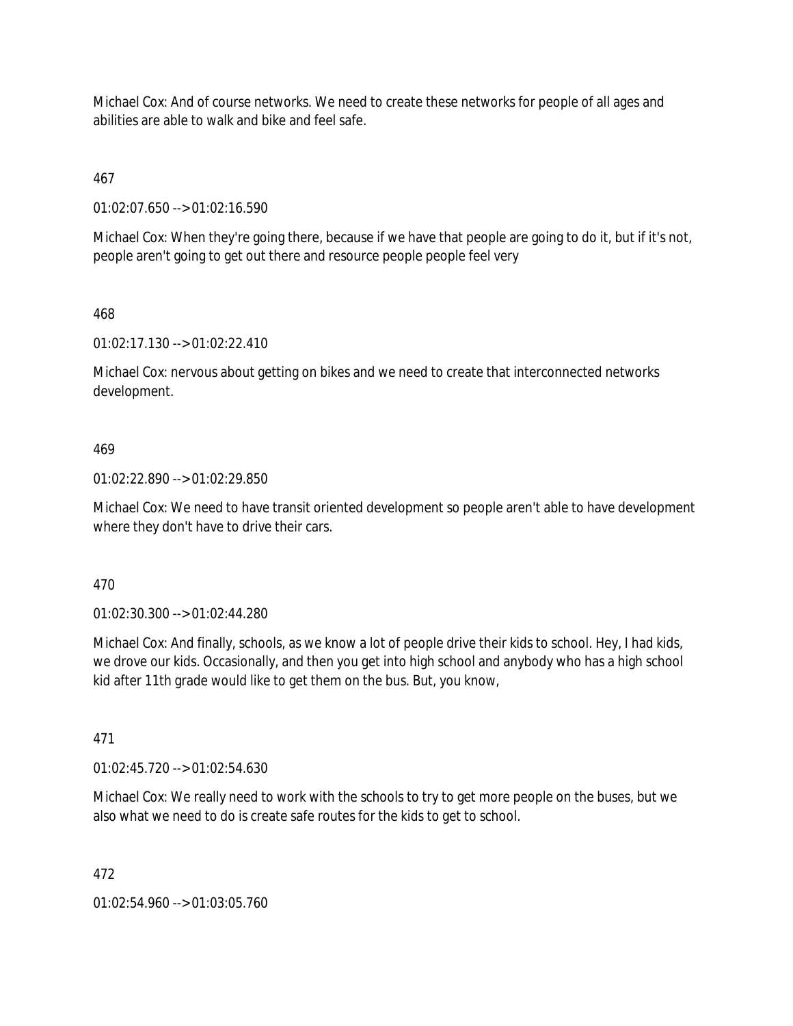Michael Cox: And of course networks. We need to create these networks for people of all ages and abilities are able to walk and bike and feel safe.

467

01:02:07.650 --> 01:02:16.590

Michael Cox: When they're going there, because if we have that people are going to do it, but if it's not, people aren't going to get out there and resource people people feel very

# 468

01:02:17.130 --> 01:02:22.410

Michael Cox: nervous about getting on bikes and we need to create that interconnected networks development.

# 469

01:02:22.890 --> 01:02:29.850

Michael Cox: We need to have transit oriented development so people aren't able to have development where they don't have to drive their cars.

#### 470

01:02:30.300 --> 01:02:44.280

Michael Cox: And finally, schools, as we know a lot of people drive their kids to school. Hey, I had kids, we drove our kids. Occasionally, and then you get into high school and anybody who has a high school kid after 11th grade would like to get them on the bus. But, you know,

#### 471

01:02:45.720 --> 01:02:54.630

Michael Cox: We really need to work with the schools to try to get more people on the buses, but we also what we need to do is create safe routes for the kids to get to school.

#### 472

01:02:54.960 --> 01:03:05.760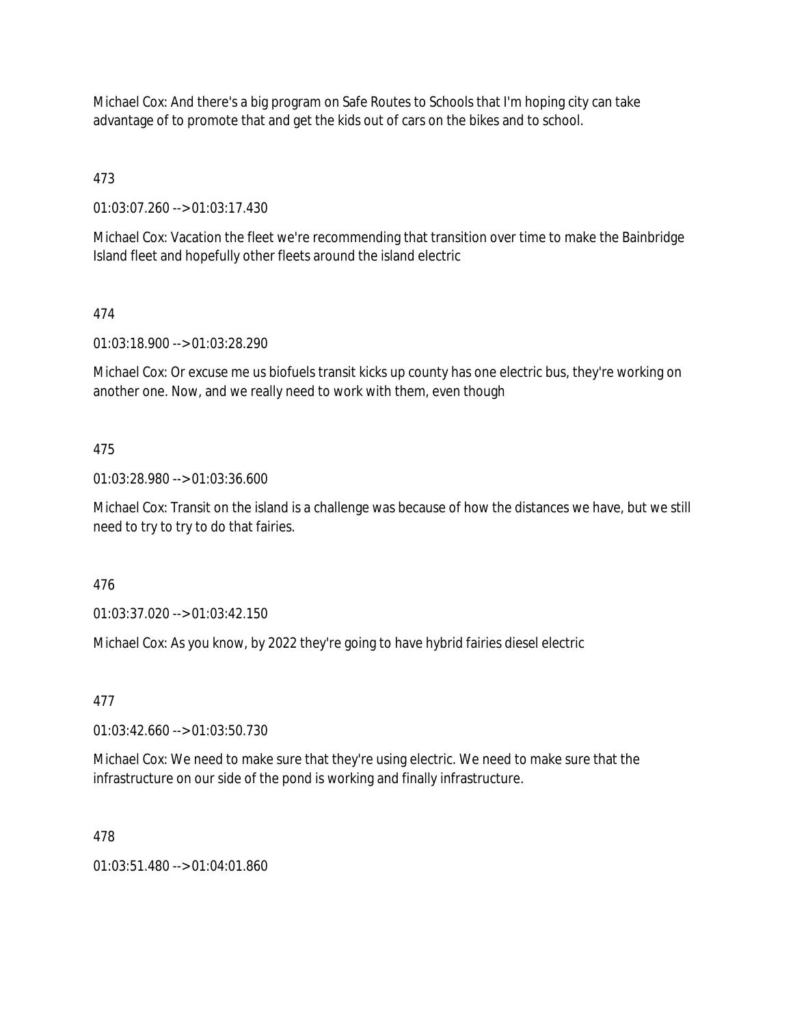Michael Cox: And there's a big program on Safe Routes to Schools that I'm hoping city can take advantage of to promote that and get the kids out of cars on the bikes and to school.

473

01:03:07.260 --> 01:03:17.430

Michael Cox: Vacation the fleet we're recommending that transition over time to make the Bainbridge Island fleet and hopefully other fleets around the island electric

# 474

01:03:18.900 --> 01:03:28.290

Michael Cox: Or excuse me us biofuels transit kicks up county has one electric bus, they're working on another one. Now, and we really need to work with them, even though

# 475

01:03:28.980 --> 01:03:36.600

Michael Cox: Transit on the island is a challenge was because of how the distances we have, but we still need to try to try to do that fairies.

#### 476

01:03:37.020 --> 01:03:42.150

Michael Cox: As you know, by 2022 they're going to have hybrid fairies diesel electric

#### 477

01:03:42.660 --> 01:03:50.730

Michael Cox: We need to make sure that they're using electric. We need to make sure that the infrastructure on our side of the pond is working and finally infrastructure.

#### 478

 $01:03:51.480 \rightarrow 01:04:01.860$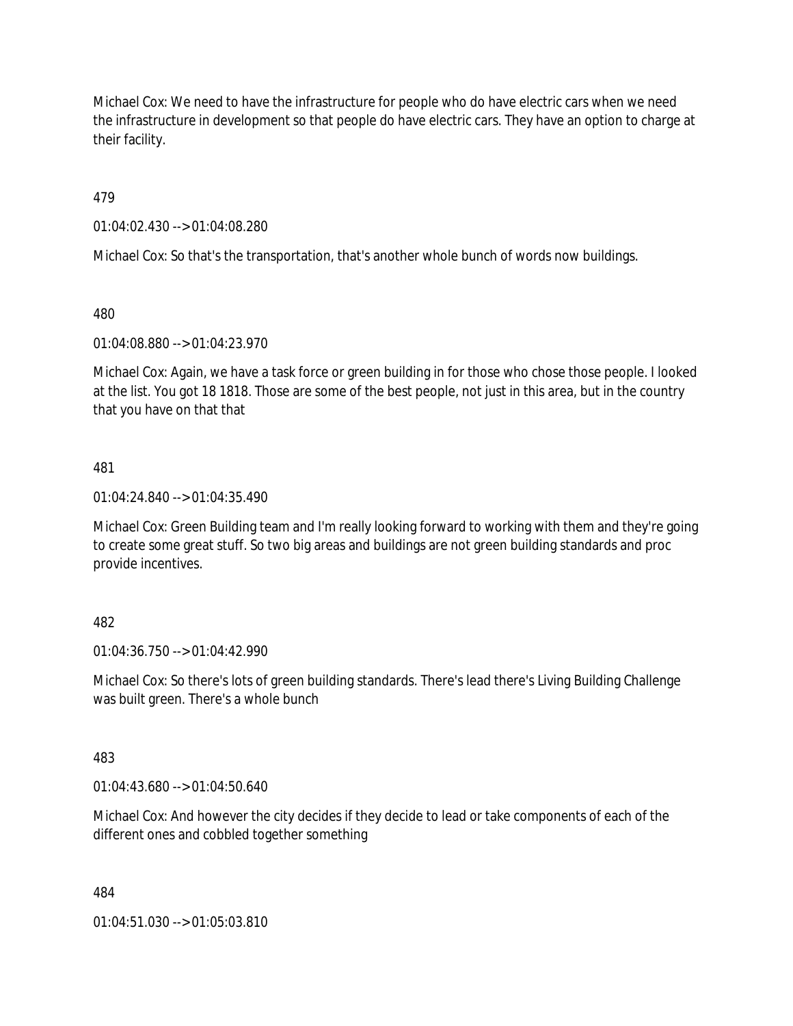Michael Cox: We need to have the infrastructure for people who do have electric cars when we need the infrastructure in development so that people do have electric cars. They have an option to charge at their facility.

479

01:04:02.430 --> 01:04:08.280

Michael Cox: So that's the transportation, that's another whole bunch of words now buildings.

480

01:04:08.880 --> 01:04:23.970

Michael Cox: Again, we have a task force or green building in for those who chose those people. I looked at the list. You got 18 1818. Those are some of the best people, not just in this area, but in the country that you have on that that

#### 481

01:04:24.840 --> 01:04:35.490

Michael Cox: Green Building team and I'm really looking forward to working with them and they're going to create some great stuff. So two big areas and buildings are not green building standards and proc provide incentives.

#### 482

01:04:36.750 --> 01:04:42.990

Michael Cox: So there's lots of green building standards. There's lead there's Living Building Challenge was built green. There's a whole bunch

#### 483

01:04:43.680 --> 01:04:50.640

Michael Cox: And however the city decides if they decide to lead or take components of each of the different ones and cobbled together something

484

01:04:51.030 --> 01:05:03.810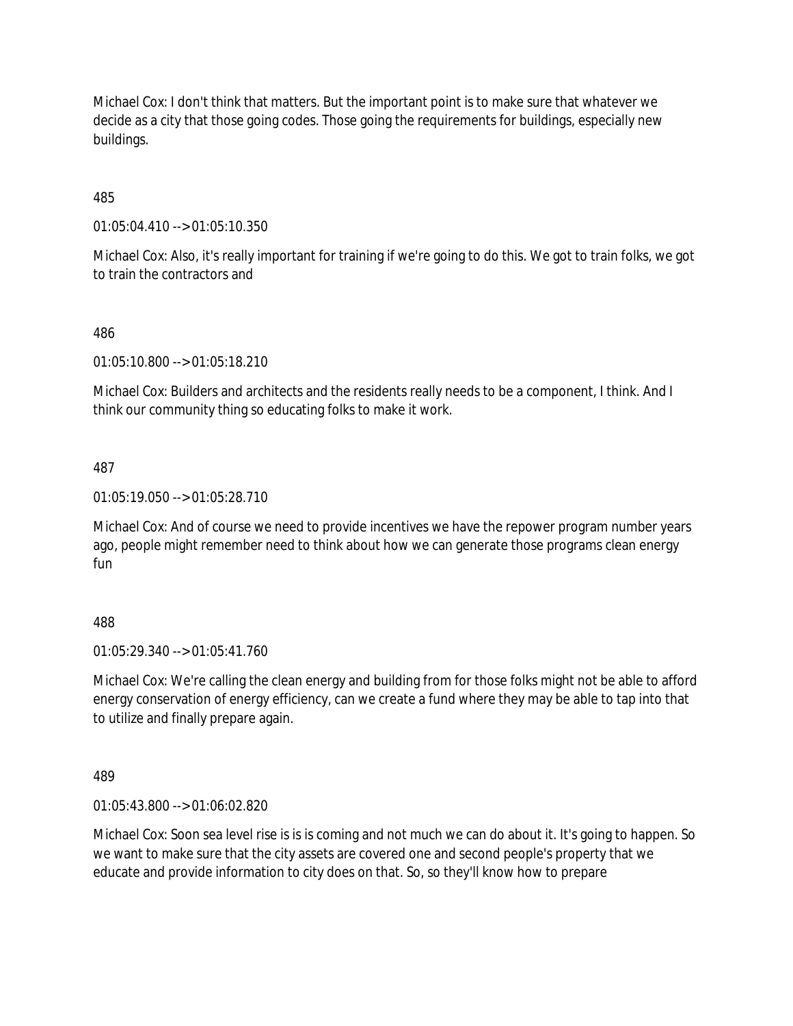Michael Cox: I don't think that matters. But the important point is to make sure that whatever we decide as a city that those going codes. Those going the requirements for buildings, especially new buildings.

485

01:05:04.410 --> 01:05:10.350

Michael Cox: Also, it's really important for training if we're going to do this. We got to train folks, we got to train the contractors and

#### 486

01:05:10.800 --> 01:05:18.210

Michael Cox: Builders and architects and the residents really needs to be a component, I think. And I think our community thing so educating folks to make it work.

#### 487

01:05:19.050 --> 01:05:28.710

Michael Cox: And of course we need to provide incentives we have the repower program number years ago, people might remember need to think about how we can generate those programs clean energy fun

#### 488

01:05:29.340 --> 01:05:41.760

Michael Cox: We're calling the clean energy and building from for those folks might not be able to afford energy conservation of energy efficiency, can we create a fund where they may be able to tap into that to utilize and finally prepare again.

#### 489

01:05:43.800 --> 01:06:02.820

Michael Cox: Soon sea level rise is is is coming and not much we can do about it. It's going to happen. So we want to make sure that the city assets are covered one and second people's property that we educate and provide information to city does on that. So, so they'll know how to prepare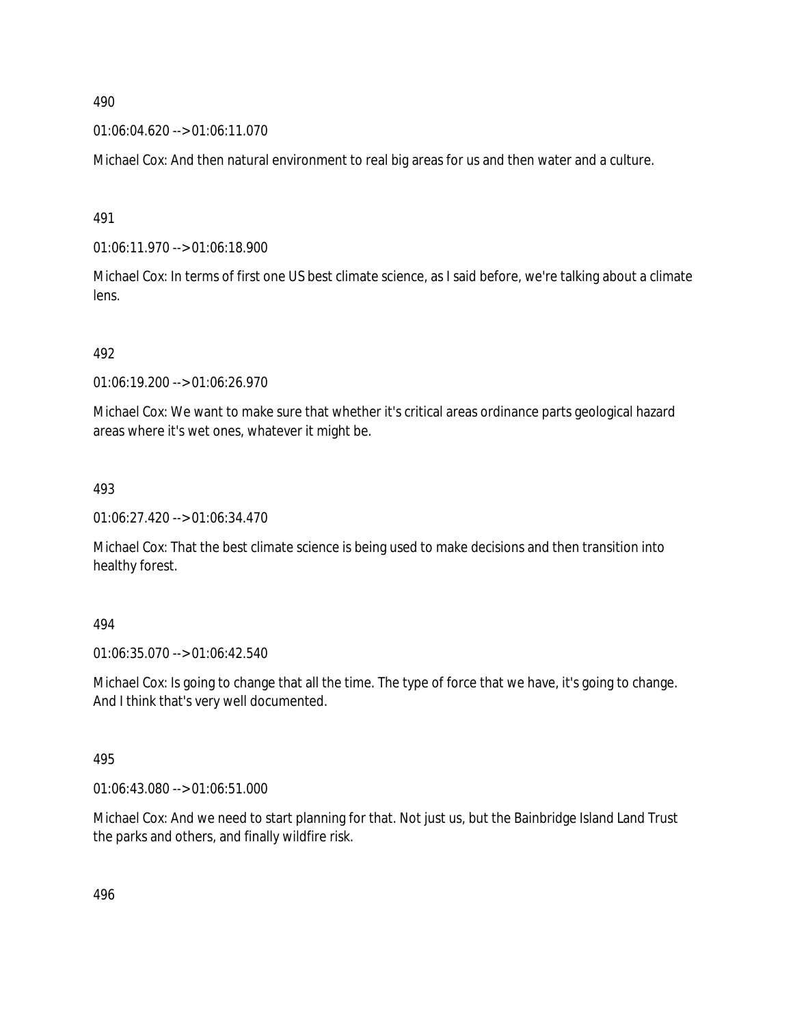01:06:04.620 --> 01:06:11.070

Michael Cox: And then natural environment to real big areas for us and then water and a culture.

491

01:06:11.970 --> 01:06:18.900

Michael Cox: In terms of first one US best climate science, as I said before, we're talking about a climate lens.

492

01:06:19.200 --> 01:06:26.970

Michael Cox: We want to make sure that whether it's critical areas ordinance parts geological hazard areas where it's wet ones, whatever it might be.

493

01:06:27.420 --> 01:06:34.470

Michael Cox: That the best climate science is being used to make decisions and then transition into healthy forest.

494

01:06:35.070 --> 01:06:42.540

Michael Cox: Is going to change that all the time. The type of force that we have, it's going to change. And I think that's very well documented.

495

01:06:43.080 --> 01:06:51.000

Michael Cox: And we need to start planning for that. Not just us, but the Bainbridge Island Land Trust the parks and others, and finally wildfire risk.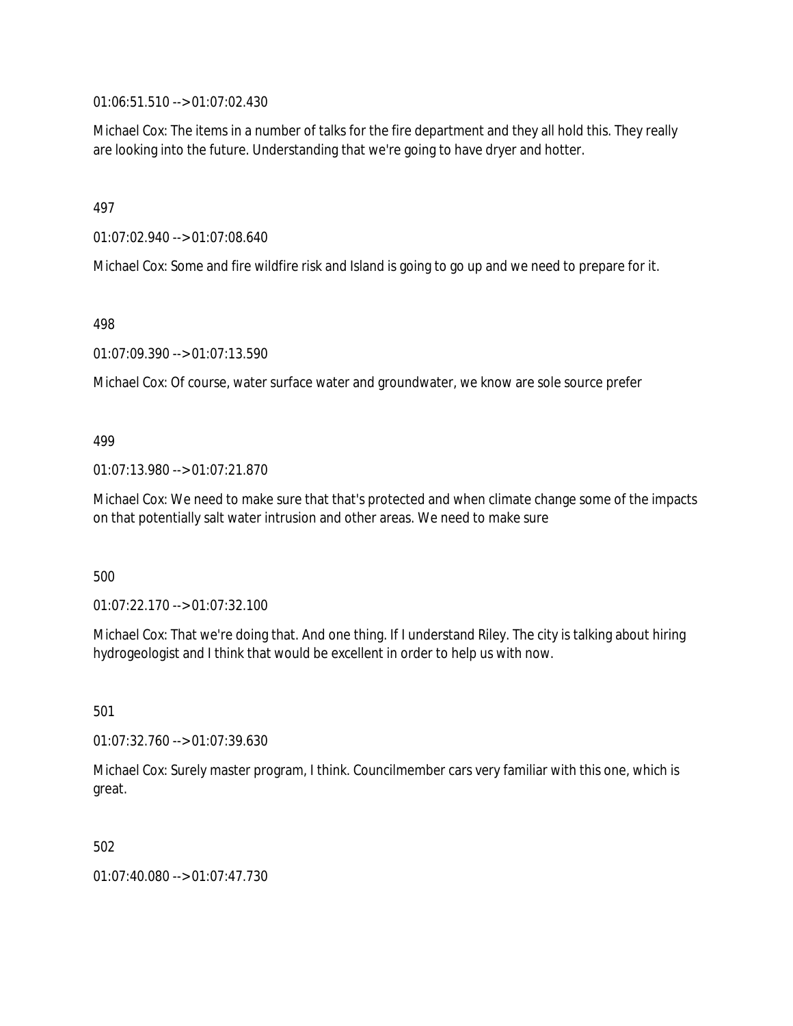01:06:51.510 --> 01:07:02.430

Michael Cox: The items in a number of talks for the fire department and they all hold this. They really are looking into the future. Understanding that we're going to have dryer and hotter.

497

01:07:02.940 --> 01:07:08.640

Michael Cox: Some and fire wildfire risk and Island is going to go up and we need to prepare for it.

498

01:07:09.390 --> 01:07:13.590

Michael Cox: Of course, water surface water and groundwater, we know are sole source prefer

499

01:07:13.980 --> 01:07:21.870

Michael Cox: We need to make sure that that's protected and when climate change some of the impacts on that potentially salt water intrusion and other areas. We need to make sure

500

01:07:22.170 --> 01:07:32.100

Michael Cox: That we're doing that. And one thing. If I understand Riley. The city is talking about hiring hydrogeologist and I think that would be excellent in order to help us with now.

501

01:07:32.760 --> 01:07:39.630

Michael Cox: Surely master program, I think. Councilmember cars very familiar with this one, which is great.

502

01:07:40.080 --> 01:07:47.730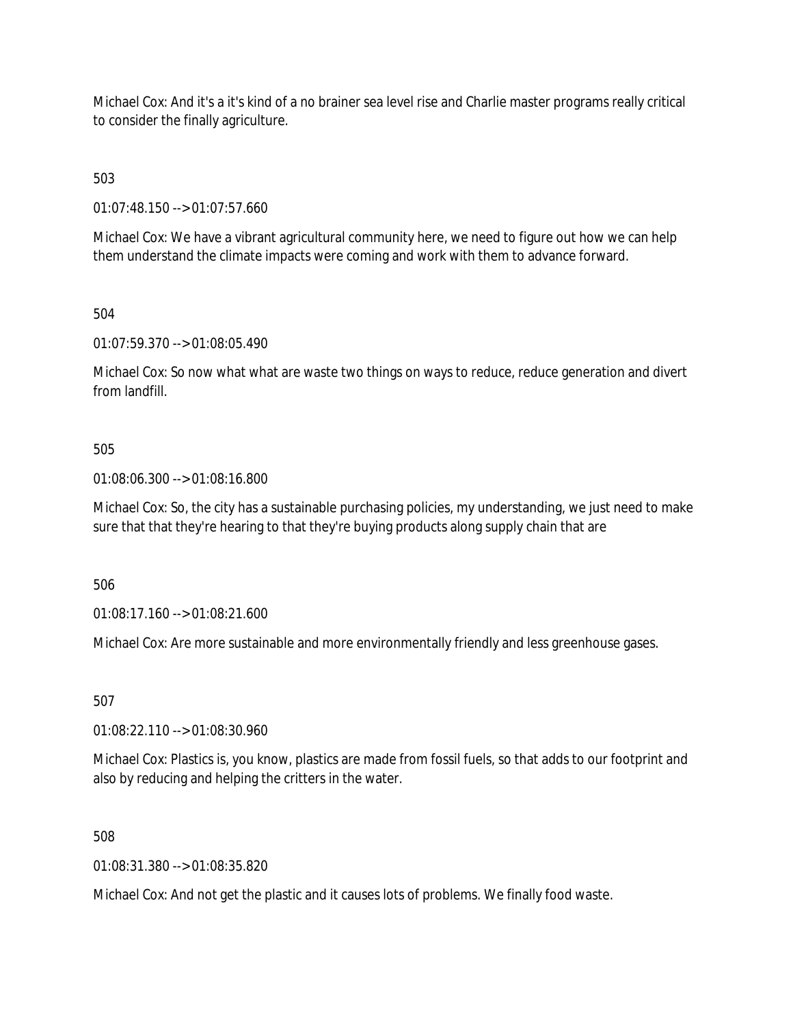Michael Cox: And it's a it's kind of a no brainer sea level rise and Charlie master programs really critical to consider the finally agriculture.

503

01:07:48.150 --> 01:07:57.660

Michael Cox: We have a vibrant agricultural community here, we need to figure out how we can help them understand the climate impacts were coming and work with them to advance forward.

504

01:07:59.370 --> 01:08:05.490

Michael Cox: So now what what are waste two things on ways to reduce, reduce generation and divert from landfill.

#### 505

01:08:06.300 --> 01:08:16.800

Michael Cox: So, the city has a sustainable purchasing policies, my understanding, we just need to make sure that that they're hearing to that they're buying products along supply chain that are

506

01:08:17.160 --> 01:08:21.600

Michael Cox: Are more sustainable and more environmentally friendly and less greenhouse gases.

507

01:08:22.110 --> 01:08:30.960

Michael Cox: Plastics is, you know, plastics are made from fossil fuels, so that adds to our footprint and also by reducing and helping the critters in the water.

508

01:08:31.380 --> 01:08:35.820

Michael Cox: And not get the plastic and it causes lots of problems. We finally food waste.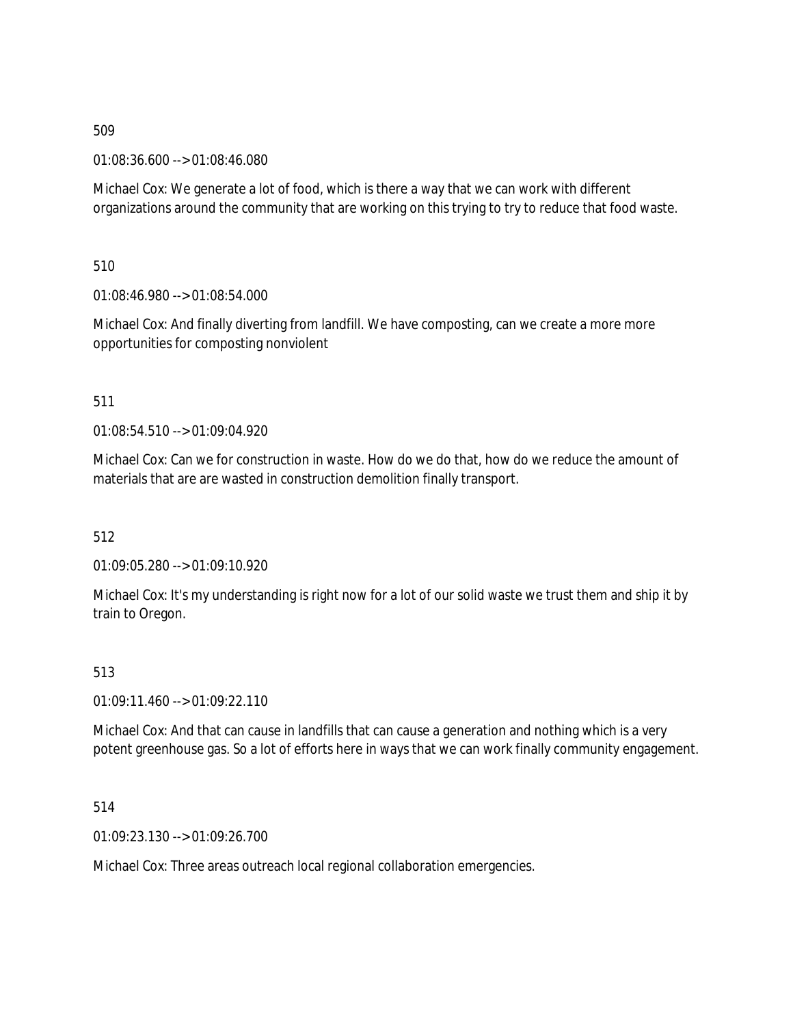01:08:36.600 --> 01:08:46.080

Michael Cox: We generate a lot of food, which is there a way that we can work with different organizations around the community that are working on this trying to try to reduce that food waste.

510

01:08:46.980 --> 01:08:54.000

Michael Cox: And finally diverting from landfill. We have composting, can we create a more more opportunities for composting nonviolent

#### 511

 $01:08:54.510 \rightarrow 01:09:04.920$ 

Michael Cox: Can we for construction in waste. How do we do that, how do we reduce the amount of materials that are are wasted in construction demolition finally transport.

512

01:09:05.280 --> 01:09:10.920

Michael Cox: It's my understanding is right now for a lot of our solid waste we trust them and ship it by train to Oregon.

# 513

 $01:09:11.460 \rightarrow 01:09:22.110$ 

Michael Cox: And that can cause in landfills that can cause a generation and nothing which is a very potent greenhouse gas. So a lot of efforts here in ways that we can work finally community engagement.

514

01:09:23.130 --> 01:09:26.700

Michael Cox: Three areas outreach local regional collaboration emergencies.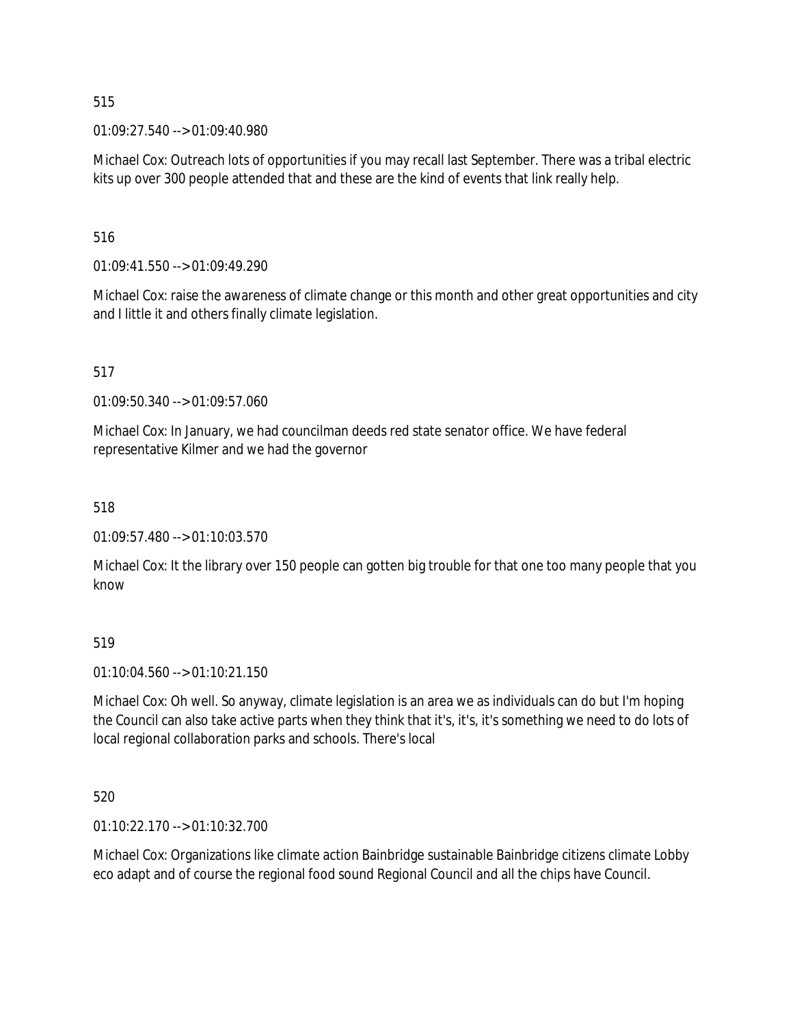01:09:27.540 --> 01:09:40.980

Michael Cox: Outreach lots of opportunities if you may recall last September. There was a tribal electric kits up over 300 people attended that and these are the kind of events that link really help.

516

01:09:41.550 --> 01:09:49.290

Michael Cox: raise the awareness of climate change or this month and other great opportunities and city and I little it and others finally climate legislation.

517

01:09:50.340 --> 01:09:57.060

Michael Cox: In January, we had councilman deeds red state senator office. We have federal representative Kilmer and we had the governor

518

01:09:57.480 --> 01:10:03.570

Michael Cox: It the library over 150 people can gotten big trouble for that one too many people that you know

519

01:10:04.560 --> 01:10:21.150

Michael Cox: Oh well. So anyway, climate legislation is an area we as individuals can do but I'm hoping the Council can also take active parts when they think that it's, it's, it's something we need to do lots of local regional collaboration parks and schools. There's local

520

01:10:22.170 --> 01:10:32.700

Michael Cox: Organizations like climate action Bainbridge sustainable Bainbridge citizens climate Lobby eco adapt and of course the regional food sound Regional Council and all the chips have Council.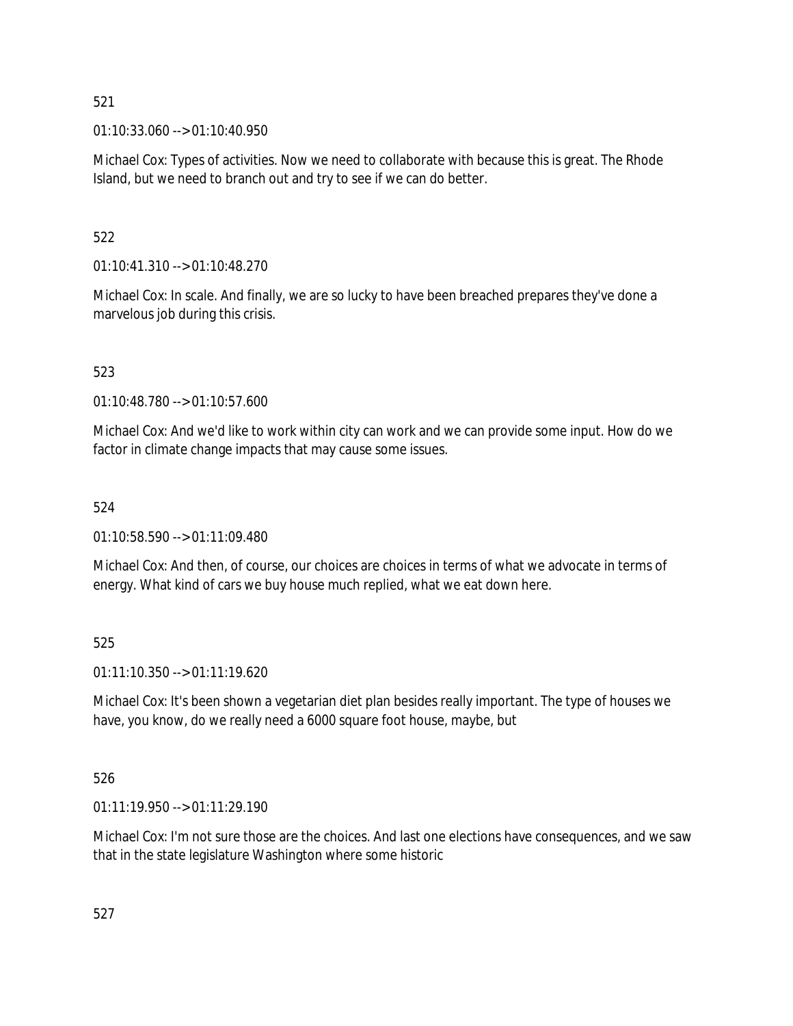01:10:33.060 --> 01:10:40.950

Michael Cox: Types of activities. Now we need to collaborate with because this is great. The Rhode Island, but we need to branch out and try to see if we can do better.

# 522

01:10:41.310 --> 01:10:48.270

Michael Cox: In scale. And finally, we are so lucky to have been breached prepares they've done a marvelous job during this crisis.

# 523

01:10:48.780 --> 01:10:57.600

Michael Cox: And we'd like to work within city can work and we can provide some input. How do we factor in climate change impacts that may cause some issues.

# 524

01:10:58.590 --> 01:11:09.480

Michael Cox: And then, of course, our choices are choices in terms of what we advocate in terms of energy. What kind of cars we buy house much replied, what we eat down here.

# 525

01:11:10.350 --> 01:11:19.620

Michael Cox: It's been shown a vegetarian diet plan besides really important. The type of houses we have, you know, do we really need a 6000 square foot house, maybe, but

# 526

01:11:19.950 --> 01:11:29.190

Michael Cox: I'm not sure those are the choices. And last one elections have consequences, and we saw that in the state legislature Washington where some historic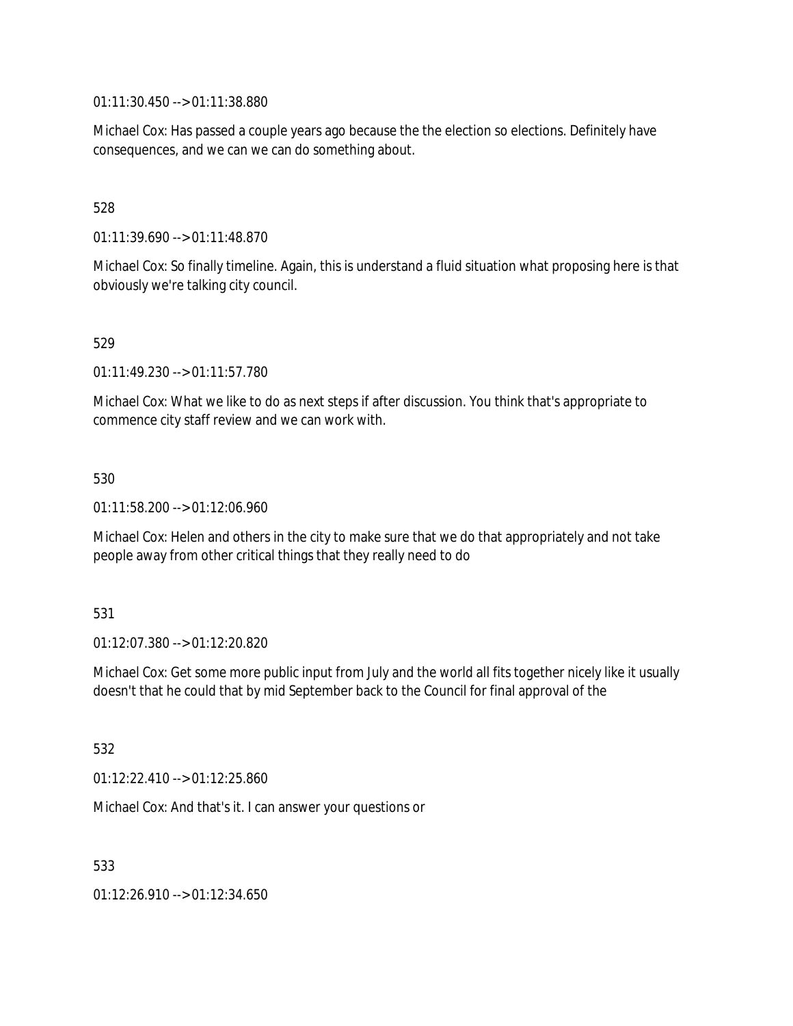01:11:30.450 --> 01:11:38.880

Michael Cox: Has passed a couple years ago because the the election so elections. Definitely have consequences, and we can we can do something about.

528

01:11:39.690 --> 01:11:48.870

Michael Cox: So finally timeline. Again, this is understand a fluid situation what proposing here is that obviously we're talking city council.

529

01:11:49.230 --> 01:11:57.780

Michael Cox: What we like to do as next steps if after discussion. You think that's appropriate to commence city staff review and we can work with.

530

01:11:58.200 --> 01:12:06.960

Michael Cox: Helen and others in the city to make sure that we do that appropriately and not take people away from other critical things that they really need to do

531

01:12:07.380 --> 01:12:20.820

Michael Cox: Get some more public input from July and the world all fits together nicely like it usually doesn't that he could that by mid September back to the Council for final approval of the

532

01:12:22.410 --> 01:12:25.860

Michael Cox: And that's it. I can answer your questions or

533

01:12:26.910 --> 01:12:34.650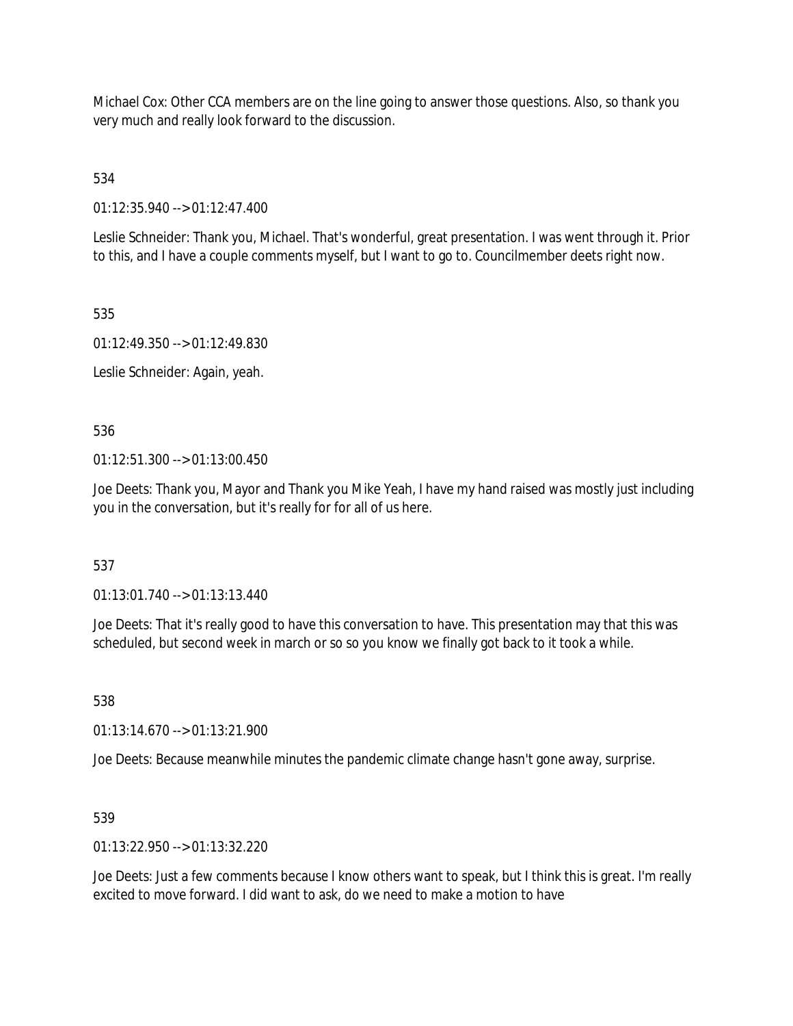Michael Cox: Other CCA members are on the line going to answer those questions. Also, so thank you very much and really look forward to the discussion.

534

01:12:35.940 --> 01:12:47.400

Leslie Schneider: Thank you, Michael. That's wonderful, great presentation. I was went through it. Prior to this, and I have a couple comments myself, but I want to go to. Councilmember deets right now.

535

01:12:49.350 --> 01:12:49.830

Leslie Schneider: Again, yeah.

536

01:12:51.300 --> 01:13:00.450

Joe Deets: Thank you, Mayor and Thank you Mike Yeah, I have my hand raised was mostly just including you in the conversation, but it's really for for all of us here.

537

01:13:01.740 --> 01:13:13.440

Joe Deets: That it's really good to have this conversation to have. This presentation may that this was scheduled, but second week in march or so so you know we finally got back to it took a while.

538

01:13:14.670 --> 01:13:21.900

Joe Deets: Because meanwhile minutes the pandemic climate change hasn't gone away, surprise.

539

01:13:22.950 --> 01:13:32.220

Joe Deets: Just a few comments because I know others want to speak, but I think this is great. I'm really excited to move forward. I did want to ask, do we need to make a motion to have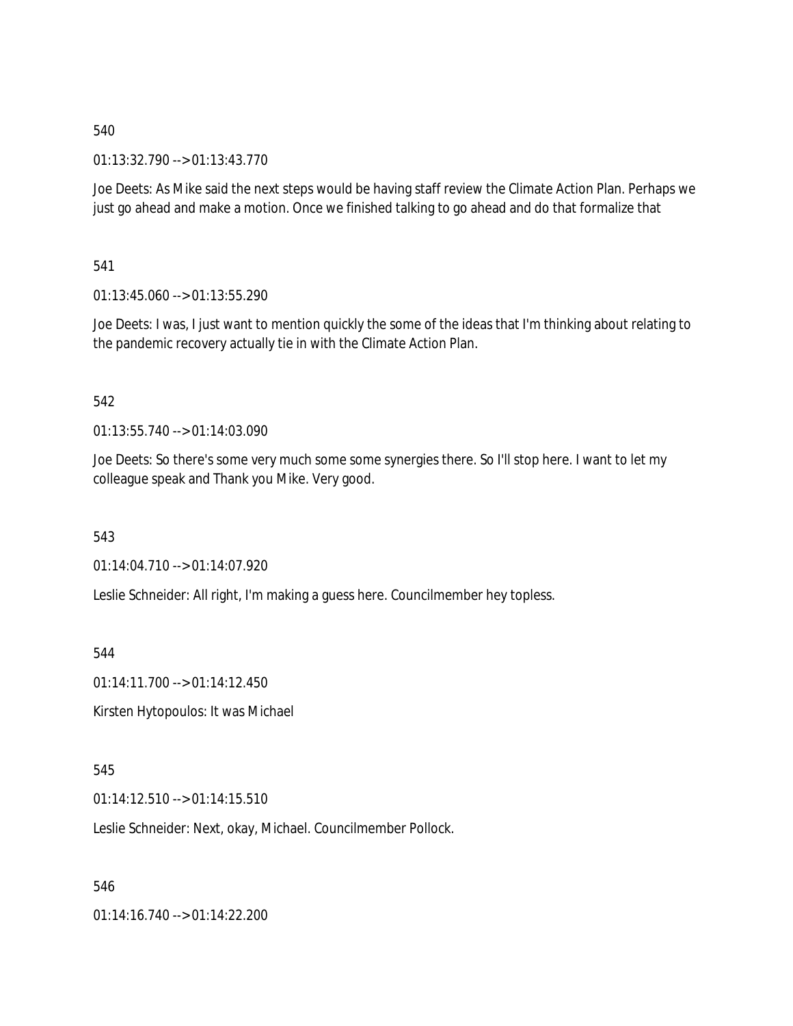01:13:32.790 --> 01:13:43.770

Joe Deets: As Mike said the next steps would be having staff review the Climate Action Plan. Perhaps we just go ahead and make a motion. Once we finished talking to go ahead and do that formalize that

541

01:13:45.060 --> 01:13:55.290

Joe Deets: I was, I just want to mention quickly the some of the ideas that I'm thinking about relating to the pandemic recovery actually tie in with the Climate Action Plan.

#### 542

01:13:55.740 --> 01:14:03.090

Joe Deets: So there's some very much some some synergies there. So I'll stop here. I want to let my colleague speak and Thank you Mike. Very good.

543

01:14:04.710 --> 01:14:07.920

Leslie Schneider: All right, I'm making a guess here. Councilmember hey topless.

544

01:14:11.700 --> 01:14:12.450

Kirsten Hytopoulos: It was Michael

545

01:14:12.510 --> 01:14:15.510

Leslie Schneider: Next, okay, Michael. Councilmember Pollock.

546

01:14:16.740 --> 01:14:22.200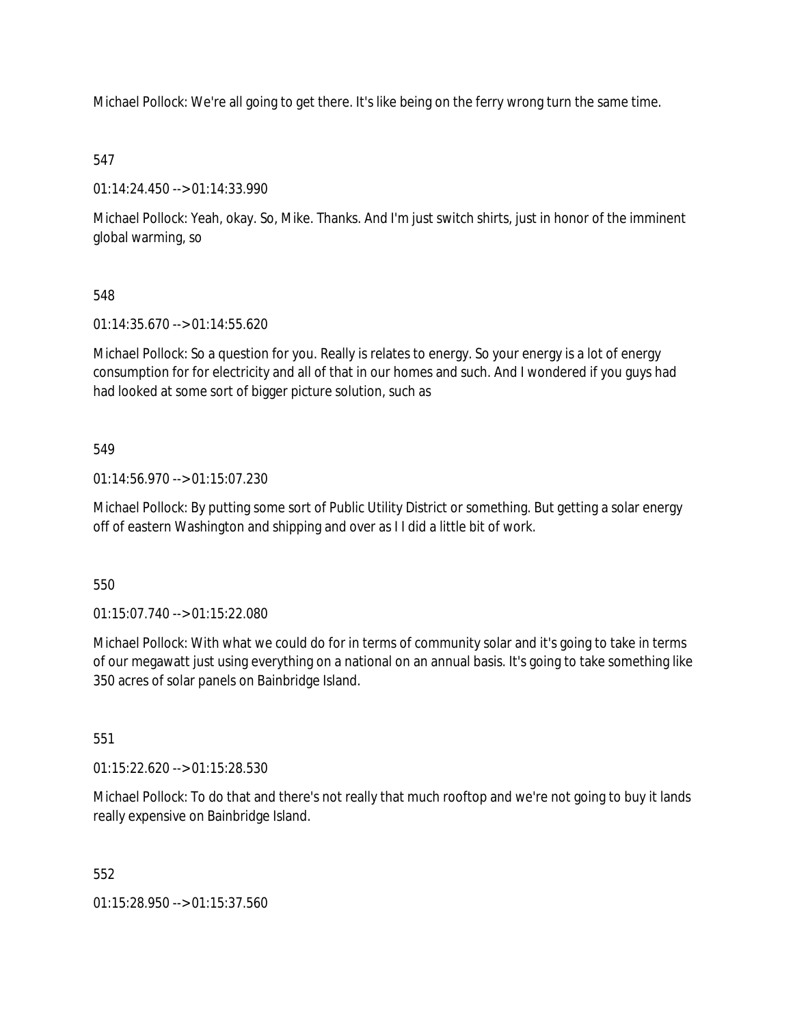Michael Pollock: We're all going to get there. It's like being on the ferry wrong turn the same time.

# 547

01:14:24.450 --> 01:14:33.990

Michael Pollock: Yeah, okay. So, Mike. Thanks. And I'm just switch shirts, just in honor of the imminent global warming, so

# 548

01:14:35.670 --> 01:14:55.620

Michael Pollock: So a question for you. Really is relates to energy. So your energy is a lot of energy consumption for for electricity and all of that in our homes and such. And I wondered if you guys had had looked at some sort of bigger picture solution, such as

# 549

01:14:56.970 --> 01:15:07.230

Michael Pollock: By putting some sort of Public Utility District or something. But getting a solar energy off of eastern Washington and shipping and over as I I did a little bit of work.

550

01:15:07.740 --> 01:15:22.080

Michael Pollock: With what we could do for in terms of community solar and it's going to take in terms of our megawatt just using everything on a national on an annual basis. It's going to take something like 350 acres of solar panels on Bainbridge Island.

551

01:15:22.620 --> 01:15:28.530

Michael Pollock: To do that and there's not really that much rooftop and we're not going to buy it lands really expensive on Bainbridge Island.

552

01:15:28.950 --> 01:15:37.560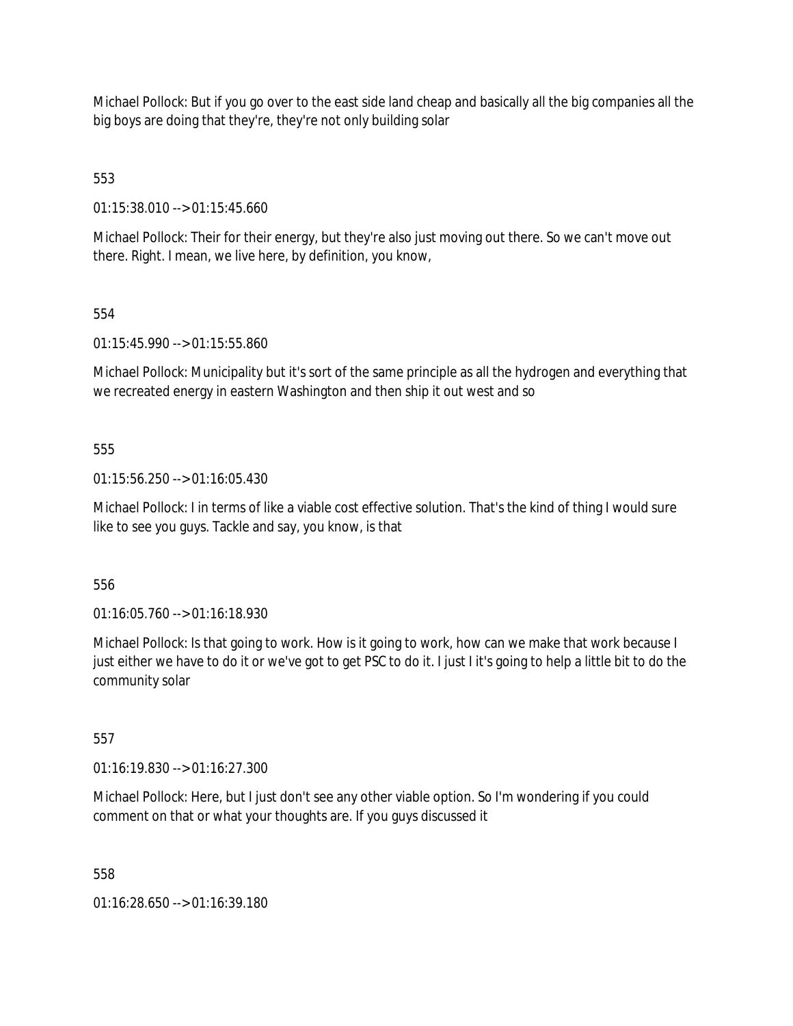Michael Pollock: But if you go over to the east side land cheap and basically all the big companies all the big boys are doing that they're, they're not only building solar

553

01:15:38.010 --> 01:15:45.660

Michael Pollock: Their for their energy, but they're also just moving out there. So we can't move out there. Right. I mean, we live here, by definition, you know,

# 554

01:15:45.990 --> 01:15:55.860

Michael Pollock: Municipality but it's sort of the same principle as all the hydrogen and everything that we recreated energy in eastern Washington and then ship it out west and so

# 555

01:15:56.250 --> 01:16:05.430

Michael Pollock: I in terms of like a viable cost effective solution. That's the kind of thing I would sure like to see you guys. Tackle and say, you know, is that

556

01:16:05.760 --> 01:16:18.930

Michael Pollock: Is that going to work. How is it going to work, how can we make that work because I just either we have to do it or we've got to get PSC to do it. I just I it's going to help a little bit to do the community solar

#### 557

01:16:19.830 --> 01:16:27.300

Michael Pollock: Here, but I just don't see any other viable option. So I'm wondering if you could comment on that or what your thoughts are. If you guys discussed it

558

01:16:28.650 --> 01:16:39.180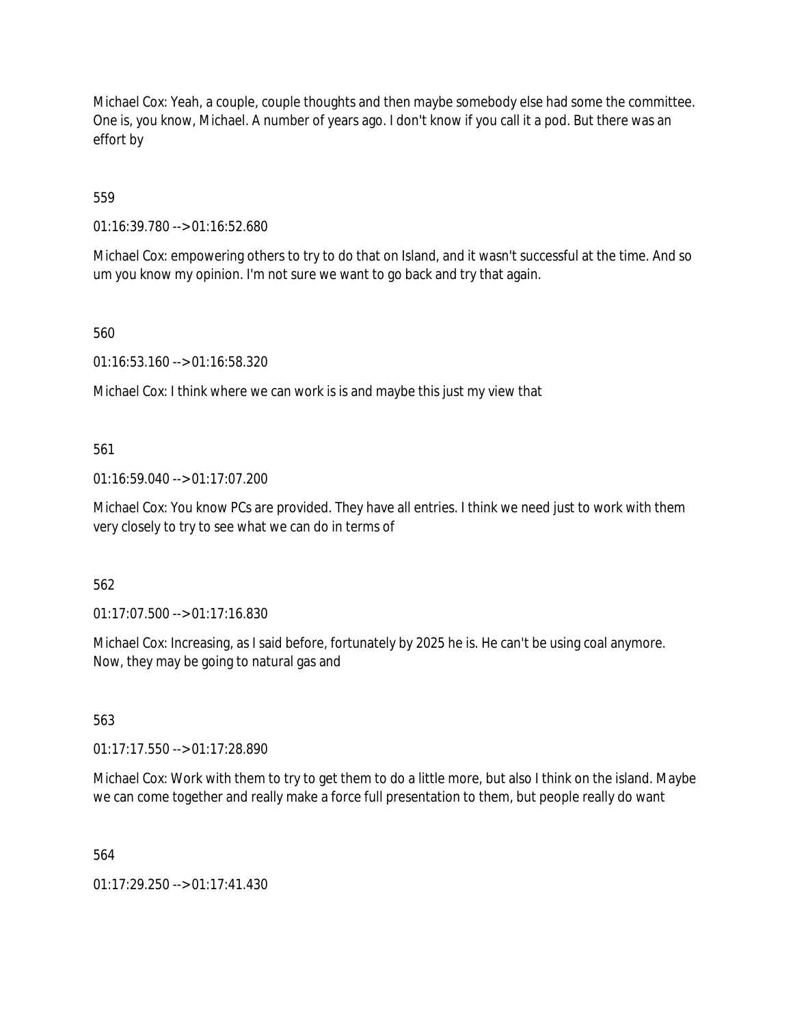Michael Cox: Yeah, a couple, couple thoughts and then maybe somebody else had some the committee. One is, you know, Michael. A number of years ago. I don't know if you call it a pod. But there was an effort by

559

01:16:39.780 --> 01:16:52.680

Michael Cox: empowering others to try to do that on Island, and it wasn't successful at the time. And so um you know my opinion. I'm not sure we want to go back and try that again.

560

01:16:53.160 --> 01:16:58.320

Michael Cox: I think where we can work is is and maybe this just my view that

561

01:16:59.040 --> 01:17:07.200

Michael Cox: You know PCs are provided. They have all entries. I think we need just to work with them very closely to try to see what we can do in terms of

562

01:17:07.500 --> 01:17:16.830

Michael Cox: Increasing, as I said before, fortunately by 2025 he is. He can't be using coal anymore. Now, they may be going to natural gas and

563

01:17:17.550 --> 01:17:28.890

Michael Cox: Work with them to try to get them to do a little more, but also I think on the island. Maybe we can come together and really make a force full presentation to them, but people really do want

564

01:17:29.250 --> 01:17:41.430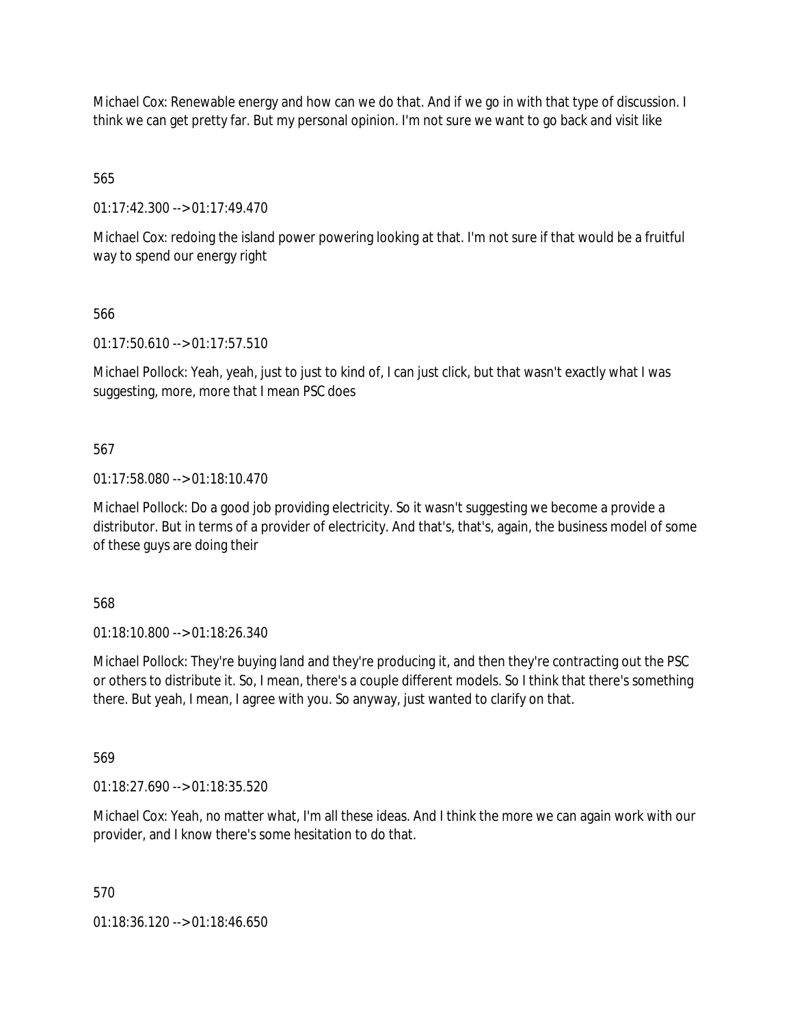Michael Cox: Renewable energy and how can we do that. And if we go in with that type of discussion. I think we can get pretty far. But my personal opinion. I'm not sure we want to go back and visit like

565

01:17:42.300 --> 01:17:49.470

Michael Cox: redoing the island power powering looking at that. I'm not sure if that would be a fruitful way to spend our energy right

566

01:17:50.610 --> 01:17:57.510

Michael Pollock: Yeah, yeah, just to just to kind of, I can just click, but that wasn't exactly what I was suggesting, more, more that I mean PSC does

567

01:17:58.080 --> 01:18:10.470

Michael Pollock: Do a good job providing electricity. So it wasn't suggesting we become a provide a distributor. But in terms of a provider of electricity. And that's, that's, again, the business model of some of these guys are doing their

568

01:18:10.800 --> 01:18:26.340

Michael Pollock: They're buying land and they're producing it, and then they're contracting out the PSC or others to distribute it. So, I mean, there's a couple different models. So I think that there's something there. But yeah, I mean, I agree with you. So anyway, just wanted to clarify on that.

569

01:18:27.690 --> 01:18:35.520

Michael Cox: Yeah, no matter what, I'm all these ideas. And I think the more we can again work with our provider, and I know there's some hesitation to do that.

570

01:18:36.120 --> 01:18:46.650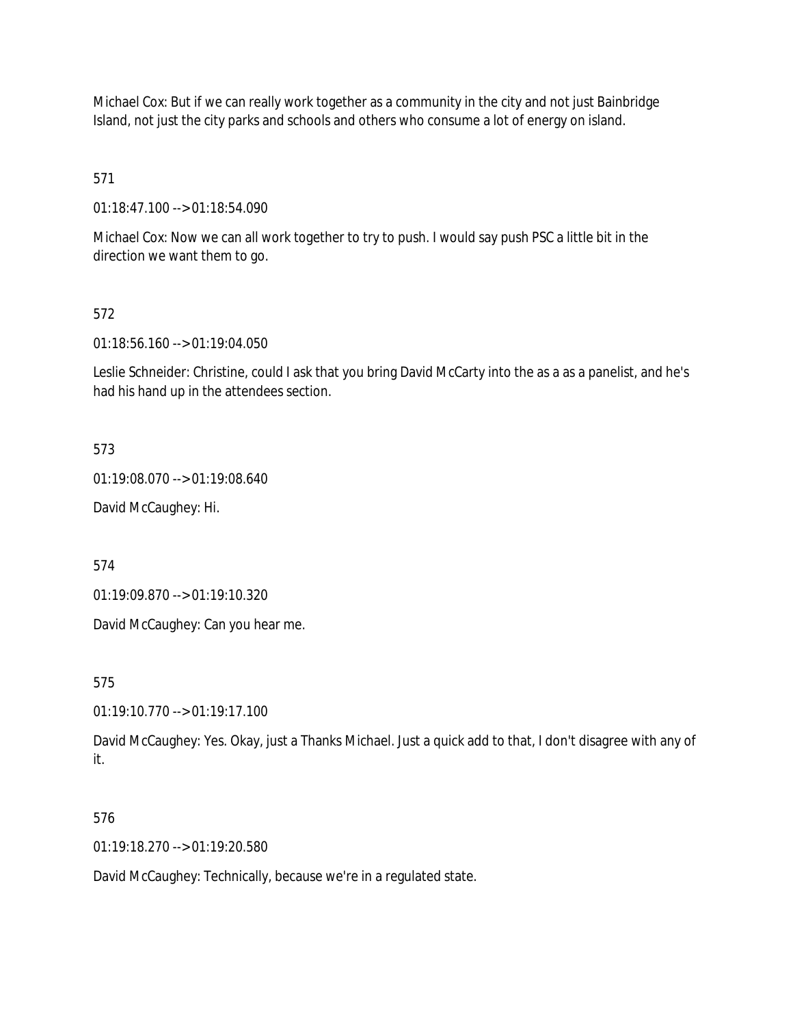Michael Cox: But if we can really work together as a community in the city and not just Bainbridge Island, not just the city parks and schools and others who consume a lot of energy on island.

571

01:18:47.100 --> 01:18:54.090

Michael Cox: Now we can all work together to try to push. I would say push PSC a little bit in the direction we want them to go.

# 572

01:18:56.160 --> 01:19:04.050

Leslie Schneider: Christine, could I ask that you bring David McCarty into the as a as a panelist, and he's had his hand up in the attendees section.

573

01:19:08.070 --> 01:19:08.640

David McCaughey: Hi.

574

01:19:09.870 --> 01:19:10.320

David McCaughey: Can you hear me.

575

01:19:10.770 --> 01:19:17.100

David McCaughey: Yes. Okay, just a Thanks Michael. Just a quick add to that, I don't disagree with any of it.

#### 576

01:19:18.270 --> 01:19:20.580

David McCaughey: Technically, because we're in a regulated state.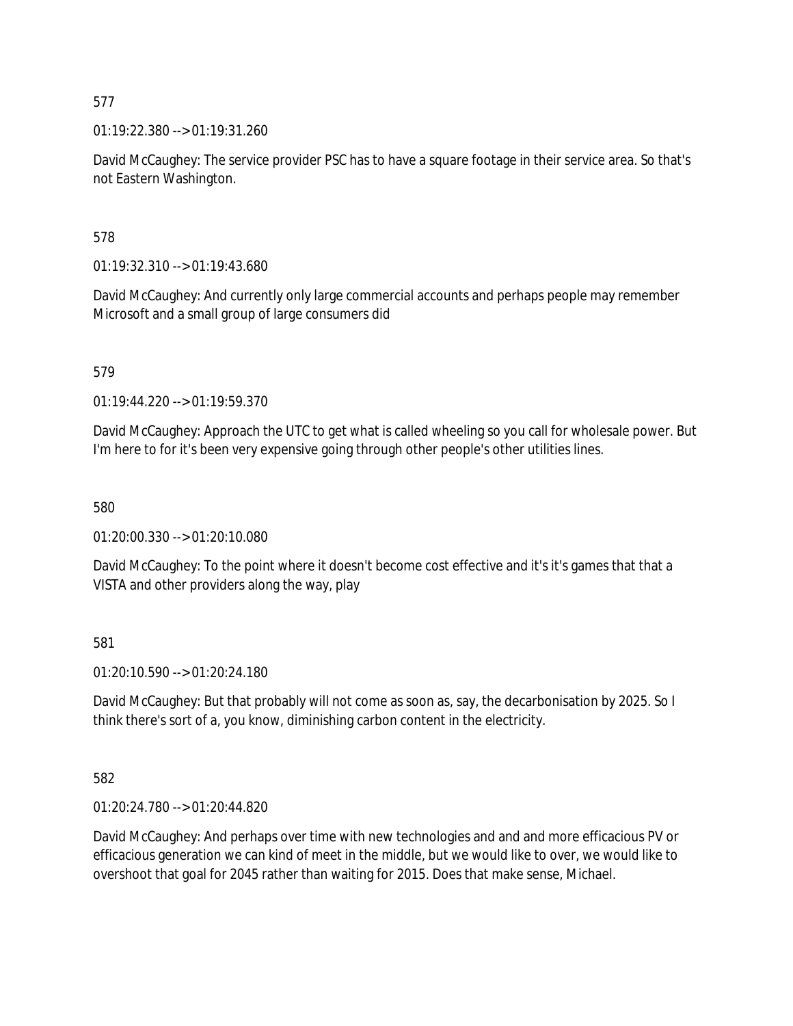01:19:22.380 --> 01:19:31.260

David McCaughey: The service provider PSC has to have a square footage in their service area. So that's not Eastern Washington.

578

01:19:32.310 --> 01:19:43.680

David McCaughey: And currently only large commercial accounts and perhaps people may remember Microsoft and a small group of large consumers did

579

01:19:44.220 --> 01:19:59.370

David McCaughey: Approach the UTC to get what is called wheeling so you call for wholesale power. But I'm here to for it's been very expensive going through other people's other utilities lines.

580

01:20:00.330 --> 01:20:10.080

David McCaughey: To the point where it doesn't become cost effective and it's it's games that that a VISTA and other providers along the way, play

581

01:20:10.590 --> 01:20:24.180

David McCaughey: But that probably will not come as soon as, say, the decarbonisation by 2025. So I think there's sort of a, you know, diminishing carbon content in the electricity.

582

01:20:24.780 --> 01:20:44.820

David McCaughey: And perhaps over time with new technologies and and and more efficacious PV or efficacious generation we can kind of meet in the middle, but we would like to over, we would like to overshoot that goal for 2045 rather than waiting for 2015. Does that make sense, Michael.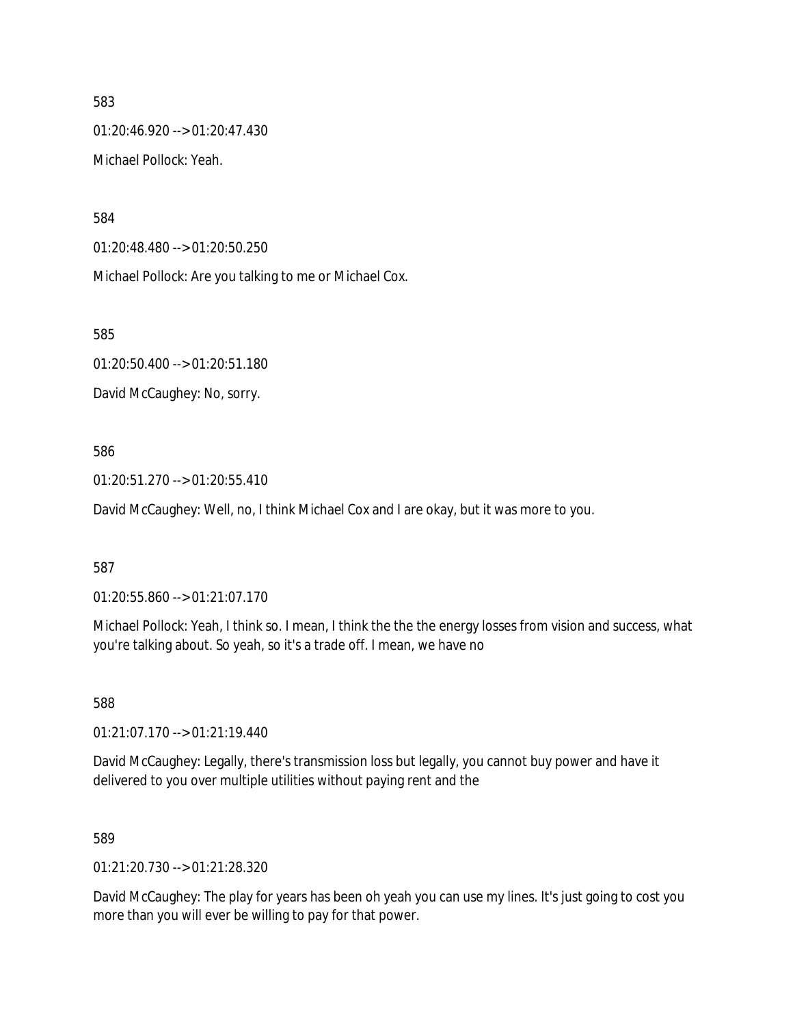01:20:46.920 --> 01:20:47.430 Michael Pollock: Yeah.

584

01:20:48.480 --> 01:20:50.250

Michael Pollock: Are you talking to me or Michael Cox.

585

01:20:50.400 --> 01:20:51.180

David McCaughey: No, sorry.

586

01:20:51.270 --> 01:20:55.410

David McCaughey: Well, no, I think Michael Cox and I are okay, but it was more to you.

587

01:20:55.860 --> 01:21:07.170

Michael Pollock: Yeah, I think so. I mean, I think the the the energy losses from vision and success, what you're talking about. So yeah, so it's a trade off. I mean, we have no

588

01:21:07.170 --> 01:21:19.440

David McCaughey: Legally, there's transmission loss but legally, you cannot buy power and have it delivered to you over multiple utilities without paying rent and the

589

01:21:20.730 --> 01:21:28.320

David McCaughey: The play for years has been oh yeah you can use my lines. It's just going to cost you more than you will ever be willing to pay for that power.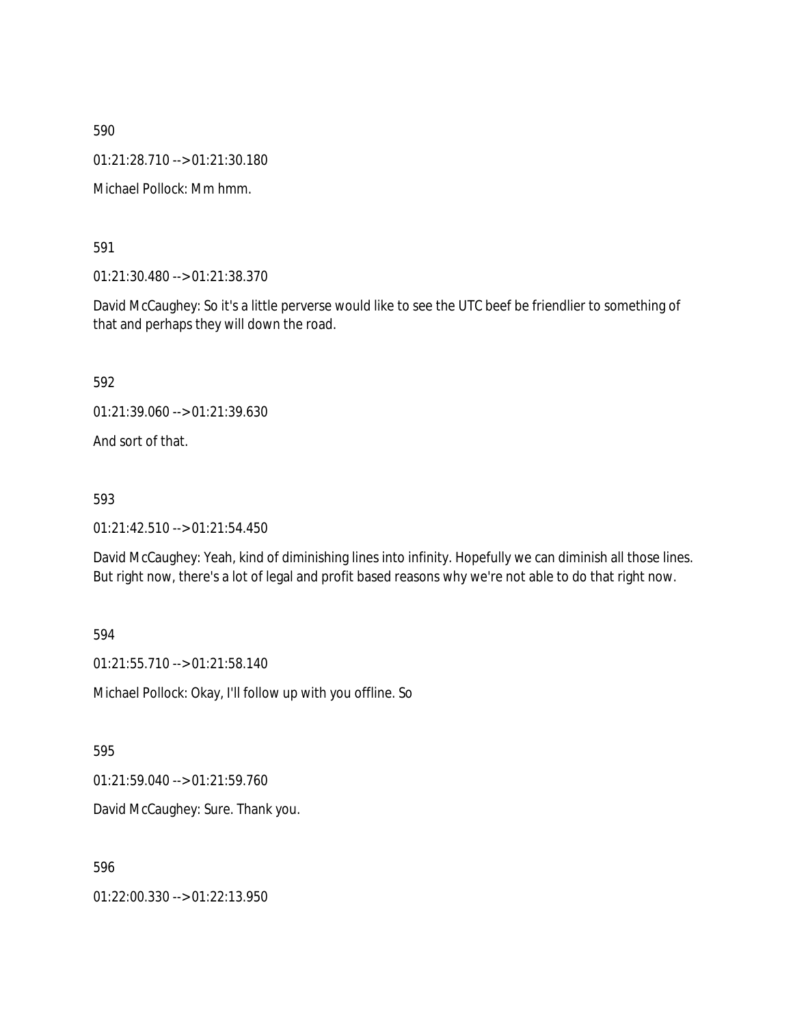01:21:28.710 --> 01:21:30.180

Michael Pollock: Mm hmm.

591

01:21:30.480 --> 01:21:38.370

David McCaughey: So it's a little perverse would like to see the UTC beef be friendlier to something of that and perhaps they will down the road.

592

01:21:39.060 --> 01:21:39.630

And sort of that.

593

01:21:42.510 --> 01:21:54.450

David McCaughey: Yeah, kind of diminishing lines into infinity. Hopefully we can diminish all those lines. But right now, there's a lot of legal and profit based reasons why we're not able to do that right now.

594

01:21:55.710 --> 01:21:58.140

Michael Pollock: Okay, I'll follow up with you offline. So

595

01:21:59.040 --> 01:21:59.760

David McCaughey: Sure. Thank you.

596

01:22:00.330 --> 01:22:13.950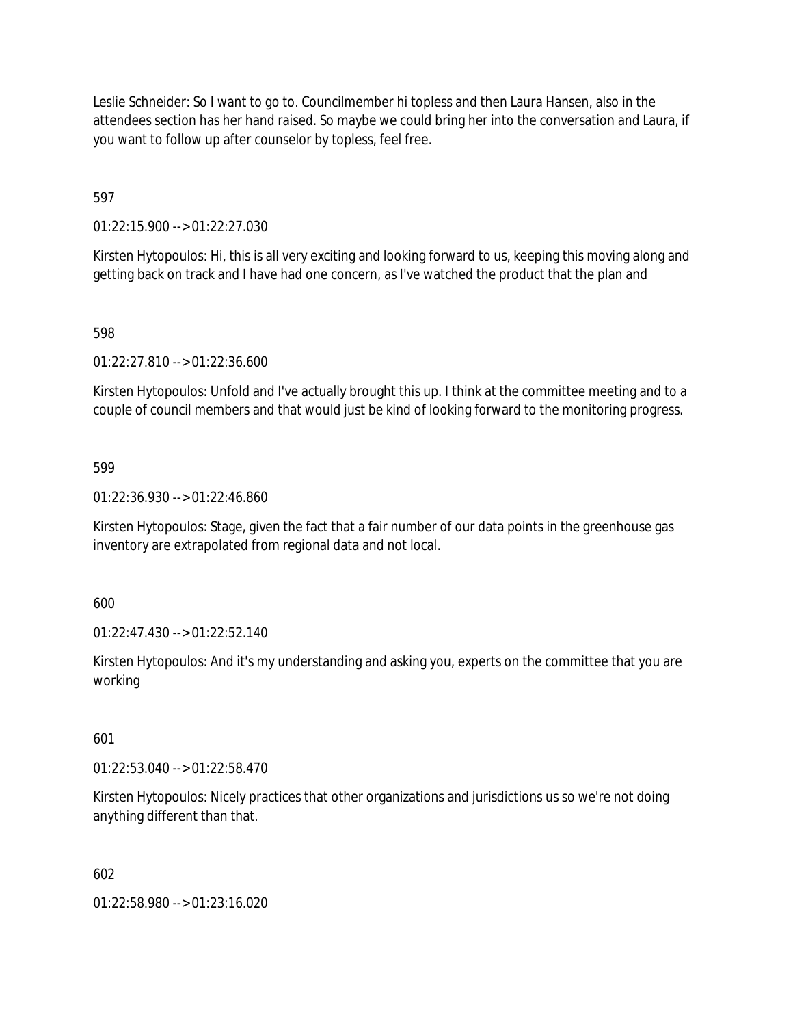Leslie Schneider: So I want to go to. Councilmember hi topless and then Laura Hansen, also in the attendees section has her hand raised. So maybe we could bring her into the conversation and Laura, if you want to follow up after counselor by topless, feel free.

597

01:22:15.900 --> 01:22:27.030

Kirsten Hytopoulos: Hi, this is all very exciting and looking forward to us, keeping this moving along and getting back on track and I have had one concern, as I've watched the product that the plan and

#### 598

01:22:27.810 --> 01:22:36.600

Kirsten Hytopoulos: Unfold and I've actually brought this up. I think at the committee meeting and to a couple of council members and that would just be kind of looking forward to the monitoring progress.

#### 599

01:22:36.930 --> 01:22:46.860

Kirsten Hytopoulos: Stage, given the fact that a fair number of our data points in the greenhouse gas inventory are extrapolated from regional data and not local.

600

01:22:47.430 --> 01:22:52.140

Kirsten Hytopoulos: And it's my understanding and asking you, experts on the committee that you are working

601

01:22:53.040 --> 01:22:58.470

Kirsten Hytopoulos: Nicely practices that other organizations and jurisdictions us so we're not doing anything different than that.

602

01:22:58.980 --> 01:23:16.020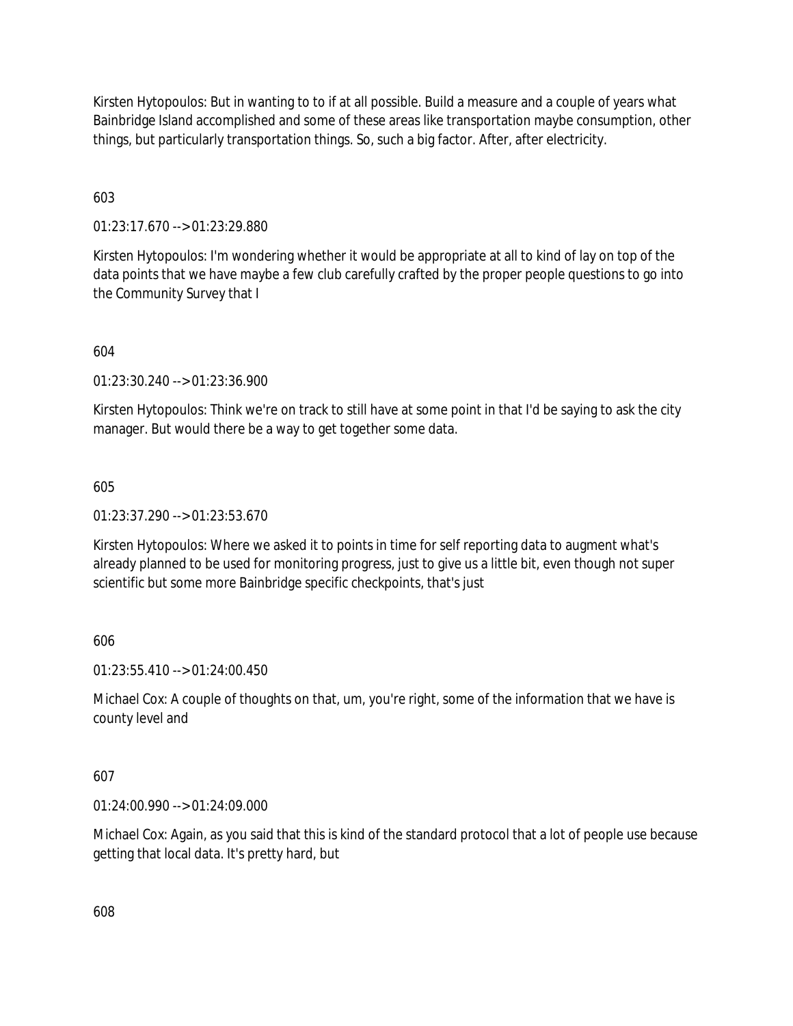Kirsten Hytopoulos: But in wanting to to if at all possible. Build a measure and a couple of years what Bainbridge Island accomplished and some of these areas like transportation maybe consumption, other things, but particularly transportation things. So, such a big factor. After, after electricity.

603

01:23:17.670 --> 01:23:29.880

Kirsten Hytopoulos: I'm wondering whether it would be appropriate at all to kind of lay on top of the data points that we have maybe a few club carefully crafted by the proper people questions to go into the Community Survey that I

604

01:23:30.240 --> 01:23:36.900

Kirsten Hytopoulos: Think we're on track to still have at some point in that I'd be saying to ask the city manager. But would there be a way to get together some data.

605

01:23:37.290 --> 01:23:53.670

Kirsten Hytopoulos: Where we asked it to points in time for self reporting data to augment what's already planned to be used for monitoring progress, just to give us a little bit, even though not super scientific but some more Bainbridge specific checkpoints, that's just

606

01:23:55.410 --> 01:24:00.450

Michael Cox: A couple of thoughts on that, um, you're right, some of the information that we have is county level and

607

01:24:00.990 --> 01:24:09.000

Michael Cox: Again, as you said that this is kind of the standard protocol that a lot of people use because getting that local data. It's pretty hard, but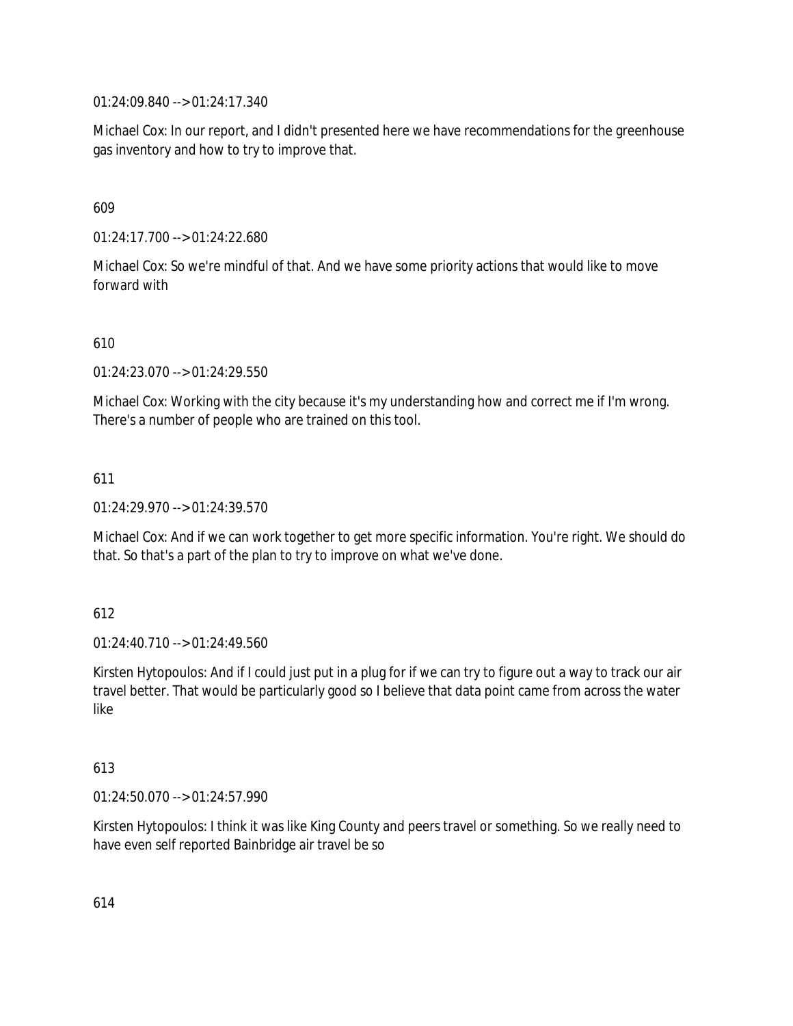01:24:09.840 --> 01:24:17.340

Michael Cox: In our report, and I didn't presented here we have recommendations for the greenhouse gas inventory and how to try to improve that.

609

01:24:17.700 --> 01:24:22.680

Michael Cox: So we're mindful of that. And we have some priority actions that would like to move forward with

610

01:24:23.070 --> 01:24:29.550

Michael Cox: Working with the city because it's my understanding how and correct me if I'm wrong. There's a number of people who are trained on this tool.

611

01:24:29.970 --> 01:24:39.570

Michael Cox: And if we can work together to get more specific information. You're right. We should do that. So that's a part of the plan to try to improve on what we've done.

612

01:24:40.710 --> 01:24:49.560

Kirsten Hytopoulos: And if I could just put in a plug for if we can try to figure out a way to track our air travel better. That would be particularly good so I believe that data point came from across the water like

613

01:24:50.070 --> 01:24:57.990

Kirsten Hytopoulos: I think it was like King County and peers travel or something. So we really need to have even self reported Bainbridge air travel be so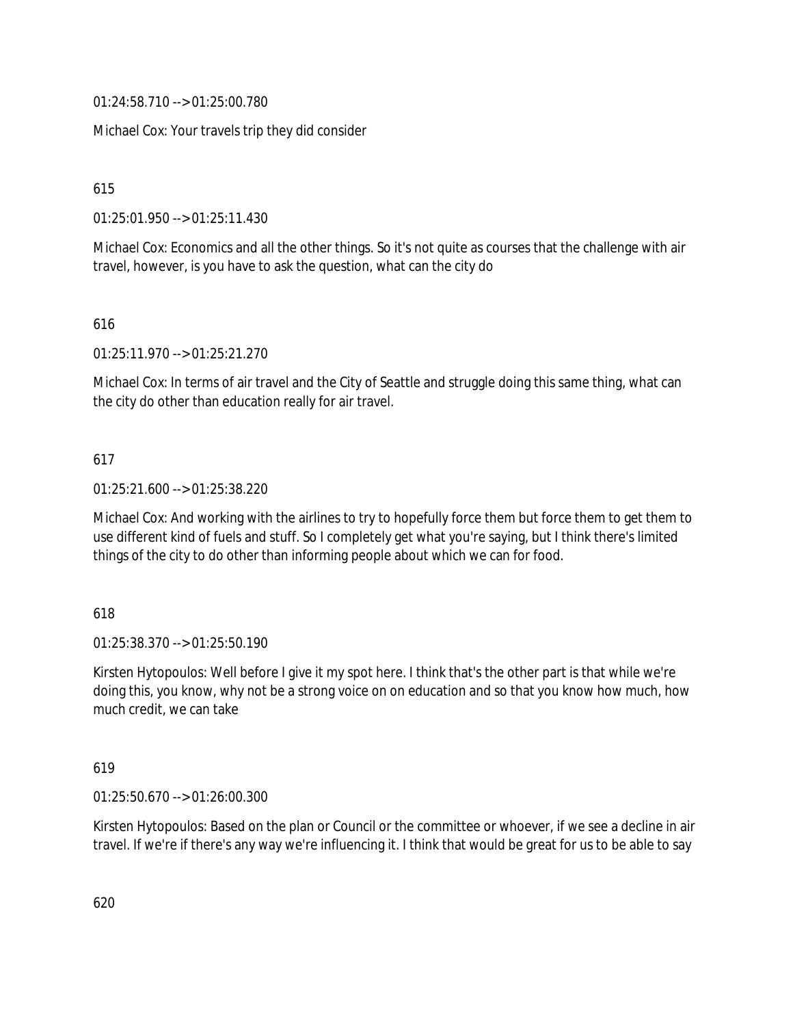01:24:58.710 --> 01:25:00.780

Michael Cox: Your travels trip they did consider

615

01:25:01.950 --> 01:25:11.430

Michael Cox: Economics and all the other things. So it's not quite as courses that the challenge with air travel, however, is you have to ask the question, what can the city do

616

01:25:11.970 --> 01:25:21.270

Michael Cox: In terms of air travel and the City of Seattle and struggle doing this same thing, what can the city do other than education really for air travel.

# 617

01:25:21.600 --> 01:25:38.220

Michael Cox: And working with the airlines to try to hopefully force them but force them to get them to use different kind of fuels and stuff. So I completely get what you're saying, but I think there's limited things of the city to do other than informing people about which we can for food.

618

01:25:38.370 --> 01:25:50.190

Kirsten Hytopoulos: Well before I give it my spot here. I think that's the other part is that while we're doing this, you know, why not be a strong voice on on education and so that you know how much, how much credit, we can take

619

01:25:50.670 --> 01:26:00.300

Kirsten Hytopoulos: Based on the plan or Council or the committee or whoever, if we see a decline in air travel. If we're if there's any way we're influencing it. I think that would be great for us to be able to say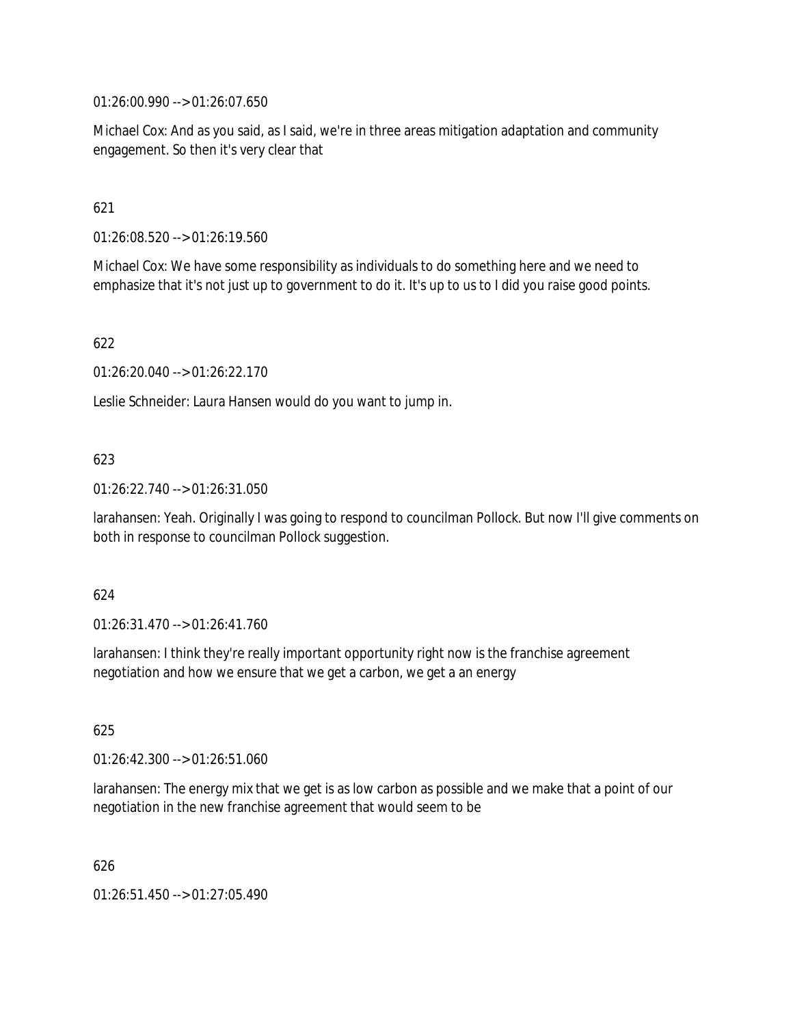01:26:00.990 --> 01:26:07.650

Michael Cox: And as you said, as I said, we're in three areas mitigation adaptation and community engagement. So then it's very clear that

# 621

01:26:08.520 --> 01:26:19.560

Michael Cox: We have some responsibility as individuals to do something here and we need to emphasize that it's not just up to government to do it. It's up to us to I did you raise good points.

# 622

01:26:20.040 --> 01:26:22.170

Leslie Schneider: Laura Hansen would do you want to jump in.

# 623

01:26:22.740 --> 01:26:31.050

larahansen: Yeah. Originally I was going to respond to councilman Pollock. But now I'll give comments on both in response to councilman Pollock suggestion.

#### 624

01:26:31.470 --> 01:26:41.760

larahansen: I think they're really important opportunity right now is the franchise agreement negotiation and how we ensure that we get a carbon, we get a an energy

#### 625

01:26:42.300 --> 01:26:51.060

larahansen: The energy mix that we get is as low carbon as possible and we make that a point of our negotiation in the new franchise agreement that would seem to be

626

01:26:51.450 --> 01:27:05.490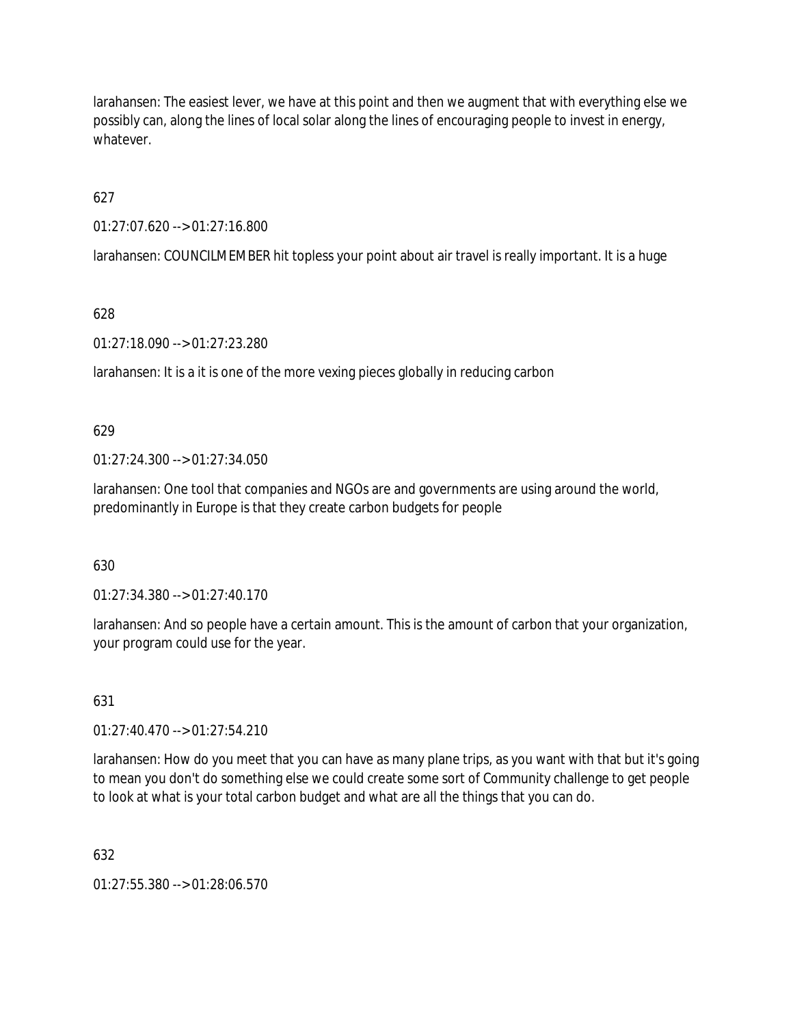larahansen: The easiest lever, we have at this point and then we augment that with everything else we possibly can, along the lines of local solar along the lines of encouraging people to invest in energy, whatever.

627

01:27:07.620 --> 01:27:16.800

larahansen: COUNCILMEMBER hit topless your point about air travel is really important. It is a huge

628

01:27:18.090 --> 01:27:23.280

larahansen: It is a it is one of the more vexing pieces globally in reducing carbon

629

01:27:24.300 --> 01:27:34.050

larahansen: One tool that companies and NGOs are and governments are using around the world, predominantly in Europe is that they create carbon budgets for people

630

01:27:34.380 --> 01:27:40.170

larahansen: And so people have a certain amount. This is the amount of carbon that your organization, your program could use for the year.

631

01:27:40.470 --> 01:27:54.210

larahansen: How do you meet that you can have as many plane trips, as you want with that but it's going to mean you don't do something else we could create some sort of Community challenge to get people to look at what is your total carbon budget and what are all the things that you can do.

632

01:27:55.380 --> 01:28:06.570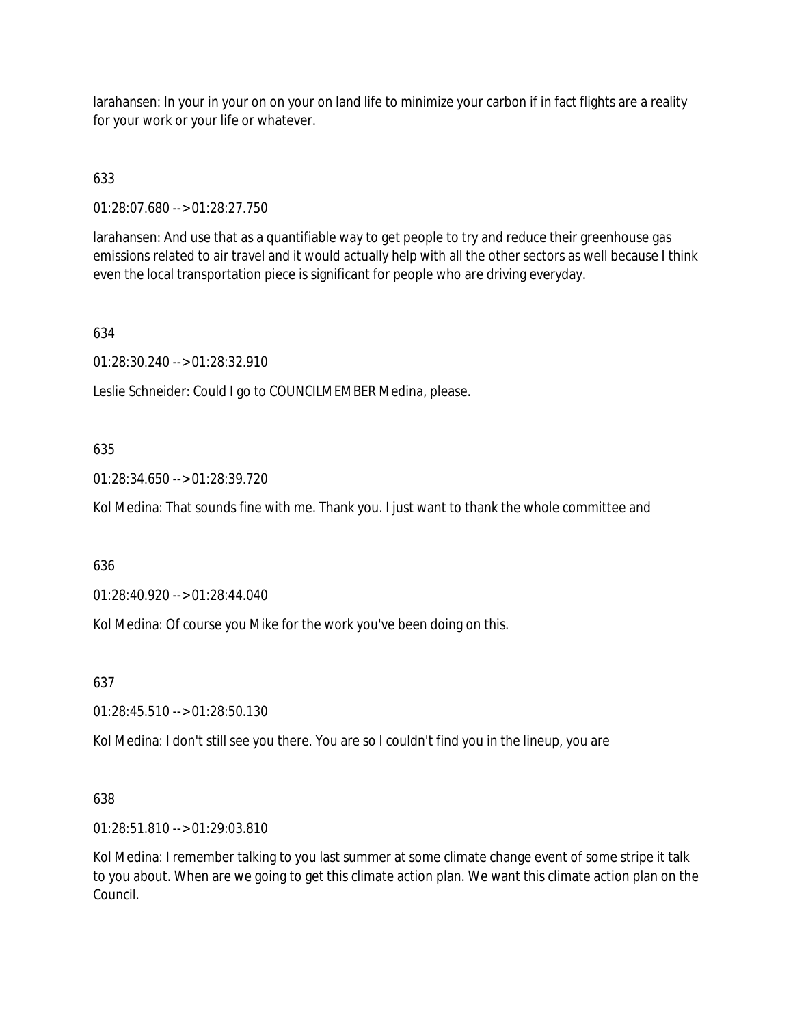larahansen: In your in your on on your on land life to minimize your carbon if in fact flights are a reality for your work or your life or whatever.

# 633

01:28:07.680 --> 01:28:27.750

larahansen: And use that as a quantifiable way to get people to try and reduce their greenhouse gas emissions related to air travel and it would actually help with all the other sectors as well because I think even the local transportation piece is significant for people who are driving everyday.

# 634

01:28:30.240 --> 01:28:32.910

Leslie Schneider: Could I go to COUNCILMEMBER Medina, please.

# 635

01:28:34.650 --> 01:28:39.720

Kol Medina: That sounds fine with me. Thank you. I just want to thank the whole committee and

# 636

01:28:40.920 --> 01:28:44.040

Kol Medina: Of course you Mike for the work you've been doing on this.

637

01:28:45.510 --> 01:28:50.130

Kol Medina: I don't still see you there. You are so I couldn't find you in the lineup, you are

# 638

01:28:51.810 --> 01:29:03.810

Kol Medina: I remember talking to you last summer at some climate change event of some stripe it talk to you about. When are we going to get this climate action plan. We want this climate action plan on the Council.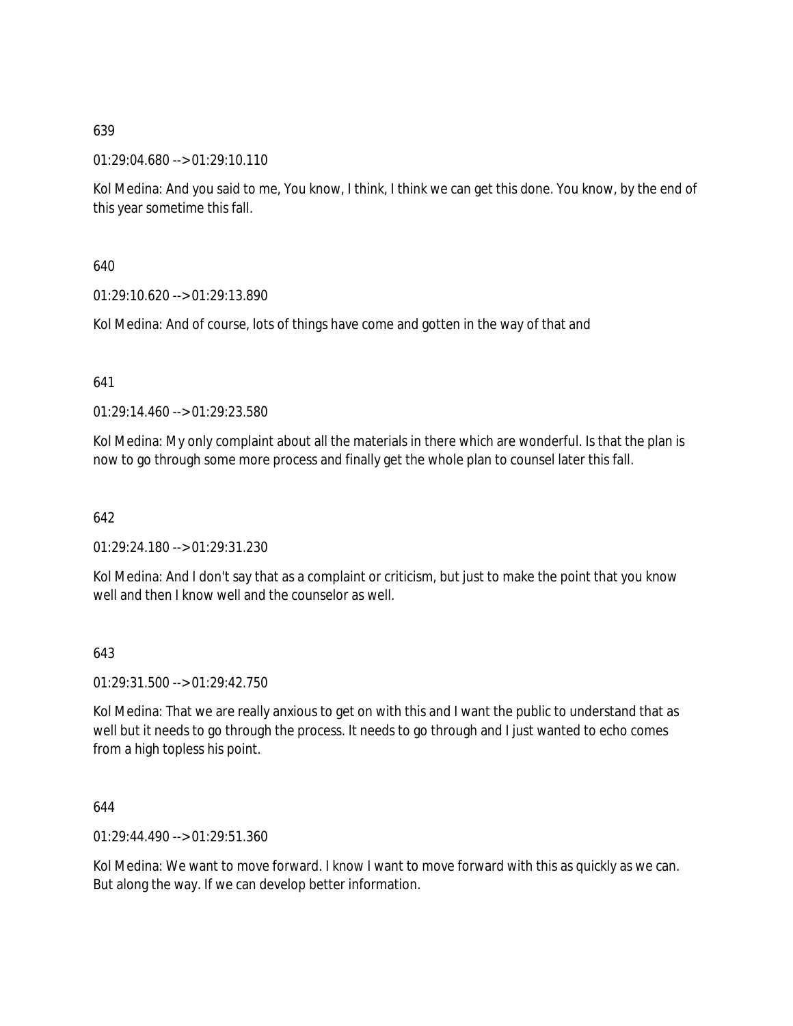01:29:04.680 --> 01:29:10.110

Kol Medina: And you said to me, You know, I think, I think we can get this done. You know, by the end of this year sometime this fall.

640

01:29:10.620 --> 01:29:13.890

Kol Medina: And of course, lots of things have come and gotten in the way of that and

641

01:29:14.460 --> 01:29:23.580

Kol Medina: My only complaint about all the materials in there which are wonderful. Is that the plan is now to go through some more process and finally get the whole plan to counsel later this fall.

642

01:29:24.180 --> 01:29:31.230

Kol Medina: And I don't say that as a complaint or criticism, but just to make the point that you know well and then I know well and the counselor as well.

643

01:29:31.500 --> 01:29:42.750

Kol Medina: That we are really anxious to get on with this and I want the public to understand that as well but it needs to go through the process. It needs to go through and I just wanted to echo comes from a high topless his point.

644

01:29:44.490 --> 01:29:51.360

Kol Medina: We want to move forward. I know I want to move forward with this as quickly as we can. But along the way. If we can develop better information.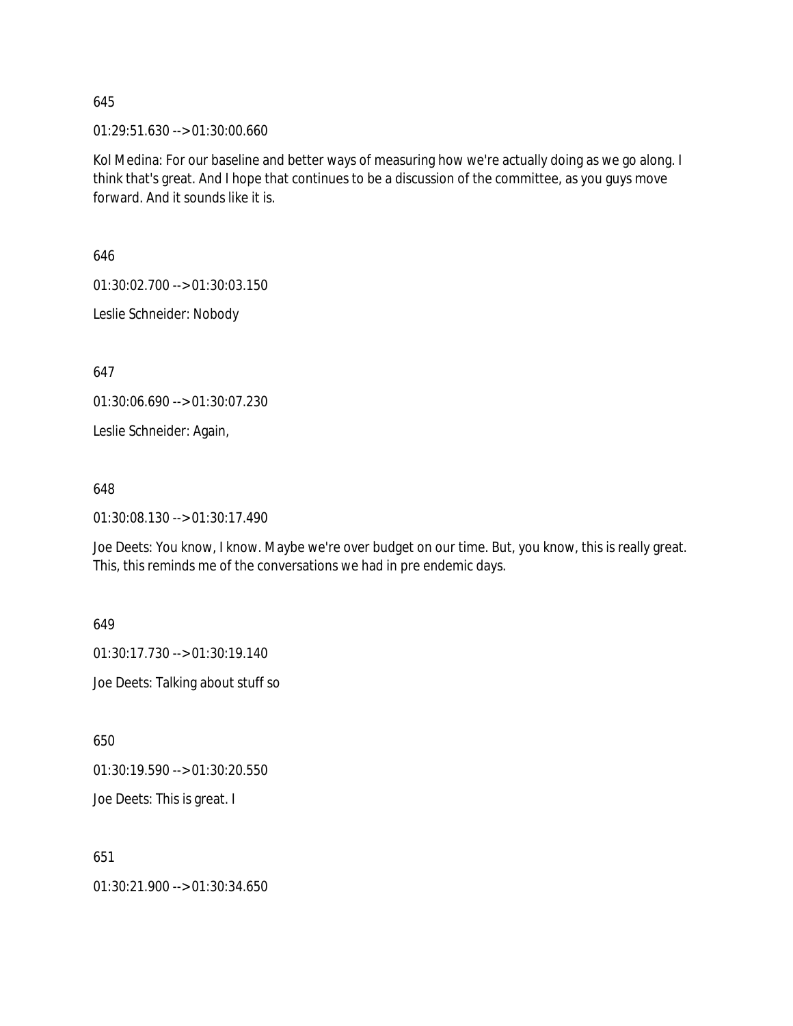01:29:51.630 --> 01:30:00.660

Kol Medina: For our baseline and better ways of measuring how we're actually doing as we go along. I think that's great. And I hope that continues to be a discussion of the committee, as you guys move forward. And it sounds like it is.

646

01:30:02.700 --> 01:30:03.150

Leslie Schneider: Nobody

647

01:30:06.690 --> 01:30:07.230

Leslie Schneider: Again,

#### 648

01:30:08.130 --> 01:30:17.490

Joe Deets: You know, I know. Maybe we're over budget on our time. But, you know, this is really great. This, this reminds me of the conversations we had in pre endemic days.

649

01:30:17.730 --> 01:30:19.140

Joe Deets: Talking about stuff so

650

01:30:19.590 --> 01:30:20.550

Joe Deets: This is great. I

651

01:30:21.900 --> 01:30:34.650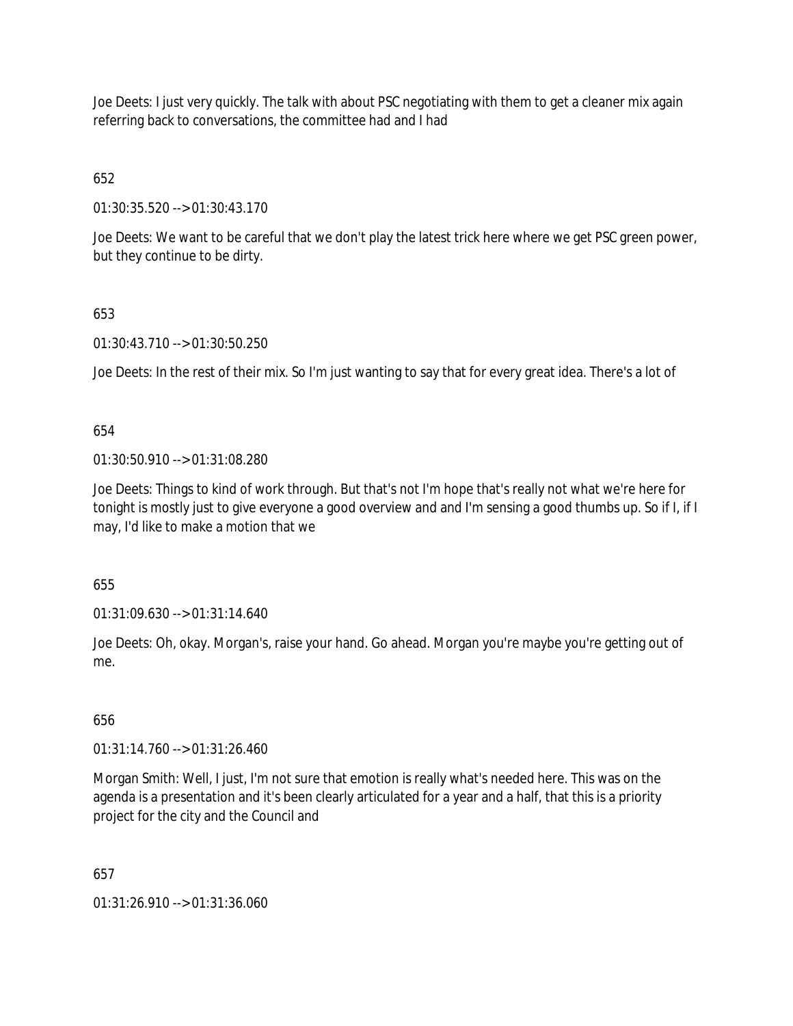Joe Deets: I just very quickly. The talk with about PSC negotiating with them to get a cleaner mix again referring back to conversations, the committee had and I had

652

01:30:35.520 --> 01:30:43.170

Joe Deets: We want to be careful that we don't play the latest trick here where we get PSC green power, but they continue to be dirty.

# 653

01:30:43.710 --> 01:30:50.250

Joe Deets: In the rest of their mix. So I'm just wanting to say that for every great idea. There's a lot of

654

01:30:50.910 --> 01:31:08.280

Joe Deets: Things to kind of work through. But that's not I'm hope that's really not what we're here for tonight is mostly just to give everyone a good overview and and I'm sensing a good thumbs up. So if I, if I may, I'd like to make a motion that we

655

01:31:09.630 --> 01:31:14.640

Joe Deets: Oh, okay. Morgan's, raise your hand. Go ahead. Morgan you're maybe you're getting out of me.

# 656

01:31:14.760 --> 01:31:26.460

Morgan Smith: Well, I just, I'm not sure that emotion is really what's needed here. This was on the agenda is a presentation and it's been clearly articulated for a year and a half, that this is a priority project for the city and the Council and

657

01:31:26.910 --> 01:31:36.060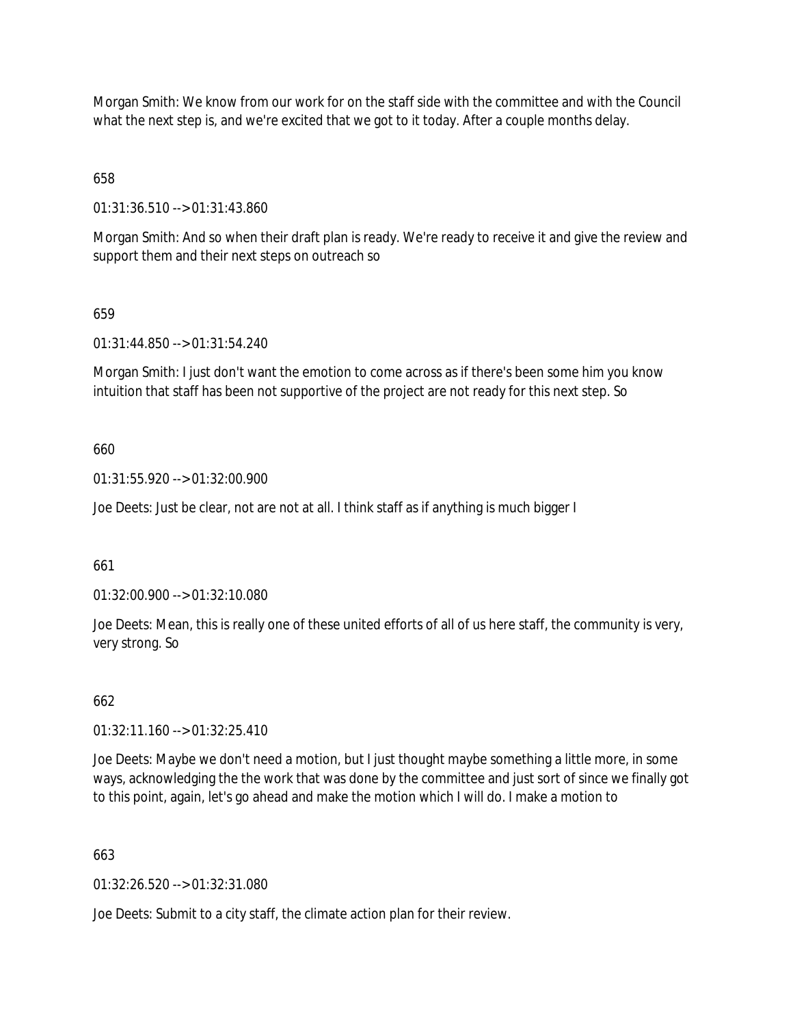Morgan Smith: We know from our work for on the staff side with the committee and with the Council what the next step is, and we're excited that we got to it today. After a couple months delay.

658

01:31:36.510 --> 01:31:43.860

Morgan Smith: And so when their draft plan is ready. We're ready to receive it and give the review and support them and their next steps on outreach so

# 659

01:31:44.850 --> 01:31:54.240

Morgan Smith: I just don't want the emotion to come across as if there's been some him you know intuition that staff has been not supportive of the project are not ready for this next step. So

# 660

01:31:55.920 --> 01:32:00.900

Joe Deets: Just be clear, not are not at all. I think staff as if anything is much bigger I

661

01:32:00.900 --> 01:32:10.080

Joe Deets: Mean, this is really one of these united efforts of all of us here staff, the community is very, very strong. So

# 662

01:32:11.160 --> 01:32:25.410

Joe Deets: Maybe we don't need a motion, but I just thought maybe something a little more, in some ways, acknowledging the the work that was done by the committee and just sort of since we finally got to this point, again, let's go ahead and make the motion which I will do. I make a motion to

# 663

01:32:26.520 --> 01:32:31.080

Joe Deets: Submit to a city staff, the climate action plan for their review.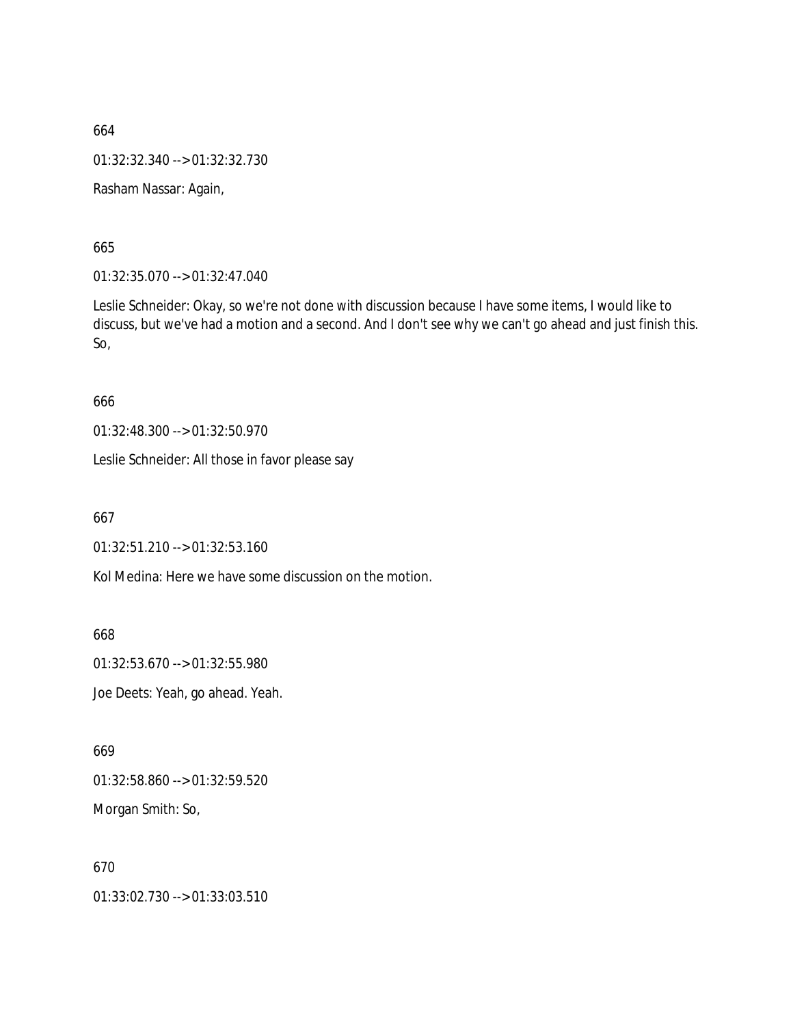664 01:32:32.340 --> 01:32:32.730 Rasham Nassar: Again,

665

01:32:35.070 --> 01:32:47.040

Leslie Schneider: Okay, so we're not done with discussion because I have some items, I would like to discuss, but we've had a motion and a second. And I don't see why we can't go ahead and just finish this. So,

666

01:32:48.300 --> 01:32:50.970

Leslie Schneider: All those in favor please say

667

01:32:51.210 --> 01:32:53.160

Kol Medina: Here we have some discussion on the motion.

668

01:32:53.670 --> 01:32:55.980

Joe Deets: Yeah, go ahead. Yeah.

669

01:32:58.860 --> 01:32:59.520

Morgan Smith: So,

670

01:33:02.730 --> 01:33:03.510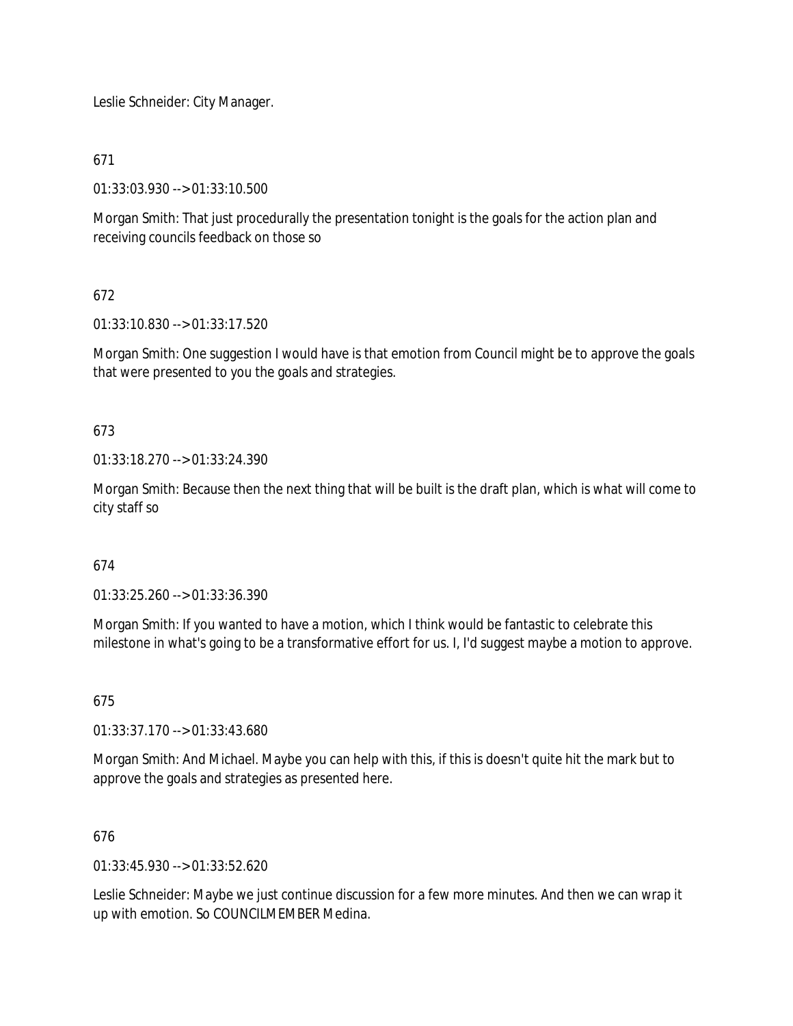Leslie Schneider: City Manager.

# 671

01:33:03.930 --> 01:33:10.500

Morgan Smith: That just procedurally the presentation tonight is the goals for the action plan and receiving councils feedback on those so

# 672

01:33:10.830 --> 01:33:17.520

Morgan Smith: One suggestion I would have is that emotion from Council might be to approve the goals that were presented to you the goals and strategies.

# 673

01:33:18.270 --> 01:33:24.390

Morgan Smith: Because then the next thing that will be built is the draft plan, which is what will come to city staff so

# 674

01:33:25.260 --> 01:33:36.390

Morgan Smith: If you wanted to have a motion, which I think would be fantastic to celebrate this milestone in what's going to be a transformative effort for us. I, I'd suggest maybe a motion to approve.

# 675

01:33:37.170 --> 01:33:43.680

Morgan Smith: And Michael. Maybe you can help with this, if this is doesn't quite hit the mark but to approve the goals and strategies as presented here.

#### 676

01:33:45.930 --> 01:33:52.620

Leslie Schneider: Maybe we just continue discussion for a few more minutes. And then we can wrap it up with emotion. So COUNCILMEMBER Medina.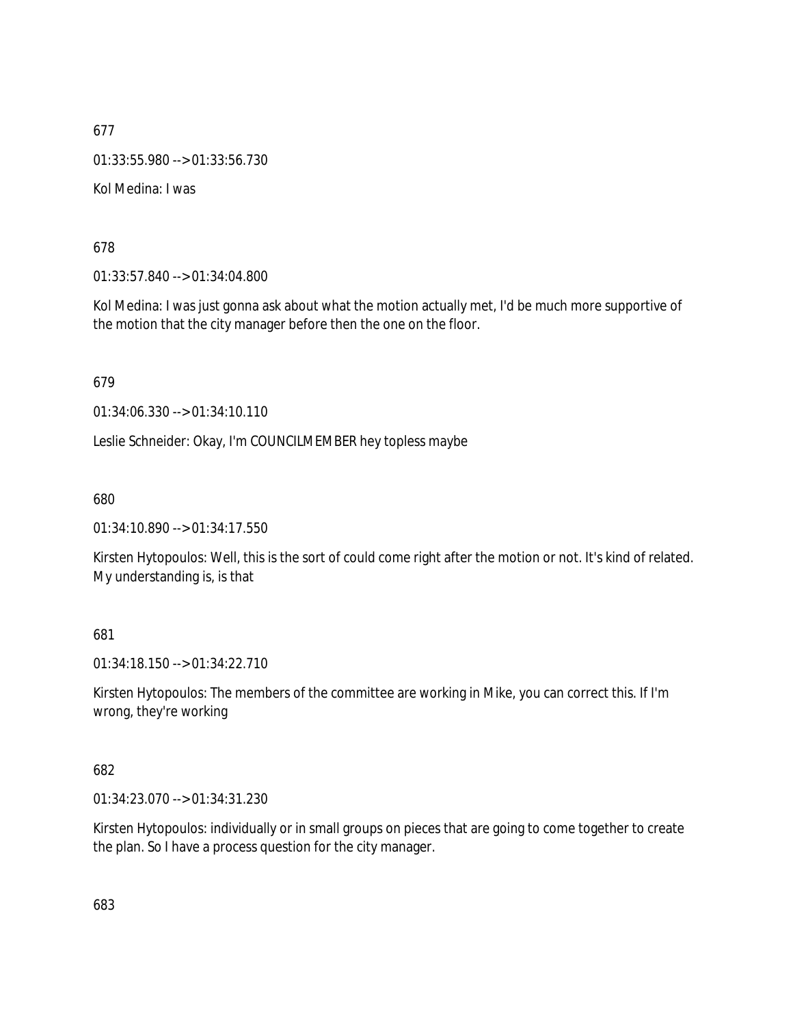677 01:33:55.980 --> 01:33:56.730 Kol Medina: I was

678

01:33:57.840 --> 01:34:04.800

Kol Medina: I was just gonna ask about what the motion actually met, I'd be much more supportive of the motion that the city manager before then the one on the floor.

679

01:34:06.330 --> 01:34:10.110

Leslie Schneider: Okay, I'm COUNCILMEMBER hey topless maybe

680

01:34:10.890 --> 01:34:17.550

Kirsten Hytopoulos: Well, this is the sort of could come right after the motion or not. It's kind of related. My understanding is, is that

# 681

01:34:18.150 --> 01:34:22.710

Kirsten Hytopoulos: The members of the committee are working in Mike, you can correct this. If I'm wrong, they're working

682

01:34:23.070 --> 01:34:31.230

Kirsten Hytopoulos: individually or in small groups on pieces that are going to come together to create the plan. So I have a process question for the city manager.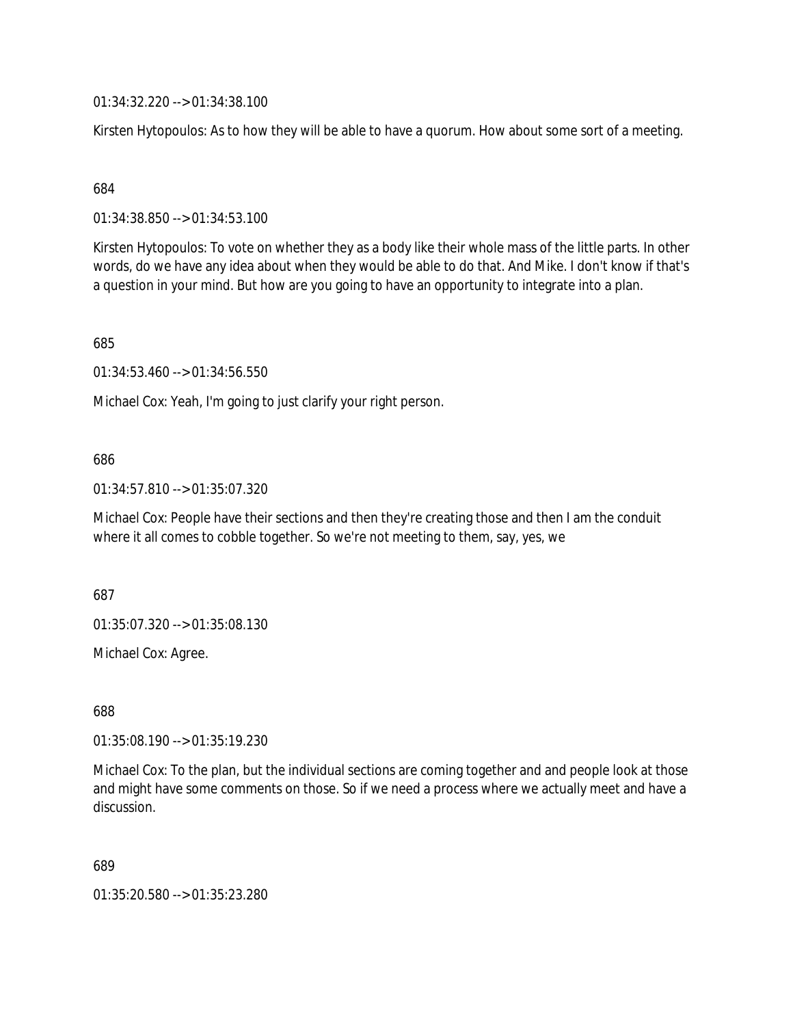01:34:32.220 --> 01:34:38.100

Kirsten Hytopoulos: As to how they will be able to have a quorum. How about some sort of a meeting.

684

01:34:38.850 --> 01:34:53.100

Kirsten Hytopoulos: To vote on whether they as a body like their whole mass of the little parts. In other words, do we have any idea about when they would be able to do that. And Mike. I don't know if that's a question in your mind. But how are you going to have an opportunity to integrate into a plan.

685

01:34:53.460 --> 01:34:56.550

Michael Cox: Yeah, I'm going to just clarify your right person.

#### 686

01:34:57.810 --> 01:35:07.320

Michael Cox: People have their sections and then they're creating those and then I am the conduit where it all comes to cobble together. So we're not meeting to them, say, yes, we

687

01:35:07.320 --> 01:35:08.130

Michael Cox: Agree.

688

01:35:08.190 --> 01:35:19.230

Michael Cox: To the plan, but the individual sections are coming together and and people look at those and might have some comments on those. So if we need a process where we actually meet and have a discussion.

689

01:35:20.580 --> 01:35:23.280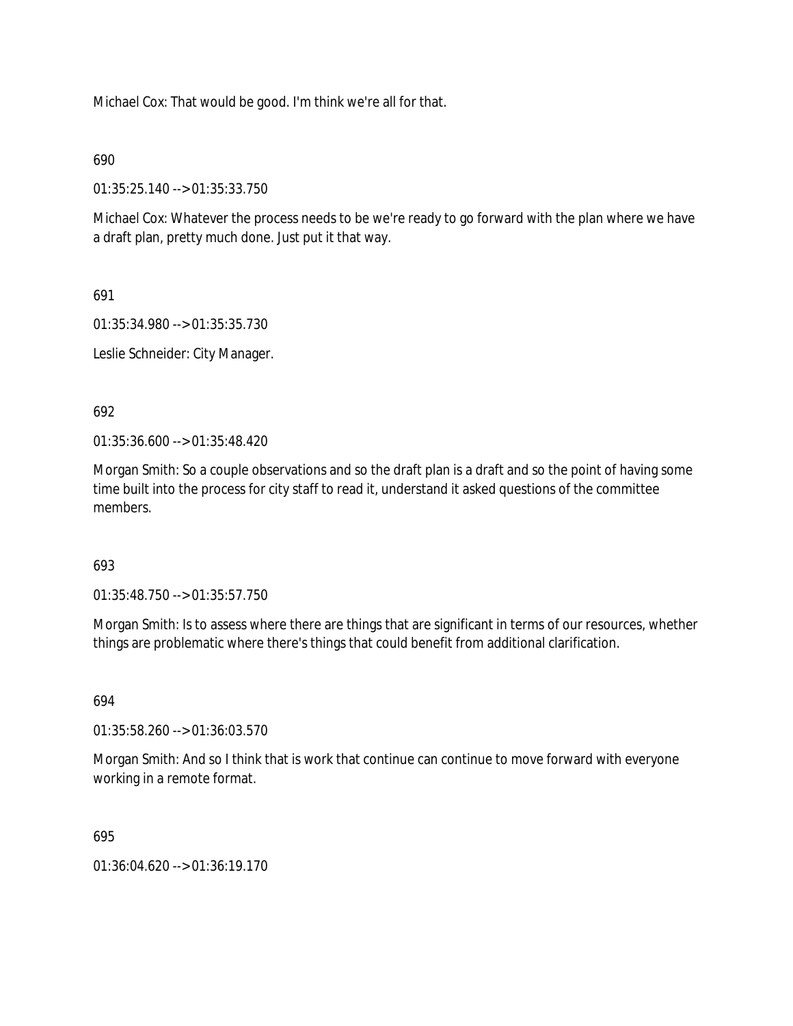Michael Cox: That would be good. I'm think we're all for that.

### 690

01:35:25.140 --> 01:35:33.750

Michael Cox: Whatever the process needs to be we're ready to go forward with the plan where we have a draft plan, pretty much done. Just put it that way.

691

01:35:34.980 --> 01:35:35.730

Leslie Schneider: City Manager.

692

01:35:36.600 --> 01:35:48.420

Morgan Smith: So a couple observations and so the draft plan is a draft and so the point of having some time built into the process for city staff to read it, understand it asked questions of the committee members.

### 693

01:35:48.750 --> 01:35:57.750

Morgan Smith: Is to assess where there are things that are significant in terms of our resources, whether things are problematic where there's things that could benefit from additional clarification.

694

01:35:58.260 --> 01:36:03.570

Morgan Smith: And so I think that is work that continue can continue to move forward with everyone working in a remote format.

695

 $01:36:04.620 \rightarrow 01:36:19.170$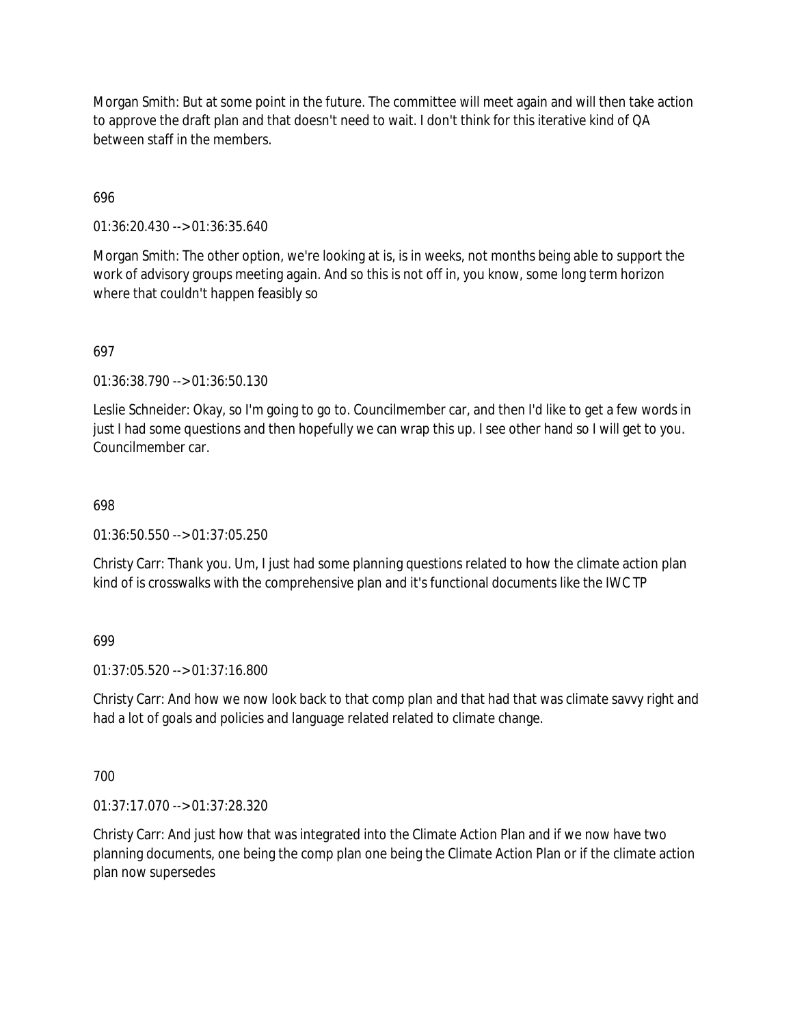Morgan Smith: But at some point in the future. The committee will meet again and will then take action to approve the draft plan and that doesn't need to wait. I don't think for this iterative kind of QA between staff in the members.

## 696

01:36:20.430 --> 01:36:35.640

Morgan Smith: The other option, we're looking at is, is in weeks, not months being able to support the work of advisory groups meeting again. And so this is not off in, you know, some long term horizon where that couldn't happen feasibly so

# 697

01:36:38.790 --> 01:36:50.130

Leslie Schneider: Okay, so I'm going to go to. Councilmember car, and then I'd like to get a few words in just I had some questions and then hopefully we can wrap this up. I see other hand so I will get to you. Councilmember car.

### 698

01:36:50.550 --> 01:37:05.250

Christy Carr: Thank you. Um, I just had some planning questions related to how the climate action plan kind of is crosswalks with the comprehensive plan and it's functional documents like the IWC TP

### 699

01:37:05.520 --> 01:37:16.800

Christy Carr: And how we now look back to that comp plan and that had that was climate savvy right and had a lot of goals and policies and language related related to climate change.

### 700

01:37:17.070 --> 01:37:28.320

Christy Carr: And just how that was integrated into the Climate Action Plan and if we now have two planning documents, one being the comp plan one being the Climate Action Plan or if the climate action plan now supersedes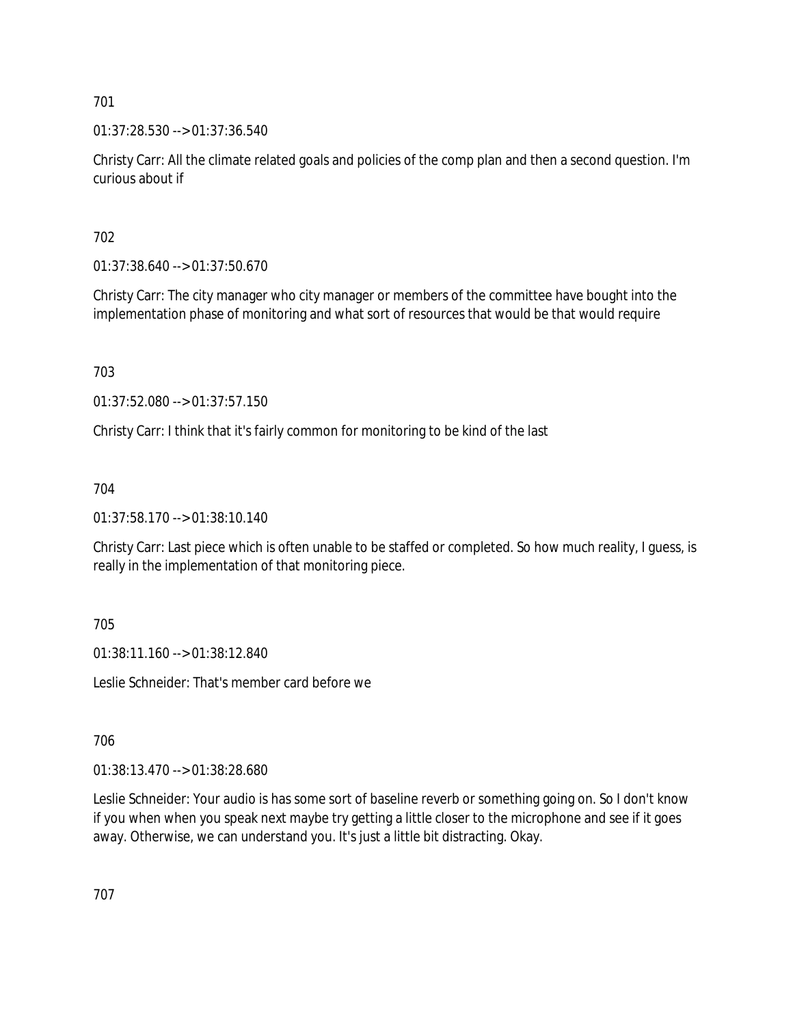01:37:28.530 --> 01:37:36.540

Christy Carr: All the climate related goals and policies of the comp plan and then a second question. I'm curious about if

702

01:37:38.640 --> 01:37:50.670

Christy Carr: The city manager who city manager or members of the committee have bought into the implementation phase of monitoring and what sort of resources that would be that would require

703

01:37:52.080 --> 01:37:57.150

Christy Carr: I think that it's fairly common for monitoring to be kind of the last

704

01:37:58.170 --> 01:38:10.140

Christy Carr: Last piece which is often unable to be staffed or completed. So how much reality, I guess, is really in the implementation of that monitoring piece.

705

01:38:11.160 --> 01:38:12.840

Leslie Schneider: That's member card before we

706

01:38:13.470 --> 01:38:28.680

Leslie Schneider: Your audio is has some sort of baseline reverb or something going on. So I don't know if you when when you speak next maybe try getting a little closer to the microphone and see if it goes away. Otherwise, we can understand you. It's just a little bit distracting. Okay.

707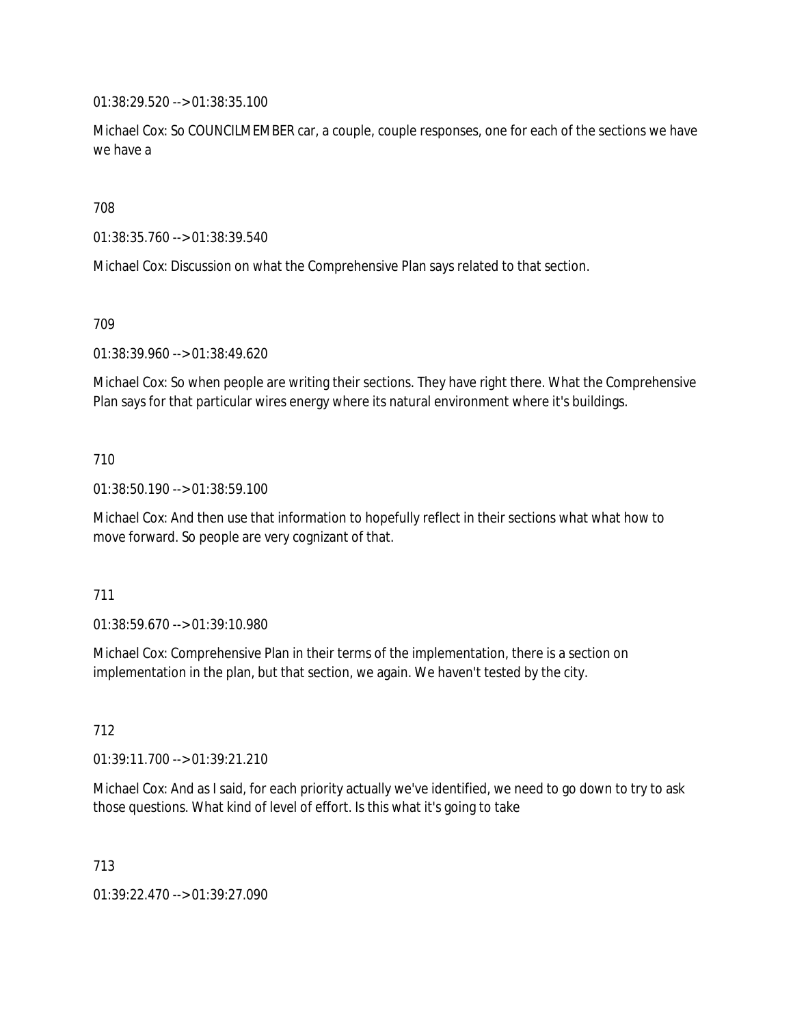01:38:29.520 --> 01:38:35.100

Michael Cox: So COUNCILMEMBER car, a couple, couple responses, one for each of the sections we have we have a

708

01:38:35.760 --> 01:38:39.540

Michael Cox: Discussion on what the Comprehensive Plan says related to that section.

709

01:38:39.960 --> 01:38:49.620

Michael Cox: So when people are writing their sections. They have right there. What the Comprehensive Plan says for that particular wires energy where its natural environment where it's buildings.

### 710

01:38:50.190 --> 01:38:59.100

Michael Cox: And then use that information to hopefully reflect in their sections what what how to move forward. So people are very cognizant of that.

### 711

01:38:59.670 --> 01:39:10.980

Michael Cox: Comprehensive Plan in their terms of the implementation, there is a section on implementation in the plan, but that section, we again. We haven't tested by the city.

712

01:39:11.700 --> 01:39:21.210

Michael Cox: And as I said, for each priority actually we've identified, we need to go down to try to ask those questions. What kind of level of effort. Is this what it's going to take

713

01:39:22.470 --> 01:39:27.090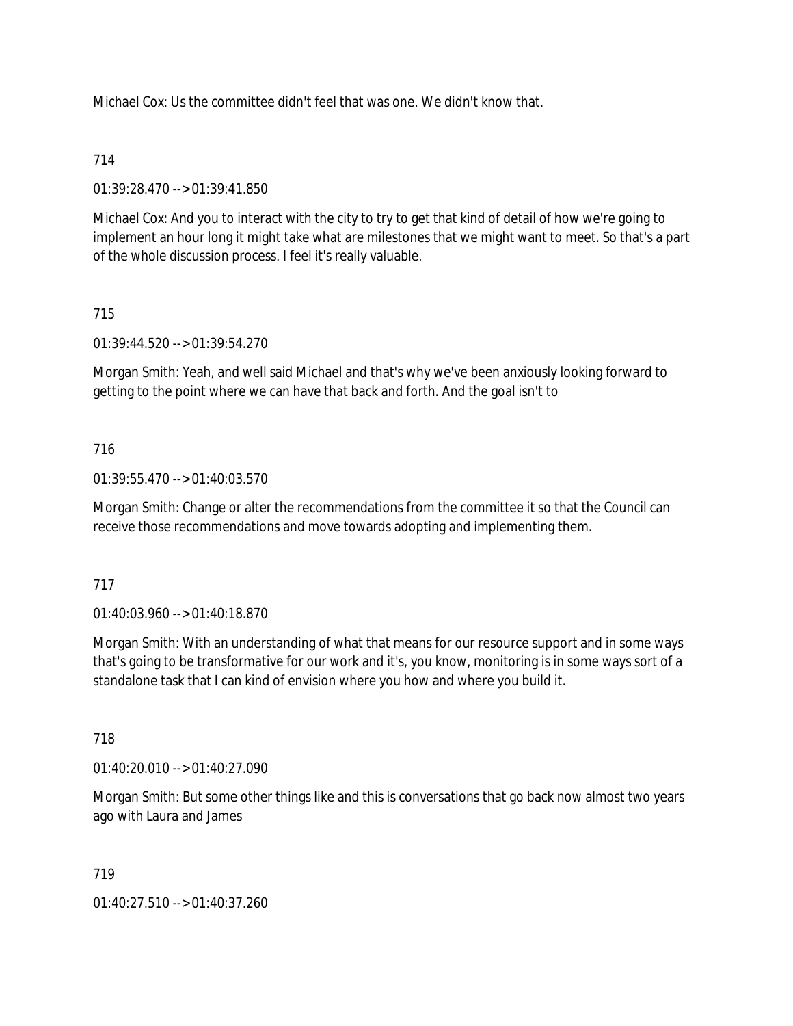Michael Cox: Us the committee didn't feel that was one. We didn't know that.

## 714

01:39:28.470 --> 01:39:41.850

Michael Cox: And you to interact with the city to try to get that kind of detail of how we're going to implement an hour long it might take what are milestones that we might want to meet. So that's a part of the whole discussion process. I feel it's really valuable.

## 715

01:39:44.520 --> 01:39:54.270

Morgan Smith: Yeah, and well said Michael and that's why we've been anxiously looking forward to getting to the point where we can have that back and forth. And the goal isn't to

## 716

01:39:55.470 --> 01:40:03.570

Morgan Smith: Change or alter the recommendations from the committee it so that the Council can receive those recommendations and move towards adopting and implementing them.

### 717

01:40:03.960 --> 01:40:18.870

Morgan Smith: With an understanding of what that means for our resource support and in some ways that's going to be transformative for our work and it's, you know, monitoring is in some ways sort of a standalone task that I can kind of envision where you how and where you build it.

### 718

01:40:20.010 --> 01:40:27.090

Morgan Smith: But some other things like and this is conversations that go back now almost two years ago with Laura and James

### 719

01:40:27.510 --> 01:40:37.260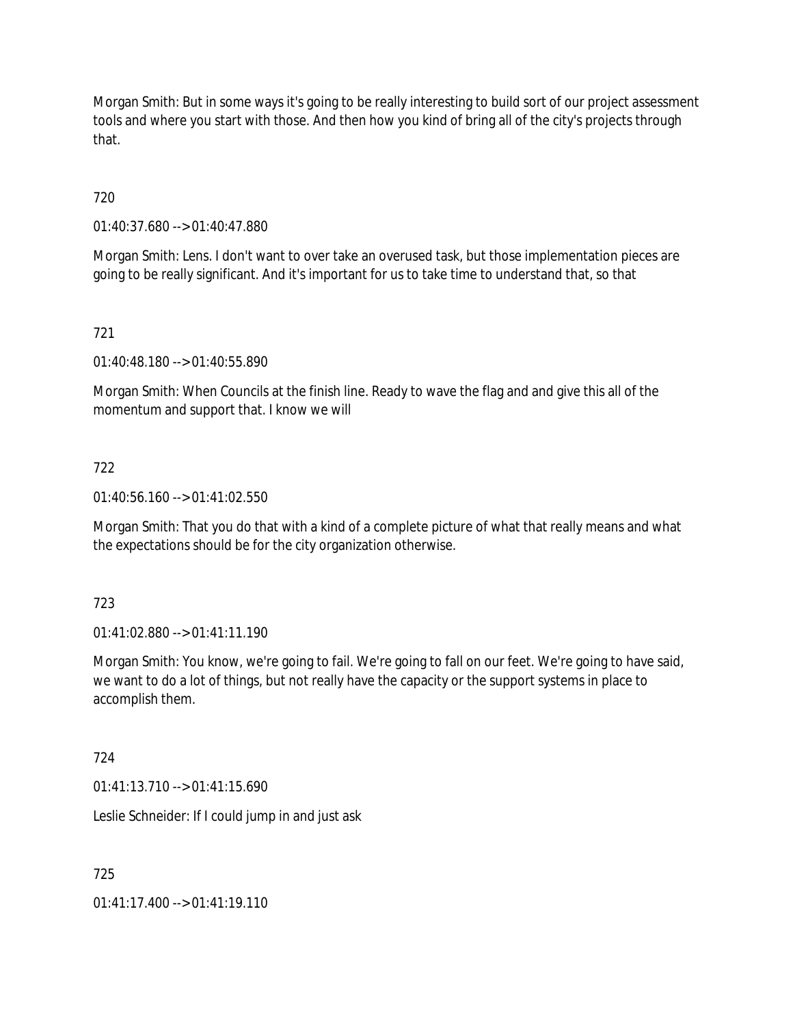Morgan Smith: But in some ways it's going to be really interesting to build sort of our project assessment tools and where you start with those. And then how you kind of bring all of the city's projects through that.

720

01:40:37.680 --> 01:40:47.880

Morgan Smith: Lens. I don't want to over take an overused task, but those implementation pieces are going to be really significant. And it's important for us to take time to understand that, so that

721

01:40:48.180 --> 01:40:55.890

Morgan Smith: When Councils at the finish line. Ready to wave the flag and and give this all of the momentum and support that. I know we will

### 722

01:40:56.160 --> 01:41:02.550

Morgan Smith: That you do that with a kind of a complete picture of what that really means and what the expectations should be for the city organization otherwise.

### 723

01:41:02.880 --> 01:41:11.190

Morgan Smith: You know, we're going to fail. We're going to fall on our feet. We're going to have said, we want to do a lot of things, but not really have the capacity or the support systems in place to accomplish them.

### 724

 $01:41:13.710 \rightarrow 01:41:15.690$ 

Leslie Schneider: If I could jump in and just ask

725

01:41:17.400 --> 01:41:19.110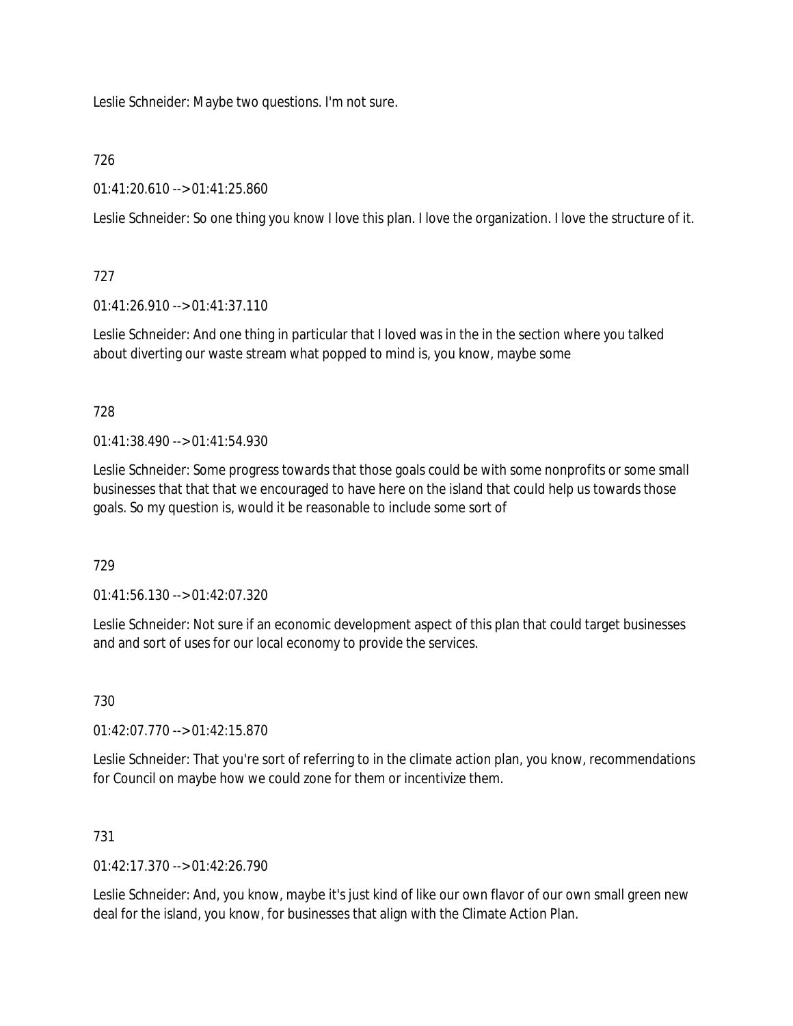Leslie Schneider: Maybe two questions. I'm not sure.

# 726

01:41:20.610 --> 01:41:25.860

Leslie Schneider: So one thing you know I love this plan. I love the organization. I love the structure of it.

## 727

01:41:26.910 --> 01:41:37.110

Leslie Schneider: And one thing in particular that I loved was in the in the section where you talked about diverting our waste stream what popped to mind is, you know, maybe some

## 728

01:41:38.490 --> 01:41:54.930

Leslie Schneider: Some progress towards that those goals could be with some nonprofits or some small businesses that that that we encouraged to have here on the island that could help us towards those goals. So my question is, would it be reasonable to include some sort of

# 729

01:41:56.130 --> 01:42:07.320

Leslie Schneider: Not sure if an economic development aspect of this plan that could target businesses and and sort of uses for our local economy to provide the services.

# 730

01:42:07.770 --> 01:42:15.870

Leslie Schneider: That you're sort of referring to in the climate action plan, you know, recommendations for Council on maybe how we could zone for them or incentivize them.

# 731

 $01:42:17.370 \rightarrow 01:42:26.790$ 

Leslie Schneider: And, you know, maybe it's just kind of like our own flavor of our own small green new deal for the island, you know, for businesses that align with the Climate Action Plan.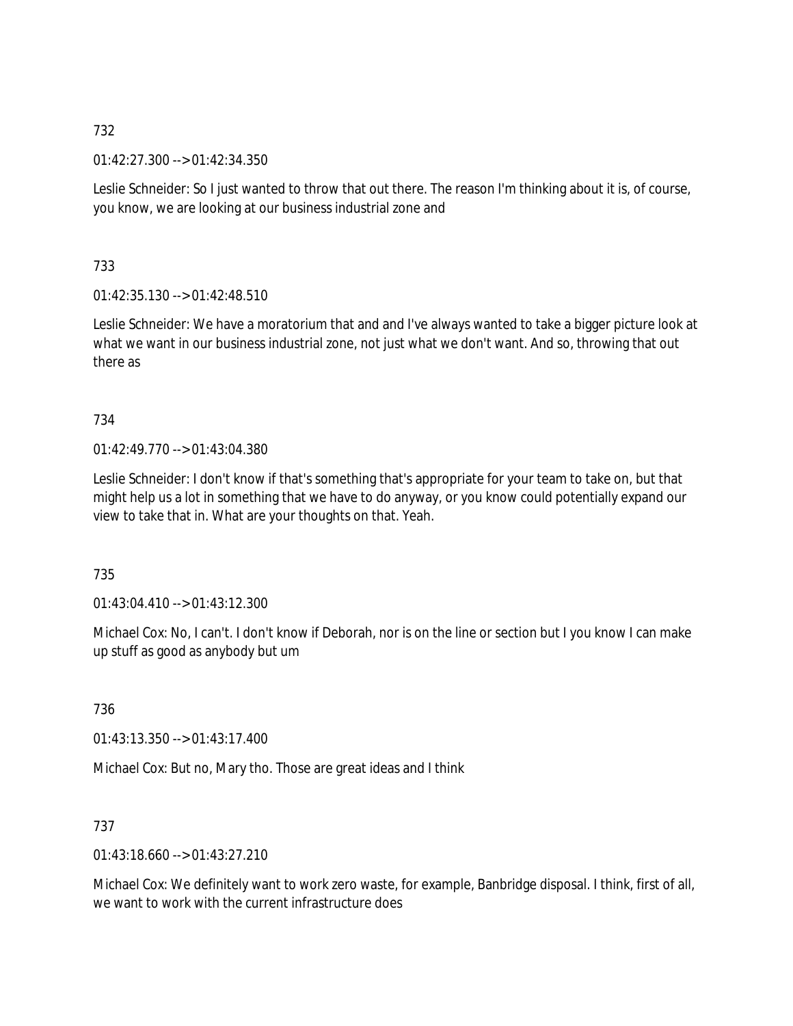01:42:27.300 --> 01:42:34.350

Leslie Schneider: So I just wanted to throw that out there. The reason I'm thinking about it is, of course, you know, we are looking at our business industrial zone and

733

01:42:35.130 --> 01:42:48.510

Leslie Schneider: We have a moratorium that and and I've always wanted to take a bigger picture look at what we want in our business industrial zone, not just what we don't want. And so, throwing that out there as

734

01:42:49.770 --> 01:43:04.380

Leslie Schneider: I don't know if that's something that's appropriate for your team to take on, but that might help us a lot in something that we have to do anyway, or you know could potentially expand our view to take that in. What are your thoughts on that. Yeah.

735

 $01:43:04.410 \rightarrow 01:43:12.300$ 

Michael Cox: No, I can't. I don't know if Deborah, nor is on the line or section but I you know I can make up stuff as good as anybody but um

736

01:43:13.350 --> 01:43:17.400

Michael Cox: But no, Mary tho. Those are great ideas and I think

737

01:43:18.660 --> 01:43:27.210

Michael Cox: We definitely want to work zero waste, for example, Banbridge disposal. I think, first of all, we want to work with the current infrastructure does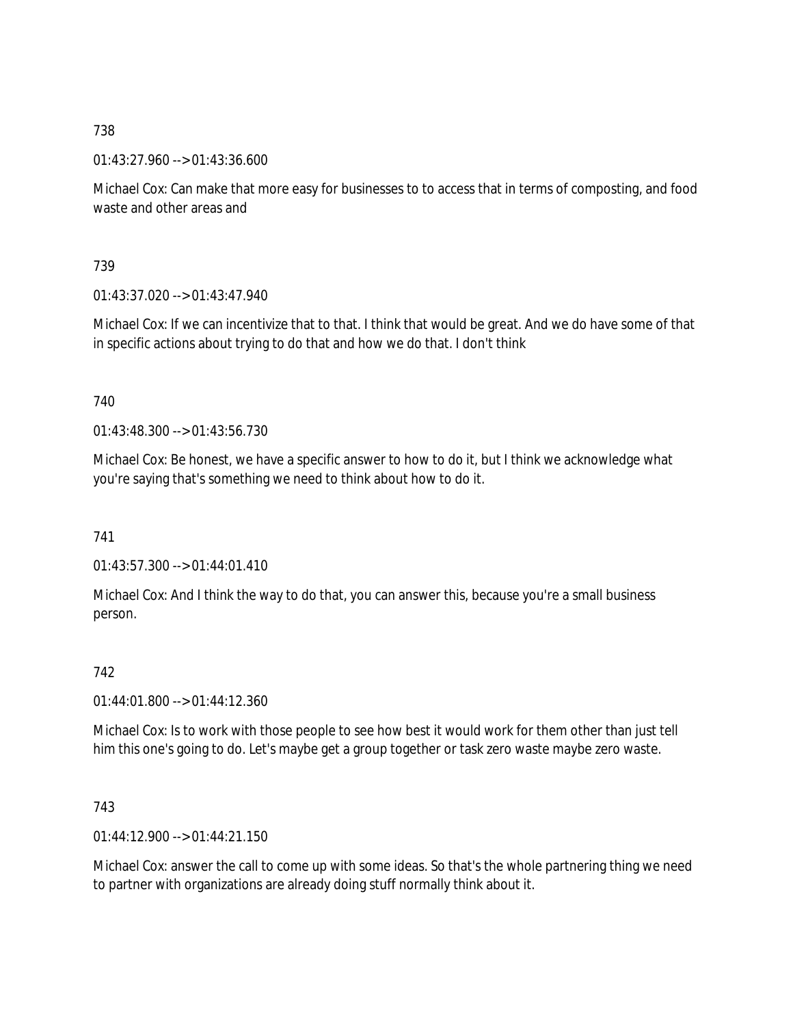01:43:27.960 --> 01:43:36.600

Michael Cox: Can make that more easy for businesses to to access that in terms of composting, and food waste and other areas and

739

 $01:43:37.020 \rightarrow 01:43:47.940$ 

Michael Cox: If we can incentivize that to that. I think that would be great. And we do have some of that in specific actions about trying to do that and how we do that. I don't think

740

01:43:48.300 --> 01:43:56.730

Michael Cox: Be honest, we have a specific answer to how to do it, but I think we acknowledge what you're saying that's something we need to think about how to do it.

741

01:43:57.300 --> 01:44:01.410

Michael Cox: And I think the way to do that, you can answer this, because you're a small business person.

742

01:44:01.800 --> 01:44:12.360

Michael Cox: Is to work with those people to see how best it would work for them other than just tell him this one's going to do. Let's maybe get a group together or task zero waste maybe zero waste.

743

 $01:44:12.900 \rightarrow 01:44:21.150$ 

Michael Cox: answer the call to come up with some ideas. So that's the whole partnering thing we need to partner with organizations are already doing stuff normally think about it.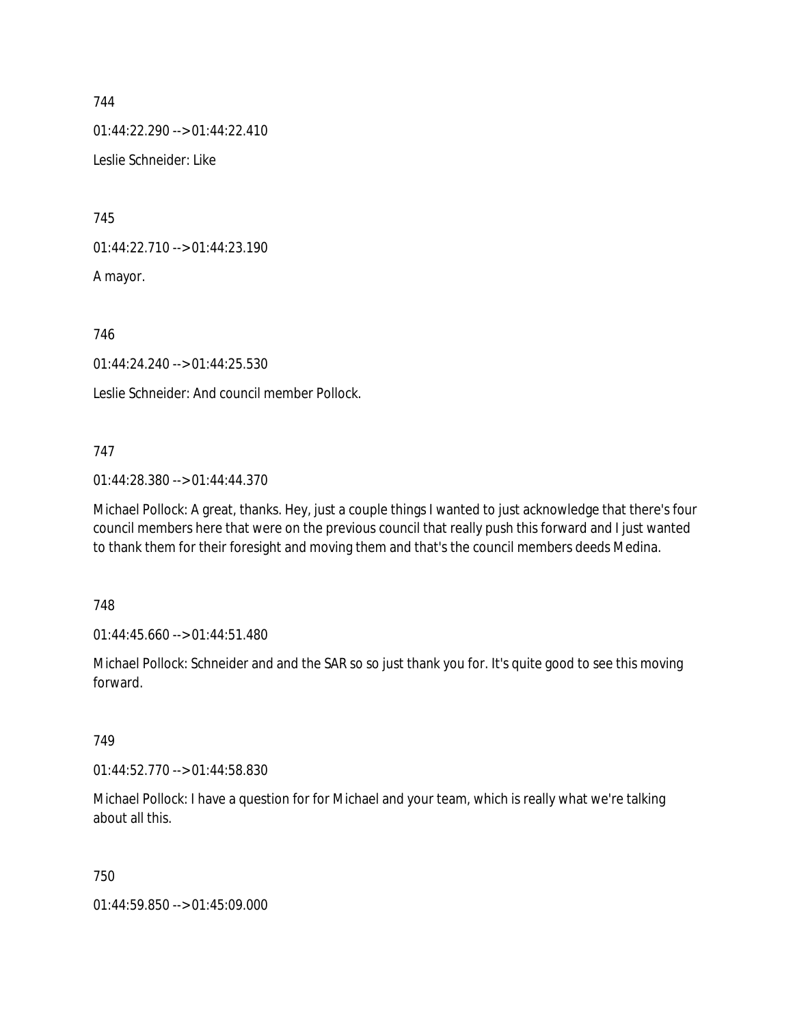01:44:22.290 --> 01:44:22.410

Leslie Schneider: Like

745

01:44:22.710 --> 01:44:23.190

A mayor.

746

01:44:24.240 --> 01:44:25.530

Leslie Schneider: And council member Pollock.

## 747

01:44:28.380 --> 01:44:44.370

Michael Pollock: A great, thanks. Hey, just a couple things I wanted to just acknowledge that there's four council members here that were on the previous council that really push this forward and I just wanted to thank them for their foresight and moving them and that's the council members deeds Medina.

748

01:44:45.660 --> 01:44:51.480

Michael Pollock: Schneider and and the SAR so so just thank you for. It's quite good to see this moving forward.

749

01:44:52.770 --> 01:44:58.830

Michael Pollock: I have a question for for Michael and your team, which is really what we're talking about all this.

750

01:44:59.850 --> 01:45:09.000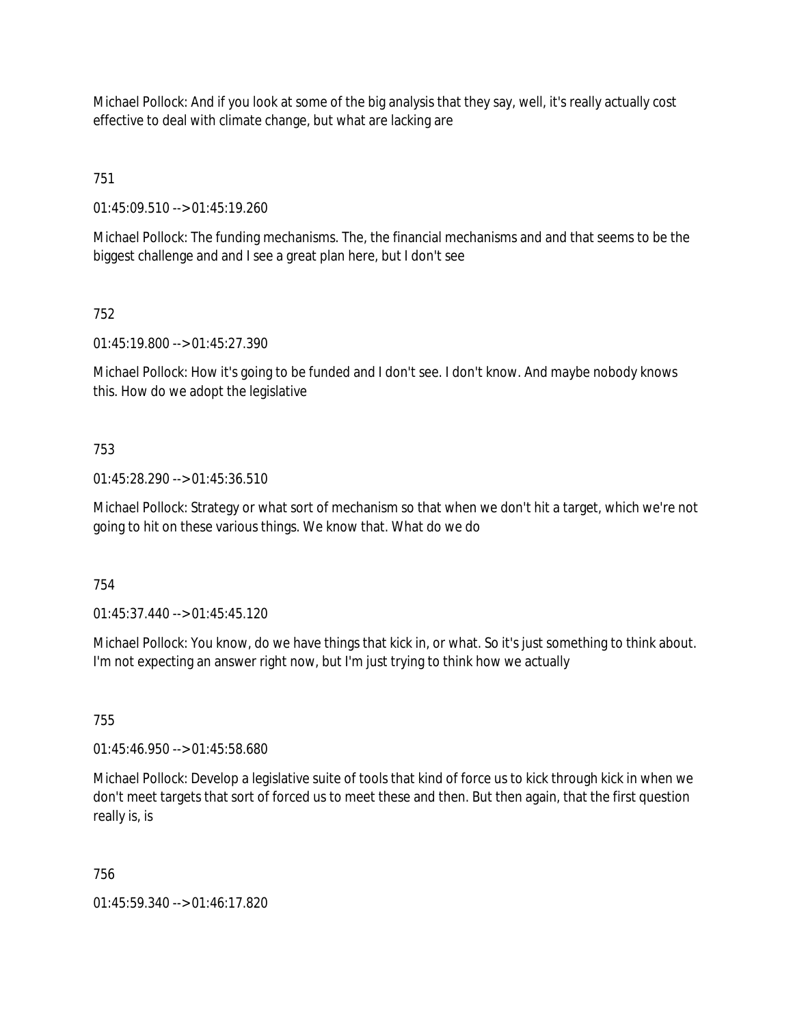Michael Pollock: And if you look at some of the big analysis that they say, well, it's really actually cost effective to deal with climate change, but what are lacking are

751

01:45:09.510 --> 01:45:19.260

Michael Pollock: The funding mechanisms. The, the financial mechanisms and and that seems to be the biggest challenge and and I see a great plan here, but I don't see

## 752

01:45:19.800 --> 01:45:27.390

Michael Pollock: How it's going to be funded and I don't see. I don't know. And maybe nobody knows this. How do we adopt the legislative

## 753

01:45:28.290 --> 01:45:36.510

Michael Pollock: Strategy or what sort of mechanism so that when we don't hit a target, which we're not going to hit on these various things. We know that. What do we do

### 754

01:45:37.440 --> 01:45:45.120

Michael Pollock: You know, do we have things that kick in, or what. So it's just something to think about. I'm not expecting an answer right now, but I'm just trying to think how we actually

### 755

01:45:46.950 --> 01:45:58.680

Michael Pollock: Develop a legislative suite of tools that kind of force us to kick through kick in when we don't meet targets that sort of forced us to meet these and then. But then again, that the first question really is, is

### 756

01:45:59.340 --> 01:46:17.820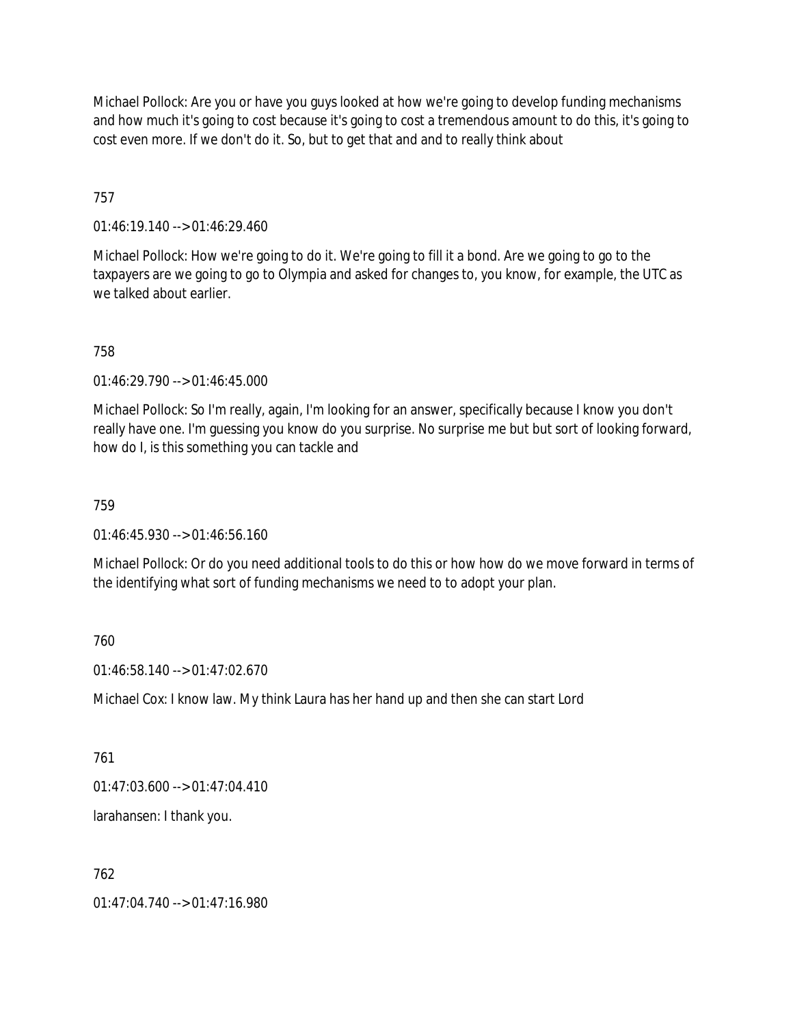Michael Pollock: Are you or have you guys looked at how we're going to develop funding mechanisms and how much it's going to cost because it's going to cost a tremendous amount to do this, it's going to cost even more. If we don't do it. So, but to get that and and to really think about

757

01:46:19.140 --> 01:46:29.460

Michael Pollock: How we're going to do it. We're going to fill it a bond. Are we going to go to the taxpayers are we going to go to Olympia and asked for changes to, you know, for example, the UTC as we talked about earlier.

758

01:46:29.790 --> 01:46:45.000

Michael Pollock: So I'm really, again, I'm looking for an answer, specifically because I know you don't really have one. I'm guessing you know do you surprise. No surprise me but but sort of looking forward, how do I, is this something you can tackle and

759

01:46:45.930 --> 01:46:56.160

Michael Pollock: Or do you need additional tools to do this or how how do we move forward in terms of the identifying what sort of funding mechanisms we need to to adopt your plan.

760

01:46:58.140 --> 01:47:02.670

Michael Cox: I know law. My think Laura has her hand up and then she can start Lord

761

 $01:47:03.600 \rightarrow 01:47:04.410$ 

larahansen: I thank you.

762

01:47:04.740 --> 01:47:16.980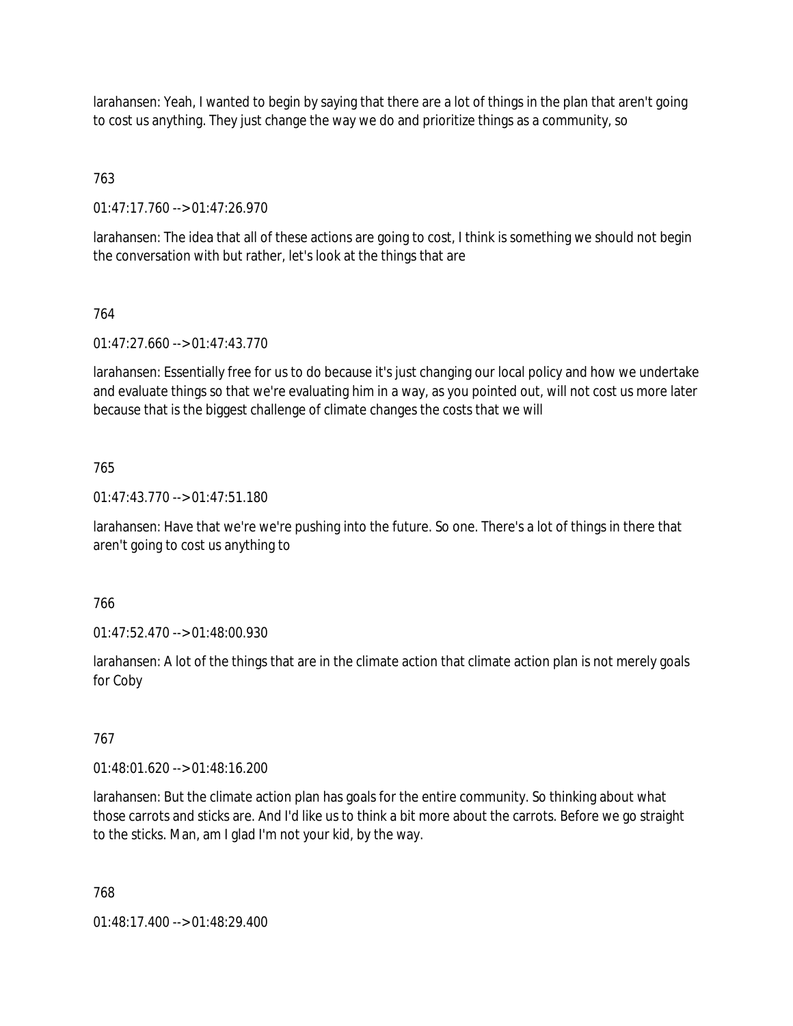larahansen: Yeah, I wanted to begin by saying that there are a lot of things in the plan that aren't going to cost us anything. They just change the way we do and prioritize things as a community, so

# 763

01:47:17.760 --> 01:47:26.970

larahansen: The idea that all of these actions are going to cost, I think is something we should not begin the conversation with but rather, let's look at the things that are

# 764

01:47:27.660 --> 01:47:43.770

larahansen: Essentially free for us to do because it's just changing our local policy and how we undertake and evaluate things so that we're evaluating him in a way, as you pointed out, will not cost us more later because that is the biggest challenge of climate changes the costs that we will

## 765

01:47:43.770 --> 01:47:51.180

larahansen: Have that we're we're pushing into the future. So one. There's a lot of things in there that aren't going to cost us anything to

### 766

01:47:52.470 --> 01:48:00.930

larahansen: A lot of the things that are in the climate action that climate action plan is not merely goals for Coby

### 767

01:48:01.620 --> 01:48:16.200

larahansen: But the climate action plan has goals for the entire community. So thinking about what those carrots and sticks are. And I'd like us to think a bit more about the carrots. Before we go straight to the sticks. Man, am I glad I'm not your kid, by the way.

768

01:48:17.400 --> 01:48:29.400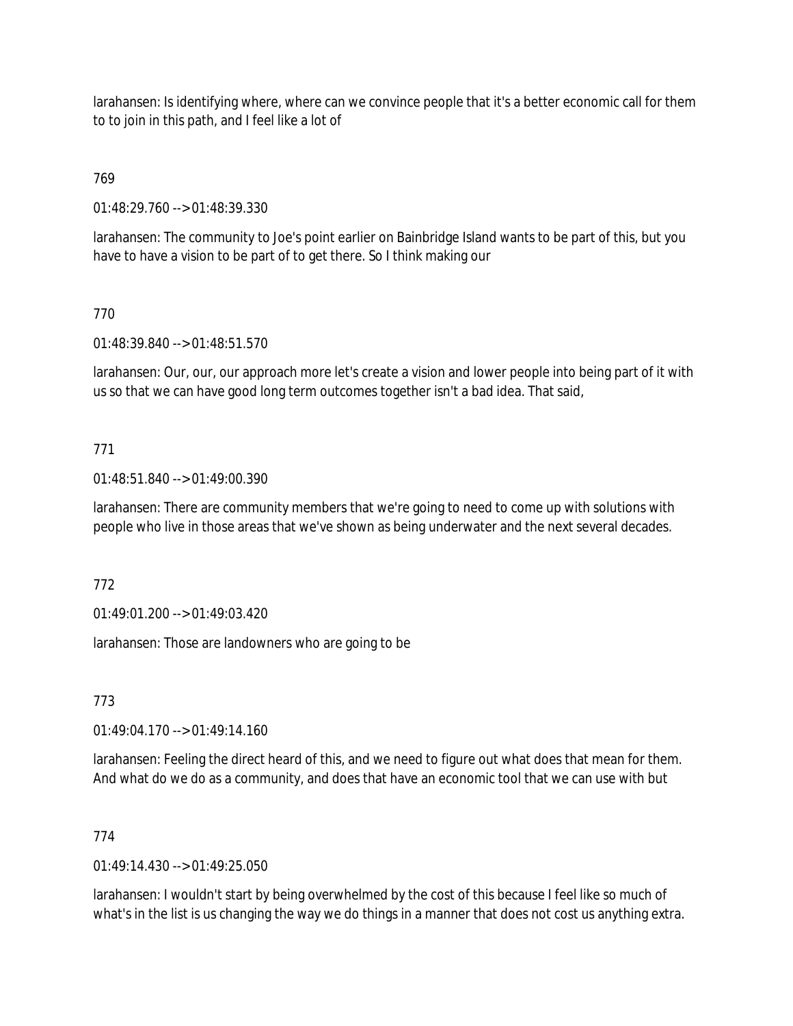larahansen: Is identifying where, where can we convince people that it's a better economic call for them to to join in this path, and I feel like a lot of

# 769

01:48:29.760 --> 01:48:39.330

larahansen: The community to Joe's point earlier on Bainbridge Island wants to be part of this, but you have to have a vision to be part of to get there. So I think making our

## 770

01:48:39.840 --> 01:48:51.570

larahansen: Our, our, our approach more let's create a vision and lower people into being part of it with us so that we can have good long term outcomes together isn't a bad idea. That said,

## 771

01:48:51.840 --> 01:49:00.390

larahansen: There are community members that we're going to need to come up with solutions with people who live in those areas that we've shown as being underwater and the next several decades.

### 772

01:49:01.200 --> 01:49:03.420

larahansen: Those are landowners who are going to be

773

 $01:49:04.170 \rightarrow 01:49:14.160$ 

larahansen: Feeling the direct heard of this, and we need to figure out what does that mean for them. And what do we do as a community, and does that have an economic tool that we can use with but

### 774

 $01.49.14.430 - 01.49.25.050$ 

larahansen: I wouldn't start by being overwhelmed by the cost of this because I feel like so much of what's in the list is us changing the way we do things in a manner that does not cost us anything extra.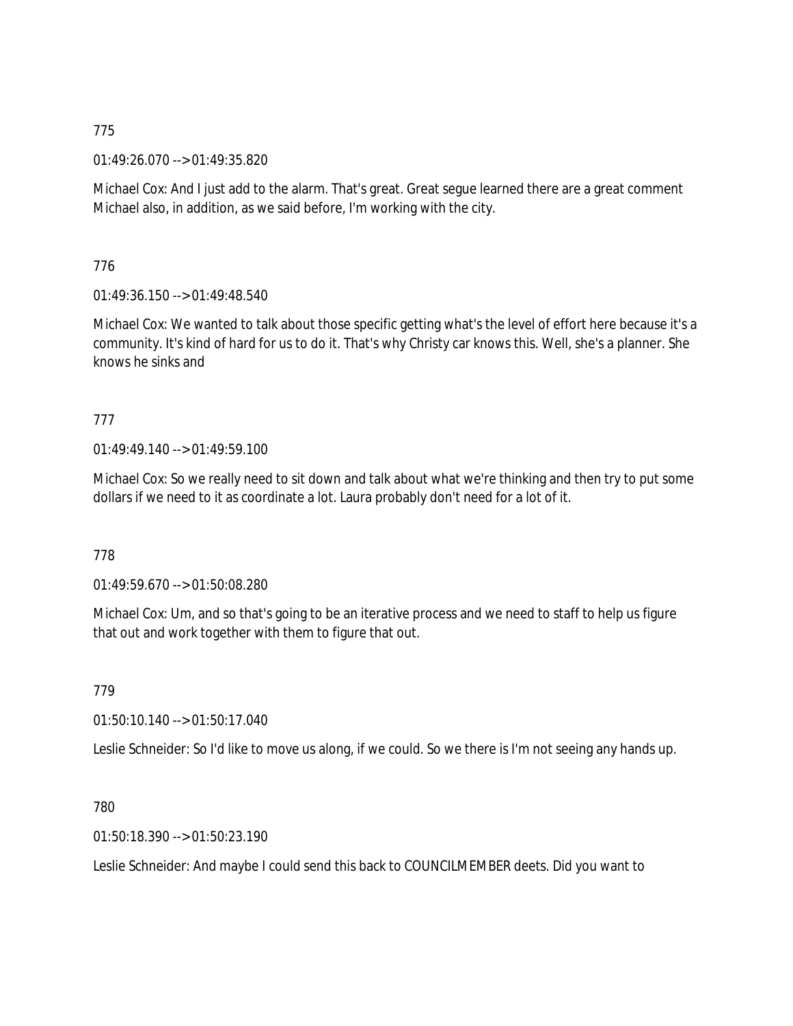01:49:26.070 --> 01:49:35.820

Michael Cox: And I just add to the alarm. That's great. Great segue learned there are a great comment Michael also, in addition, as we said before, I'm working with the city.

776

01:49:36.150 --> 01:49:48.540

Michael Cox: We wanted to talk about those specific getting what's the level of effort here because it's a community. It's kind of hard for us to do it. That's why Christy car knows this. Well, she's a planner. She knows he sinks and

# 777

01:49:49.140 --> 01:49:59.100

Michael Cox: So we really need to sit down and talk about what we're thinking and then try to put some dollars if we need to it as coordinate a lot. Laura probably don't need for a lot of it.

778

01:49:59.670 --> 01:50:08.280

Michael Cox: Um, and so that's going to be an iterative process and we need to staff to help us figure that out and work together with them to figure that out.

779

01:50:10.140 --> 01:50:17.040

Leslie Schneider: So I'd like to move us along, if we could. So we there is I'm not seeing any hands up.

### 780

01:50:18.390 --> 01:50:23.190

Leslie Schneider: And maybe I could send this back to COUNCILMEMBER deets. Did you want to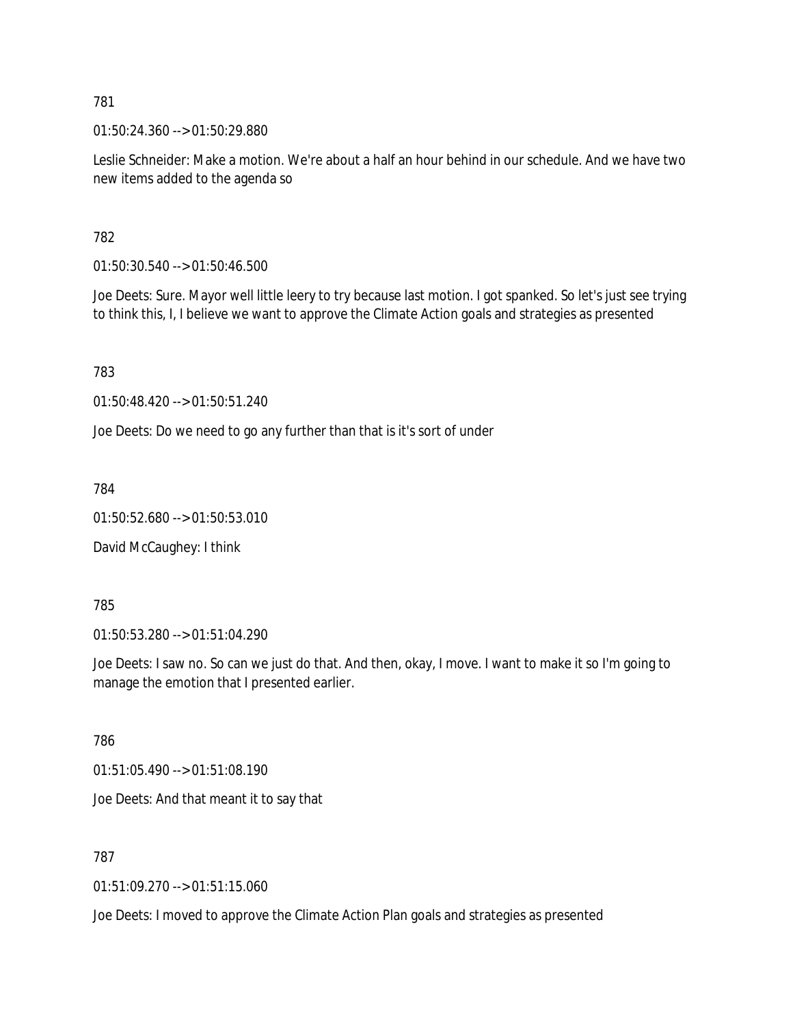01:50:24.360 --> 01:50:29.880

Leslie Schneider: Make a motion. We're about a half an hour behind in our schedule. And we have two new items added to the agenda so

782

01:50:30.540 --> 01:50:46.500

Joe Deets: Sure. Mayor well little leery to try because last motion. I got spanked. So let's just see trying to think this, I, I believe we want to approve the Climate Action goals and strategies as presented

783

01:50:48.420 --> 01:50:51.240

Joe Deets: Do we need to go any further than that is it's sort of under

784

01:50:52.680 --> 01:50:53.010

David McCaughey: I think

785

01:50:53.280 --> 01:51:04.290

Joe Deets: I saw no. So can we just do that. And then, okay, I move. I want to make it so I'm going to manage the emotion that I presented earlier.

786

01:51:05.490 --> 01:51:08.190

Joe Deets: And that meant it to say that

787

01:51:09.270 --> 01:51:15.060

Joe Deets: I moved to approve the Climate Action Plan goals and strategies as presented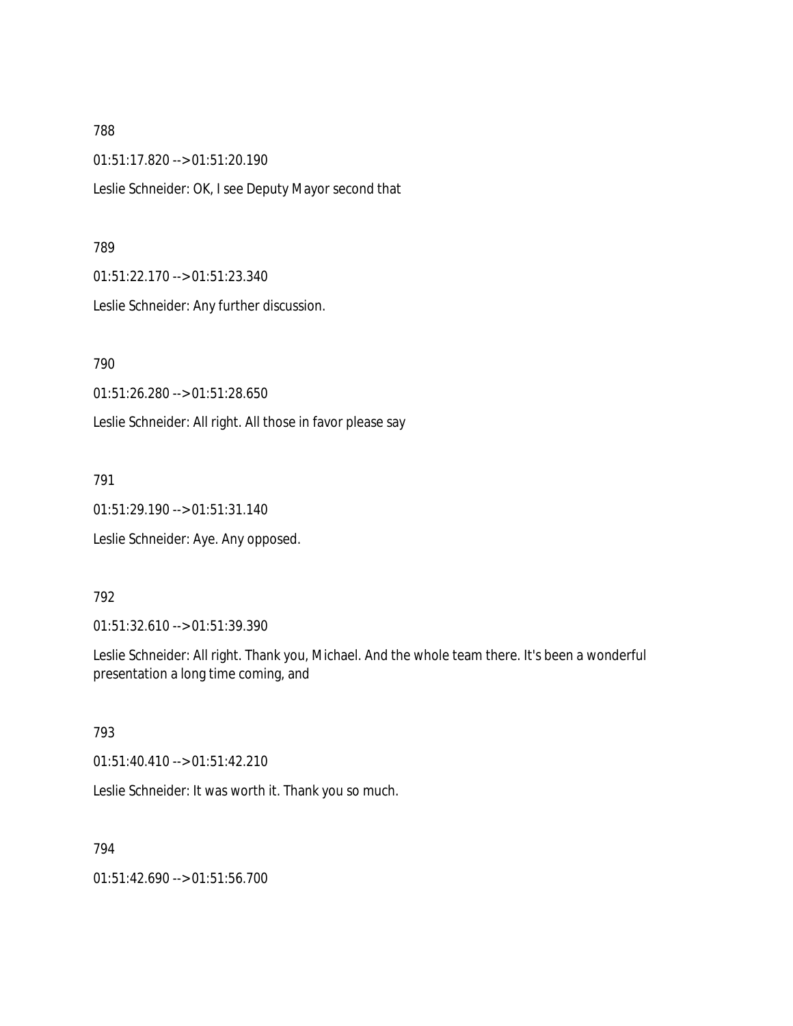01:51:17.820 --> 01:51:20.190

Leslie Schneider: OK, I see Deputy Mayor second that

#### 789

01:51:22.170 --> 01:51:23.340

Leslie Schneider: Any further discussion.

790

01:51:26.280 --> 01:51:28.650

Leslie Schneider: All right. All those in favor please say

791

01:51:29.190 --> 01:51:31.140

Leslie Schneider: Aye. Any opposed.

### 792

01:51:32.610 --> 01:51:39.390

Leslie Schneider: All right. Thank you, Michael. And the whole team there. It's been a wonderful presentation a long time coming, and

### 793

01:51:40.410 --> 01:51:42.210

Leslie Schneider: It was worth it. Thank you so much.

#### 794

01:51:42.690 --> 01:51:56.700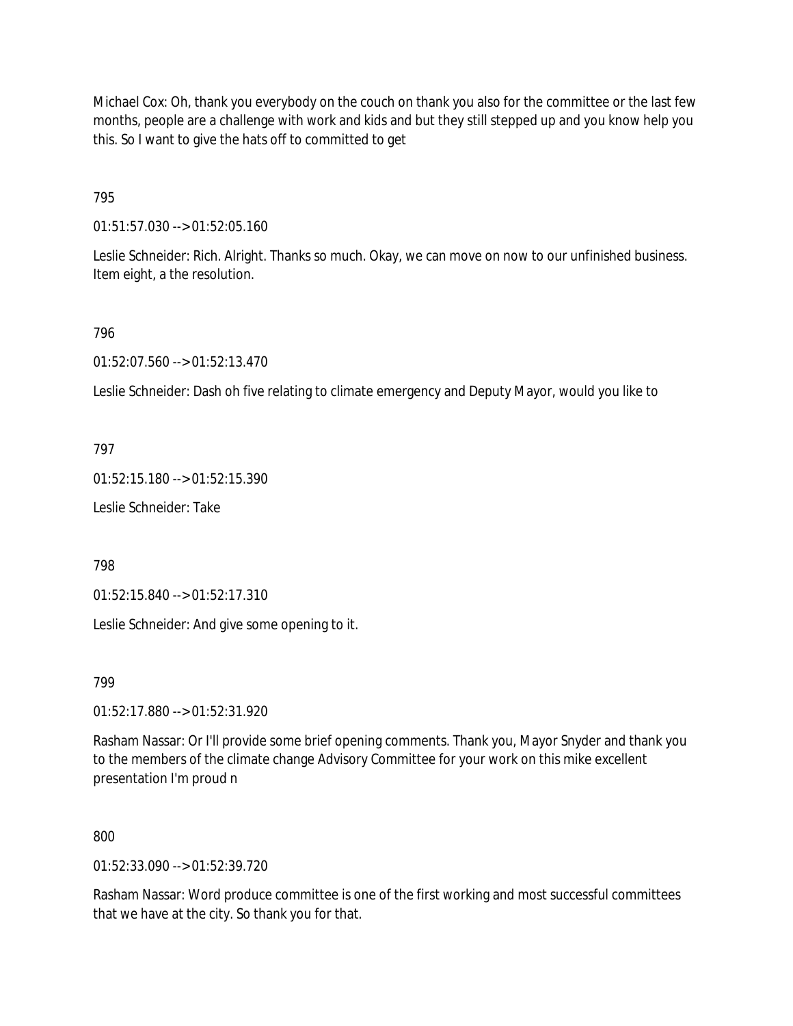Michael Cox: Oh, thank you everybody on the couch on thank you also for the committee or the last few months, people are a challenge with work and kids and but they still stepped up and you know help you this. So I want to give the hats off to committed to get

795

01:51:57.030 --> 01:52:05.160

Leslie Schneider: Rich. Alright. Thanks so much. Okay, we can move on now to our unfinished business. Item eight, a the resolution.

### 796

01:52:07.560 --> 01:52:13.470

Leslie Schneider: Dash oh five relating to climate emergency and Deputy Mayor, would you like to

797

01:52:15.180 --> 01:52:15.390

Leslie Schneider: Take

798

01:52:15.840 --> 01:52:17.310

Leslie Schneider: And give some opening to it.

799

01:52:17.880 --> 01:52:31.920

Rasham Nassar: Or I'll provide some brief opening comments. Thank you, Mayor Snyder and thank you to the members of the climate change Advisory Committee for your work on this mike excellent presentation I'm proud n

800

01:52:33.090 --> 01:52:39.720

Rasham Nassar: Word produce committee is one of the first working and most successful committees that we have at the city. So thank you for that.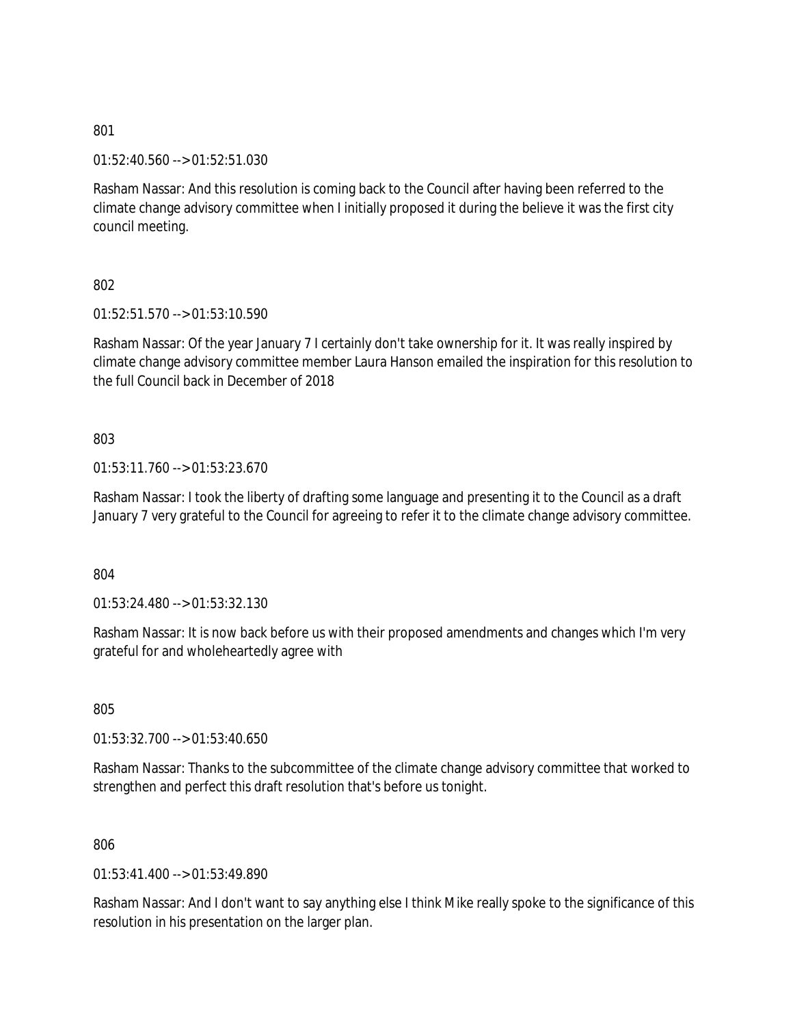01:52:40.560 --> 01:52:51.030

Rasham Nassar: And this resolution is coming back to the Council after having been referred to the climate change advisory committee when I initially proposed it during the believe it was the first city council meeting.

802

01:52:51.570 --> 01:53:10.590

Rasham Nassar: Of the year January 7 I certainly don't take ownership for it. It was really inspired by climate change advisory committee member Laura Hanson emailed the inspiration for this resolution to the full Council back in December of 2018

803

01:53:11.760 --> 01:53:23.670

Rasham Nassar: I took the liberty of drafting some language and presenting it to the Council as a draft January 7 very grateful to the Council for agreeing to refer it to the climate change advisory committee.

804

01:53:24.480 --> 01:53:32.130

Rasham Nassar: It is now back before us with their proposed amendments and changes which I'm very grateful for and wholeheartedly agree with

805

01:53:32.700 --> 01:53:40.650

Rasham Nassar: Thanks to the subcommittee of the climate change advisory committee that worked to strengthen and perfect this draft resolution that's before us tonight.

806

01:53:41.400 --> 01:53:49.890

Rasham Nassar: And I don't want to say anything else I think Mike really spoke to the significance of this resolution in his presentation on the larger plan.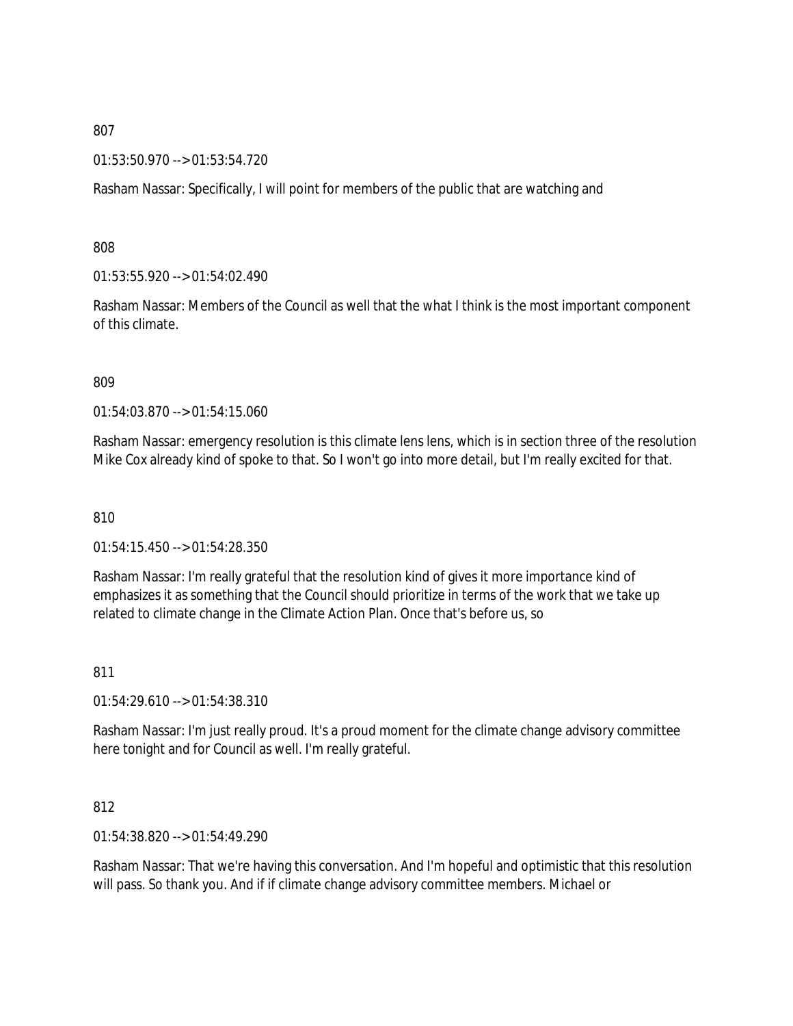#### 01:53:50.970 --> 01:53:54.720

Rasham Nassar: Specifically, I will point for members of the public that are watching and

808

01:53:55.920 --> 01:54:02.490

Rasham Nassar: Members of the Council as well that the what I think is the most important component of this climate.

809

01:54:03.870 --> 01:54:15.060

Rasham Nassar: emergency resolution is this climate lens lens, which is in section three of the resolution Mike Cox already kind of spoke to that. So I won't go into more detail, but I'm really excited for that.

810

01:54:15.450 --> 01:54:28.350

Rasham Nassar: I'm really grateful that the resolution kind of gives it more importance kind of emphasizes it as something that the Council should prioritize in terms of the work that we take up related to climate change in the Climate Action Plan. Once that's before us, so

811

01:54:29.610 --> 01:54:38.310

Rasham Nassar: I'm just really proud. It's a proud moment for the climate change advisory committee here tonight and for Council as well. I'm really grateful.

### 812

01:54:38.820 --> 01:54:49.290

Rasham Nassar: That we're having this conversation. And I'm hopeful and optimistic that this resolution will pass. So thank you. And if if climate change advisory committee members. Michael or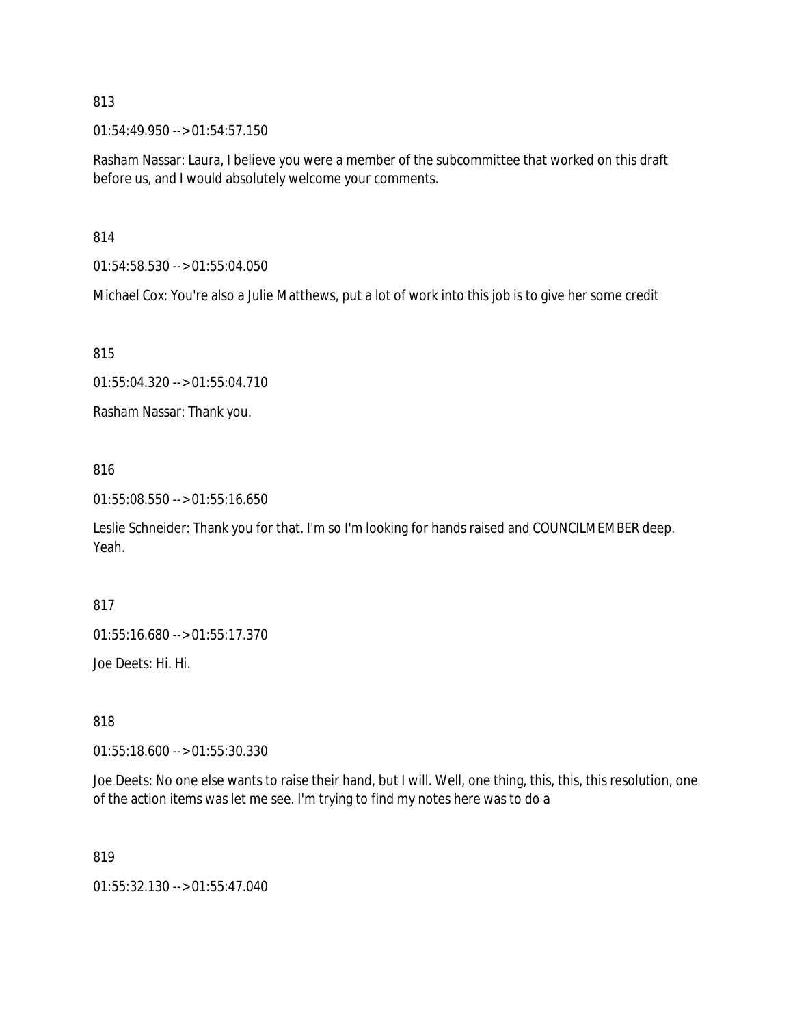01:54:49.950 --> 01:54:57.150

Rasham Nassar: Laura, I believe you were a member of the subcommittee that worked on this draft before us, and I would absolutely welcome your comments.

814

01:54:58.530 --> 01:55:04.050

Michael Cox: You're also a Julie Matthews, put a lot of work into this job is to give her some credit

815

```
01:55:04.320 --> 01:55:04.710
```
Rasham Nassar: Thank you.

### 816

01:55:08.550 --> 01:55:16.650

Leslie Schneider: Thank you for that. I'm so I'm looking for hands raised and COUNCILMEMBER deep. Yeah.

817

01:55:16.680 --> 01:55:17.370

Joe Deets: Hi. Hi.

818

01:55:18.600 --> 01:55:30.330

Joe Deets: No one else wants to raise their hand, but I will. Well, one thing, this, this, this resolution, one of the action items was let me see. I'm trying to find my notes here was to do a

819

01:55:32.130 --> 01:55:47.040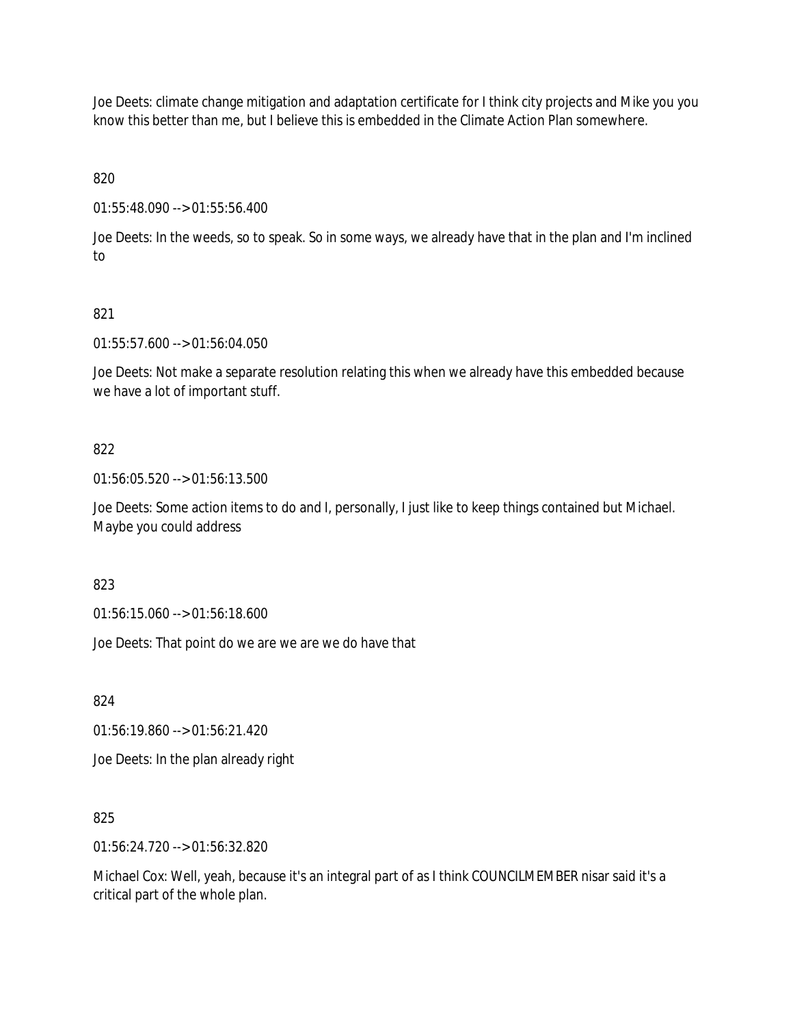Joe Deets: climate change mitigation and adaptation certificate for I think city projects and Mike you you know this better than me, but I believe this is embedded in the Climate Action Plan somewhere.

820

01:55:48.090 --> 01:55:56.400

Joe Deets: In the weeds, so to speak. So in some ways, we already have that in the plan and I'm inclined to

## 821

01:55:57.600 --> 01:56:04.050

Joe Deets: Not make a separate resolution relating this when we already have this embedded because we have a lot of important stuff.

## 822

01:56:05.520 --> 01:56:13.500

Joe Deets: Some action items to do and I, personally, I just like to keep things contained but Michael. Maybe you could address

### 823

01:56:15.060 --> 01:56:18.600

Joe Deets: That point do we are we are we do have that

824

01:56:19.860 --> 01:56:21.420

Joe Deets: In the plan already right

### 825

01:56:24.720 --> 01:56:32.820

Michael Cox: Well, yeah, because it's an integral part of as I think COUNCILMEMBER nisar said it's a critical part of the whole plan.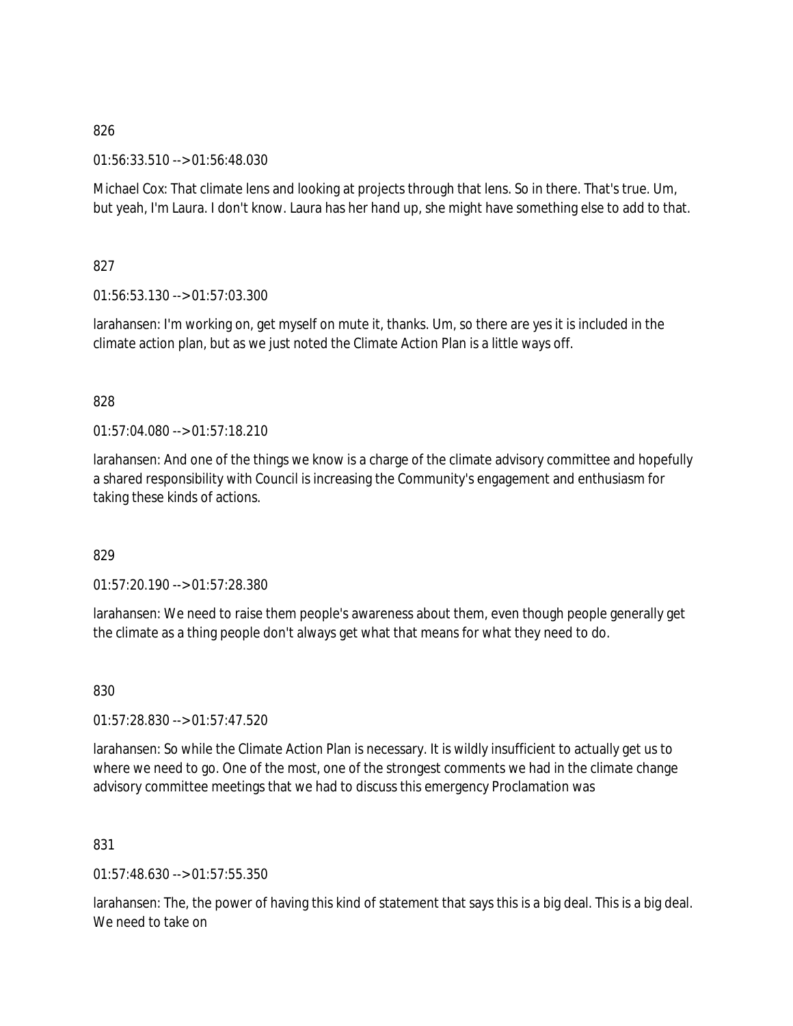01:56:33.510 --> 01:56:48.030

Michael Cox: That climate lens and looking at projects through that lens. So in there. That's true. Um, but yeah, I'm Laura. I don't know. Laura has her hand up, she might have something else to add to that.

# 827

01:56:53.130 --> 01:57:03.300

larahansen: I'm working on, get myself on mute it, thanks. Um, so there are yes it is included in the climate action plan, but as we just noted the Climate Action Plan is a little ways off.

## 828

 $01:57:04.080 \rightarrow 01:57:18.210$ 

larahansen: And one of the things we know is a charge of the climate advisory committee and hopefully a shared responsibility with Council is increasing the Community's engagement and enthusiasm for taking these kinds of actions.

# 829

01:57:20.190 --> 01:57:28.380

larahansen: We need to raise them people's awareness about them, even though people generally get the climate as a thing people don't always get what that means for what they need to do.

830

01:57:28.830 --> 01:57:47.520

larahansen: So while the Climate Action Plan is necessary. It is wildly insufficient to actually get us to where we need to go. One of the most, one of the strongest comments we had in the climate change advisory committee meetings that we had to discuss this emergency Proclamation was

### 831

01:57:48.630 --> 01:57:55.350

larahansen: The, the power of having this kind of statement that says this is a big deal. This is a big deal. We need to take on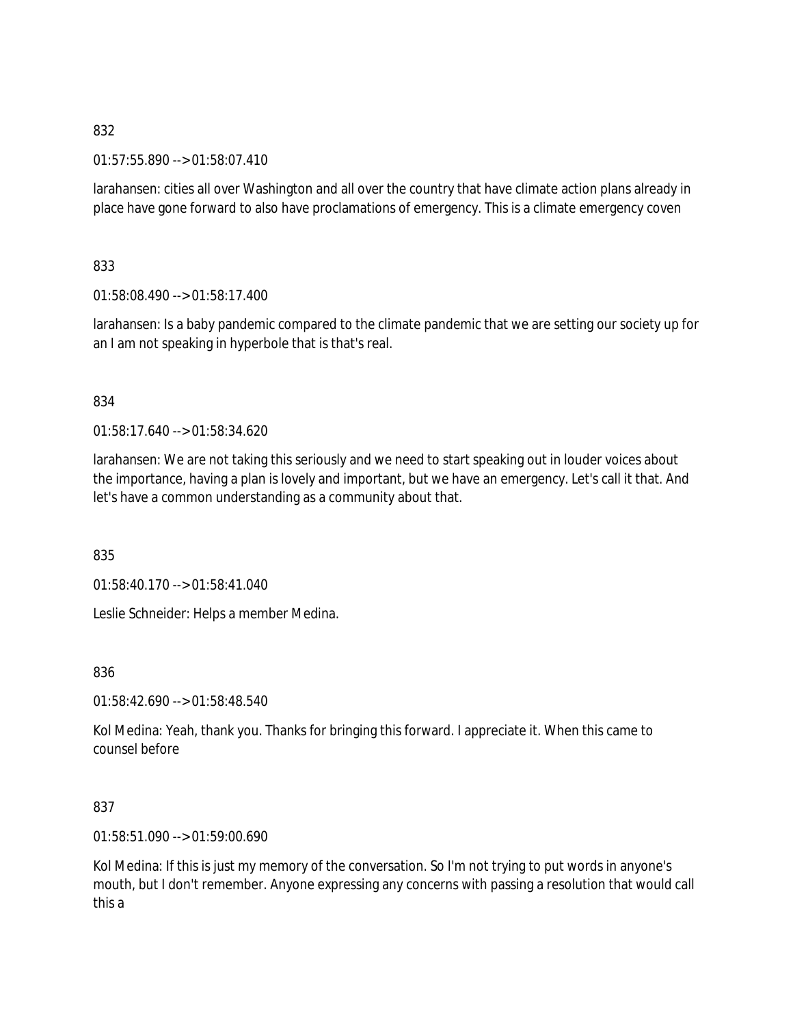01:57:55.890 --> 01:58:07.410

larahansen: cities all over Washington and all over the country that have climate action plans already in place have gone forward to also have proclamations of emergency. This is a climate emergency coven

833

01:58:08.490 --> 01:58:17.400

larahansen: Is a baby pandemic compared to the climate pandemic that we are setting our society up for an I am not speaking in hyperbole that is that's real.

## 834

01:58:17.640 --> 01:58:34.620

larahansen: We are not taking this seriously and we need to start speaking out in louder voices about the importance, having a plan is lovely and important, but we have an emergency. Let's call it that. And let's have a common understanding as a community about that.

835

01:58:40.170 --> 01:58:41.040

Leslie Schneider: Helps a member Medina.

836

01:58:42.690 --> 01:58:48.540

Kol Medina: Yeah, thank you. Thanks for bringing this forward. I appreciate it. When this came to counsel before

# 837

01:58:51.090 --> 01:59:00.690

Kol Medina: If this is just my memory of the conversation. So I'm not trying to put words in anyone's mouth, but I don't remember. Anyone expressing any concerns with passing a resolution that would call this a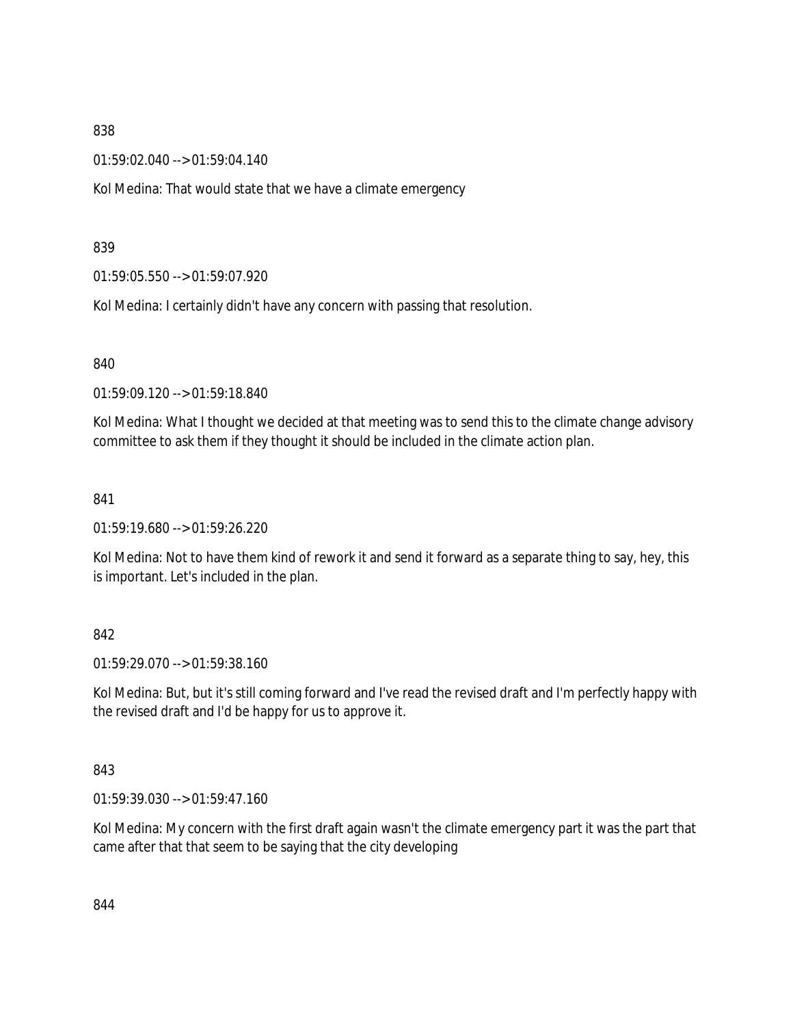01:59:02.040 --> 01:59:04.140

Kol Medina: That would state that we have a climate emergency

839

01:59:05.550 --> 01:59:07.920

Kol Medina: I certainly didn't have any concern with passing that resolution.

840

01:59:09.120 --> 01:59:18.840

Kol Medina: What I thought we decided at that meeting was to send this to the climate change advisory committee to ask them if they thought it should be included in the climate action plan.

841

01:59:19.680 --> 01:59:26.220

Kol Medina: Not to have them kind of rework it and send it forward as a separate thing to say, hey, this is important. Let's included in the plan.

### 842

01:59:29.070 --> 01:59:38.160

Kol Medina: But, but it's still coming forward and I've read the revised draft and I'm perfectly happy with the revised draft and I'd be happy for us to approve it.

### 843

01:59:39.030 --> 01:59:47.160

Kol Medina: My concern with the first draft again wasn't the climate emergency part it was the part that came after that that seem to be saying that the city developing

844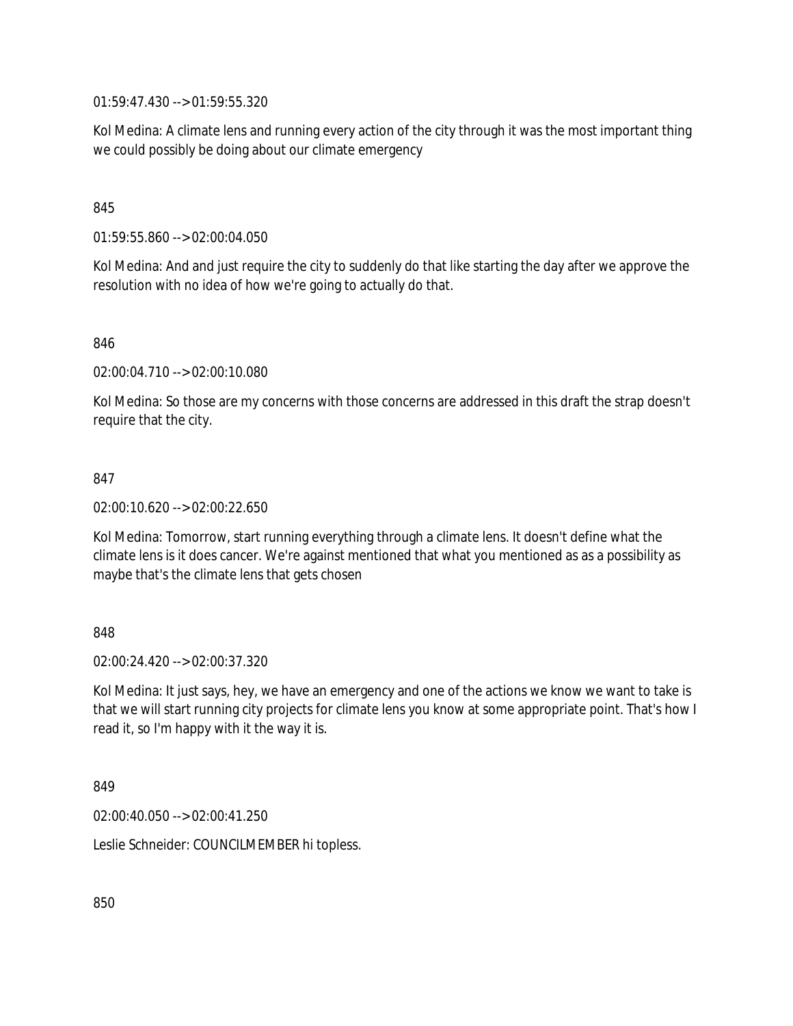01:59:47.430 --> 01:59:55.320

Kol Medina: A climate lens and running every action of the city through it was the most important thing we could possibly be doing about our climate emergency

### 845

01:59:55.860 --> 02:00:04.050

Kol Medina: And and just require the city to suddenly do that like starting the day after we approve the resolution with no idea of how we're going to actually do that.

846

02:00:04.710 --> 02:00:10.080

Kol Medina: So those are my concerns with those concerns are addressed in this draft the strap doesn't require that the city.

### 847

02:00:10.620 --> 02:00:22.650

Kol Medina: Tomorrow, start running everything through a climate lens. It doesn't define what the climate lens is it does cancer. We're against mentioned that what you mentioned as as a possibility as maybe that's the climate lens that gets chosen

### 848

02:00:24.420 --> 02:00:37.320

Kol Medina: It just says, hey, we have an emergency and one of the actions we know we want to take is that we will start running city projects for climate lens you know at some appropriate point. That's how I read it, so I'm happy with it the way it is.

849

02:00:40.050 --> 02:00:41.250

Leslie Schneider: COUNCILMEMBER hi topless.

850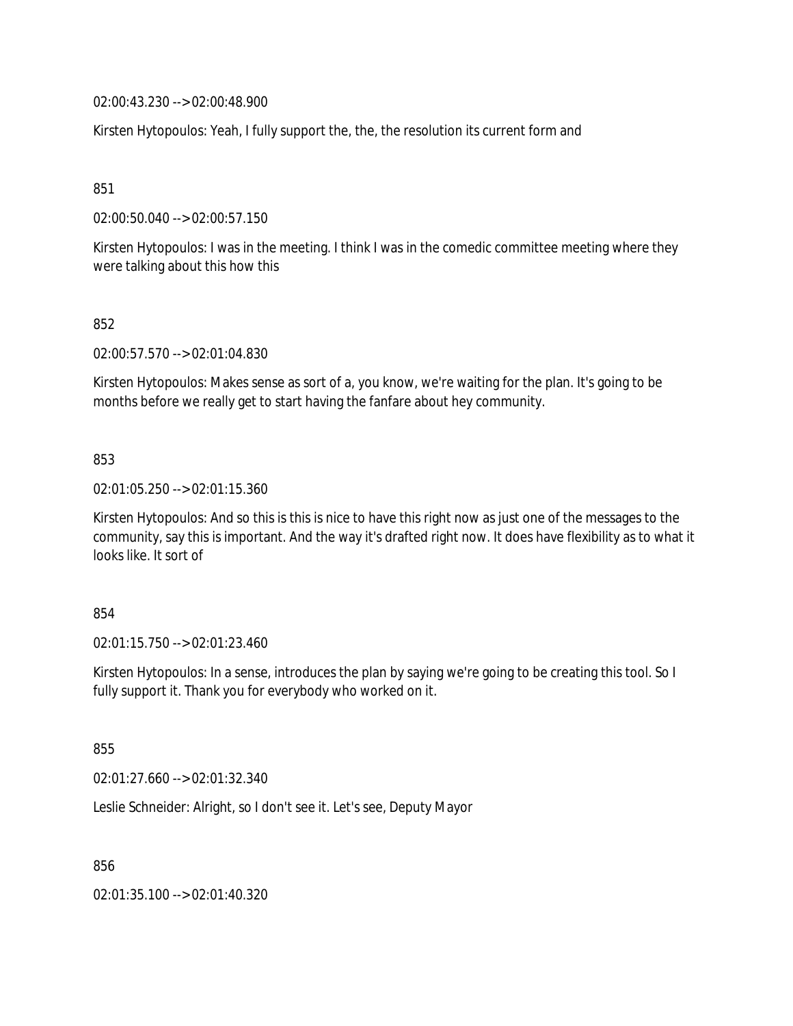02:00:43.230 --> 02:00:48.900

Kirsten Hytopoulos: Yeah, I fully support the, the, the resolution its current form and

851

02:00:50.040 --> 02:00:57.150

Kirsten Hytopoulos: I was in the meeting. I think I was in the comedic committee meeting where they were talking about this how this

852

02:00:57.570 --> 02:01:04.830

Kirsten Hytopoulos: Makes sense as sort of a, you know, we're waiting for the plan. It's going to be months before we really get to start having the fanfare about hey community.

#### 853

02:01:05.250 --> 02:01:15.360

Kirsten Hytopoulos: And so this is this is nice to have this right now as just one of the messages to the community, say this is important. And the way it's drafted right now. It does have flexibility as to what it looks like. It sort of

#### 854

02:01:15.750 --> 02:01:23.460

Kirsten Hytopoulos: In a sense, introduces the plan by saying we're going to be creating this tool. So I fully support it. Thank you for everybody who worked on it.

855

02:01:27.660 --> 02:01:32.340

Leslie Schneider: Alright, so I don't see it. Let's see, Deputy Mayor

856

02:01:35.100 --> 02:01:40.320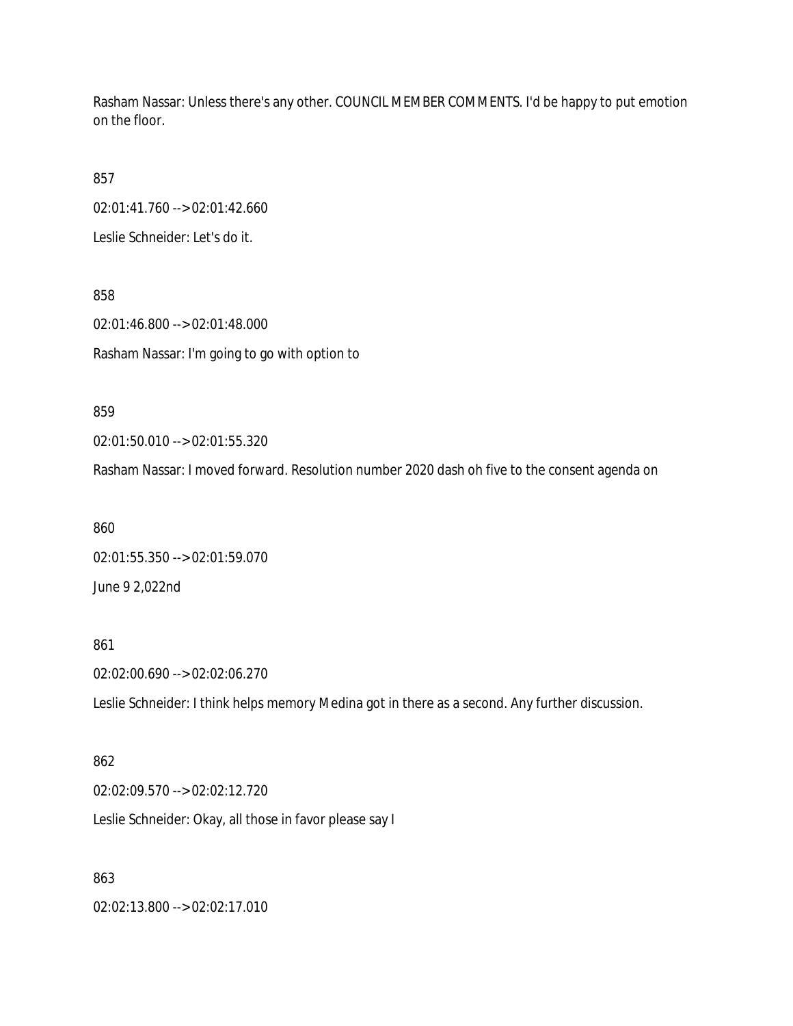Rasham Nassar: Unless there's any other. COUNCIL MEMBER COMMENTS. I'd be happy to put emotion on the floor.

857

02:01:41.760 --> 02:01:42.660

Leslie Schneider: Let's do it.

858 02:01:46.800 --> 02:01:48.000 Rasham Nassar: I'm going to go with option to

859

02:01:50.010 --> 02:01:55.320

Rasham Nassar: I moved forward. Resolution number 2020 dash oh five to the consent agenda on

860 02:01:55.350 --> 02:01:59.070 June 9 2,022nd

861

02:02:00.690 --> 02:02:06.270

Leslie Schneider: I think helps memory Medina got in there as a second. Any further discussion.

862

02:02:09.570 --> 02:02:12.720

Leslie Schneider: Okay, all those in favor please say I

863

02:02:13.800 --> 02:02:17.010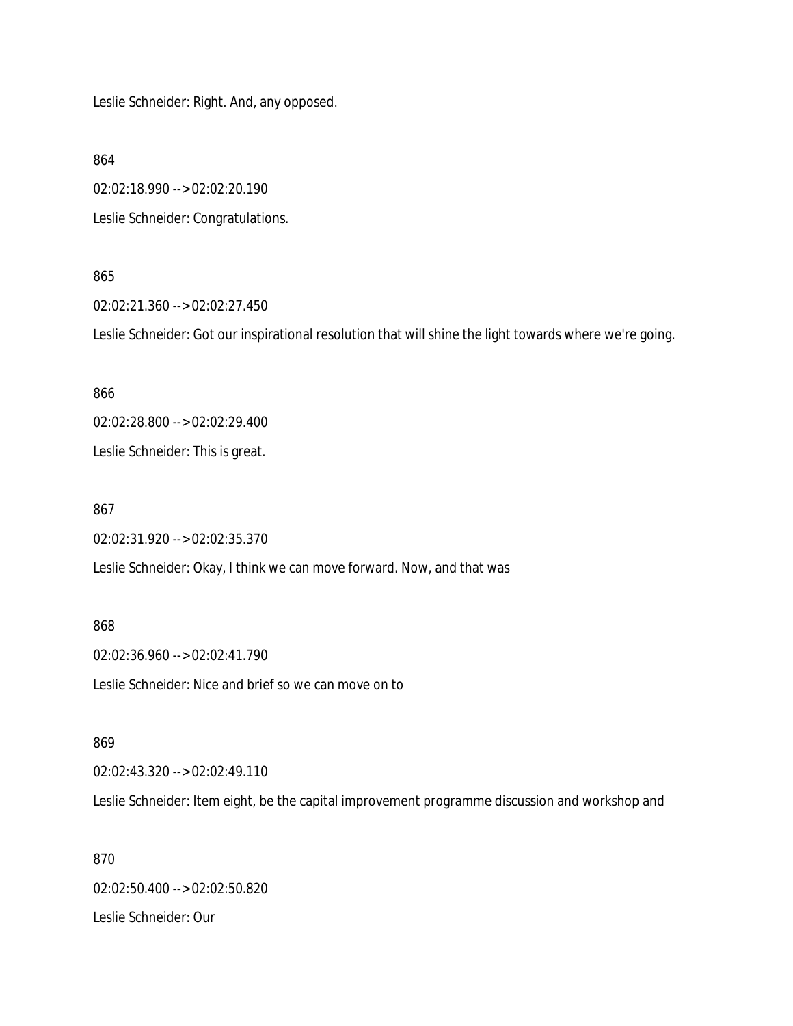Leslie Schneider: Right. And, any opposed.

864

02:02:18.990 --> 02:02:20.190 Leslie Schneider: Congratulations.

#### 865

02:02:21.360 --> 02:02:27.450

Leslie Schneider: Got our inspirational resolution that will shine the light towards where we're going.

866

02:02:28.800 --> 02:02:29.400

Leslie Schneider: This is great.

867

02:02:31.920 --> 02:02:35.370

Leslie Schneider: Okay, I think we can move forward. Now, and that was

868

02:02:36.960 --> 02:02:41.790 Leslie Schneider: Nice and brief so we can move on to

869

02:02:43.320 --> 02:02:49.110

Leslie Schneider: Item eight, be the capital improvement programme discussion and workshop and

870 02:02:50.400 --> 02:02:50.820 Leslie Schneider: Our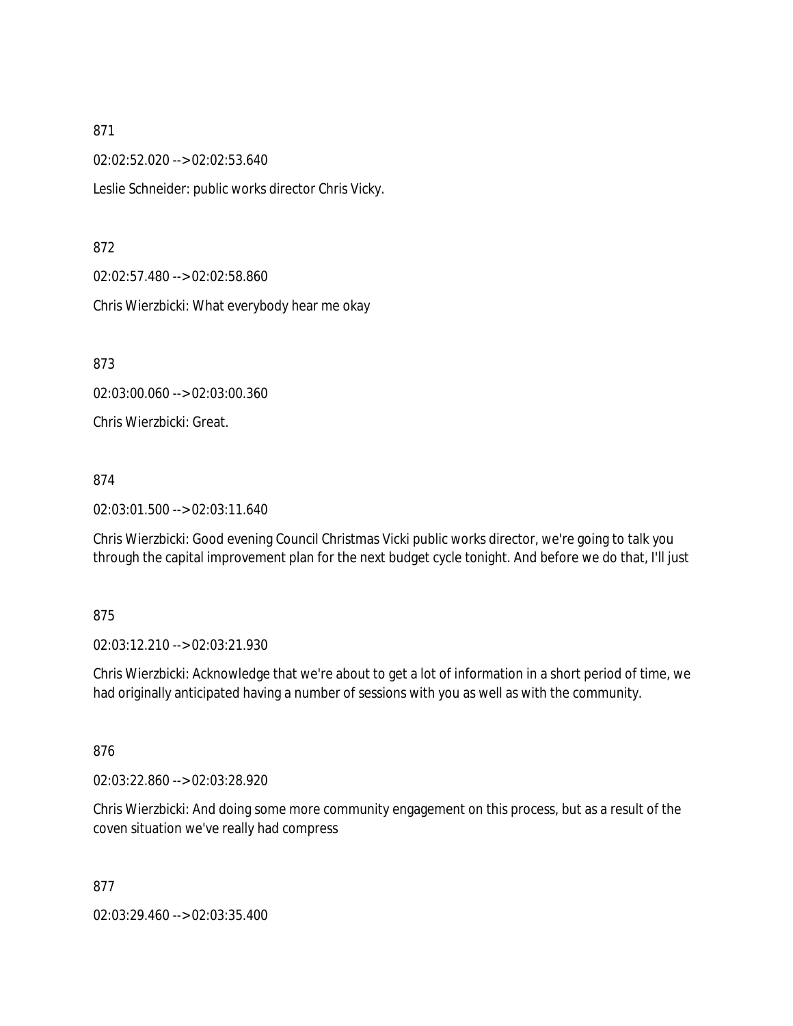02:02:52.020 --> 02:02:53.640

Leslie Schneider: public works director Chris Vicky.

#### 872

02:02:57.480 --> 02:02:58.860

Chris Wierzbicki: What everybody hear me okay

873

02:03:00.060 --> 02:03:00.360

Chris Wierzbicki: Great.

#### 874

02:03:01.500 --> 02:03:11.640

Chris Wierzbicki: Good evening Council Christmas Vicki public works director, we're going to talk you through the capital improvement plan for the next budget cycle tonight. And before we do that, I'll just

### 875

02:03:12.210 --> 02:03:21.930

Chris Wierzbicki: Acknowledge that we're about to get a lot of information in a short period of time, we had originally anticipated having a number of sessions with you as well as with the community.

### 876

02:03:22.860 --> 02:03:28.920

Chris Wierzbicki: And doing some more community engagement on this process, but as a result of the coven situation we've really had compress

877

02:03:29.460 --> 02:03:35.400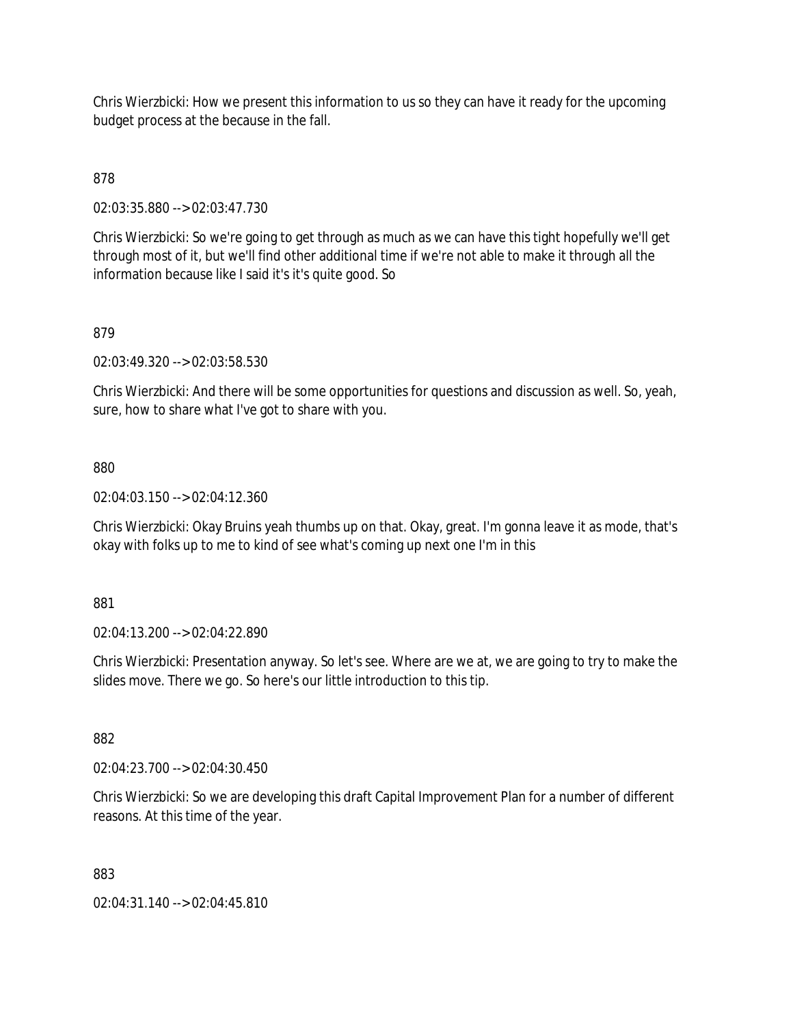Chris Wierzbicki: How we present this information to us so they can have it ready for the upcoming budget process at the because in the fall.

# 878

02:03:35.880 --> 02:03:47.730

Chris Wierzbicki: So we're going to get through as much as we can have this tight hopefully we'll get through most of it, but we'll find other additional time if we're not able to make it through all the information because like I said it's it's quite good. So

## 879

02:03:49.320 --> 02:03:58.530

Chris Wierzbicki: And there will be some opportunities for questions and discussion as well. So, yeah, sure, how to share what I've got to share with you.

## 880

02:04:03.150 --> 02:04:12.360

Chris Wierzbicki: Okay Bruins yeah thumbs up on that. Okay, great. I'm gonna leave it as mode, that's okay with folks up to me to kind of see what's coming up next one I'm in this

### 881

02:04:13.200 --> 02:04:22.890

Chris Wierzbicki: Presentation anyway. So let's see. Where are we at, we are going to try to make the slides move. There we go. So here's our little introduction to this tip.

### 882

02:04:23.700 --> 02:04:30.450

Chris Wierzbicki: So we are developing this draft Capital Improvement Plan for a number of different reasons. At this time of the year.

#### 883

02:04:31.140 --> 02:04:45.810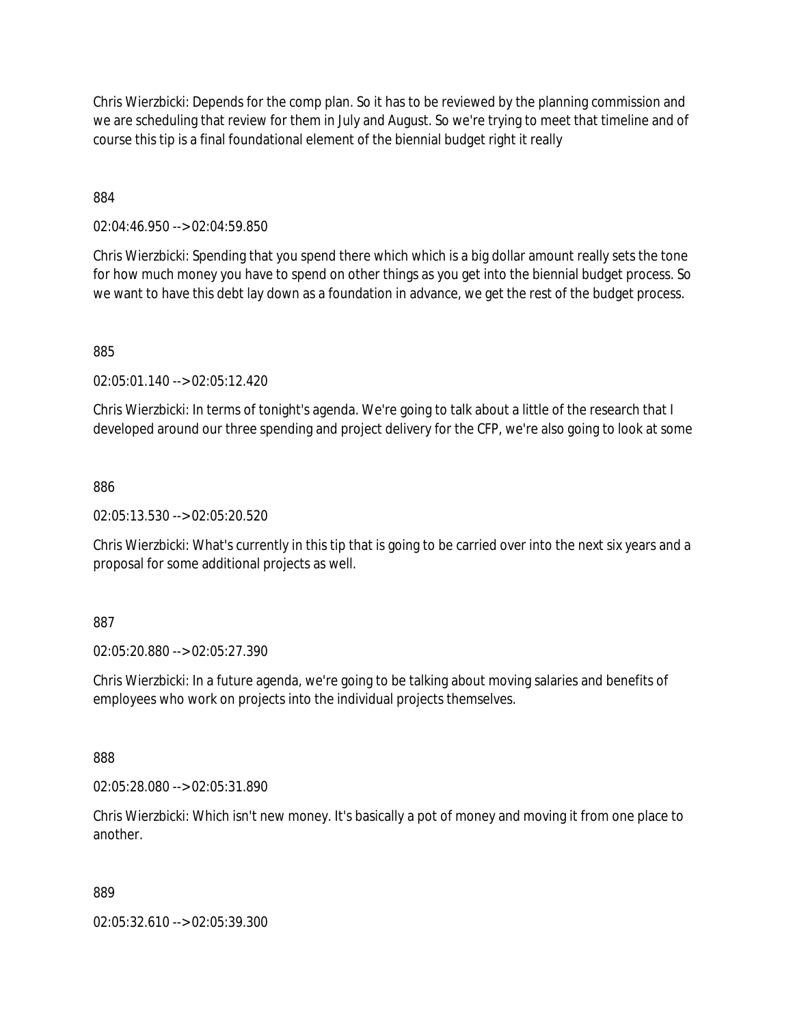Chris Wierzbicki: Depends for the comp plan. So it has to be reviewed by the planning commission and we are scheduling that review for them in July and August. So we're trying to meet that timeline and of course this tip is a final foundational element of the biennial budget right it really

884

02:04:46.950 --> 02:04:59.850

Chris Wierzbicki: Spending that you spend there which which is a big dollar amount really sets the tone for how much money you have to spend on other things as you get into the biennial budget process. So we want to have this debt lay down as a foundation in advance, we get the rest of the budget process.

885

02:05:01.140 --> 02:05:12.420

Chris Wierzbicki: In terms of tonight's agenda. We're going to talk about a little of the research that I developed around our three spending and project delivery for the CFP, we're also going to look at some

886

02:05:13.530 --> 02:05:20.520

Chris Wierzbicki: What's currently in this tip that is going to be carried over into the next six years and a proposal for some additional projects as well.

887

02:05:20.880 --> 02:05:27.390

Chris Wierzbicki: In a future agenda, we're going to be talking about moving salaries and benefits of employees who work on projects into the individual projects themselves.

888

02:05:28.080 --> 02:05:31.890

Chris Wierzbicki: Which isn't new money. It's basically a pot of money and moving it from one place to another.

889

02:05:32.610 --> 02:05:39.300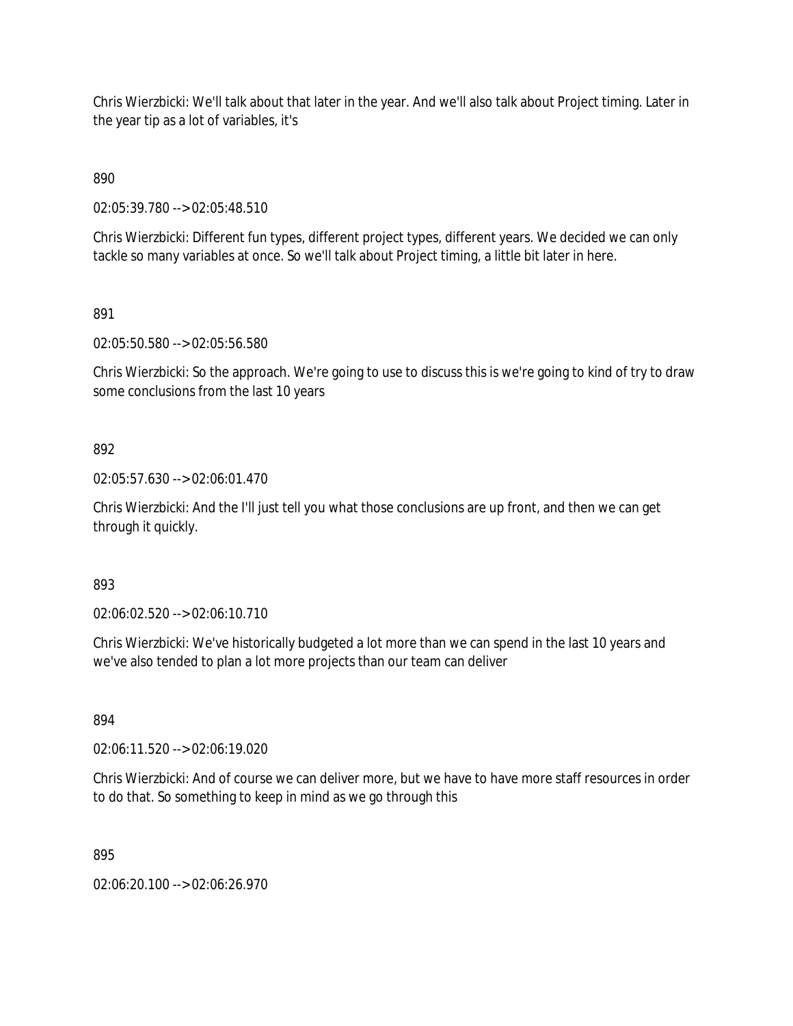Chris Wierzbicki: We'll talk about that later in the year. And we'll also talk about Project timing. Later in the year tip as a lot of variables, it's

890

02:05:39.780 --> 02:05:48.510

Chris Wierzbicki: Different fun types, different project types, different years. We decided we can only tackle so many variables at once. So we'll talk about Project timing, a little bit later in here.

891

02:05:50.580 --> 02:05:56.580

Chris Wierzbicki: So the approach. We're going to use to discuss this is we're going to kind of try to draw some conclusions from the last 10 years

## 892

02:05:57.630 --> 02:06:01.470

Chris Wierzbicki: And the I'll just tell you what those conclusions are up front, and then we can get through it quickly.

893

02:06:02.520 --> 02:06:10.710

Chris Wierzbicki: We've historically budgeted a lot more than we can spend in the last 10 years and we've also tended to plan a lot more projects than our team can deliver

894

02:06:11.520 --> 02:06:19.020

Chris Wierzbicki: And of course we can deliver more, but we have to have more staff resources in order to do that. So something to keep in mind as we go through this

895

02:06:20.100 --> 02:06:26.970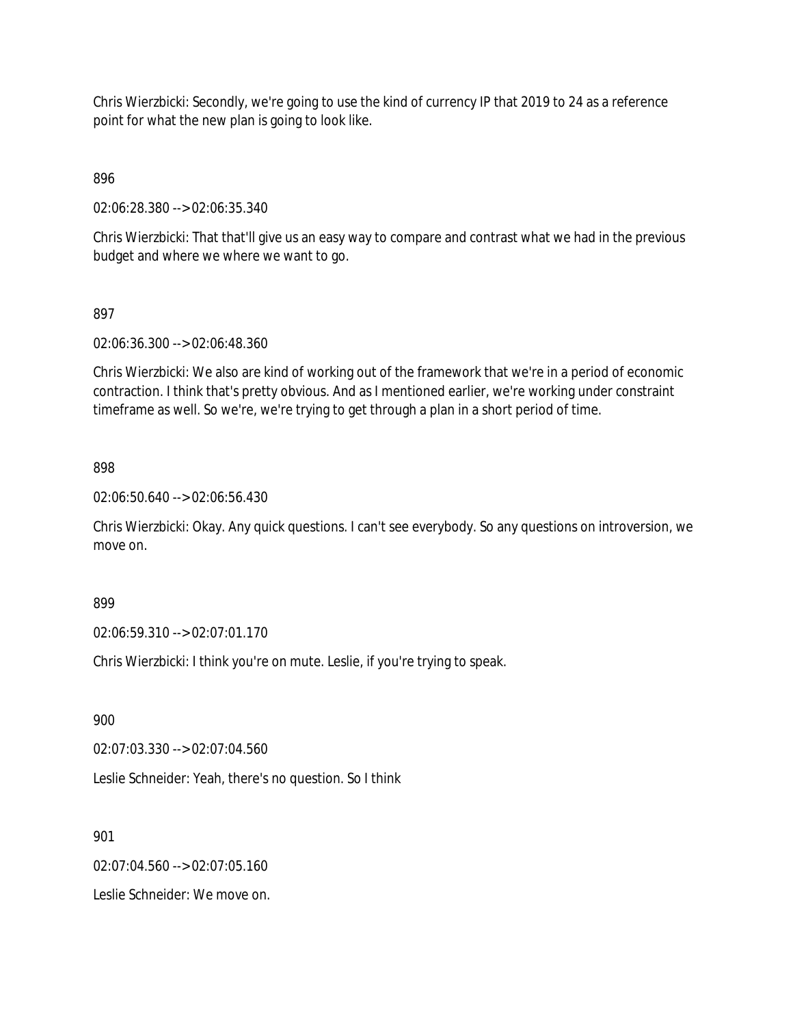Chris Wierzbicki: Secondly, we're going to use the kind of currency IP that 2019 to 24 as a reference point for what the new plan is going to look like.

896

02:06:28.380 --> 02:06:35.340

Chris Wierzbicki: That that'll give us an easy way to compare and contrast what we had in the previous budget and where we where we want to go.

## 897

02:06:36.300 --> 02:06:48.360

Chris Wierzbicki: We also are kind of working out of the framework that we're in a period of economic contraction. I think that's pretty obvious. And as I mentioned earlier, we're working under constraint timeframe as well. So we're, we're trying to get through a plan in a short period of time.

### 898

02:06:50.640 --> 02:06:56.430

Chris Wierzbicki: Okay. Any quick questions. I can't see everybody. So any questions on introversion, we move on.

899

02:06:59.310 --> 02:07:01.170

Chris Wierzbicki: I think you're on mute. Leslie, if you're trying to speak.

900

02:07:03.330 --> 02:07:04.560

Leslie Schneider: Yeah, there's no question. So I think

901

02:07:04.560 --> 02:07:05.160

Leslie Schneider: We move on.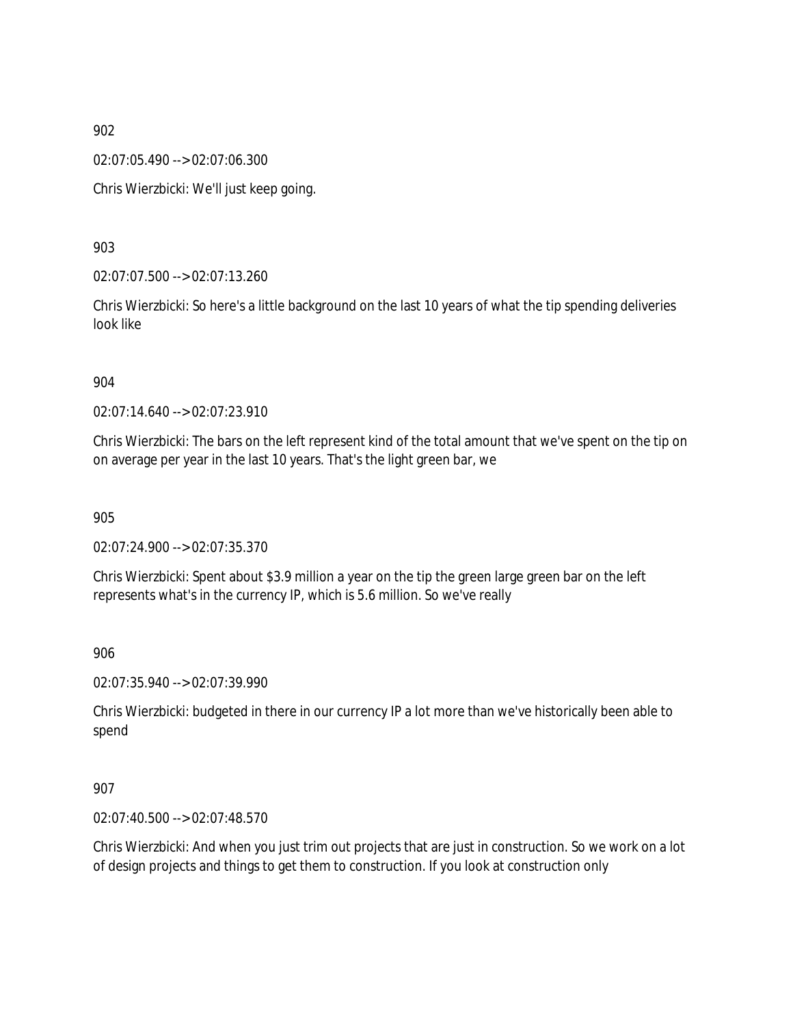02:07:05.490 --> 02:07:06.300

Chris Wierzbicki: We'll just keep going.

903

02:07:07.500 --> 02:07:13.260

Chris Wierzbicki: So here's a little background on the last 10 years of what the tip spending deliveries look like

#### 904

02:07:14.640 --> 02:07:23.910

Chris Wierzbicki: The bars on the left represent kind of the total amount that we've spent on the tip on on average per year in the last 10 years. That's the light green bar, we

905

02:07:24.900 --> 02:07:35.370

Chris Wierzbicki: Spent about \$3.9 million a year on the tip the green large green bar on the left represents what's in the currency IP, which is 5.6 million. So we've really

906

02:07:35.940 --> 02:07:39.990

Chris Wierzbicki: budgeted in there in our currency IP a lot more than we've historically been able to spend

907

02:07:40.500 --> 02:07:48.570

Chris Wierzbicki: And when you just trim out projects that are just in construction. So we work on a lot of design projects and things to get them to construction. If you look at construction only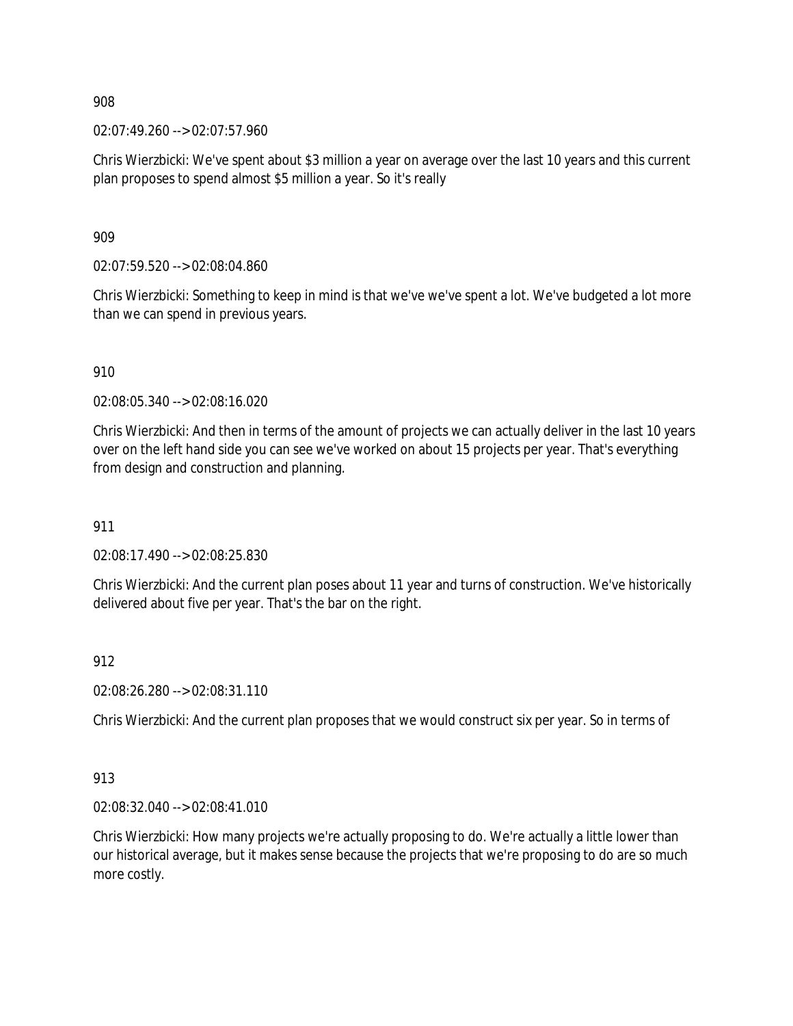02:07:49.260 --> 02:07:57.960

Chris Wierzbicki: We've spent about \$3 million a year on average over the last 10 years and this current plan proposes to spend almost \$5 million a year. So it's really

909

02:07:59.520 --> 02:08:04.860

Chris Wierzbicki: Something to keep in mind is that we've we've spent a lot. We've budgeted a lot more than we can spend in previous years.

910

02:08:05.340 --> 02:08:16.020

Chris Wierzbicki: And then in terms of the amount of projects we can actually deliver in the last 10 years over on the left hand side you can see we've worked on about 15 projects per year. That's everything from design and construction and planning.

911

02:08:17.490 --> 02:08:25.830

Chris Wierzbicki: And the current plan poses about 11 year and turns of construction. We've historically delivered about five per year. That's the bar on the right.

912

02:08:26.280 --> 02:08:31.110

Chris Wierzbicki: And the current plan proposes that we would construct six per year. So in terms of

913

02:08:32.040 --> 02:08:41.010

Chris Wierzbicki: How many projects we're actually proposing to do. We're actually a little lower than our historical average, but it makes sense because the projects that we're proposing to do are so much more costly.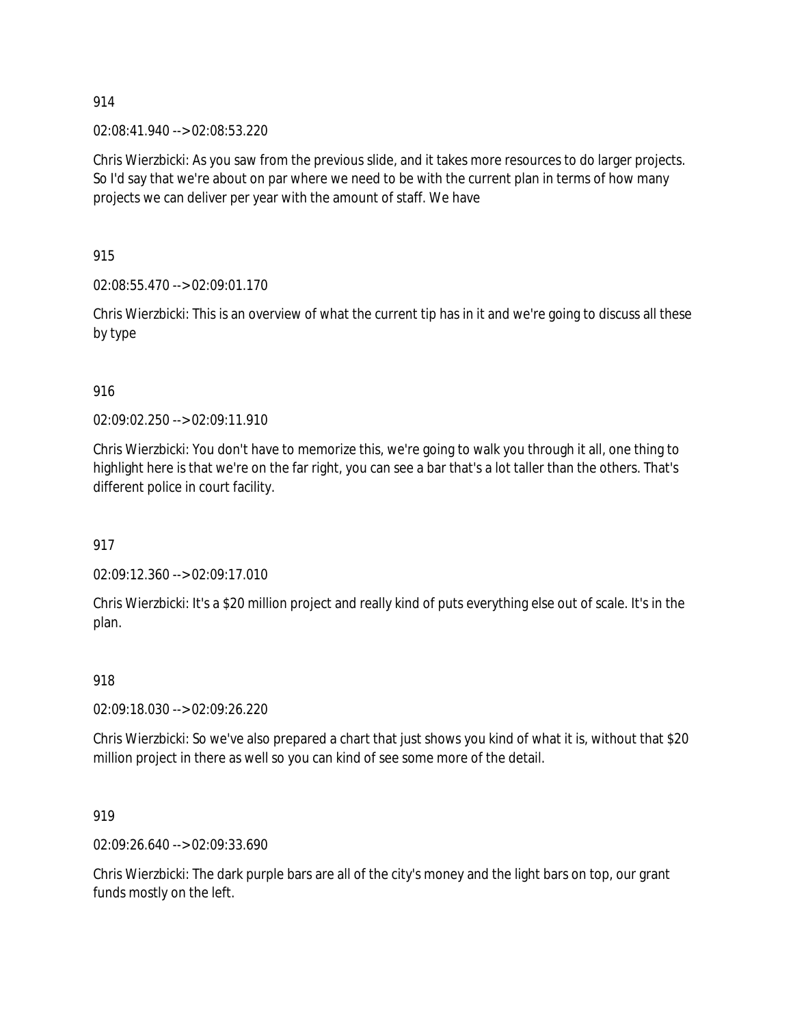02:08:41.940 --> 02:08:53.220

Chris Wierzbicki: As you saw from the previous slide, and it takes more resources to do larger projects. So I'd say that we're about on par where we need to be with the current plan in terms of how many projects we can deliver per year with the amount of staff. We have

915

02:08:55.470 --> 02:09:01.170

Chris Wierzbicki: This is an overview of what the current tip has in it and we're going to discuss all these by type

916

02:09:02.250 --> 02:09:11.910

Chris Wierzbicki: You don't have to memorize this, we're going to walk you through it all, one thing to highlight here is that we're on the far right, you can see a bar that's a lot taller than the others. That's different police in court facility.

917

02:09:12.360 --> 02:09:17.010

Chris Wierzbicki: It's a \$20 million project and really kind of puts everything else out of scale. It's in the plan.

918

02:09:18.030 --> 02:09:26.220

Chris Wierzbicki: So we've also prepared a chart that just shows you kind of what it is, without that \$20 million project in there as well so you can kind of see some more of the detail.

919

02:09:26.640 --> 02:09:33.690

Chris Wierzbicki: The dark purple bars are all of the city's money and the light bars on top, our grant funds mostly on the left.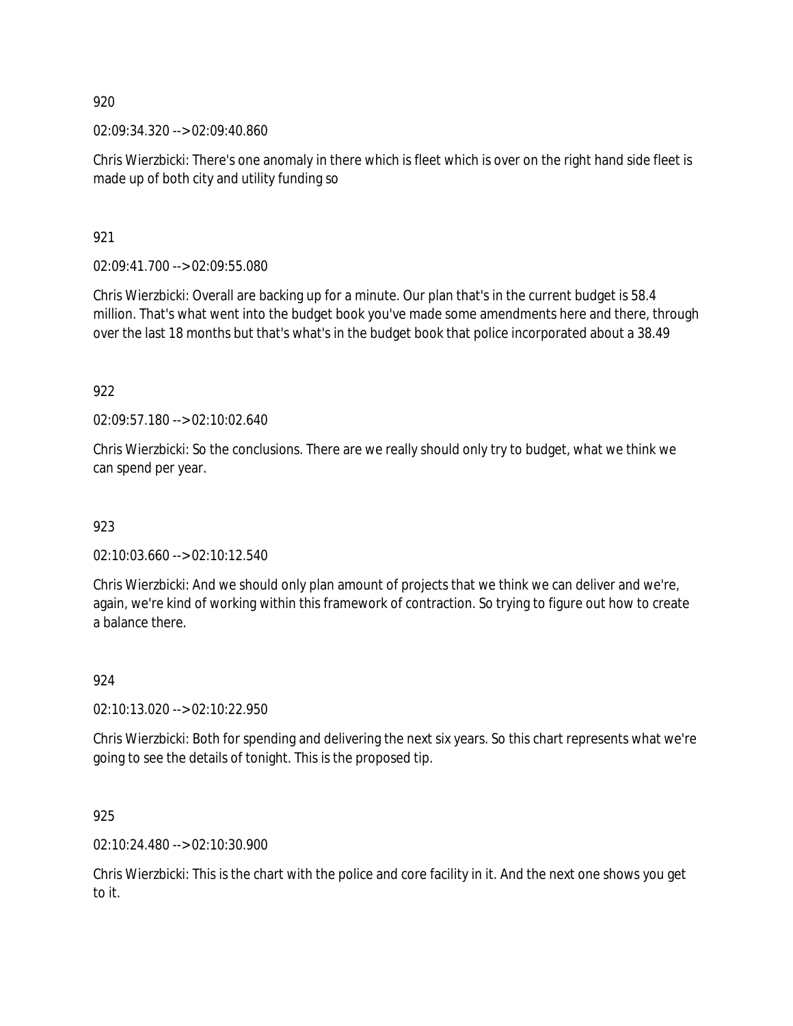02:09:34.320 --> 02:09:40.860

Chris Wierzbicki: There's one anomaly in there which is fleet which is over on the right hand side fleet is made up of both city and utility funding so

921

02:09:41.700 --> 02:09:55.080

Chris Wierzbicki: Overall are backing up for a minute. Our plan that's in the current budget is 58.4 million. That's what went into the budget book you've made some amendments here and there, through over the last 18 months but that's what's in the budget book that police incorporated about a 38.49

922

02:09:57.180 --> 02:10:02.640

Chris Wierzbicki: So the conclusions. There are we really should only try to budget, what we think we can spend per year.

923

02:10:03.660 --> 02:10:12.540

Chris Wierzbicki: And we should only plan amount of projects that we think we can deliver and we're, again, we're kind of working within this framework of contraction. So trying to figure out how to create a balance there.

#### 924

02:10:13.020 --> 02:10:22.950

Chris Wierzbicki: Both for spending and delivering the next six years. So this chart represents what we're going to see the details of tonight. This is the proposed tip.

925

02:10:24.480 --> 02:10:30.900

Chris Wierzbicki: This is the chart with the police and core facility in it. And the next one shows you get to it.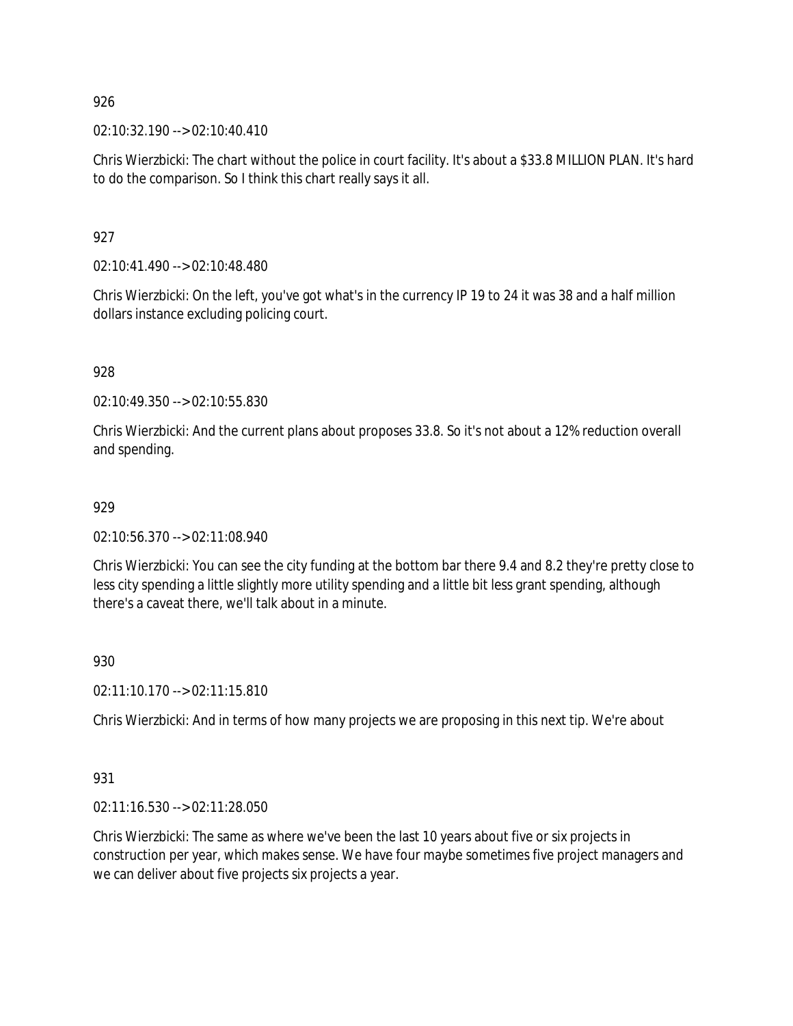02:10:32.190 --> 02:10:40.410

Chris Wierzbicki: The chart without the police in court facility. It's about a \$33.8 MILLION PLAN. It's hard to do the comparison. So I think this chart really says it all.

927

02:10:41.490 --> 02:10:48.480

Chris Wierzbicki: On the left, you've got what's in the currency IP 19 to 24 it was 38 and a half million dollars instance excluding policing court.

928

02:10:49.350 --> 02:10:55.830

Chris Wierzbicki: And the current plans about proposes 33.8. So it's not about a 12% reduction overall and spending.

### 929

02:10:56.370 --> 02:11:08.940

Chris Wierzbicki: You can see the city funding at the bottom bar there 9.4 and 8.2 they're pretty close to less city spending a little slightly more utility spending and a little bit less grant spending, although there's a caveat there, we'll talk about in a minute.

930

02:11:10.170 --> 02:11:15.810

Chris Wierzbicki: And in terms of how many projects we are proposing in this next tip. We're about

931

02:11:16.530 --> 02:11:28.050

Chris Wierzbicki: The same as where we've been the last 10 years about five or six projects in construction per year, which makes sense. We have four maybe sometimes five project managers and we can deliver about five projects six projects a year.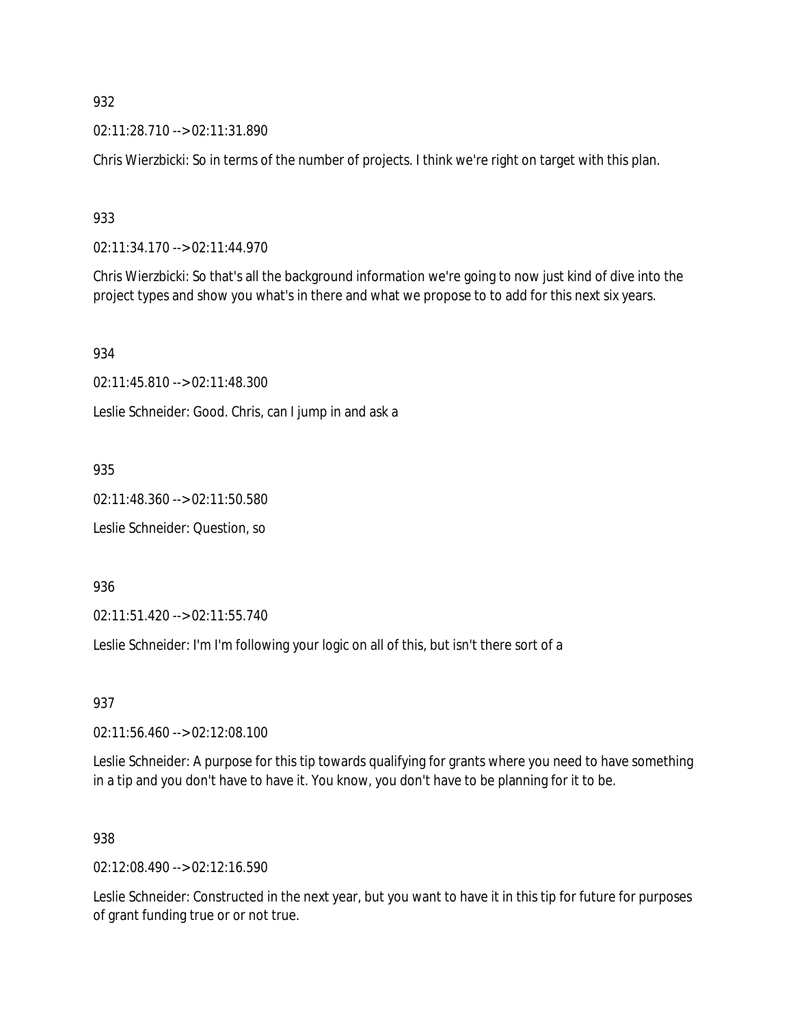02:11:28.710 --> 02:11:31.890

Chris Wierzbicki: So in terms of the number of projects. I think we're right on target with this plan.

933

02:11:34.170 --> 02:11:44.970

Chris Wierzbicki: So that's all the background information we're going to now just kind of dive into the project types and show you what's in there and what we propose to to add for this next six years.

934

02:11:45.810 --> 02:11:48.300

Leslie Schneider: Good. Chris, can I jump in and ask a

935

02:11:48.360 --> 02:11:50.580

Leslie Schneider: Question, so

936

02:11:51.420 --> 02:11:55.740

Leslie Schneider: I'm I'm following your logic on all of this, but isn't there sort of a

937

02:11:56.460 --> 02:12:08.100

Leslie Schneider: A purpose for this tip towards qualifying for grants where you need to have something in a tip and you don't have to have it. You know, you don't have to be planning for it to be.

#### 938

02:12:08.490 --> 02:12:16.590

Leslie Schneider: Constructed in the next year, but you want to have it in this tip for future for purposes of grant funding true or or not true.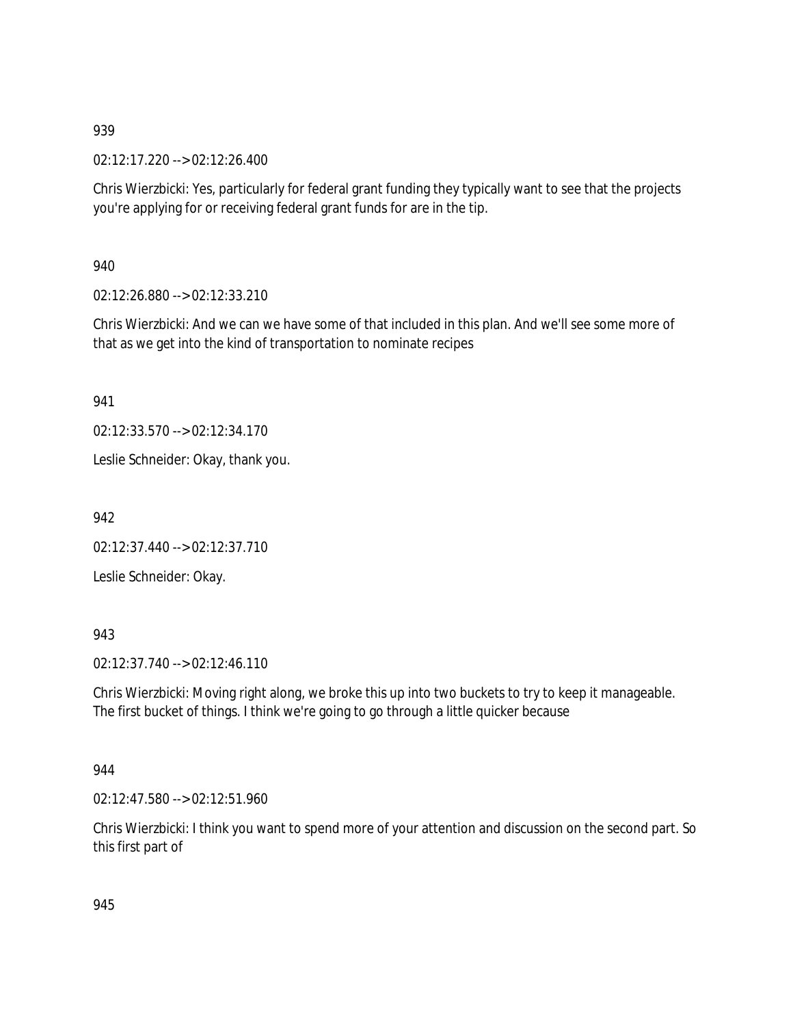02:12:17.220 --> 02:12:26.400

Chris Wierzbicki: Yes, particularly for federal grant funding they typically want to see that the projects you're applying for or receiving federal grant funds for are in the tip.

940

02:12:26.880 --> 02:12:33.210

Chris Wierzbicki: And we can we have some of that included in this plan. And we'll see some more of that as we get into the kind of transportation to nominate recipes

941

02:12:33.570 --> 02:12:34.170

Leslie Schneider: Okay, thank you.

942

02:12:37.440 --> 02:12:37.710

Leslie Schneider: Okay.

# 943

02:12:37.740 --> 02:12:46.110

Chris Wierzbicki: Moving right along, we broke this up into two buckets to try to keep it manageable. The first bucket of things. I think we're going to go through a little quicker because

### 944

02:12:47.580 --> 02:12:51.960

Chris Wierzbicki: I think you want to spend more of your attention and discussion on the second part. So this first part of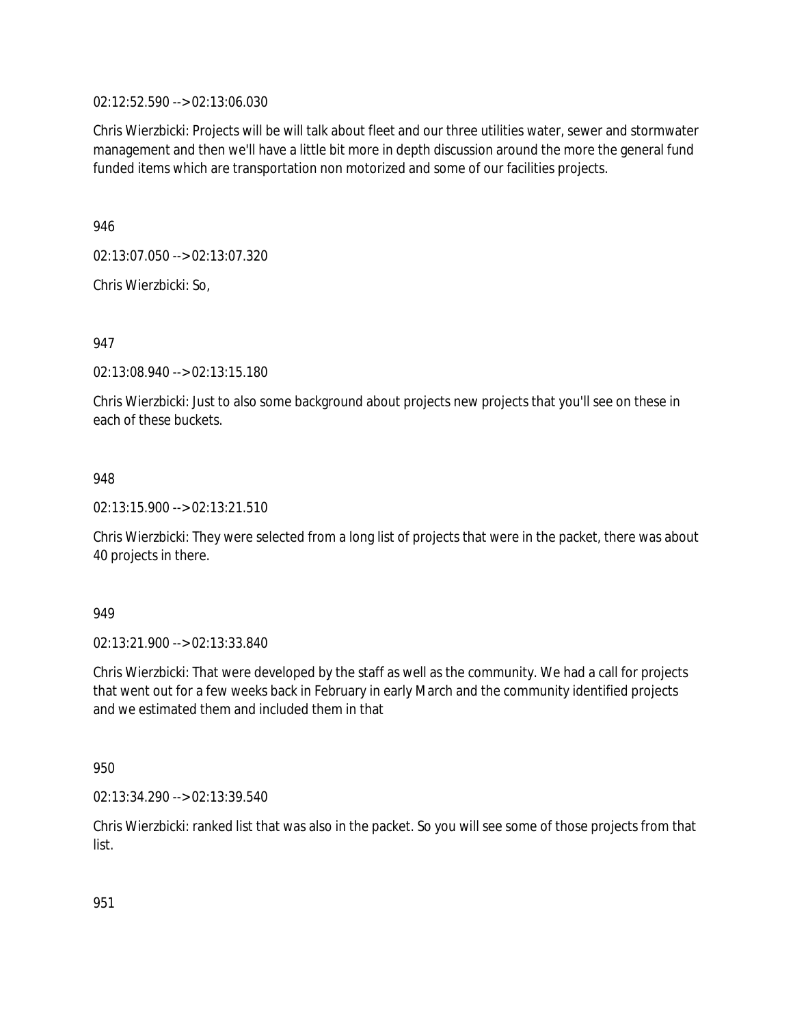02:12:52.590 --> 02:13:06.030

Chris Wierzbicki: Projects will be will talk about fleet and our three utilities water, sewer and stormwater management and then we'll have a little bit more in depth discussion around the more the general fund funded items which are transportation non motorized and some of our facilities projects.

946

02:13:07.050 --> 02:13:07.320

Chris Wierzbicki: So,

947

02:13:08.940 --> 02:13:15.180

Chris Wierzbicki: Just to also some background about projects new projects that you'll see on these in each of these buckets.

### 948

02:13:15.900 --> 02:13:21.510

Chris Wierzbicki: They were selected from a long list of projects that were in the packet, there was about 40 projects in there.

949

02:13:21.900 --> 02:13:33.840

Chris Wierzbicki: That were developed by the staff as well as the community. We had a call for projects that went out for a few weeks back in February in early March and the community identified projects and we estimated them and included them in that

950

02:13:34.290 --> 02:13:39.540

Chris Wierzbicki: ranked list that was also in the packet. So you will see some of those projects from that list.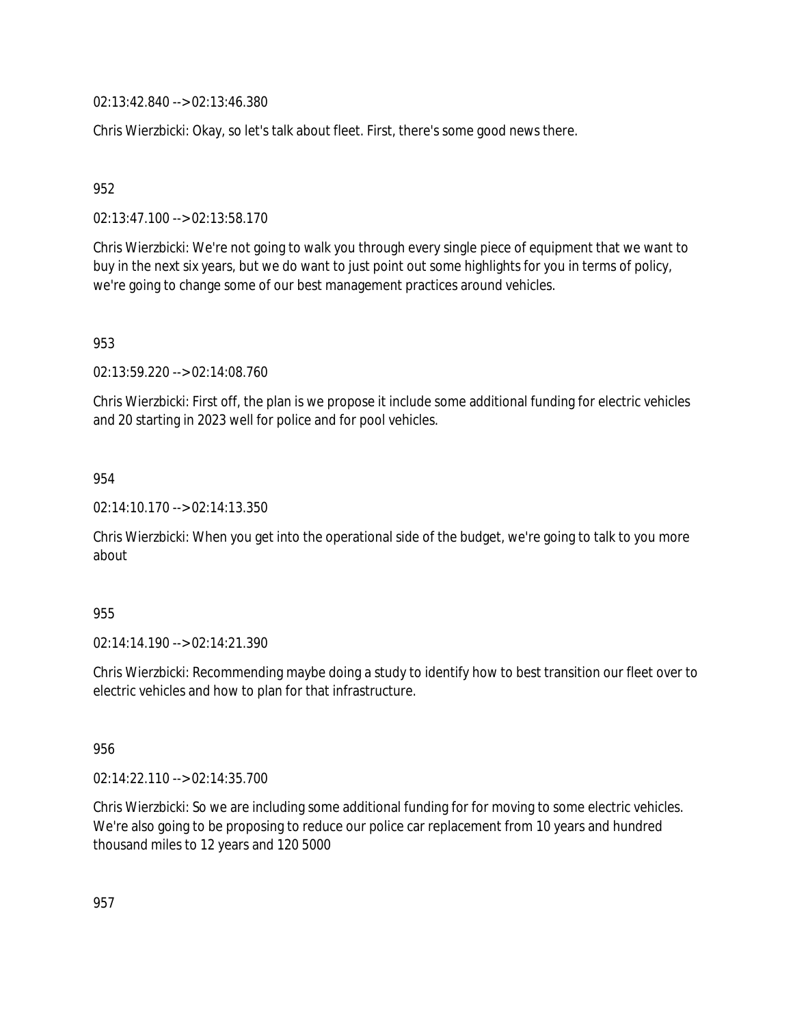02:13:42.840 --> 02:13:46.380

Chris Wierzbicki: Okay, so let's talk about fleet. First, there's some good news there.

952

02:13:47.100 --> 02:13:58.170

Chris Wierzbicki: We're not going to walk you through every single piece of equipment that we want to buy in the next six years, but we do want to just point out some highlights for you in terms of policy, we're going to change some of our best management practices around vehicles.

953

02:13:59.220 --> 02:14:08.760

Chris Wierzbicki: First off, the plan is we propose it include some additional funding for electric vehicles and 20 starting in 2023 well for police and for pool vehicles.

954

02:14:10.170 --> 02:14:13.350

Chris Wierzbicki: When you get into the operational side of the budget, we're going to talk to you more about

### 955

02:14:14.190 --> 02:14:21.390

Chris Wierzbicki: Recommending maybe doing a study to identify how to best transition our fleet over to electric vehicles and how to plan for that infrastructure.

956

02:14:22.110 --> 02:14:35.700

Chris Wierzbicki: So we are including some additional funding for for moving to some electric vehicles. We're also going to be proposing to reduce our police car replacement from 10 years and hundred thousand miles to 12 years and 120 5000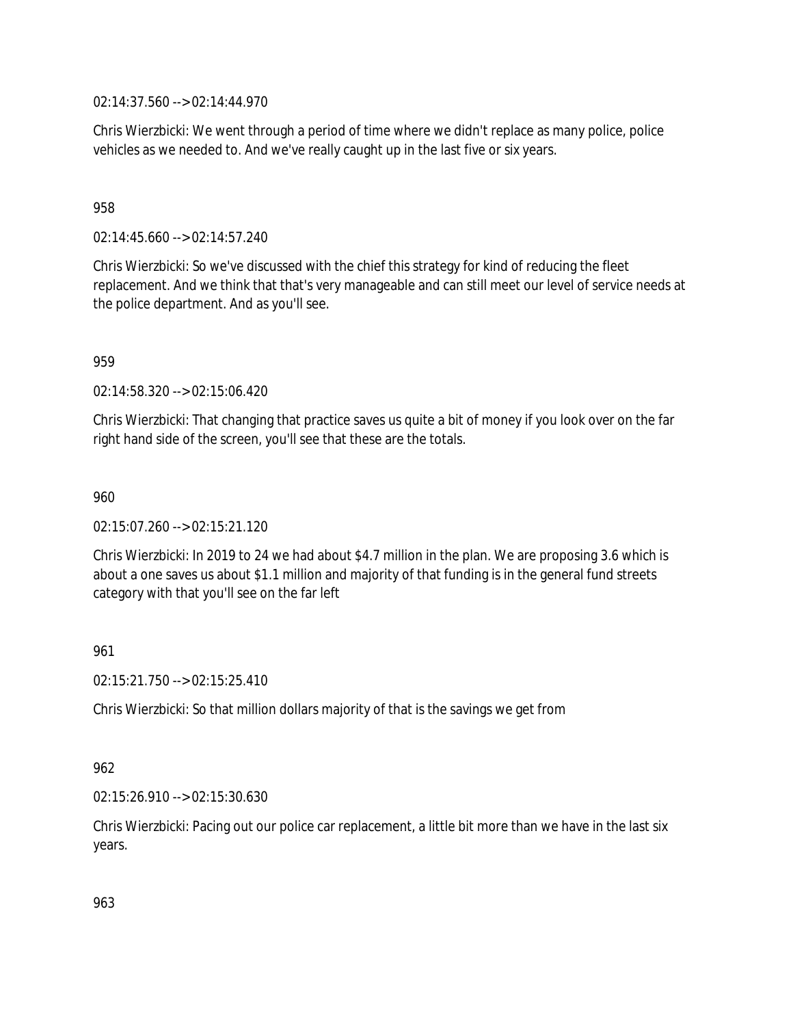02:14:37.560 --> 02:14:44.970

Chris Wierzbicki: We went through a period of time where we didn't replace as many police, police vehicles as we needed to. And we've really caught up in the last five or six years.

# 958

02:14:45.660 --> 02:14:57.240

Chris Wierzbicki: So we've discussed with the chief this strategy for kind of reducing the fleet replacement. And we think that that's very manageable and can still meet our level of service needs at the police department. And as you'll see.

959

02:14:58.320 --> 02:15:06.420

Chris Wierzbicki: That changing that practice saves us quite a bit of money if you look over on the far right hand side of the screen, you'll see that these are the totals.

960

02:15:07.260 --> 02:15:21.120

Chris Wierzbicki: In 2019 to 24 we had about \$4.7 million in the plan. We are proposing 3.6 which is about a one saves us about \$1.1 million and majority of that funding is in the general fund streets category with that you'll see on the far left

### 961

02:15:21.750 --> 02:15:25.410

Chris Wierzbicki: So that million dollars majority of that is the savings we get from

### 962

02:15:26.910 --> 02:15:30.630

Chris Wierzbicki: Pacing out our police car replacement, a little bit more than we have in the last six years.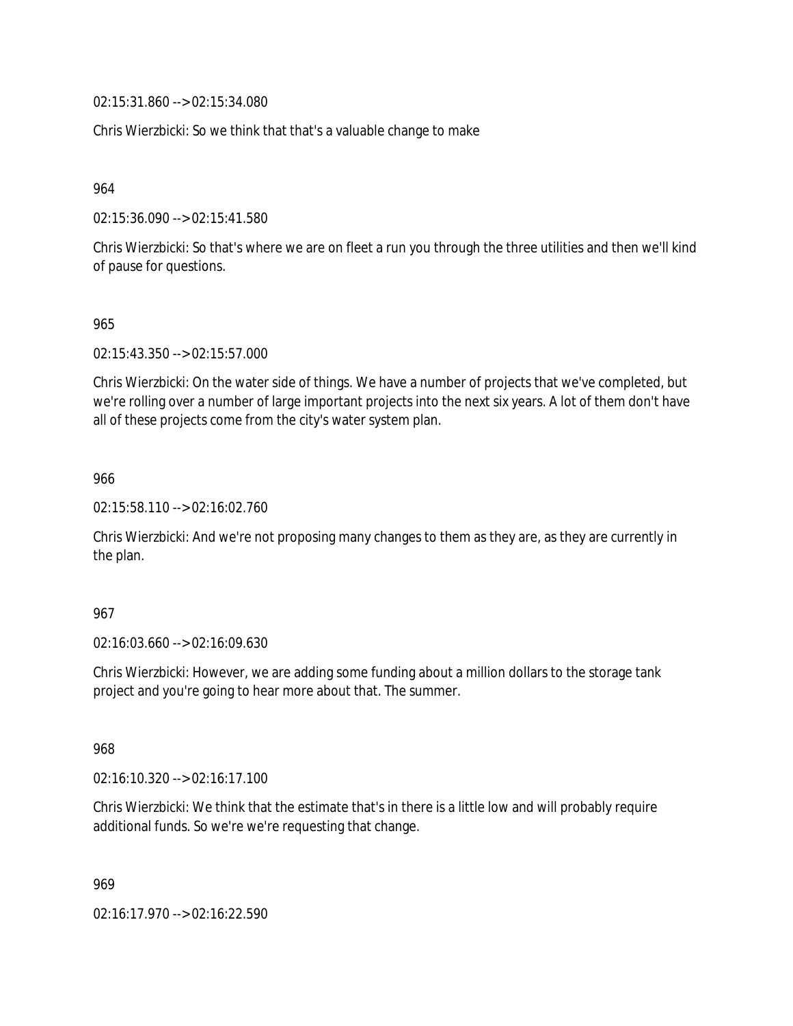02:15:31.860 --> 02:15:34.080

Chris Wierzbicki: So we think that that's a valuable change to make

964

02:15:36.090 --> 02:15:41.580

Chris Wierzbicki: So that's where we are on fleet a run you through the three utilities and then we'll kind of pause for questions.

965

02:15:43.350 --> 02:15:57.000

Chris Wierzbicki: On the water side of things. We have a number of projects that we've completed, but we're rolling over a number of large important projects into the next six years. A lot of them don't have all of these projects come from the city's water system plan.

966

02:15:58.110 --> 02:16:02.760

Chris Wierzbicki: And we're not proposing many changes to them as they are, as they are currently in the plan.

967

02:16:03.660 --> 02:16:09.630

Chris Wierzbicki: However, we are adding some funding about a million dollars to the storage tank project and you're going to hear more about that. The summer.

968

02:16:10.320 --> 02:16:17.100

Chris Wierzbicki: We think that the estimate that's in there is a little low and will probably require additional funds. So we're we're requesting that change.

969

02:16:17.970 --> 02:16:22.590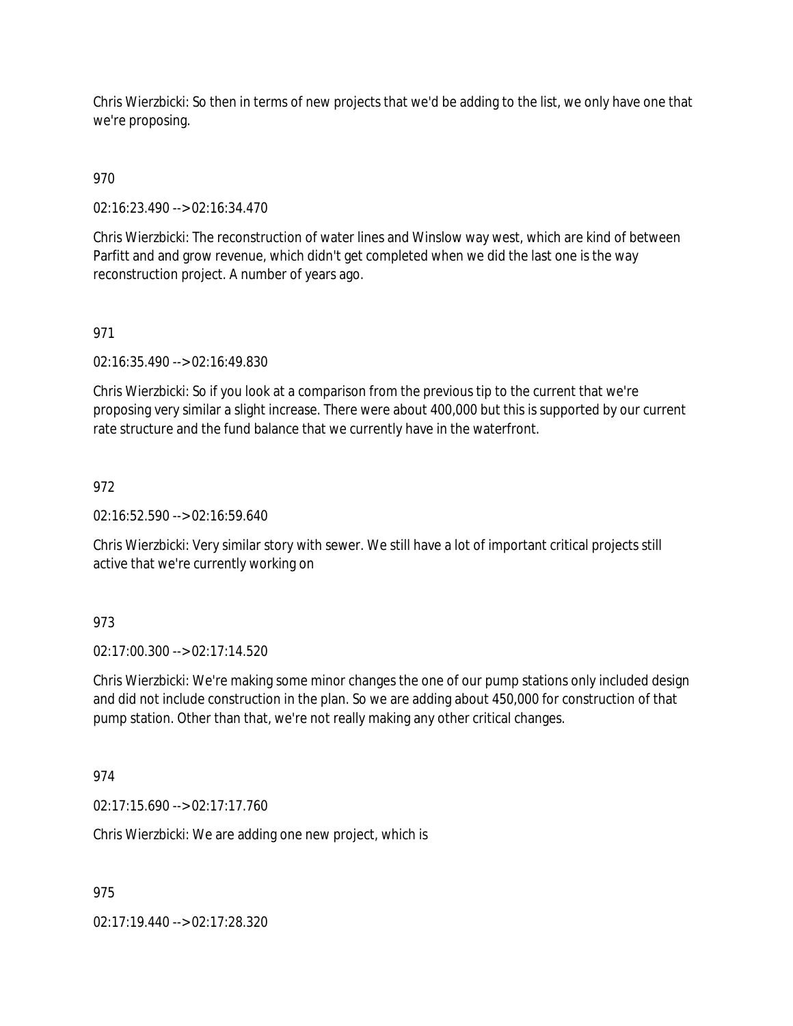Chris Wierzbicki: So then in terms of new projects that we'd be adding to the list, we only have one that we're proposing.

# 970

02:16:23.490 --> 02:16:34.470

Chris Wierzbicki: The reconstruction of water lines and Winslow way west, which are kind of between Parfitt and and grow revenue, which didn't get completed when we did the last one is the way reconstruction project. A number of years ago.

# 971

02:16:35.490 --> 02:16:49.830

Chris Wierzbicki: So if you look at a comparison from the previous tip to the current that we're proposing very similar a slight increase. There were about 400,000 but this is supported by our current rate structure and the fund balance that we currently have in the waterfront.

# 972

 $02.16:52.590 \rightarrow 02.16:59.640$ 

Chris Wierzbicki: Very similar story with sewer. We still have a lot of important critical projects still active that we're currently working on

### 973

02:17:00.300 --> 02:17:14.520

Chris Wierzbicki: We're making some minor changes the one of our pump stations only included design and did not include construction in the plan. So we are adding about 450,000 for construction of that pump station. Other than that, we're not really making any other critical changes.

### 974

02:17:15.690 --> 02:17:17.760

Chris Wierzbicki: We are adding one new project, which is

975

02:17:19.440 --> 02:17:28.320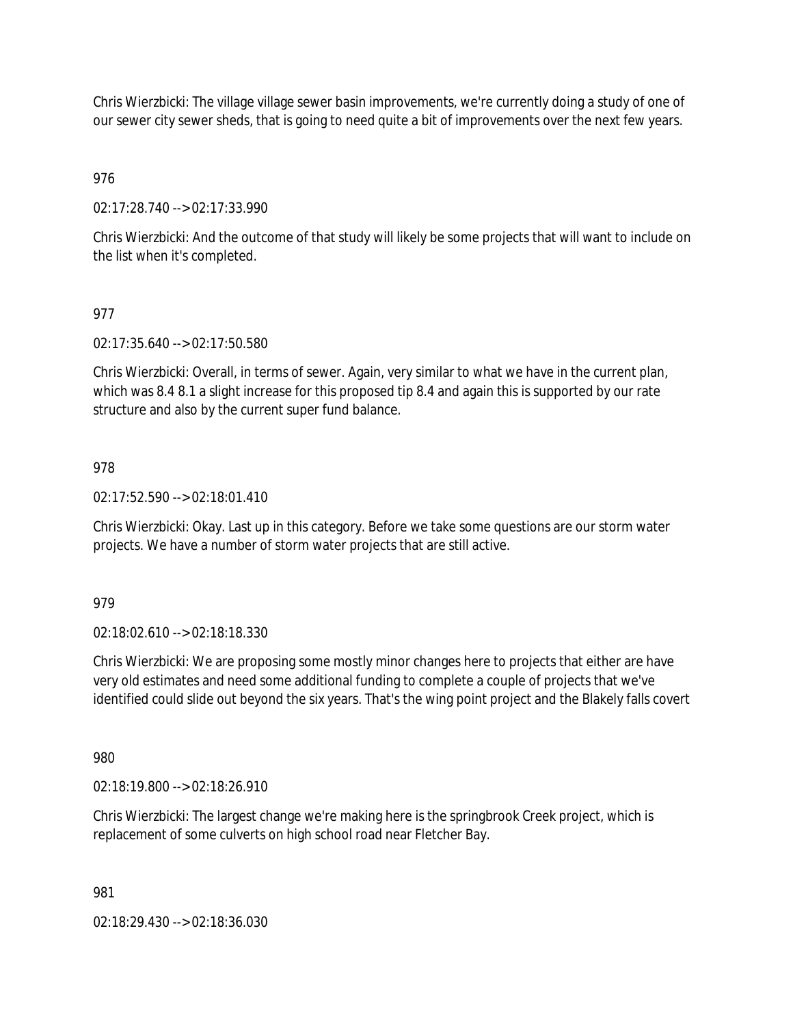Chris Wierzbicki: The village village sewer basin improvements, we're currently doing a study of one of our sewer city sewer sheds, that is going to need quite a bit of improvements over the next few years.

976

02:17:28.740 --> 02:17:33.990

Chris Wierzbicki: And the outcome of that study will likely be some projects that will want to include on the list when it's completed.

# 977

02:17:35.640 --> 02:17:50.580

Chris Wierzbicki: Overall, in terms of sewer. Again, very similar to what we have in the current plan, which was 8.4 8.1 a slight increase for this proposed tip 8.4 and again this is supported by our rate structure and also by the current super fund balance.

### 978

02:17:52.590 --> 02:18:01.410

Chris Wierzbicki: Okay. Last up in this category. Before we take some questions are our storm water projects. We have a number of storm water projects that are still active.

### 979

02:18:02.610 --> 02:18:18.330

Chris Wierzbicki: We are proposing some mostly minor changes here to projects that either are have very old estimates and need some additional funding to complete a couple of projects that we've identified could slide out beyond the six years. That's the wing point project and the Blakely falls covert

980

02:18:19.800 --> 02:18:26.910

Chris Wierzbicki: The largest change we're making here is the springbrook Creek project, which is replacement of some culverts on high school road near Fletcher Bay.

981

02:18:29.430 --> 02:18:36.030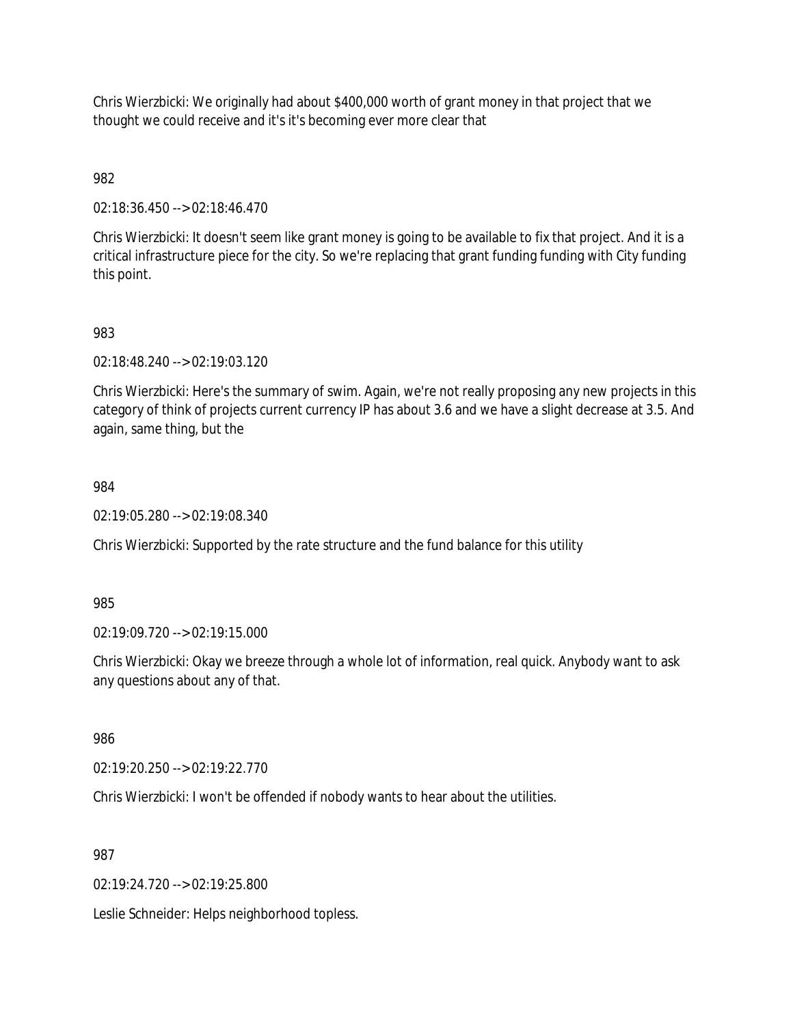Chris Wierzbicki: We originally had about \$400,000 worth of grant money in that project that we thought we could receive and it's it's becoming ever more clear that

982

02:18:36.450 --> 02:18:46.470

Chris Wierzbicki: It doesn't seem like grant money is going to be available to fix that project. And it is a critical infrastructure piece for the city. So we're replacing that grant funding funding with City funding this point.

983

02:18:48.240 --> 02:19:03.120

Chris Wierzbicki: Here's the summary of swim. Again, we're not really proposing any new projects in this category of think of projects current currency IP has about 3.6 and we have a slight decrease at 3.5. And again, same thing, but the

984

02:19:05.280 --> 02:19:08.340

Chris Wierzbicki: Supported by the rate structure and the fund balance for this utility

985

02:19:09.720 --> 02:19:15.000

Chris Wierzbicki: Okay we breeze through a whole lot of information, real quick. Anybody want to ask any questions about any of that.

986

02:19:20.250 --> 02:19:22.770

Chris Wierzbicki: I won't be offended if nobody wants to hear about the utilities.

987

02:19:24.720 --> 02:19:25.800

Leslie Schneider: Helps neighborhood topless.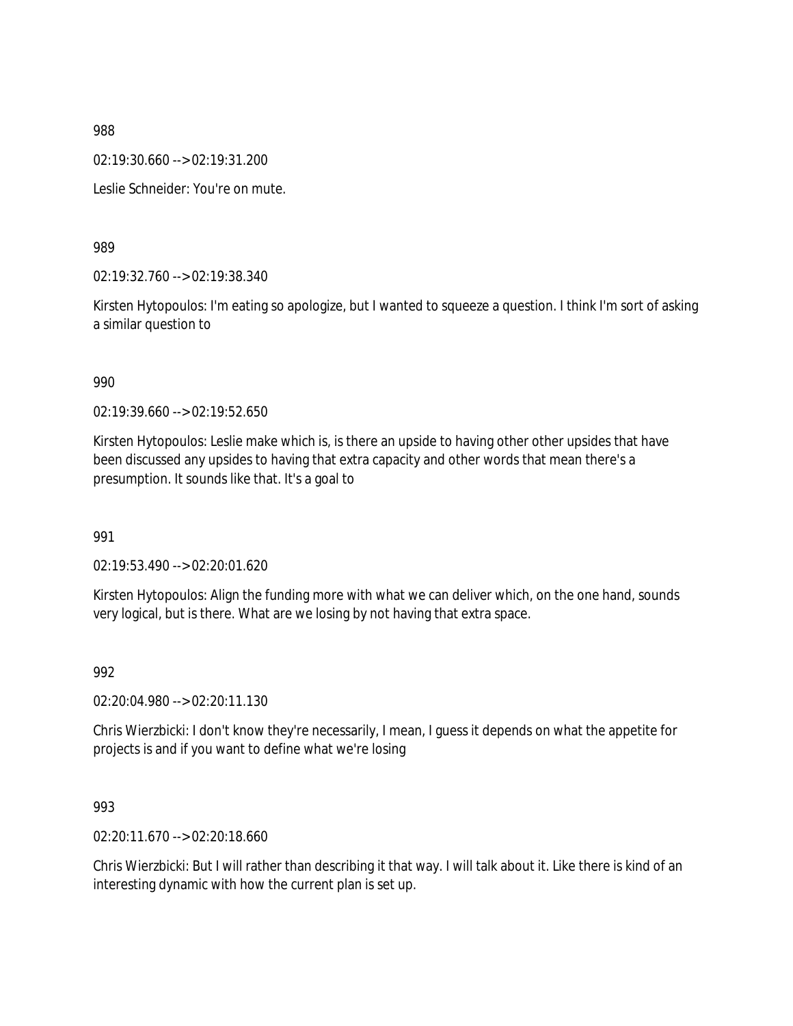02:19:30.660 --> 02:19:31.200

Leslie Schneider: You're on mute.

989

02:19:32.760 --> 02:19:38.340

Kirsten Hytopoulos: I'm eating so apologize, but I wanted to squeeze a question. I think I'm sort of asking a similar question to

990

02:19:39.660 --> 02:19:52.650

Kirsten Hytopoulos: Leslie make which is, is there an upside to having other other upsides that have been discussed any upsides to having that extra capacity and other words that mean there's a presumption. It sounds like that. It's a goal to

991

02:19:53.490 --> 02:20:01.620

Kirsten Hytopoulos: Align the funding more with what we can deliver which, on the one hand, sounds very logical, but is there. What are we losing by not having that extra space.

992

02:20:04.980 --> 02:20:11.130

Chris Wierzbicki: I don't know they're necessarily, I mean, I guess it depends on what the appetite for projects is and if you want to define what we're losing

993

02:20:11.670 --> 02:20:18.660

Chris Wierzbicki: But I will rather than describing it that way. I will talk about it. Like there is kind of an interesting dynamic with how the current plan is set up.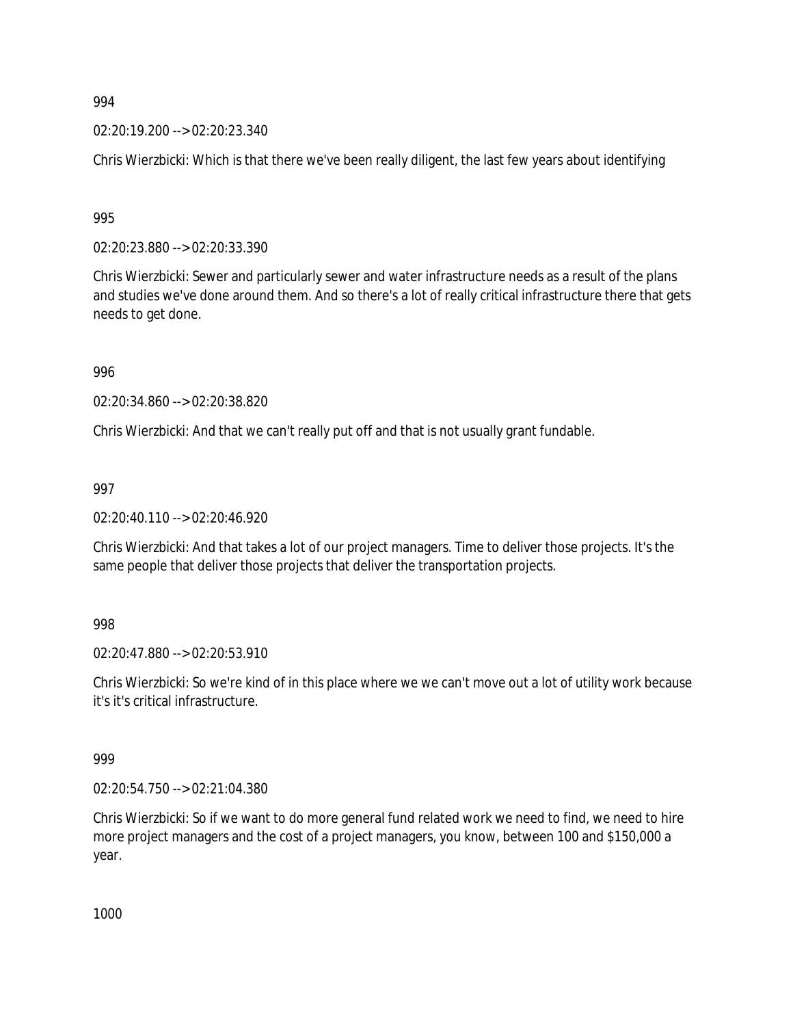02:20:19.200 --> 02:20:23.340

Chris Wierzbicki: Which is that there we've been really diligent, the last few years about identifying

995

02:20:23.880 --> 02:20:33.390

Chris Wierzbicki: Sewer and particularly sewer and water infrastructure needs as a result of the plans and studies we've done around them. And so there's a lot of really critical infrastructure there that gets needs to get done.

996

02:20:34.860 --> 02:20:38.820

Chris Wierzbicki: And that we can't really put off and that is not usually grant fundable.

997

02:20:40.110 --> 02:20:46.920

Chris Wierzbicki: And that takes a lot of our project managers. Time to deliver those projects. It's the same people that deliver those projects that deliver the transportation projects.

998

02:20:47.880 --> 02:20:53.910

Chris Wierzbicki: So we're kind of in this place where we we can't move out a lot of utility work because it's it's critical infrastructure.

999

02:20:54.750 --> 02:21:04.380

Chris Wierzbicki: So if we want to do more general fund related work we need to find, we need to hire more project managers and the cost of a project managers, you know, between 100 and \$150,000 a year.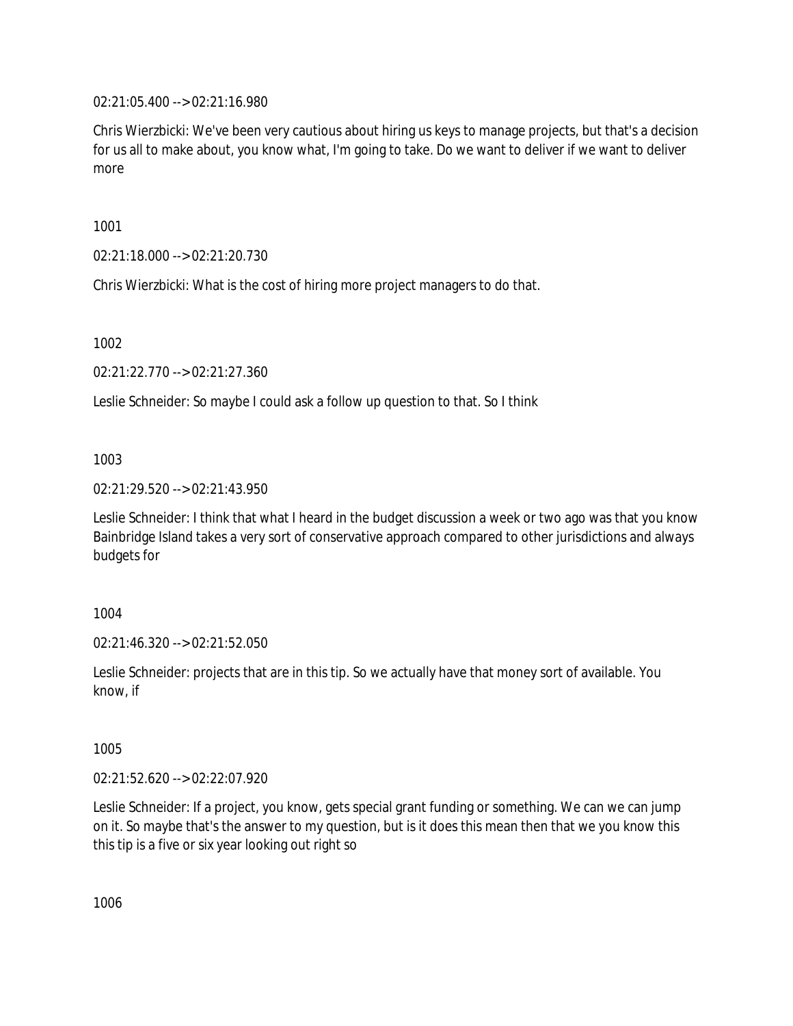02:21:05.400 --> 02:21:16.980

Chris Wierzbicki: We've been very cautious about hiring us keys to manage projects, but that's a decision for us all to make about, you know what, I'm going to take. Do we want to deliver if we want to deliver more

1001

02:21:18.000 --> 02:21:20.730

Chris Wierzbicki: What is the cost of hiring more project managers to do that.

1002

02:21:22.770 --> 02:21:27.360

Leslie Schneider: So maybe I could ask a follow up question to that. So I think

1003

02:21:29.520 --> 02:21:43.950

Leslie Schneider: I think that what I heard in the budget discussion a week or two ago was that you know Bainbridge Island takes a very sort of conservative approach compared to other jurisdictions and always budgets for

1004

02:21:46.320 --> 02:21:52.050

Leslie Schneider: projects that are in this tip. So we actually have that money sort of available. You know, if

1005

02:21:52.620 --> 02:22:07.920

Leslie Schneider: If a project, you know, gets special grant funding or something. We can we can jump on it. So maybe that's the answer to my question, but is it does this mean then that we you know this this tip is a five or six year looking out right so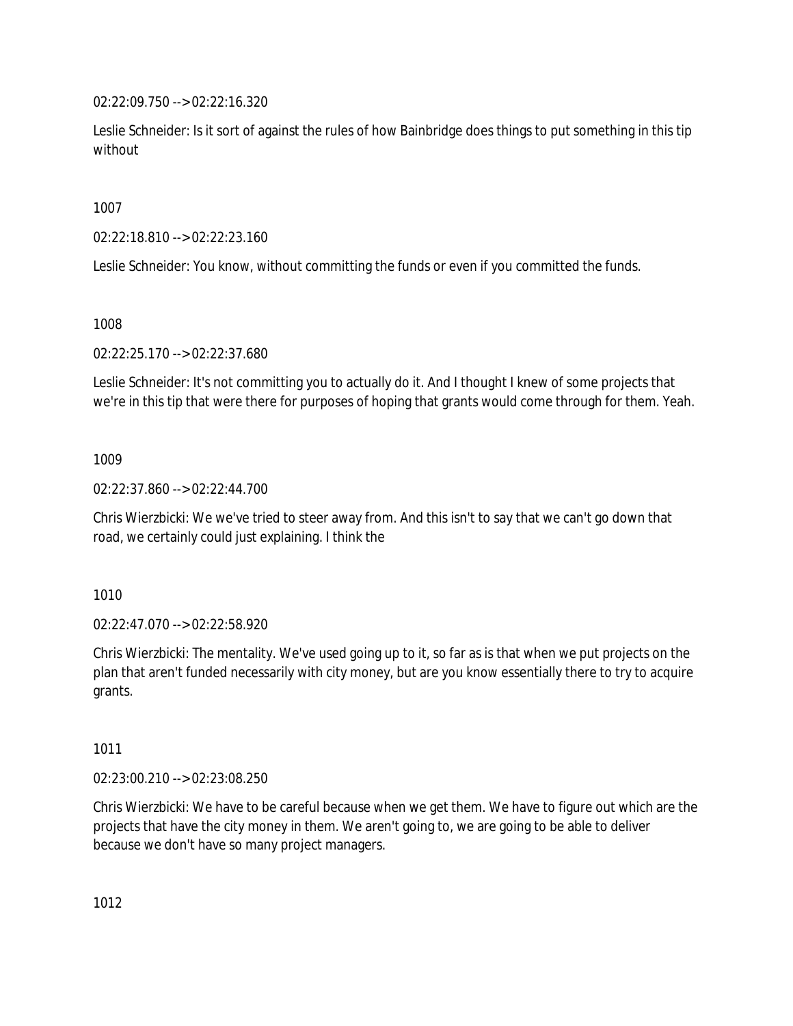02:22:09.750 --> 02:22:16.320

Leslie Schneider: Is it sort of against the rules of how Bainbridge does things to put something in this tip without

1007

02:22:18.810 --> 02:22:23.160

Leslie Schneider: You know, without committing the funds or even if you committed the funds.

1008

02:22:25.170 --> 02:22:37.680

Leslie Schneider: It's not committing you to actually do it. And I thought I knew of some projects that we're in this tip that were there for purposes of hoping that grants would come through for them. Yeah.

1009

02:22:37.860 --> 02:22:44.700

Chris Wierzbicki: We we've tried to steer away from. And this isn't to say that we can't go down that road, we certainly could just explaining. I think the

1010

02:22:47.070 --> 02:22:58.920

Chris Wierzbicki: The mentality. We've used going up to it, so far as is that when we put projects on the plan that aren't funded necessarily with city money, but are you know essentially there to try to acquire grants.

1011

02:23:00.210 --> 02:23:08.250

Chris Wierzbicki: We have to be careful because when we get them. We have to figure out which are the projects that have the city money in them. We aren't going to, we are going to be able to deliver because we don't have so many project managers.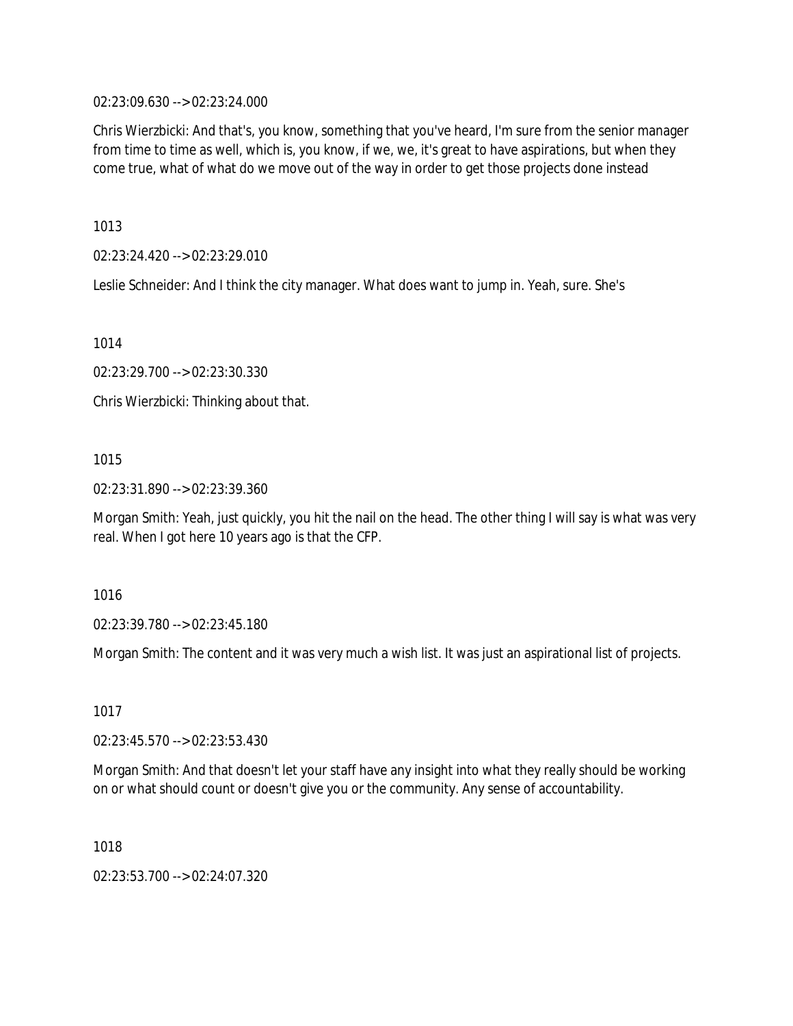02:23:09.630 --> 02:23:24.000

Chris Wierzbicki: And that's, you know, something that you've heard, I'm sure from the senior manager from time to time as well, which is, you know, if we, we, it's great to have aspirations, but when they come true, what of what do we move out of the way in order to get those projects done instead

1013

02:23:24.420 --> 02:23:29.010

Leslie Schneider: And I think the city manager. What does want to jump in. Yeah, sure. She's

1014

02:23:29.700 --> 02:23:30.330

Chris Wierzbicki: Thinking about that.

# 1015

02:23:31.890 --> 02:23:39.360

Morgan Smith: Yeah, just quickly, you hit the nail on the head. The other thing I will say is what was very real. When I got here 10 years ago is that the CFP.

1016

02:23:39.780 --> 02:23:45.180

Morgan Smith: The content and it was very much a wish list. It was just an aspirational list of projects.

1017

02:23:45.570 --> 02:23:53.430

Morgan Smith: And that doesn't let your staff have any insight into what they really should be working on or what should count or doesn't give you or the community. Any sense of accountability.

1018

02:23:53.700 --> 02:24:07.320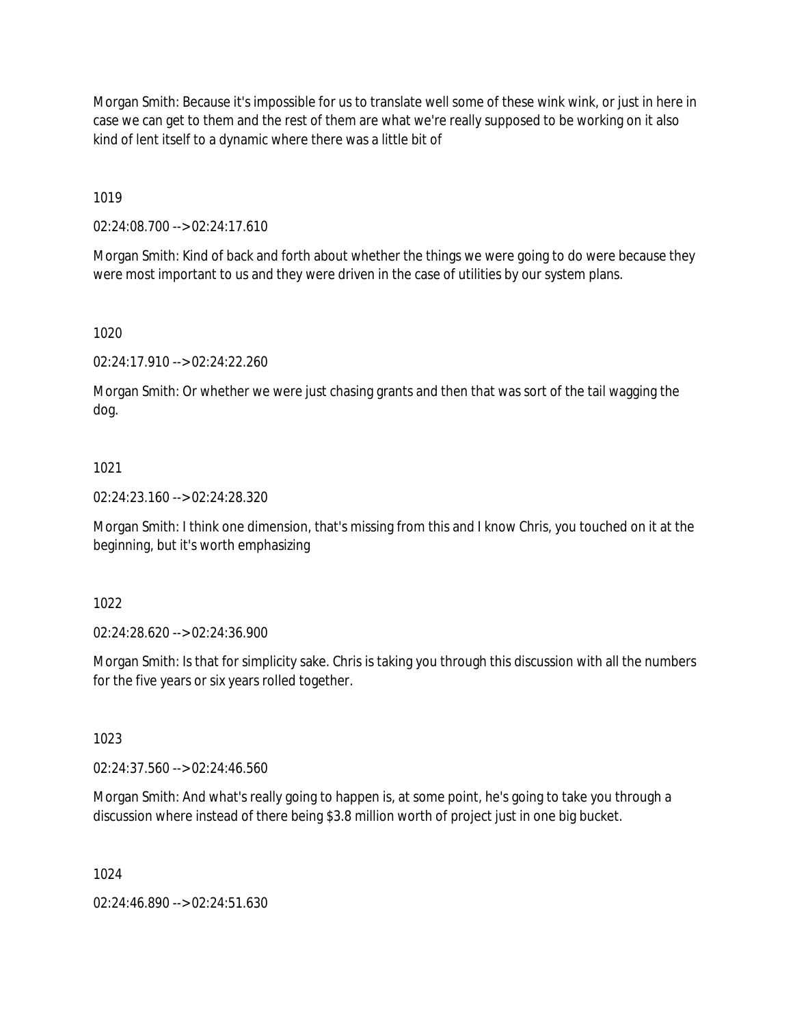Morgan Smith: Because it's impossible for us to translate well some of these wink wink, or just in here in case we can get to them and the rest of them are what we're really supposed to be working on it also kind of lent itself to a dynamic where there was a little bit of

1019

02:24:08.700 --> 02:24:17.610

Morgan Smith: Kind of back and forth about whether the things we were going to do were because they were most important to us and they were driven in the case of utilities by our system plans.

1020

02:24:17.910 --> 02:24:22.260

Morgan Smith: Or whether we were just chasing grants and then that was sort of the tail wagging the dog.

### 1021

02:24:23.160 --> 02:24:28.320

Morgan Smith: I think one dimension, that's missing from this and I know Chris, you touched on it at the beginning, but it's worth emphasizing

1022

02:24:28.620 --> 02:24:36.900

Morgan Smith: Is that for simplicity sake. Chris is taking you through this discussion with all the numbers for the five years or six years rolled together.

1023

02:24:37.560 --> 02:24:46.560

Morgan Smith: And what's really going to happen is, at some point, he's going to take you through a discussion where instead of there being \$3.8 million worth of project just in one big bucket.

1024

02:24:46.890 --> 02:24:51.630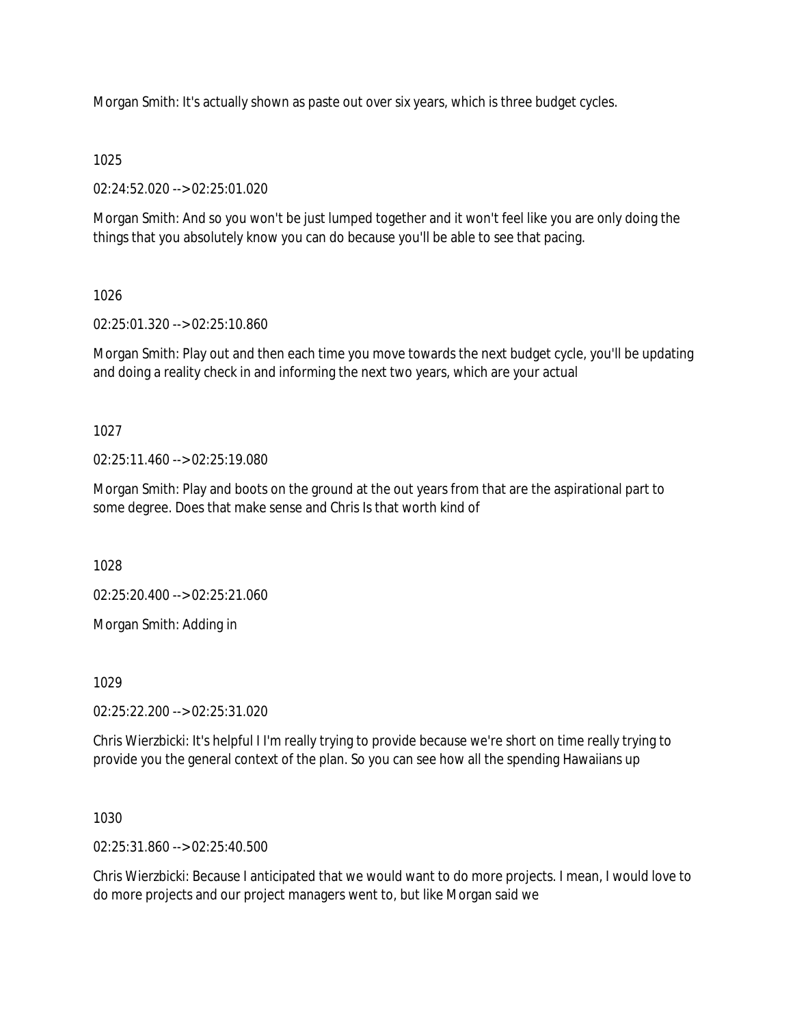Morgan Smith: It's actually shown as paste out over six years, which is three budget cycles.

### 1025

02:24:52.020 --> 02:25:01.020

Morgan Smith: And so you won't be just lumped together and it won't feel like you are only doing the things that you absolutely know you can do because you'll be able to see that pacing.

# 1026

02:25:01.320 --> 02:25:10.860

Morgan Smith: Play out and then each time you move towards the next budget cycle, you'll be updating and doing a reality check in and informing the next two years, which are your actual

1027

02:25:11.460 --> 02:25:19.080

Morgan Smith: Play and boots on the ground at the out years from that are the aspirational part to some degree. Does that make sense and Chris Is that worth kind of

1028

02:25:20.400 --> 02:25:21.060

Morgan Smith: Adding in

1029

02:25:22.200 --> 02:25:31.020

Chris Wierzbicki: It's helpful I I'm really trying to provide because we're short on time really trying to provide you the general context of the plan. So you can see how all the spending Hawaiians up

1030

02:25:31.860 --> 02:25:40.500

Chris Wierzbicki: Because I anticipated that we would want to do more projects. I mean, I would love to do more projects and our project managers went to, but like Morgan said we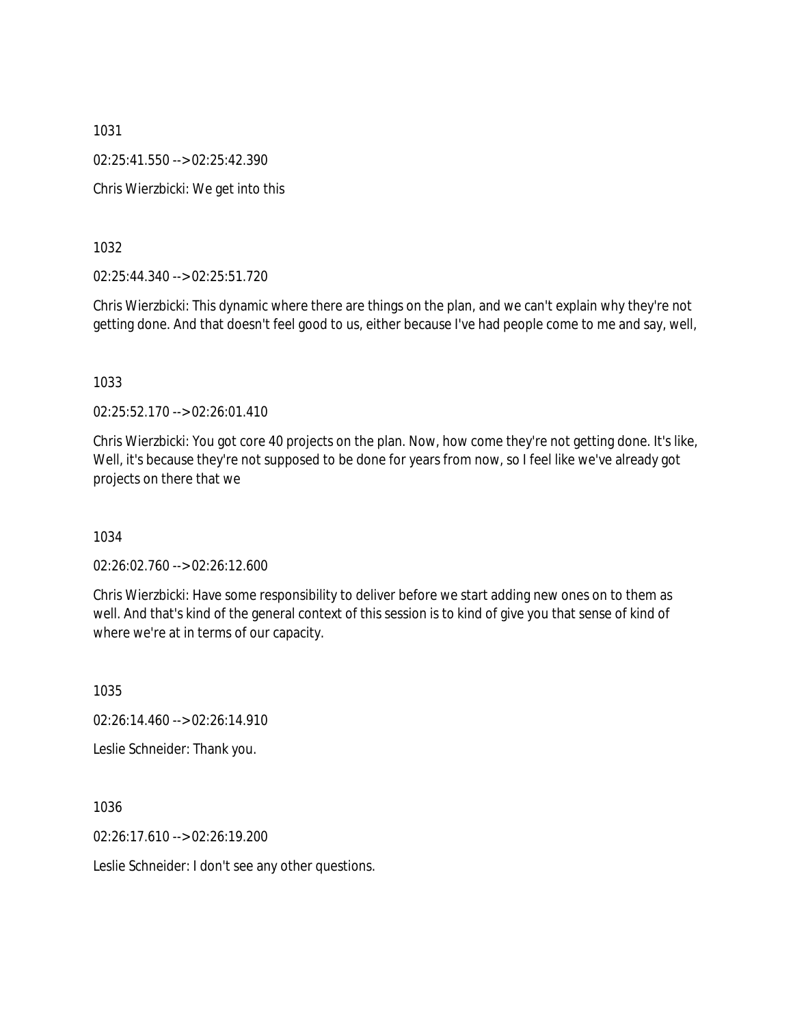1031 02:25:41.550 --> 02:25:42.390 Chris Wierzbicki: We get into this

1032

02:25:44.340 --> 02:25:51.720

Chris Wierzbicki: This dynamic where there are things on the plan, and we can't explain why they're not getting done. And that doesn't feel good to us, either because I've had people come to me and say, well,

1033

02:25:52.170 --> 02:26:01.410

Chris Wierzbicki: You got core 40 projects on the plan. Now, how come they're not getting done. It's like, Well, it's because they're not supposed to be done for years from now, so I feel like we've already got projects on there that we

1034

02:26:02.760 --> 02:26:12.600

Chris Wierzbicki: Have some responsibility to deliver before we start adding new ones on to them as well. And that's kind of the general context of this session is to kind of give you that sense of kind of where we're at in terms of our capacity.

1035

02:26:14.460 --> 02:26:14.910

Leslie Schneider: Thank you.

1036

02:26:17.610 --> 02:26:19.200

Leslie Schneider: I don't see any other questions.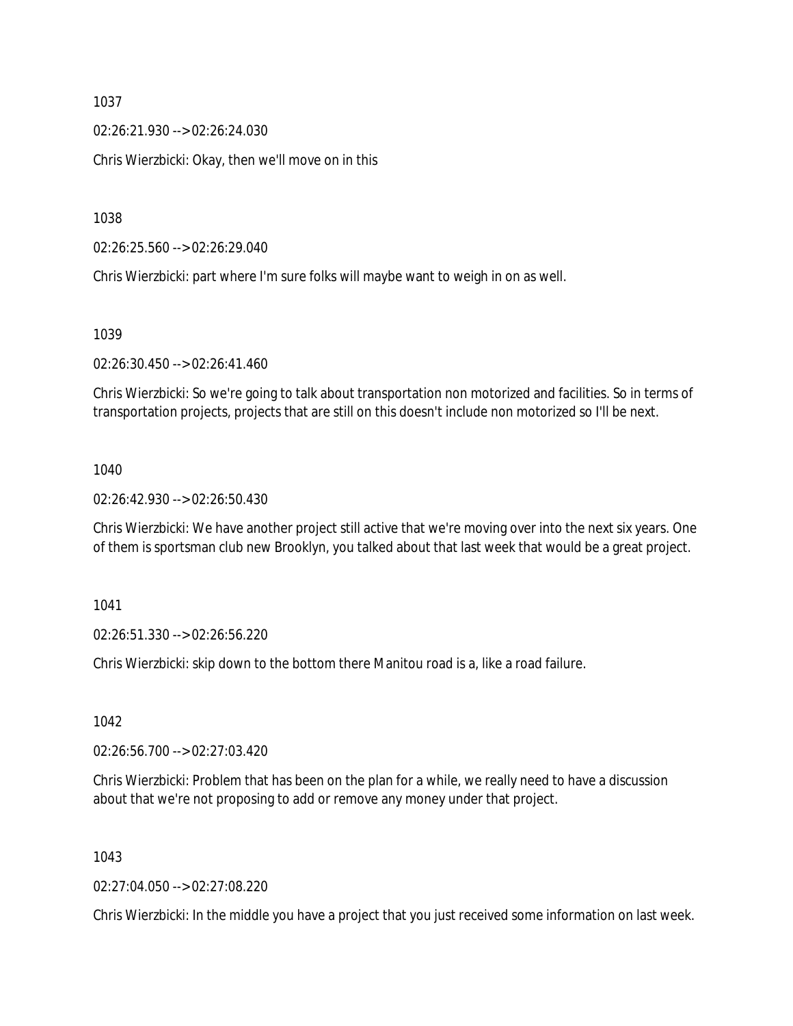02:26:21.930 --> 02:26:24.030

Chris Wierzbicki: Okay, then we'll move on in this

1038

02:26:25.560 --> 02:26:29.040

Chris Wierzbicki: part where I'm sure folks will maybe want to weigh in on as well.

1039

02:26:30.450 --> 02:26:41.460

Chris Wierzbicki: So we're going to talk about transportation non motorized and facilities. So in terms of transportation projects, projects that are still on this doesn't include non motorized so I'll be next.

#### 1040

02:26:42.930 --> 02:26:50.430

Chris Wierzbicki: We have another project still active that we're moving over into the next six years. One of them is sportsman club new Brooklyn, you talked about that last week that would be a great project.

1041

02:26:51.330 --> 02:26:56.220

Chris Wierzbicki: skip down to the bottom there Manitou road is a, like a road failure.

1042

02:26:56.700 --> 02:27:03.420

Chris Wierzbicki: Problem that has been on the plan for a while, we really need to have a discussion about that we're not proposing to add or remove any money under that project.

1043

02:27:04.050 --> 02:27:08.220

Chris Wierzbicki: In the middle you have a project that you just received some information on last week.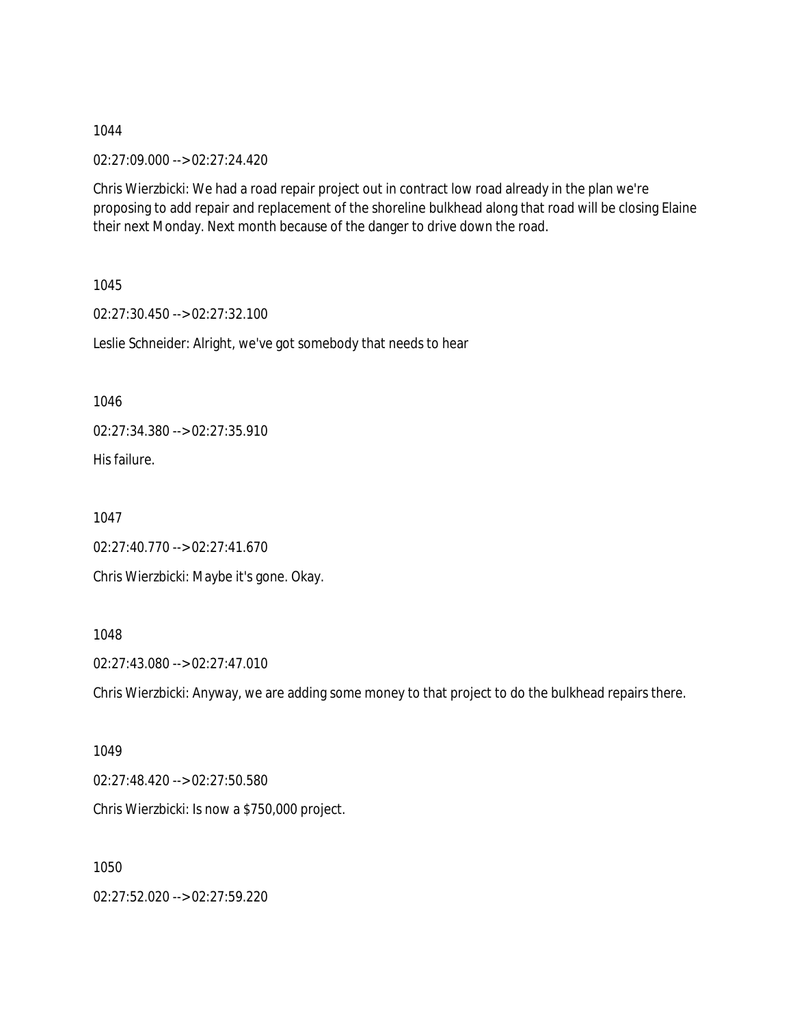02:27:09.000 --> 02:27:24.420

Chris Wierzbicki: We had a road repair project out in contract low road already in the plan we're proposing to add repair and replacement of the shoreline bulkhead along that road will be closing Elaine their next Monday. Next month because of the danger to drive down the road.

1045

02:27:30.450 --> 02:27:32.100

Leslie Schneider: Alright, we've got somebody that needs to hear

1046

02:27:34.380 --> 02:27:35.910

His failure.

1047

02:27:40.770 --> 02:27:41.670 Chris Wierzbicki: Maybe it's gone. Okay.

### 1048

02:27:43.080 --> 02:27:47.010

Chris Wierzbicki: Anyway, we are adding some money to that project to do the bulkhead repairs there.

1049

02:27:48.420 --> 02:27:50.580

Chris Wierzbicki: Is now a \$750,000 project.

1050

02:27:52.020 --> 02:27:59.220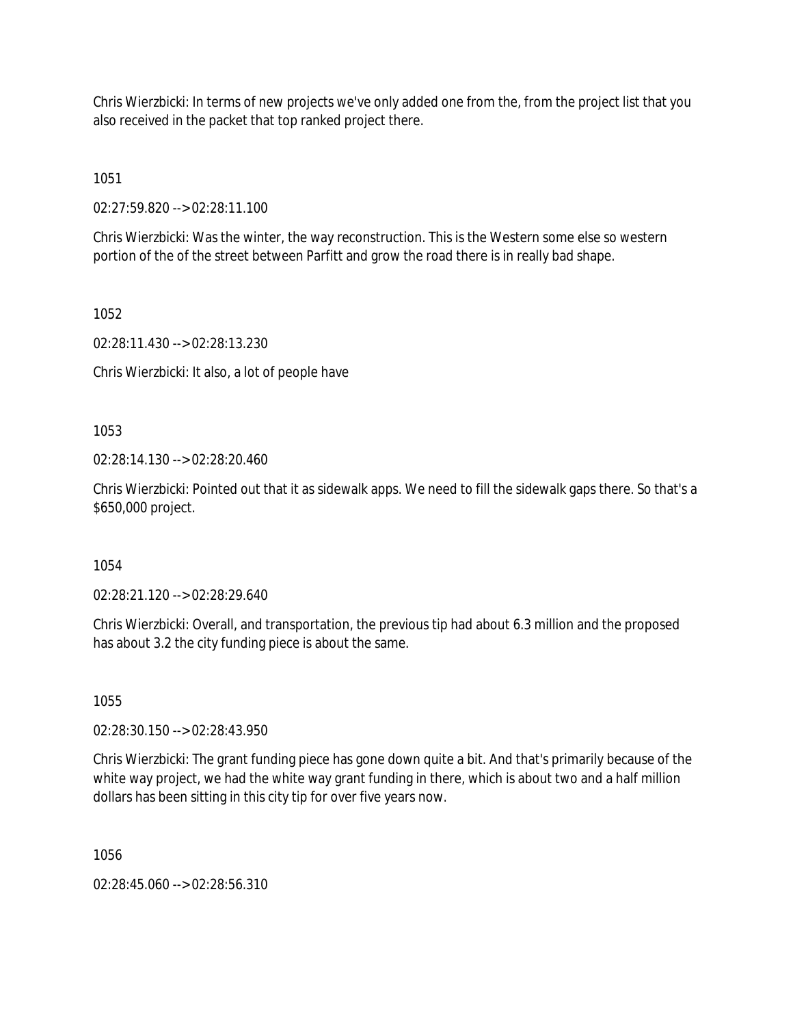Chris Wierzbicki: In terms of new projects we've only added one from the, from the project list that you also received in the packet that top ranked project there.

1051

02:27:59.820 --> 02:28:11.100

Chris Wierzbicki: Was the winter, the way reconstruction. This is the Western some else so western portion of the of the street between Parfitt and grow the road there is in really bad shape.

1052

02:28:11.430 --> 02:28:13.230

Chris Wierzbicki: It also, a lot of people have

1053

02:28:14.130 --> 02:28:20.460

Chris Wierzbicki: Pointed out that it as sidewalk apps. We need to fill the sidewalk gaps there. So that's a \$650,000 project.

1054

02:28:21.120 --> 02:28:29.640

Chris Wierzbicki: Overall, and transportation, the previous tip had about 6.3 million and the proposed has about 3.2 the city funding piece is about the same.

1055

02:28:30.150 --> 02:28:43.950

Chris Wierzbicki: The grant funding piece has gone down quite a bit. And that's primarily because of the white way project, we had the white way grant funding in there, which is about two and a half million dollars has been sitting in this city tip for over five years now.

1056

02:28:45.060 --> 02:28:56.310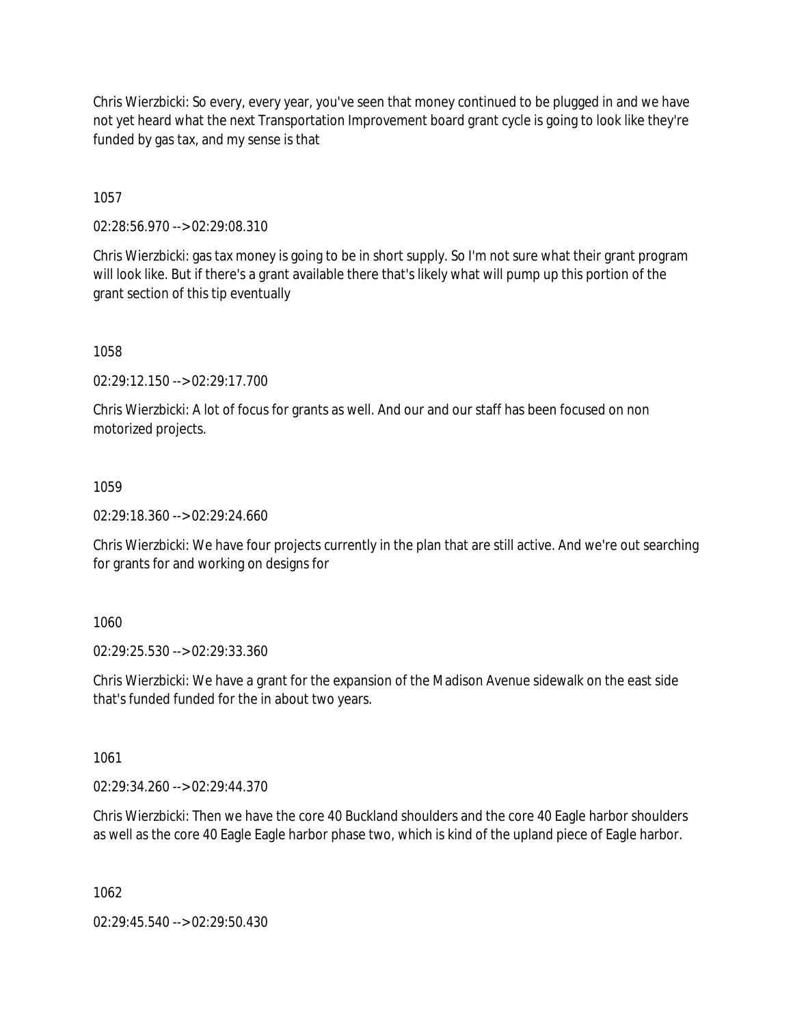Chris Wierzbicki: So every, every year, you've seen that money continued to be plugged in and we have not yet heard what the next Transportation Improvement board grant cycle is going to look like they're funded by gas tax, and my sense is that

1057

02:28:56.970 --> 02:29:08.310

Chris Wierzbicki: gas tax money is going to be in short supply. So I'm not sure what their grant program will look like. But if there's a grant available there that's likely what will pump up this portion of the grant section of this tip eventually

1058

02:29:12.150 --> 02:29:17.700

Chris Wierzbicki: A lot of focus for grants as well. And our and our staff has been focused on non motorized projects.

1059

02:29:18.360 --> 02:29:24.660

Chris Wierzbicki: We have four projects currently in the plan that are still active. And we're out searching for grants for and working on designs for

1060

02:29:25.530 --> 02:29:33.360

Chris Wierzbicki: We have a grant for the expansion of the Madison Avenue sidewalk on the east side that's funded funded for the in about two years.

1061

02:29:34.260 --> 02:29:44.370

Chris Wierzbicki: Then we have the core 40 Buckland shoulders and the core 40 Eagle harbor shoulders as well as the core 40 Eagle Eagle harbor phase two, which is kind of the upland piece of Eagle harbor.

1062

02:29:45.540 --> 02:29:50.430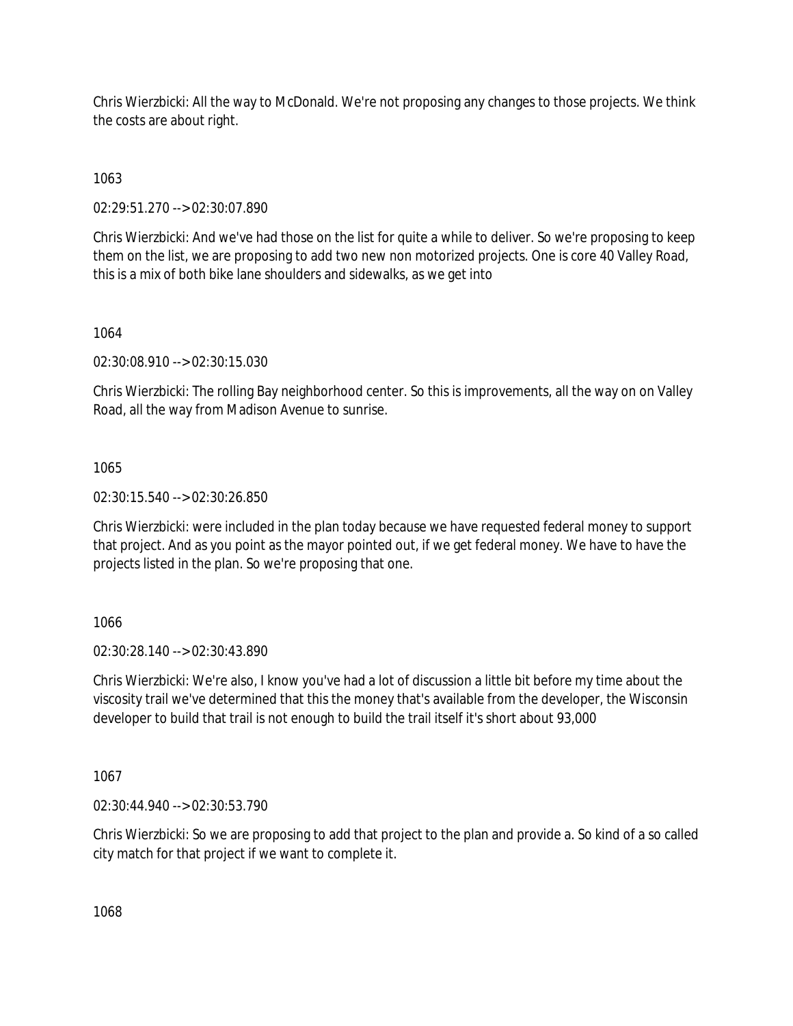Chris Wierzbicki: All the way to McDonald. We're not proposing any changes to those projects. We think the costs are about right.

1063

02:29:51.270 --> 02:30:07.890

Chris Wierzbicki: And we've had those on the list for quite a while to deliver. So we're proposing to keep them on the list, we are proposing to add two new non motorized projects. One is core 40 Valley Road, this is a mix of both bike lane shoulders and sidewalks, as we get into

1064

02:30:08.910 --> 02:30:15.030

Chris Wierzbicki: The rolling Bay neighborhood center. So this is improvements, all the way on on Valley Road, all the way from Madison Avenue to sunrise.

1065

02:30:15.540 --> 02:30:26.850

Chris Wierzbicki: were included in the plan today because we have requested federal money to support that project. And as you point as the mayor pointed out, if we get federal money. We have to have the projects listed in the plan. So we're proposing that one.

1066

02:30:28.140 --> 02:30:43.890

Chris Wierzbicki: We're also, I know you've had a lot of discussion a little bit before my time about the viscosity trail we've determined that this the money that's available from the developer, the Wisconsin developer to build that trail is not enough to build the trail itself it's short about 93,000

1067

02:30:44.940 --> 02:30:53.790

Chris Wierzbicki: So we are proposing to add that project to the plan and provide a. So kind of a so called city match for that project if we want to complete it.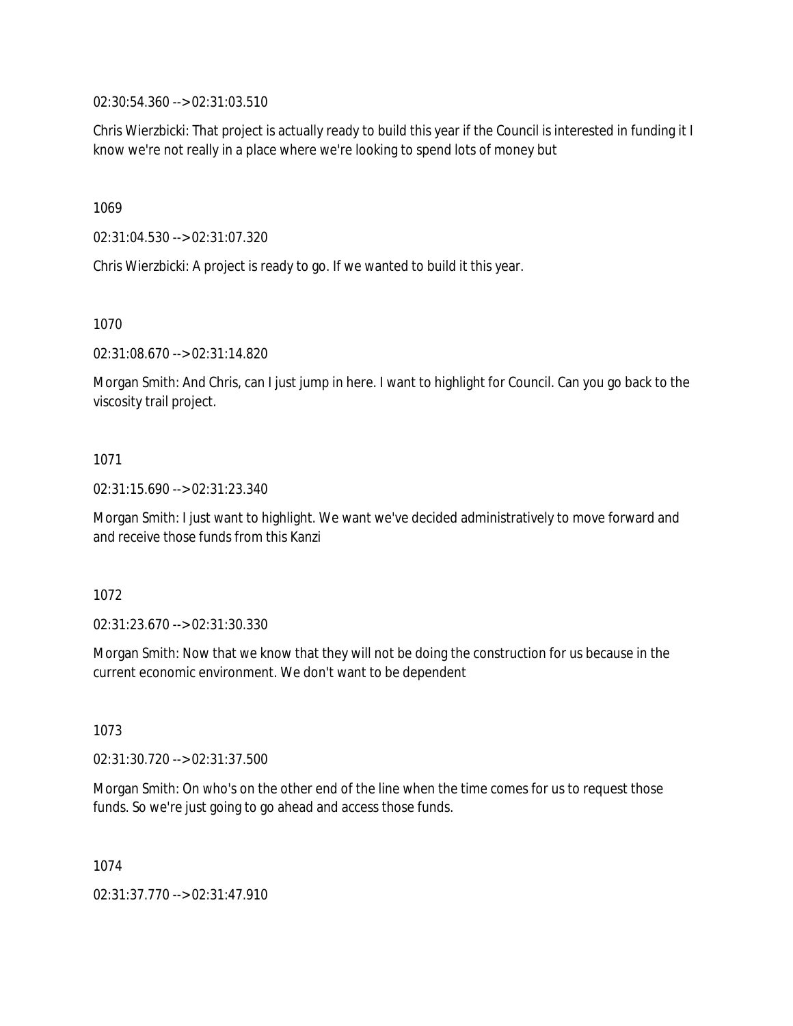02:30:54.360 --> 02:31:03.510

Chris Wierzbicki: That project is actually ready to build this year if the Council is interested in funding it I know we're not really in a place where we're looking to spend lots of money but

1069

02:31:04.530 --> 02:31:07.320

Chris Wierzbicki: A project is ready to go. If we wanted to build it this year.

1070

02:31:08.670 --> 02:31:14.820

Morgan Smith: And Chris, can I just jump in here. I want to highlight for Council. Can you go back to the viscosity trail project.

# 1071

02:31:15.690 --> 02:31:23.340

Morgan Smith: I just want to highlight. We want we've decided administratively to move forward and and receive those funds from this Kanzi

1072

02:31:23.670 --> 02:31:30.330

Morgan Smith: Now that we know that they will not be doing the construction for us because in the current economic environment. We don't want to be dependent

1073

02:31:30.720 --> 02:31:37.500

Morgan Smith: On who's on the other end of the line when the time comes for us to request those funds. So we're just going to go ahead and access those funds.

1074

02:31:37.770 --> 02:31:47.910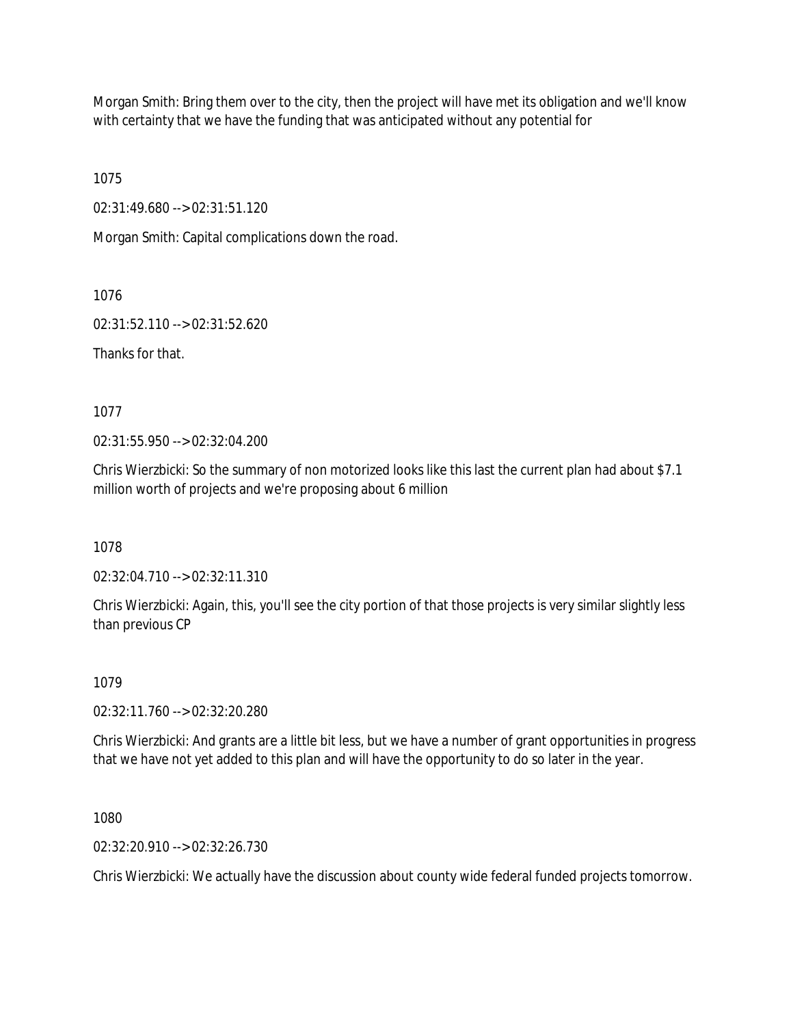Morgan Smith: Bring them over to the city, then the project will have met its obligation and we'll know with certainty that we have the funding that was anticipated without any potential for

1075

02:31:49.680 --> 02:31:51.120

Morgan Smith: Capital complications down the road.

1076

02:31:52.110 --> 02:31:52.620

Thanks for that.

1077

02:31:55.950 --> 02:32:04.200

Chris Wierzbicki: So the summary of non motorized looks like this last the current plan had about \$7.1 million worth of projects and we're proposing about 6 million

1078

02:32:04.710 --> 02:32:11.310

Chris Wierzbicki: Again, this, you'll see the city portion of that those projects is very similar slightly less than previous CP

1079

02:32:11.760 --> 02:32:20.280

Chris Wierzbicki: And grants are a little bit less, but we have a number of grant opportunities in progress that we have not yet added to this plan and will have the opportunity to do so later in the year.

1080

02:32:20.910 --> 02:32:26.730

Chris Wierzbicki: We actually have the discussion about county wide federal funded projects tomorrow.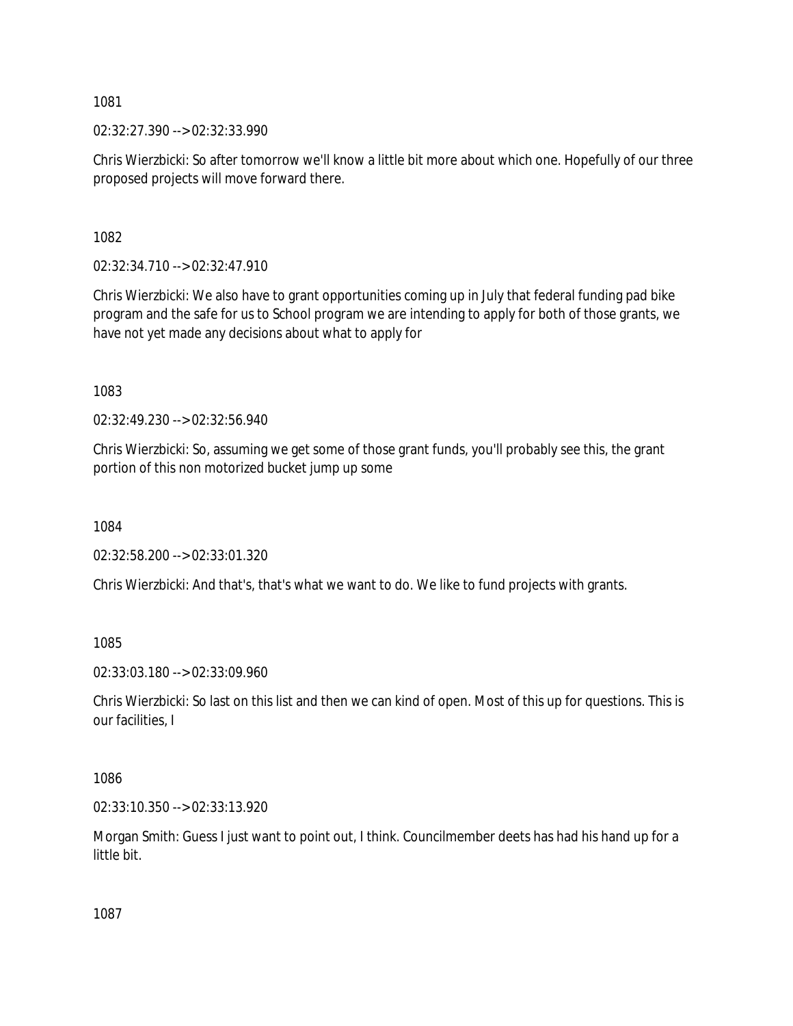02:32:27.390 --> 02:32:33.990

Chris Wierzbicki: So after tomorrow we'll know a little bit more about which one. Hopefully of our three proposed projects will move forward there.

1082

02:32:34.710 --> 02:32:47.910

Chris Wierzbicki: We also have to grant opportunities coming up in July that federal funding pad bike program and the safe for us to School program we are intending to apply for both of those grants, we have not yet made any decisions about what to apply for

1083

02:32:49.230 --> 02:32:56.940

Chris Wierzbicki: So, assuming we get some of those grant funds, you'll probably see this, the grant portion of this non motorized bucket jump up some

1084

02:32:58.200 --> 02:33:01.320

Chris Wierzbicki: And that's, that's what we want to do. We like to fund projects with grants.

1085

02:33:03.180 --> 02:33:09.960

Chris Wierzbicki: So last on this list and then we can kind of open. Most of this up for questions. This is our facilities, I

1086

02:33:10.350 --> 02:33:13.920

Morgan Smith: Guess I just want to point out, I think. Councilmember deets has had his hand up for a little bit.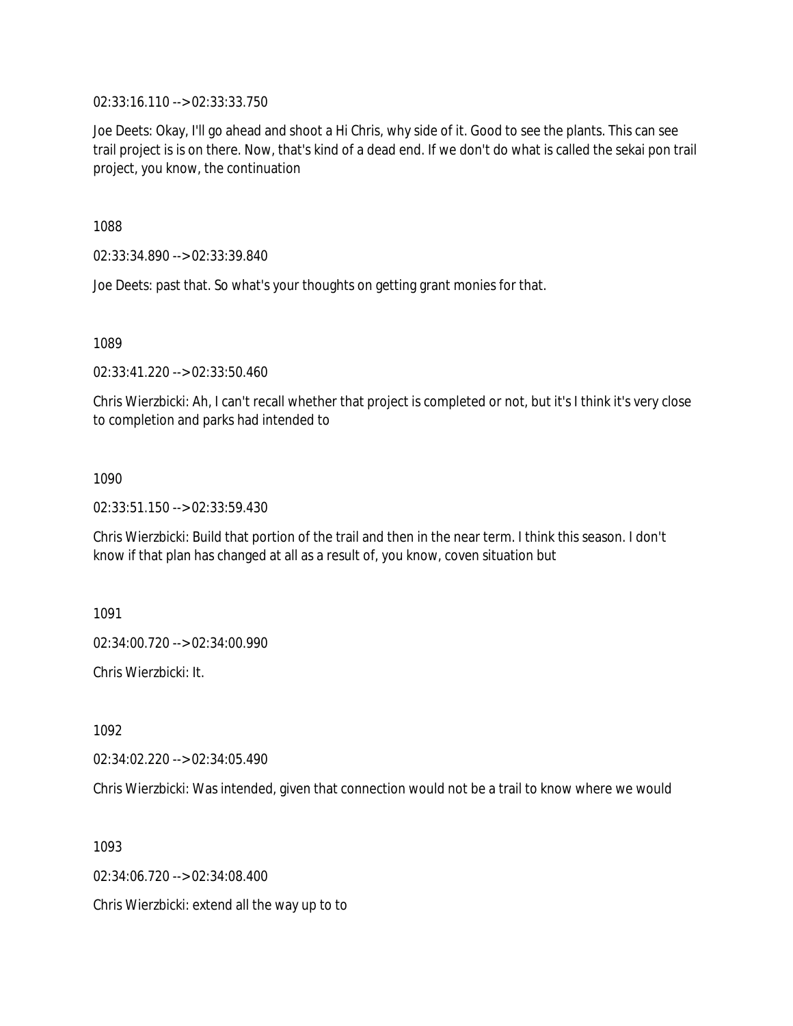02:33:16.110 --> 02:33:33.750

Joe Deets: Okay, I'll go ahead and shoot a Hi Chris, why side of it. Good to see the plants. This can see trail project is is on there. Now, that's kind of a dead end. If we don't do what is called the sekai pon trail project, you know, the continuation

1088

02:33:34.890 --> 02:33:39.840

Joe Deets: past that. So what's your thoughts on getting grant monies for that.

1089

02:33:41.220 --> 02:33:50.460

Chris Wierzbicki: Ah, I can't recall whether that project is completed or not, but it's I think it's very close to completion and parks had intended to

1090

02:33:51.150 --> 02:33:59.430

Chris Wierzbicki: Build that portion of the trail and then in the near term. I think this season. I don't know if that plan has changed at all as a result of, you know, coven situation but

1091

02:34:00.720 --> 02:34:00.990

Chris Wierzbicki: It.

1092

02:34:02.220 --> 02:34:05.490

Chris Wierzbicki: Was intended, given that connection would not be a trail to know where we would

1093

02:34:06.720 --> 02:34:08.400

Chris Wierzbicki: extend all the way up to to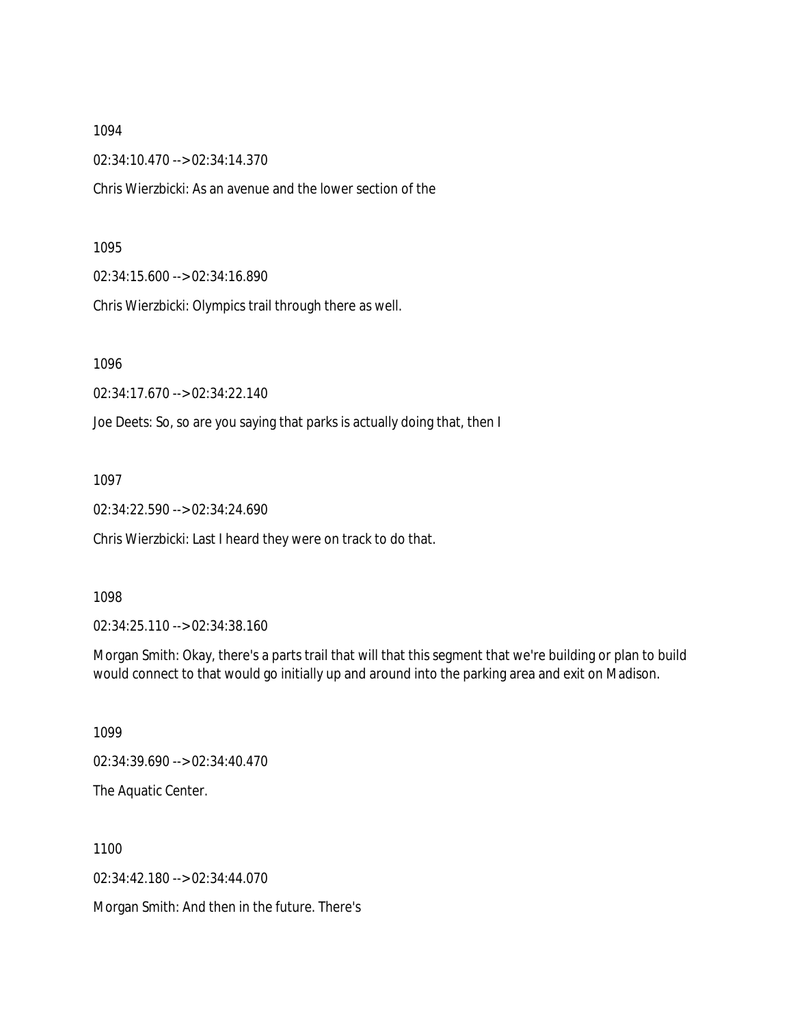02:34:10.470 --> 02:34:14.370

Chris Wierzbicki: As an avenue and the lower section of the

#### 1095

02:34:15.600 --> 02:34:16.890

Chris Wierzbicki: Olympics trail through there as well.

1096

02:34:17.670 --> 02:34:22.140

Joe Deets: So, so are you saying that parks is actually doing that, then I

1097

02:34:22.590 --> 02:34:24.690

Chris Wierzbicki: Last I heard they were on track to do that.

#### 1098

02:34:25.110 --> 02:34:38.160

Morgan Smith: Okay, there's a parts trail that will that this segment that we're building or plan to build would connect to that would go initially up and around into the parking area and exit on Madison.

1099

02:34:39.690 --> 02:34:40.470

The Aquatic Center.

1100

02:34:42.180 --> 02:34:44.070

Morgan Smith: And then in the future. There's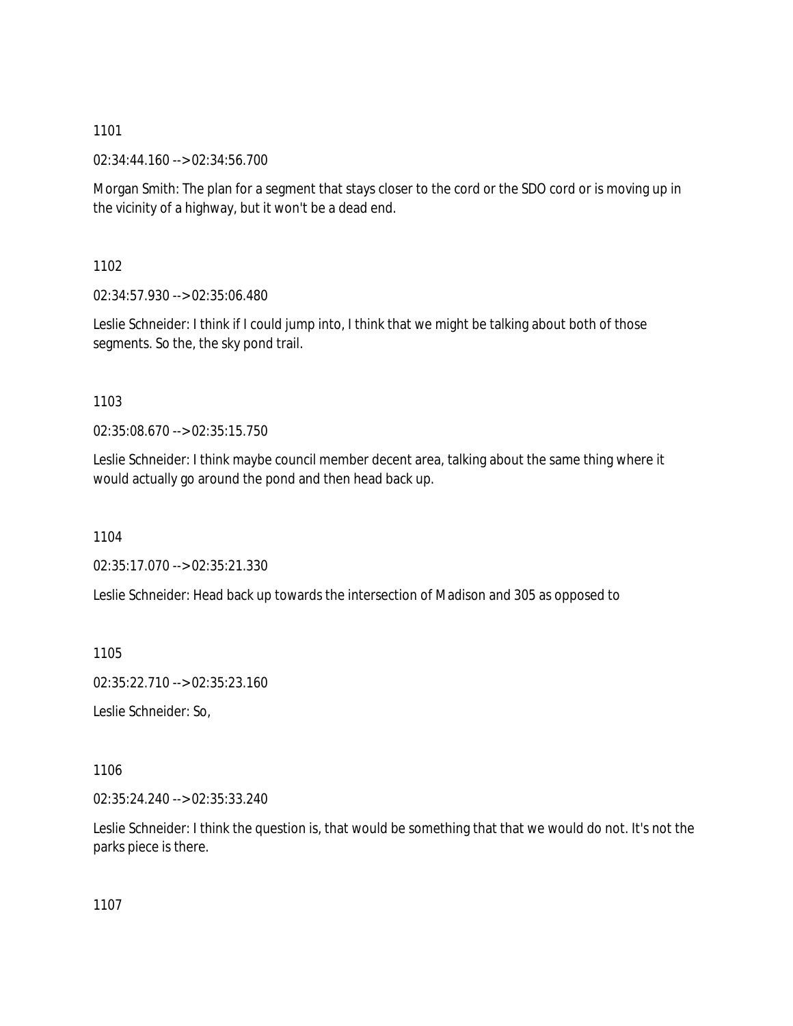02:34:44.160 --> 02:34:56.700

Morgan Smith: The plan for a segment that stays closer to the cord or the SDO cord or is moving up in the vicinity of a highway, but it won't be a dead end.

1102

02:34:57.930 --> 02:35:06.480

Leslie Schneider: I think if I could jump into, I think that we might be talking about both of those segments. So the, the sky pond trail.

1103

02:35:08.670 --> 02:35:15.750

Leslie Schneider: I think maybe council member decent area, talking about the same thing where it would actually go around the pond and then head back up.

1104

02:35:17.070 --> 02:35:21.330

Leslie Schneider: Head back up towards the intersection of Madison and 305 as opposed to

1105

02:35:22.710 --> 02:35:23.160

Leslie Schneider: So,

1106

02:35:24.240 --> 02:35:33.240

Leslie Schneider: I think the question is, that would be something that that we would do not. It's not the parks piece is there.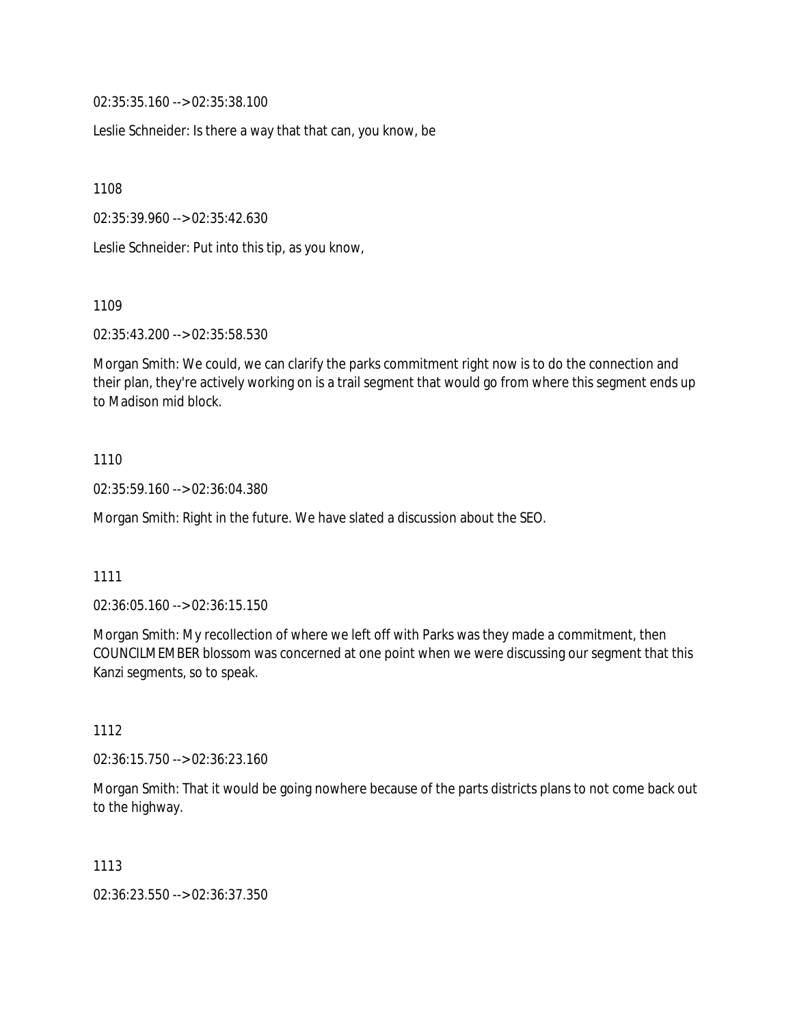02:35:35.160 --> 02:35:38.100

Leslie Schneider: Is there a way that that can, you know, be

1108

02:35:39.960 --> 02:35:42.630

Leslie Schneider: Put into this tip, as you know,

1109

02:35:43.200 --> 02:35:58.530

Morgan Smith: We could, we can clarify the parks commitment right now is to do the connection and their plan, they're actively working on is a trail segment that would go from where this segment ends up to Madison mid block.

### 1110

02:35:59.160 --> 02:36:04.380

Morgan Smith: Right in the future. We have slated a discussion about the SEO.

#### 1111

02:36:05.160 --> 02:36:15.150

Morgan Smith: My recollection of where we left off with Parks was they made a commitment, then COUNCILMEMBER blossom was concerned at one point when we were discussing our segment that this Kanzi segments, so to speak.

### 1112

02:36:15.750 --> 02:36:23.160

Morgan Smith: That it would be going nowhere because of the parts districts plans to not come back out to the highway.

### 1113

02:36:23.550 --> 02:36:37.350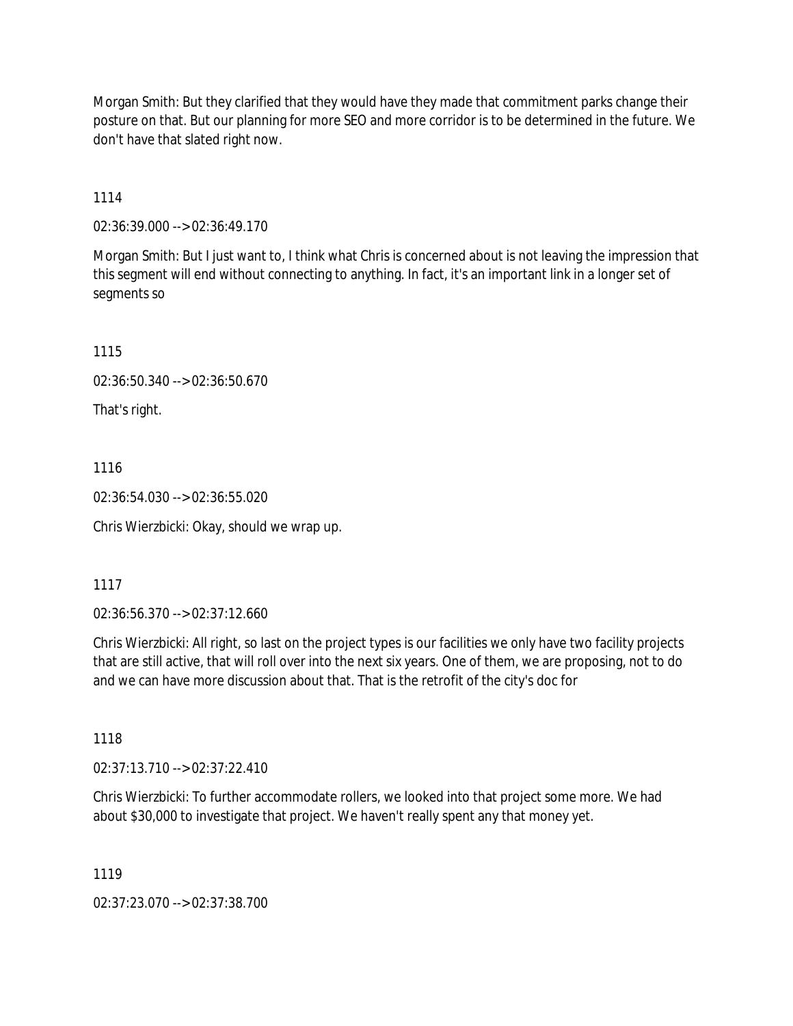Morgan Smith: But they clarified that they would have they made that commitment parks change their posture on that. But our planning for more SEO and more corridor is to be determined in the future. We don't have that slated right now.

1114

02:36:39.000 --> 02:36:49.170

Morgan Smith: But I just want to, I think what Chris is concerned about is not leaving the impression that this segment will end without connecting to anything. In fact, it's an important link in a longer set of segments so

1115

02:36:50.340 --> 02:36:50.670

That's right.

1116

02:36:54.030 --> 02:36:55.020

Chris Wierzbicki: Okay, should we wrap up.

1117

02:36:56.370 --> 02:37:12.660

Chris Wierzbicki: All right, so last on the project types is our facilities we only have two facility projects that are still active, that will roll over into the next six years. One of them, we are proposing, not to do and we can have more discussion about that. That is the retrofit of the city's doc for

1118

02:37:13.710 --> 02:37:22.410

Chris Wierzbicki: To further accommodate rollers, we looked into that project some more. We had about \$30,000 to investigate that project. We haven't really spent any that money yet.

1119

02:37:23.070 --> 02:37:38.700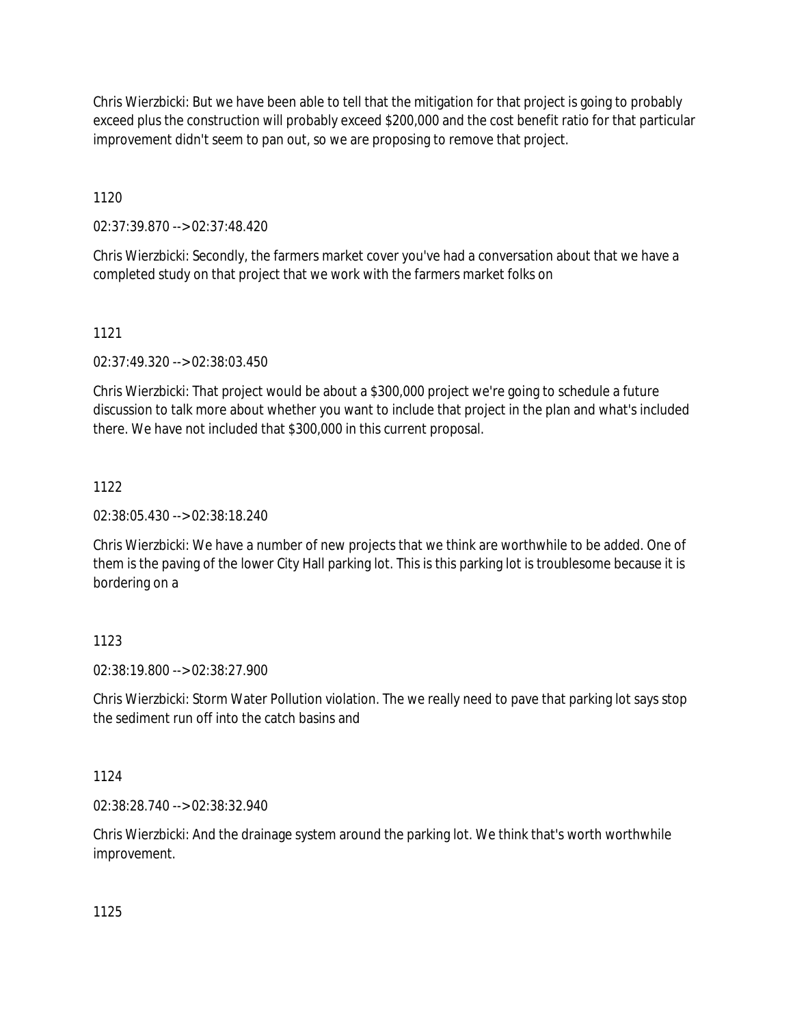Chris Wierzbicki: But we have been able to tell that the mitigation for that project is going to probably exceed plus the construction will probably exceed \$200,000 and the cost benefit ratio for that particular improvement didn't seem to pan out, so we are proposing to remove that project.

1120

02:37:39.870 --> 02:37:48.420

Chris Wierzbicki: Secondly, the farmers market cover you've had a conversation about that we have a completed study on that project that we work with the farmers market folks on

1121

02:37:49.320 --> 02:38:03.450

Chris Wierzbicki: That project would be about a \$300,000 project we're going to schedule a future discussion to talk more about whether you want to include that project in the plan and what's included there. We have not included that \$300,000 in this current proposal.

# 1122

02:38:05.430 --> 02:38:18.240

Chris Wierzbicki: We have a number of new projects that we think are worthwhile to be added. One of them is the paving of the lower City Hall parking lot. This is this parking lot is troublesome because it is bordering on a

# 1123

02:38:19.800 --> 02:38:27.900

Chris Wierzbicki: Storm Water Pollution violation. The we really need to pave that parking lot says stop the sediment run off into the catch basins and

1124

02:38:28.740 --> 02:38:32.940

Chris Wierzbicki: And the drainage system around the parking lot. We think that's worth worthwhile improvement.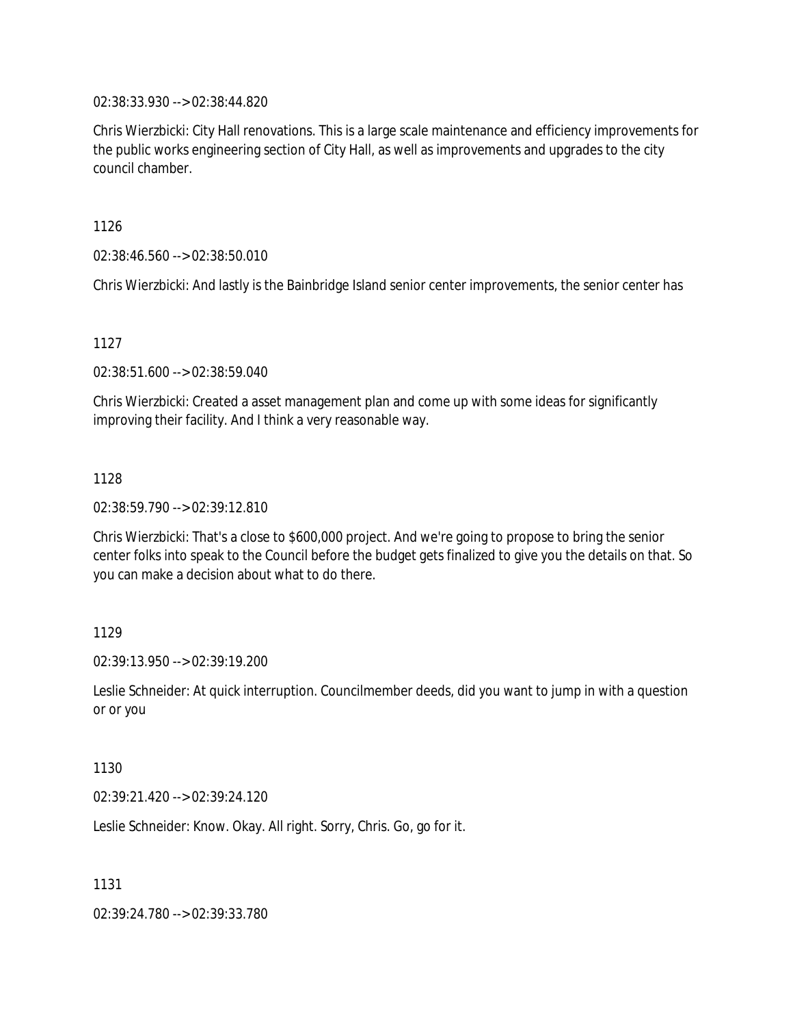02:38:33.930 --> 02:38:44.820

Chris Wierzbicki: City Hall renovations. This is a large scale maintenance and efficiency improvements for the public works engineering section of City Hall, as well as improvements and upgrades to the city council chamber.

1126

02:38:46.560 --> 02:38:50.010

Chris Wierzbicki: And lastly is the Bainbridge Island senior center improvements, the senior center has

#### 1127

02:38:51.600 --> 02:38:59.040

Chris Wierzbicki: Created a asset management plan and come up with some ideas for significantly improving their facility. And I think a very reasonable way.

#### 1128

02:38:59.790 --> 02:39:12.810

Chris Wierzbicki: That's a close to \$600,000 project. And we're going to propose to bring the senior center folks into speak to the Council before the budget gets finalized to give you the details on that. So you can make a decision about what to do there.

### 1129

02:39:13.950 --> 02:39:19.200

Leslie Schneider: At quick interruption. Councilmember deeds, did you want to jump in with a question or or you

#### 1130

02:39:21.420 --> 02:39:24.120

Leslie Schneider: Know. Okay. All right. Sorry, Chris. Go, go for it.

1131

02:39:24.780 --> 02:39:33.780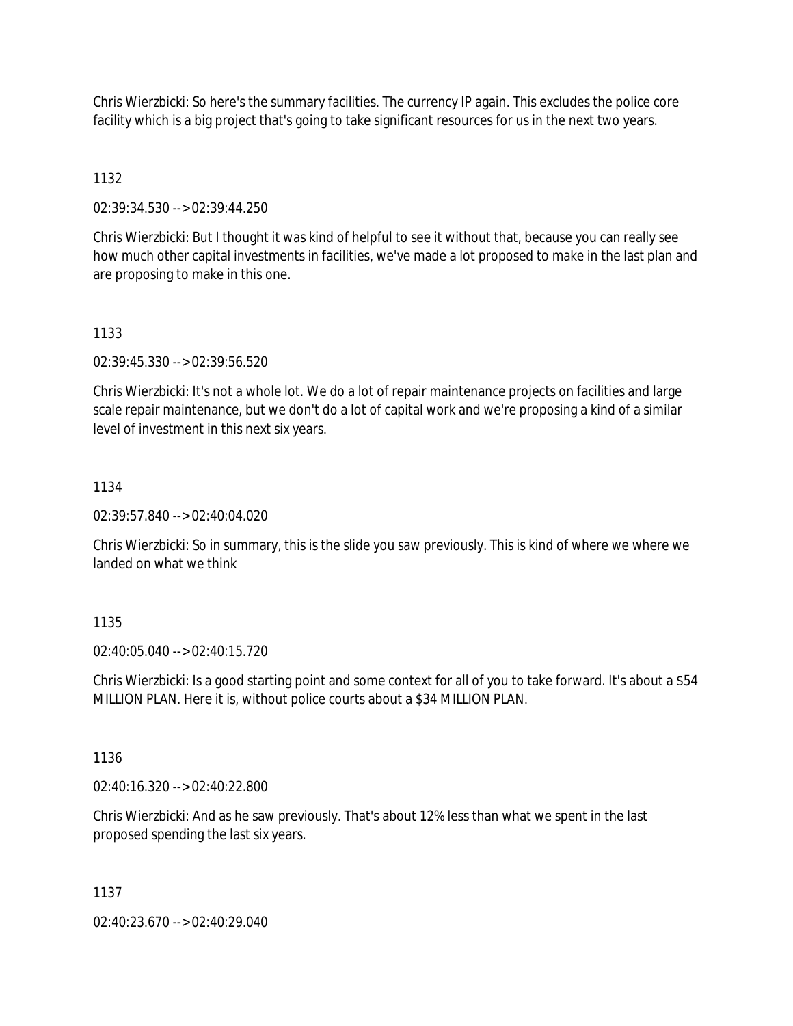Chris Wierzbicki: So here's the summary facilities. The currency IP again. This excludes the police core facility which is a big project that's going to take significant resources for us in the next two years.

# 1132

02:39:34.530 --> 02:39:44.250

Chris Wierzbicki: But I thought it was kind of helpful to see it without that, because you can really see how much other capital investments in facilities, we've made a lot proposed to make in the last plan and are proposing to make in this one.

## 1133

02:39:45.330 --> 02:39:56.520

Chris Wierzbicki: It's not a whole lot. We do a lot of repair maintenance projects on facilities and large scale repair maintenance, but we don't do a lot of capital work and we're proposing a kind of a similar level of investment in this next six years.

## 1134

02:39:57.840 --> 02:40:04.020

Chris Wierzbicki: So in summary, this is the slide you saw previously. This is kind of where we where we landed on what we think

# 1135

02:40:05.040 --> 02:40:15.720

Chris Wierzbicki: Is a good starting point and some context for all of you to take forward. It's about a \$54 MILLION PLAN. Here it is, without police courts about a \$34 MILLION PLAN.

### 1136

02:40:16.320 --> 02:40:22.800

Chris Wierzbicki: And as he saw previously. That's about 12% less than what we spent in the last proposed spending the last six years.

### 1137

02:40:23.670 --> 02:40:29.040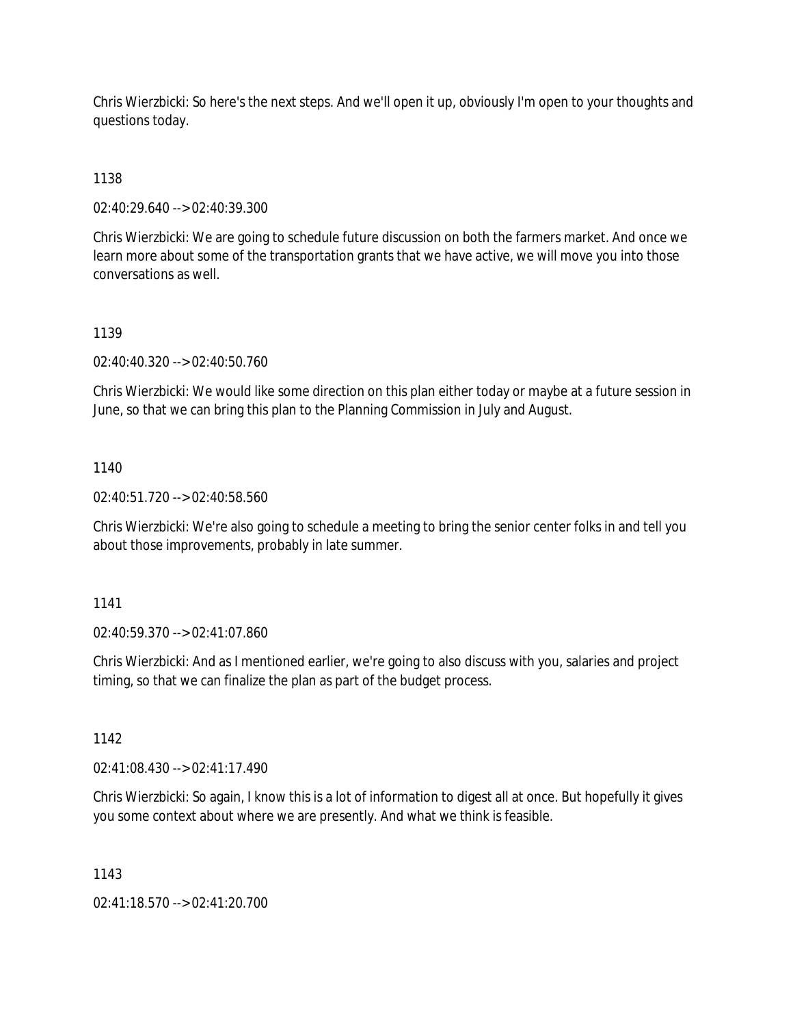Chris Wierzbicki: So here's the next steps. And we'll open it up, obviously I'm open to your thoughts and questions today.

# 1138

02:40:29.640 --> 02:40:39.300

Chris Wierzbicki: We are going to schedule future discussion on both the farmers market. And once we learn more about some of the transportation grants that we have active, we will move you into those conversations as well.

# 1139

02:40:40.320 --> 02:40:50.760

Chris Wierzbicki: We would like some direction on this plan either today or maybe at a future session in June, so that we can bring this plan to the Planning Commission in July and August.

## 1140

02:40:51.720 --> 02:40:58.560

Chris Wierzbicki: We're also going to schedule a meeting to bring the senior center folks in and tell you about those improvements, probably in late summer.

### 1141

02:40:59.370 --> 02:41:07.860

Chris Wierzbicki: And as I mentioned earlier, we're going to also discuss with you, salaries and project timing, so that we can finalize the plan as part of the budget process.

### 1142

02:41:08.430 --> 02:41:17.490

Chris Wierzbicki: So again, I know this is a lot of information to digest all at once. But hopefully it gives you some context about where we are presently. And what we think is feasible.

### 1143

02:41:18.570 --> 02:41:20.700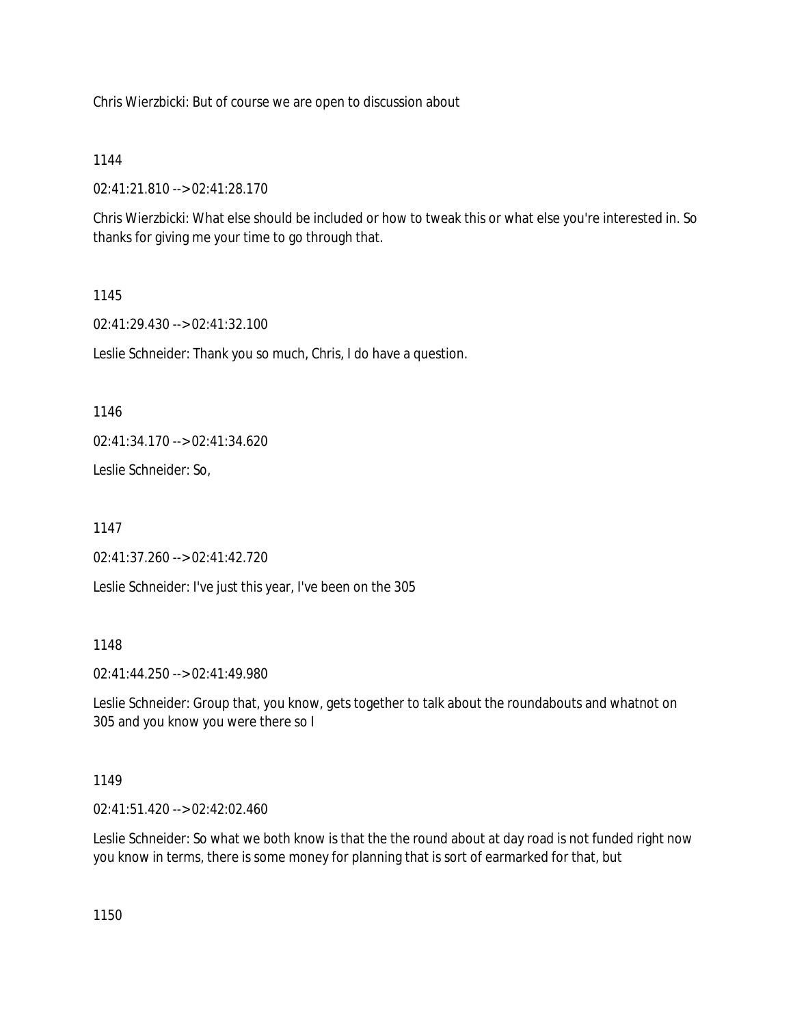Chris Wierzbicki: But of course we are open to discussion about

### 1144

02:41:21.810 --> 02:41:28.170

Chris Wierzbicki: What else should be included or how to tweak this or what else you're interested in. So thanks for giving me your time to go through that.

## 1145

02:41:29.430 --> 02:41:32.100

Leslie Schneider: Thank you so much, Chris, I do have a question.

1146

02:41:34.170 --> 02:41:34.620

Leslie Schneider: So,

1147

02:41:37.260 --> 02:41:42.720

Leslie Schneider: I've just this year, I've been on the 305

### 1148

02:41:44.250 --> 02:41:49.980

Leslie Schneider: Group that, you know, gets together to talk about the roundabouts and whatnot on 305 and you know you were there so I

# 1149

02:41:51.420 --> 02:42:02.460

Leslie Schneider: So what we both know is that the the round about at day road is not funded right now you know in terms, there is some money for planning that is sort of earmarked for that, but

1150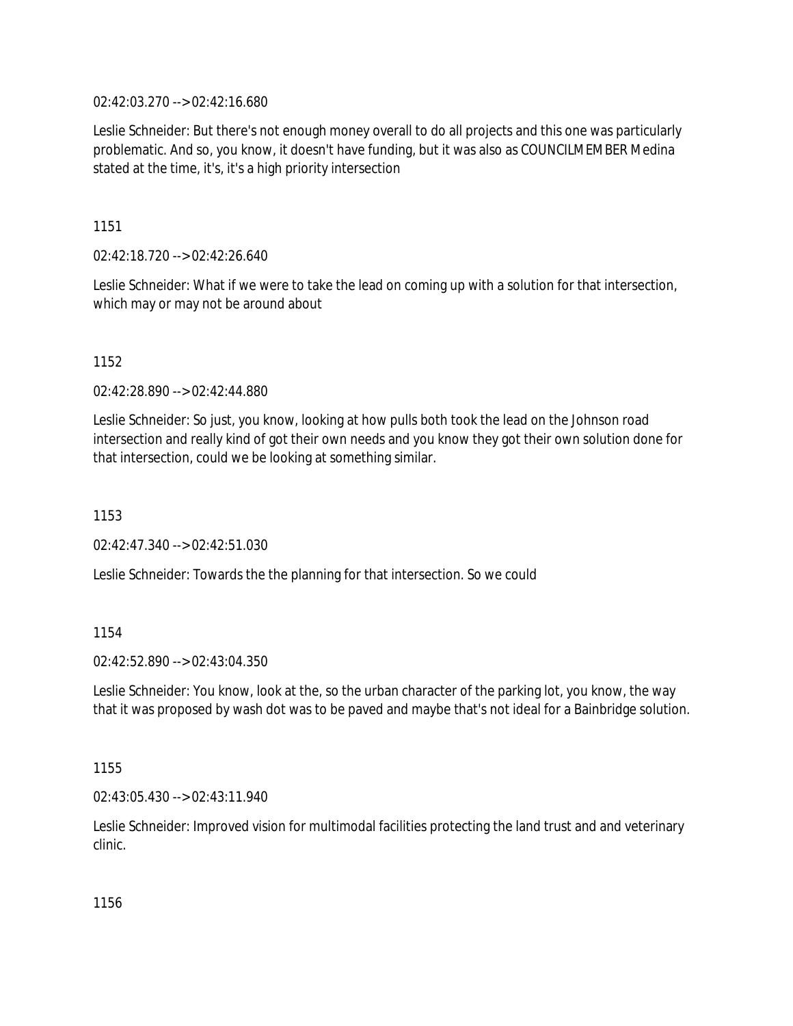02:42:03.270 --> 02:42:16.680

Leslie Schneider: But there's not enough money overall to do all projects and this one was particularly problematic. And so, you know, it doesn't have funding, but it was also as COUNCILMEMBER Medina stated at the time, it's, it's a high priority intersection

1151

02:42:18.720 --> 02:42:26.640

Leslie Schneider: What if we were to take the lead on coming up with a solution for that intersection, which may or may not be around about

1152

02:42:28.890 --> 02:42:44.880

Leslie Schneider: So just, you know, looking at how pulls both took the lead on the Johnson road intersection and really kind of got their own needs and you know they got their own solution done for that intersection, could we be looking at something similar.

1153

02:42:47.340 --> 02:42:51.030

Leslie Schneider: Towards the the planning for that intersection. So we could

1154

02:42:52.890 --> 02:43:04.350

Leslie Schneider: You know, look at the, so the urban character of the parking lot, you know, the way that it was proposed by wash dot was to be paved and maybe that's not ideal for a Bainbridge solution.

1155

02:43:05.430 --> 02:43:11.940

Leslie Schneider: Improved vision for multimodal facilities protecting the land trust and and veterinary clinic.

1156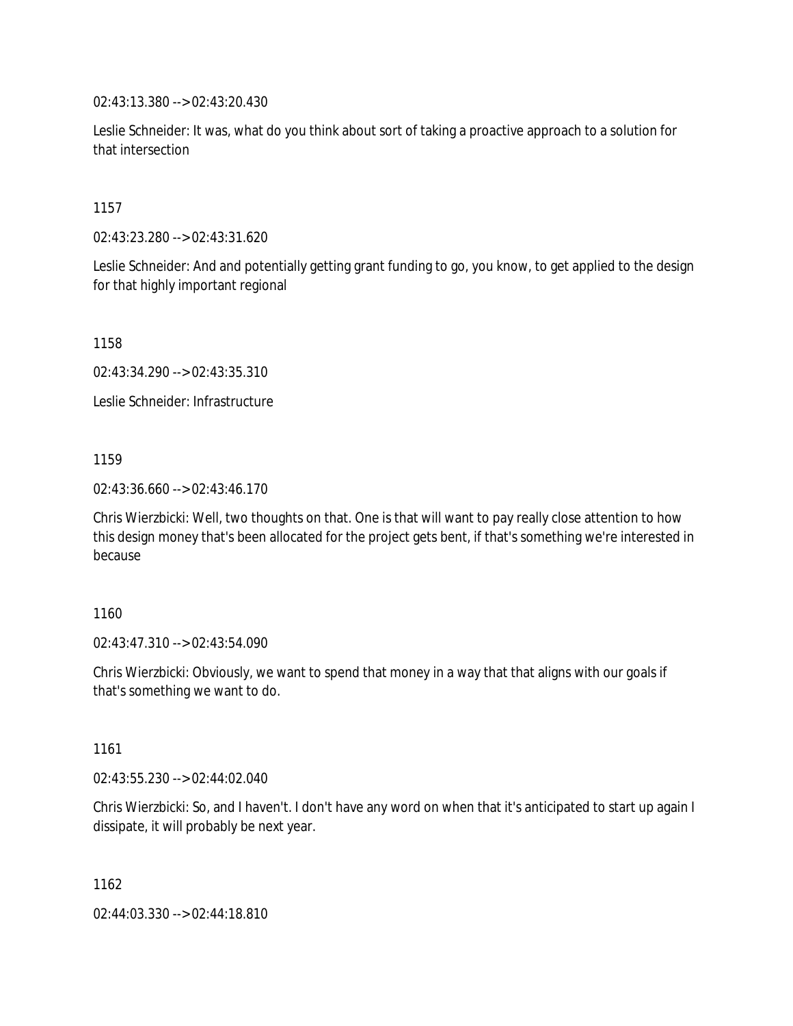02:43:13.380 --> 02:43:20.430

Leslie Schneider: It was, what do you think about sort of taking a proactive approach to a solution for that intersection

1157

02:43:23.280 --> 02:43:31.620

Leslie Schneider: And and potentially getting grant funding to go, you know, to get applied to the design for that highly important regional

1158

02:43:34.290 --> 02:43:35.310

Leslie Schneider: Infrastructure

1159

02:43:36.660 --> 02:43:46.170

Chris Wierzbicki: Well, two thoughts on that. One is that will want to pay really close attention to how this design money that's been allocated for the project gets bent, if that's something we're interested in because

1160

02:43:47.310 --> 02:43:54.090

Chris Wierzbicki: Obviously, we want to spend that money in a way that that aligns with our goals if that's something we want to do.

1161

02:43:55.230 --> 02:44:02.040

Chris Wierzbicki: So, and I haven't. I don't have any word on when that it's anticipated to start up again I dissipate, it will probably be next year.

1162

02:44:03.330 --> 02:44:18.810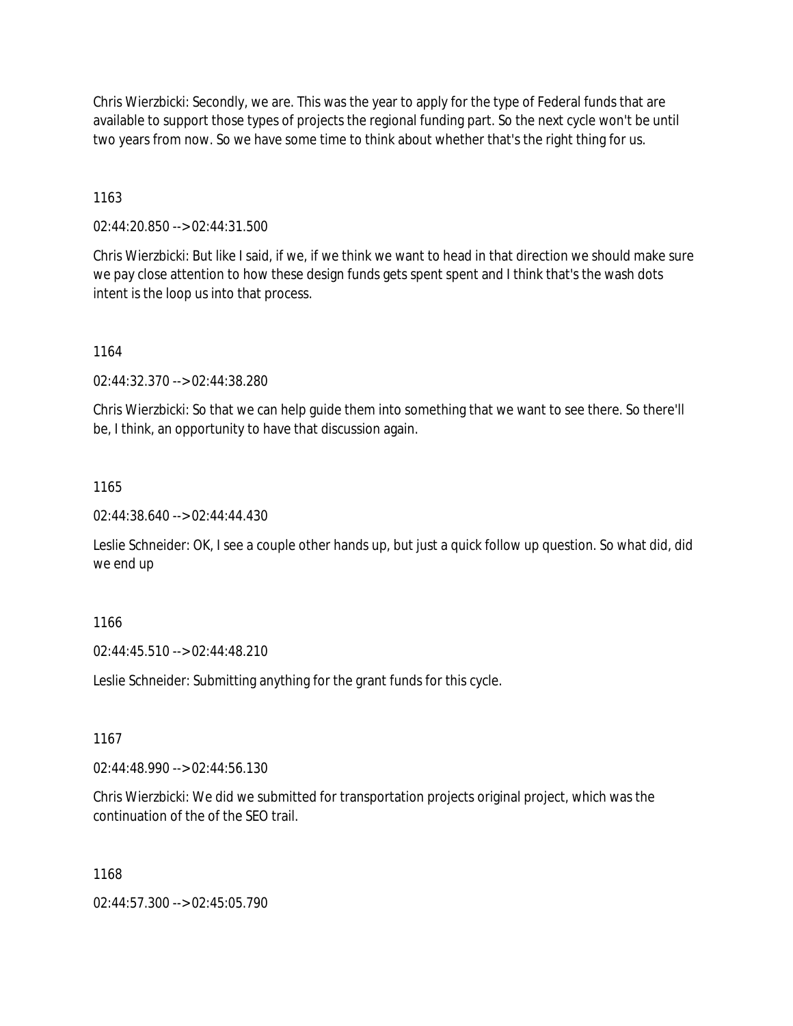Chris Wierzbicki: Secondly, we are. This was the year to apply for the type of Federal funds that are available to support those types of projects the regional funding part. So the next cycle won't be until two years from now. So we have some time to think about whether that's the right thing for us.

1163

02:44:20.850 --> 02:44:31.500

Chris Wierzbicki: But like I said, if we, if we think we want to head in that direction we should make sure we pay close attention to how these design funds gets spent spent and I think that's the wash dots intent is the loop us into that process.

1164

02:44:32.370 --> 02:44:38.280

Chris Wierzbicki: So that we can help guide them into something that we want to see there. So there'll be, I think, an opportunity to have that discussion again.

1165

02:44:38.640 --> 02:44:44.430

Leslie Schneider: OK, I see a couple other hands up, but just a quick follow up question. So what did, did we end up

1166

02:44:45.510 --> 02:44:48.210

Leslie Schneider: Submitting anything for the grant funds for this cycle.

1167

02:44:48.990 --> 02:44:56.130

Chris Wierzbicki: We did we submitted for transportation projects original project, which was the continuation of the of the SEO trail.

1168

02:44:57.300 --> 02:45:05.790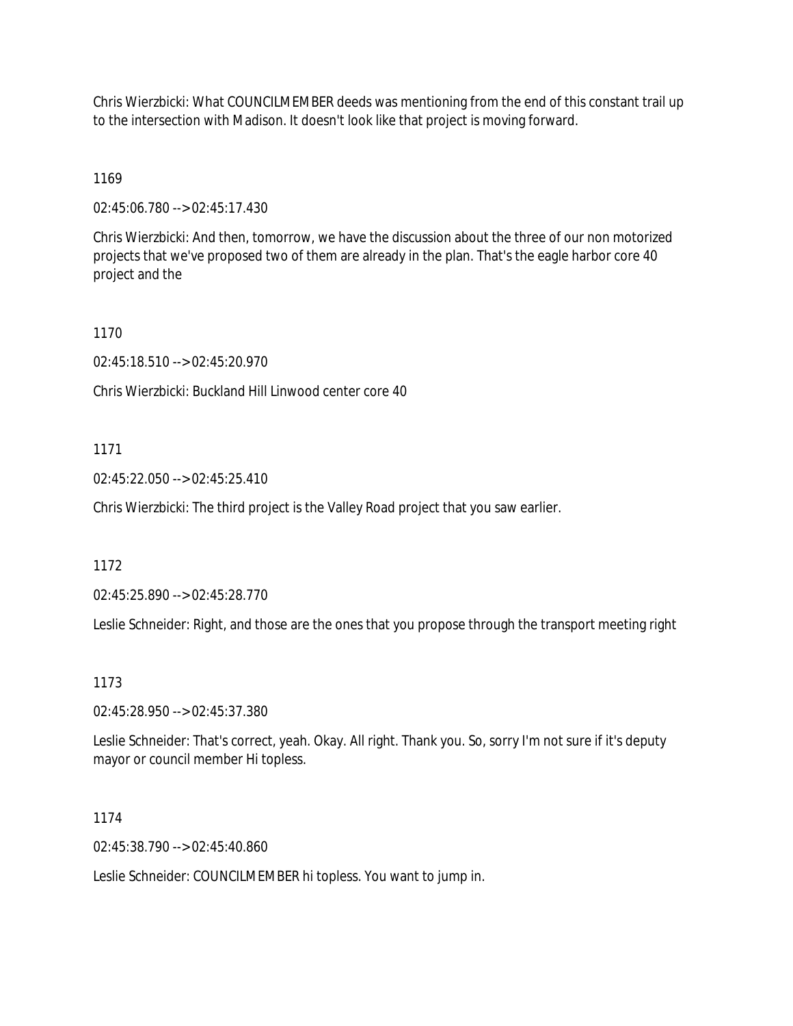Chris Wierzbicki: What COUNCILMEMBER deeds was mentioning from the end of this constant trail up to the intersection with Madison. It doesn't look like that project is moving forward.

1169

02:45:06.780 --> 02:45:17.430

Chris Wierzbicki: And then, tomorrow, we have the discussion about the three of our non motorized projects that we've proposed two of them are already in the plan. That's the eagle harbor core 40 project and the

1170

02:45:18.510 --> 02:45:20.970

Chris Wierzbicki: Buckland Hill Linwood center core 40

1171

02:45:22.050 --> 02:45:25.410

Chris Wierzbicki: The third project is the Valley Road project that you saw earlier.

1172

02:45:25.890 --> 02:45:28.770

Leslie Schneider: Right, and those are the ones that you propose through the transport meeting right

1173

02:45:28.950 --> 02:45:37.380

Leslie Schneider: That's correct, yeah. Okay. All right. Thank you. So, sorry I'm not sure if it's deputy mayor or council member Hi topless.

1174

02:45:38.790 --> 02:45:40.860

Leslie Schneider: COUNCILMEMBER hi topless. You want to jump in.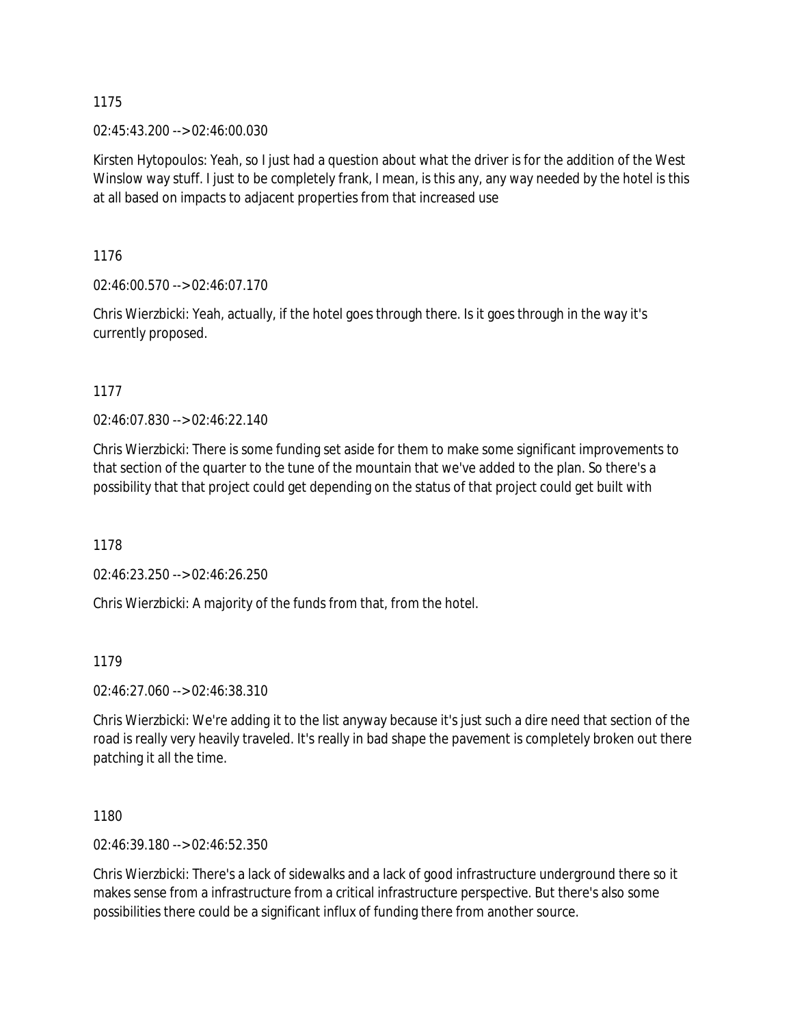02:45:43.200 --> 02:46:00.030

Kirsten Hytopoulos: Yeah, so I just had a question about what the driver is for the addition of the West Winslow way stuff. I just to be completely frank, I mean, is this any, any way needed by the hotel is this at all based on impacts to adjacent properties from that increased use

1176

02:46:00.570 --> 02:46:07.170

Chris Wierzbicki: Yeah, actually, if the hotel goes through there. Is it goes through in the way it's currently proposed.

1177

02:46:07.830 --> 02:46:22.140

Chris Wierzbicki: There is some funding set aside for them to make some significant improvements to that section of the quarter to the tune of the mountain that we've added to the plan. So there's a possibility that that project could get depending on the status of that project could get built with

1178

02:46:23.250 --> 02:46:26.250

Chris Wierzbicki: A majority of the funds from that, from the hotel.

1179

02:46:27.060 --> 02:46:38.310

Chris Wierzbicki: We're adding it to the list anyway because it's just such a dire need that section of the road is really very heavily traveled. It's really in bad shape the pavement is completely broken out there patching it all the time.

1180

02:46:39.180 --> 02:46:52.350

Chris Wierzbicki: There's a lack of sidewalks and a lack of good infrastructure underground there so it makes sense from a infrastructure from a critical infrastructure perspective. But there's also some possibilities there could be a significant influx of funding there from another source.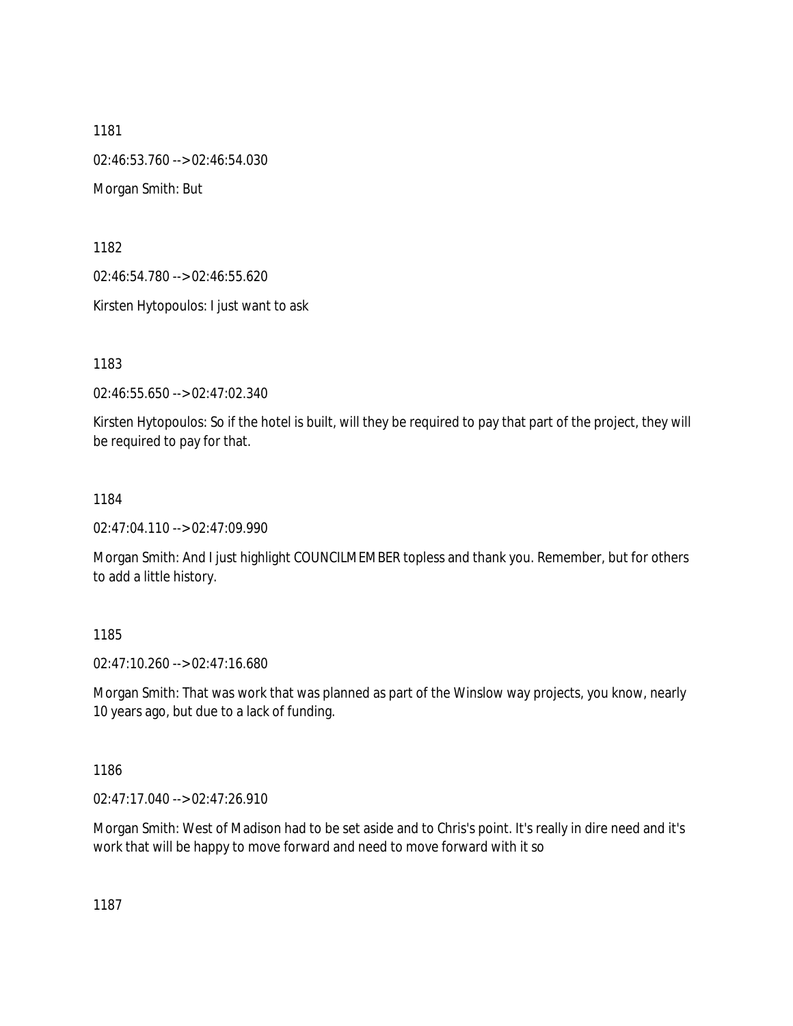1181 02:46:53.760 --> 02:46:54.030 Morgan Smith: But

1182

02:46:54.780 --> 02:46:55.620

Kirsten Hytopoulos: I just want to ask

1183

02:46:55.650 --> 02:47:02.340

Kirsten Hytopoulos: So if the hotel is built, will they be required to pay that part of the project, they will be required to pay for that.

1184

02:47:04.110 --> 02:47:09.990

Morgan Smith: And I just highlight COUNCILMEMBER topless and thank you. Remember, but for others to add a little history.

1185

02:47:10.260 --> 02:47:16.680

Morgan Smith: That was work that was planned as part of the Winslow way projects, you know, nearly 10 years ago, but due to a lack of funding.

1186

02:47:17.040 --> 02:47:26.910

Morgan Smith: West of Madison had to be set aside and to Chris's point. It's really in dire need and it's work that will be happy to move forward and need to move forward with it so

1187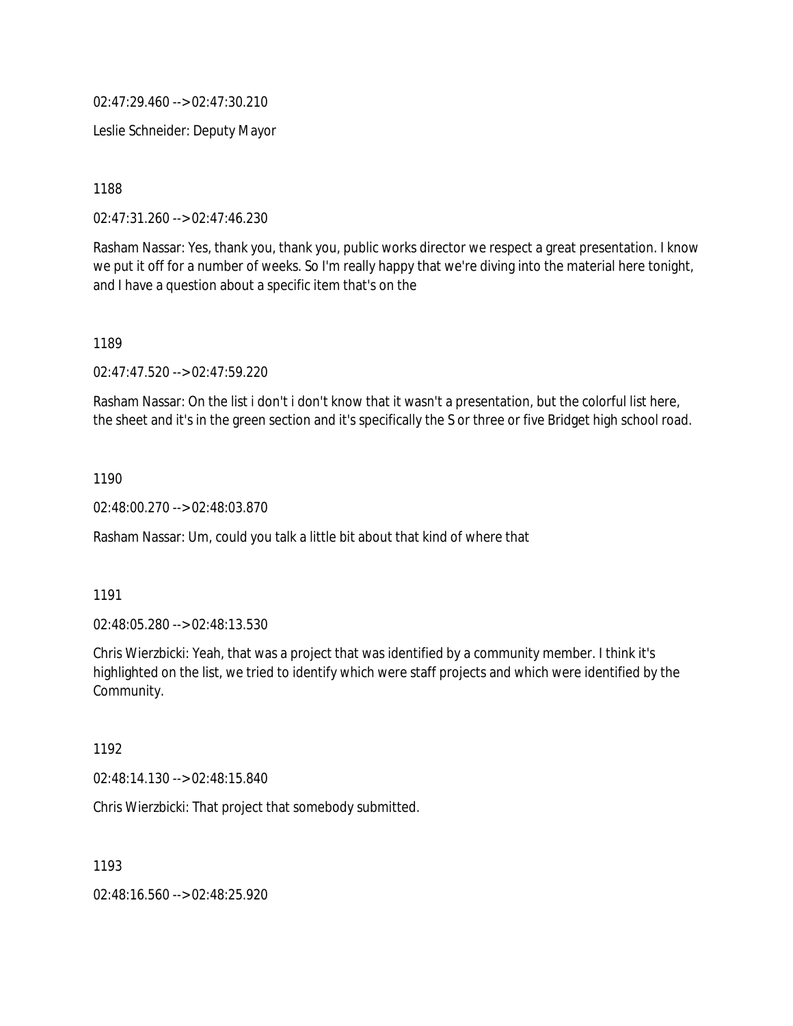02:47:29.460 --> 02:47:30.210

Leslie Schneider: Deputy Mayor

1188

02:47:31.260 --> 02:47:46.230

Rasham Nassar: Yes, thank you, thank you, public works director we respect a great presentation. I know we put it off for a number of weeks. So I'm really happy that we're diving into the material here tonight, and I have a question about a specific item that's on the

1189

02:47:47.520 --> 02:47:59.220

Rasham Nassar: On the list i don't i don't know that it wasn't a presentation, but the colorful list here, the sheet and it's in the green section and it's specifically the S or three or five Bridget high school road.

1190

02:48:00.270 --> 02:48:03.870

Rasham Nassar: Um, could you talk a little bit about that kind of where that

1191

02:48:05.280 --> 02:48:13.530

Chris Wierzbicki: Yeah, that was a project that was identified by a community member. I think it's highlighted on the list, we tried to identify which were staff projects and which were identified by the Community.

1192

02:48:14.130 --> 02:48:15.840

Chris Wierzbicki: That project that somebody submitted.

1193

02:48:16.560 --> 02:48:25.920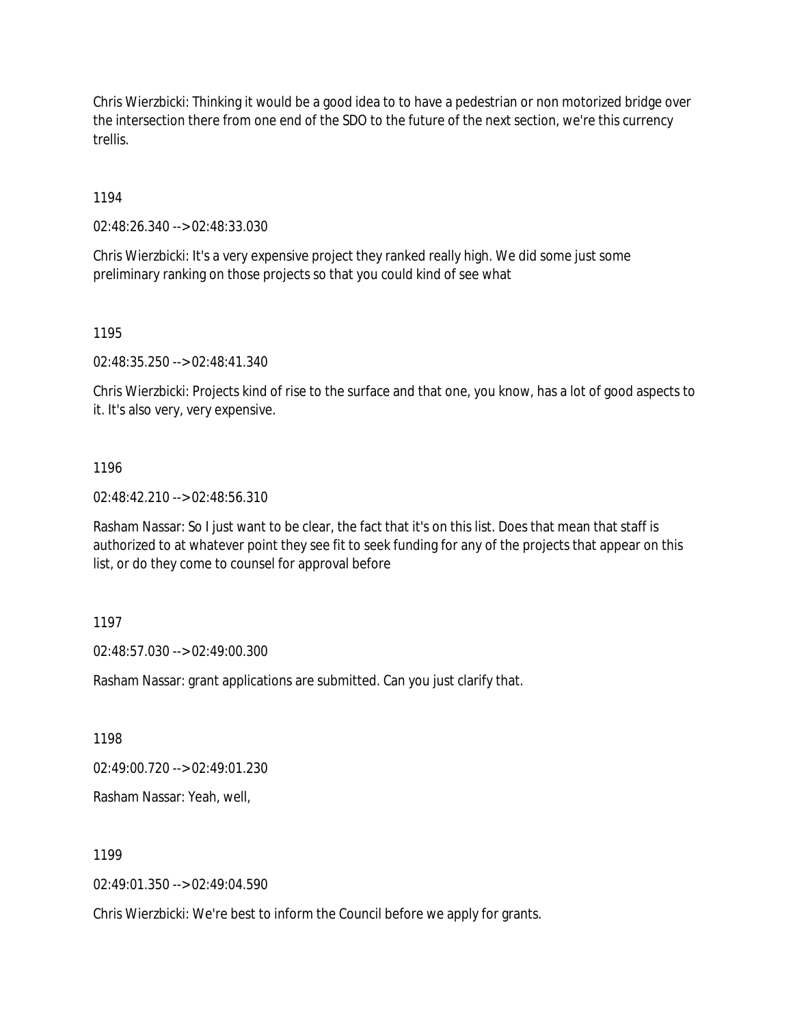Chris Wierzbicki: Thinking it would be a good idea to to have a pedestrian or non motorized bridge over the intersection there from one end of the SDO to the future of the next section, we're this currency trellis.

1194

02:48:26.340 --> 02:48:33.030

Chris Wierzbicki: It's a very expensive project they ranked really high. We did some just some preliminary ranking on those projects so that you could kind of see what

1195

02:48:35.250 --> 02:48:41.340

Chris Wierzbicki: Projects kind of rise to the surface and that one, you know, has a lot of good aspects to it. It's also very, very expensive.

### 1196

02:48:42.210 --> 02:48:56.310

Rasham Nassar: So I just want to be clear, the fact that it's on this list. Does that mean that staff is authorized to at whatever point they see fit to seek funding for any of the projects that appear on this list, or do they come to counsel for approval before

### 1197

02:48:57.030 --> 02:49:00.300

Rasham Nassar: grant applications are submitted. Can you just clarify that.

1198

02:49:00.720 --> 02:49:01.230

Rasham Nassar: Yeah, well,

1199

02:49:01.350 --> 02:49:04.590

Chris Wierzbicki: We're best to inform the Council before we apply for grants.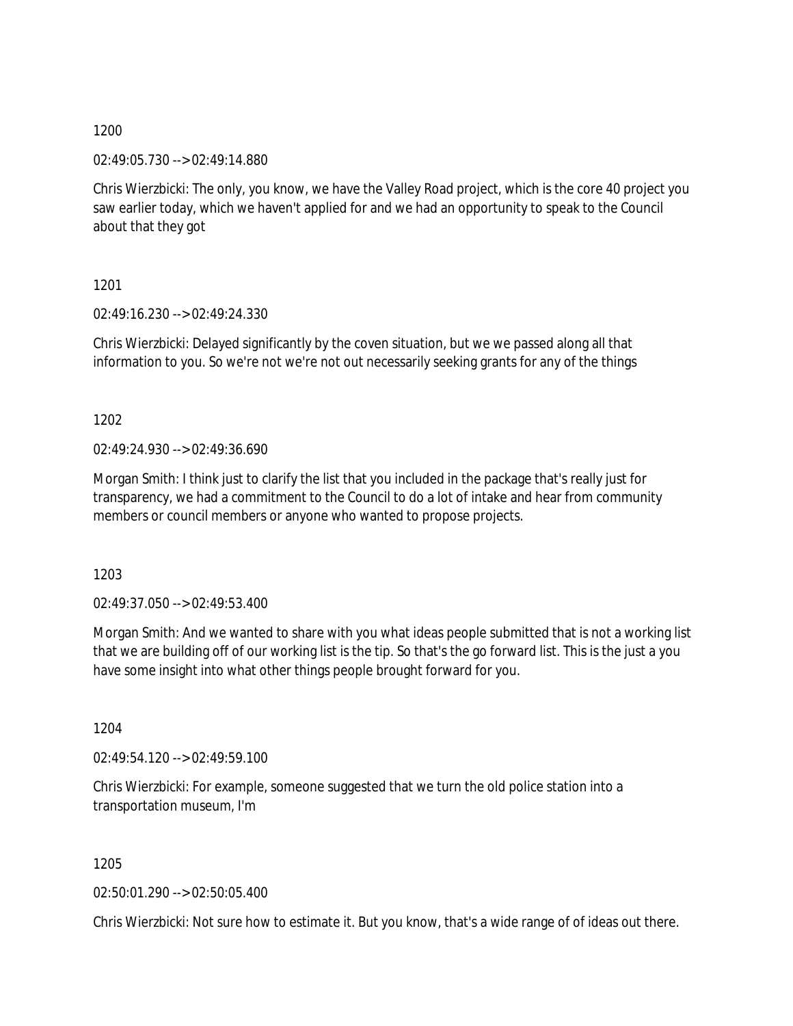02:49:05.730 --> 02:49:14.880

Chris Wierzbicki: The only, you know, we have the Valley Road project, which is the core 40 project you saw earlier today, which we haven't applied for and we had an opportunity to speak to the Council about that they got

1201

02:49:16.230 --> 02:49:24.330

Chris Wierzbicki: Delayed significantly by the coven situation, but we we passed along all that information to you. So we're not we're not out necessarily seeking grants for any of the things

1202

02:49:24.930 --> 02:49:36.690

Morgan Smith: I think just to clarify the list that you included in the package that's really just for transparency, we had a commitment to the Council to do a lot of intake and hear from community members or council members or anyone who wanted to propose projects.

1203

 $02.49.37.050 -> 02.49.53.400$ 

Morgan Smith: And we wanted to share with you what ideas people submitted that is not a working list that we are building off of our working list is the tip. So that's the go forward list. This is the just a you have some insight into what other things people brought forward for you.

1204

02:49:54.120 --> 02:49:59.100

Chris Wierzbicki: For example, someone suggested that we turn the old police station into a transportation museum, I'm

1205

02:50:01.290 --> 02:50:05.400

Chris Wierzbicki: Not sure how to estimate it. But you know, that's a wide range of of ideas out there.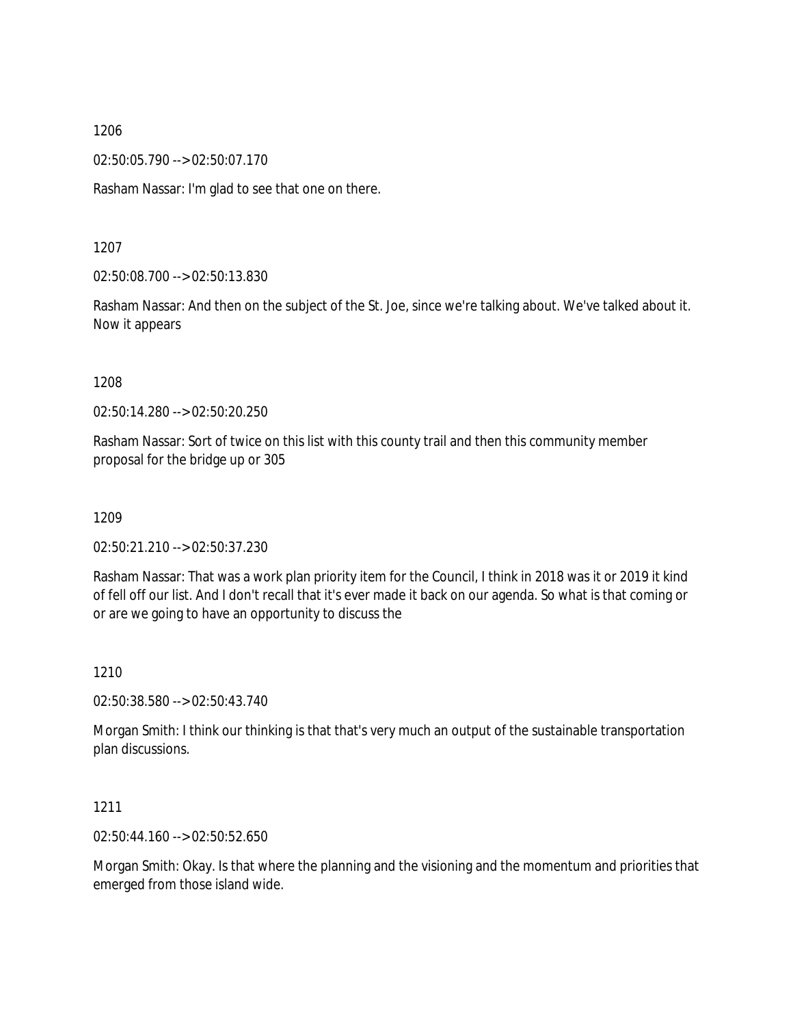02:50:05.790 --> 02:50:07.170

Rasham Nassar: I'm glad to see that one on there.

1207

02:50:08.700 --> 02:50:13.830

Rasham Nassar: And then on the subject of the St. Joe, since we're talking about. We've talked about it. Now it appears

1208

02:50:14.280 --> 02:50:20.250

Rasham Nassar: Sort of twice on this list with this county trail and then this community member proposal for the bridge up or 305

1209

02:50:21.210 --> 02:50:37.230

Rasham Nassar: That was a work plan priority item for the Council, I think in 2018 was it or 2019 it kind of fell off our list. And I don't recall that it's ever made it back on our agenda. So what is that coming or or are we going to have an opportunity to discuss the

1210

02:50:38.580 --> 02:50:43.740

Morgan Smith: I think our thinking is that that's very much an output of the sustainable transportation plan discussions.

1211

02:50:44.160 --> 02:50:52.650

Morgan Smith: Okay. Is that where the planning and the visioning and the momentum and priorities that emerged from those island wide.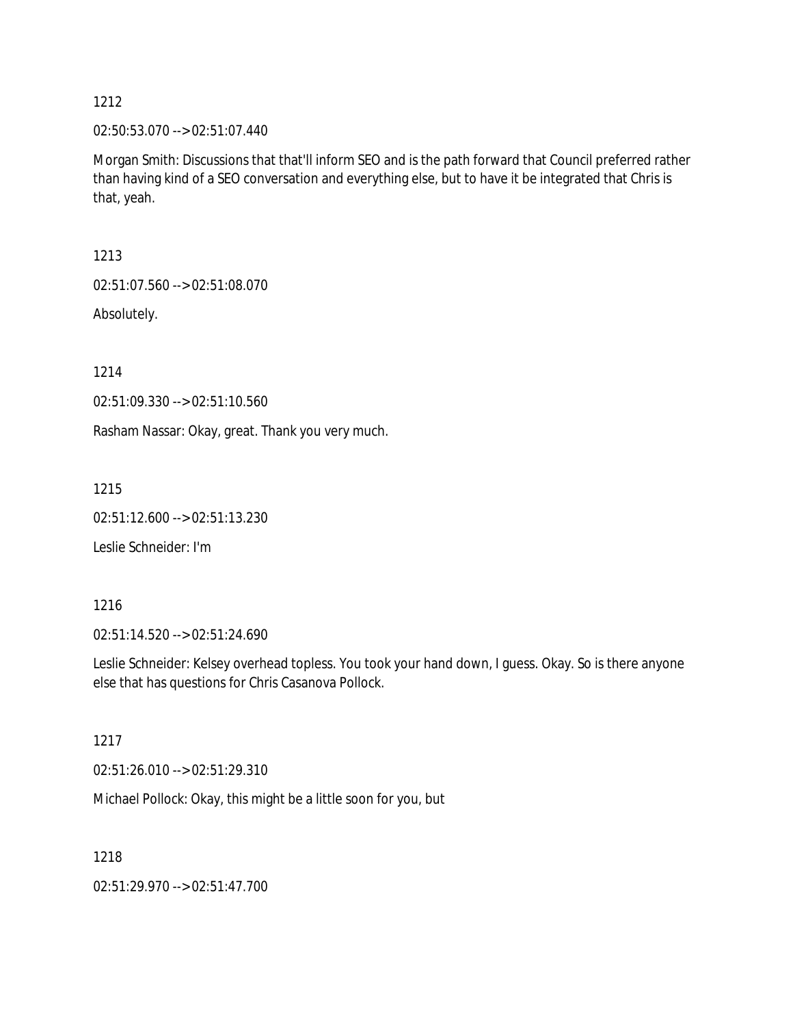02:50:53.070 --> 02:51:07.440

Morgan Smith: Discussions that that'll inform SEO and is the path forward that Council preferred rather than having kind of a SEO conversation and everything else, but to have it be integrated that Chris is that, yeah.

1213

02:51:07.560 --> 02:51:08.070

Absolutely.

1214

02:51:09.330 --> 02:51:10.560

Rasham Nassar: Okay, great. Thank you very much.

1215

02:51:12.600 --> 02:51:13.230

Leslie Schneider: I'm

1216

02:51:14.520 --> 02:51:24.690

Leslie Schneider: Kelsey overhead topless. You took your hand down, I guess. Okay. So is there anyone else that has questions for Chris Casanova Pollock.

1217

02:51:26.010 --> 02:51:29.310

Michael Pollock: Okay, this might be a little soon for you, but

1218

02:51:29.970 --> 02:51:47.700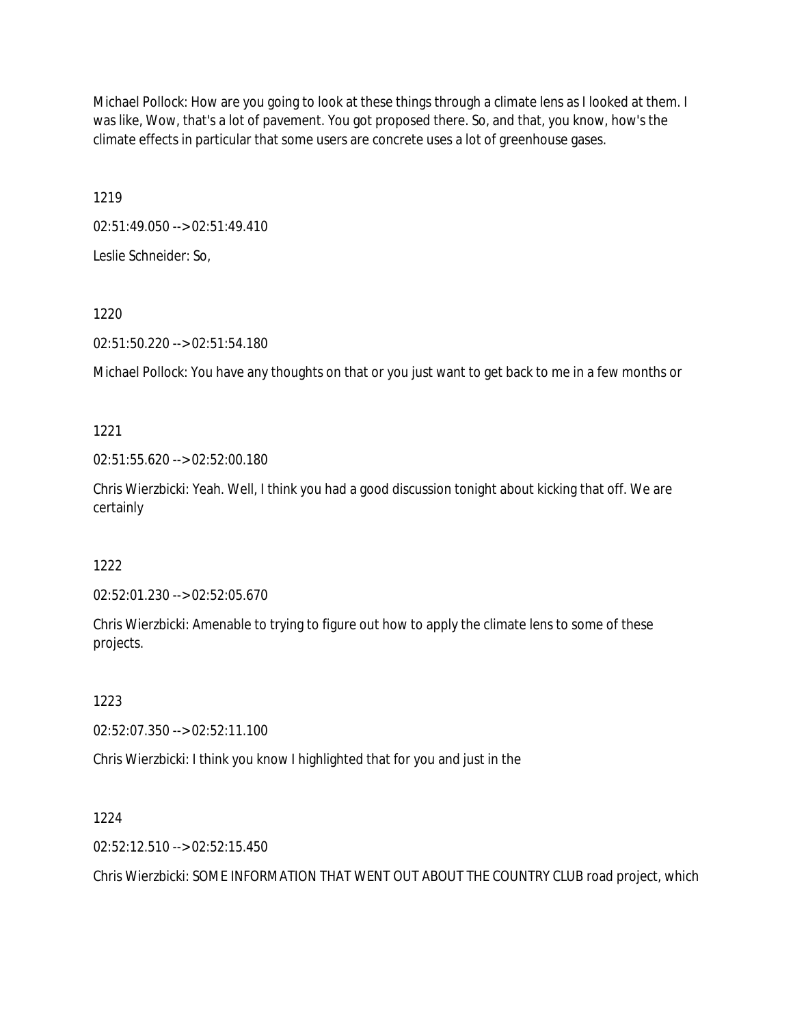Michael Pollock: How are you going to look at these things through a climate lens as I looked at them. I was like, Wow, that's a lot of pavement. You got proposed there. So, and that, you know, how's the climate effects in particular that some users are concrete uses a lot of greenhouse gases.

1219

02:51:49.050 --> 02:51:49.410

Leslie Schneider: So,

1220

02:51:50.220 --> 02:51:54.180

Michael Pollock: You have any thoughts on that or you just want to get back to me in a few months or

1221

02:51:55.620 --> 02:52:00.180

Chris Wierzbicki: Yeah. Well, I think you had a good discussion tonight about kicking that off. We are certainly

1222

02:52:01.230 --> 02:52:05.670

Chris Wierzbicki: Amenable to trying to figure out how to apply the climate lens to some of these projects.

1223

02:52:07.350 --> 02:52:11.100

Chris Wierzbicki: I think you know I highlighted that for you and just in the

1224

02:52:12.510 --> 02:52:15.450

Chris Wierzbicki: SOME INFORMATION THAT WENT OUT ABOUT THE COUNTRY CLUB road project, which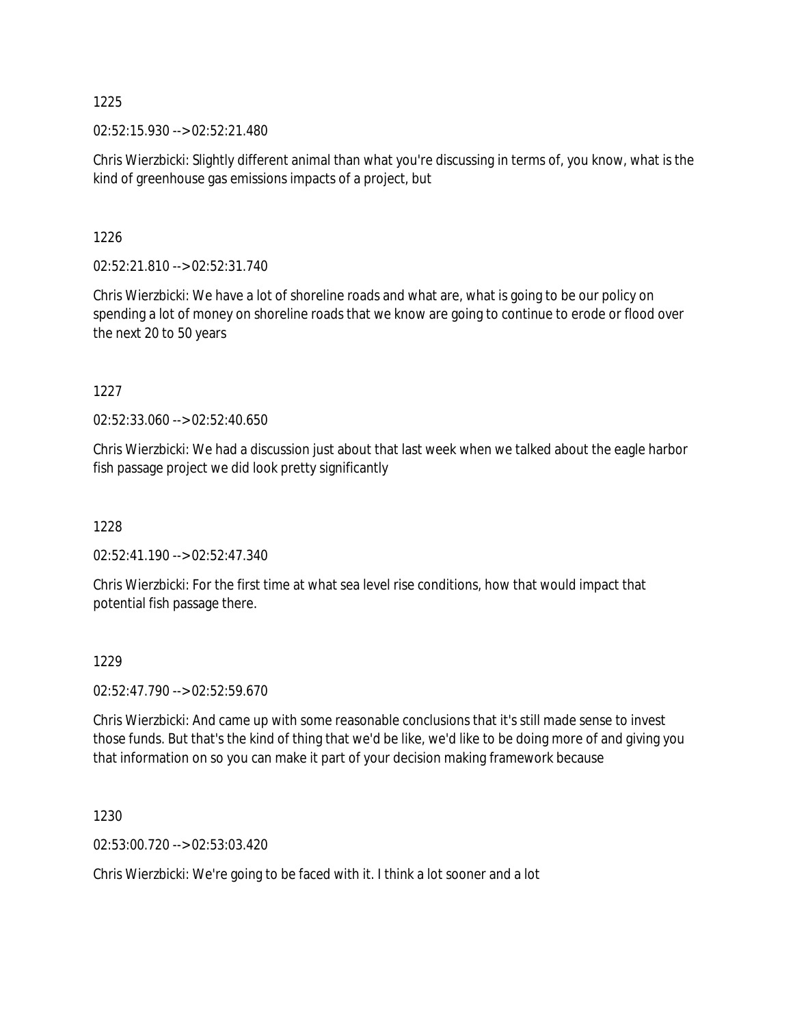02:52:15.930 --> 02:52:21.480

Chris Wierzbicki: Slightly different animal than what you're discussing in terms of, you know, what is the kind of greenhouse gas emissions impacts of a project, but

### 1226

02:52:21.810 --> 02:52:31.740

Chris Wierzbicki: We have a lot of shoreline roads and what are, what is going to be our policy on spending a lot of money on shoreline roads that we know are going to continue to erode or flood over the next 20 to 50 years

## 1227

02:52:33.060 --> 02:52:40.650

Chris Wierzbicki: We had a discussion just about that last week when we talked about the eagle harbor fish passage project we did look pretty significantly

# 1228

02:52:41.190 --> 02:52:47.340

Chris Wierzbicki: For the first time at what sea level rise conditions, how that would impact that potential fish passage there.

### 1229

02:52:47.790 --> 02:52:59.670

Chris Wierzbicki: And came up with some reasonable conclusions that it's still made sense to invest those funds. But that's the kind of thing that we'd be like, we'd like to be doing more of and giving you that information on so you can make it part of your decision making framework because

1230

02:53:00.720 --> 02:53:03.420

Chris Wierzbicki: We're going to be faced with it. I think a lot sooner and a lot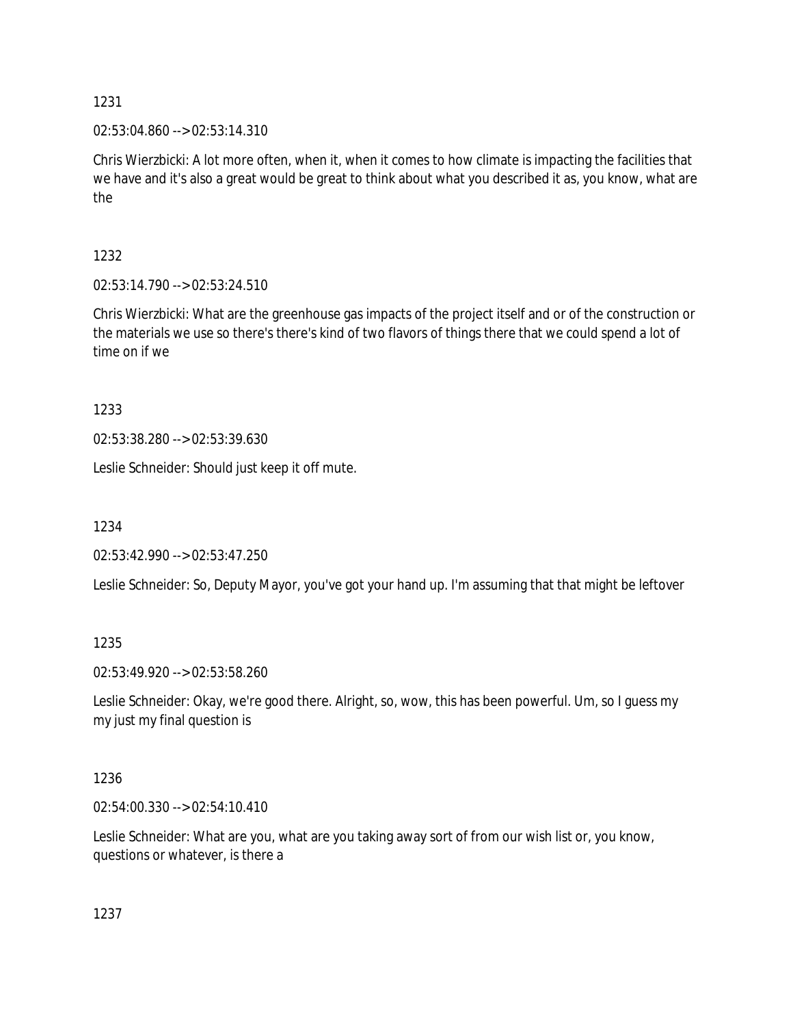02:53:04.860 --> 02:53:14.310

Chris Wierzbicki: A lot more often, when it, when it comes to how climate is impacting the facilities that we have and it's also a great would be great to think about what you described it as, you know, what are the

1232

02:53:14.790 --> 02:53:24.510

Chris Wierzbicki: What are the greenhouse gas impacts of the project itself and or of the construction or the materials we use so there's there's kind of two flavors of things there that we could spend a lot of time on if we

1233

02:53:38.280 --> 02:53:39.630

Leslie Schneider: Should just keep it off mute.

1234

02:53:42.990 --> 02:53:47.250

Leslie Schneider: So, Deputy Mayor, you've got your hand up. I'm assuming that that might be leftover

1235

02:53:49.920 --> 02:53:58.260

Leslie Schneider: Okay, we're good there. Alright, so, wow, this has been powerful. Um, so I guess my my just my final question is

1236

02:54:00.330 --> 02:54:10.410

Leslie Schneider: What are you, what are you taking away sort of from our wish list or, you know, questions or whatever, is there a

1237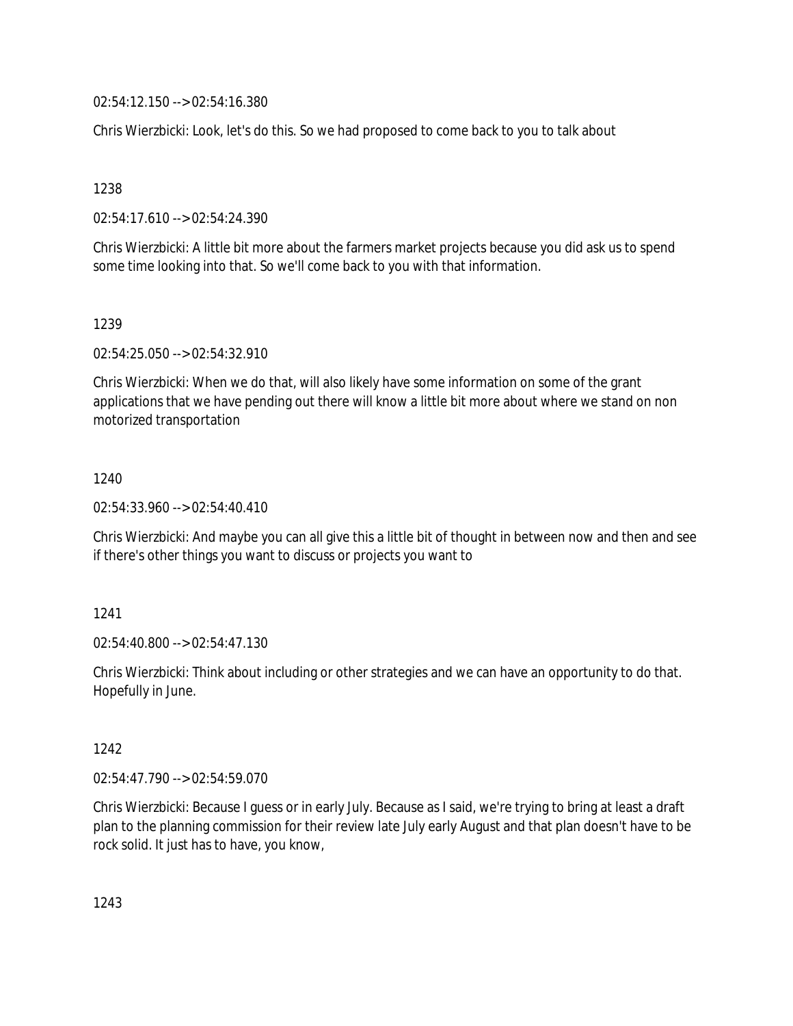02:54:12.150 --> 02:54:16.380

Chris Wierzbicki: Look, let's do this. So we had proposed to come back to you to talk about

1238

02:54:17.610 --> 02:54:24.390

Chris Wierzbicki: A little bit more about the farmers market projects because you did ask us to spend some time looking into that. So we'll come back to you with that information.

1239

02:54:25.050 --> 02:54:32.910

Chris Wierzbicki: When we do that, will also likely have some information on some of the grant applications that we have pending out there will know a little bit more about where we stand on non motorized transportation

1240

02:54:33.960 --> 02:54:40.410

Chris Wierzbicki: And maybe you can all give this a little bit of thought in between now and then and see if there's other things you want to discuss or projects you want to

1241

02:54:40.800 --> 02:54:47.130

Chris Wierzbicki: Think about including or other strategies and we can have an opportunity to do that. Hopefully in June.

1242

02:54:47.790 --> 02:54:59.070

Chris Wierzbicki: Because I guess or in early July. Because as I said, we're trying to bring at least a draft plan to the planning commission for their review late July early August and that plan doesn't have to be rock solid. It just has to have, you know,

1243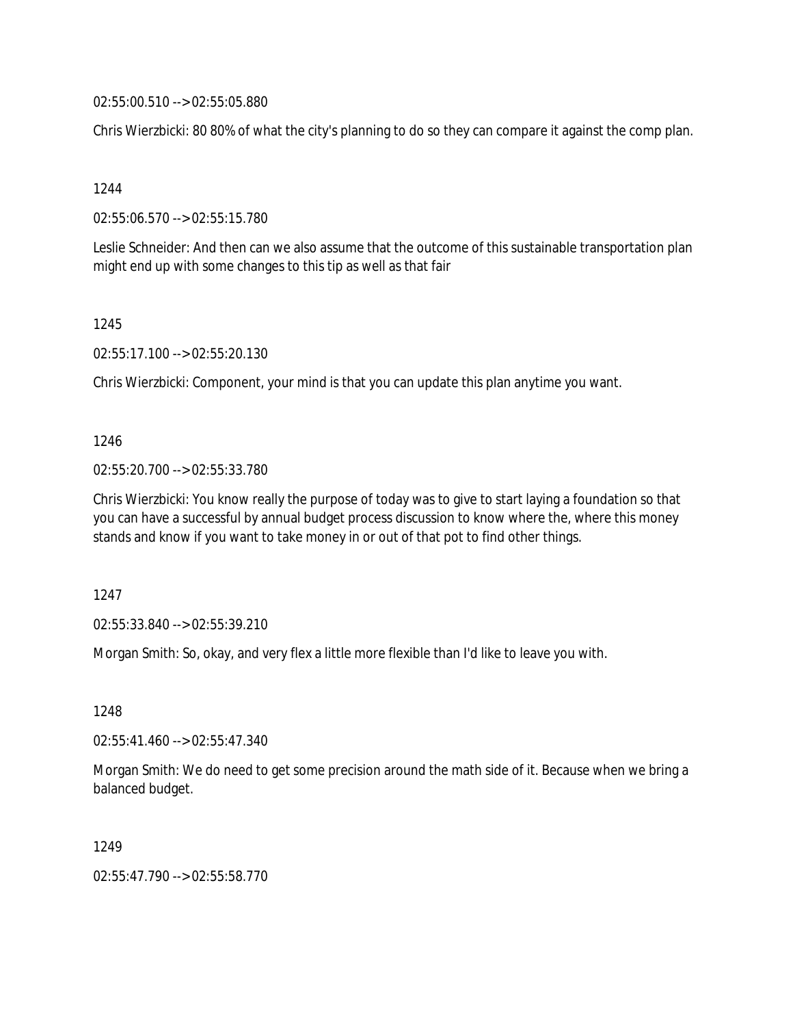02:55:00.510 --> 02:55:05.880

Chris Wierzbicki: 80 80% of what the city's planning to do so they can compare it against the comp plan.

1244

02:55:06.570 --> 02:55:15.780

Leslie Schneider: And then can we also assume that the outcome of this sustainable transportation plan might end up with some changes to this tip as well as that fair

1245

02:55:17.100 --> 02:55:20.130

Chris Wierzbicki: Component, your mind is that you can update this plan anytime you want.

1246

02:55:20.700 --> 02:55:33.780

Chris Wierzbicki: You know really the purpose of today was to give to start laying a foundation so that you can have a successful by annual budget process discussion to know where the, where this money stands and know if you want to take money in or out of that pot to find other things.

1247

02:55:33.840 --> 02:55:39.210

Morgan Smith: So, okay, and very flex a little more flexible than I'd like to leave you with.

1248

02:55:41.460 --> 02:55:47.340

Morgan Smith: We do need to get some precision around the math side of it. Because when we bring a balanced budget.

1249

02:55:47.790 --> 02:55:58.770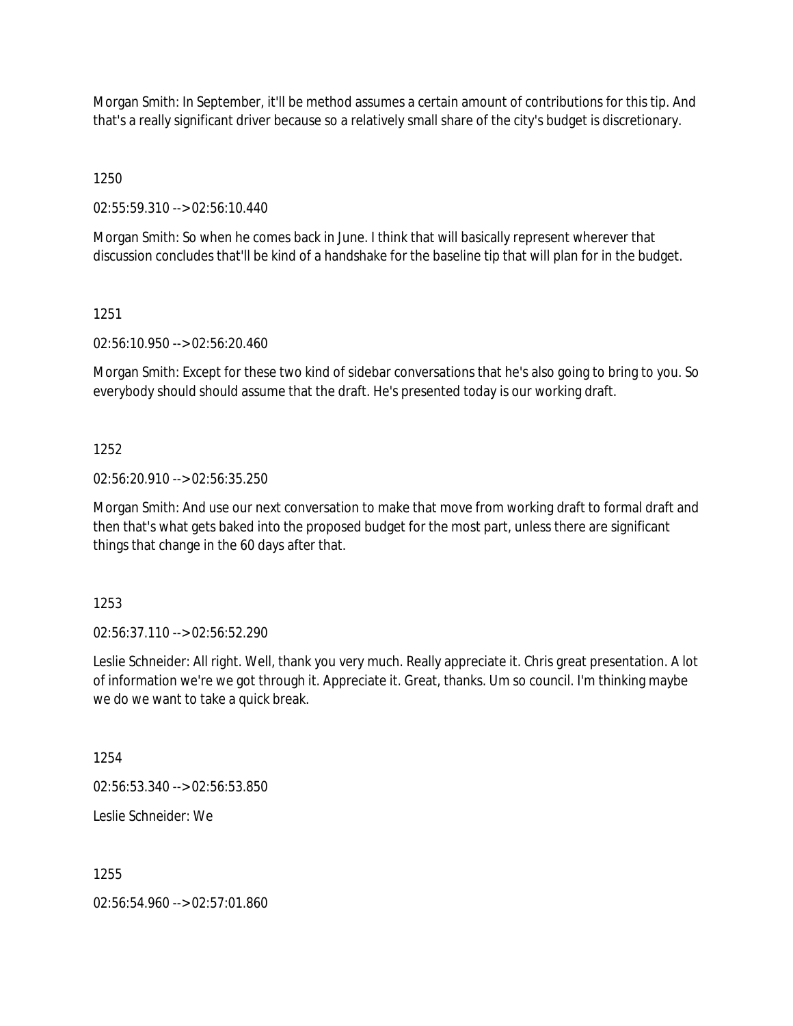Morgan Smith: In September, it'll be method assumes a certain amount of contributions for this tip. And that's a really significant driver because so a relatively small share of the city's budget is discretionary.

1250

02:55:59.310 --> 02:56:10.440

Morgan Smith: So when he comes back in June. I think that will basically represent wherever that discussion concludes that'll be kind of a handshake for the baseline tip that will plan for in the budget.

### 1251

02:56:10.950 --> 02:56:20.460

Morgan Smith: Except for these two kind of sidebar conversations that he's also going to bring to you. So everybody should should assume that the draft. He's presented today is our working draft.

### 1252

02:56:20.910 --> 02:56:35.250

Morgan Smith: And use our next conversation to make that move from working draft to formal draft and then that's what gets baked into the proposed budget for the most part, unless there are significant things that change in the 60 days after that.

1253

02:56:37.110 --> 02:56:52.290

Leslie Schneider: All right. Well, thank you very much. Really appreciate it. Chris great presentation. A lot of information we're we got through it. Appreciate it. Great, thanks. Um so council. I'm thinking maybe we do we want to take a quick break.

1254

02:56:53.340 --> 02:56:53.850

Leslie Schneider: We

1255

02:56:54.960 --> 02:57:01.860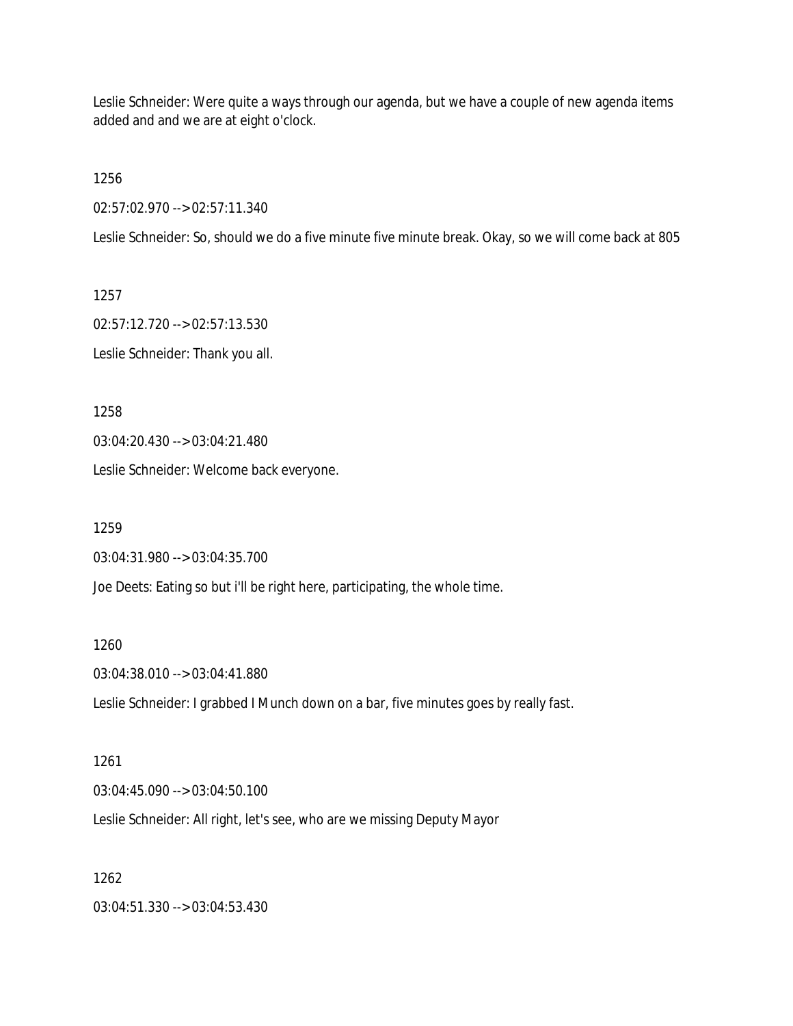Leslie Schneider: Were quite a ways through our agenda, but we have a couple of new agenda items added and and we are at eight o'clock.

1256

02:57:02.970 --> 02:57:11.340

Leslie Schneider: So, should we do a five minute five minute break. Okay, so we will come back at 805

1257

02:57:12.720 --> 02:57:13.530 Leslie Schneider: Thank you all.

1258

03:04:20.430 --> 03:04:21.480

Leslie Schneider: Welcome back everyone.

1259

03:04:31.980 --> 03:04:35.700

Joe Deets: Eating so but i'll be right here, participating, the whole time.

1260

03:04:38.010 --> 03:04:41.880

Leslie Schneider: I grabbed I Munch down on a bar, five minutes goes by really fast.

1261

03:04:45.090 --> 03:04:50.100

Leslie Schneider: All right, let's see, who are we missing Deputy Mayor

1262

03:04:51.330 --> 03:04:53.430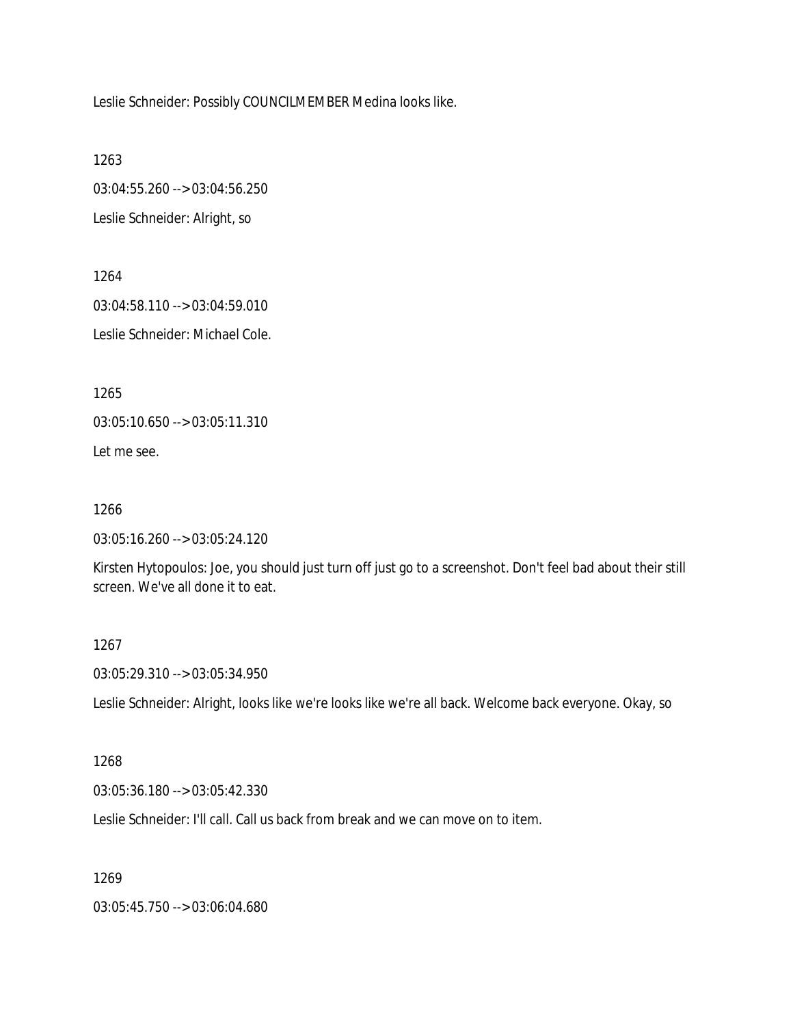Leslie Schneider: Possibly COUNCILMEMBER Medina looks like.

1263 03:04:55.260 --> 03:04:56.250 Leslie Schneider: Alright, so

1264 03:04:58.110 --> 03:04:59.010 Leslie Schneider: Michael Cole.

1265

03:05:10.650 --> 03:05:11.310

Let me see.

1266

03:05:16.260 --> 03:05:24.120

Kirsten Hytopoulos: Joe, you should just turn off just go to a screenshot. Don't feel bad about their still screen. We've all done it to eat.

1267

03:05:29.310 --> 03:05:34.950

Leslie Schneider: Alright, looks like we're looks like we're all back. Welcome back everyone. Okay, so

#### 1268

03:05:36.180 --> 03:05:42.330

Leslie Schneider: I'll call. Call us back from break and we can move on to item.

1269

03:05:45.750 --> 03:06:04.680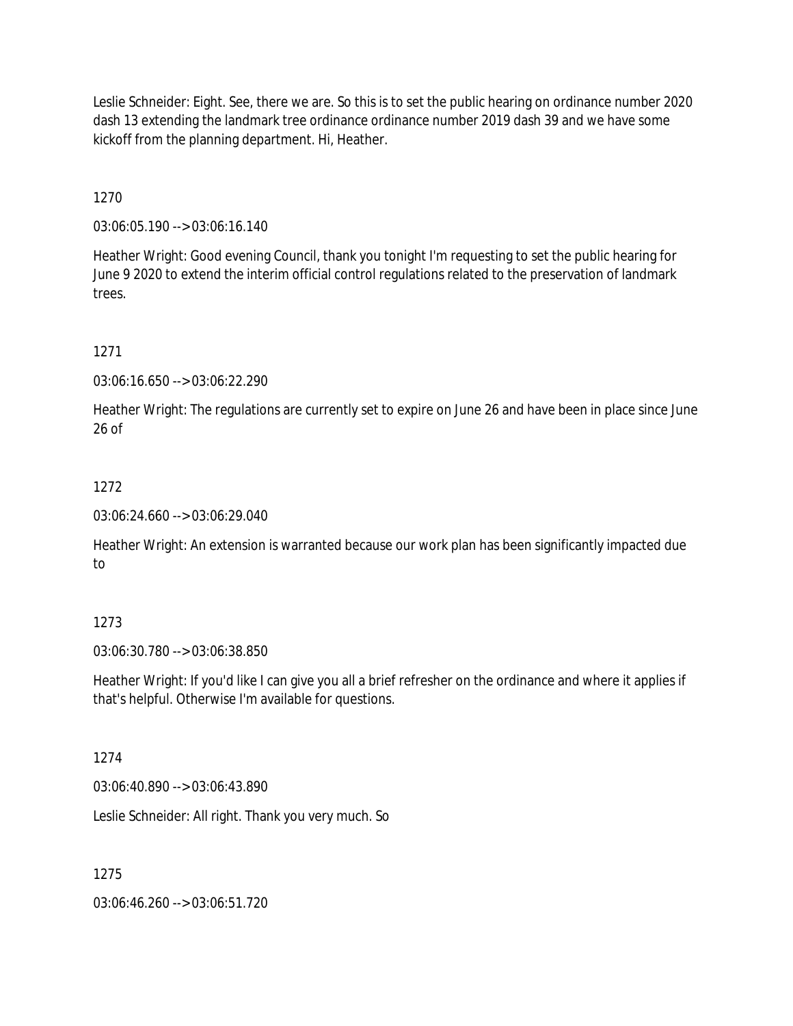Leslie Schneider: Eight. See, there we are. So this is to set the public hearing on ordinance number 2020 dash 13 extending the landmark tree ordinance ordinance number 2019 dash 39 and we have some kickoff from the planning department. Hi, Heather.

1270

03:06:05.190 --> 03:06:16.140

Heather Wright: Good evening Council, thank you tonight I'm requesting to set the public hearing for June 9 2020 to extend the interim official control regulations related to the preservation of landmark trees.

1271

03:06:16.650 --> 03:06:22.290

Heather Wright: The regulations are currently set to expire on June 26 and have been in place since June 26 of

## 1272

03:06:24.660 --> 03:06:29.040

Heather Wright: An extension is warranted because our work plan has been significantly impacted due to

# 1273

03:06:30.780 --> 03:06:38.850

Heather Wright: If you'd like I can give you all a brief refresher on the ordinance and where it applies if that's helpful. Otherwise I'm available for questions.

## 1274

03:06:40.890 --> 03:06:43.890

Leslie Schneider: All right. Thank you very much. So

### 1275

03:06:46.260 --> 03:06:51.720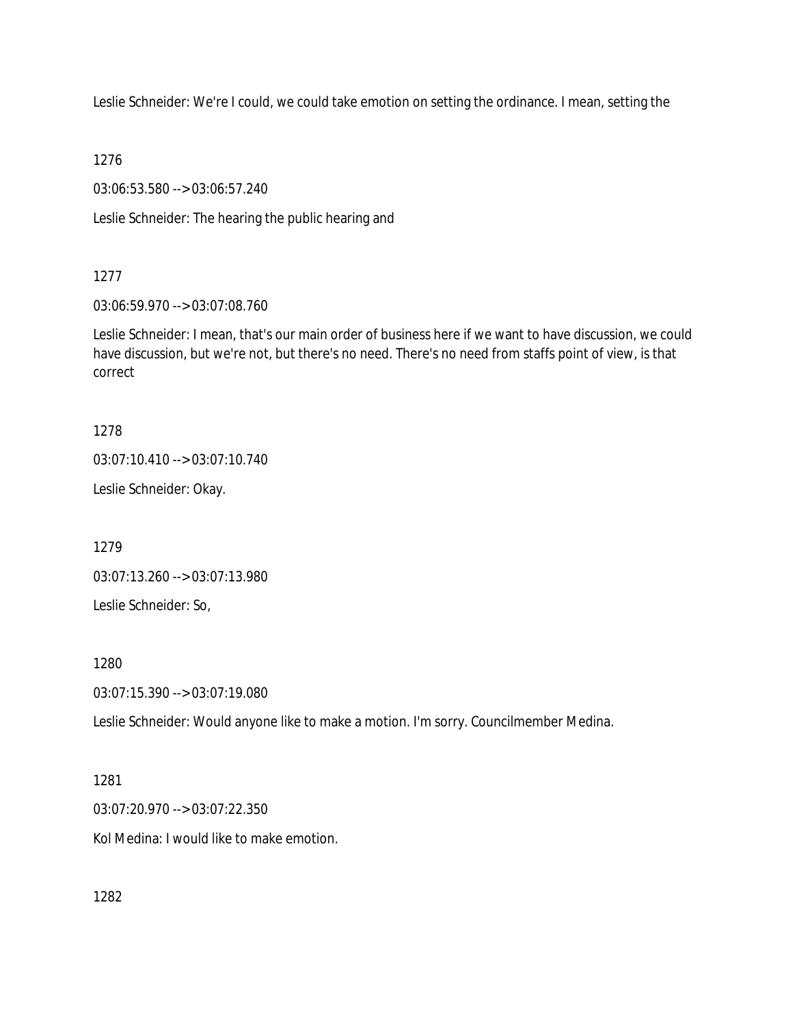Leslie Schneider: We're I could, we could take emotion on setting the ordinance. I mean, setting the

1276

03:06:53.580 --> 03:06:57.240

Leslie Schneider: The hearing the public hearing and

## 1277

03:06:59.970 --> 03:07:08.760

Leslie Schneider: I mean, that's our main order of business here if we want to have discussion, we could have discussion, but we're not, but there's no need. There's no need from staffs point of view, is that correct

# 1278

03:07:10.410 --> 03:07:10.740

Leslie Schneider: Okay.

1279

03:07:13.260 --> 03:07:13.980

Leslie Schneider: So,

1280

03:07:15.390 --> 03:07:19.080

Leslie Schneider: Would anyone like to make a motion. I'm sorry. Councilmember Medina.

### 1281

03:07:20.970 --> 03:07:22.350

Kol Medina: I would like to make emotion.

1282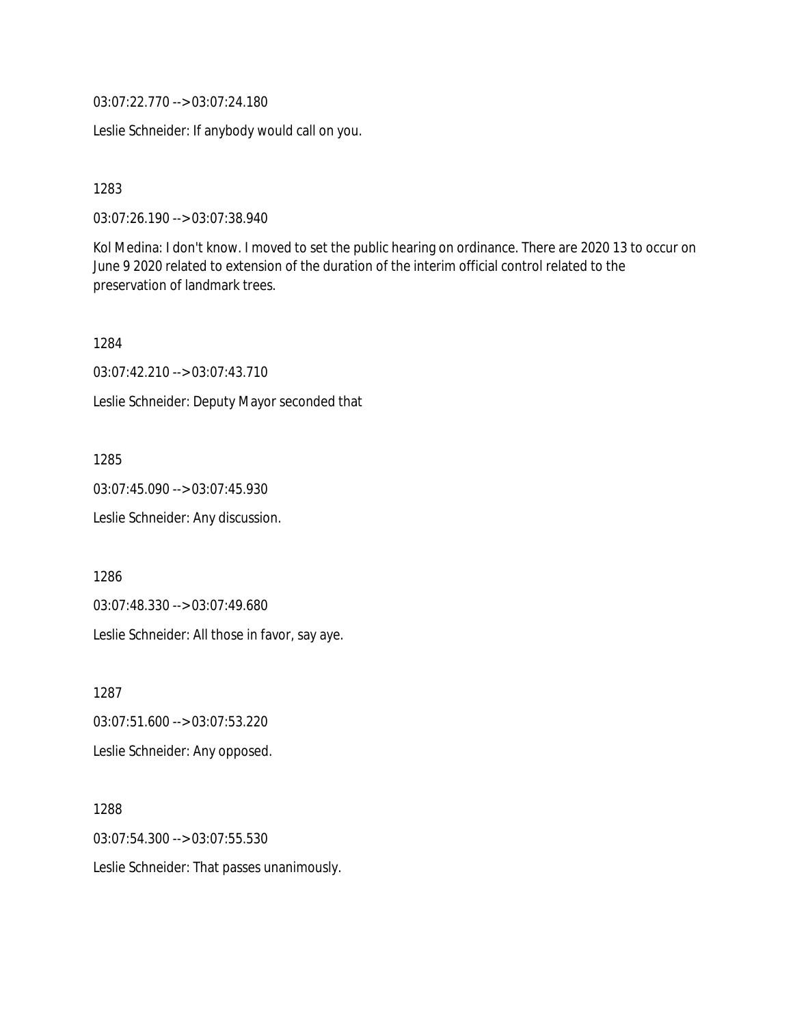03:07:22.770 --> 03:07:24.180

Leslie Schneider: If anybody would call on you.

1283

03:07:26.190 --> 03:07:38.940

Kol Medina: I don't know. I moved to set the public hearing on ordinance. There are 2020 13 to occur on June 9 2020 related to extension of the duration of the interim official control related to the preservation of landmark trees.

1284 03:07:42.210 --> 03:07:43.710 Leslie Schneider: Deputy Mayor seconded that

1285 03:07:45.090 --> 03:07:45.930

Leslie Schneider: Any discussion.

1286

03:07:48.330 --> 03:07:49.680

Leslie Schneider: All those in favor, say aye.

1287

03:07:51.600 --> 03:07:53.220

Leslie Schneider: Any opposed.

1288 03:07:54.300 --> 03:07:55.530 Leslie Schneider: That passes unanimously.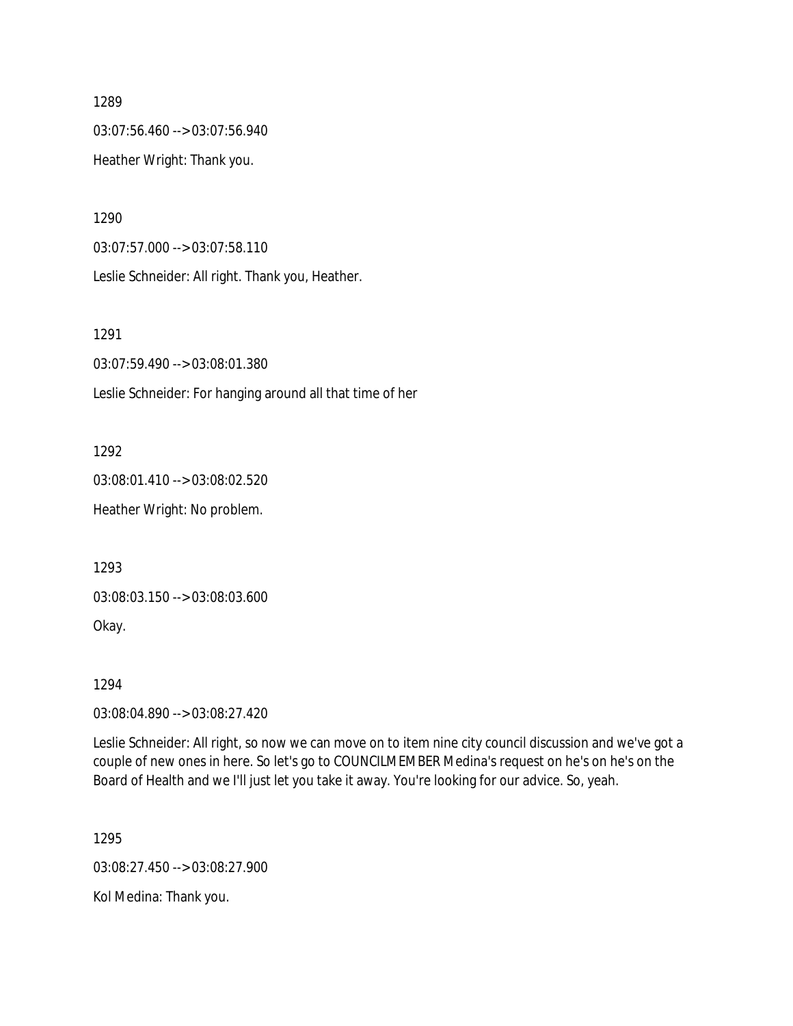03:07:56.460 --> 03:07:56.940

Heather Wright: Thank you.

1290

03:07:57.000 --> 03:07:58.110

Leslie Schneider: All right. Thank you, Heather.

1291

03:07:59.490 --> 03:08:01.380

Leslie Schneider: For hanging around all that time of her

1292

03:08:01.410 --> 03:08:02.520 Heather Wright: No problem.

1293

03:08:03.150 --> 03:08:03.600

Okay.

1294

03:08:04.890 --> 03:08:27.420

Leslie Schneider: All right, so now we can move on to item nine city council discussion and we've got a couple of new ones in here. So let's go to COUNCILMEMBER Medina's request on he's on he's on the Board of Health and we I'll just let you take it away. You're looking for our advice. So, yeah.

1295

03:08:27.450 --> 03:08:27.900

Kol Medina: Thank you.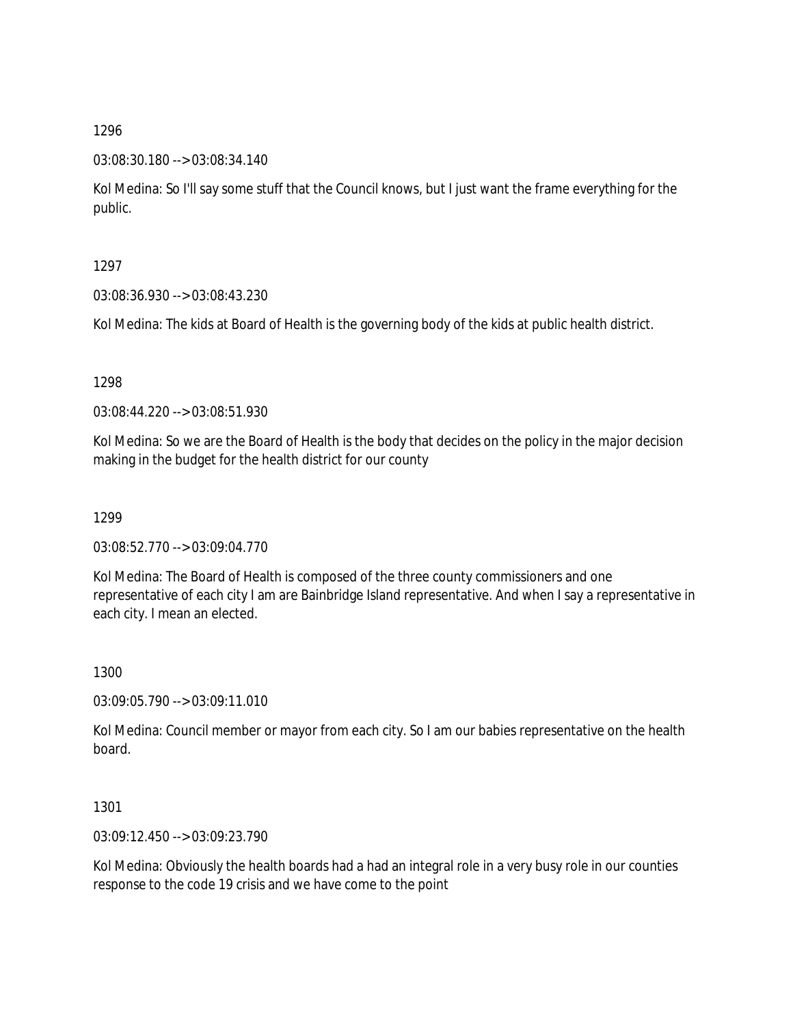### 03:08:30.180 --> 03:08:34.140

Kol Medina: So I'll say some stuff that the Council knows, but I just want the frame everything for the public.

1297

03:08:36.930 --> 03:08:43.230

Kol Medina: The kids at Board of Health is the governing body of the kids at public health district.

1298

03:08:44.220 --> 03:08:51.930

Kol Medina: So we are the Board of Health is the body that decides on the policy in the major decision making in the budget for the health district for our county

1299

03:08:52.770 --> 03:09:04.770

Kol Medina: The Board of Health is composed of the three county commissioners and one representative of each city I am are Bainbridge Island representative. And when I say a representative in each city. I mean an elected.

1300

03:09:05.790 --> 03:09:11.010

Kol Medina: Council member or mayor from each city. So I am our babies representative on the health board.

1301

03:09:12.450 --> 03:09:23.790

Kol Medina: Obviously the health boards had a had an integral role in a very busy role in our counties response to the code 19 crisis and we have come to the point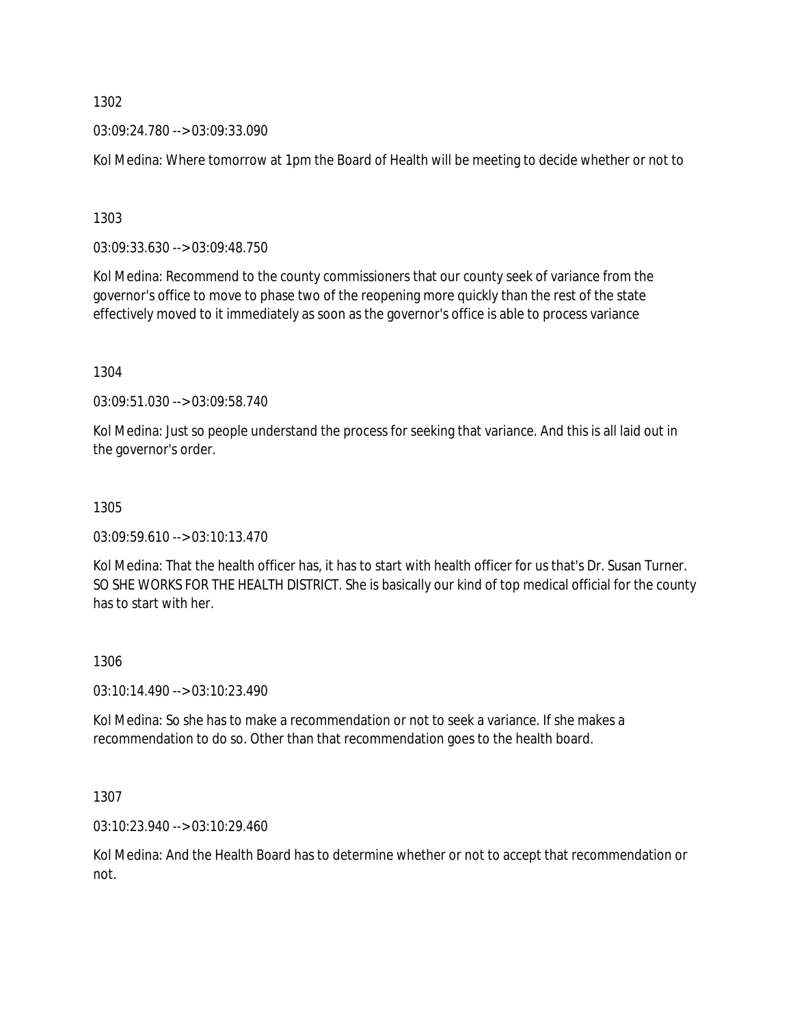03:09:24.780 --> 03:09:33.090

Kol Medina: Where tomorrow at 1pm the Board of Health will be meeting to decide whether or not to

1303

03:09:33.630 --> 03:09:48.750

Kol Medina: Recommend to the county commissioners that our county seek of variance from the governor's office to move to phase two of the reopening more quickly than the rest of the state effectively moved to it immediately as soon as the governor's office is able to process variance

1304

03:09:51.030 --> 03:09:58.740

Kol Medina: Just so people understand the process for seeking that variance. And this is all laid out in the governor's order.

1305

 $03:09:59.610 \rightarrow 03:10:13.470$ 

Kol Medina: That the health officer has, it has to start with health officer for us that's Dr. Susan Turner. SO SHE WORKS FOR THE HEALTH DISTRICT. She is basically our kind of top medical official for the county has to start with her.

1306

03:10:14.490 --> 03:10:23.490

Kol Medina: So she has to make a recommendation or not to seek a variance. If she makes a recommendation to do so. Other than that recommendation goes to the health board.

1307

03:10:23.940 --> 03:10:29.460

Kol Medina: And the Health Board has to determine whether or not to accept that recommendation or not.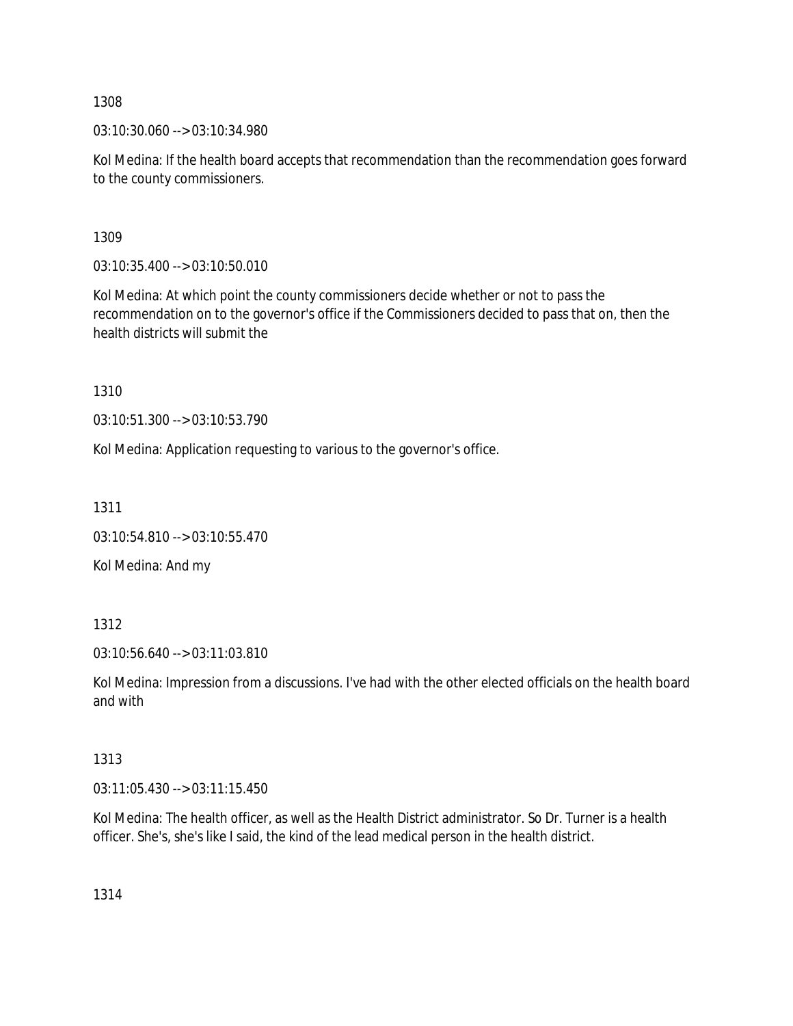03:10:30.060 --> 03:10:34.980

Kol Medina: If the health board accepts that recommendation than the recommendation goes forward to the county commissioners.

1309

03:10:35.400 --> 03:10:50.010

Kol Medina: At which point the county commissioners decide whether or not to pass the recommendation on to the governor's office if the Commissioners decided to pass that on, then the health districts will submit the

1310

03:10:51.300 --> 03:10:53.790

Kol Medina: Application requesting to various to the governor's office.

1311

```
03:10:54.810 --> 03:10:55.470
```
Kol Medina: And my

1312

03:10:56.640 --> 03:11:03.810

Kol Medina: Impression from a discussions. I've had with the other elected officials on the health board and with

1313

03:11:05.430 --> 03:11:15.450

Kol Medina: The health officer, as well as the Health District administrator. So Dr. Turner is a health officer. She's, she's like I said, the kind of the lead medical person in the health district.

1314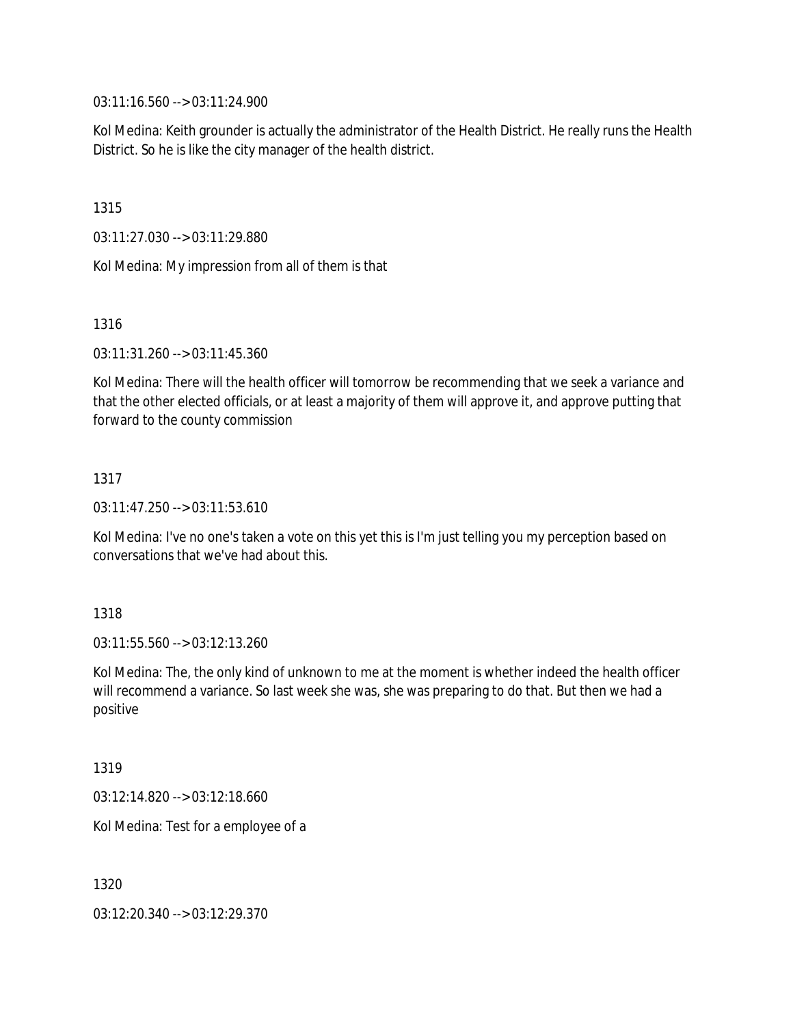03:11:16.560 --> 03:11:24.900

Kol Medina: Keith grounder is actually the administrator of the Health District. He really runs the Health District. So he is like the city manager of the health district.

1315

03:11:27.030 --> 03:11:29.880

Kol Medina: My impression from all of them is that

1316

03:11:31.260 --> 03:11:45.360

Kol Medina: There will the health officer will tomorrow be recommending that we seek a variance and that the other elected officials, or at least a majority of them will approve it, and approve putting that forward to the county commission

1317

03:11:47.250 --> 03:11:53.610

Kol Medina: I've no one's taken a vote on this yet this is I'm just telling you my perception based on conversations that we've had about this.

1318

03:11:55.560 --> 03:12:13.260

Kol Medina: The, the only kind of unknown to me at the moment is whether indeed the health officer will recommend a variance. So last week she was, she was preparing to do that. But then we had a positive

1319

03:12:14.820 --> 03:12:18.660

Kol Medina: Test for a employee of a

1320

03:12:20.340 --> 03:12:29.370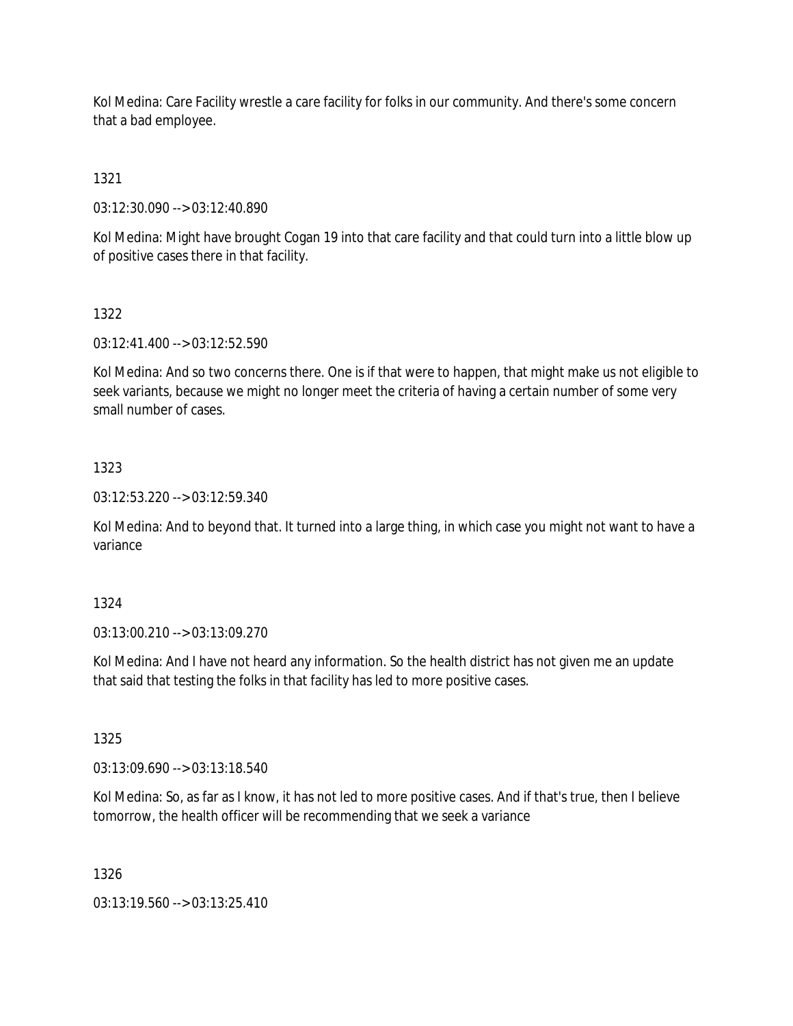Kol Medina: Care Facility wrestle a care facility for folks in our community. And there's some concern that a bad employee.

1321

03:12:30.090 --> 03:12:40.890

Kol Medina: Might have brought Cogan 19 into that care facility and that could turn into a little blow up of positive cases there in that facility.

## 1322

03:12:41.400 --> 03:12:52.590

Kol Medina: And so two concerns there. One is if that were to happen, that might make us not eligible to seek variants, because we might no longer meet the criteria of having a certain number of some very small number of cases.

## 1323

03:12:53.220 --> 03:12:59.340

Kol Medina: And to beyond that. It turned into a large thing, in which case you might not want to have a variance

### 1324

03:13:00.210 --> 03:13:09.270

Kol Medina: And I have not heard any information. So the health district has not given me an update that said that testing the folks in that facility has led to more positive cases.

# 1325

03:13:09.690 --> 03:13:18.540

Kol Medina: So, as far as I know, it has not led to more positive cases. And if that's true, then I believe tomorrow, the health officer will be recommending that we seek a variance

### 1326

03:13:19.560 --> 03:13:25.410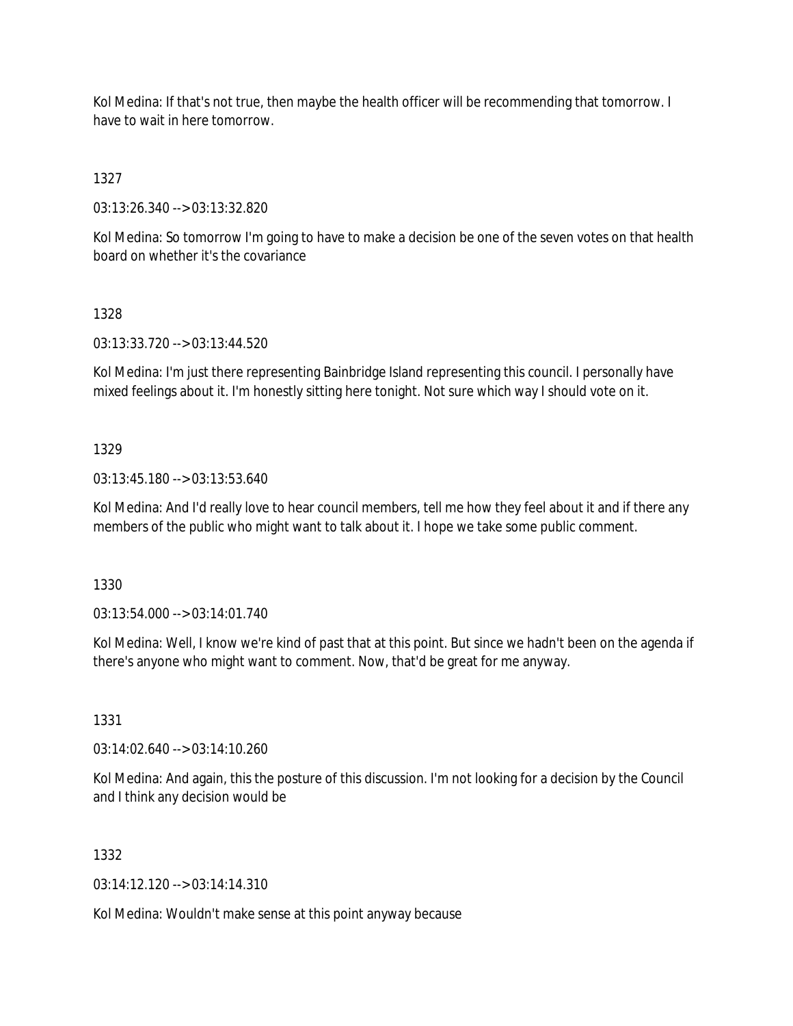Kol Medina: If that's not true, then maybe the health officer will be recommending that tomorrow. I have to wait in here tomorrow.

1327

03:13:26.340 --> 03:13:32.820

Kol Medina: So tomorrow I'm going to have to make a decision be one of the seven votes on that health board on whether it's the covariance

## 1328

03:13:33.720 --> 03:13:44.520

Kol Medina: I'm just there representing Bainbridge Island representing this council. I personally have mixed feelings about it. I'm honestly sitting here tonight. Not sure which way I should vote on it.

## 1329

03:13:45.180 --> 03:13:53.640

Kol Medina: And I'd really love to hear council members, tell me how they feel about it and if there any members of the public who might want to talk about it. I hope we take some public comment.

1330

03:13:54.000 --> 03:14:01.740

Kol Medina: Well, I know we're kind of past that at this point. But since we hadn't been on the agenda if there's anyone who might want to comment. Now, that'd be great for me anyway.

1331

03:14:02.640 --> 03:14:10.260

Kol Medina: And again, this the posture of this discussion. I'm not looking for a decision by the Council and I think any decision would be

1332

03:14:12.120 --> 03:14:14.310

Kol Medina: Wouldn't make sense at this point anyway because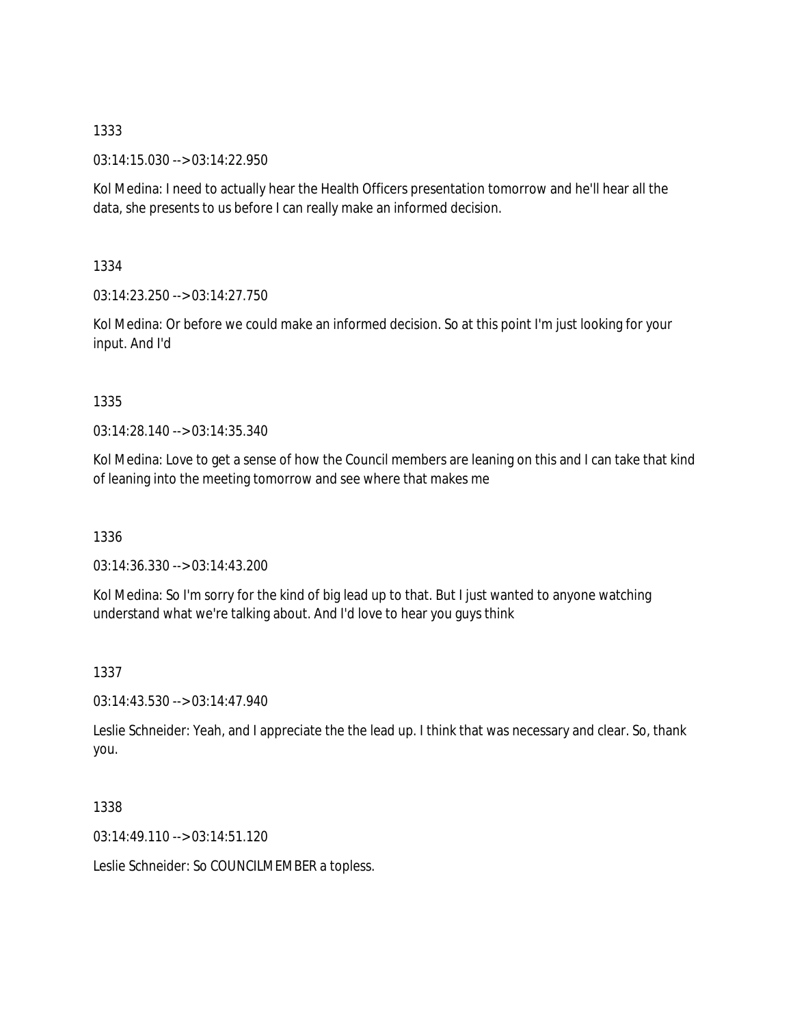03:14:15.030 --> 03:14:22.950

Kol Medina: I need to actually hear the Health Officers presentation tomorrow and he'll hear all the data, she presents to us before I can really make an informed decision.

1334

03:14:23.250 --> 03:14:27.750

Kol Medina: Or before we could make an informed decision. So at this point I'm just looking for your input. And I'd

## 1335

03:14:28.140 --> 03:14:35.340

Kol Medina: Love to get a sense of how the Council members are leaning on this and I can take that kind of leaning into the meeting tomorrow and see where that makes me

1336

03:14:36.330 --> 03:14:43.200

Kol Medina: So I'm sorry for the kind of big lead up to that. But I just wanted to anyone watching understand what we're talking about. And I'd love to hear you guys think

1337

03:14:43.530 --> 03:14:47.940

Leslie Schneider: Yeah, and I appreciate the the lead up. I think that was necessary and clear. So, thank you.

# 1338

03:14:49.110 --> 03:14:51.120

Leslie Schneider: So COUNCILMEMBER a topless.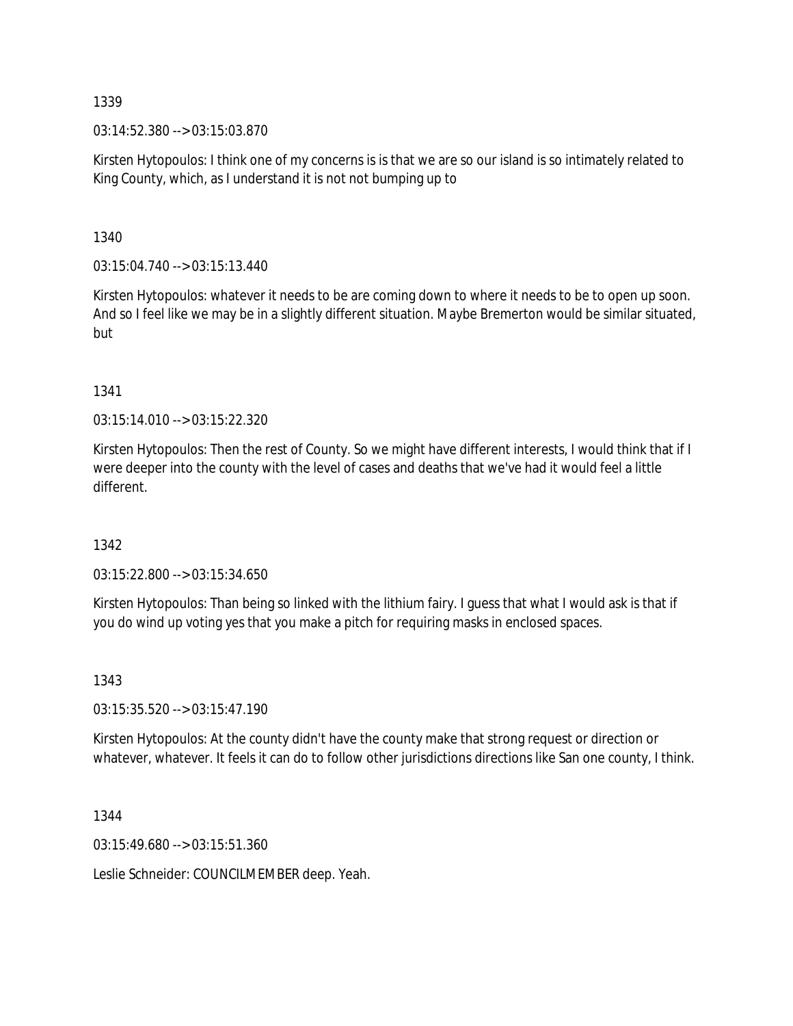03:14:52.380 --> 03:15:03.870

Kirsten Hytopoulos: I think one of my concerns is is that we are so our island is so intimately related to King County, which, as I understand it is not not bumping up to

1340

 $03:15:04.740 \rightarrow 03:15:13.440$ 

Kirsten Hytopoulos: whatever it needs to be are coming down to where it needs to be to open up soon. And so I feel like we may be in a slightly different situation. Maybe Bremerton would be similar situated, but

1341

03:15:14.010 --> 03:15:22.320

Kirsten Hytopoulos: Then the rest of County. So we might have different interests, I would think that if I were deeper into the county with the level of cases and deaths that we've had it would feel a little different.

1342

03:15:22.800 --> 03:15:34.650

Kirsten Hytopoulos: Than being so linked with the lithium fairy. I guess that what I would ask is that if you do wind up voting yes that you make a pitch for requiring masks in enclosed spaces.

1343

03:15:35.520 --> 03:15:47.190

Kirsten Hytopoulos: At the county didn't have the county make that strong request or direction or whatever, whatever. It feels it can do to follow other jurisdictions directions like San one county, I think.

1344

03:15:49.680 --> 03:15:51.360

Leslie Schneider: COUNCILMEMBER deep. Yeah.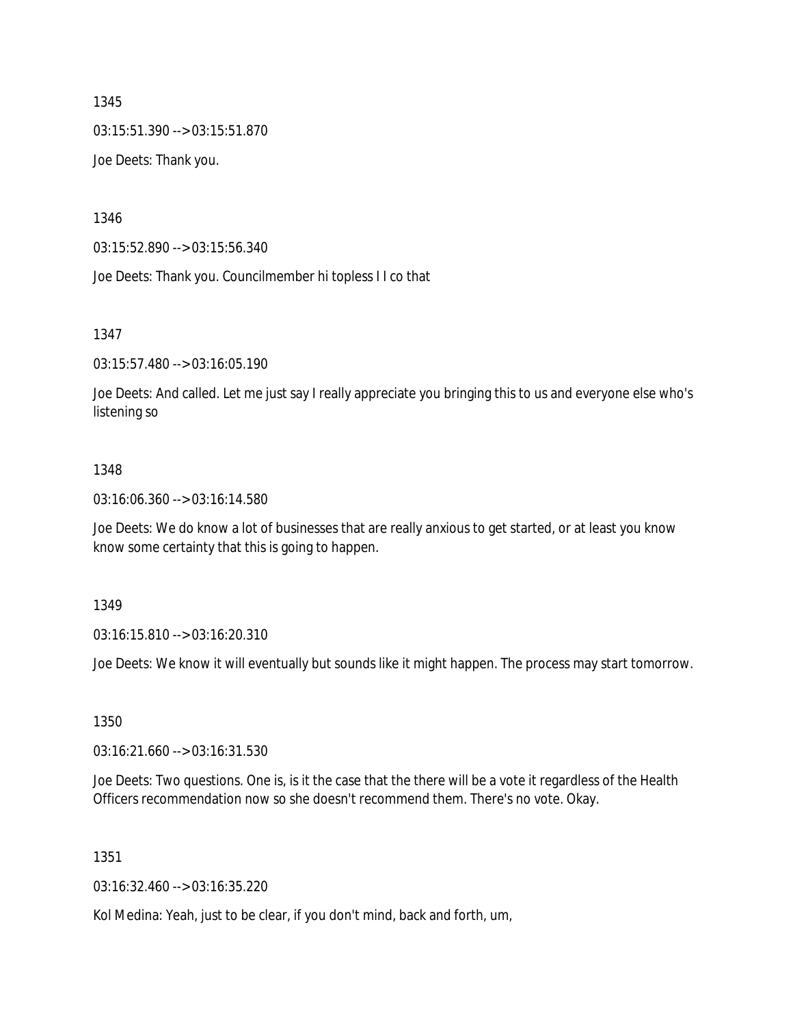03:15:51.390 --> 03:15:51.870

Joe Deets: Thank you.

1346

03:15:52.890 --> 03:15:56.340

Joe Deets: Thank you. Councilmember hi topless I I co that

1347

03:15:57.480 --> 03:16:05.190

Joe Deets: And called. Let me just say I really appreciate you bringing this to us and everyone else who's listening so

#### 1348

03:16:06.360 --> 03:16:14.580

Joe Deets: We do know a lot of businesses that are really anxious to get started, or at least you know know some certainty that this is going to happen.

1349

03:16:15.810 --> 03:16:20.310

Joe Deets: We know it will eventually but sounds like it might happen. The process may start tomorrow.

1350

03:16:21.660 --> 03:16:31.530

Joe Deets: Two questions. One is, is it the case that the there will be a vote it regardless of the Health Officers recommendation now so she doesn't recommend them. There's no vote. Okay.

1351

03:16:32.460 --> 03:16:35.220

Kol Medina: Yeah, just to be clear, if you don't mind, back and forth, um,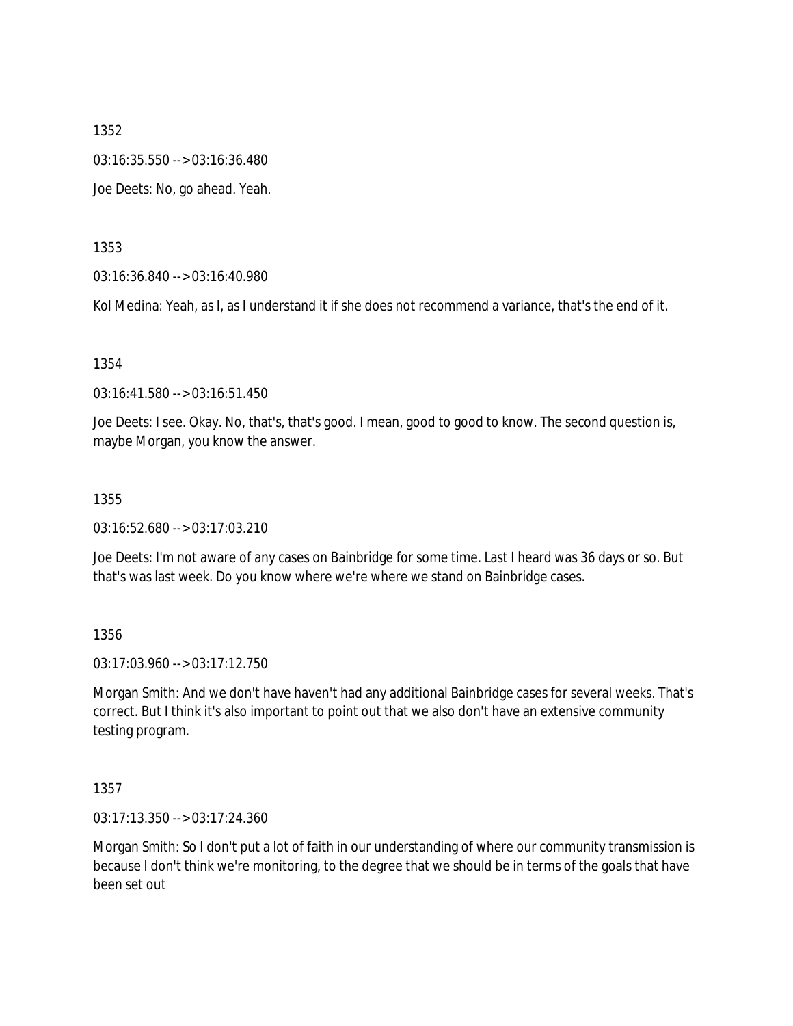03:16:35.550 --> 03:16:36.480

Joe Deets: No, go ahead. Yeah.

1353

03:16:36.840 --> 03:16:40.980

Kol Medina: Yeah, as I, as I understand it if she does not recommend a variance, that's the end of it.

1354

03:16:41.580 --> 03:16:51.450

Joe Deets: I see. Okay. No, that's, that's good. I mean, good to good to know. The second question is, maybe Morgan, you know the answer.

### 1355

03:16:52.680 --> 03:17:03.210

Joe Deets: I'm not aware of any cases on Bainbridge for some time. Last I heard was 36 days or so. But that's was last week. Do you know where we're where we stand on Bainbridge cases.

1356

03:17:03.960 --> 03:17:12.750

Morgan Smith: And we don't have haven't had any additional Bainbridge cases for several weeks. That's correct. But I think it's also important to point out that we also don't have an extensive community testing program.

1357

03:17:13.350 --> 03:17:24.360

Morgan Smith: So I don't put a lot of faith in our understanding of where our community transmission is because I don't think we're monitoring, to the degree that we should be in terms of the goals that have been set out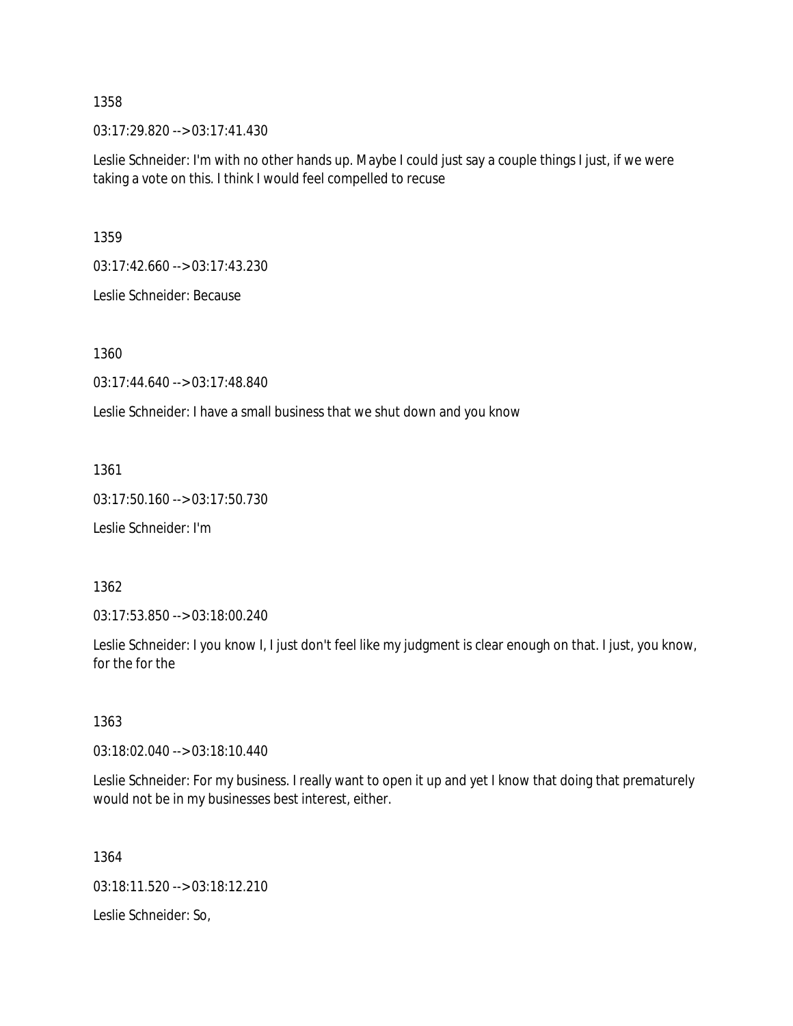03:17:29.820 --> 03:17:41.430

Leslie Schneider: I'm with no other hands up. Maybe I could just say a couple things I just, if we were taking a vote on this. I think I would feel compelled to recuse

1359

03:17:42.660 --> 03:17:43.230

Leslie Schneider: Because

1360

03:17:44.640 --> 03:17:48.840

Leslie Schneider: I have a small business that we shut down and you know

1361

03:17:50.160 --> 03:17:50.730

Leslie Schneider: I'm

1362

03:17:53.850 --> 03:18:00.240

Leslie Schneider: I you know I, I just don't feel like my judgment is clear enough on that. I just, you know, for the for the

1363

03:18:02.040 --> 03:18:10.440

Leslie Schneider: For my business. I really want to open it up and yet I know that doing that prematurely would not be in my businesses best interest, either.

1364 03:18:11.520 --> 03:18:12.210 Leslie Schneider: So,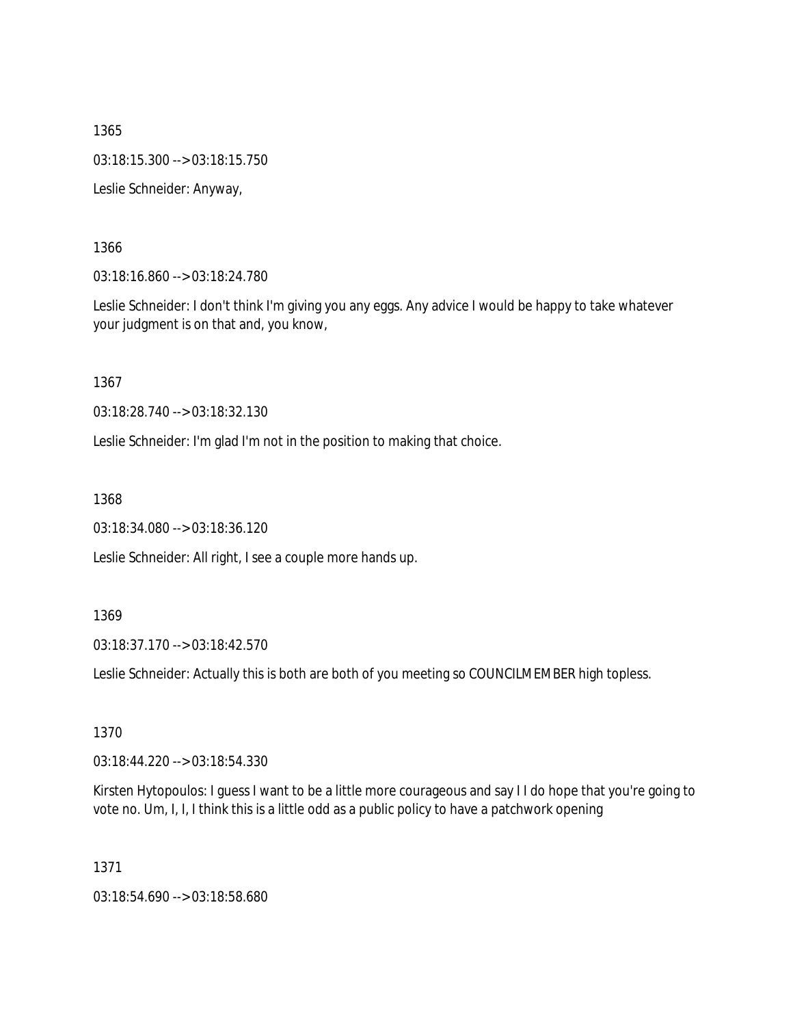1365 03:18:15.300 --> 03:18:15.750 Leslie Schneider: Anyway,

1366

03:18:16.860 --> 03:18:24.780

Leslie Schneider: I don't think I'm giving you any eggs. Any advice I would be happy to take whatever your judgment is on that and, you know,

1367

03:18:28.740 --> 03:18:32.130

Leslie Schneider: I'm glad I'm not in the position to making that choice.

1368

03:18:34.080 --> 03:18:36.120

Leslie Schneider: All right, I see a couple more hands up.

1369

03:18:37.170 --> 03:18:42.570

Leslie Schneider: Actually this is both are both of you meeting so COUNCILMEMBER high topless.

1370

03:18:44.220 --> 03:18:54.330

Kirsten Hytopoulos: I guess I want to be a little more courageous and say I I do hope that you're going to vote no. Um, I, I, I think this is a little odd as a public policy to have a patchwork opening

1371

03:18:54.690 --> 03:18:58.680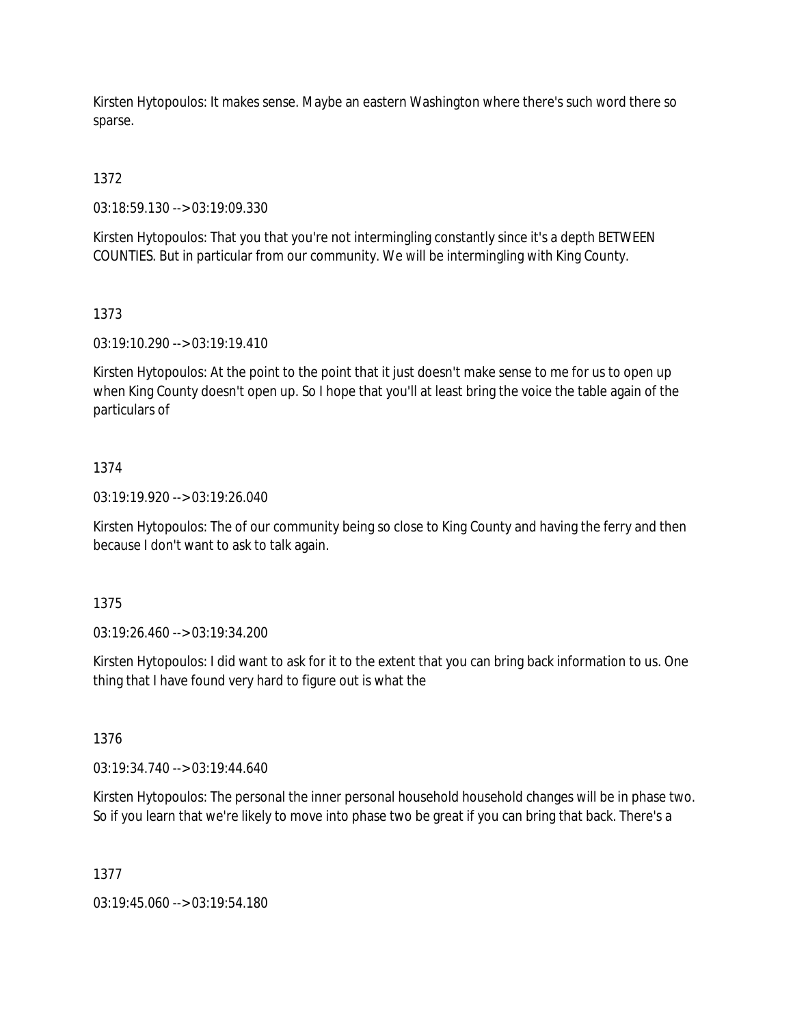Kirsten Hytopoulos: It makes sense. Maybe an eastern Washington where there's such word there so sparse.

1372

03:18:59.130 --> 03:19:09.330

Kirsten Hytopoulos: That you that you're not intermingling constantly since it's a depth BETWEEN COUNTIES. But in particular from our community. We will be intermingling with King County.

# 1373

03:19:10.290 --> 03:19:19.410

Kirsten Hytopoulos: At the point to the point that it just doesn't make sense to me for us to open up when King County doesn't open up. So I hope that you'll at least bring the voice the table again of the particulars of

## 1374

03:19:19.920 --> 03:19:26.040

Kirsten Hytopoulos: The of our community being so close to King County and having the ferry and then because I don't want to ask to talk again.

### 1375

03:19:26.460 --> 03:19:34.200

Kirsten Hytopoulos: I did want to ask for it to the extent that you can bring back information to us. One thing that I have found very hard to figure out is what the

### 1376

03:19:34.740 --> 03:19:44.640

Kirsten Hytopoulos: The personal the inner personal household household changes will be in phase two. So if you learn that we're likely to move into phase two be great if you can bring that back. There's a

### 1377

03:19:45.060 --> 03:19:54.180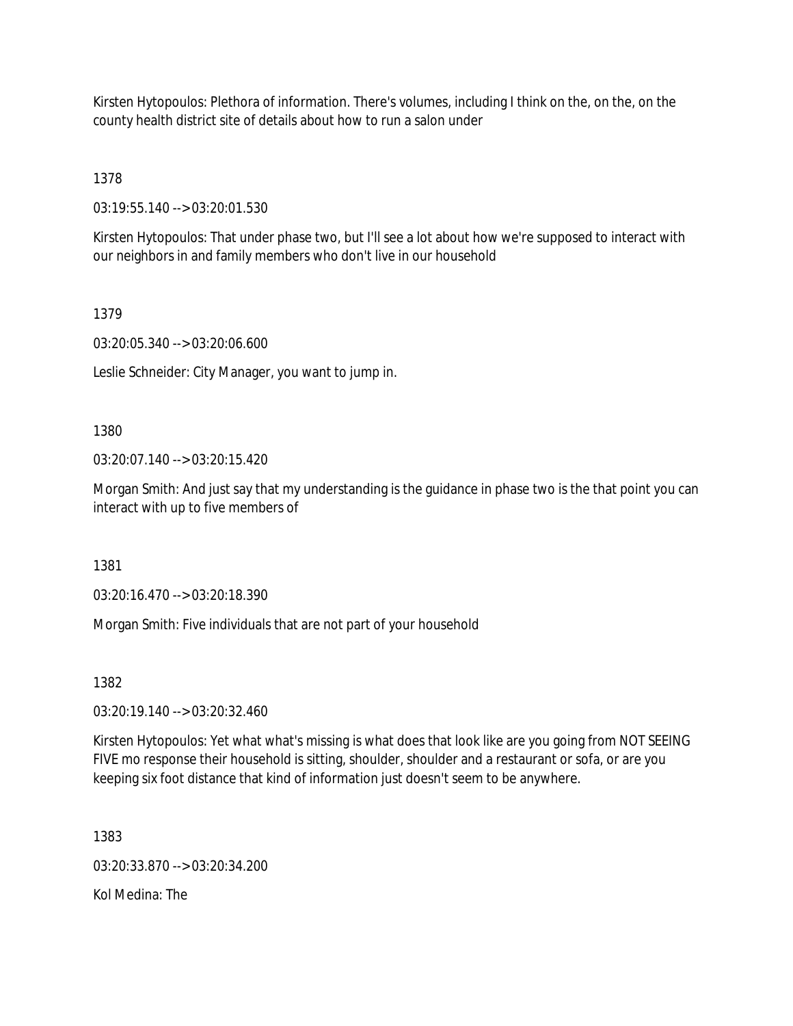Kirsten Hytopoulos: Plethora of information. There's volumes, including I think on the, on the, on the county health district site of details about how to run a salon under

1378

03:19:55.140 --> 03:20:01.530

Kirsten Hytopoulos: That under phase two, but I'll see a lot about how we're supposed to interact with our neighbors in and family members who don't live in our household

## 1379

03:20:05.340 --> 03:20:06.600

Leslie Schneider: City Manager, you want to jump in.

1380

03:20:07.140 --> 03:20:15.420

Morgan Smith: And just say that my understanding is the guidance in phase two is the that point you can interact with up to five members of

1381

03:20:16.470 --> 03:20:18.390

Morgan Smith: Five individuals that are not part of your household

1382

03:20:19.140 --> 03:20:32.460

Kirsten Hytopoulos: Yet what what's missing is what does that look like are you going from NOT SEEING FIVE mo response their household is sitting, shoulder, shoulder and a restaurant or sofa, or are you keeping six foot distance that kind of information just doesn't seem to be anywhere.

1383

03:20:33.870 --> 03:20:34.200

Kol Medina: The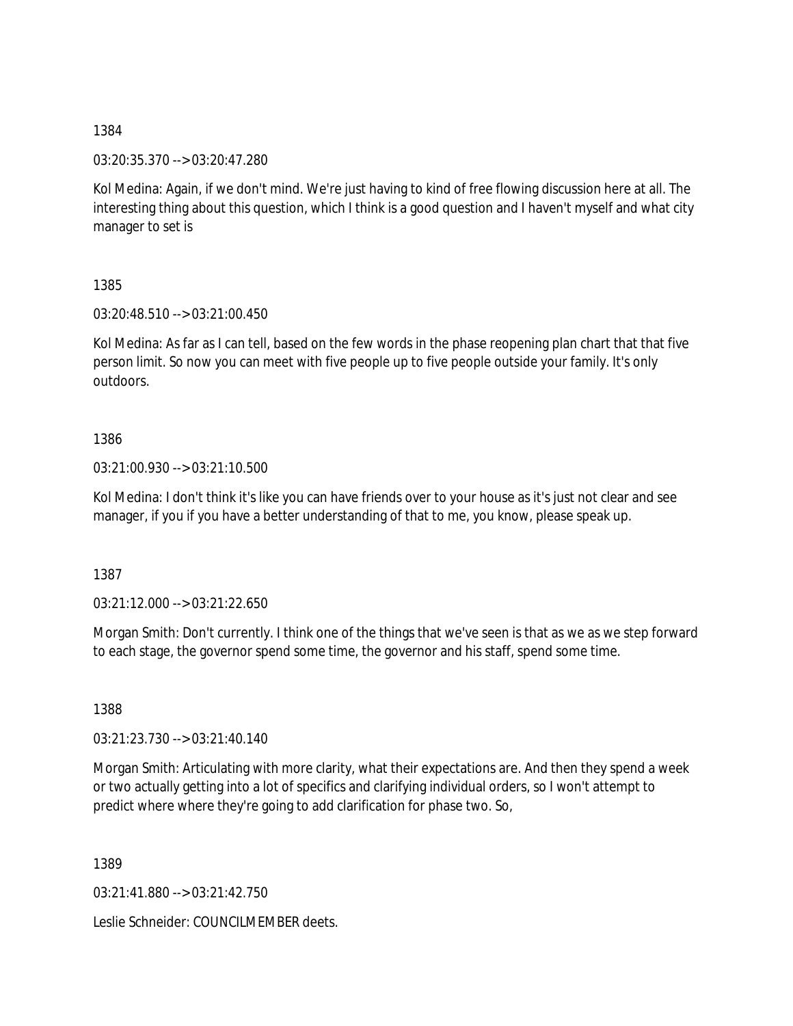03:20:35.370 --> 03:20:47.280

Kol Medina: Again, if we don't mind. We're just having to kind of free flowing discussion here at all. The interesting thing about this question, which I think is a good question and I haven't myself and what city manager to set is

1385

03:20:48.510 --> 03:21:00.450

Kol Medina: As far as I can tell, based on the few words in the phase reopening plan chart that that five person limit. So now you can meet with five people up to five people outside your family. It's only outdoors.

1386

03:21:00.930 --> 03:21:10.500

Kol Medina: I don't think it's like you can have friends over to your house as it's just not clear and see manager, if you if you have a better understanding of that to me, you know, please speak up.

1387

03:21:12.000 --> 03:21:22.650

Morgan Smith: Don't currently. I think one of the things that we've seen is that as we as we step forward to each stage, the governor spend some time, the governor and his staff, spend some time.

1388

03:21:23.730 --> 03:21:40.140

Morgan Smith: Articulating with more clarity, what their expectations are. And then they spend a week or two actually getting into a lot of specifics and clarifying individual orders, so I won't attempt to predict where where they're going to add clarification for phase two. So,

1389

03:21:41.880 --> 03:21:42.750

Leslie Schneider: COUNCILMEMBER deets.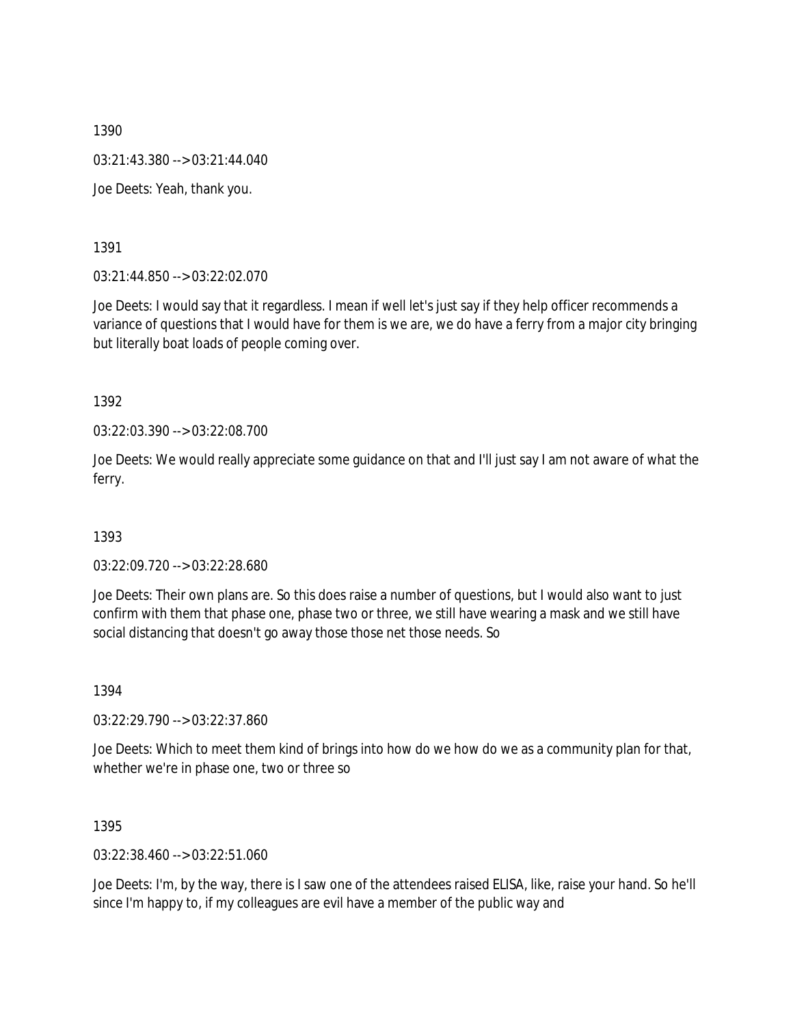03:21:43.380 --> 03:21:44.040

Joe Deets: Yeah, thank you.

1391

03:21:44.850 --> 03:22:02.070

Joe Deets: I would say that it regardless. I mean if well let's just say if they help officer recommends a variance of questions that I would have for them is we are, we do have a ferry from a major city bringing but literally boat loads of people coming over.

1392

03:22:03.390 --> 03:22:08.700

Joe Deets: We would really appreciate some guidance on that and I'll just say I am not aware of what the ferry.

1393

03:22:09.720 --> 03:22:28.680

Joe Deets: Their own plans are. So this does raise a number of questions, but I would also want to just confirm with them that phase one, phase two or three, we still have wearing a mask and we still have social distancing that doesn't go away those those net those needs. So

1394

03:22:29.790 --> 03:22:37.860

Joe Deets: Which to meet them kind of brings into how do we how do we as a community plan for that, whether we're in phase one, two or three so

1395

03:22:38.460 --> 03:22:51.060

Joe Deets: I'm, by the way, there is I saw one of the attendees raised ELISA, like, raise your hand. So he'll since I'm happy to, if my colleagues are evil have a member of the public way and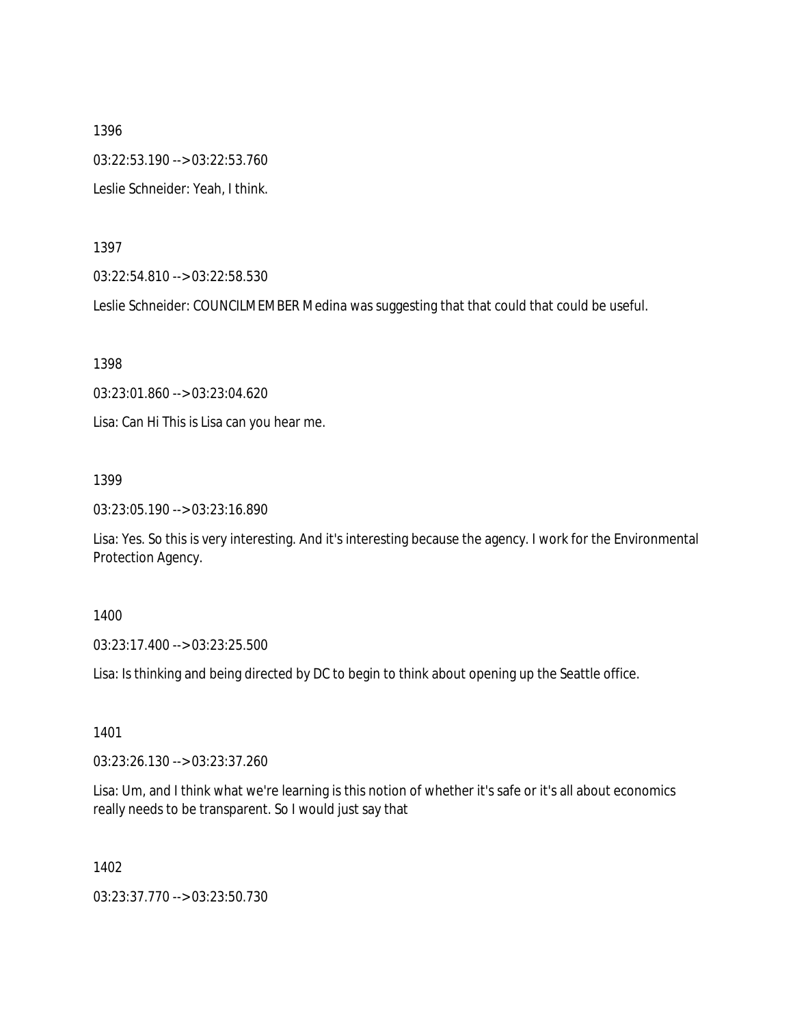1396 03:22:53.190 --> 03:22:53.760 Leslie Schneider: Yeah, I think.

1397

03:22:54.810 --> 03:22:58.530

Leslie Schneider: COUNCILMEMBER Medina was suggesting that that could that could be useful.

1398

03:23:01.860 --> 03:23:04.620

Lisa: Can Hi This is Lisa can you hear me.

1399

03:23:05.190 --> 03:23:16.890

Lisa: Yes. So this is very interesting. And it's interesting because the agency. I work for the Environmental Protection Agency.

### 1400

03:23:17.400 --> 03:23:25.500

Lisa: Is thinking and being directed by DC to begin to think about opening up the Seattle office.

1401

03:23:26.130 --> 03:23:37.260

Lisa: Um, and I think what we're learning is this notion of whether it's safe or it's all about economics really needs to be transparent. So I would just say that

1402

03:23:37.770 --> 03:23:50.730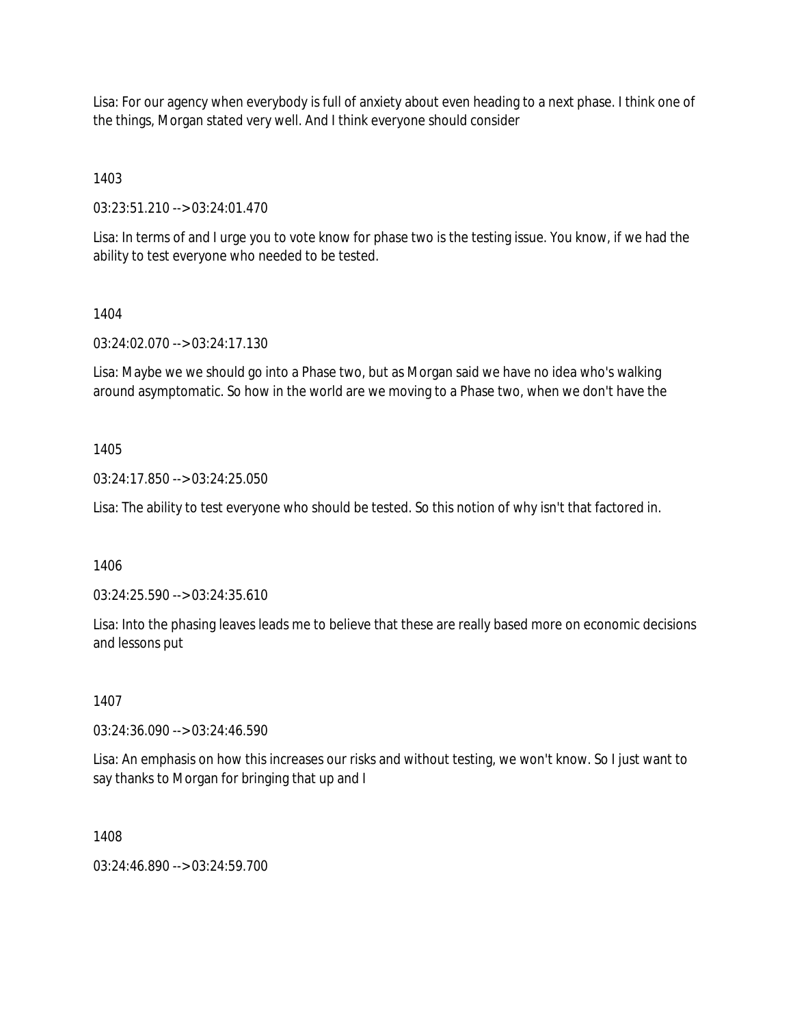Lisa: For our agency when everybody is full of anxiety about even heading to a next phase. I think one of the things, Morgan stated very well. And I think everyone should consider

1403

03:23:51.210 --> 03:24:01.470

Lisa: In terms of and I urge you to vote know for phase two is the testing issue. You know, if we had the ability to test everyone who needed to be tested.

## 1404

03:24:02.070 --> 03:24:17.130

Lisa: Maybe we we should go into a Phase two, but as Morgan said we have no idea who's walking around asymptomatic. So how in the world are we moving to a Phase two, when we don't have the

## 1405

03:24:17.850 --> 03:24:25.050

Lisa: The ability to test everyone who should be tested. So this notion of why isn't that factored in.

1406

03:24:25.590 --> 03:24:35.610

Lisa: Into the phasing leaves leads me to believe that these are really based more on economic decisions and lessons put

1407

03:24:36.090 --> 03:24:46.590

Lisa: An emphasis on how this increases our risks and without testing, we won't know. So I just want to say thanks to Morgan for bringing that up and I

1408

 $03:24:46.890 \rightarrow 03:24:59.700$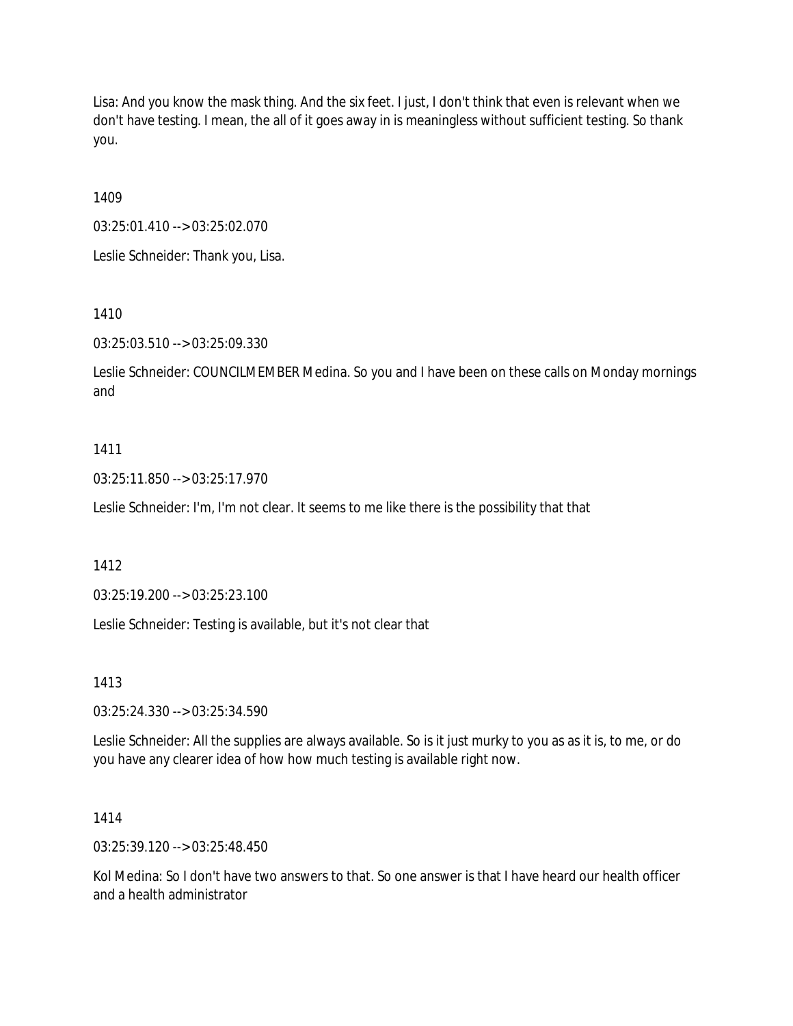Lisa: And you know the mask thing. And the six feet. I just, I don't think that even is relevant when we don't have testing. I mean, the all of it goes away in is meaningless without sufficient testing. So thank you.

1409

03:25:01.410 --> 03:25:02.070

Leslie Schneider: Thank you, Lisa.

1410

03:25:03.510 --> 03:25:09.330

Leslie Schneider: COUNCILMEMBER Medina. So you and I have been on these calls on Monday mornings and

#### 1411

03:25:11.850 --> 03:25:17.970

Leslie Schneider: I'm, I'm not clear. It seems to me like there is the possibility that that

1412

03:25:19.200 --> 03:25:23.100

Leslie Schneider: Testing is available, but it's not clear that

1413

03:25:24.330 --> 03:25:34.590

Leslie Schneider: All the supplies are always available. So is it just murky to you as as it is, to me, or do you have any clearer idea of how how much testing is available right now.

1414

03:25:39.120 --> 03:25:48.450

Kol Medina: So I don't have two answers to that. So one answer is that I have heard our health officer and a health administrator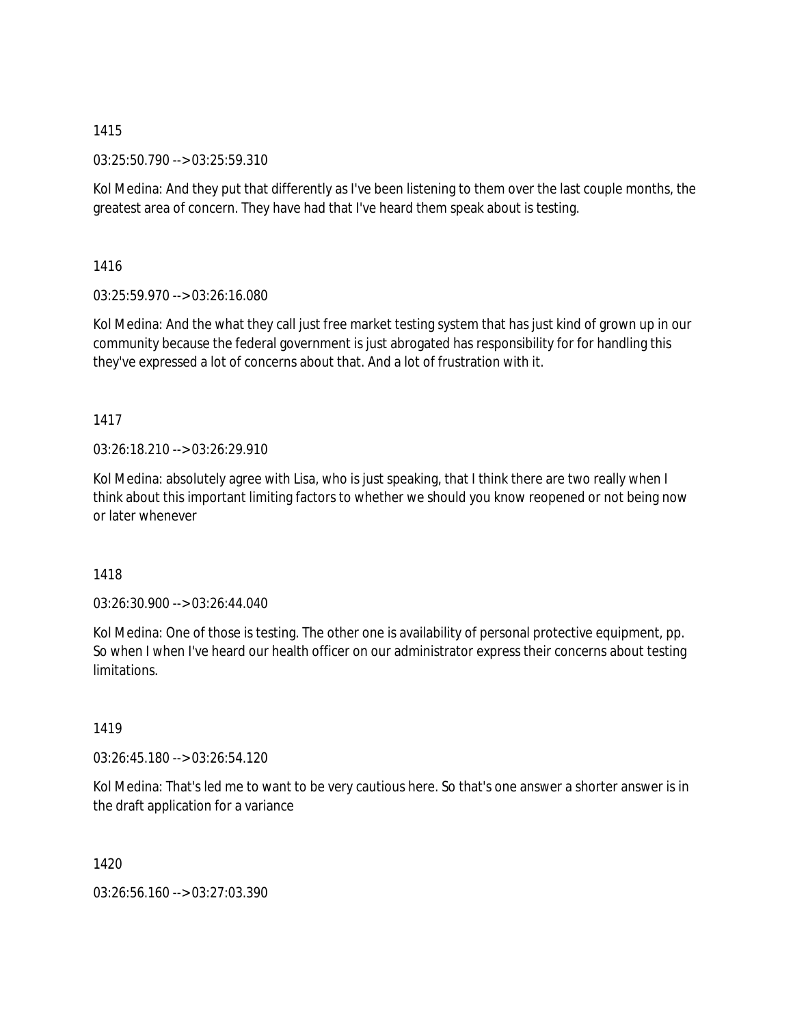03:25:50.790 --> 03:25:59.310

Kol Medina: And they put that differently as I've been listening to them over the last couple months, the greatest area of concern. They have had that I've heard them speak about is testing.

1416

03:25:59.970 --> 03:26:16.080

Kol Medina: And the what they call just free market testing system that has just kind of grown up in our community because the federal government is just abrogated has responsibility for for handling this they've expressed a lot of concerns about that. And a lot of frustration with it.

# 1417

03:26:18.210 --> 03:26:29.910

Kol Medina: absolutely agree with Lisa, who is just speaking, that I think there are two really when I think about this important limiting factors to whether we should you know reopened or not being now or later whenever

# 1418

03:26:30.900 --> 03:26:44.040

Kol Medina: One of those is testing. The other one is availability of personal protective equipment, pp. So when I when I've heard our health officer on our administrator express their concerns about testing limitations.

# 1419

03:26:45.180 --> 03:26:54.120

Kol Medina: That's led me to want to be very cautious here. So that's one answer a shorter answer is in the draft application for a variance

1420

03:26:56.160 --> 03:27:03.390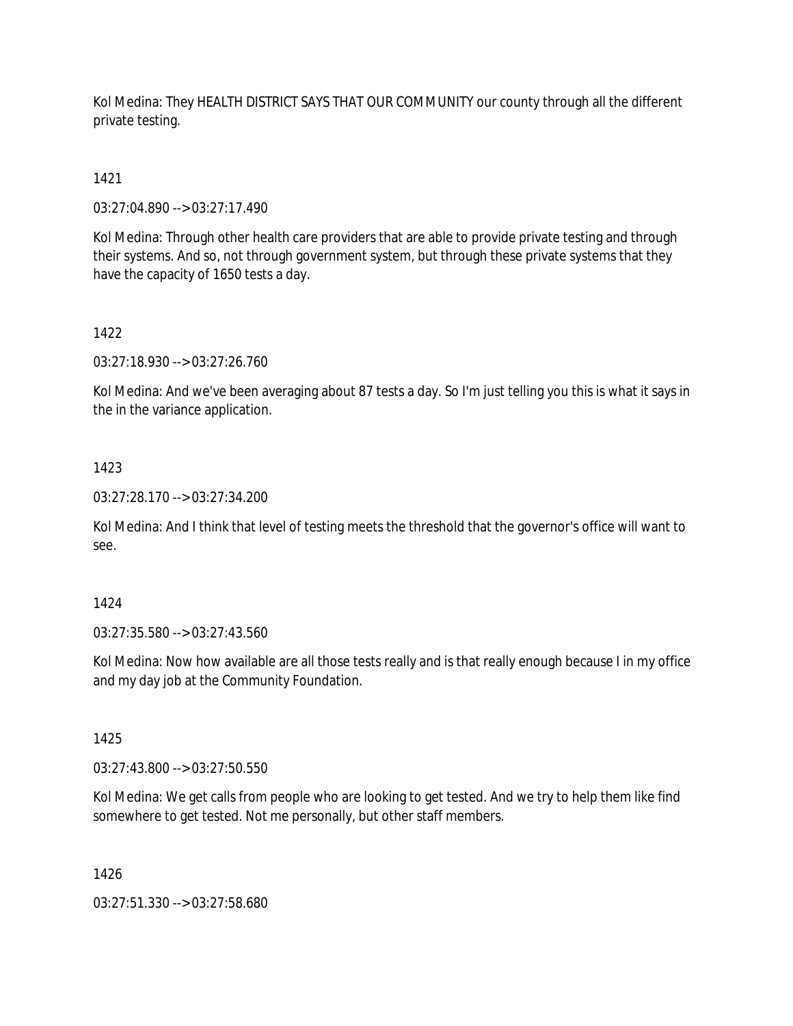Kol Medina: They HEALTH DISTRICT SAYS THAT OUR COMMUNITY our county through all the different private testing.

# 1421

03:27:04.890 --> 03:27:17.490

Kol Medina: Through other health care providers that are able to provide private testing and through their systems. And so, not through government system, but through these private systems that they have the capacity of 1650 tests a day.

# 1422

03:27:18.930 --> 03:27:26.760

Kol Medina: And we've been averaging about 87 tests a day. So I'm just telling you this is what it says in the in the variance application.

## 1423

03:27:28.170 --> 03:27:34.200

Kol Medina: And I think that level of testing meets the threshold that the governor's office will want to see.

### 1424

03:27:35.580 --> 03:27:43.560

Kol Medina: Now how available are all those tests really and is that really enough because I in my office and my day job at the Community Foundation.

### 1425

03:27:43.800 --> 03:27:50.550

Kol Medina: We get calls from people who are looking to get tested. And we try to help them like find somewhere to get tested. Not me personally, but other staff members.

### 1426

03:27:51.330 --> 03:27:58.680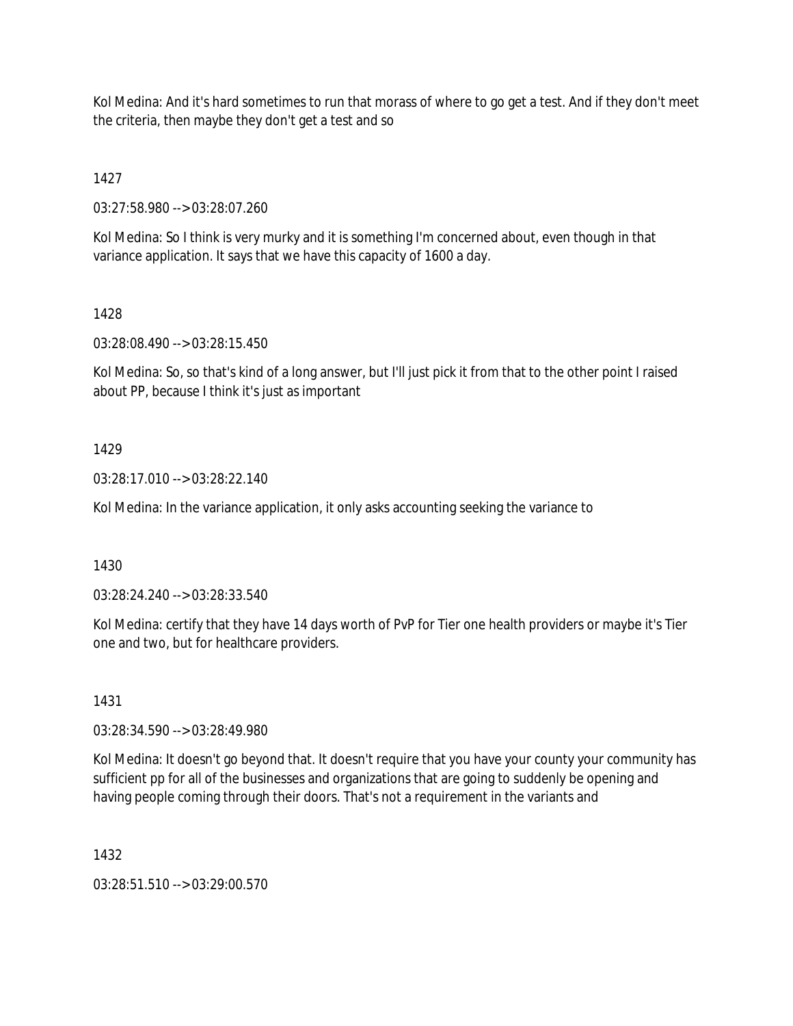Kol Medina: And it's hard sometimes to run that morass of where to go get a test. And if they don't meet the criteria, then maybe they don't get a test and so

1427

03:27:58.980 --> 03:28:07.260

Kol Medina: So I think is very murky and it is something I'm concerned about, even though in that variance application. It says that we have this capacity of 1600 a day.

## 1428

03:28:08.490 --> 03:28:15.450

Kol Medina: So, so that's kind of a long answer, but I'll just pick it from that to the other point I raised about PP, because I think it's just as important

## 1429

03:28:17.010 --> 03:28:22.140

Kol Medina: In the variance application, it only asks accounting seeking the variance to

1430

03:28:24.240 --> 03:28:33.540

Kol Medina: certify that they have 14 days worth of PvP for Tier one health providers or maybe it's Tier one and two, but for healthcare providers.

# 1431

03:28:34.590 --> 03:28:49.980

Kol Medina: It doesn't go beyond that. It doesn't require that you have your county your community has sufficient pp for all of the businesses and organizations that are going to suddenly be opening and having people coming through their doors. That's not a requirement in the variants and

1432

03:28:51.510 --> 03:29:00.570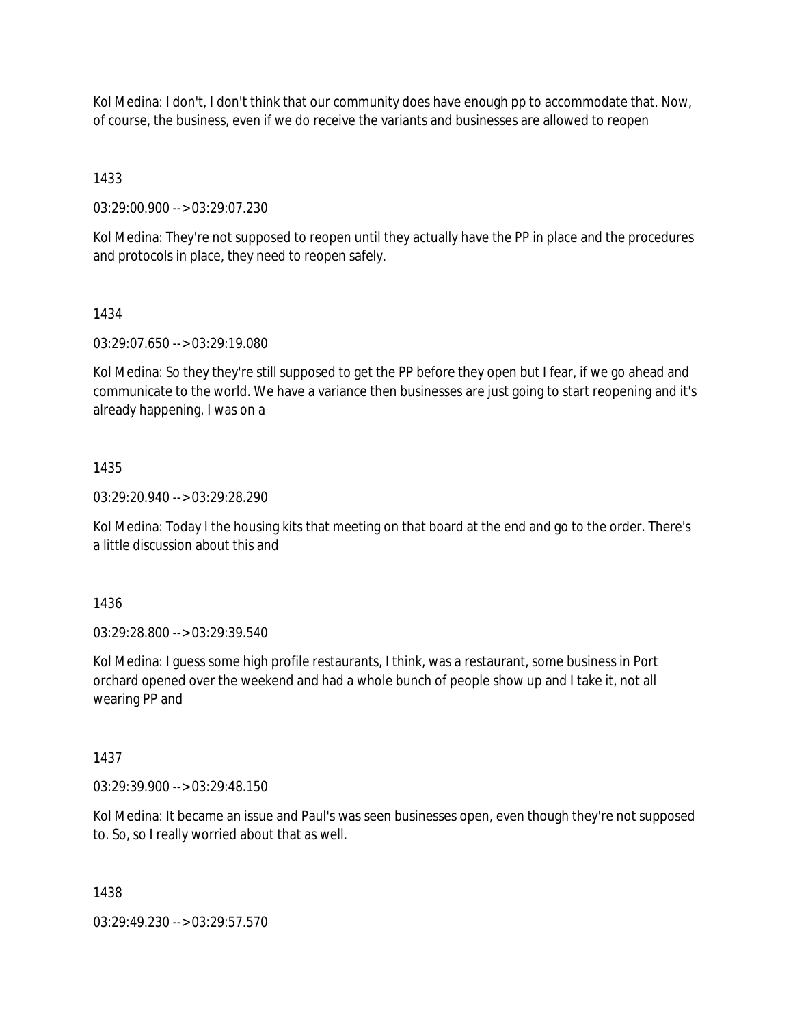Kol Medina: I don't, I don't think that our community does have enough pp to accommodate that. Now, of course, the business, even if we do receive the variants and businesses are allowed to reopen

1433

03:29:00.900 --> 03:29:07.230

Kol Medina: They're not supposed to reopen until they actually have the PP in place and the procedures and protocols in place, they need to reopen safely.

## 1434

03:29:07.650 --> 03:29:19.080

Kol Medina: So they they're still supposed to get the PP before they open but I fear, if we go ahead and communicate to the world. We have a variance then businesses are just going to start reopening and it's already happening. I was on a

## 1435

03:29:20.940 --> 03:29:28.290

Kol Medina: Today I the housing kits that meeting on that board at the end and go to the order. There's a little discussion about this and

1436

03:29:28.800 --> 03:29:39.540

Kol Medina: I guess some high profile restaurants, I think, was a restaurant, some business in Port orchard opened over the weekend and had a whole bunch of people show up and I take it, not all wearing PP and

### 1437

03:29:39.900 --> 03:29:48.150

Kol Medina: It became an issue and Paul's was seen businesses open, even though they're not supposed to. So, so I really worried about that as well.

### 1438

03:29:49.230 --> 03:29:57.570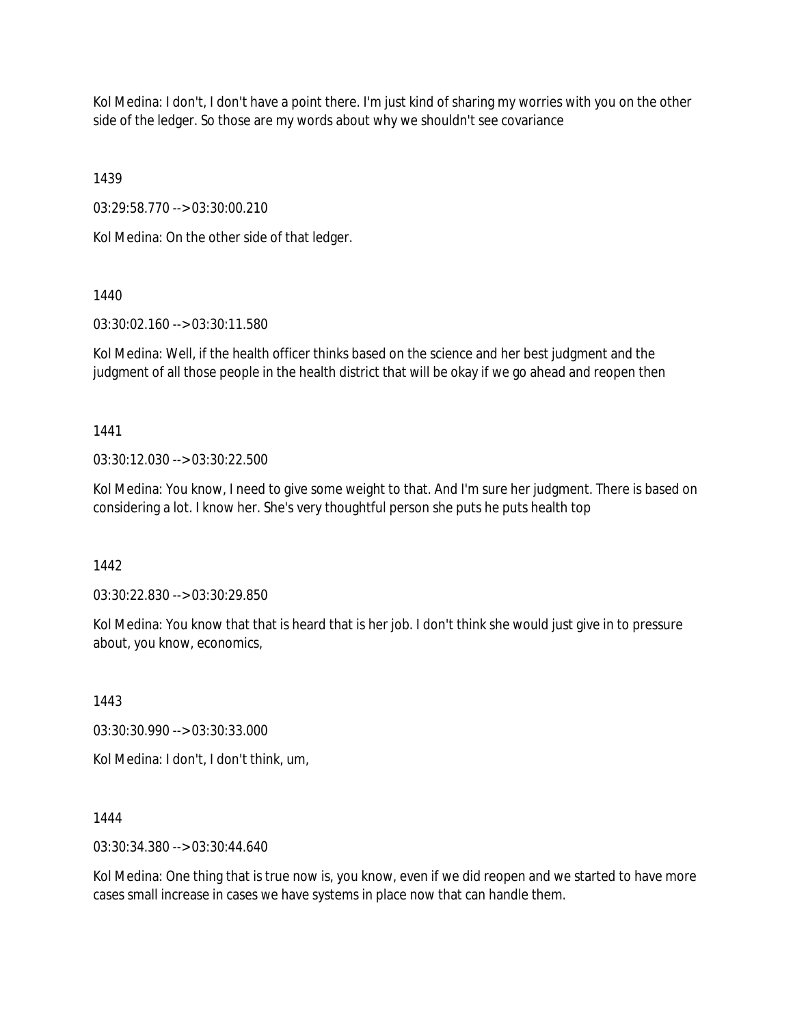Kol Medina: I don't, I don't have a point there. I'm just kind of sharing my worries with you on the other side of the ledger. So those are my words about why we shouldn't see covariance

1439

03:29:58.770 --> 03:30:00.210

Kol Medina: On the other side of that ledger.

1440

03:30:02.160 --> 03:30:11.580

Kol Medina: Well, if the health officer thinks based on the science and her best judgment and the judgment of all those people in the health district that will be okay if we go ahead and reopen then

1441

03:30:12.030 --> 03:30:22.500

Kol Medina: You know, I need to give some weight to that. And I'm sure her judgment. There is based on considering a lot. I know her. She's very thoughtful person she puts he puts health top

1442

03:30:22.830 --> 03:30:29.850

Kol Medina: You know that that is heard that is her job. I don't think she would just give in to pressure about, you know, economics,

1443

03:30:30.990 --> 03:30:33.000

Kol Medina: I don't, I don't think, um,

1444

03:30:34.380 --> 03:30:44.640

Kol Medina: One thing that is true now is, you know, even if we did reopen and we started to have more cases small increase in cases we have systems in place now that can handle them.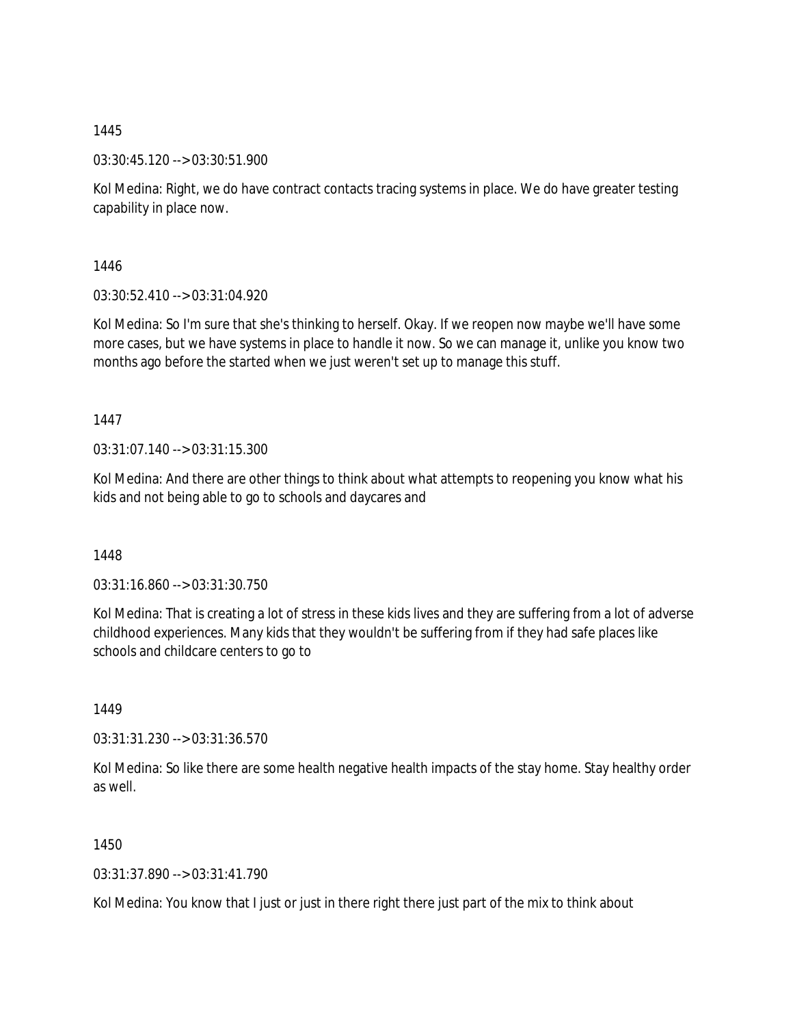03:30:45.120 --> 03:30:51.900

Kol Medina: Right, we do have contract contacts tracing systems in place. We do have greater testing capability in place now.

1446

03:30:52.410 --> 03:31:04.920

Kol Medina: So I'm sure that she's thinking to herself. Okay. If we reopen now maybe we'll have some more cases, but we have systems in place to handle it now. So we can manage it, unlike you know two months ago before the started when we just weren't set up to manage this stuff.

1447

03:31:07.140 --> 03:31:15.300

Kol Medina: And there are other things to think about what attempts to reopening you know what his kids and not being able to go to schools and daycares and

1448

03:31:16.860 --> 03:31:30.750

Kol Medina: That is creating a lot of stress in these kids lives and they are suffering from a lot of adverse childhood experiences. Many kids that they wouldn't be suffering from if they had safe places like schools and childcare centers to go to

1449

03:31:31.230 --> 03:31:36.570

Kol Medina: So like there are some health negative health impacts of the stay home. Stay healthy order as well.

1450

03:31:37.890 --> 03:31:41.790

Kol Medina: You know that I just or just in there right there just part of the mix to think about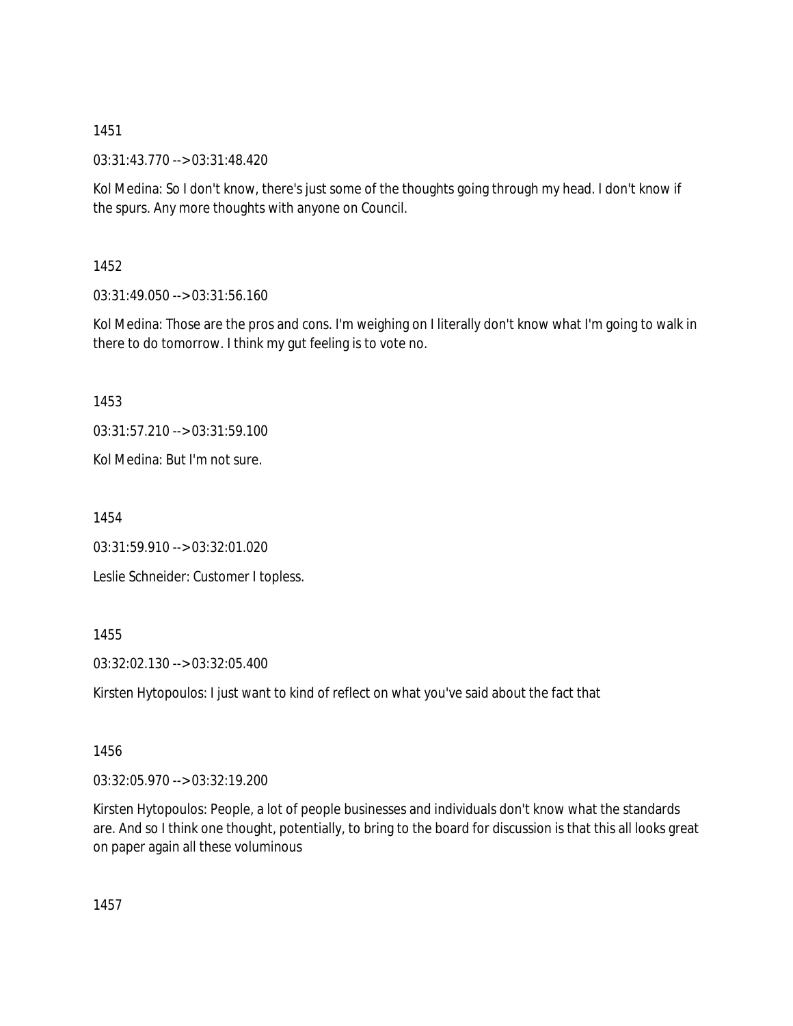03:31:43.770 --> 03:31:48.420

Kol Medina: So I don't know, there's just some of the thoughts going through my head. I don't know if the spurs. Any more thoughts with anyone on Council.

1452

03:31:49.050 --> 03:31:56.160

Kol Medina: Those are the pros and cons. I'm weighing on I literally don't know what I'm going to walk in there to do tomorrow. I think my gut feeling is to vote no.

1453

03:31:57.210 --> 03:31:59.100

Kol Medina: But I'm not sure.

1454

03:31:59.910 --> 03:32:01.020

Leslie Schneider: Customer I topless.

1455

03:32:02.130 --> 03:32:05.400

Kirsten Hytopoulos: I just want to kind of reflect on what you've said about the fact that

1456

03:32:05.970 --> 03:32:19.200

Kirsten Hytopoulos: People, a lot of people businesses and individuals don't know what the standards are. And so I think one thought, potentially, to bring to the board for discussion is that this all looks great on paper again all these voluminous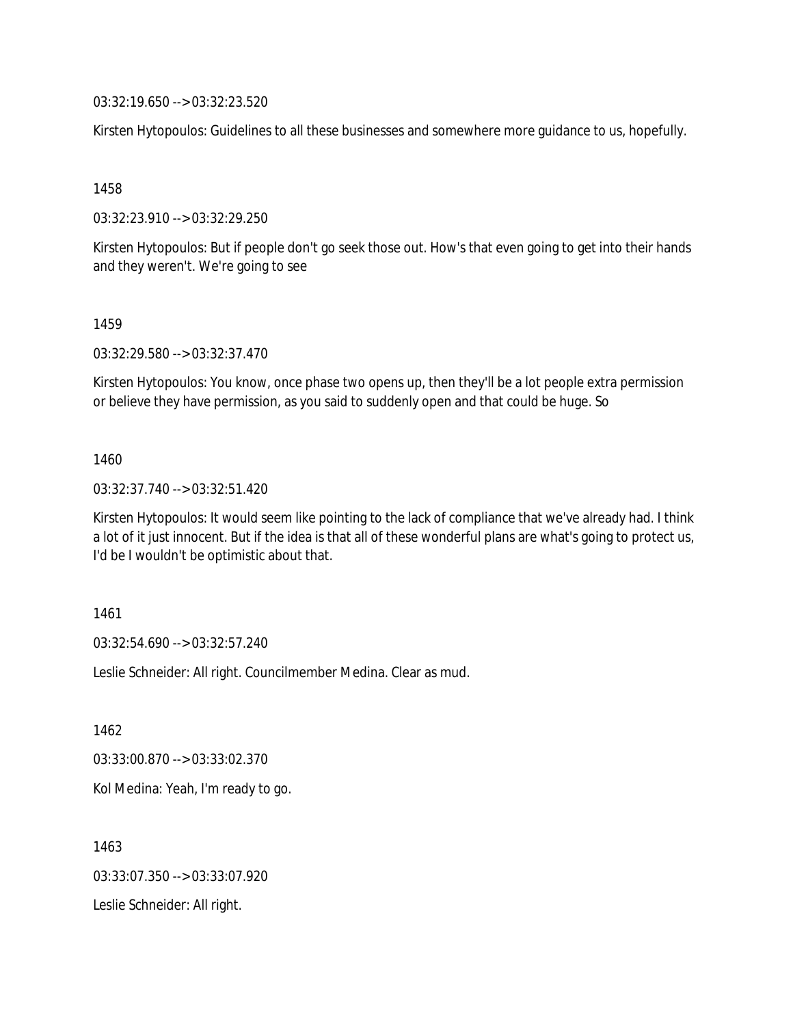03:32:19.650 --> 03:32:23.520

Kirsten Hytopoulos: Guidelines to all these businesses and somewhere more guidance to us, hopefully.

1458

03:32:23.910 --> 03:32:29.250

Kirsten Hytopoulos: But if people don't go seek those out. How's that even going to get into their hands and they weren't. We're going to see

#### 1459

03:32:29.580 --> 03:32:37.470

Kirsten Hytopoulos: You know, once phase two opens up, then they'll be a lot people extra permission or believe they have permission, as you said to suddenly open and that could be huge. So

### 1460

03:32:37.740 --> 03:32:51.420

Kirsten Hytopoulos: It would seem like pointing to the lack of compliance that we've already had. I think a lot of it just innocent. But if the idea is that all of these wonderful plans are what's going to protect us, I'd be I wouldn't be optimistic about that.

#### 1461

03:32:54.690 --> 03:32:57.240

Leslie Schneider: All right. Councilmember Medina. Clear as mud.

1462

03:33:00.870 --> 03:33:02.370

Kol Medina: Yeah, I'm ready to go.

1463 03:33:07.350 --> 03:33:07.920 Leslie Schneider: All right.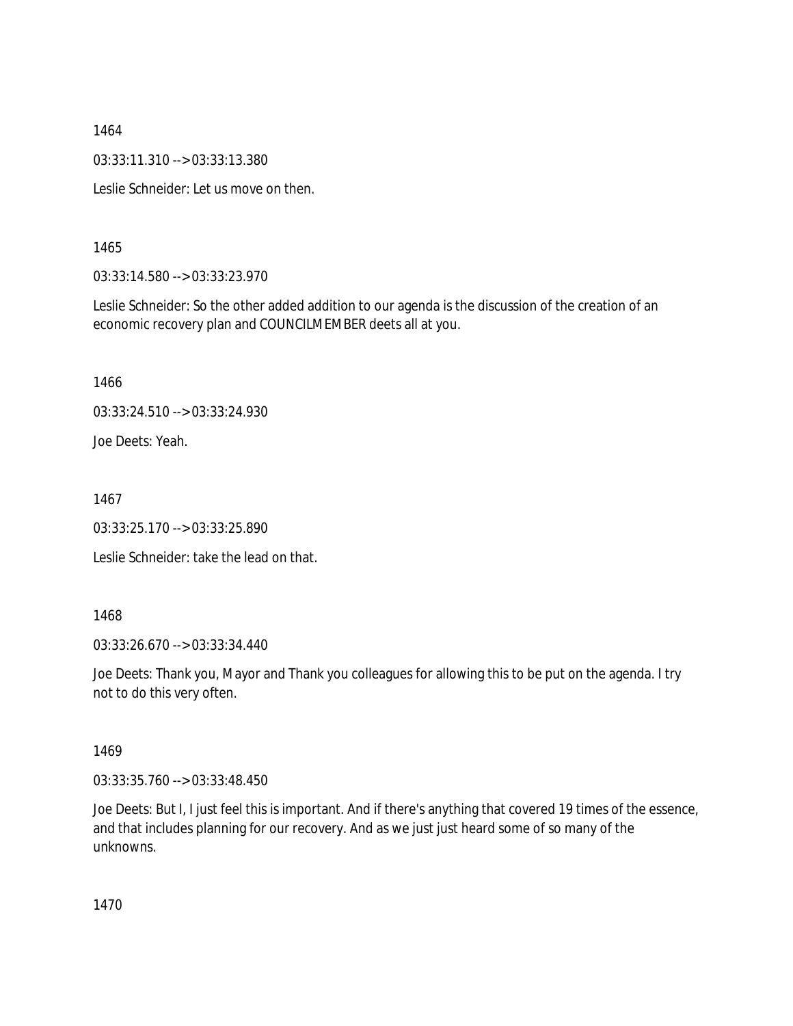03:33:11.310 --> 03:33:13.380

Leslie Schneider: Let us move on then.

1465

03:33:14.580 --> 03:33:23.970

Leslie Schneider: So the other added addition to our agenda is the discussion of the creation of an economic recovery plan and COUNCILMEMBER deets all at you.

1466

03:33:24.510 --> 03:33:24.930

Joe Deets: Yeah.

1467

03:33:25.170 --> 03:33:25.890

Leslie Schneider: take the lead on that.

1468

03:33:26.670 --> 03:33:34.440

Joe Deets: Thank you, Mayor and Thank you colleagues for allowing this to be put on the agenda. I try not to do this very often.

1469

03:33:35.760 --> 03:33:48.450

Joe Deets: But I, I just feel this is important. And if there's anything that covered 19 times of the essence, and that includes planning for our recovery. And as we just just heard some of so many of the unknowns.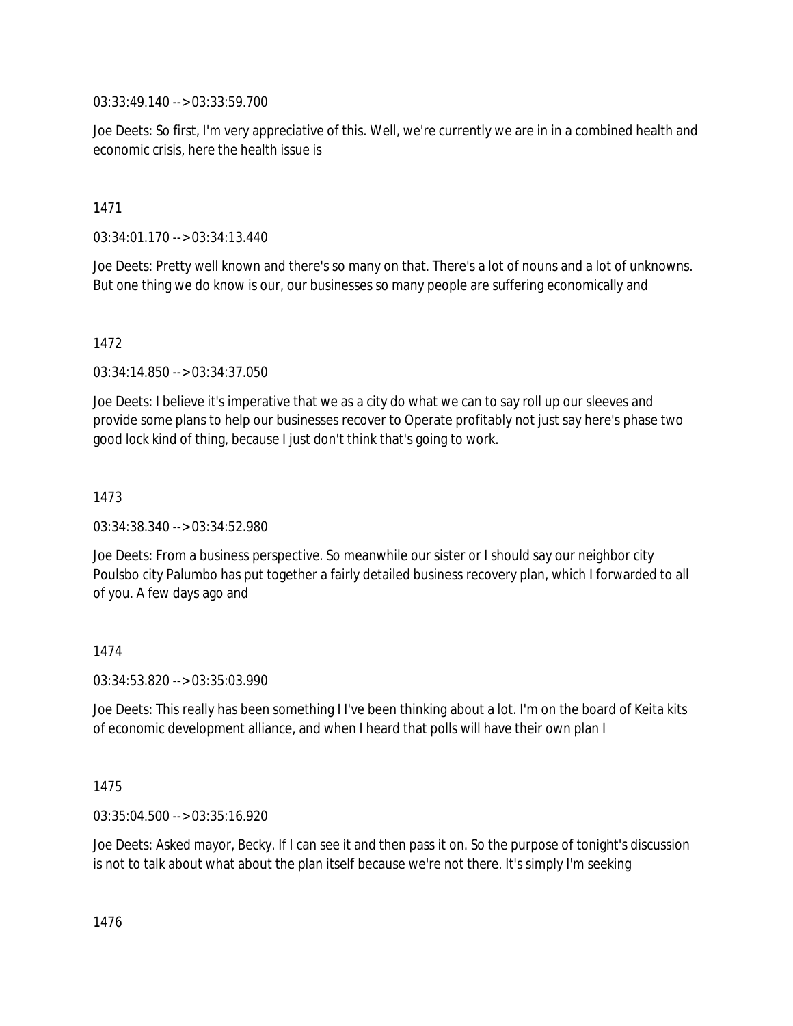03:33:49.140 --> 03:33:59.700

Joe Deets: So first, I'm very appreciative of this. Well, we're currently we are in in a combined health and economic crisis, here the health issue is

## 1471

03:34:01.170 --> 03:34:13.440

Joe Deets: Pretty well known and there's so many on that. There's a lot of nouns and a lot of unknowns. But one thing we do know is our, our businesses so many people are suffering economically and

## 1472

03:34:14.850 --> 03:34:37.050

Joe Deets: I believe it's imperative that we as a city do what we can to say roll up our sleeves and provide some plans to help our businesses recover to Operate profitably not just say here's phase two good lock kind of thing, because I just don't think that's going to work.

## 1473

03:34:38.340 --> 03:34:52.980

Joe Deets: From a business perspective. So meanwhile our sister or I should say our neighbor city Poulsbo city Palumbo has put together a fairly detailed business recovery plan, which I forwarded to all of you. A few days ago and

# 1474

03:34:53.820 --> 03:35:03.990

Joe Deets: This really has been something I I've been thinking about a lot. I'm on the board of Keita kits of economic development alliance, and when I heard that polls will have their own plan I

### 1475

03:35:04.500 --> 03:35:16.920

Joe Deets: Asked mayor, Becky. If I can see it and then pass it on. So the purpose of tonight's discussion is not to talk about what about the plan itself because we're not there. It's simply I'm seeking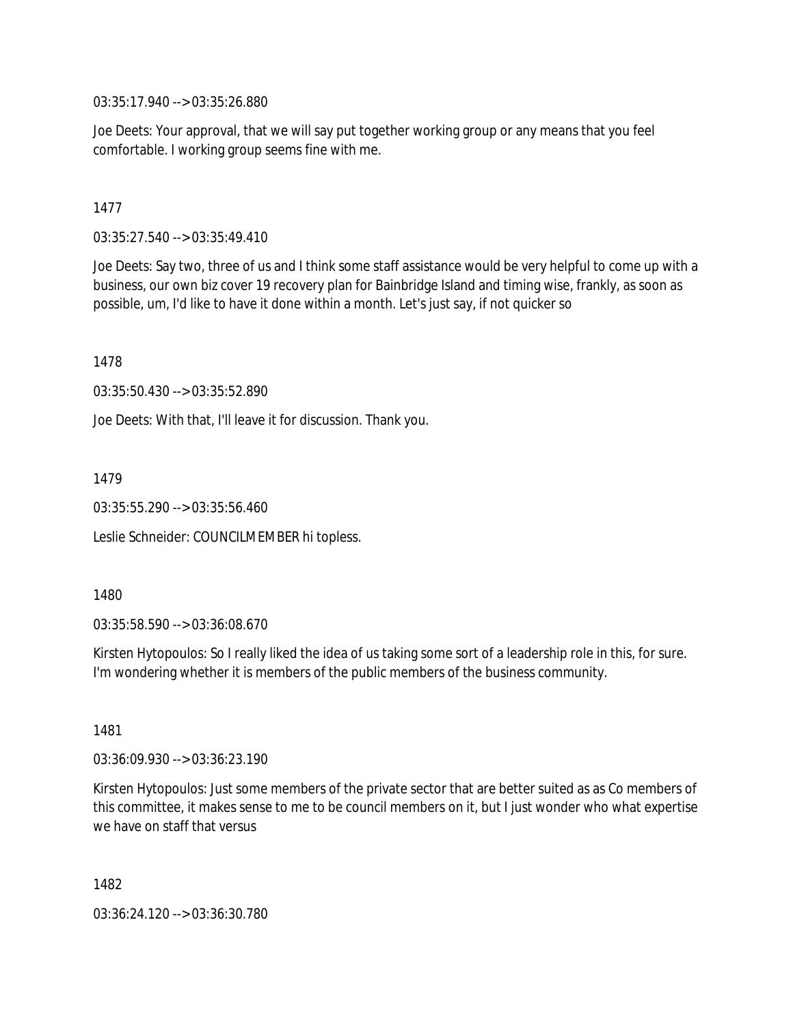03:35:17.940 --> 03:35:26.880

Joe Deets: Your approval, that we will say put together working group or any means that you feel comfortable. I working group seems fine with me.

1477

03:35:27.540 --> 03:35:49.410

Joe Deets: Say two, three of us and I think some staff assistance would be very helpful to come up with a business, our own biz cover 19 recovery plan for Bainbridge Island and timing wise, frankly, as soon as possible, um, I'd like to have it done within a month. Let's just say, if not quicker so

1478

03:35:50.430 --> 03:35:52.890

Joe Deets: With that, I'll leave it for discussion. Thank you.

1479

03:35:55.290 --> 03:35:56.460

Leslie Schneider: COUNCILMEMBER hi topless.

1480

03:35:58.590 --> 03:36:08.670

Kirsten Hytopoulos: So I really liked the idea of us taking some sort of a leadership role in this, for sure. I'm wondering whether it is members of the public members of the business community.

1481

03:36:09.930 --> 03:36:23.190

Kirsten Hytopoulos: Just some members of the private sector that are better suited as as Co members of this committee, it makes sense to me to be council members on it, but I just wonder who what expertise we have on staff that versus

1482

03:36:24.120 --> 03:36:30.780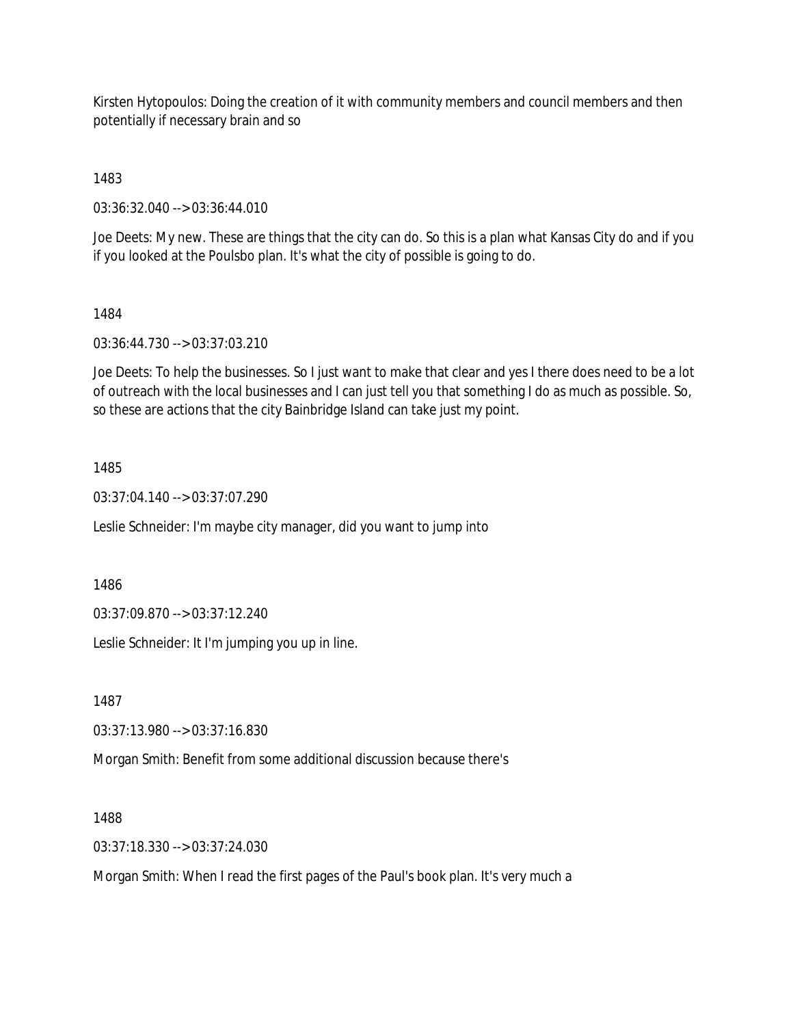Kirsten Hytopoulos: Doing the creation of it with community members and council members and then potentially if necessary brain and so

1483

03:36:32.040 --> 03:36:44.010

Joe Deets: My new. These are things that the city can do. So this is a plan what Kansas City do and if you if you looked at the Poulsbo plan. It's what the city of possible is going to do.

### 1484

03:36:44.730 --> 03:37:03.210

Joe Deets: To help the businesses. So I just want to make that clear and yes I there does need to be a lot of outreach with the local businesses and I can just tell you that something I do as much as possible. So, so these are actions that the city Bainbridge Island can take just my point.

## 1485

03:37:04.140 --> 03:37:07.290

Leslie Schneider: I'm maybe city manager, did you want to jump into

1486

03:37:09.870 --> 03:37:12.240

Leslie Schneider: It I'm jumping you up in line.

1487

03:37:13.980 --> 03:37:16.830

Morgan Smith: Benefit from some additional discussion because there's

1488

03:37:18.330 --> 03:37:24.030

Morgan Smith: When I read the first pages of the Paul's book plan. It's very much a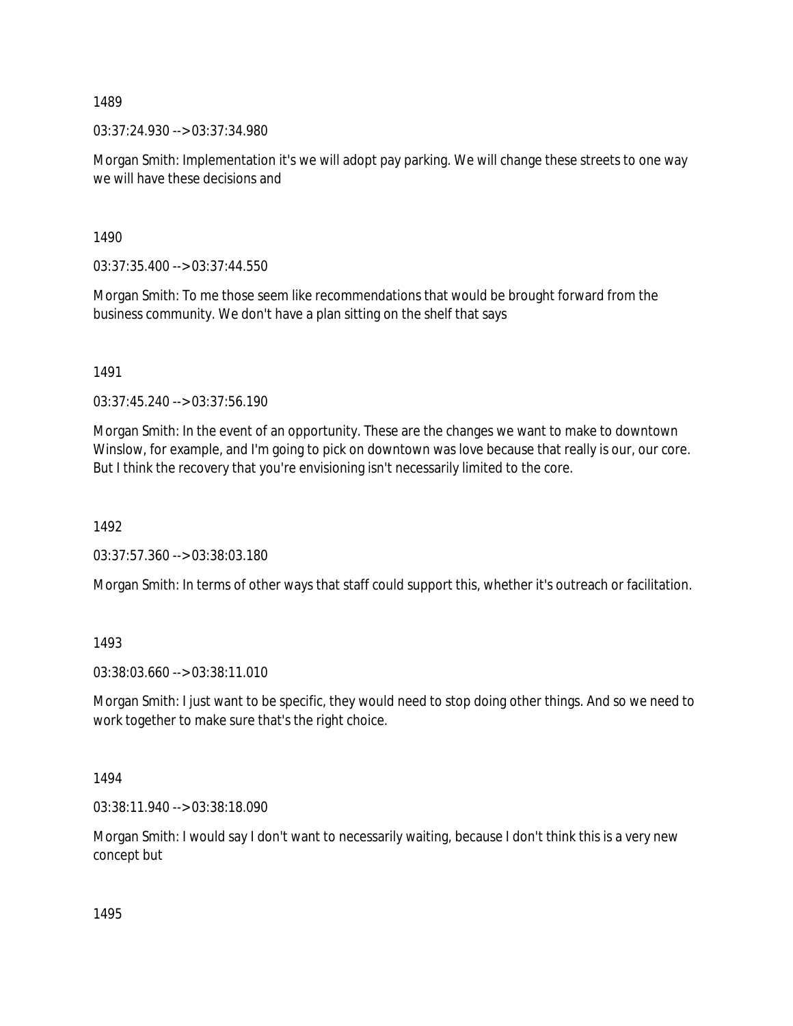03:37:24.930 --> 03:37:34.980

Morgan Smith: Implementation it's we will adopt pay parking. We will change these streets to one way we will have these decisions and

1490

 $03:37:35.400 \rightarrow 03:37:44.550$ 

Morgan Smith: To me those seem like recommendations that would be brought forward from the business community. We don't have a plan sitting on the shelf that says

1491

03:37:45.240 --> 03:37:56.190

Morgan Smith: In the event of an opportunity. These are the changes we want to make to downtown Winslow, for example, and I'm going to pick on downtown was love because that really is our, our core. But I think the recovery that you're envisioning isn't necessarily limited to the core.

1492

03:37:57.360 --> 03:38:03.180

Morgan Smith: In terms of other ways that staff could support this, whether it's outreach or facilitation.

1493

03:38:03.660 --> 03:38:11.010

Morgan Smith: I just want to be specific, they would need to stop doing other things. And so we need to work together to make sure that's the right choice.

1494

03:38:11.940 --> 03:38:18.090

Morgan Smith: I would say I don't want to necessarily waiting, because I don't think this is a very new concept but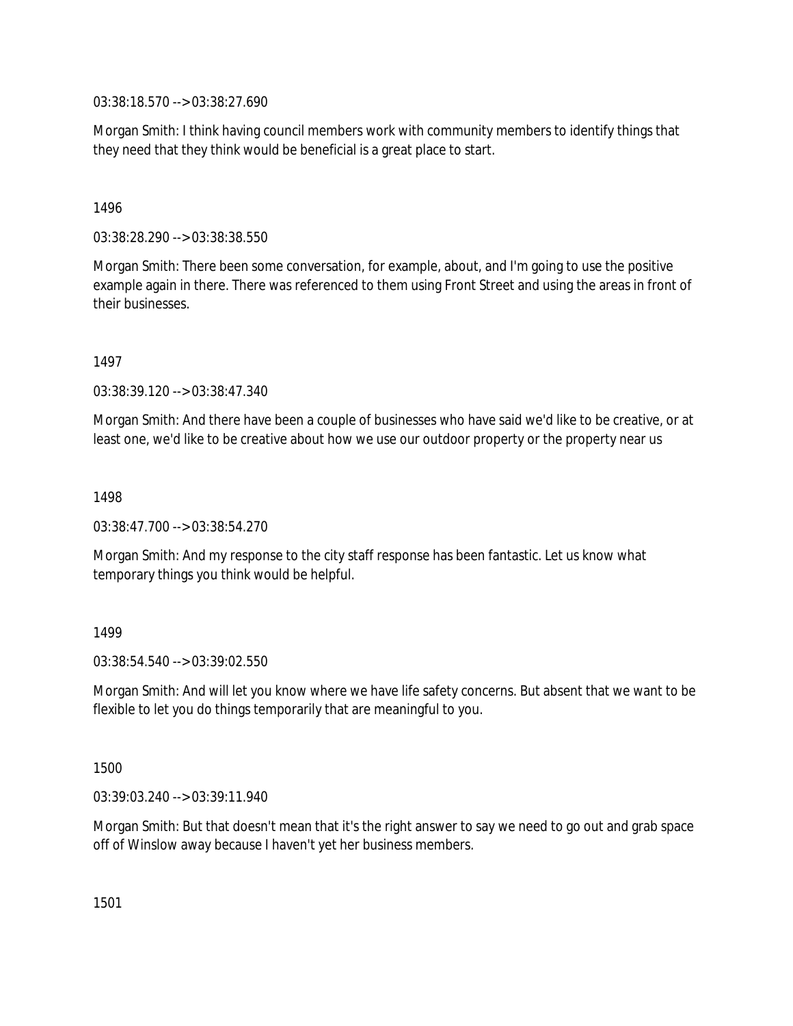03:38:18.570 --> 03:38:27.690

Morgan Smith: I think having council members work with community members to identify things that they need that they think would be beneficial is a great place to start.

### 1496

03:38:28.290 --> 03:38:38.550

Morgan Smith: There been some conversation, for example, about, and I'm going to use the positive example again in there. There was referenced to them using Front Street and using the areas in front of their businesses.

1497

03:38:39.120 --> 03:38:47.340

Morgan Smith: And there have been a couple of businesses who have said we'd like to be creative, or at least one, we'd like to be creative about how we use our outdoor property or the property near us

1498

03:38:47.700 --> 03:38:54.270

Morgan Smith: And my response to the city staff response has been fantastic. Let us know what temporary things you think would be helpful.

### 1499

03:38:54.540 --> 03:39:02.550

Morgan Smith: And will let you know where we have life safety concerns. But absent that we want to be flexible to let you do things temporarily that are meaningful to you.

1500

03:39:03.240 --> 03:39:11.940

Morgan Smith: But that doesn't mean that it's the right answer to say we need to go out and grab space off of Winslow away because I haven't yet her business members.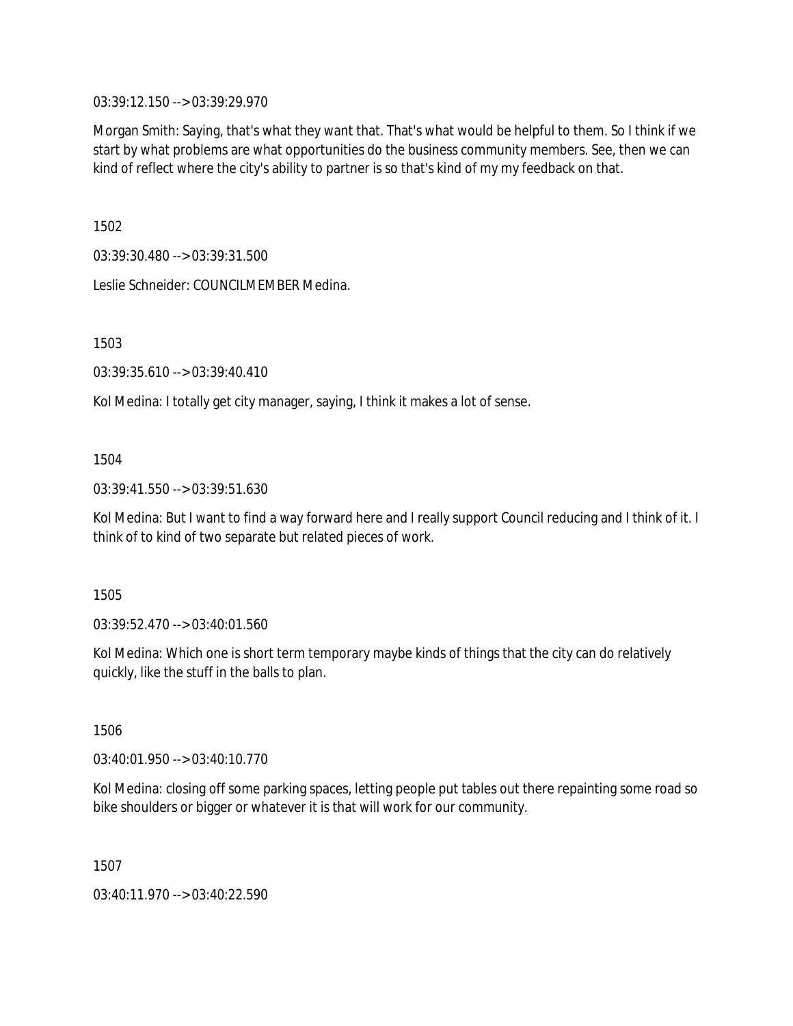03:39:12.150 --> 03:39:29.970

Morgan Smith: Saying, that's what they want that. That's what would be helpful to them. So I think if we start by what problems are what opportunities do the business community members. See, then we can kind of reflect where the city's ability to partner is so that's kind of my my feedback on that.

1502

03:39:30.480 --> 03:39:31.500

Leslie Schneider: COUNCILMEMBER Medina.

1503

03:39:35.610 --> 03:39:40.410

Kol Medina: I totally get city manager, saying, I think it makes a lot of sense.

## 1504

03:39:41.550 --> 03:39:51.630

Kol Medina: But I want to find a way forward here and I really support Council reducing and I think of it. I think of to kind of two separate but related pieces of work.

1505

03:39:52.470 --> 03:40:01.560

Kol Medina: Which one is short term temporary maybe kinds of things that the city can do relatively quickly, like the stuff in the balls to plan.

1506

03:40:01.950 --> 03:40:10.770

Kol Medina: closing off some parking spaces, letting people put tables out there repainting some road so bike shoulders or bigger or whatever it is that will work for our community.

1507

03:40:11.970 --> 03:40:22.590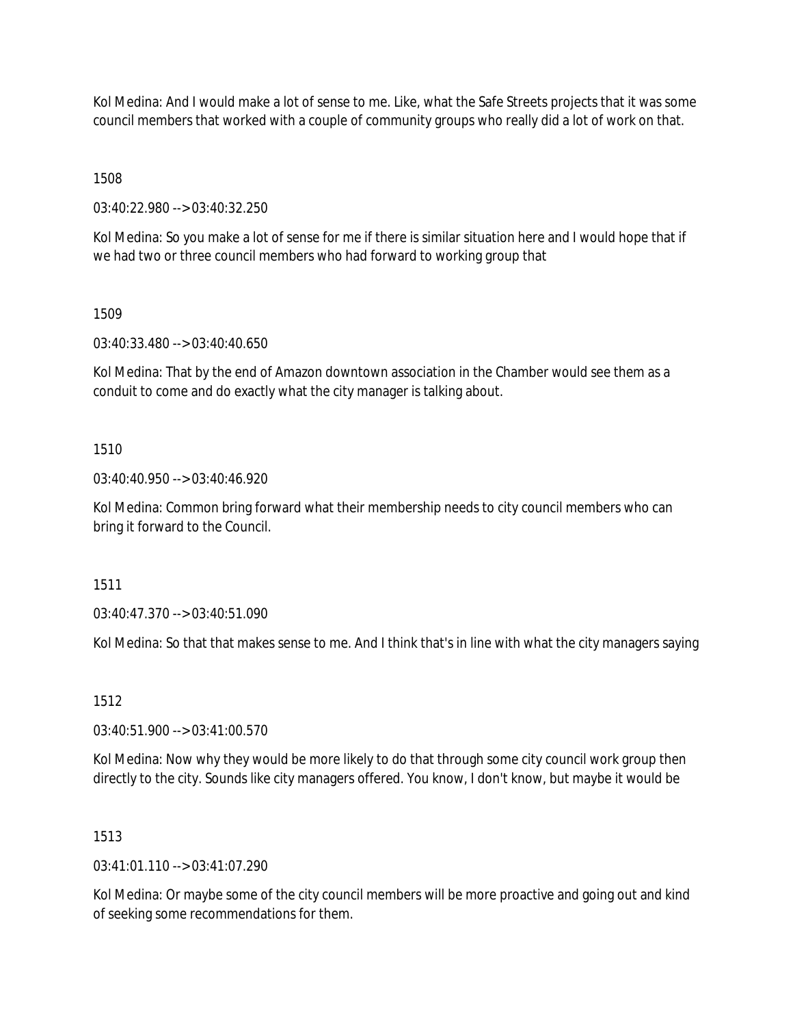Kol Medina: And I would make a lot of sense to me. Like, what the Safe Streets projects that it was some council members that worked with a couple of community groups who really did a lot of work on that.

1508

03:40:22.980 --> 03:40:32.250

Kol Medina: So you make a lot of sense for me if there is similar situation here and I would hope that if we had two or three council members who had forward to working group that

1509

03:40:33.480 --> 03:40:40.650

Kol Medina: That by the end of Amazon downtown association in the Chamber would see them as a conduit to come and do exactly what the city manager is talking about.

1510

03:40:40.950 --> 03:40:46.920

Kol Medina: Common bring forward what their membership needs to city council members who can bring it forward to the Council.

1511

03:40:47.370 --> 03:40:51.090

Kol Medina: So that that makes sense to me. And I think that's in line with what the city managers saying

1512

03:40:51.900 --> 03:41:00.570

Kol Medina: Now why they would be more likely to do that through some city council work group then directly to the city. Sounds like city managers offered. You know, I don't know, but maybe it would be

1513

 $03:41:01.110 \rightarrow 03:41:07.290$ 

Kol Medina: Or maybe some of the city council members will be more proactive and going out and kind of seeking some recommendations for them.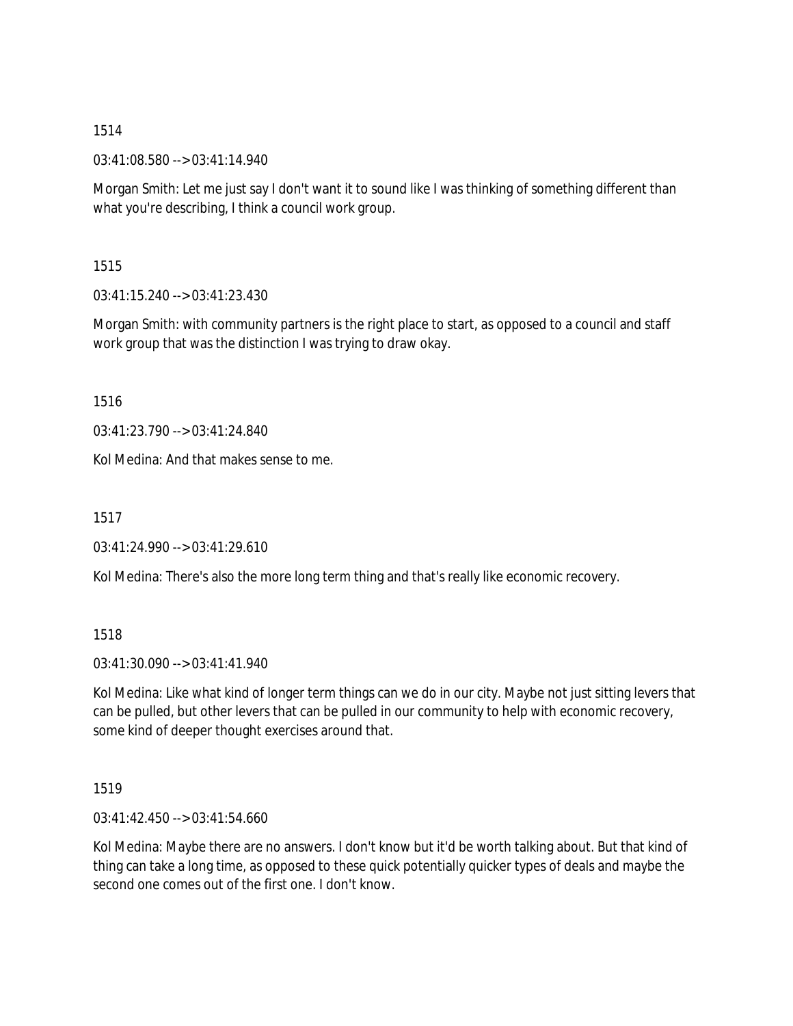03:41:08.580 --> 03:41:14.940

Morgan Smith: Let me just say I don't want it to sound like I was thinking of something different than what you're describing, I think a council work group.

1515

03:41:15.240 --> 03:41:23.430

Morgan Smith: with community partners is the right place to start, as opposed to a council and staff work group that was the distinction I was trying to draw okay.

1516

03:41:23.790 --> 03:41:24.840

Kol Medina: And that makes sense to me.

1517

03:41:24.990 --> 03:41:29.610

Kol Medina: There's also the more long term thing and that's really like economic recovery.

1518

03:41:30.090 --> 03:41:41.940

Kol Medina: Like what kind of longer term things can we do in our city. Maybe not just sitting levers that can be pulled, but other levers that can be pulled in our community to help with economic recovery, some kind of deeper thought exercises around that.

1519

03:41:42.450 --> 03:41:54.660

Kol Medina: Maybe there are no answers. I don't know but it'd be worth talking about. But that kind of thing can take a long time, as opposed to these quick potentially quicker types of deals and maybe the second one comes out of the first one. I don't know.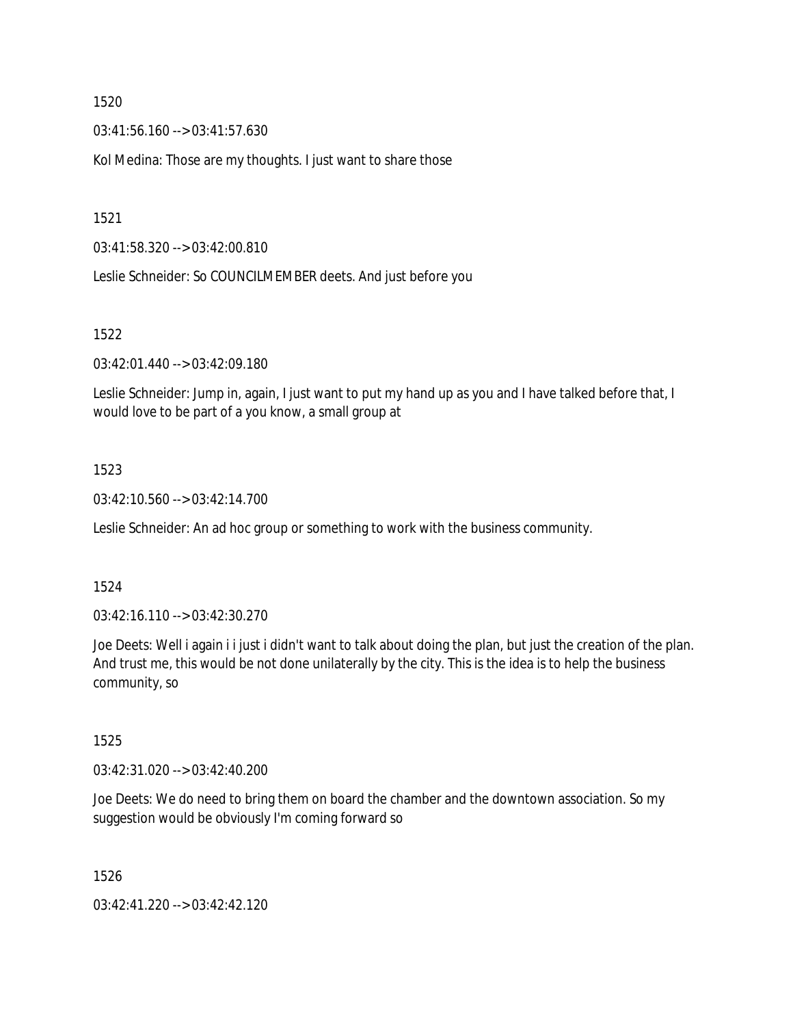03:41:56.160 --> 03:41:57.630

Kol Medina: Those are my thoughts. I just want to share those

1521

03:41:58.320 --> 03:42:00.810

Leslie Schneider: So COUNCILMEMBER deets. And just before you

1522

03:42:01.440 --> 03:42:09.180

Leslie Schneider: Jump in, again, I just want to put my hand up as you and I have talked before that, I would love to be part of a you know, a small group at

## 1523

03:42:10.560 --> 03:42:14.700

Leslie Schneider: An ad hoc group or something to work with the business community.

### 1524

03:42:16.110 --> 03:42:30.270

Joe Deets: Well i again i i just i didn't want to talk about doing the plan, but just the creation of the plan. And trust me, this would be not done unilaterally by the city. This is the idea is to help the business community, so

1525

03:42:31.020 --> 03:42:40.200

Joe Deets: We do need to bring them on board the chamber and the downtown association. So my suggestion would be obviously I'm coming forward so

1526

03:42:41.220 --> 03:42:42.120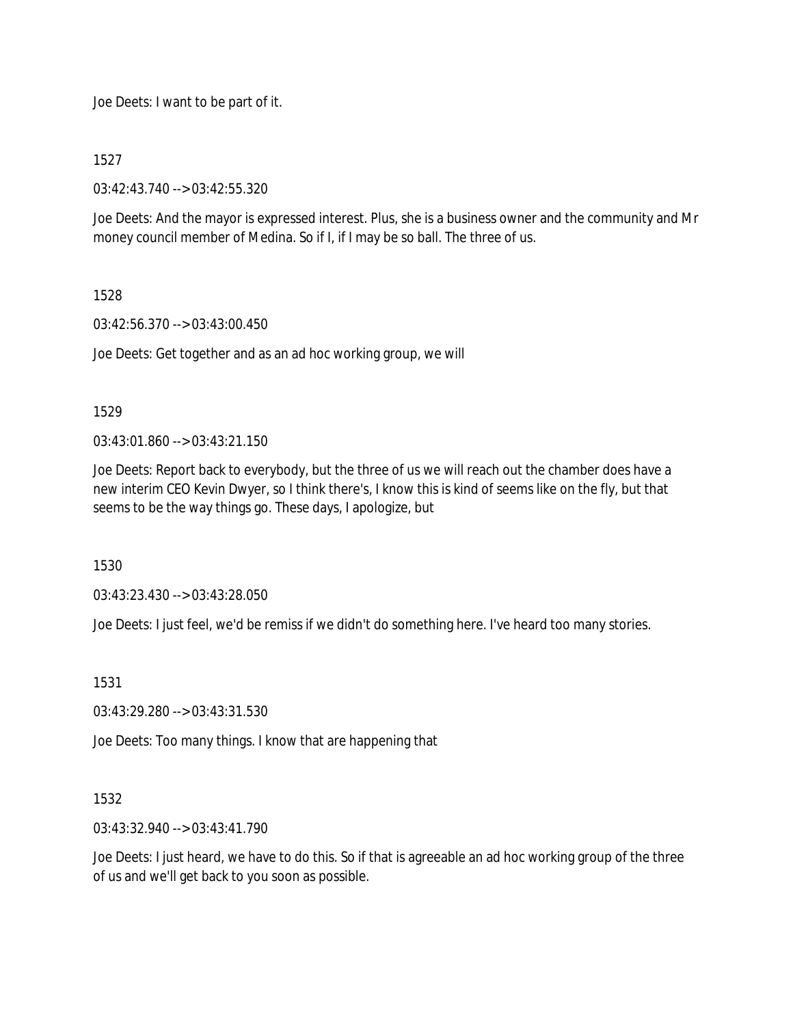Joe Deets: I want to be part of it.

1527

03:42:43.740 --> 03:42:55.320

Joe Deets: And the mayor is expressed interest. Plus, she is a business owner and the community and Mr money council member of Medina. So if I, if I may be so ball. The three of us.

## 1528

03:42:56.370 --> 03:43:00.450

Joe Deets: Get together and as an ad hoc working group, we will

## 1529

03:43:01.860 --> 03:43:21.150

Joe Deets: Report back to everybody, but the three of us we will reach out the chamber does have a new interim CEO Kevin Dwyer, so I think there's, I know this is kind of seems like on the fly, but that seems to be the way things go. These days, I apologize, but

1530

03:43:23.430 --> 03:43:28.050

Joe Deets: I just feel, we'd be remiss if we didn't do something here. I've heard too many stories.

1531

03:43:29.280 --> 03:43:31.530

Joe Deets: Too many things. I know that are happening that

# 1532

03:43:32.940 --> 03:43:41.790

Joe Deets: I just heard, we have to do this. So if that is agreeable an ad hoc working group of the three of us and we'll get back to you soon as possible.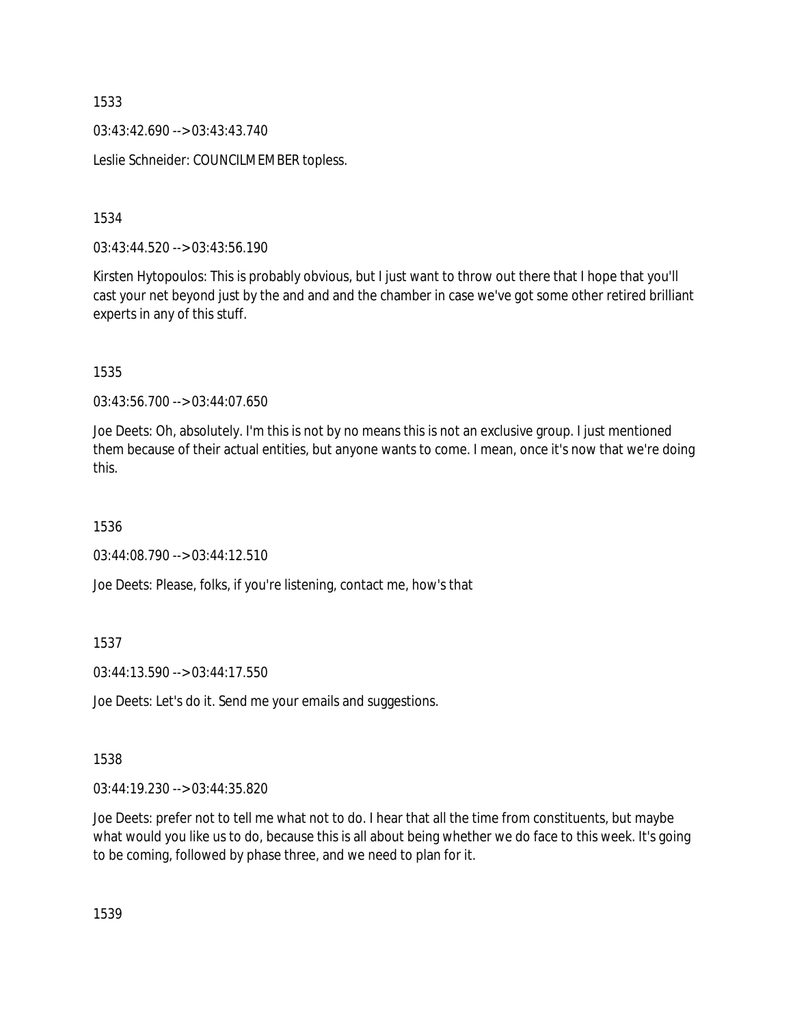03:43:42.690 --> 03:43:43.740

Leslie Schneider: COUNCILMEMBER topless.

1534

03:43:44.520 --> 03:43:56.190

Kirsten Hytopoulos: This is probably obvious, but I just want to throw out there that I hope that you'll cast your net beyond just by the and and and the chamber in case we've got some other retired brilliant experts in any of this stuff.

1535

03:43:56.700 --> 03:44:07.650

Joe Deets: Oh, absolutely. I'm this is not by no means this is not an exclusive group. I just mentioned them because of their actual entities, but anyone wants to come. I mean, once it's now that we're doing this.

1536

03:44:08.790 --> 03:44:12.510

Joe Deets: Please, folks, if you're listening, contact me, how's that

1537

03:44:13.590 --> 03:44:17.550

Joe Deets: Let's do it. Send me your emails and suggestions.

1538

03:44:19.230 --> 03:44:35.820

Joe Deets: prefer not to tell me what not to do. I hear that all the time from constituents, but maybe what would you like us to do, because this is all about being whether we do face to this week. It's going to be coming, followed by phase three, and we need to plan for it.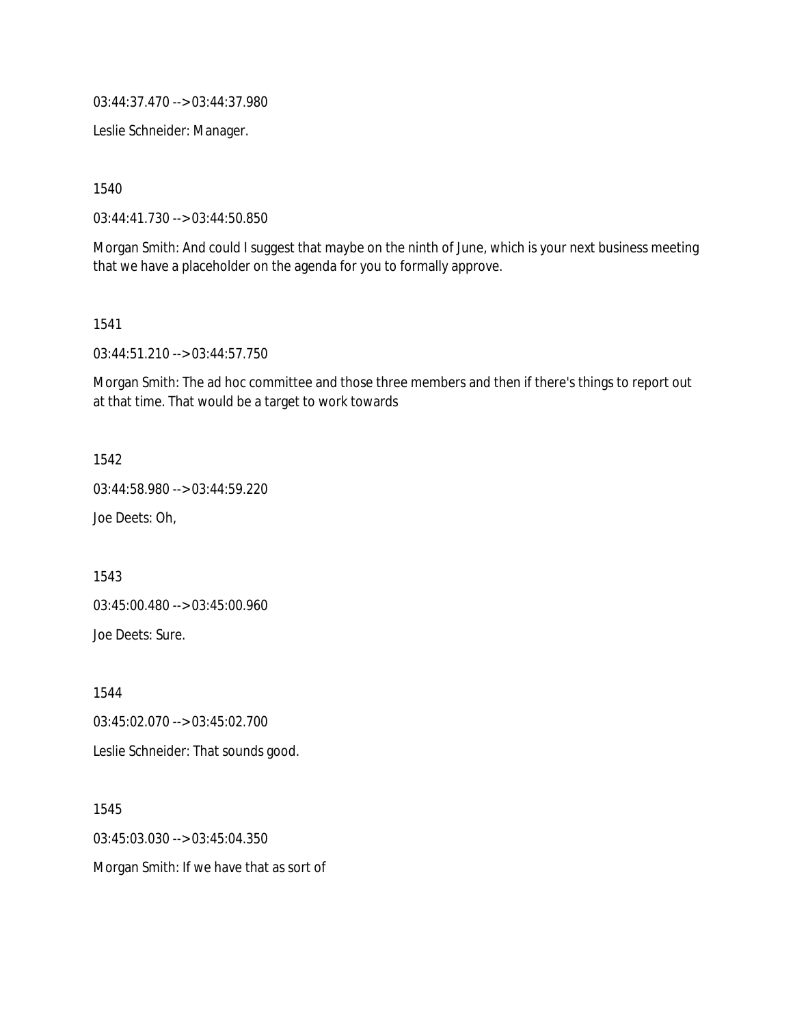03:44:37.470 --> 03:44:37.980

Leslie Schneider: Manager.

1540

03:44:41.730 --> 03:44:50.850

Morgan Smith: And could I suggest that maybe on the ninth of June, which is your next business meeting that we have a placeholder on the agenda for you to formally approve.

1541

03:44:51.210 --> 03:44:57.750

Morgan Smith: The ad hoc committee and those three members and then if there's things to report out at that time. That would be a target to work towards

1542

03:44:58.980 --> 03:44:59.220

Joe Deets: Oh,

1543

03:45:00.480 --> 03:45:00.960

Joe Deets: Sure.

1544

03:45:02.070 --> 03:45:02.700

Leslie Schneider: That sounds good.

1545 03:45:03.030 --> 03:45:04.350 Morgan Smith: If we have that as sort of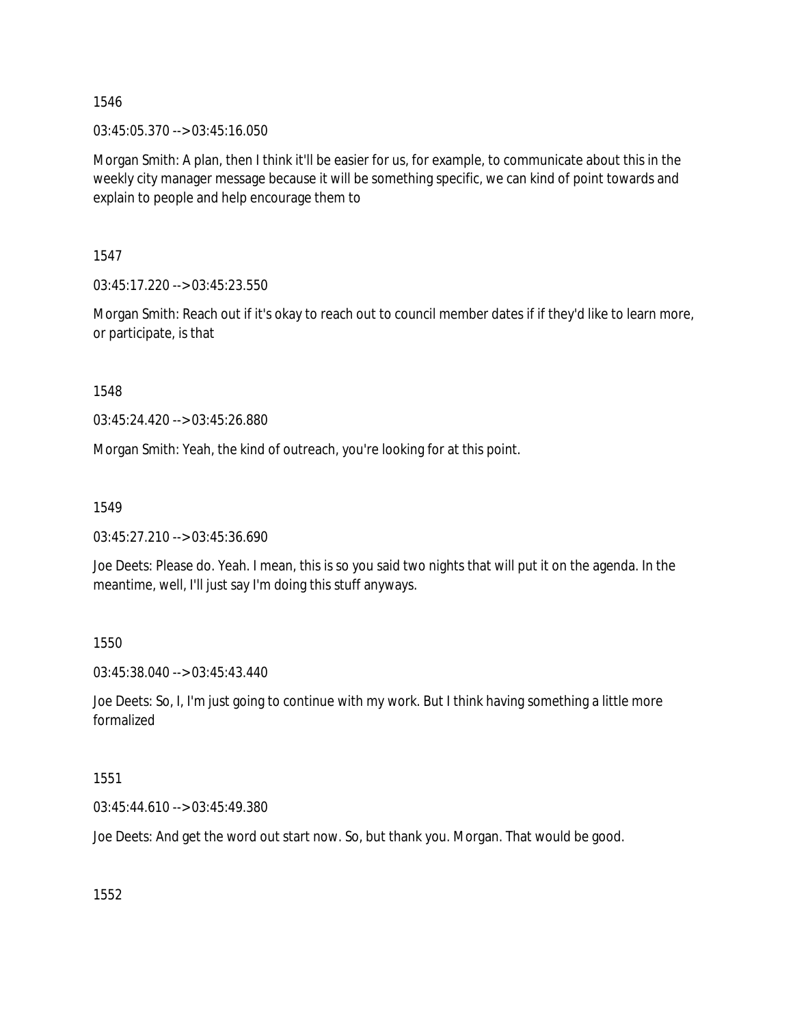03:45:05.370 --> 03:45:16.050

Morgan Smith: A plan, then I think it'll be easier for us, for example, to communicate about this in the weekly city manager message because it will be something specific, we can kind of point towards and explain to people and help encourage them to

1547

03:45:17.220 --> 03:45:23.550

Morgan Smith: Reach out if it's okay to reach out to council member dates if if they'd like to learn more, or participate, is that

1548

03:45:24.420 --> 03:45:26.880

Morgan Smith: Yeah, the kind of outreach, you're looking for at this point.

1549

03:45:27.210 --> 03:45:36.690

Joe Deets: Please do. Yeah. I mean, this is so you said two nights that will put it on the agenda. In the meantime, well, I'll just say I'm doing this stuff anyways.

1550

03:45:38.040 --> 03:45:43.440

Joe Deets: So, I, I'm just going to continue with my work. But I think having something a little more formalized

1551

03:45:44.610 --> 03:45:49.380

Joe Deets: And get the word out start now. So, but thank you. Morgan. That would be good.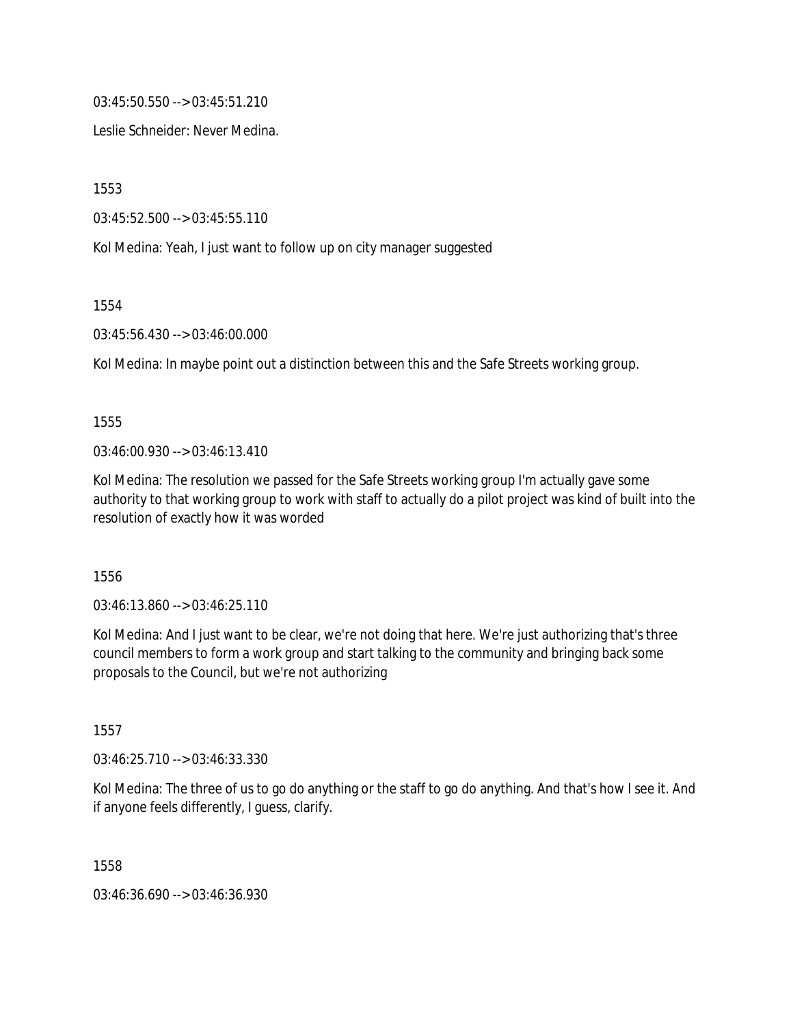03:45:50.550 --> 03:45:51.210

Leslie Schneider: Never Medina.

1553

03:45:52.500 --> 03:45:55.110

Kol Medina: Yeah, I just want to follow up on city manager suggested

1554

03:45:56.430 --> 03:46:00.000

Kol Medina: In maybe point out a distinction between this and the Safe Streets working group.

1555

03:46:00.930 --> 03:46:13.410

Kol Medina: The resolution we passed for the Safe Streets working group I'm actually gave some authority to that working group to work with staff to actually do a pilot project was kind of built into the resolution of exactly how it was worded

1556

03:46:13.860 --> 03:46:25.110

Kol Medina: And I just want to be clear, we're not doing that here. We're just authorizing that's three council members to form a work group and start talking to the community and bringing back some proposals to the Council, but we're not authorizing

1557

03:46:25.710 --> 03:46:33.330

Kol Medina: The three of us to go do anything or the staff to go do anything. And that's how I see it. And if anyone feels differently, I guess, clarify.

1558

03:46:36.690 --> 03:46:36.930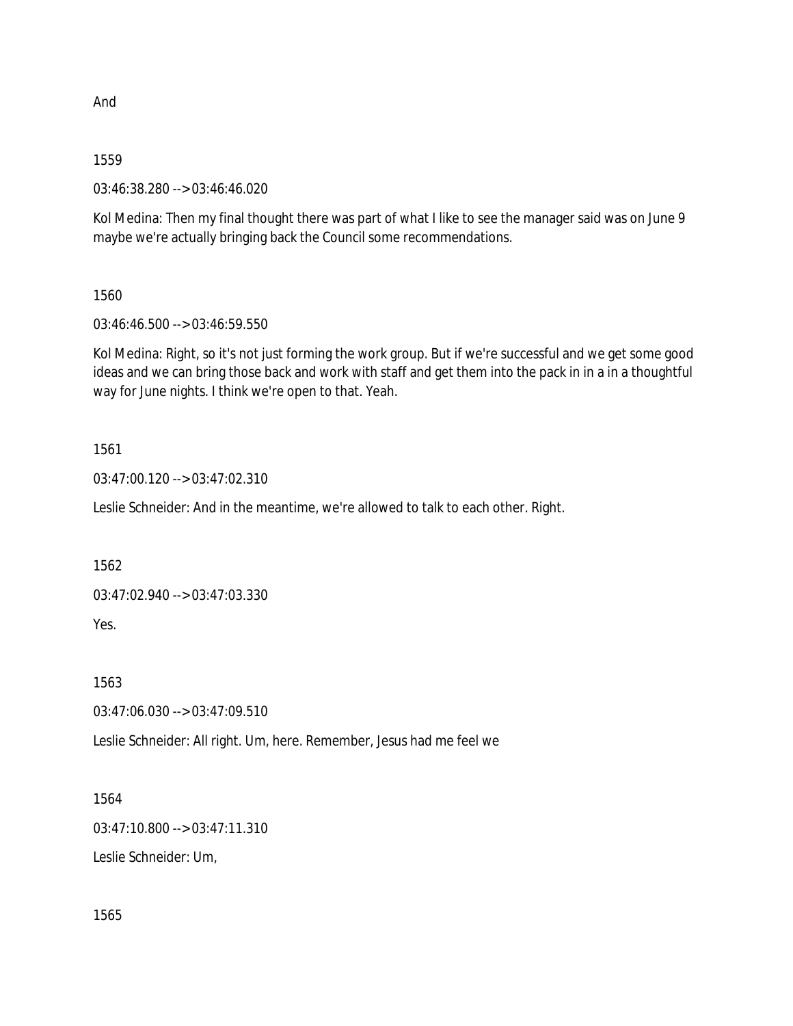And

## 1559

03:46:38.280 --> 03:46:46.020

Kol Medina: Then my final thought there was part of what I like to see the manager said was on June 9 maybe we're actually bringing back the Council some recommendations.

# 1560

03:46:46.500 --> 03:46:59.550

Kol Medina: Right, so it's not just forming the work group. But if we're successful and we get some good ideas and we can bring those back and work with staff and get them into the pack in in a in a thoughtful way for June nights. I think we're open to that. Yeah.

# 1561

03:47:00.120 --> 03:47:02.310

Leslie Schneider: And in the meantime, we're allowed to talk to each other. Right.

1562

03:47:02.940 --> 03:47:03.330

Yes.

1563

03:47:06.030 --> 03:47:09.510

Leslie Schneider: All right. Um, here. Remember, Jesus had me feel we

# 1564

03:47:10.800 --> 03:47:11.310

Leslie Schneider: Um,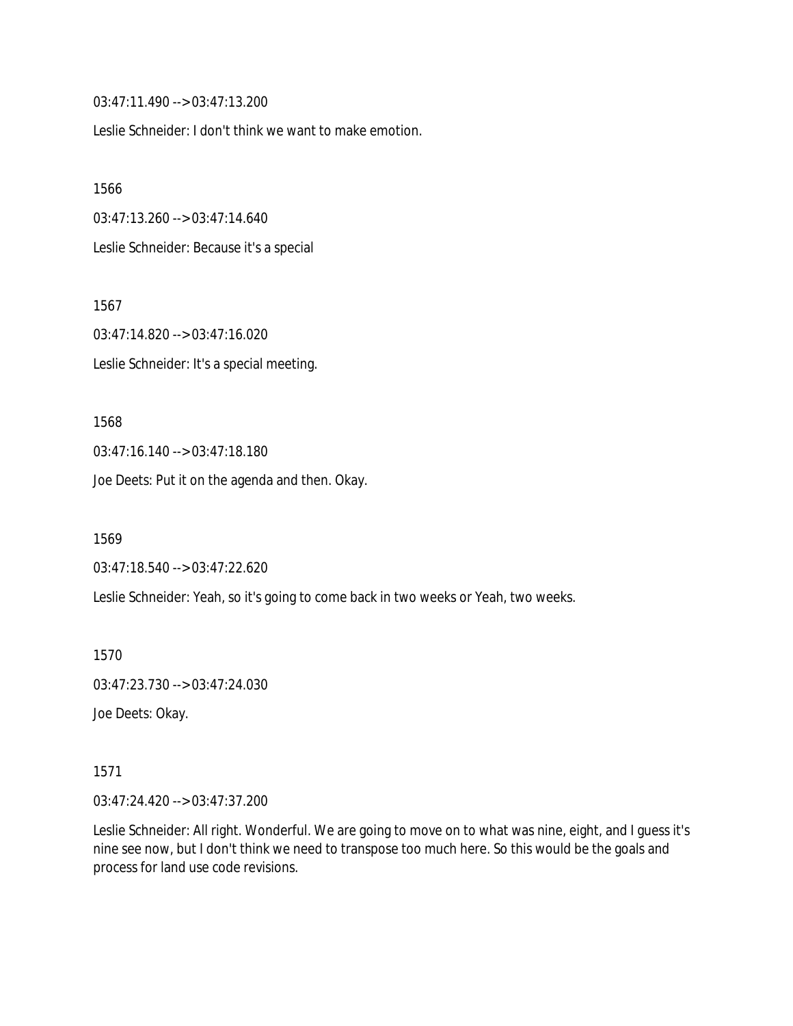03:47:11.490 --> 03:47:13.200

Leslie Schneider: I don't think we want to make emotion.

1566 03:47:13.260 --> 03:47:14.640 Leslie Schneider: Because it's a special

1567 03:47:14.820 --> 03:47:16.020 Leslie Schneider: It's a special meeting.

1568 03:47:16.140 --> 03:47:18.180 Joe Deets: Put it on the agenda and then. Okay.

1569

03:47:18.540 --> 03:47:22.620

Leslie Schneider: Yeah, so it's going to come back in two weeks or Yeah, two weeks.

1570

03:47:23.730 --> 03:47:24.030

Joe Deets: Okay.

1571

03:47:24.420 --> 03:47:37.200

Leslie Schneider: All right. Wonderful. We are going to move on to what was nine, eight, and I guess it's nine see now, but I don't think we need to transpose too much here. So this would be the goals and process for land use code revisions.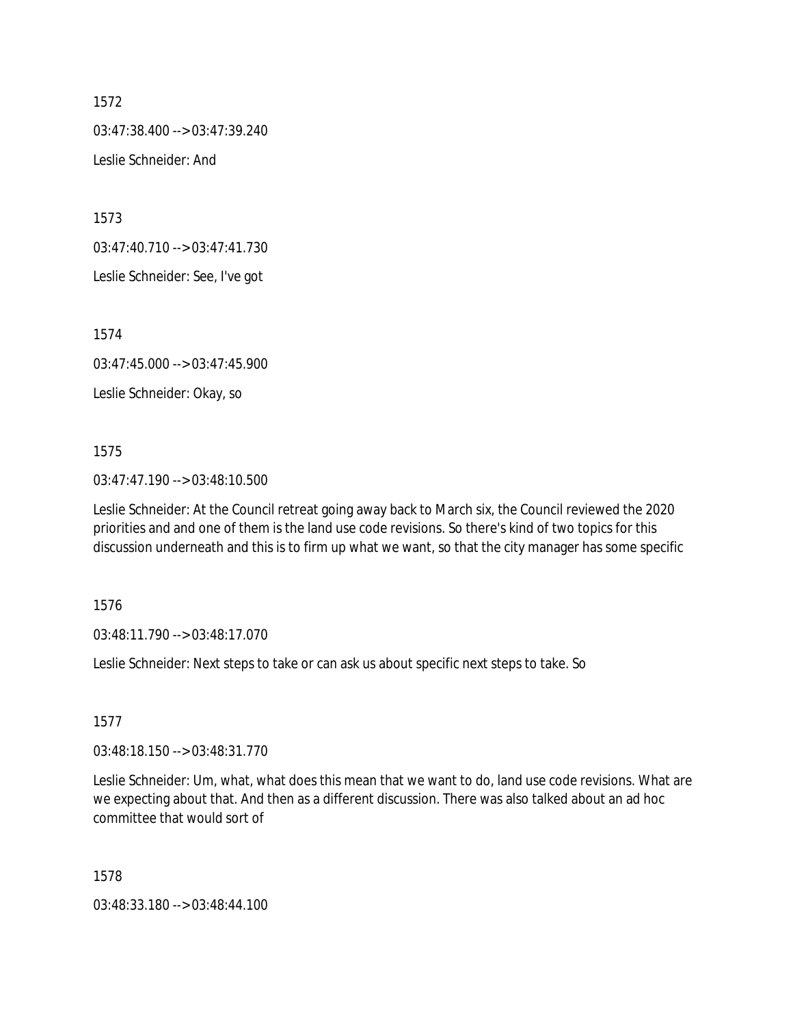03:47:38.400 --> 03:47:39.240

Leslie Schneider: And

1573

03:47:40.710 --> 03:47:41.730

Leslie Schneider: See, I've got

1574

03:47:45.000 --> 03:47:45.900

Leslie Schneider: Okay, so

### 1575

03:47:47.190 --> 03:48:10.500

Leslie Schneider: At the Council retreat going away back to March six, the Council reviewed the 2020 priorities and and one of them is the land use code revisions. So there's kind of two topics for this discussion underneath and this is to firm up what we want, so that the city manager has some specific

1576

03:48:11.790 --> 03:48:17.070

Leslie Schneider: Next steps to take or can ask us about specific next steps to take. So

1577

03:48:18.150 --> 03:48:31.770

Leslie Schneider: Um, what, what does this mean that we want to do, land use code revisions. What are we expecting about that. And then as a different discussion. There was also talked about an ad hoc committee that would sort of

1578

03:48:33.180 --> 03:48:44.100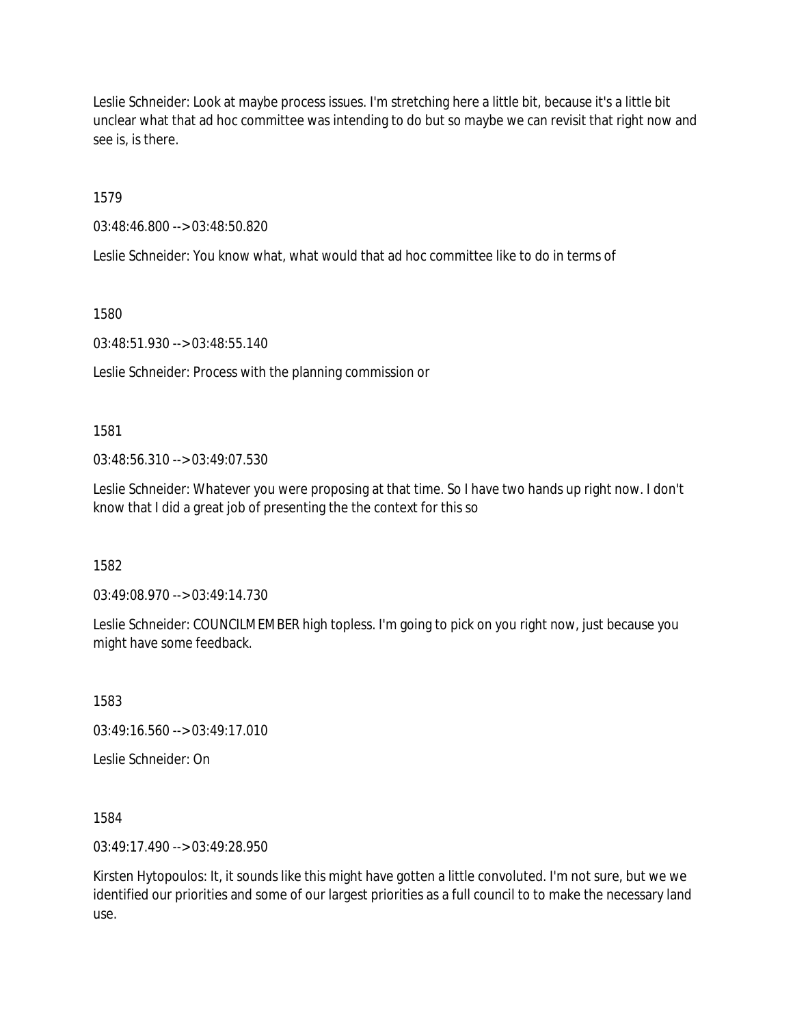Leslie Schneider: Look at maybe process issues. I'm stretching here a little bit, because it's a little bit unclear what that ad hoc committee was intending to do but so maybe we can revisit that right now and see is, is there.

1579

03:48:46.800 --> 03:48:50.820

Leslie Schneider: You know what, what would that ad hoc committee like to do in terms of

1580

03:48:51.930 --> 03:48:55.140

Leslie Schneider: Process with the planning commission or

1581

03:48:56.310 --> 03:49:07.530

Leslie Schneider: Whatever you were proposing at that time. So I have two hands up right now. I don't know that I did a great job of presenting the the context for this so

1582

03:49:08.970 --> 03:49:14.730

Leslie Schneider: COUNCILMEMBER high topless. I'm going to pick on you right now, just because you might have some feedback.

1583

03:49:16.560 --> 03:49:17.010

Leslie Schneider: On

1584

03:49:17.490 --> 03:49:28.950

Kirsten Hytopoulos: It, it sounds like this might have gotten a little convoluted. I'm not sure, but we we identified our priorities and some of our largest priorities as a full council to to make the necessary land use.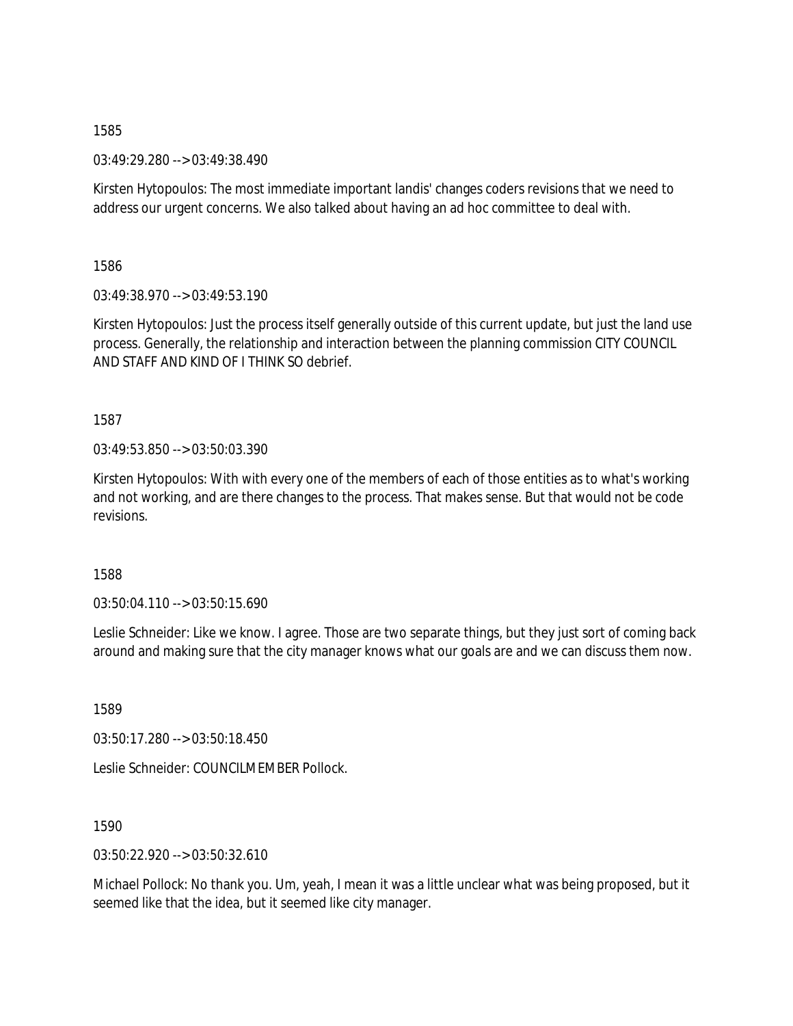03:49:29.280 --> 03:49:38.490

Kirsten Hytopoulos: The most immediate important landis' changes coders revisions that we need to address our urgent concerns. We also talked about having an ad hoc committee to deal with.

1586

03:49:38.970 --> 03:49:53.190

Kirsten Hytopoulos: Just the process itself generally outside of this current update, but just the land use process. Generally, the relationship and interaction between the planning commission CITY COUNCIL AND STAFF AND KIND OF I THINK SO debrief.

1587

03:49:53.850 --> 03:50:03.390

Kirsten Hytopoulos: With with every one of the members of each of those entities as to what's working and not working, and are there changes to the process. That makes sense. But that would not be code revisions.

1588

 $03:50:04.110 \rightarrow 03:50:15.690$ 

Leslie Schneider: Like we know. I agree. Those are two separate things, but they just sort of coming back around and making sure that the city manager knows what our goals are and we can discuss them now.

1589

03:50:17.280 --> 03:50:18.450

Leslie Schneider: COUNCILMEMBER Pollock.

1590

03:50:22.920 --> 03:50:32.610

Michael Pollock: No thank you. Um, yeah, I mean it was a little unclear what was being proposed, but it seemed like that the idea, but it seemed like city manager.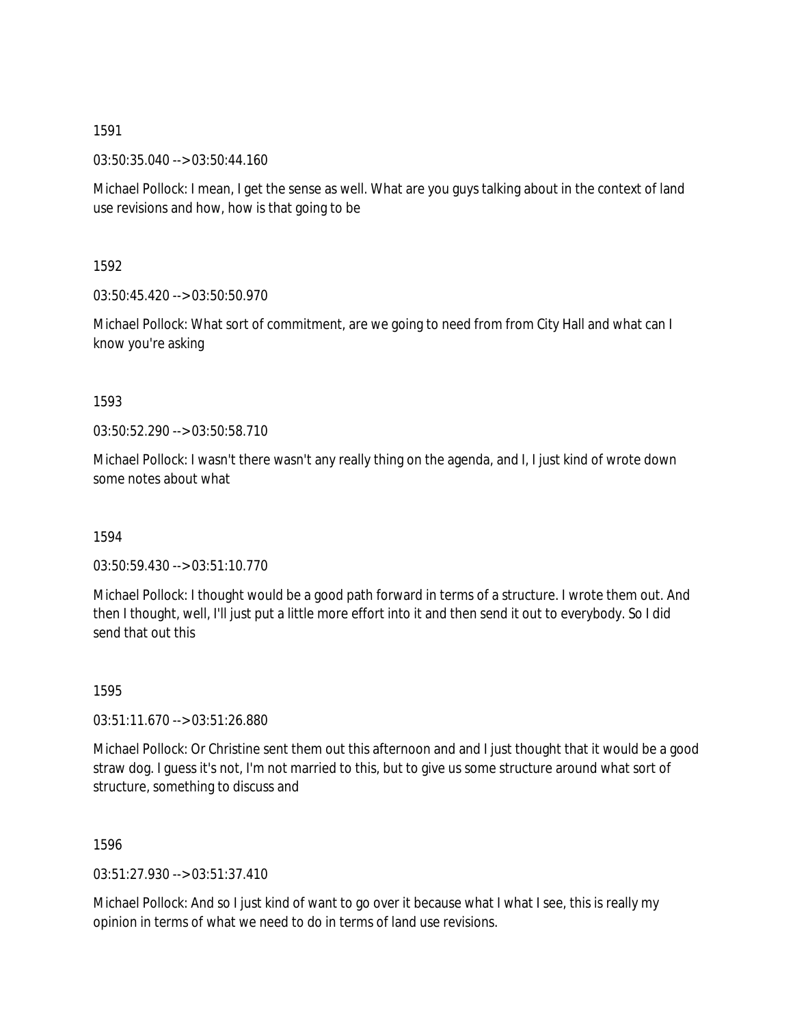03:50:35.040 --> 03:50:44.160

Michael Pollock: I mean, I get the sense as well. What are you guys talking about in the context of land use revisions and how, how is that going to be

1592

03:50:45.420 --> 03:50:50.970

Michael Pollock: What sort of commitment, are we going to need from from City Hall and what can I know you're asking

1593

03:50:52.290 --> 03:50:58.710

Michael Pollock: I wasn't there wasn't any really thing on the agenda, and I, I just kind of wrote down some notes about what

1594

03:50:59.430 --> 03:51:10.770

Michael Pollock: I thought would be a good path forward in terms of a structure. I wrote them out. And then I thought, well, I'll just put a little more effort into it and then send it out to everybody. So I did send that out this

1595

03:51:11.670 --> 03:51:26.880

Michael Pollock: Or Christine sent them out this afternoon and and I just thought that it would be a good straw dog. I guess it's not, I'm not married to this, but to give us some structure around what sort of structure, something to discuss and

1596

03:51:27.930 --> 03:51:37.410

Michael Pollock: And so I just kind of want to go over it because what I what I see, this is really my opinion in terms of what we need to do in terms of land use revisions.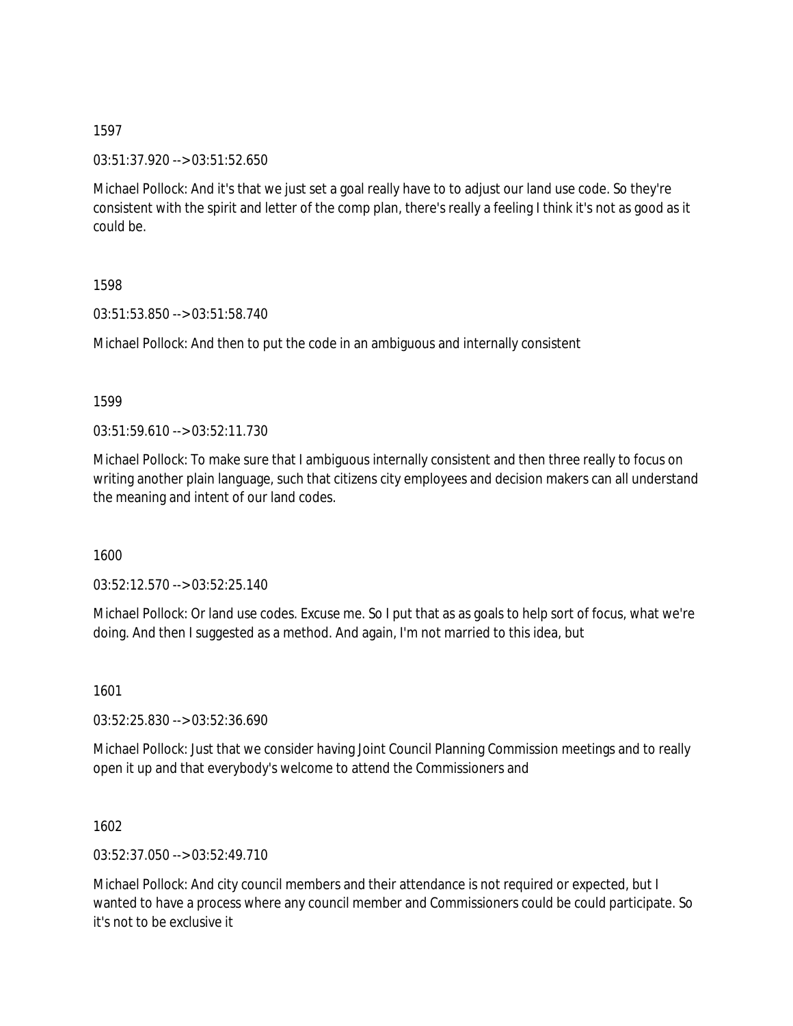03:51:37.920 --> 03:51:52.650

Michael Pollock: And it's that we just set a goal really have to to adjust our land use code. So they're consistent with the spirit and letter of the comp plan, there's really a feeling I think it's not as good as it could be.

1598

03:51:53.850 --> 03:51:58.740

Michael Pollock: And then to put the code in an ambiguous and internally consistent

1599

 $03:51:59.610 \rightarrow 03:52:11.730$ 

Michael Pollock: To make sure that I ambiguous internally consistent and then three really to focus on writing another plain language, such that citizens city employees and decision makers can all understand the meaning and intent of our land codes.

1600

03:52:12.570 --> 03:52:25.140

Michael Pollock: Or land use codes. Excuse me. So I put that as as goals to help sort of focus, what we're doing. And then I suggested as a method. And again, I'm not married to this idea, but

1601

03:52:25.830 --> 03:52:36.690

Michael Pollock: Just that we consider having Joint Council Planning Commission meetings and to really open it up and that everybody's welcome to attend the Commissioners and

1602

03:52:37.050 --> 03:52:49.710

Michael Pollock: And city council members and their attendance is not required or expected, but I wanted to have a process where any council member and Commissioners could be could participate. So it's not to be exclusive it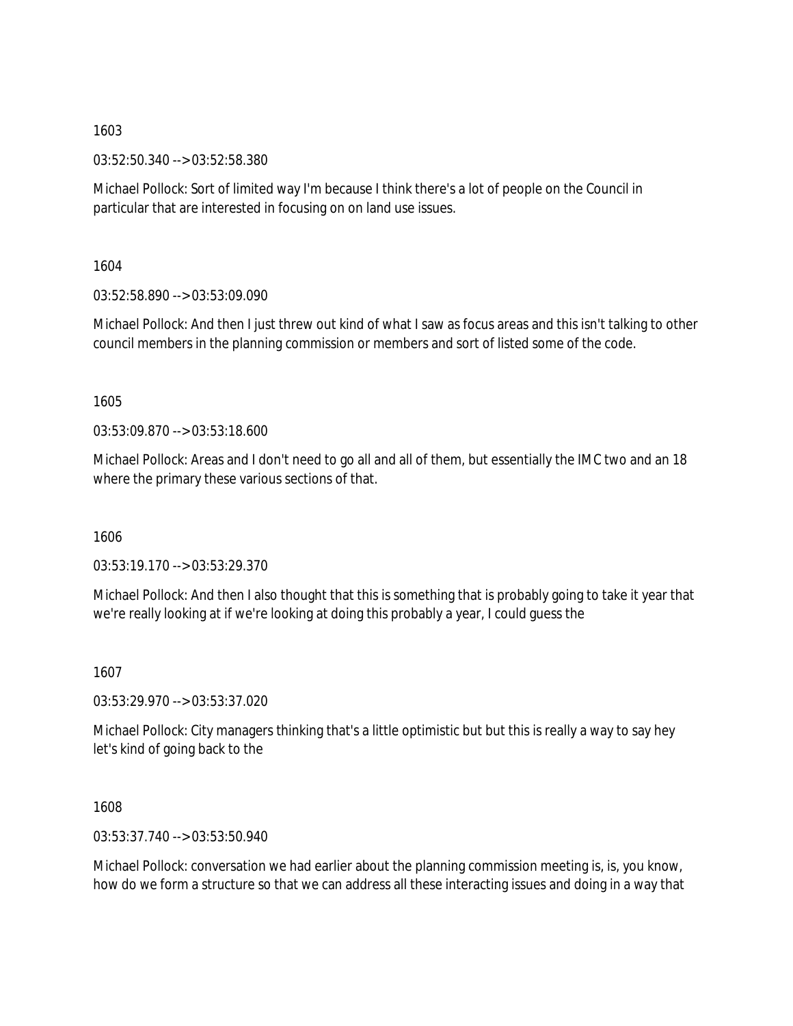03:52:50.340 --> 03:52:58.380

Michael Pollock: Sort of limited way I'm because I think there's a lot of people on the Council in particular that are interested in focusing on on land use issues.

1604

03:52:58.890 --> 03:53:09.090

Michael Pollock: And then I just threw out kind of what I saw as focus areas and this isn't talking to other council members in the planning commission or members and sort of listed some of the code.

1605

03:53:09.870 --> 03:53:18.600

Michael Pollock: Areas and I don't need to go all and all of them, but essentially the IMC two and an 18 where the primary these various sections of that.

1606

03:53:19.170 --> 03:53:29.370

Michael Pollock: And then I also thought that this is something that is probably going to take it year that we're really looking at if we're looking at doing this probably a year, I could guess the

1607

03:53:29.970 --> 03:53:37.020

Michael Pollock: City managers thinking that's a little optimistic but but this is really a way to say hey let's kind of going back to the

1608

03:53:37.740 --> 03:53:50.940

Michael Pollock: conversation we had earlier about the planning commission meeting is, is, you know, how do we form a structure so that we can address all these interacting issues and doing in a way that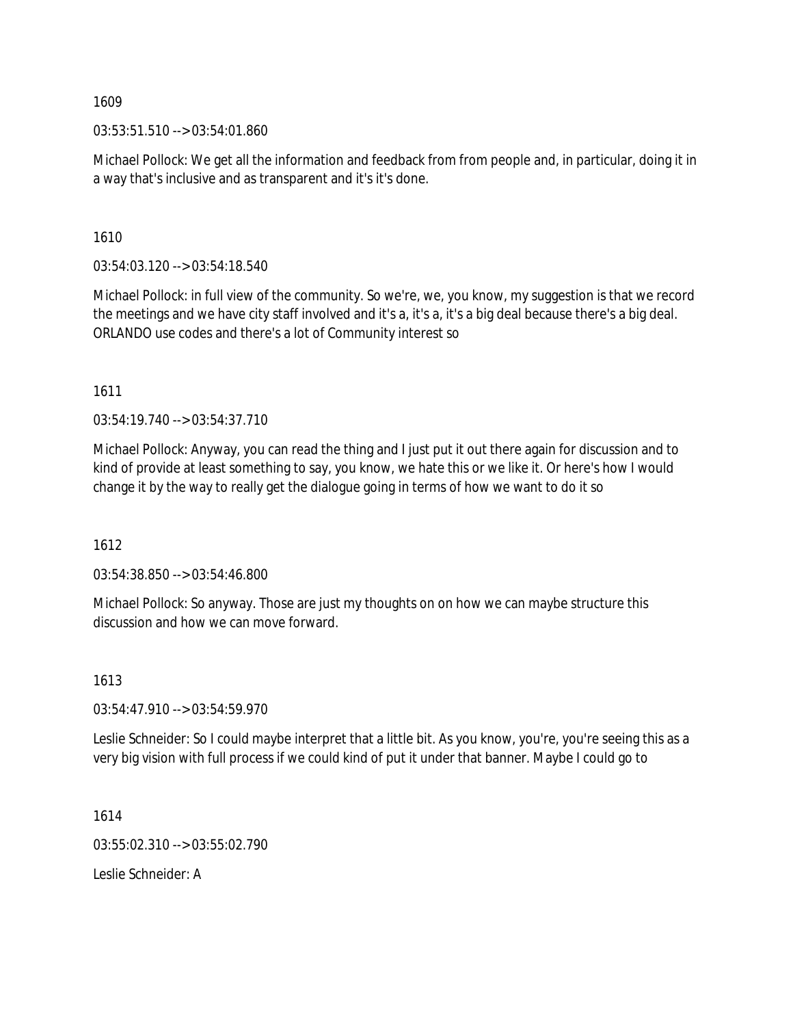03:53:51.510 --> 03:54:01.860

Michael Pollock: We get all the information and feedback from from people and, in particular, doing it in a way that's inclusive and as transparent and it's it's done.

1610

03:54:03.120 --> 03:54:18.540

Michael Pollock: in full view of the community. So we're, we, you know, my suggestion is that we record the meetings and we have city staff involved and it's a, it's a, it's a big deal because there's a big deal. ORLANDO use codes and there's a lot of Community interest so

1611

03:54:19.740 --> 03:54:37.710

Michael Pollock: Anyway, you can read the thing and I just put it out there again for discussion and to kind of provide at least something to say, you know, we hate this or we like it. Or here's how I would change it by the way to really get the dialogue going in terms of how we want to do it so

1612

03:54:38.850 --> 03:54:46.800

Michael Pollock: So anyway. Those are just my thoughts on on how we can maybe structure this discussion and how we can move forward.

1613

03:54:47.910 --> 03:54:59.970

Leslie Schneider: So I could maybe interpret that a little bit. As you know, you're, you're seeing this as a very big vision with full process if we could kind of put it under that banner. Maybe I could go to

1614

03:55:02.310 --> 03:55:02.790

Leslie Schneider: A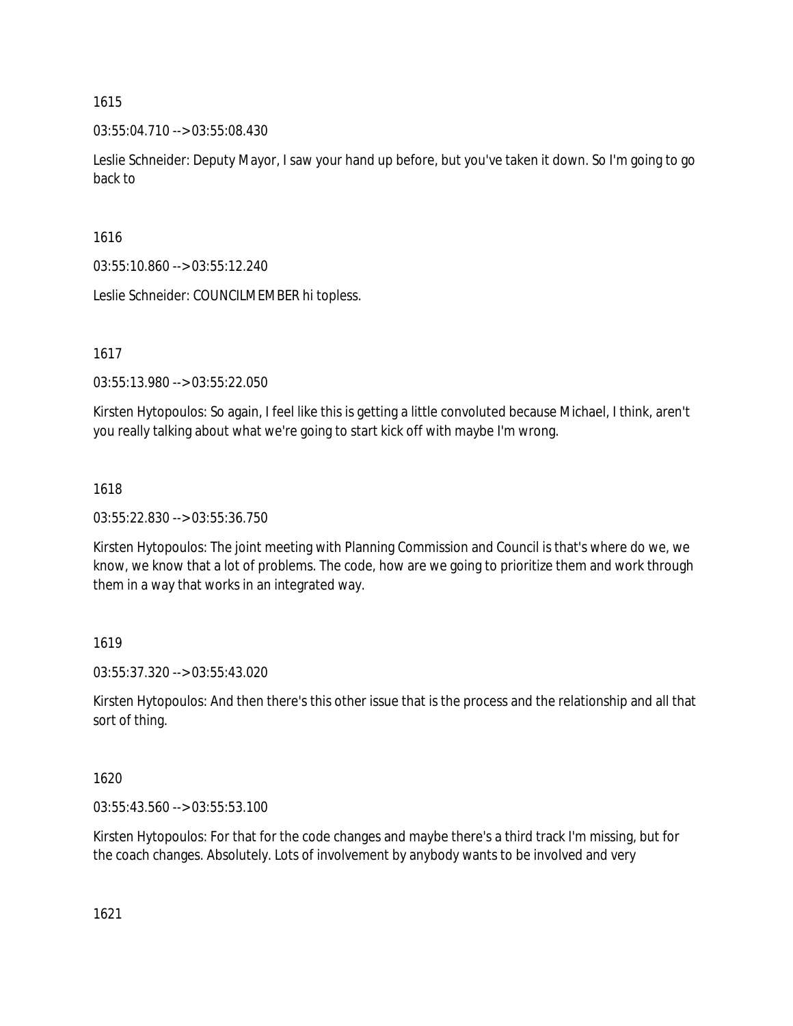03:55:04.710 --> 03:55:08.430

Leslie Schneider: Deputy Mayor, I saw your hand up before, but you've taken it down. So I'm going to go back to

1616

03:55:10.860 --> 03:55:12.240

Leslie Schneider: COUNCILMEMBER hi topless.

1617

03:55:13.980 --> 03:55:22.050

Kirsten Hytopoulos: So again, I feel like this is getting a little convoluted because Michael, I think, aren't you really talking about what we're going to start kick off with maybe I'm wrong.

## 1618

03:55:22.830 --> 03:55:36.750

Kirsten Hytopoulos: The joint meeting with Planning Commission and Council is that's where do we, we know, we know that a lot of problems. The code, how are we going to prioritize them and work through them in a way that works in an integrated way.

1619

03:55:37.320 --> 03:55:43.020

Kirsten Hytopoulos: And then there's this other issue that is the process and the relationship and all that sort of thing.

1620

03:55:43.560 --> 03:55:53.100

Kirsten Hytopoulos: For that for the code changes and maybe there's a third track I'm missing, but for the coach changes. Absolutely. Lots of involvement by anybody wants to be involved and very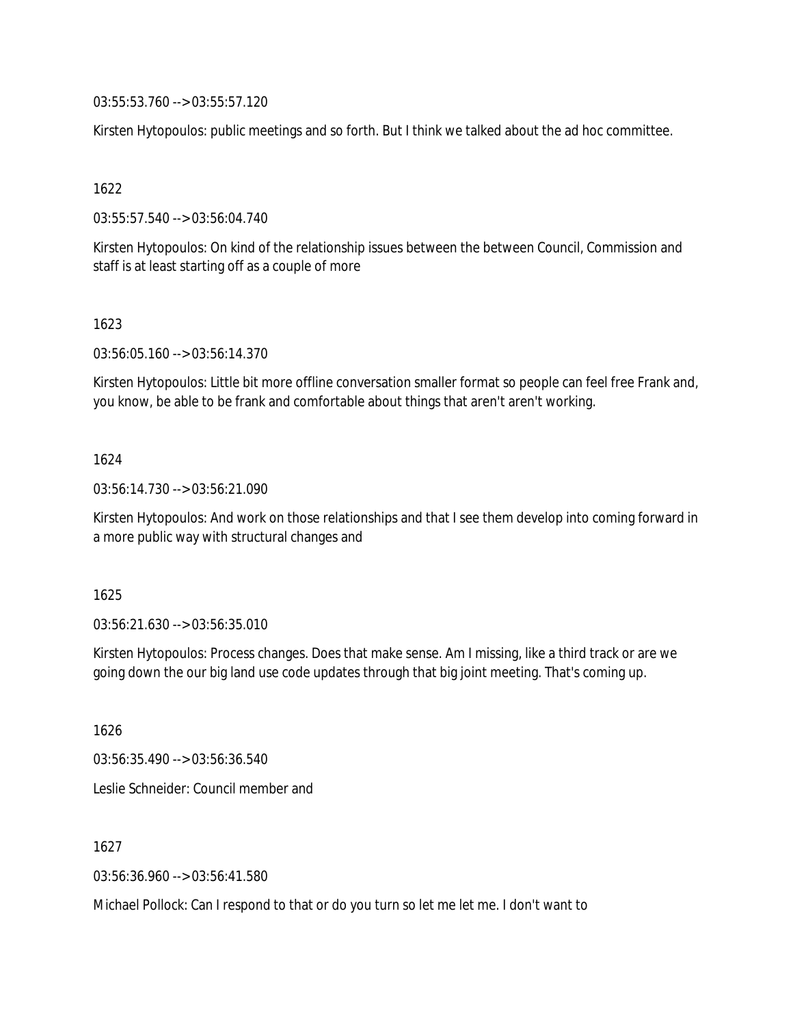03:55:53.760 --> 03:55:57.120

Kirsten Hytopoulos: public meetings and so forth. But I think we talked about the ad hoc committee.

1622

03:55:57.540 --> 03:56:04.740

Kirsten Hytopoulos: On kind of the relationship issues between the between Council, Commission and staff is at least starting off as a couple of more

1623

03:56:05.160 --> 03:56:14.370

Kirsten Hytopoulos: Little bit more offline conversation smaller format so people can feel free Frank and, you know, be able to be frank and comfortable about things that aren't aren't working.

## 1624

03:56:14.730 --> 03:56:21.090

Kirsten Hytopoulos: And work on those relationships and that I see them develop into coming forward in a more public way with structural changes and

1625

03:56:21.630 --> 03:56:35.010

Kirsten Hytopoulos: Process changes. Does that make sense. Am I missing, like a third track or are we going down the our big land use code updates through that big joint meeting. That's coming up.

1626

03:56:35.490 --> 03:56:36.540

Leslie Schneider: Council member and

1627

03:56:36.960 --> 03:56:41.580

Michael Pollock: Can I respond to that or do you turn so let me let me. I don't want to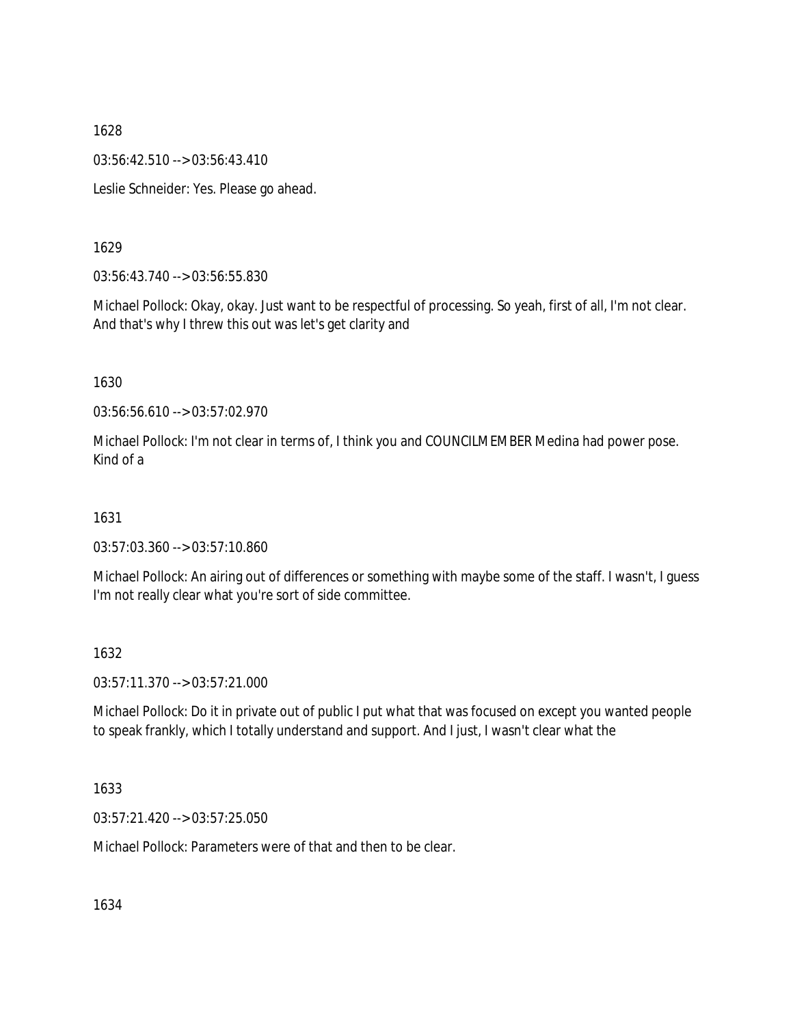03:56:42.510 --> 03:56:43.410

Leslie Schneider: Yes. Please go ahead.

## 1629

03:56:43.740 --> 03:56:55.830

Michael Pollock: Okay, okay. Just want to be respectful of processing. So yeah, first of all, I'm not clear. And that's why I threw this out was let's get clarity and

## 1630

03:56:56.610 --> 03:57:02.970

Michael Pollock: I'm not clear in terms of, I think you and COUNCILMEMBER Medina had power pose. Kind of a

## 1631

03:57:03.360 --> 03:57:10.860

Michael Pollock: An airing out of differences or something with maybe some of the staff. I wasn't, I guess I'm not really clear what you're sort of side committee.

## 1632

03:57:11.370 --> 03:57:21.000

Michael Pollock: Do it in private out of public I put what that was focused on except you wanted people to speak frankly, which I totally understand and support. And I just, I wasn't clear what the

### 1633

03:57:21.420 --> 03:57:25.050

Michael Pollock: Parameters were of that and then to be clear.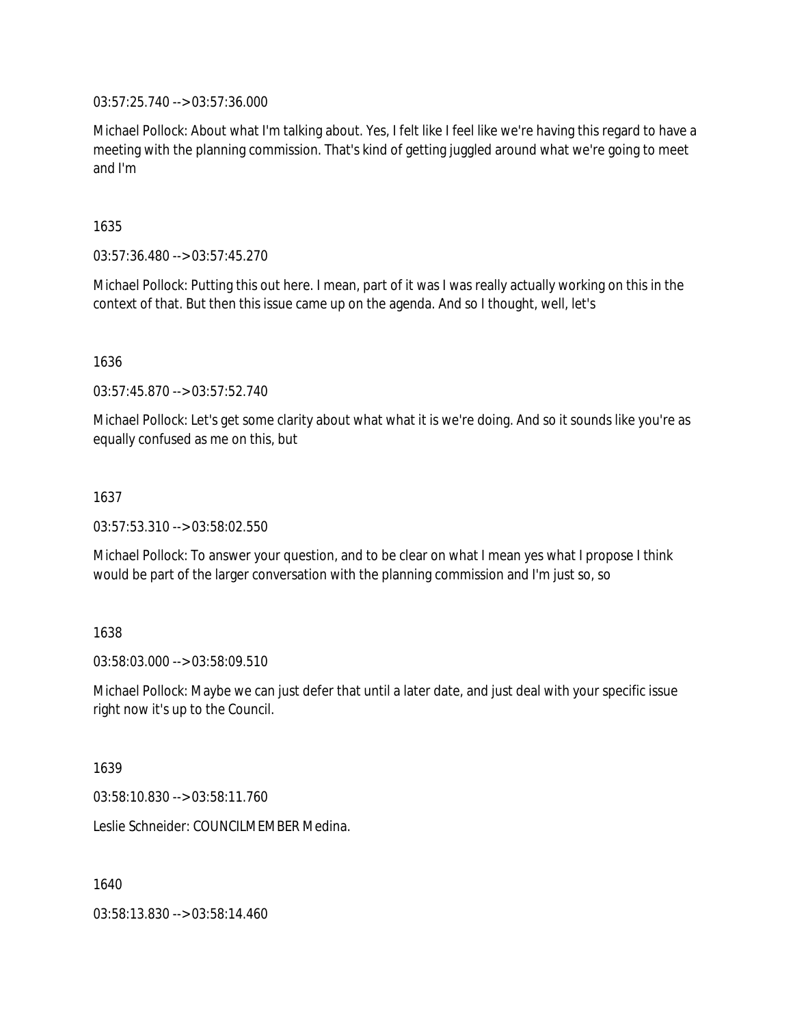03:57:25.740 --> 03:57:36.000

Michael Pollock: About what I'm talking about. Yes, I felt like I feel like we're having this regard to have a meeting with the planning commission. That's kind of getting juggled around what we're going to meet and I'm

1635

03:57:36.480 --> 03:57:45.270

Michael Pollock: Putting this out here. I mean, part of it was I was really actually working on this in the context of that. But then this issue came up on the agenda. And so I thought, well, let's

1636

03:57:45.870 --> 03:57:52.740

Michael Pollock: Let's get some clarity about what what it is we're doing. And so it sounds like you're as equally confused as me on this, but

### 1637

03:57:53.310 --> 03:58:02.550

Michael Pollock: To answer your question, and to be clear on what I mean yes what I propose I think would be part of the larger conversation with the planning commission and I'm just so, so

### 1638

03:58:03.000 --> 03:58:09.510

Michael Pollock: Maybe we can just defer that until a later date, and just deal with your specific issue right now it's up to the Council.

1639

03:58:10.830 --> 03:58:11.760

Leslie Schneider: COUNCILMEMBER Medina.

1640

03:58:13.830 --> 03:58:14.460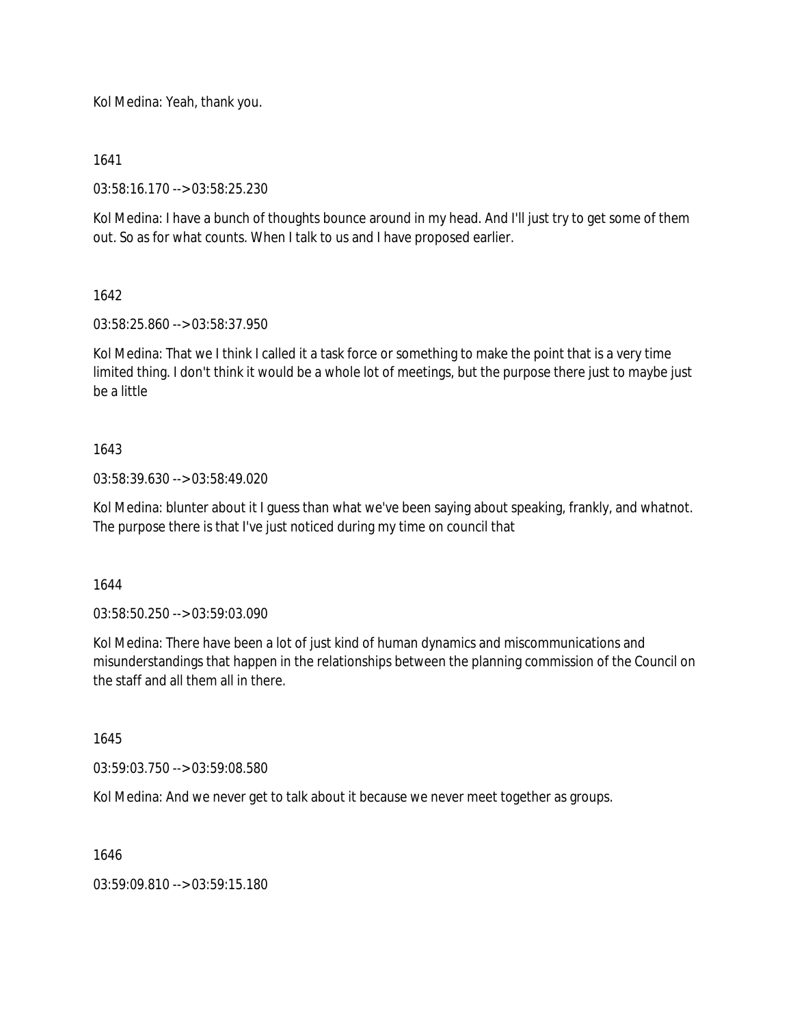Kol Medina: Yeah, thank you.

1641

03:58:16.170 --> 03:58:25.230

Kol Medina: I have a bunch of thoughts bounce around in my head. And I'll just try to get some of them out. So as for what counts. When I talk to us and I have proposed earlier.

1642

03:58:25.860 --> 03:58:37.950

Kol Medina: That we I think I called it a task force or something to make the point that is a very time limited thing. I don't think it would be a whole lot of meetings, but the purpose there just to maybe just be a little

## 1643

03:58:39.630 --> 03:58:49.020

Kol Medina: blunter about it I guess than what we've been saying about speaking, frankly, and whatnot. The purpose there is that I've just noticed during my time on council that

1644

03:58:50.250 --> 03:59:03.090

Kol Medina: There have been a lot of just kind of human dynamics and miscommunications and misunderstandings that happen in the relationships between the planning commission of the Council on the staff and all them all in there.

1645

03:59:03.750 --> 03:59:08.580

Kol Medina: And we never get to talk about it because we never meet together as groups.

1646

03:59:09.810 --> 03:59:15.180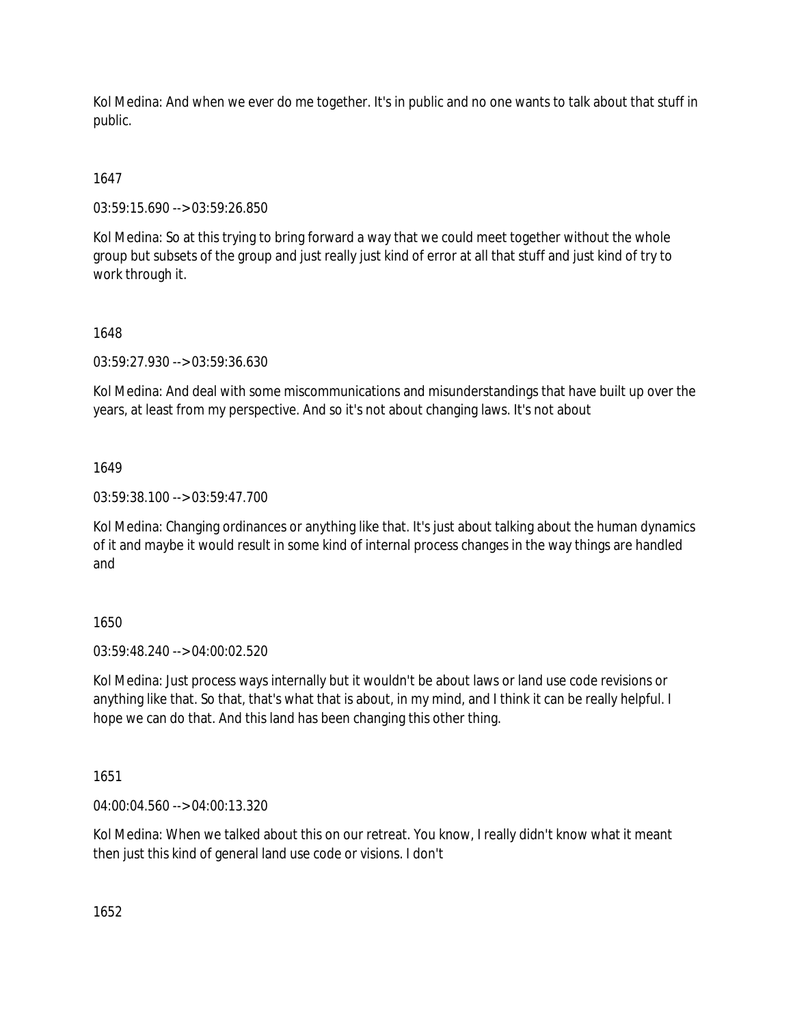Kol Medina: And when we ever do me together. It's in public and no one wants to talk about that stuff in public.

# 1647

03:59:15.690 --> 03:59:26.850

Kol Medina: So at this trying to bring forward a way that we could meet together without the whole group but subsets of the group and just really just kind of error at all that stuff and just kind of try to work through it.

## 1648

03:59:27.930 --> 03:59:36.630

Kol Medina: And deal with some miscommunications and misunderstandings that have built up over the years, at least from my perspective. And so it's not about changing laws. It's not about

## 1649

03:59:38.100 --> 03:59:47.700

Kol Medina: Changing ordinances or anything like that. It's just about talking about the human dynamics of it and maybe it would result in some kind of internal process changes in the way things are handled and

## 1650

03:59:48.240 --> 04:00:02.520

Kol Medina: Just process ways internally but it wouldn't be about laws or land use code revisions or anything like that. So that, that's what that is about, in my mind, and I think it can be really helpful. I hope we can do that. And this land has been changing this other thing.

## 1651

04:00:04.560 --> 04:00:13.320

Kol Medina: When we talked about this on our retreat. You know, I really didn't know what it meant then just this kind of general land use code or visions. I don't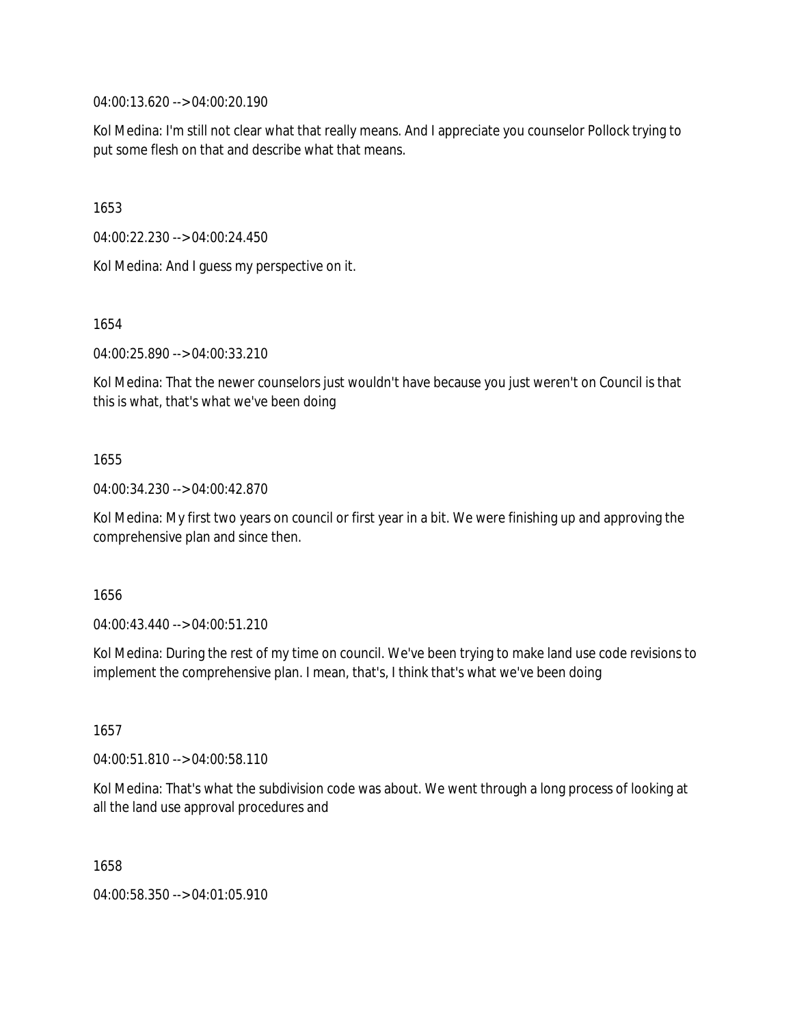04:00:13.620 --> 04:00:20.190

Kol Medina: I'm still not clear what that really means. And I appreciate you counselor Pollock trying to put some flesh on that and describe what that means.

1653

04:00:22.230 --> 04:00:24.450

Kol Medina: And I guess my perspective on it.

1654

04:00:25.890 --> 04:00:33.210

Kol Medina: That the newer counselors just wouldn't have because you just weren't on Council is that this is what, that's what we've been doing

### 1655

04:00:34.230 --> 04:00:42.870

Kol Medina: My first two years on council or first year in a bit. We were finishing up and approving the comprehensive plan and since then.

1656

04:00:43.440 --> 04:00:51.210

Kol Medina: During the rest of my time on council. We've been trying to make land use code revisions to implement the comprehensive plan. I mean, that's, I think that's what we've been doing

1657

04:00:51.810 --> 04:00:58.110

Kol Medina: That's what the subdivision code was about. We went through a long process of looking at all the land use approval procedures and

1658

04:00:58.350 --> 04:01:05.910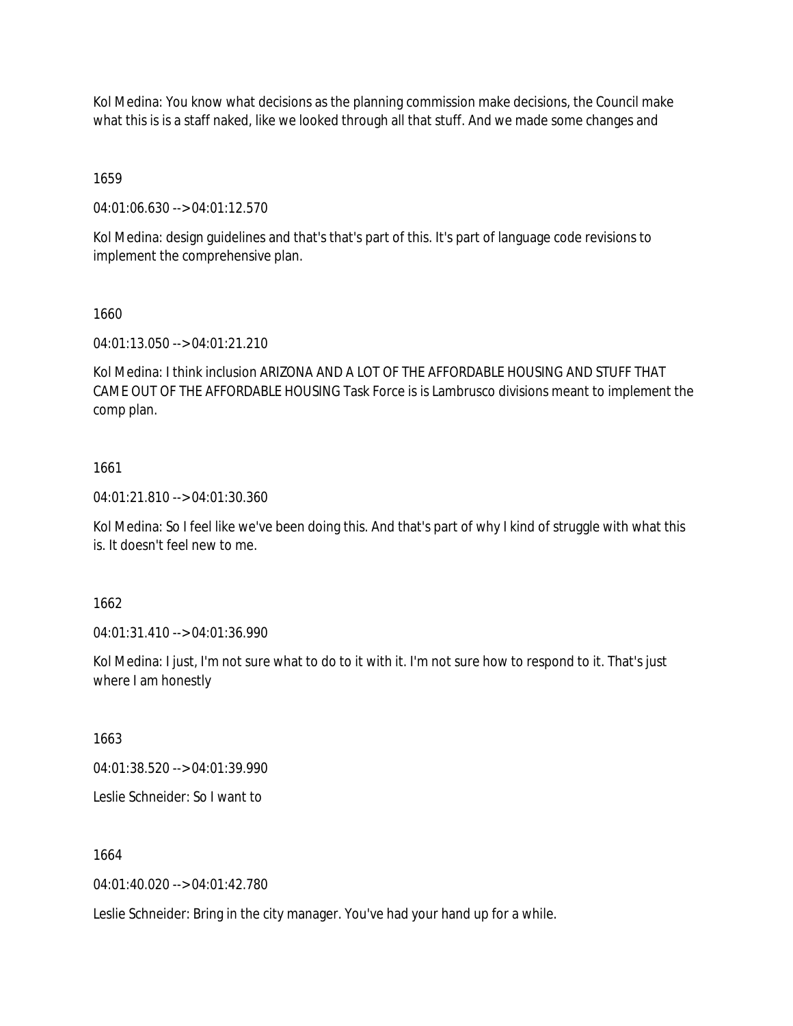Kol Medina: You know what decisions as the planning commission make decisions, the Council make what this is is a staff naked, like we looked through all that stuff. And we made some changes and

1659

04:01:06.630 --> 04:01:12.570

Kol Medina: design guidelines and that's that's part of this. It's part of language code revisions to implement the comprehensive plan.

1660

04:01:13.050 --> 04:01:21.210

Kol Medina: I think inclusion ARIZONA AND A LOT OF THE AFFORDABLE HOUSING AND STUFF THAT CAME OUT OF THE AFFORDABLE HOUSING Task Force is is Lambrusco divisions meant to implement the comp plan.

## 1661

04:01:21.810 --> 04:01:30.360

Kol Medina: So I feel like we've been doing this. And that's part of why I kind of struggle with what this is. It doesn't feel new to me.

1662

04:01:31.410 --> 04:01:36.990

Kol Medina: I just, I'm not sure what to do to it with it. I'm not sure how to respond to it. That's just where I am honestly

1663

04:01:38.520 --> 04:01:39.990

Leslie Schneider: So I want to

1664

04:01:40.020 --> 04:01:42.780

Leslie Schneider: Bring in the city manager. You've had your hand up for a while.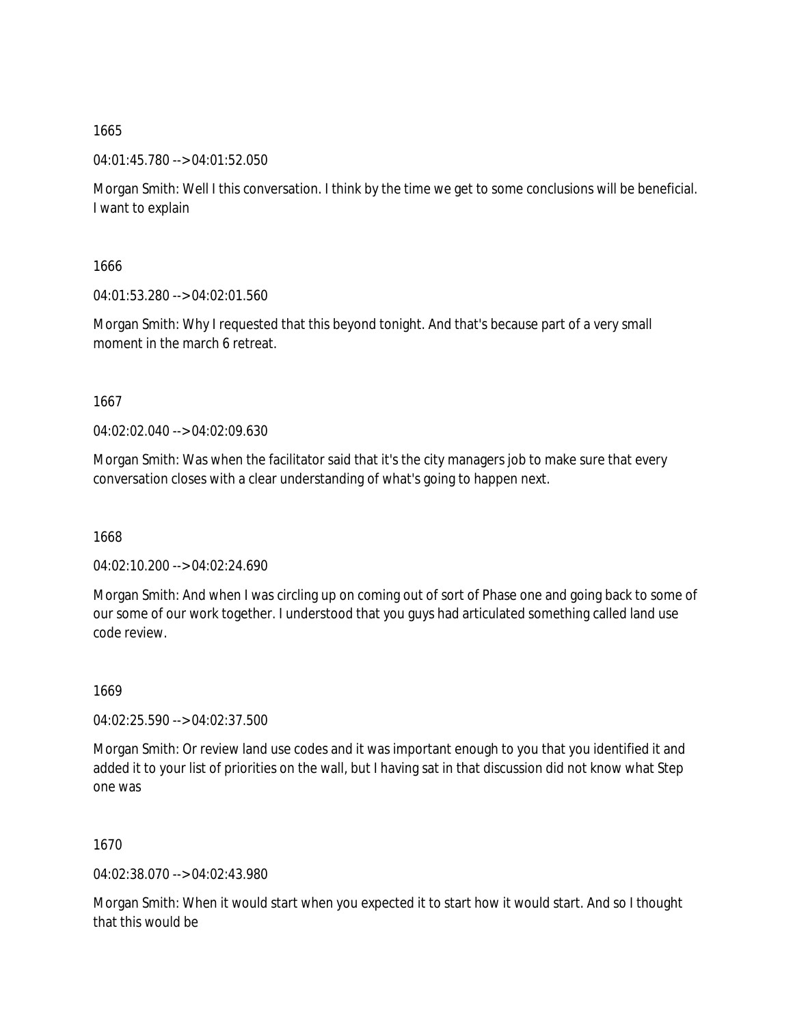04:01:45.780 --> 04:01:52.050

Morgan Smith: Well I this conversation. I think by the time we get to some conclusions will be beneficial. I want to explain

1666

04:01:53.280 --> 04:02:01.560

Morgan Smith: Why I requested that this beyond tonight. And that's because part of a very small moment in the march 6 retreat.

1667

04:02:02.040 --> 04:02:09.630

Morgan Smith: Was when the facilitator said that it's the city managers job to make sure that every conversation closes with a clear understanding of what's going to happen next.

1668

04:02:10.200 --> 04:02:24.690

Morgan Smith: And when I was circling up on coming out of sort of Phase one and going back to some of our some of our work together. I understood that you guys had articulated something called land use code review.

1669

04:02:25.590 --> 04:02:37.500

Morgan Smith: Or review land use codes and it was important enough to you that you identified it and added it to your list of priorities on the wall, but I having sat in that discussion did not know what Step one was

1670

04:02:38.070 --> 04:02:43.980

Morgan Smith: When it would start when you expected it to start how it would start. And so I thought that this would be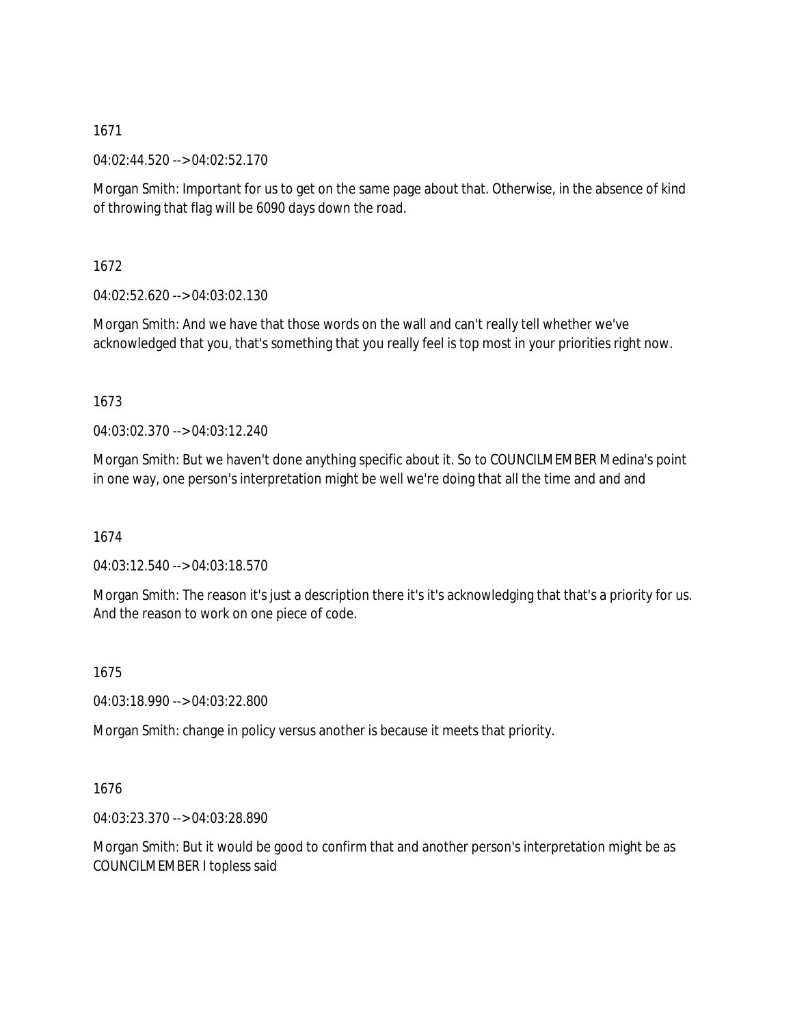04:02:44.520 --> 04:02:52.170

Morgan Smith: Important for us to get on the same page about that. Otherwise, in the absence of kind of throwing that flag will be 6090 days down the road.

1672

04:02:52.620 --> 04:03:02.130

Morgan Smith: And we have that those words on the wall and can't really tell whether we've acknowledged that you, that's something that you really feel is top most in your priorities right now.

1673

04:03:02.370 --> 04:03:12.240

Morgan Smith: But we haven't done anything specific about it. So to COUNCILMEMBER Medina's point in one way, one person's interpretation might be well we're doing that all the time and and and

1674

04:03:12.540 --> 04:03:18.570

Morgan Smith: The reason it's just a description there it's it's acknowledging that that's a priority for us. And the reason to work on one piece of code.

1675

04:03:18.990 --> 04:03:22.800

Morgan Smith: change in policy versus another is because it meets that priority.

1676

04:03:23.370 --> 04:03:28.890

Morgan Smith: But it would be good to confirm that and another person's interpretation might be as COUNCILMEMBER I topless said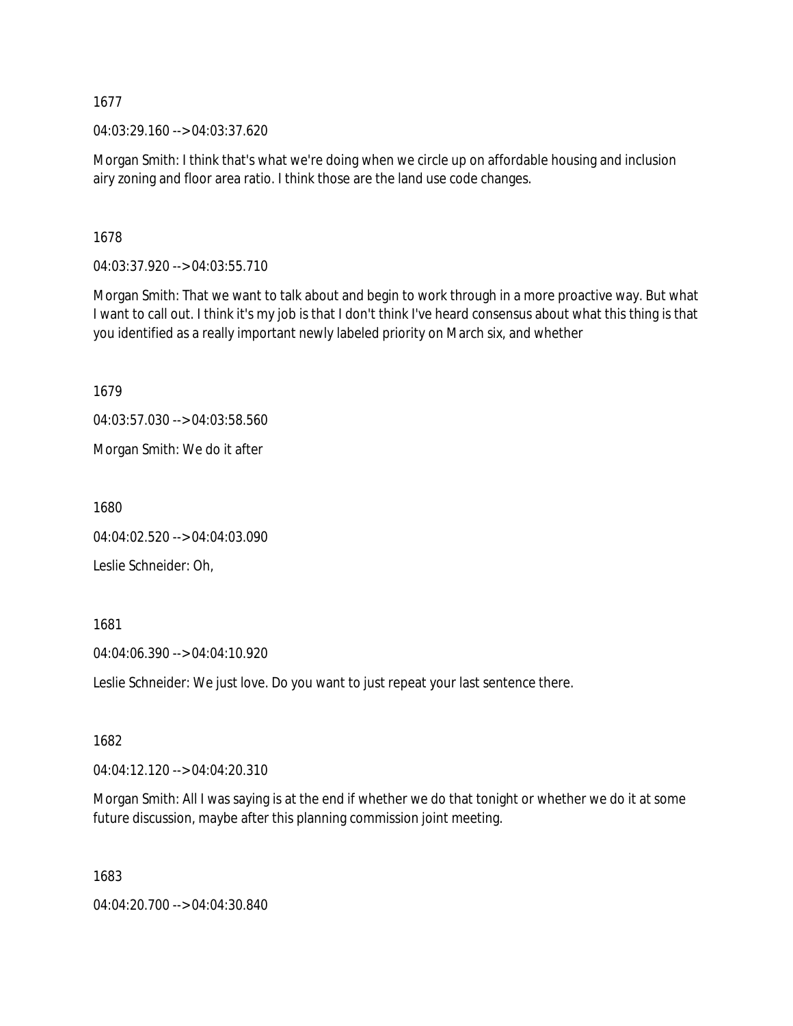04:03:29.160 --> 04:03:37.620

Morgan Smith: I think that's what we're doing when we circle up on affordable housing and inclusion airy zoning and floor area ratio. I think those are the land use code changes.

1678

04:03:37.920 --> 04:03:55.710

Morgan Smith: That we want to talk about and begin to work through in a more proactive way. But what I want to call out. I think it's my job is that I don't think I've heard consensus about what this thing is that you identified as a really important newly labeled priority on March six, and whether

1679

04:03:57.030 --> 04:03:58.560

Morgan Smith: We do it after

1680

04:04:02.520 --> 04:04:03.090

Leslie Schneider: Oh,

1681

04:04:06.390 --> 04:04:10.920

Leslie Schneider: We just love. Do you want to just repeat your last sentence there.

1682

04:04:12.120 --> 04:04:20.310

Morgan Smith: All I was saying is at the end if whether we do that tonight or whether we do it at some future discussion, maybe after this planning commission joint meeting.

1683

04:04:20.700 --> 04:04:30.840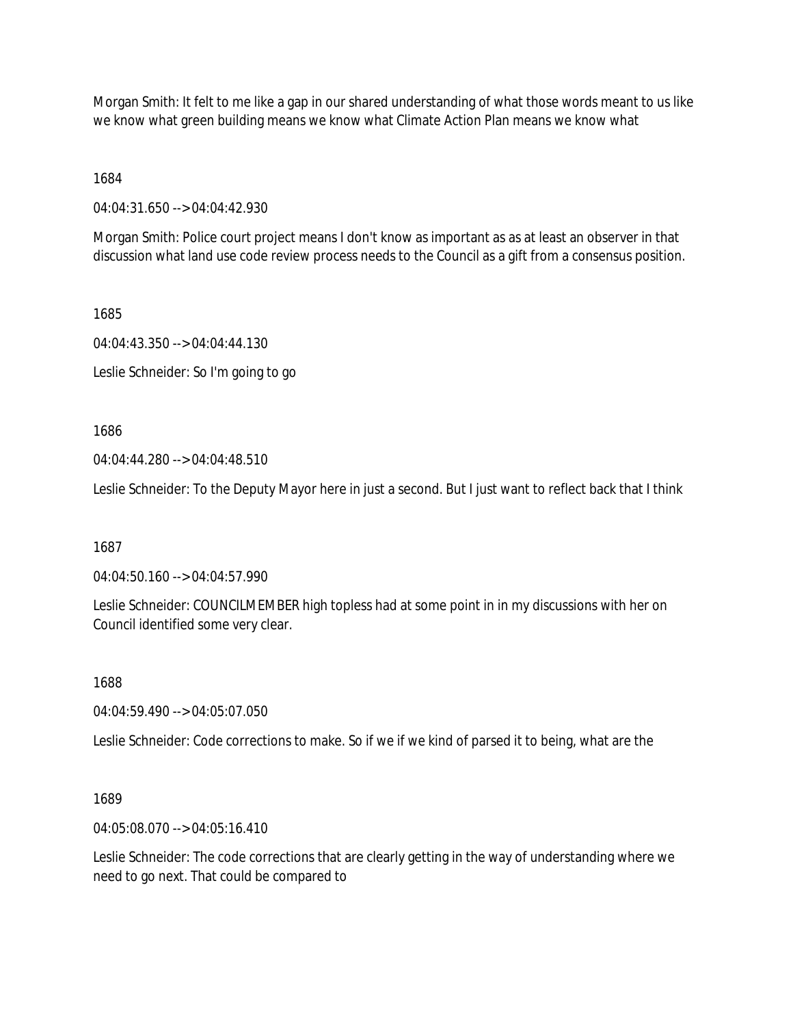Morgan Smith: It felt to me like a gap in our shared understanding of what those words meant to us like we know what green building means we know what Climate Action Plan means we know what

1684

04:04:31.650 --> 04:04:42.930

Morgan Smith: Police court project means I don't know as important as as at least an observer in that discussion what land use code review process needs to the Council as a gift from a consensus position.

1685

04:04:43.350 --> 04:04:44.130 Leslie Schneider: So I'm going to go

1686

04:04:44.280 --> 04:04:48.510

Leslie Schneider: To the Deputy Mayor here in just a second. But I just want to reflect back that I think

1687

04:04:50.160 --> 04:04:57.990

Leslie Schneider: COUNCILMEMBER high topless had at some point in in my discussions with her on Council identified some very clear.

1688

04:04:59.490 --> 04:05:07.050

Leslie Schneider: Code corrections to make. So if we if we kind of parsed it to being, what are the

1689

04:05:08.070 --> 04:05:16.410

Leslie Schneider: The code corrections that are clearly getting in the way of understanding where we need to go next. That could be compared to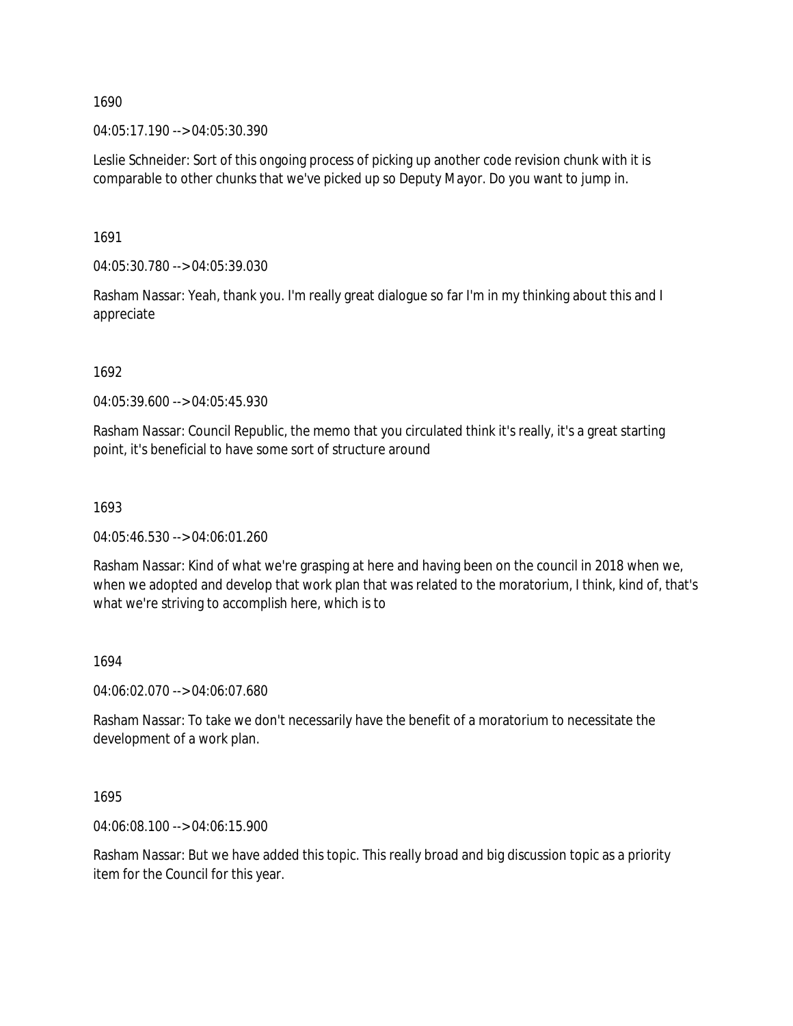04:05:17.190 --> 04:05:30.390

Leslie Schneider: Sort of this ongoing process of picking up another code revision chunk with it is comparable to other chunks that we've picked up so Deputy Mayor. Do you want to jump in.

1691

04:05:30.780 --> 04:05:39.030

Rasham Nassar: Yeah, thank you. I'm really great dialogue so far I'm in my thinking about this and I appreciate

1692

04:05:39.600 --> 04:05:45.930

Rasham Nassar: Council Republic, the memo that you circulated think it's really, it's a great starting point, it's beneficial to have some sort of structure around

1693

04:05:46.530 --> 04:06:01.260

Rasham Nassar: Kind of what we're grasping at here and having been on the council in 2018 when we, when we adopted and develop that work plan that was related to the moratorium, I think, kind of, that's what we're striving to accomplish here, which is to

### 1694

04:06:02.070 --> 04:06:07.680

Rasham Nassar: To take we don't necessarily have the benefit of a moratorium to necessitate the development of a work plan.

1695

04:06:08.100 --> 04:06:15.900

Rasham Nassar: But we have added this topic. This really broad and big discussion topic as a priority item for the Council for this year.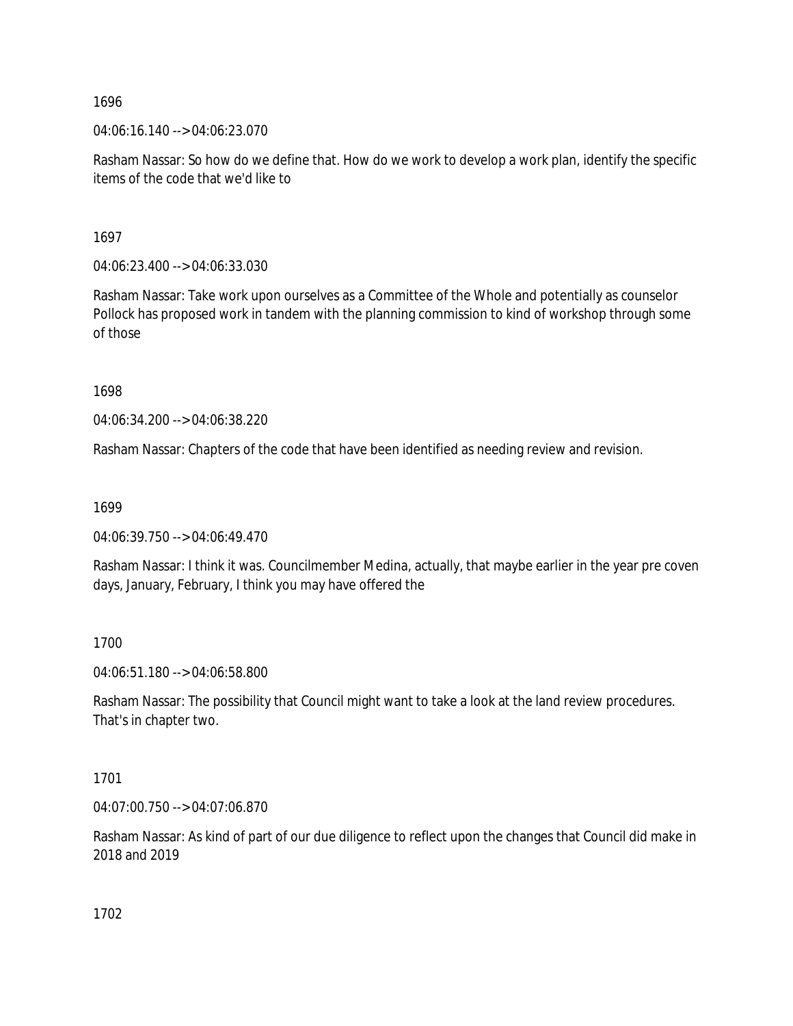04:06:16.140 --> 04:06:23.070

Rasham Nassar: So how do we define that. How do we work to develop a work plan, identify the specific items of the code that we'd like to

1697

04:06:23.400 --> 04:06:33.030

Rasham Nassar: Take work upon ourselves as a Committee of the Whole and potentially as counselor Pollock has proposed work in tandem with the planning commission to kind of workshop through some of those

1698

04:06:34.200 --> 04:06:38.220

Rasham Nassar: Chapters of the code that have been identified as needing review and revision.

1699

04:06:39.750 --> 04:06:49.470

Rasham Nassar: I think it was. Councilmember Medina, actually, that maybe earlier in the year pre coven days, January, February, I think you may have offered the

1700

04:06:51.180 --> 04:06:58.800

Rasham Nassar: The possibility that Council might want to take a look at the land review procedures. That's in chapter two.

1701

04:07:00.750 --> 04:07:06.870

Rasham Nassar: As kind of part of our due diligence to reflect upon the changes that Council did make in 2018 and 2019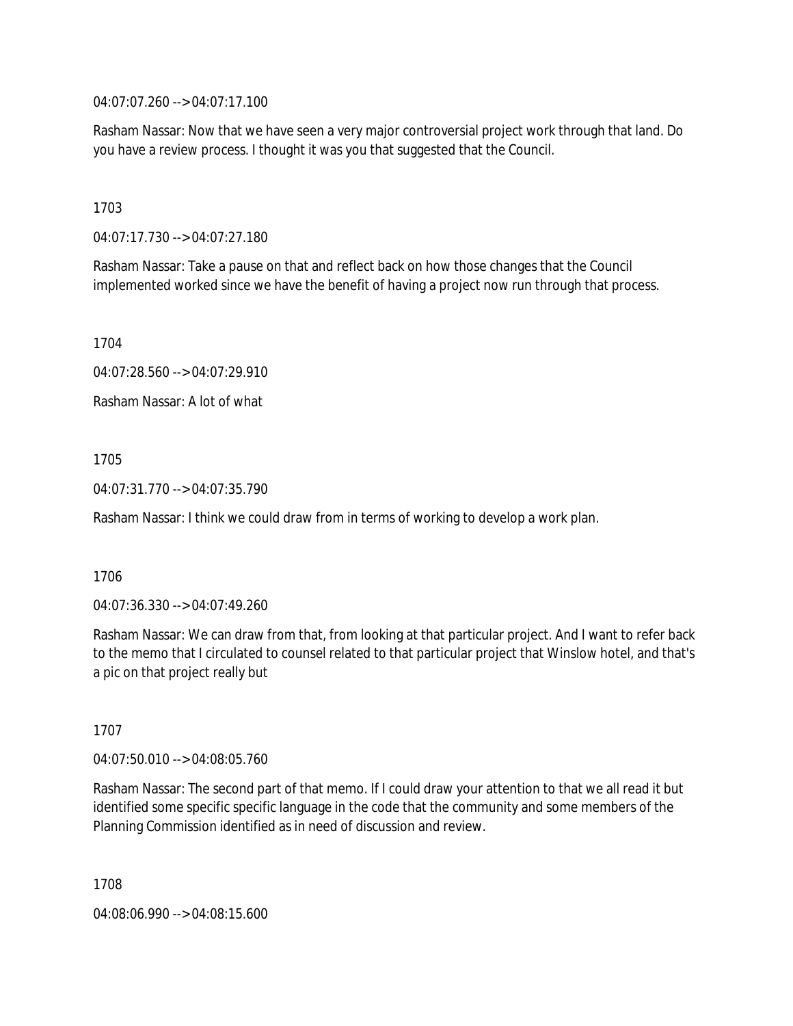04:07:07.260 --> 04:07:17.100

Rasham Nassar: Now that we have seen a very major controversial project work through that land. Do you have a review process. I thought it was you that suggested that the Council.

1703

04:07:17.730 --> 04:07:27.180

Rasham Nassar: Take a pause on that and reflect back on how those changes that the Council implemented worked since we have the benefit of having a project now run through that process.

1704

04:07:28.560 --> 04:07:29.910

Rasham Nassar: A lot of what

1705

04:07:31.770 --> 04:07:35.790

Rasham Nassar: I think we could draw from in terms of working to develop a work plan.

1706

04:07:36.330 --> 04:07:49.260

Rasham Nassar: We can draw from that, from looking at that particular project. And I want to refer back to the memo that I circulated to counsel related to that particular project that Winslow hotel, and that's a pic on that project really but

1707

04:07:50.010 --> 04:08:05.760

Rasham Nassar: The second part of that memo. If I could draw your attention to that we all read it but identified some specific specific language in the code that the community and some members of the Planning Commission identified as in need of discussion and review.

1708

04:08:06.990 --> 04:08:15.600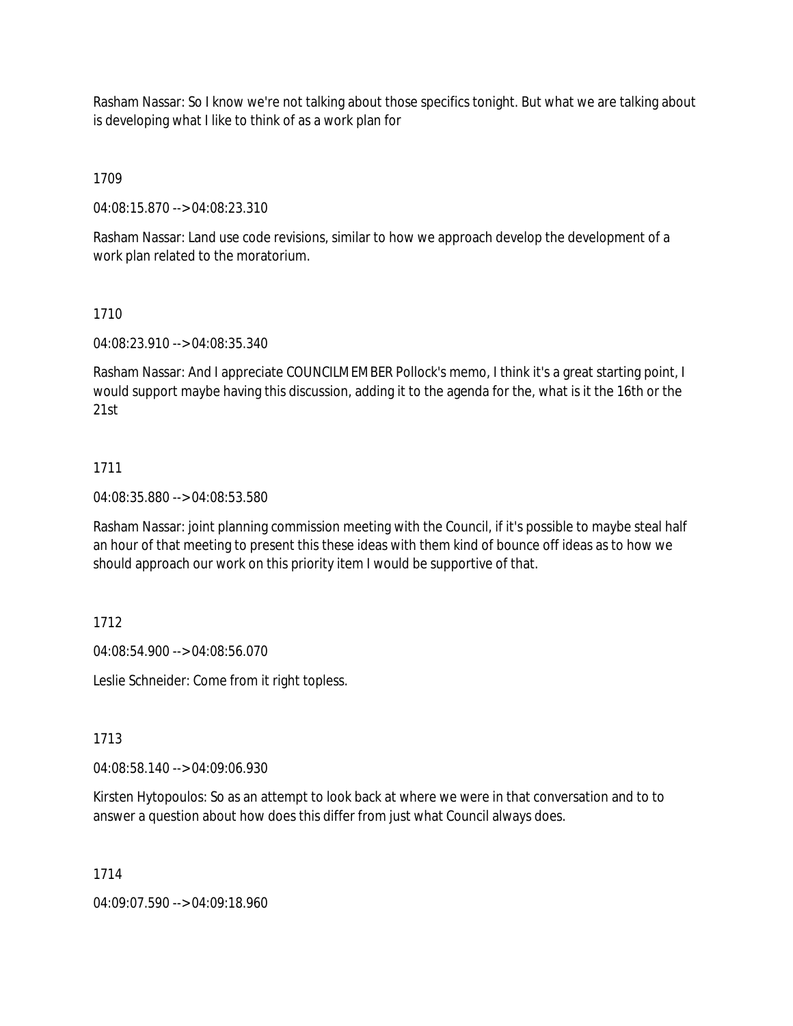Rasham Nassar: So I know we're not talking about those specifics tonight. But what we are talking about is developing what I like to think of as a work plan for

1709

04:08:15.870 --> 04:08:23.310

Rasham Nassar: Land use code revisions, similar to how we approach develop the development of a work plan related to the moratorium.

## 1710

04:08:23.910 --> 04:08:35.340

Rasham Nassar: And I appreciate COUNCILMEMBER Pollock's memo, I think it's a great starting point, I would support maybe having this discussion, adding it to the agenda for the, what is it the 16th or the 21st

## 1711

04:08:35.880 --> 04:08:53.580

Rasham Nassar: joint planning commission meeting with the Council, if it's possible to maybe steal half an hour of that meeting to present this these ideas with them kind of bounce off ideas as to how we should approach our work on this priority item I would be supportive of that.

## 1712

04:08:54.900 --> 04:08:56.070

Leslie Schneider: Come from it right topless.

## 1713

04:08:58.140 --> 04:09:06.930

Kirsten Hytopoulos: So as an attempt to look back at where we were in that conversation and to to answer a question about how does this differ from just what Council always does.

### 1714

04:09:07.590 --> 04:09:18.960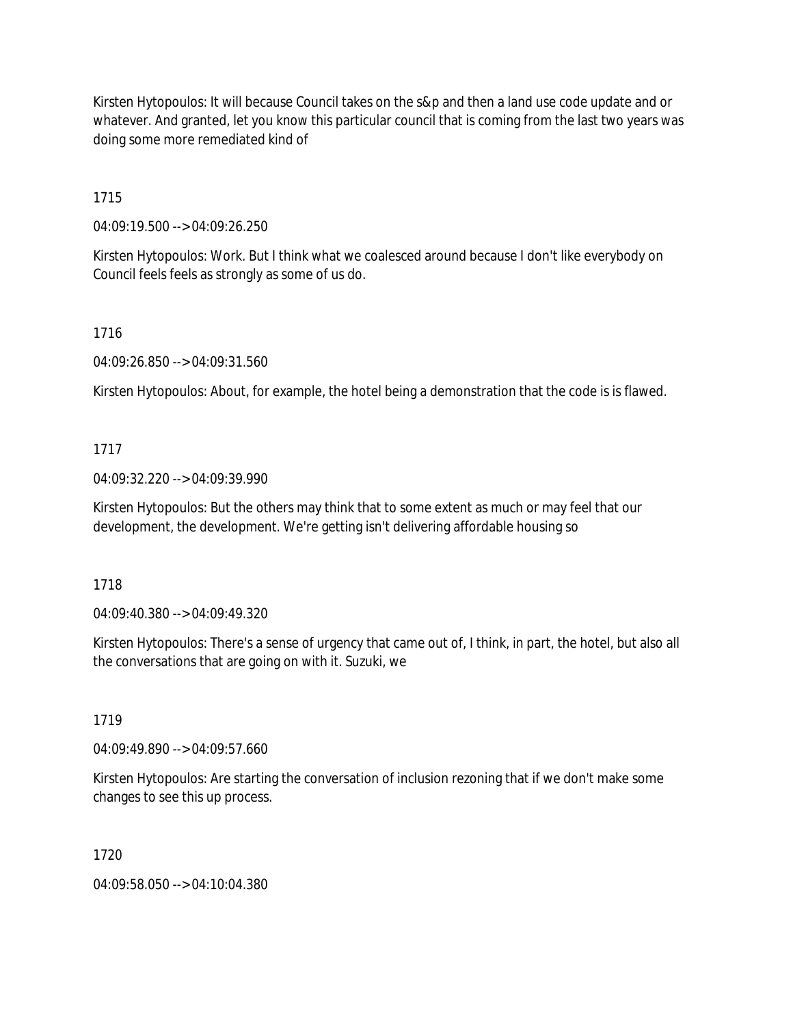Kirsten Hytopoulos: It will because Council takes on the s&p and then a land use code update and or whatever. And granted, let you know this particular council that is coming from the last two years was doing some more remediated kind of

1715

04:09:19.500 --> 04:09:26.250

Kirsten Hytopoulos: Work. But I think what we coalesced around because I don't like everybody on Council feels feels as strongly as some of us do.

1716

04:09:26.850 --> 04:09:31.560

Kirsten Hytopoulos: About, for example, the hotel being a demonstration that the code is is flawed.

## 1717

04:09:32.220 --> 04:09:39.990

Kirsten Hytopoulos: But the others may think that to some extent as much or may feel that our development, the development. We're getting isn't delivering affordable housing so

### 1718

04:09:40.380 --> 04:09:49.320

Kirsten Hytopoulos: There's a sense of urgency that came out of, I think, in part, the hotel, but also all the conversations that are going on with it. Suzuki, we

1719

04:09:49.890 --> 04:09:57.660

Kirsten Hytopoulos: Are starting the conversation of inclusion rezoning that if we don't make some changes to see this up process.

1720

04:09:58.050 --> 04:10:04.380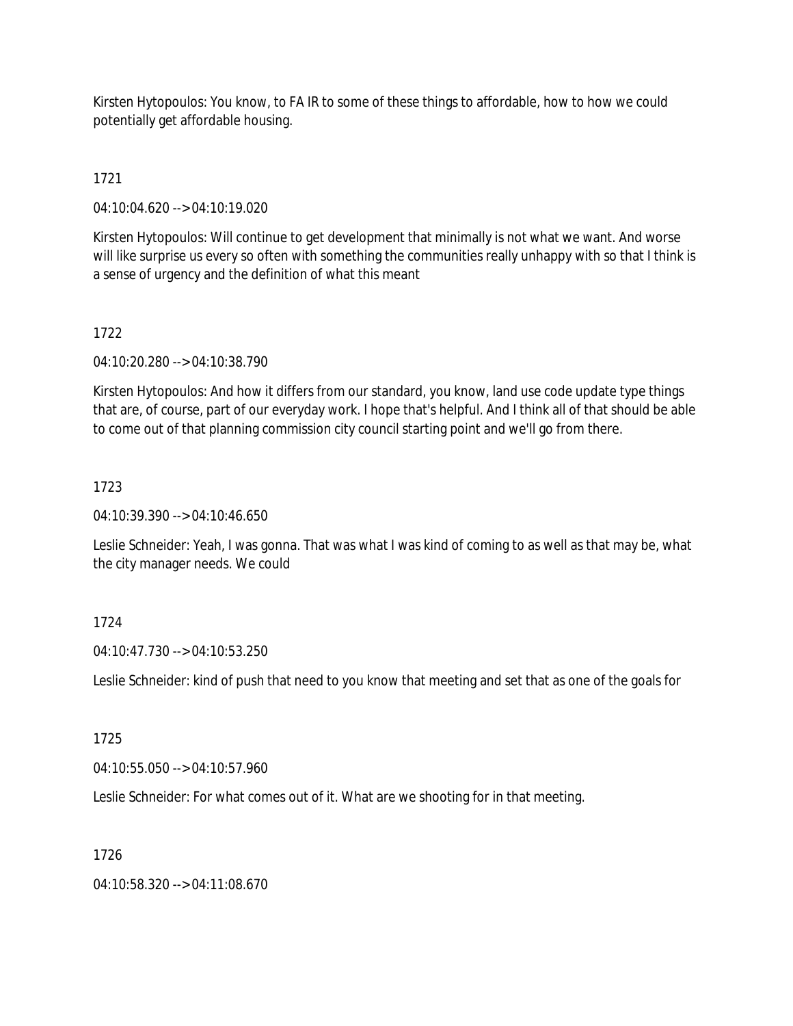Kirsten Hytopoulos: You know, to FA IR to some of these things to affordable, how to how we could potentially get affordable housing.

1721

04:10:04.620 --> 04:10:19.020

Kirsten Hytopoulos: Will continue to get development that minimally is not what we want. And worse will like surprise us every so often with something the communities really unhappy with so that I think is a sense of urgency and the definition of what this meant

1722

04:10:20.280 --> 04:10:38.790

Kirsten Hytopoulos: And how it differs from our standard, you know, land use code update type things that are, of course, part of our everyday work. I hope that's helpful. And I think all of that should be able to come out of that planning commission city council starting point and we'll go from there.

## 1723

04:10:39.390 --> 04:10:46.650

Leslie Schneider: Yeah, I was gonna. That was what I was kind of coming to as well as that may be, what the city manager needs. We could

## 1724

04:10:47.730 --> 04:10:53.250

Leslie Schneider: kind of push that need to you know that meeting and set that as one of the goals for

1725

04:10:55.050 --> 04:10:57.960

Leslie Schneider: For what comes out of it. What are we shooting for in that meeting.

### 1726

04:10:58.320 --> 04:11:08.670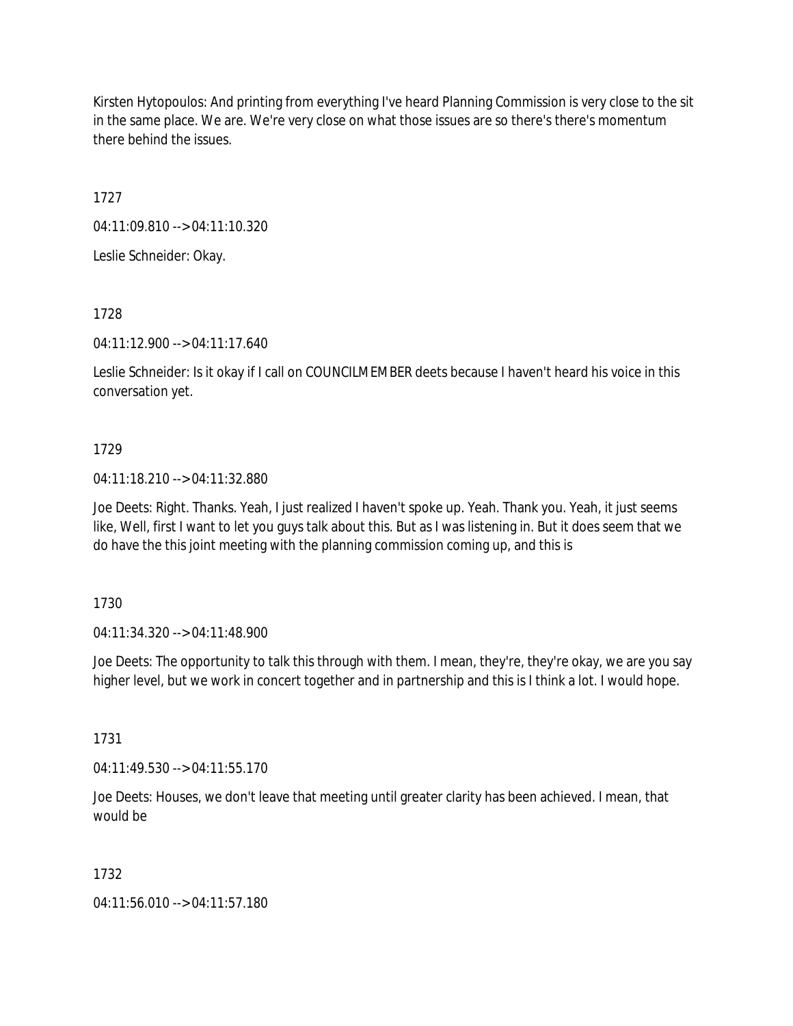Kirsten Hytopoulos: And printing from everything I've heard Planning Commission is very close to the sit in the same place. We are. We're very close on what those issues are so there's there's momentum there behind the issues.

1727

04:11:09.810 --> 04:11:10.320

Leslie Schneider: Okay.

1728

04:11:12.900 --> 04:11:17.640

Leslie Schneider: Is it okay if I call on COUNCILMEMBER deets because I haven't heard his voice in this conversation yet.

## 1729

04:11:18.210 --> 04:11:32.880

Joe Deets: Right. Thanks. Yeah, I just realized I haven't spoke up. Yeah. Thank you. Yeah, it just seems like, Well, first I want to let you guys talk about this. But as I was listening in. But it does seem that we do have the this joint meeting with the planning commission coming up, and this is

1730

04:11:34.320 --> 04:11:48.900

Joe Deets: The opportunity to talk this through with them. I mean, they're, they're okay, we are you say higher level, but we work in concert together and in partnership and this is I think a lot. I would hope.

1731

04:11:49.530 --> 04:11:55.170

Joe Deets: Houses, we don't leave that meeting until greater clarity has been achieved. I mean, that would be

1732

04:11:56.010 --> 04:11:57.180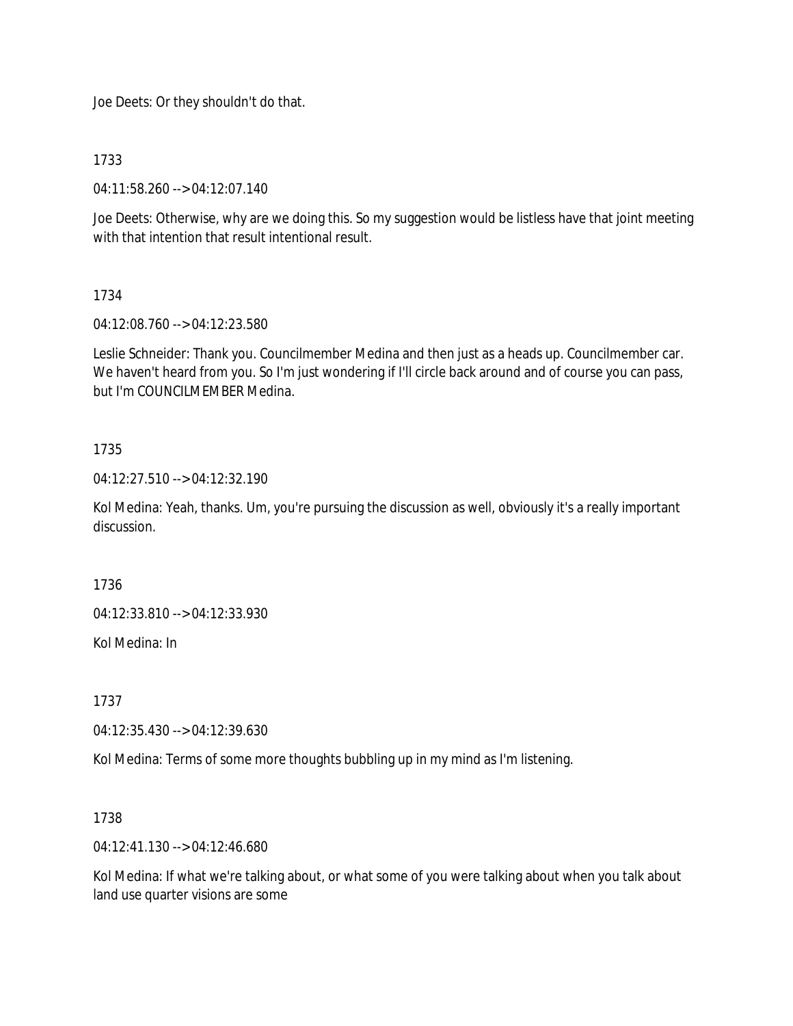Joe Deets: Or they shouldn't do that.

1733

04:11:58.260 --> 04:12:07.140

Joe Deets: Otherwise, why are we doing this. So my suggestion would be listless have that joint meeting with that intention that result intentional result.

## 1734

04:12:08.760 --> 04:12:23.580

Leslie Schneider: Thank you. Councilmember Medina and then just as a heads up. Councilmember car. We haven't heard from you. So I'm just wondering if I'll circle back around and of course you can pass, but I'm COUNCILMEMBER Medina.

## 1735

04:12:27.510 --> 04:12:32.190

Kol Medina: Yeah, thanks. Um, you're pursuing the discussion as well, obviously it's a really important discussion.

1736

04:12:33.810 --> 04:12:33.930

Kol Medina: In

1737

04:12:35.430 --> 04:12:39.630

Kol Medina: Terms of some more thoughts bubbling up in my mind as I'm listening.

1738

04:12:41.130 --> 04:12:46.680

Kol Medina: If what we're talking about, or what some of you were talking about when you talk about land use quarter visions are some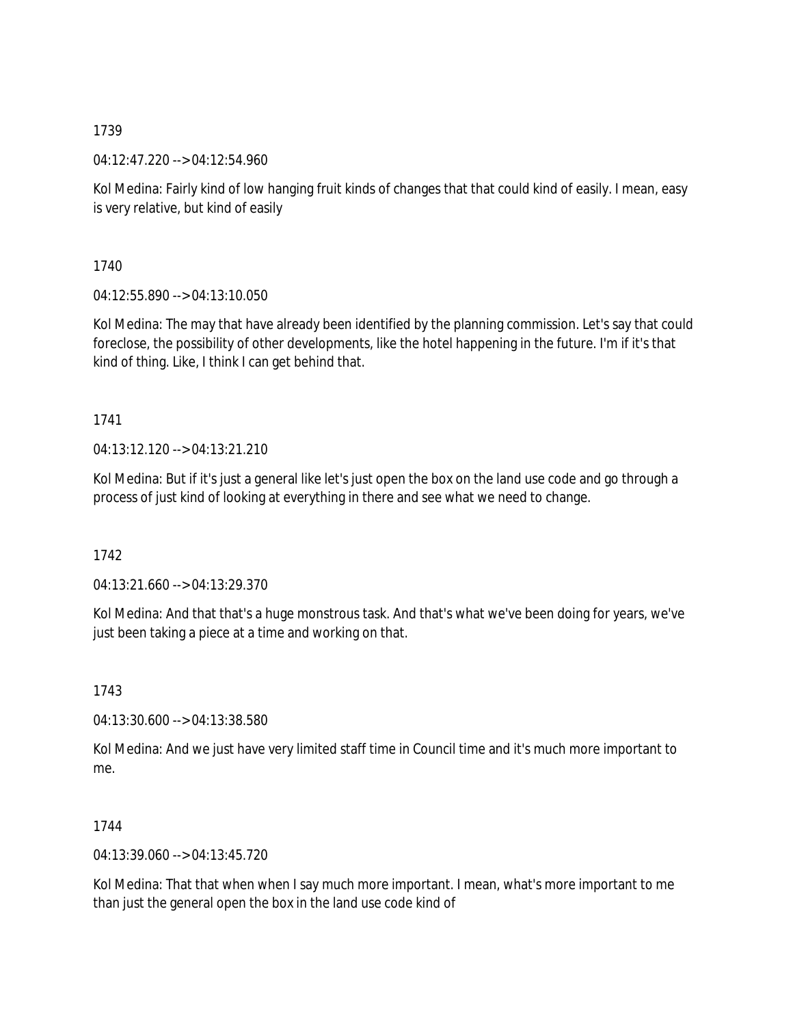04:12:47.220 --> 04:12:54.960

Kol Medina: Fairly kind of low hanging fruit kinds of changes that that could kind of easily. I mean, easy is very relative, but kind of easily

1740

04:12:55.890 --> 04:13:10.050

Kol Medina: The may that have already been identified by the planning commission. Let's say that could foreclose, the possibility of other developments, like the hotel happening in the future. I'm if it's that kind of thing. Like, I think I can get behind that.

## 1741

04:13:12.120 --> 04:13:21.210

Kol Medina: But if it's just a general like let's just open the box on the land use code and go through a process of just kind of looking at everything in there and see what we need to change.

1742

04:13:21.660 --> 04:13:29.370

Kol Medina: And that that's a huge monstrous task. And that's what we've been doing for years, we've just been taking a piece at a time and working on that.

1743

04:13:30.600 --> 04:13:38.580

Kol Medina: And we just have very limited staff time in Council time and it's much more important to me.

### 1744

04:13:39.060 --> 04:13:45.720

Kol Medina: That that when when I say much more important. I mean, what's more important to me than just the general open the box in the land use code kind of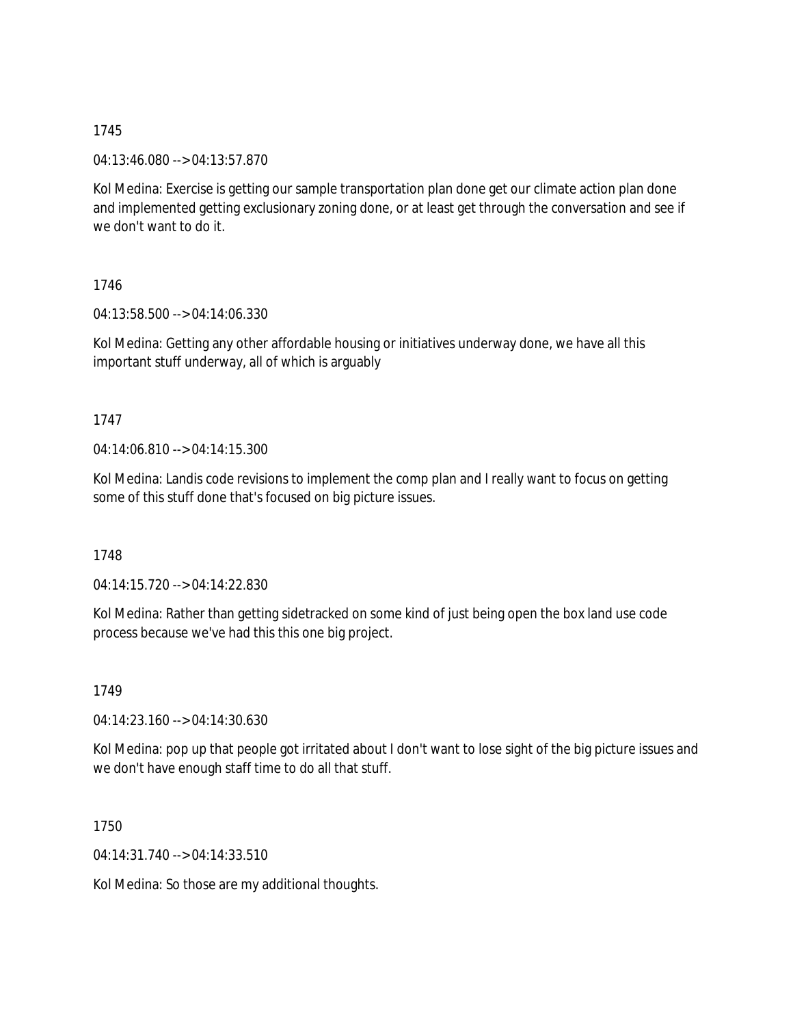04:13:46.080 --> 04:13:57.870

Kol Medina: Exercise is getting our sample transportation plan done get our climate action plan done and implemented getting exclusionary zoning done, or at least get through the conversation and see if we don't want to do it.

1746

04:13:58.500 --> 04:14:06.330

Kol Medina: Getting any other affordable housing or initiatives underway done, we have all this important stuff underway, all of which is arguably

## 1747

04:14:06.810 --> 04:14:15.300

Kol Medina: Landis code revisions to implement the comp plan and I really want to focus on getting some of this stuff done that's focused on big picture issues.

1748

04:14:15.720 --> 04:14:22.830

Kol Medina: Rather than getting sidetracked on some kind of just being open the box land use code process because we've had this this one big project.

1749

04:14:23.160 --> 04:14:30.630

Kol Medina: pop up that people got irritated about I don't want to lose sight of the big picture issues and we don't have enough staff time to do all that stuff.

1750

04:14:31.740 --> 04:14:33.510

Kol Medina: So those are my additional thoughts.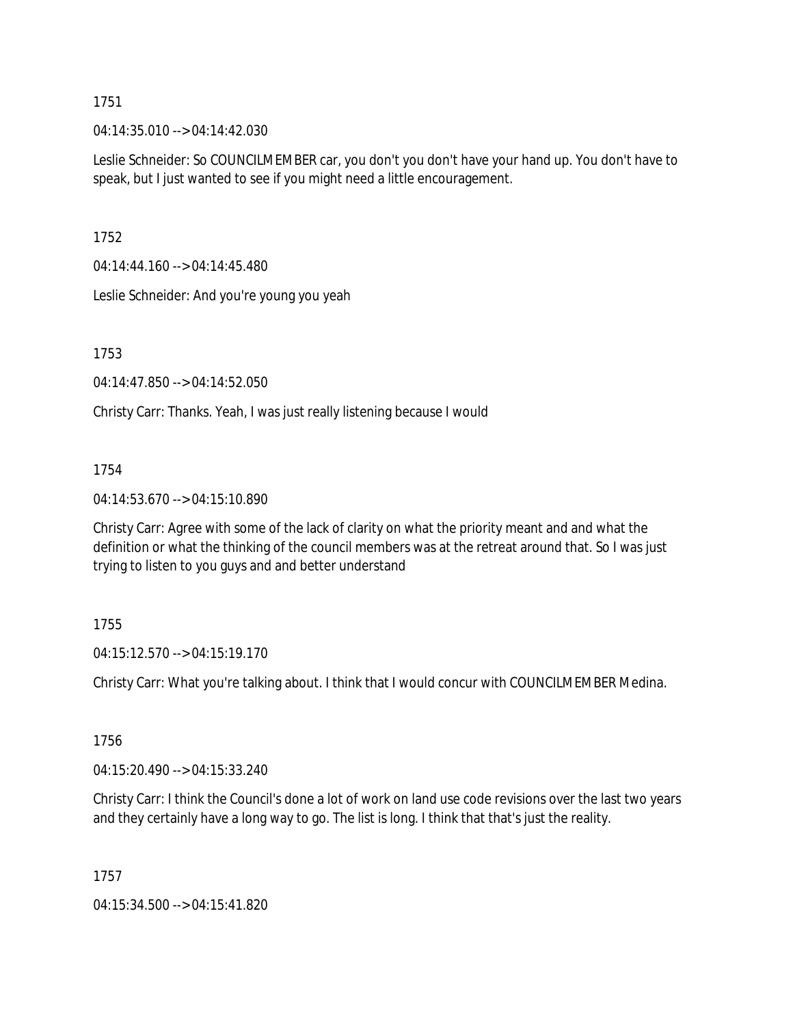04:14:35.010 --> 04:14:42.030

Leslie Schneider: So COUNCILMEMBER car, you don't you don't have your hand up. You don't have to speak, but I just wanted to see if you might need a little encouragement.

1752

04:14:44.160 --> 04:14:45.480

Leslie Schneider: And you're young you yeah

1753

04:14:47.850 --> 04:14:52.050

Christy Carr: Thanks. Yeah, I was just really listening because I would

1754

04:14:53.670 --> 04:15:10.890

Christy Carr: Agree with some of the lack of clarity on what the priority meant and and what the definition or what the thinking of the council members was at the retreat around that. So I was just trying to listen to you guys and and better understand

### 1755

04:15:12.570 --> 04:15:19.170

Christy Carr: What you're talking about. I think that I would concur with COUNCILMEMBER Medina.

1756

04:15:20.490 --> 04:15:33.240

Christy Carr: I think the Council's done a lot of work on land use code revisions over the last two years and they certainly have a long way to go. The list is long. I think that that's just the reality.

1757

04:15:34.500 --> 04:15:41.820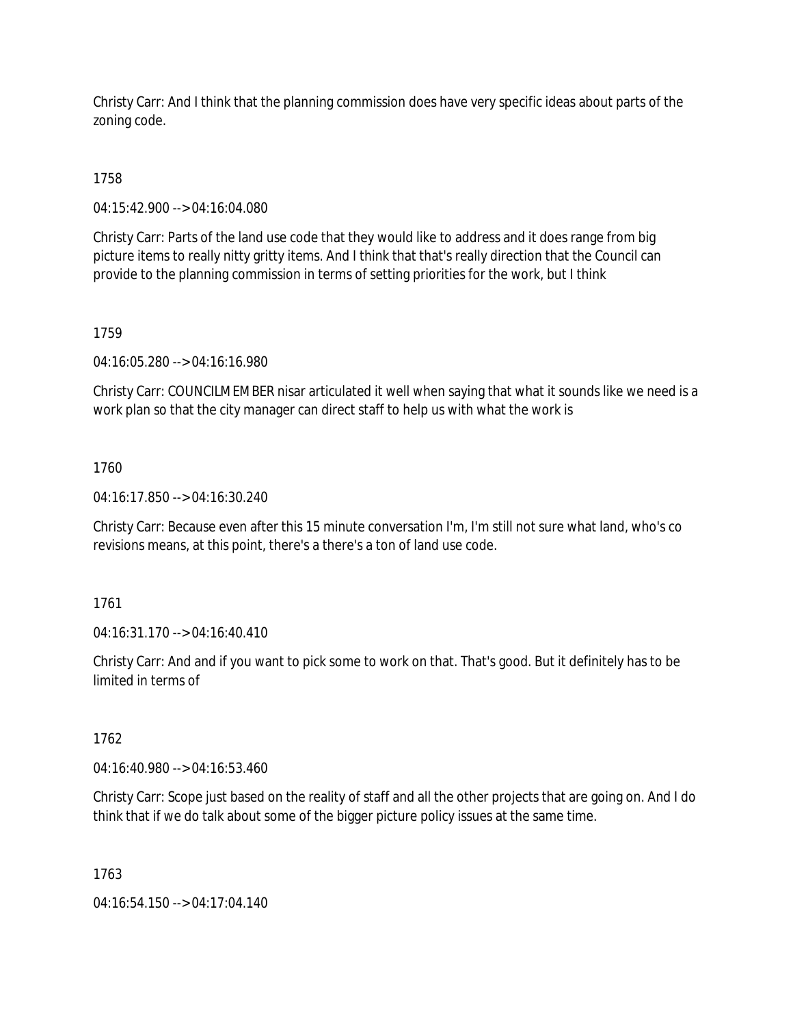Christy Carr: And I think that the planning commission does have very specific ideas about parts of the zoning code.

1758

04:15:42.900 --> 04:16:04.080

Christy Carr: Parts of the land use code that they would like to address and it does range from big picture items to really nitty gritty items. And I think that that's really direction that the Council can provide to the planning commission in terms of setting priorities for the work, but I think

1759

04:16:05.280 --> 04:16:16.980

Christy Carr: COUNCILMEMBER nisar articulated it well when saying that what it sounds like we need is a work plan so that the city manager can direct staff to help us with what the work is

1760

04:16:17.850 --> 04:16:30.240

Christy Carr: Because even after this 15 minute conversation I'm, I'm still not sure what land, who's co revisions means, at this point, there's a there's a ton of land use code.

1761

04:16:31.170 --> 04:16:40.410

Christy Carr: And and if you want to pick some to work on that. That's good. But it definitely has to be limited in terms of

1762

04:16:40.980 --> 04:16:53.460

Christy Carr: Scope just based on the reality of staff and all the other projects that are going on. And I do think that if we do talk about some of the bigger picture policy issues at the same time.

1763

04:16:54.150 --> 04:17:04.140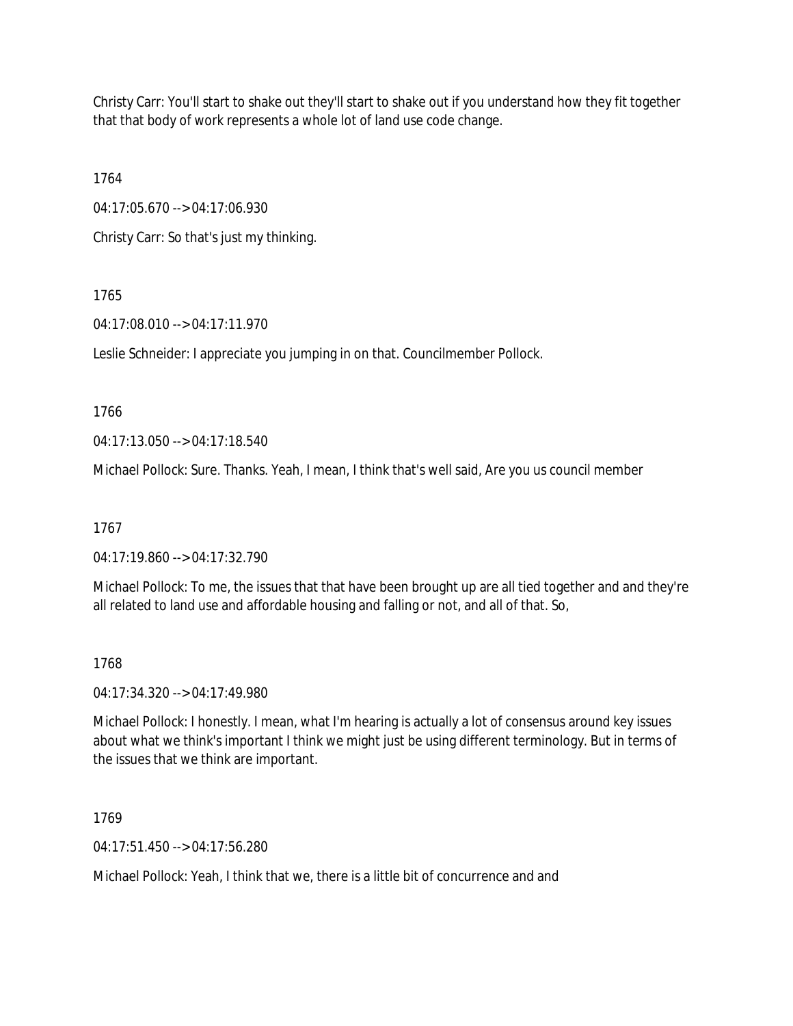Christy Carr: You'll start to shake out they'll start to shake out if you understand how they fit together that that body of work represents a whole lot of land use code change.

1764

04:17:05.670 --> 04:17:06.930

Christy Carr: So that's just my thinking.

# 1765

04:17:08.010 --> 04:17:11.970

Leslie Schneider: I appreciate you jumping in on that. Councilmember Pollock.

1766

04:17:13.050 --> 04:17:18.540

Michael Pollock: Sure. Thanks. Yeah, I mean, I think that's well said, Are you us council member

1767

04:17:19.860 --> 04:17:32.790

Michael Pollock: To me, the issues that that have been brought up are all tied together and and they're all related to land use and affordable housing and falling or not, and all of that. So,

## 1768

04:17:34.320 --> 04:17:49.980

Michael Pollock: I honestly. I mean, what I'm hearing is actually a lot of consensus around key issues about what we think's important I think we might just be using different terminology. But in terms of the issues that we think are important.

1769

04:17:51.450 --> 04:17:56.280

Michael Pollock: Yeah, I think that we, there is a little bit of concurrence and and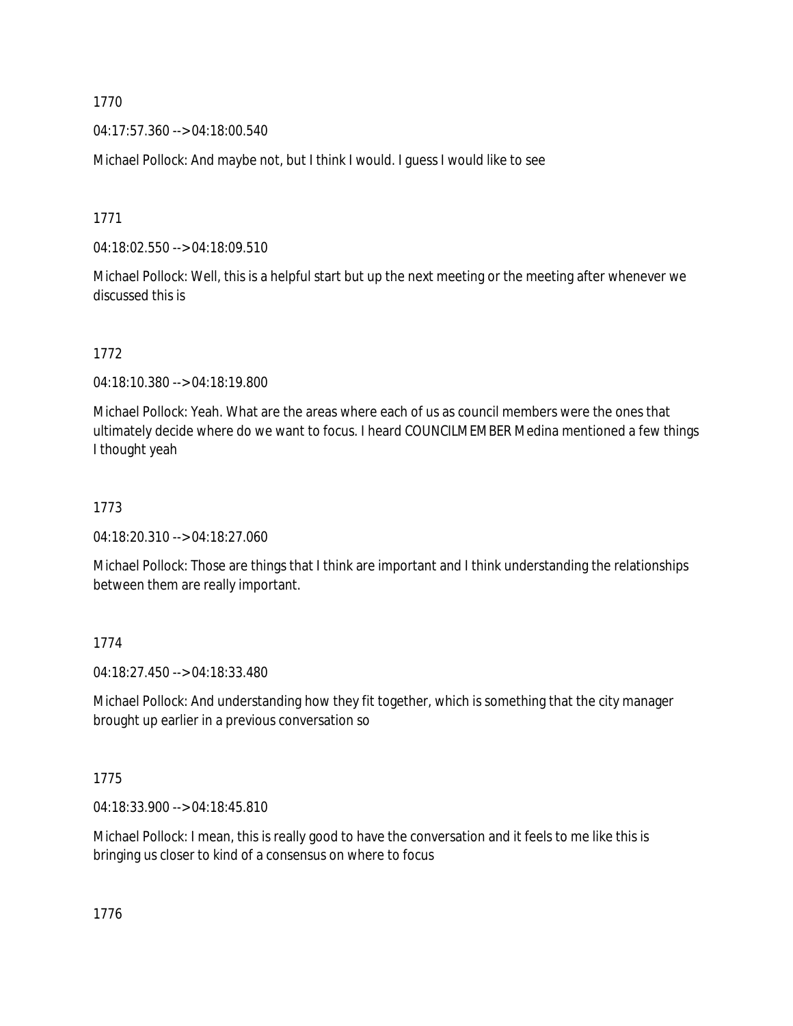04:17:57.360 --> 04:18:00.540

Michael Pollock: And maybe not, but I think I would. I guess I would like to see

1771

04:18:02.550 --> 04:18:09.510

Michael Pollock: Well, this is a helpful start but up the next meeting or the meeting after whenever we discussed this is

1772

04:18:10.380 --> 04:18:19.800

Michael Pollock: Yeah. What are the areas where each of us as council members were the ones that ultimately decide where do we want to focus. I heard COUNCILMEMBER Medina mentioned a few things I thought yeah

### 1773

04:18:20.310 --> 04:18:27.060

Michael Pollock: Those are things that I think are important and I think understanding the relationships between them are really important.

### 1774

04:18:27.450 --> 04:18:33.480

Michael Pollock: And understanding how they fit together, which is something that the city manager brought up earlier in a previous conversation so

1775

04:18:33.900 --> 04:18:45.810

Michael Pollock: I mean, this is really good to have the conversation and it feels to me like this is bringing us closer to kind of a consensus on where to focus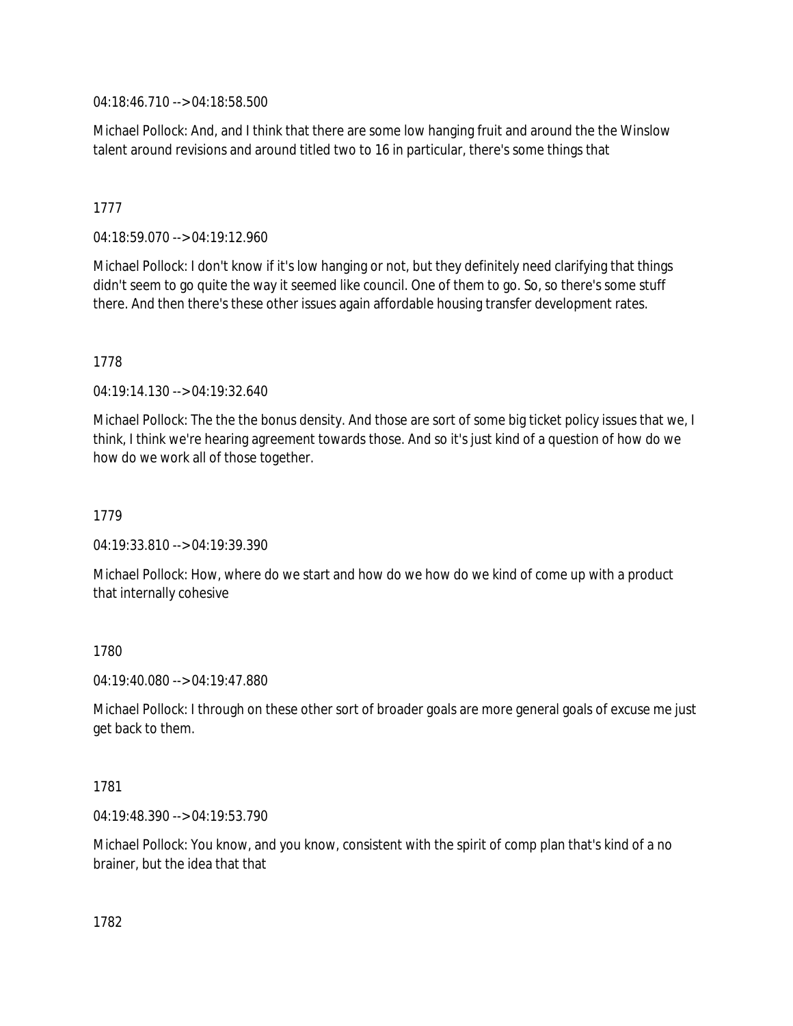04:18:46.710 --> 04:18:58.500

Michael Pollock: And, and I think that there are some low hanging fruit and around the the Winslow talent around revisions and around titled two to 16 in particular, there's some things that

## 1777

04:18:59.070 --> 04:19:12.960

Michael Pollock: I don't know if it's low hanging or not, but they definitely need clarifying that things didn't seem to go quite the way it seemed like council. One of them to go. So, so there's some stuff there. And then there's these other issues again affordable housing transfer development rates.

### 1778

04:19:14.130 --> 04:19:32.640

Michael Pollock: The the the bonus density. And those are sort of some big ticket policy issues that we, I think, I think we're hearing agreement towards those. And so it's just kind of a question of how do we how do we work all of those together.

## 1779

04:19:33.810 --> 04:19:39.390

Michael Pollock: How, where do we start and how do we how do we kind of come up with a product that internally cohesive

### 1780

04:19:40.080 --> 04:19:47.880

Michael Pollock: I through on these other sort of broader goals are more general goals of excuse me just get back to them.

### 1781

04:19:48.390 --> 04:19:53.790

Michael Pollock: You know, and you know, consistent with the spirit of comp plan that's kind of a no brainer, but the idea that that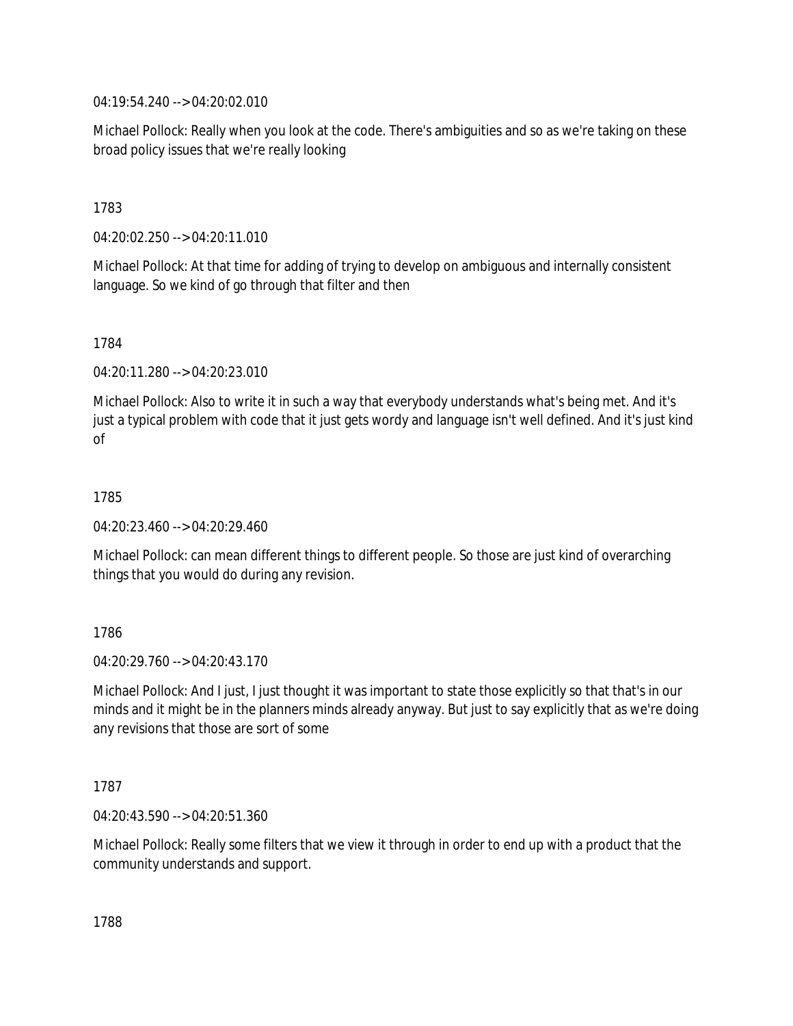04:19:54.240 --> 04:20:02.010

Michael Pollock: Really when you look at the code. There's ambiguities and so as we're taking on these broad policy issues that we're really looking

1783

04:20:02.250 --> 04:20:11.010

Michael Pollock: At that time for adding of trying to develop on ambiguous and internally consistent language. So we kind of go through that filter and then

1784

04:20:11.280 --> 04:20:23.010

Michael Pollock: Also to write it in such a way that everybody understands what's being met. And it's just a typical problem with code that it just gets wordy and language isn't well defined. And it's just kind of

1785

04:20:23.460 --> 04:20:29.460

Michael Pollock: can mean different things to different people. So those are just kind of overarching things that you would do during any revision.

1786

 $04.20.29760 -5.04.20.43170$ 

Michael Pollock: And I just, I just thought it was important to state those explicitly so that that's in our minds and it might be in the planners minds already anyway. But just to say explicitly that as we're doing any revisions that those are sort of some

1787

04:20:43.590 --> 04:20:51.360

Michael Pollock: Really some filters that we view it through in order to end up with a product that the community understands and support.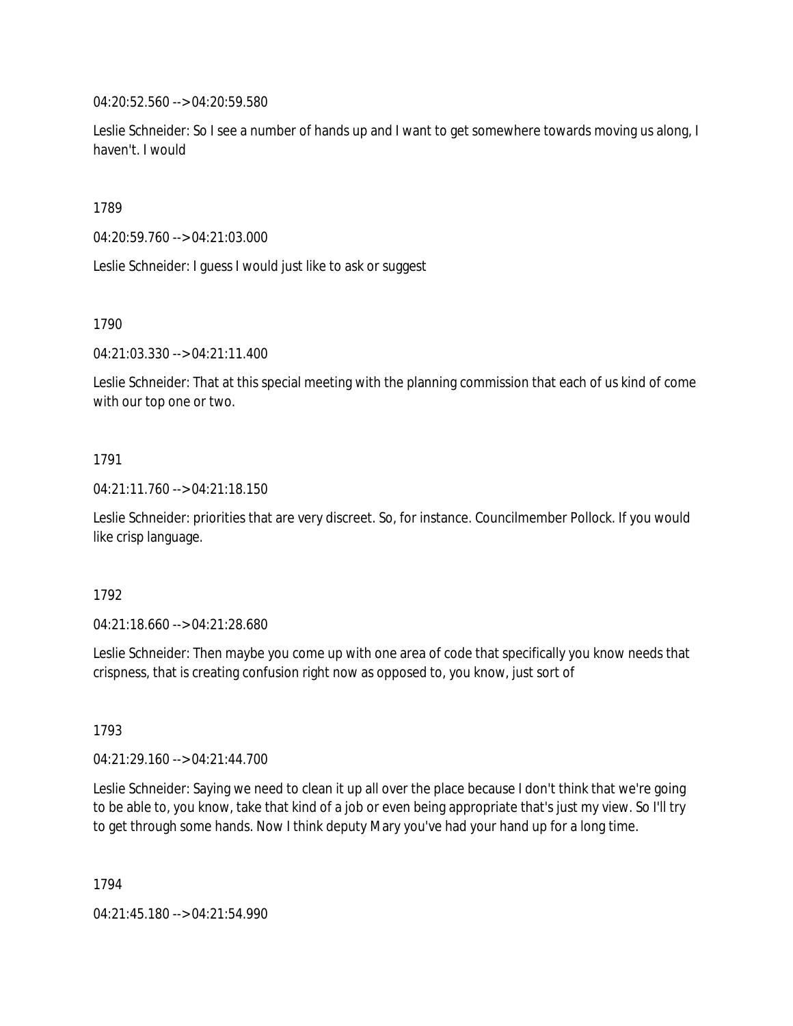04:20:52.560 --> 04:20:59.580

Leslie Schneider: So I see a number of hands up and I want to get somewhere towards moving us along, I haven't. I would

1789

04:20:59.760 --> 04:21:03.000

Leslie Schneider: I guess I would just like to ask or suggest

1790

04:21:03.330 --> 04:21:11.400

Leslie Schneider: That at this special meeting with the planning commission that each of us kind of come with our top one or two.

### 1791

04:21:11.760 --> 04:21:18.150

Leslie Schneider: priorities that are very discreet. So, for instance. Councilmember Pollock. If you would like crisp language.

### 1792

04:21:18.660 --> 04:21:28.680

Leslie Schneider: Then maybe you come up with one area of code that specifically you know needs that crispness, that is creating confusion right now as opposed to, you know, just sort of

1793

04:21:29.160 --> 04:21:44.700

Leslie Schneider: Saying we need to clean it up all over the place because I don't think that we're going to be able to, you know, take that kind of a job or even being appropriate that's just my view. So I'll try to get through some hands. Now I think deputy Mary you've had your hand up for a long time.

1794

04:21:45.180 --> 04:21:54.990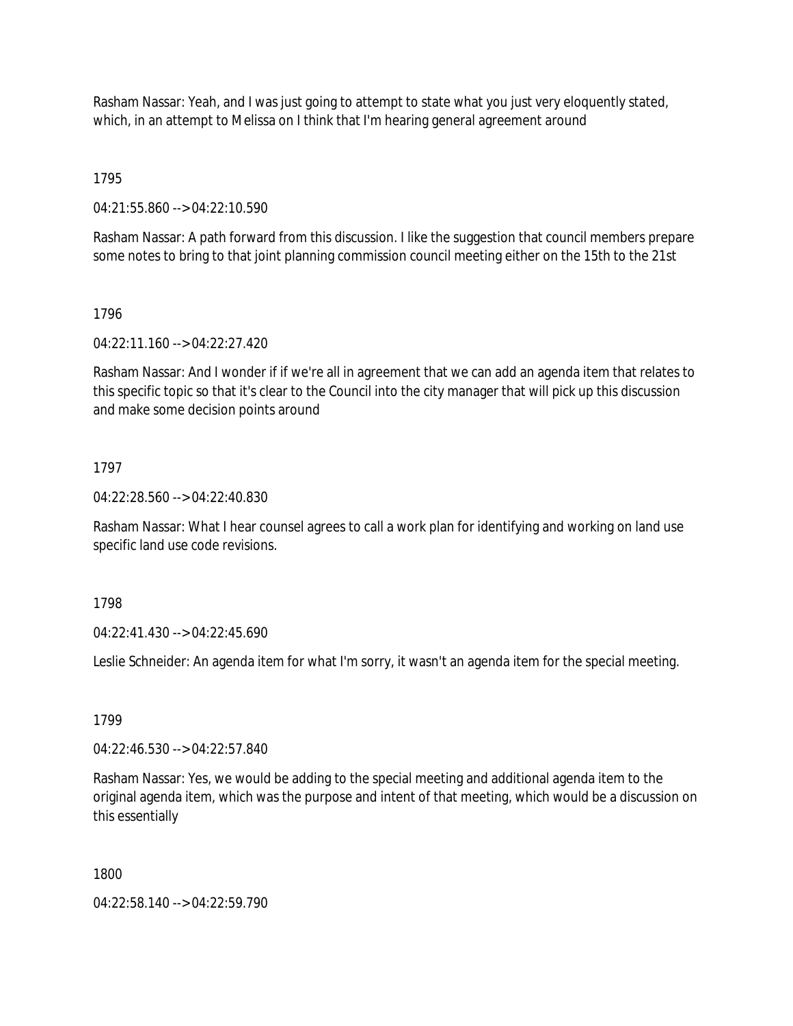Rasham Nassar: Yeah, and I was just going to attempt to state what you just very eloquently stated, which, in an attempt to Melissa on I think that I'm hearing general agreement around

1795

04:21:55.860 --> 04:22:10.590

Rasham Nassar: A path forward from this discussion. I like the suggestion that council members prepare some notes to bring to that joint planning commission council meeting either on the 15th to the 21st

### 1796

04:22:11.160 --> 04:22:27.420

Rasham Nassar: And I wonder if if we're all in agreement that we can add an agenda item that relates to this specific topic so that it's clear to the Council into the city manager that will pick up this discussion and make some decision points around

## 1797

04:22:28.560 --> 04:22:40.830

Rasham Nassar: What I hear counsel agrees to call a work plan for identifying and working on land use specific land use code revisions.

1798

04:22:41.430 --> 04:22:45.690

Leslie Schneider: An agenda item for what I'm sorry, it wasn't an agenda item for the special meeting.

1799

04:22:46.530 --> 04:22:57.840

Rasham Nassar: Yes, we would be adding to the special meeting and additional agenda item to the original agenda item, which was the purpose and intent of that meeting, which would be a discussion on this essentially

1800

04:22:58.140 --> 04:22:59.790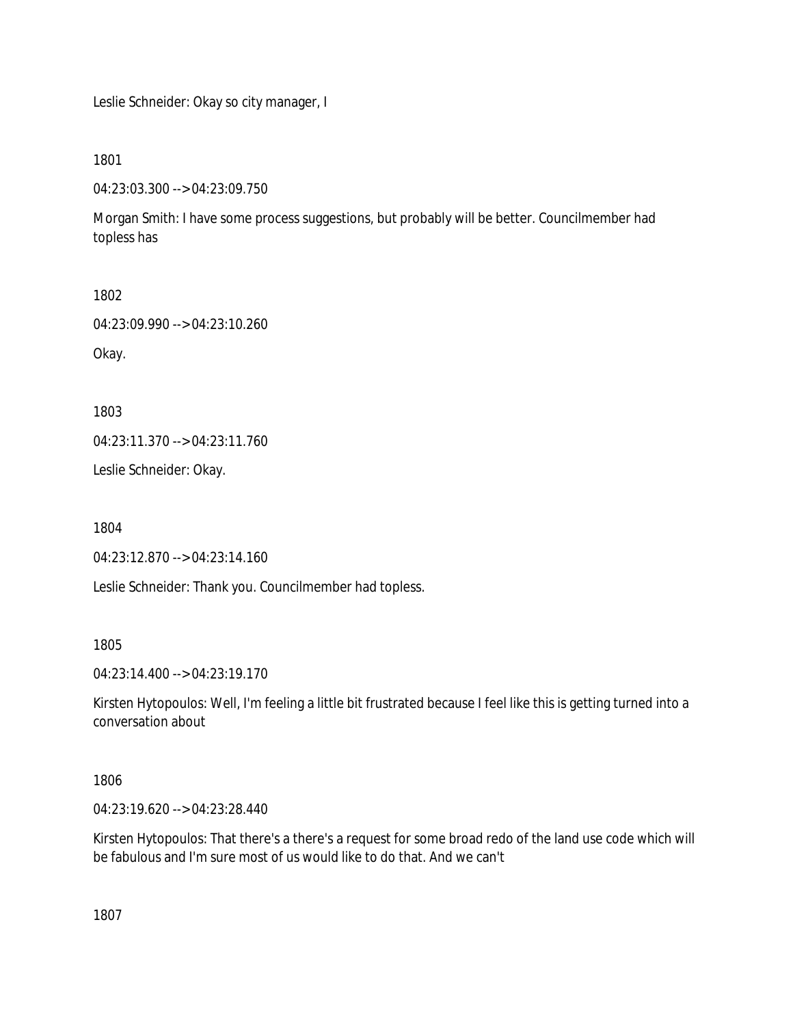Leslie Schneider: Okay so city manager, I

1801

04:23:03.300 --> 04:23:09.750

Morgan Smith: I have some process suggestions, but probably will be better. Councilmember had topless has

1802

04:23:09.990 --> 04:23:10.260

Okay.

1803

04:23:11.370 --> 04:23:11.760

Leslie Schneider: Okay.

1804

04:23:12.870 --> 04:23:14.160

Leslie Schneider: Thank you. Councilmember had topless.

1805

04:23:14.400 --> 04:23:19.170

Kirsten Hytopoulos: Well, I'm feeling a little bit frustrated because I feel like this is getting turned into a conversation about

1806

04:23:19.620 --> 04:23:28.440

Kirsten Hytopoulos: That there's a there's a request for some broad redo of the land use code which will be fabulous and I'm sure most of us would like to do that. And we can't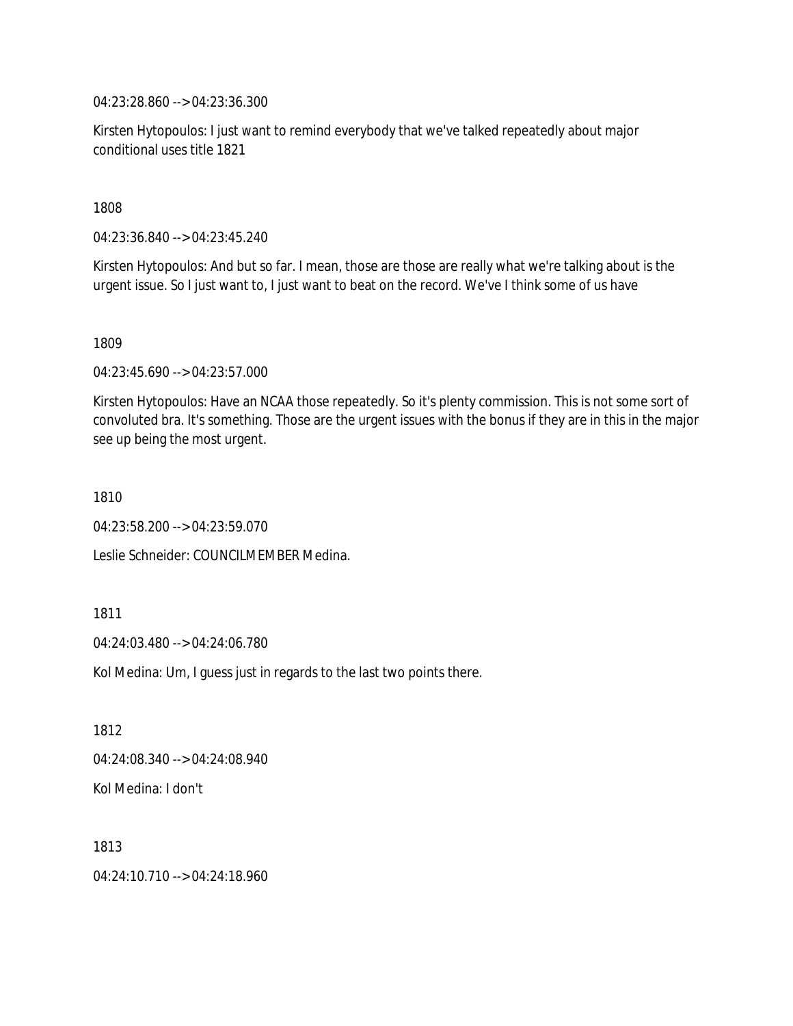04:23:28.860 --> 04:23:36.300

Kirsten Hytopoulos: I just want to remind everybody that we've talked repeatedly about major conditional uses title 1821

1808

04:23:36.840 --> 04:23:45.240

Kirsten Hytopoulos: And but so far. I mean, those are those are really what we're talking about is the urgent issue. So I just want to, I just want to beat on the record. We've I think some of us have

1809

04:23:45.690 --> 04:23:57.000

Kirsten Hytopoulos: Have an NCAA those repeatedly. So it's plenty commission. This is not some sort of convoluted bra. It's something. Those are the urgent issues with the bonus if they are in this in the major see up being the most urgent.

1810

04:23:58.200 --> 04:23:59.070

Leslie Schneider: COUNCILMEMBER Medina.

1811

04:24:03.480 --> 04:24:06.780

Kol Medina: Um, I guess just in regards to the last two points there.

1812

04:24:08.340 --> 04:24:08.940

Kol Medina: I don't

1813

04:24:10.710 --> 04:24:18.960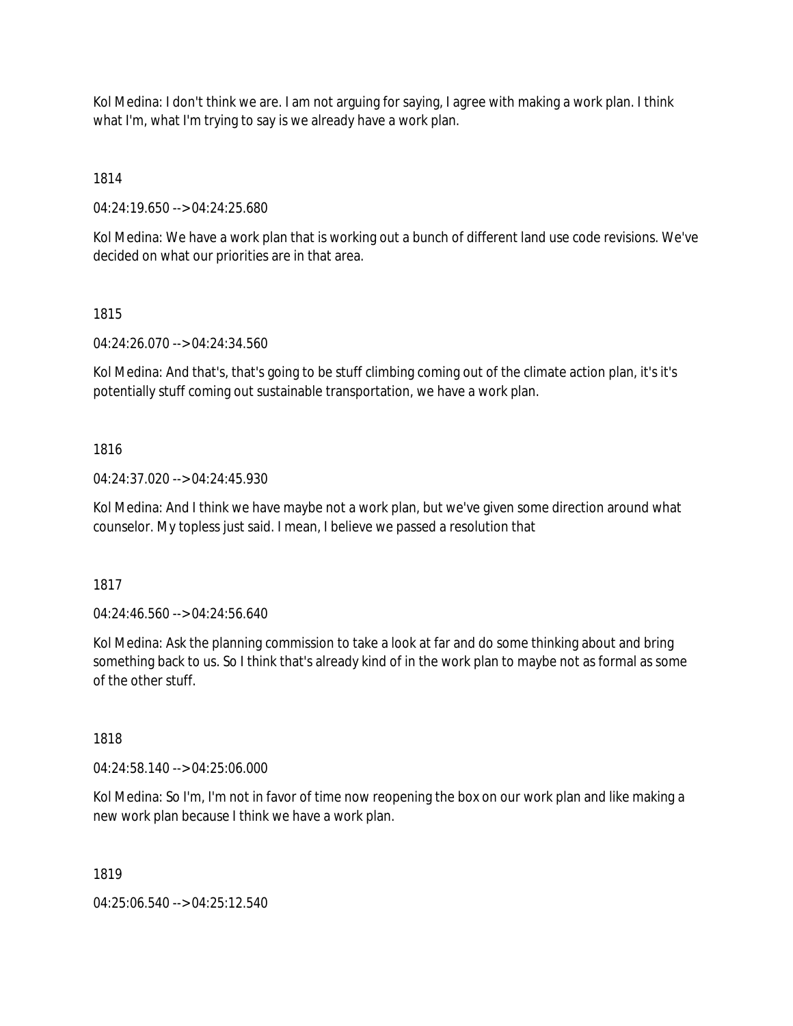Kol Medina: I don't think we are. I am not arguing for saying, I agree with making a work plan. I think what I'm, what I'm trying to say is we already have a work plan.

1814

04:24:19.650 --> 04:24:25.680

Kol Medina: We have a work plan that is working out a bunch of different land use code revisions. We've decided on what our priorities are in that area.

# 1815

04:24:26.070 --> 04:24:34.560

Kol Medina: And that's, that's going to be stuff climbing coming out of the climate action plan, it's it's potentially stuff coming out sustainable transportation, we have a work plan.

# 1816

04:24:37.020 --> 04:24:45.930

Kol Medina: And I think we have maybe not a work plan, but we've given some direction around what counselor. My topless just said. I mean, I believe we passed a resolution that

1817

04:24:46.560 --> 04:24:56.640

Kol Medina: Ask the planning commission to take a look at far and do some thinking about and bring something back to us. So I think that's already kind of in the work plan to maybe not as formal as some of the other stuff.

1818

04:24:58.140 --> 04:25:06.000

Kol Medina: So I'm, I'm not in favor of time now reopening the box on our work plan and like making a new work plan because I think we have a work plan.

1819

04:25:06.540 --> 04:25:12.540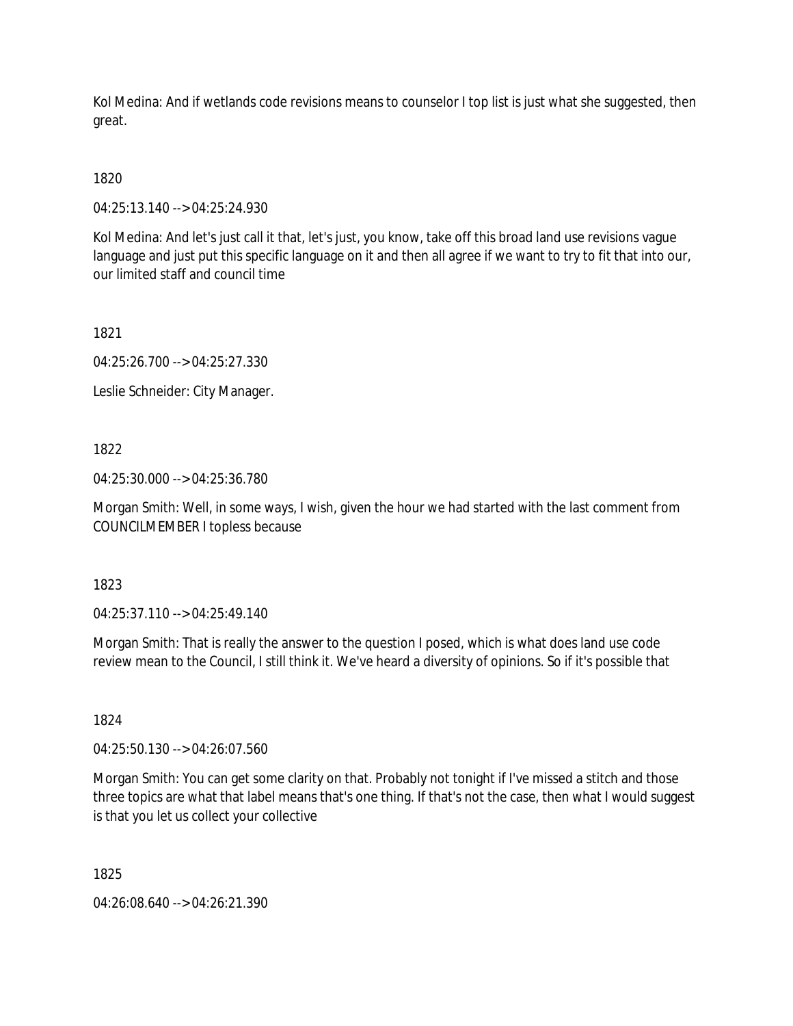Kol Medina: And if wetlands code revisions means to counselor I top list is just what she suggested, then great.

1820

04:25:13.140 --> 04:25:24.930

Kol Medina: And let's just call it that, let's just, you know, take off this broad land use revisions vague language and just put this specific language on it and then all agree if we want to try to fit that into our, our limited staff and council time

1821

04:25:26.700 --> 04:25:27.330

Leslie Schneider: City Manager.

1822

04:25:30.000 --> 04:25:36.780

Morgan Smith: Well, in some ways, I wish, given the hour we had started with the last comment from COUNCILMEMBER I topless because

1823

04:25:37.110 --> 04:25:49.140

Morgan Smith: That is really the answer to the question I posed, which is what does land use code review mean to the Council, I still think it. We've heard a diversity of opinions. So if it's possible that

1824

04:25:50.130 --> 04:26:07.560

Morgan Smith: You can get some clarity on that. Probably not tonight if I've missed a stitch and those three topics are what that label means that's one thing. If that's not the case, then what I would suggest is that you let us collect your collective

1825

04:26:08.640 --> 04:26:21.390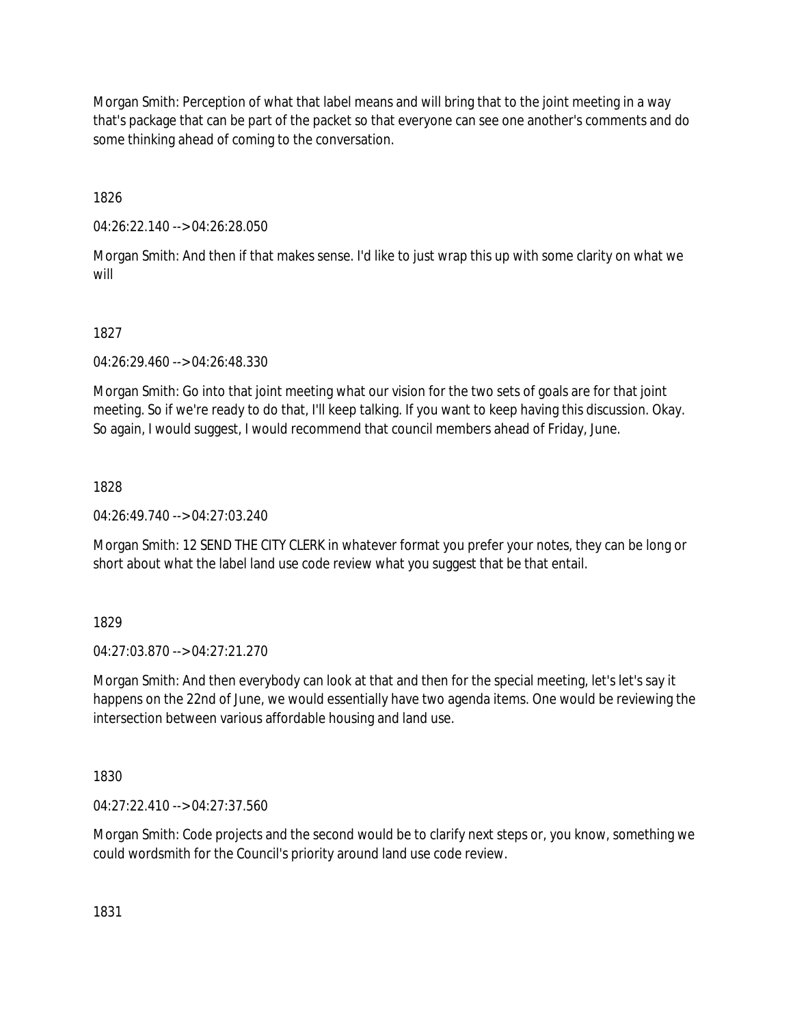Morgan Smith: Perception of what that label means and will bring that to the joint meeting in a way that's package that can be part of the packet so that everyone can see one another's comments and do some thinking ahead of coming to the conversation.

1826

04:26:22.140 --> 04:26:28.050

Morgan Smith: And then if that makes sense. I'd like to just wrap this up with some clarity on what we will

1827

04:26:29.460 --> 04:26:48.330

Morgan Smith: Go into that joint meeting what our vision for the two sets of goals are for that joint meeting. So if we're ready to do that, I'll keep talking. If you want to keep having this discussion. Okay. So again, I would suggest, I would recommend that council members ahead of Friday, June.

1828

04:26:49.740 --> 04:27:03.240

Morgan Smith: 12 SEND THE CITY CLERK in whatever format you prefer your notes, they can be long or short about what the label land use code review what you suggest that be that entail.

1829

04:27:03.870 --> 04:27:21.270

Morgan Smith: And then everybody can look at that and then for the special meeting, let's let's say it happens on the 22nd of June, we would essentially have two agenda items. One would be reviewing the intersection between various affordable housing and land use.

1830

04:27:22.410 --> 04:27:37.560

Morgan Smith: Code projects and the second would be to clarify next steps or, you know, something we could wordsmith for the Council's priority around land use code review.

1831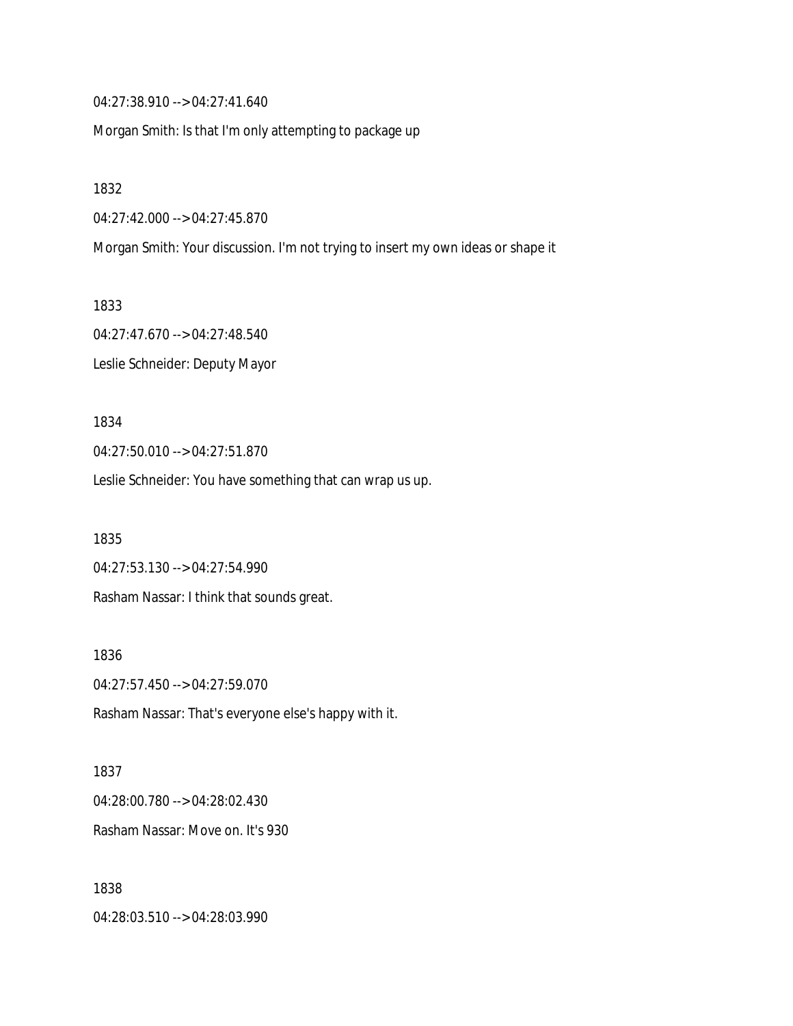04:27:38.910 --> 04:27:41.640

Morgan Smith: Is that I'm only attempting to package up

1832

04:27:42.000 --> 04:27:45.870

Morgan Smith: Your discussion. I'm not trying to insert my own ideas or shape it

1833 04:27:47.670 --> 04:27:48.540

Leslie Schneider: Deputy Mayor

1834

04:27:50.010 --> 04:27:51.870

Leslie Schneider: You have something that can wrap us up.

1835

04:27:53.130 --> 04:27:54.990 Rasham Nassar: I think that sounds great.

1836 04:27:57.450 --> 04:27:59.070 Rasham Nassar: That's everyone else's happy with it.

1837 04:28:00.780 --> 04:28:02.430 Rasham Nassar: Move on. It's 930

1838 04:28:03.510 --> 04:28:03.990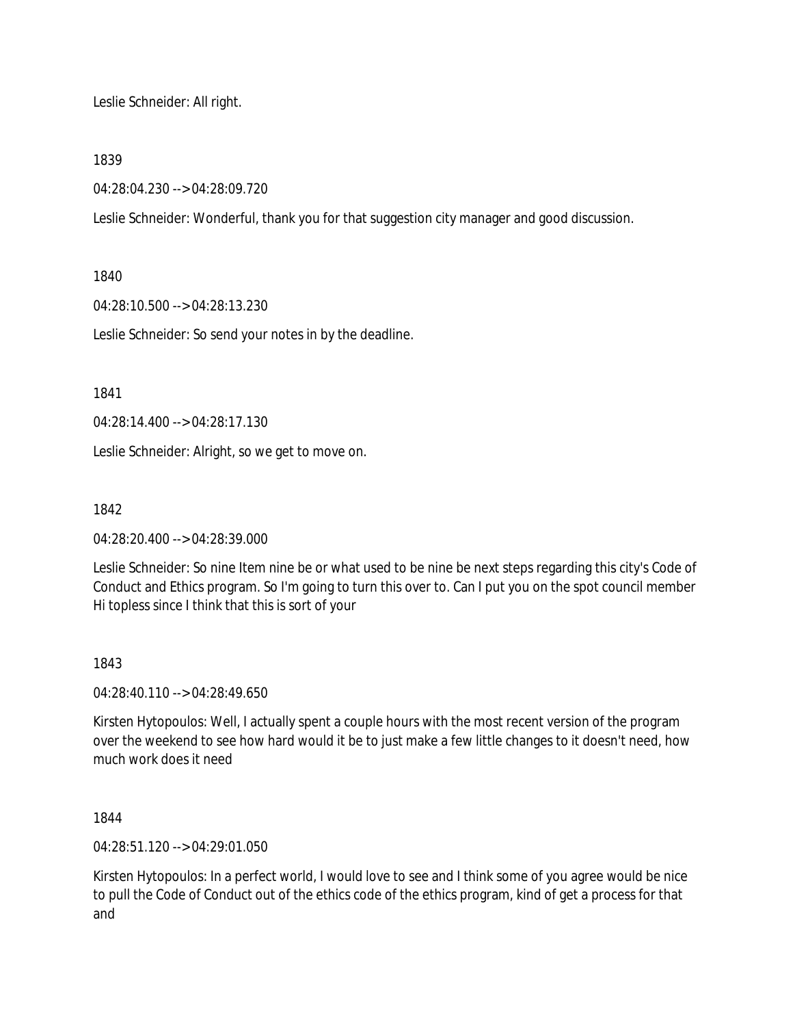Leslie Schneider: All right.

1839

04:28:04.230 --> 04:28:09.720

Leslie Schneider: Wonderful, thank you for that suggestion city manager and good discussion.

1840

04:28:10.500 --> 04:28:13.230

Leslie Schneider: So send your notes in by the deadline.

1841

04:28:14.400 --> 04:28:17.130

Leslie Schneider: Alright, so we get to move on.

1842

04:28:20.400 --> 04:28:39.000

Leslie Schneider: So nine Item nine be or what used to be nine be next steps regarding this city's Code of Conduct and Ethics program. So I'm going to turn this over to. Can I put you on the spot council member Hi topless since I think that this is sort of your

1843

04:28:40.110 --> 04:28:49.650

Kirsten Hytopoulos: Well, I actually spent a couple hours with the most recent version of the program over the weekend to see how hard would it be to just make a few little changes to it doesn't need, how much work does it need

1844

04:28:51.120 --> 04:29:01.050

Kirsten Hytopoulos: In a perfect world, I would love to see and I think some of you agree would be nice to pull the Code of Conduct out of the ethics code of the ethics program, kind of get a process for that and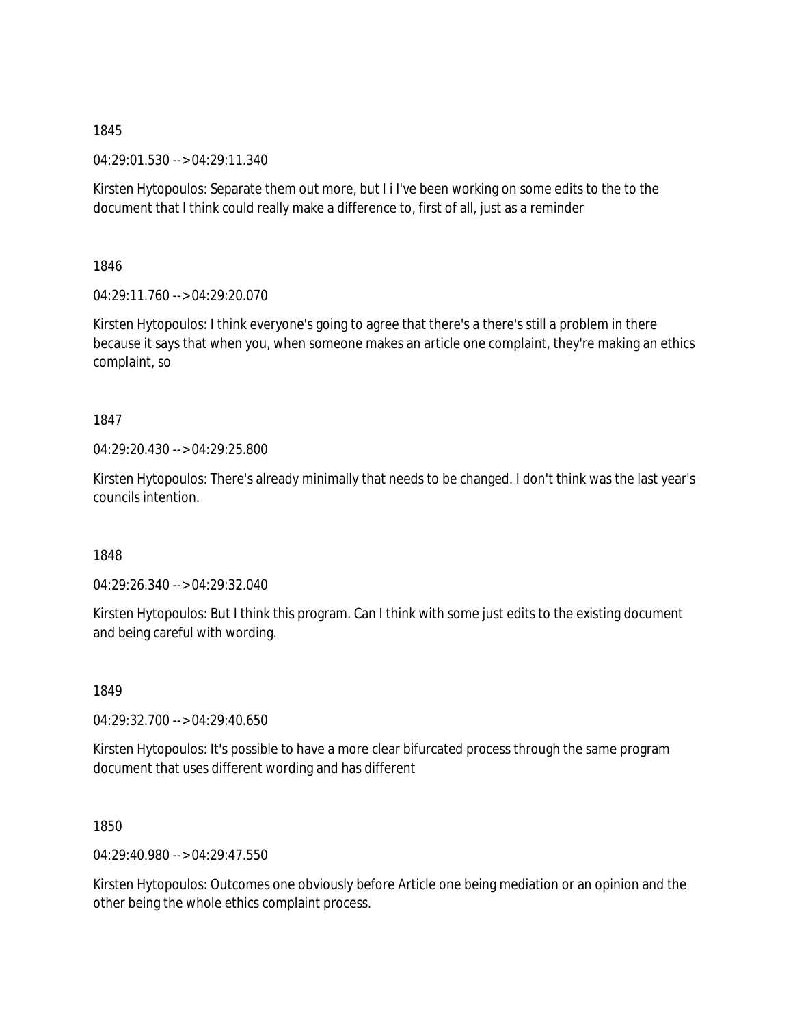04:29:01.530 --> 04:29:11.340

Kirsten Hytopoulos: Separate them out more, but I i I've been working on some edits to the to the document that I think could really make a difference to, first of all, just as a reminder

1846

04:29:11.760 --> 04:29:20.070

Kirsten Hytopoulos: I think everyone's going to agree that there's a there's still a problem in there because it says that when you, when someone makes an article one complaint, they're making an ethics complaint, so

1847

04:29:20.430 --> 04:29:25.800

Kirsten Hytopoulos: There's already minimally that needs to be changed. I don't think was the last year's councils intention.

1848

04:29:26.340 --> 04:29:32.040

Kirsten Hytopoulos: But I think this program. Can I think with some just edits to the existing document and being careful with wording.

1849

04:29:32.700 --> 04:29:40.650

Kirsten Hytopoulos: It's possible to have a more clear bifurcated process through the same program document that uses different wording and has different

1850

04:29:40.980 --> 04:29:47.550

Kirsten Hytopoulos: Outcomes one obviously before Article one being mediation or an opinion and the other being the whole ethics complaint process.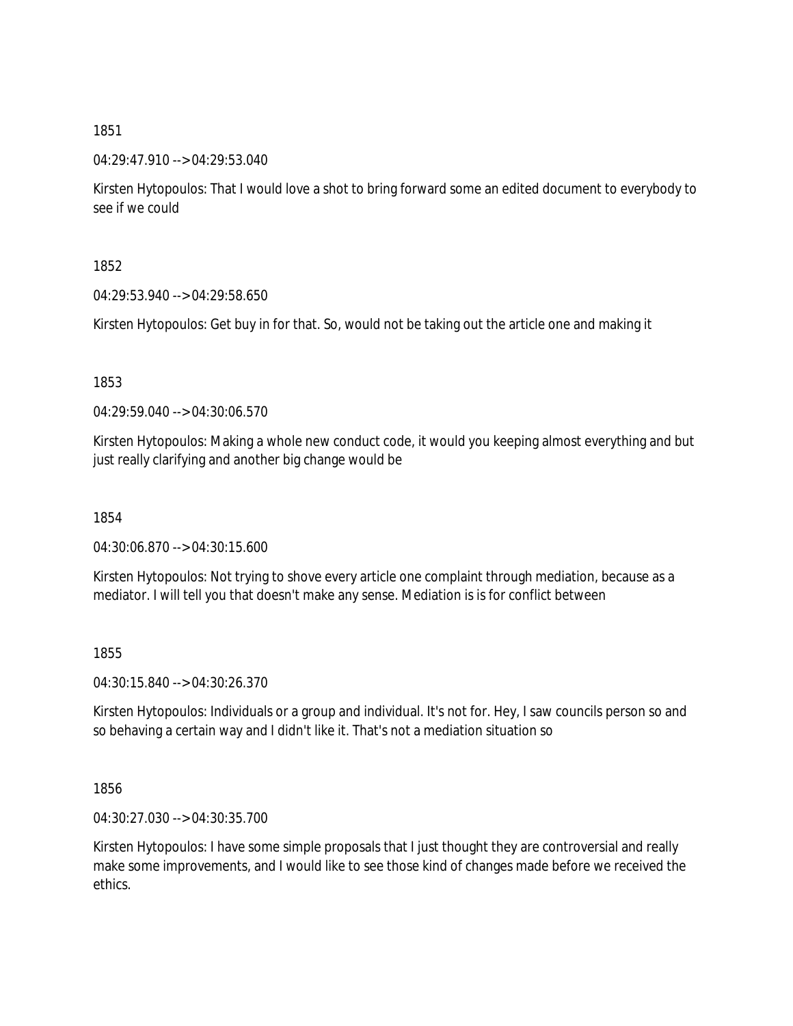04:29:47.910 --> 04:29:53.040

Kirsten Hytopoulos: That I would love a shot to bring forward some an edited document to everybody to see if we could

1852

04:29:53.940 --> 04:29:58.650

Kirsten Hytopoulos: Get buy in for that. So, would not be taking out the article one and making it

1853

04:29:59.040 --> 04:30:06.570

Kirsten Hytopoulos: Making a whole new conduct code, it would you keeping almost everything and but just really clarifying and another big change would be

1854

04:30:06.870 --> 04:30:15.600

Kirsten Hytopoulos: Not trying to shove every article one complaint through mediation, because as a mediator. I will tell you that doesn't make any sense. Mediation is is for conflict between

1855

04:30:15.840 --> 04:30:26.370

Kirsten Hytopoulos: Individuals or a group and individual. It's not for. Hey, I saw councils person so and so behaving a certain way and I didn't like it. That's not a mediation situation so

1856

04:30:27.030 --> 04:30:35.700

Kirsten Hytopoulos: I have some simple proposals that I just thought they are controversial and really make some improvements, and I would like to see those kind of changes made before we received the ethics.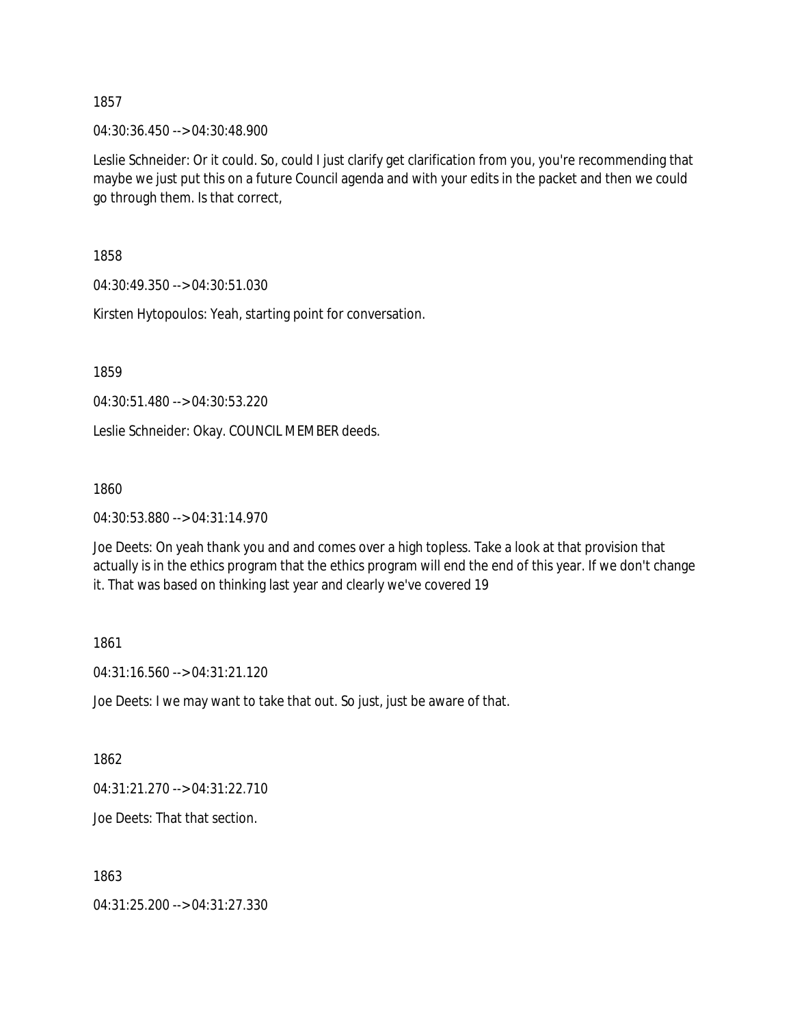04:30:36.450 --> 04:30:48.900

Leslie Schneider: Or it could. So, could I just clarify get clarification from you, you're recommending that maybe we just put this on a future Council agenda and with your edits in the packet and then we could go through them. Is that correct,

1858

04:30:49.350 --> 04:30:51.030

Kirsten Hytopoulos: Yeah, starting point for conversation.

1859

04:30:51.480 --> 04:30:53.220

Leslie Schneider: Okay. COUNCIL MEMBER deeds.

1860

04:30:53.880 --> 04:31:14.970

Joe Deets: On yeah thank you and and comes over a high topless. Take a look at that provision that actually is in the ethics program that the ethics program will end the end of this year. If we don't change it. That was based on thinking last year and clearly we've covered 19

1861

04:31:16.560 --> 04:31:21.120

Joe Deets: I we may want to take that out. So just, just be aware of that.

1862

04:31:21.270 --> 04:31:22.710

Joe Deets: That that section.

1863

04:31:25.200 --> 04:31:27.330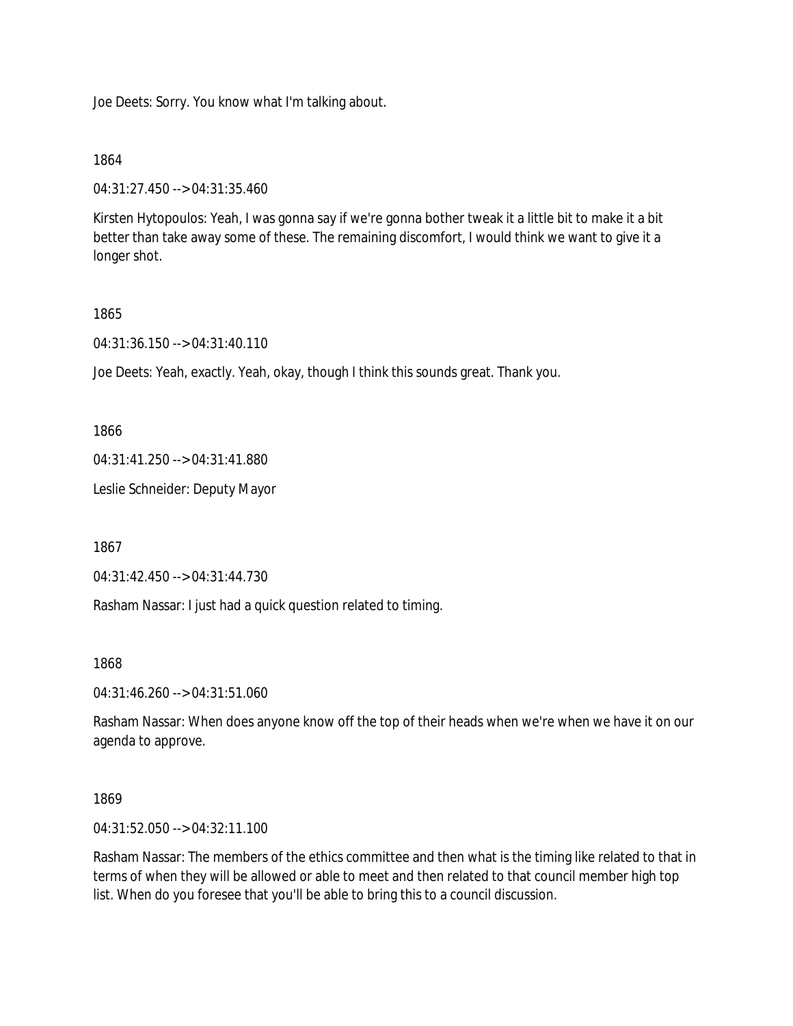Joe Deets: Sorry. You know what I'm talking about.

1864

04:31:27.450 --> 04:31:35.460

Kirsten Hytopoulos: Yeah, I was gonna say if we're gonna bother tweak it a little bit to make it a bit better than take away some of these. The remaining discomfort, I would think we want to give it a longer shot.

## 1865

04:31:36.150 --> 04:31:40.110

Joe Deets: Yeah, exactly. Yeah, okay, though I think this sounds great. Thank you.

1866

04:31:41.250 --> 04:31:41.880

Leslie Schneider: Deputy Mayor

1867

04:31:42.450 --> 04:31:44.730

Rasham Nassar: I just had a quick question related to timing.

1868

04:31:46.260 --> 04:31:51.060

Rasham Nassar: When does anyone know off the top of their heads when we're when we have it on our agenda to approve.

1869

04:31:52.050 --> 04:32:11.100

Rasham Nassar: The members of the ethics committee and then what is the timing like related to that in terms of when they will be allowed or able to meet and then related to that council member high top list. When do you foresee that you'll be able to bring this to a council discussion.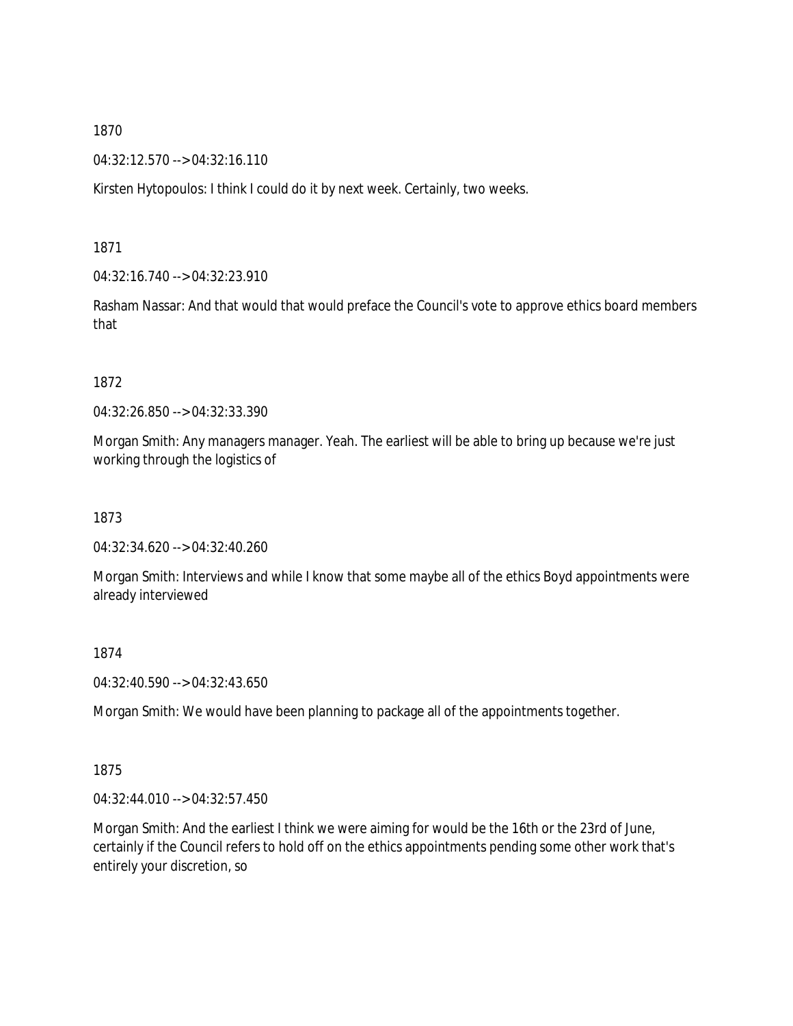04:32:12.570 --> 04:32:16.110

Kirsten Hytopoulos: I think I could do it by next week. Certainly, two weeks.

1871

04:32:16.740 --> 04:32:23.910

Rasham Nassar: And that would that would preface the Council's vote to approve ethics board members that

1872

04:32:26.850 --> 04:32:33.390

Morgan Smith: Any managers manager. Yeah. The earliest will be able to bring up because we're just working through the logistics of

1873

04:32:34.620 --> 04:32:40.260

Morgan Smith: Interviews and while I know that some maybe all of the ethics Boyd appointments were already interviewed

1874

04:32:40.590 --> 04:32:43.650

Morgan Smith: We would have been planning to package all of the appointments together.

1875

04:32:44.010 --> 04:32:57.450

Morgan Smith: And the earliest I think we were aiming for would be the 16th or the 23rd of June, certainly if the Council refers to hold off on the ethics appointments pending some other work that's entirely your discretion, so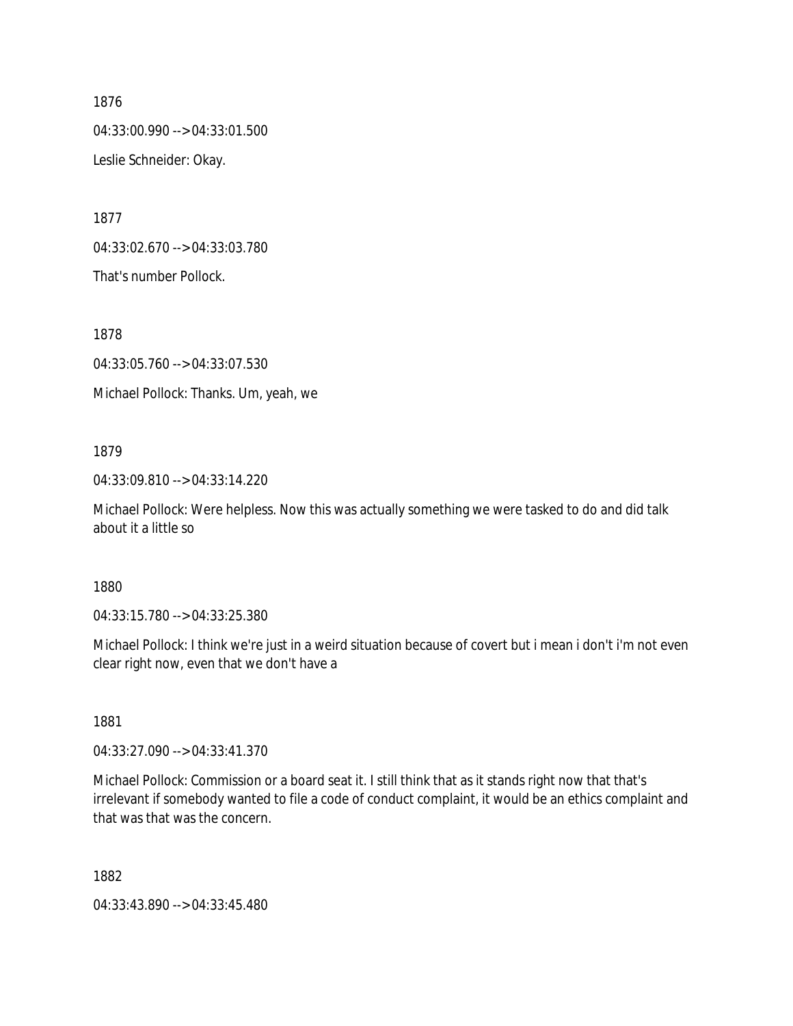04:33:00.990 --> 04:33:01.500 Leslie Schneider: Okay.

1877

04:33:02.670 --> 04:33:03.780

That's number Pollock.

1878

04:33:05.760 --> 04:33:07.530

Michael Pollock: Thanks. Um, yeah, we

#### 1879

04:33:09.810 --> 04:33:14.220

Michael Pollock: Were helpless. Now this was actually something we were tasked to do and did talk about it a little so

#### 1880

04:33:15.780 --> 04:33:25.380

Michael Pollock: I think we're just in a weird situation because of covert but i mean i don't i'm not even clear right now, even that we don't have a

1881

04:33:27.090 --> 04:33:41.370

Michael Pollock: Commission or a board seat it. I still think that as it stands right now that that's irrelevant if somebody wanted to file a code of conduct complaint, it would be an ethics complaint and that was that was the concern.

1882

04:33:43.890 --> 04:33:45.480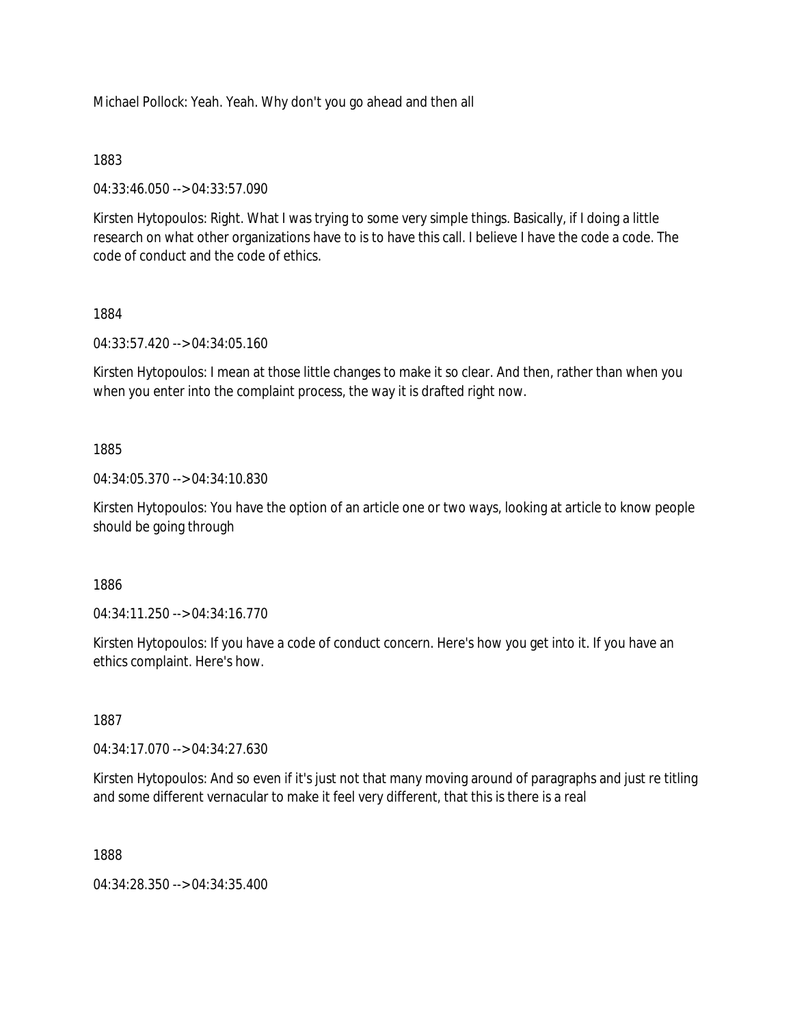Michael Pollock: Yeah. Yeah. Why don't you go ahead and then all

## 1883

04:33:46.050 --> 04:33:57.090

Kirsten Hytopoulos: Right. What I was trying to some very simple things. Basically, if I doing a little research on what other organizations have to is to have this call. I believe I have the code a code. The code of conduct and the code of ethics.

# 1884

04:33:57.420 --> 04:34:05.160

Kirsten Hytopoulos: I mean at those little changes to make it so clear. And then, rather than when you when you enter into the complaint process, the way it is drafted right now.

# 1885

04:34:05.370 --> 04:34:10.830

Kirsten Hytopoulos: You have the option of an article one or two ways, looking at article to know people should be going through

1886

04:34:11.250 --> 04:34:16.770

Kirsten Hytopoulos: If you have a code of conduct concern. Here's how you get into it. If you have an ethics complaint. Here's how.

1887

04:34:17.070 --> 04:34:27.630

Kirsten Hytopoulos: And so even if it's just not that many moving around of paragraphs and just re titling and some different vernacular to make it feel very different, that this is there is a real

1888

04:34:28.350 --> 04:34:35.400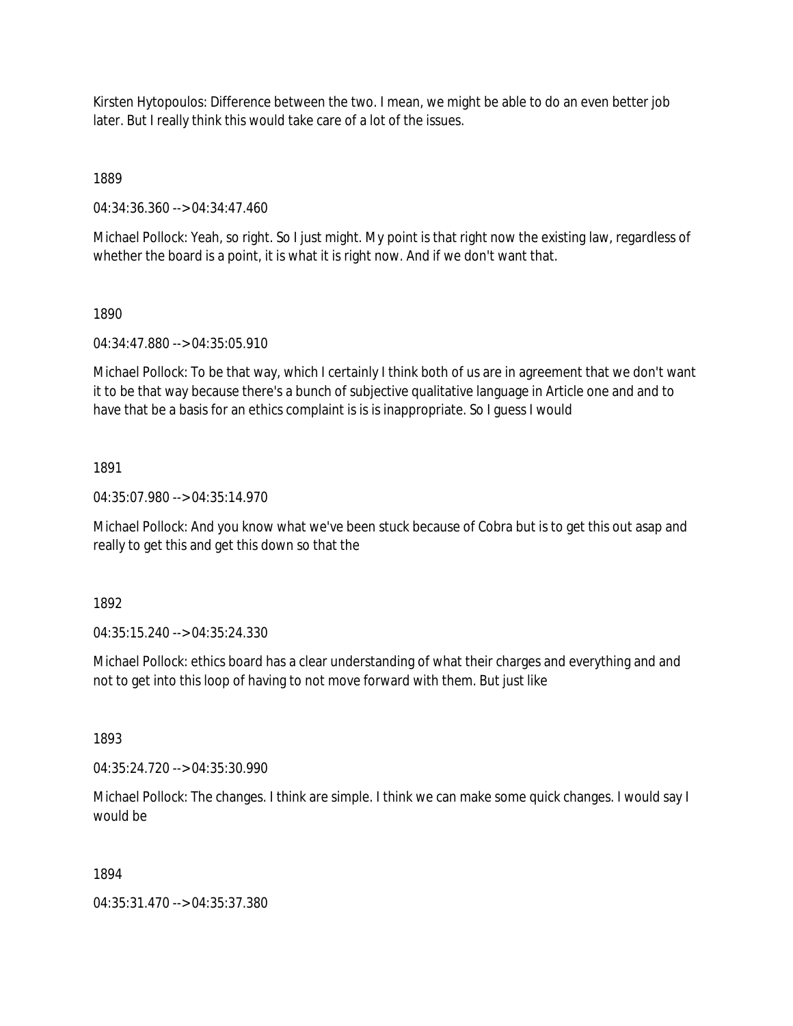Kirsten Hytopoulos: Difference between the two. I mean, we might be able to do an even better job later. But I really think this would take care of a lot of the issues.

1889

04:34:36.360 --> 04:34:47.460

Michael Pollock: Yeah, so right. So I just might. My point is that right now the existing law, regardless of whether the board is a point, it is what it is right now. And if we don't want that.

# 1890

04:34:47.880 --> 04:35:05.910

Michael Pollock: To be that way, which I certainly I think both of us are in agreement that we don't want it to be that way because there's a bunch of subjective qualitative language in Article one and and to have that be a basis for an ethics complaint is is is inappropriate. So I guess I would

# 1891

04:35:07.980 --> 04:35:14.970

Michael Pollock: And you know what we've been stuck because of Cobra but is to get this out asap and really to get this and get this down so that the

1892

04:35:15.240 --> 04:35:24.330

Michael Pollock: ethics board has a clear understanding of what their charges and everything and and not to get into this loop of having to not move forward with them. But just like

1893

04:35:24.720 --> 04:35:30.990

Michael Pollock: The changes. I think are simple. I think we can make some quick changes. I would say I would be

# 1894

04:35:31.470 --> 04:35:37.380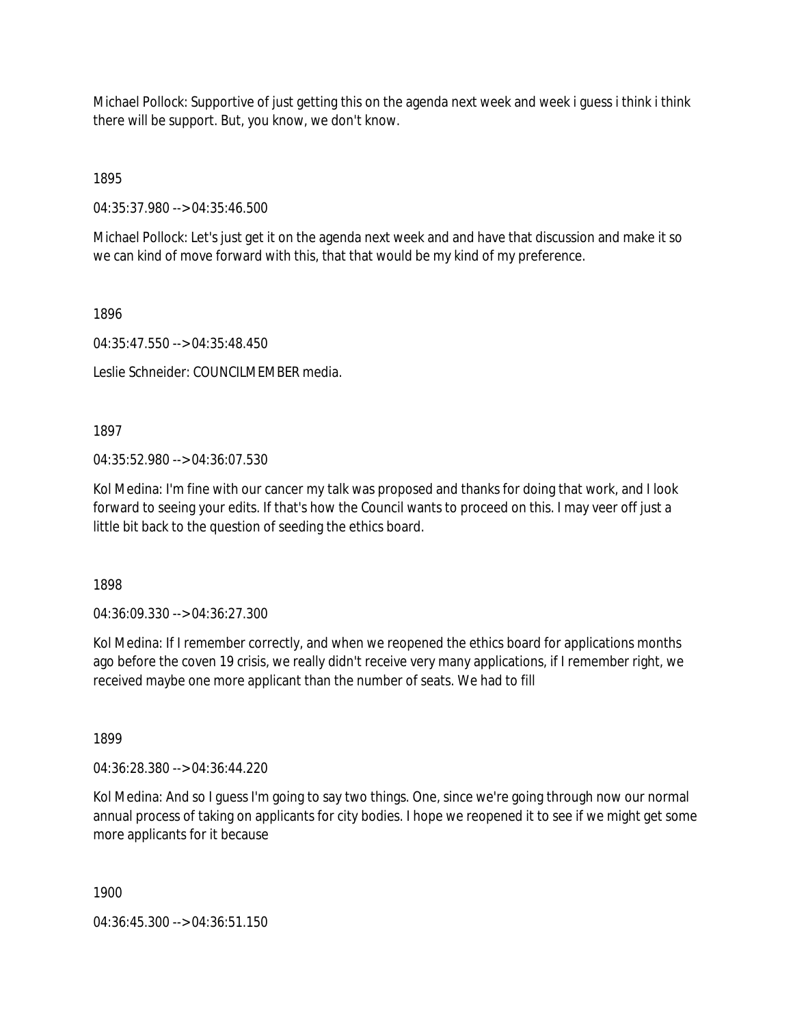Michael Pollock: Supportive of just getting this on the agenda next week and week i guess i think i think there will be support. But, you know, we don't know.

1895

04:35:37.980 --> 04:35:46.500

Michael Pollock: Let's just get it on the agenda next week and and have that discussion and make it so we can kind of move forward with this, that that would be my kind of my preference.

1896

04:35:47.550 --> 04:35:48.450

Leslie Schneider: COUNCILMEMBER media.

1897

04:35:52.980 --> 04:36:07.530

Kol Medina: I'm fine with our cancer my talk was proposed and thanks for doing that work, and I look forward to seeing your edits. If that's how the Council wants to proceed on this. I may veer off just a little bit back to the question of seeding the ethics board.

1898

04:36:09.330 --> 04:36:27.300

Kol Medina: If I remember correctly, and when we reopened the ethics board for applications months ago before the coven 19 crisis, we really didn't receive very many applications, if I remember right, we received maybe one more applicant than the number of seats. We had to fill

1899

04:36:28.380 --> 04:36:44.220

Kol Medina: And so I guess I'm going to say two things. One, since we're going through now our normal annual process of taking on applicants for city bodies. I hope we reopened it to see if we might get some more applicants for it because

1900

04:36:45.300 --> 04:36:51.150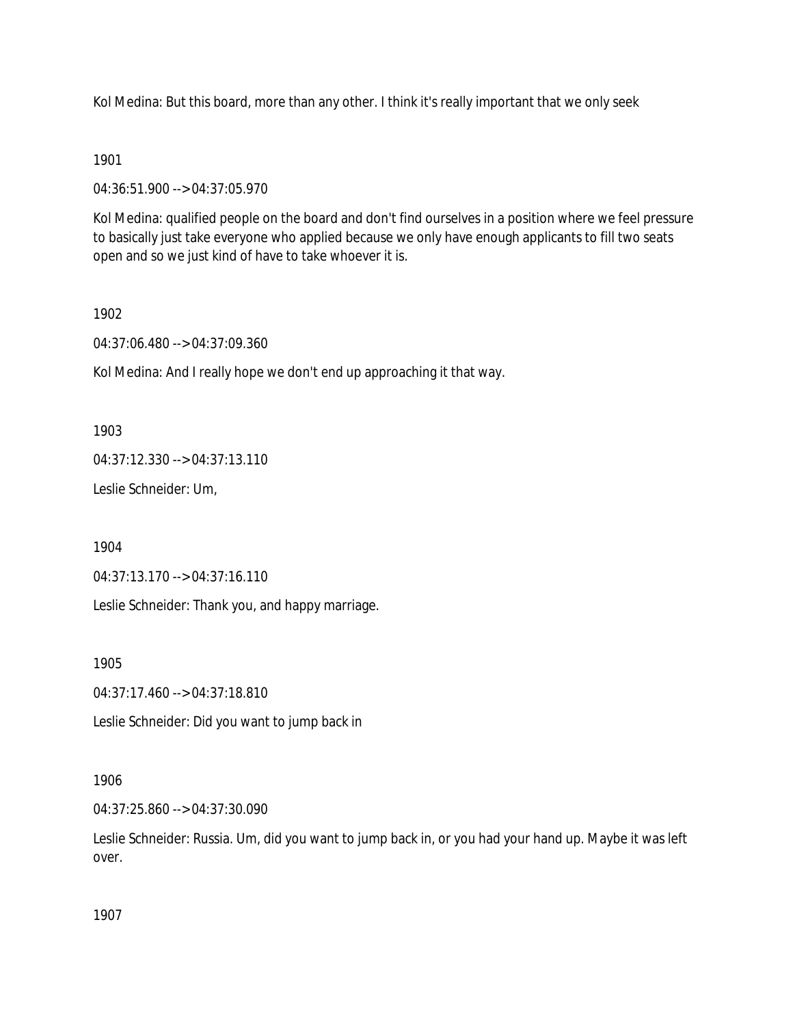Kol Medina: But this board, more than any other. I think it's really important that we only seek

## 1901

04:36:51.900 --> 04:37:05.970

Kol Medina: qualified people on the board and don't find ourselves in a position where we feel pressure to basically just take everyone who applied because we only have enough applicants to fill two seats open and so we just kind of have to take whoever it is.

## 1902

04:37:06.480 --> 04:37:09.360

Kol Medina: And I really hope we don't end up approaching it that way.

## 1903

04:37:12.330 --> 04:37:13.110

Leslie Schneider: Um,

1904

04:37:13.170 --> 04:37:16.110

Leslie Schneider: Thank you, and happy marriage.

1905

04:37:17.460 --> 04:37:18.810

Leslie Schneider: Did you want to jump back in

## 1906

04:37:25.860 --> 04:37:30.090

Leslie Schneider: Russia. Um, did you want to jump back in, or you had your hand up. Maybe it was left over.

1907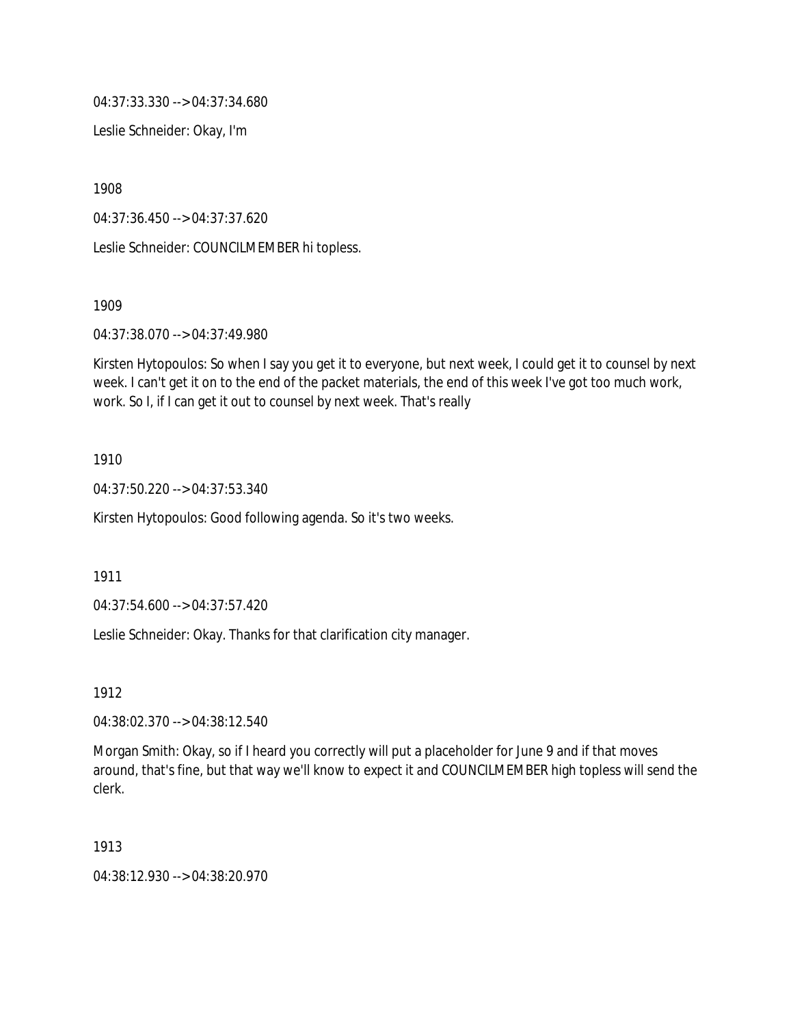04:37:33.330 --> 04:37:34.680

Leslie Schneider: Okay, I'm

1908

04:37:36.450 --> 04:37:37.620

Leslie Schneider: COUNCILMEMBER hi topless.

1909

04:37:38.070 --> 04:37:49.980

Kirsten Hytopoulos: So when I say you get it to everyone, but next week, I could get it to counsel by next week. I can't get it on to the end of the packet materials, the end of this week I've got too much work, work. So I, if I can get it out to counsel by next week. That's really

1910

04:37:50.220 --> 04:37:53.340

Kirsten Hytopoulos: Good following agenda. So it's two weeks.

1911

04:37:54.600 --> 04:37:57.420

Leslie Schneider: Okay. Thanks for that clarification city manager.

1912

04:38:02.370 --> 04:38:12.540

Morgan Smith: Okay, so if I heard you correctly will put a placeholder for June 9 and if that moves around, that's fine, but that way we'll know to expect it and COUNCILMEMBER high topless will send the clerk.

1913

04:38:12.930 --> 04:38:20.970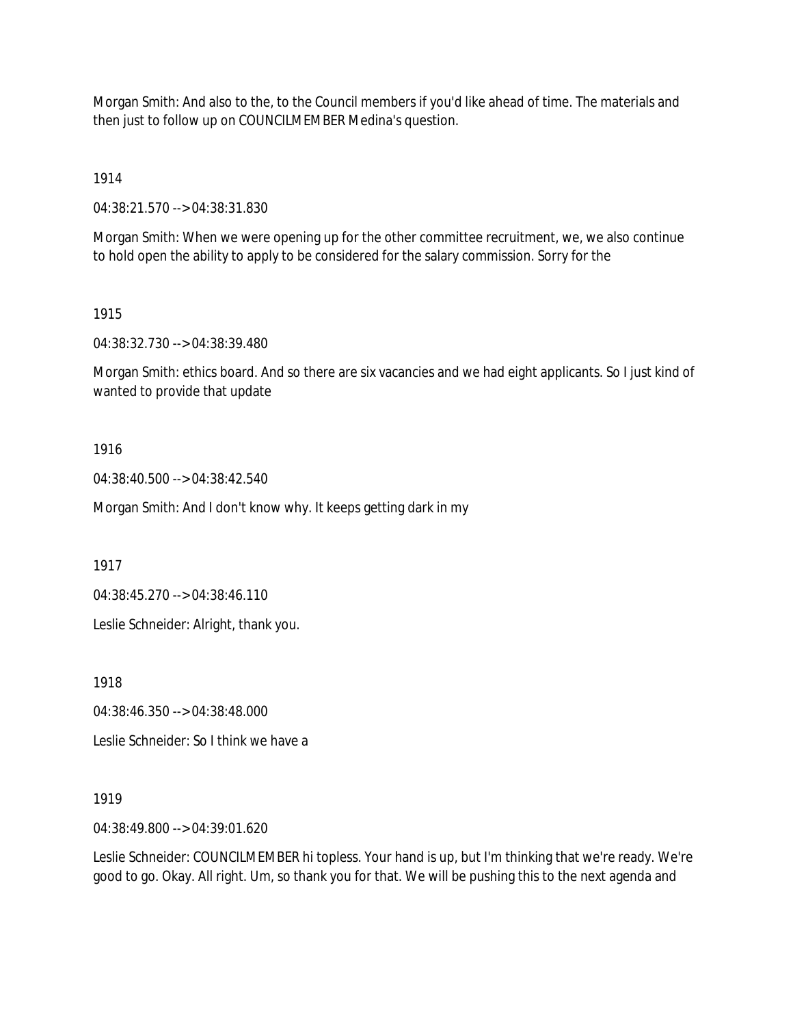Morgan Smith: And also to the, to the Council members if you'd like ahead of time. The materials and then just to follow up on COUNCILMEMBER Medina's question.

1914

04:38:21.570 --> 04:38:31.830

Morgan Smith: When we were opening up for the other committee recruitment, we, we also continue to hold open the ability to apply to be considered for the salary commission. Sorry for the

1915

04:38:32.730 --> 04:38:39.480

Morgan Smith: ethics board. And so there are six vacancies and we had eight applicants. So I just kind of wanted to provide that update

1916

04:38:40.500 --> 04:38:42.540

Morgan Smith: And I don't know why. It keeps getting dark in my

1917

04:38:45.270 --> 04:38:46.110

Leslie Schneider: Alright, thank you.

1918

04:38:46.350 --> 04:38:48.000

Leslie Schneider: So I think we have a

1919

04:38:49.800 --> 04:39:01.620

Leslie Schneider: COUNCILMEMBER hi topless. Your hand is up, but I'm thinking that we're ready. We're good to go. Okay. All right. Um, so thank you for that. We will be pushing this to the next agenda and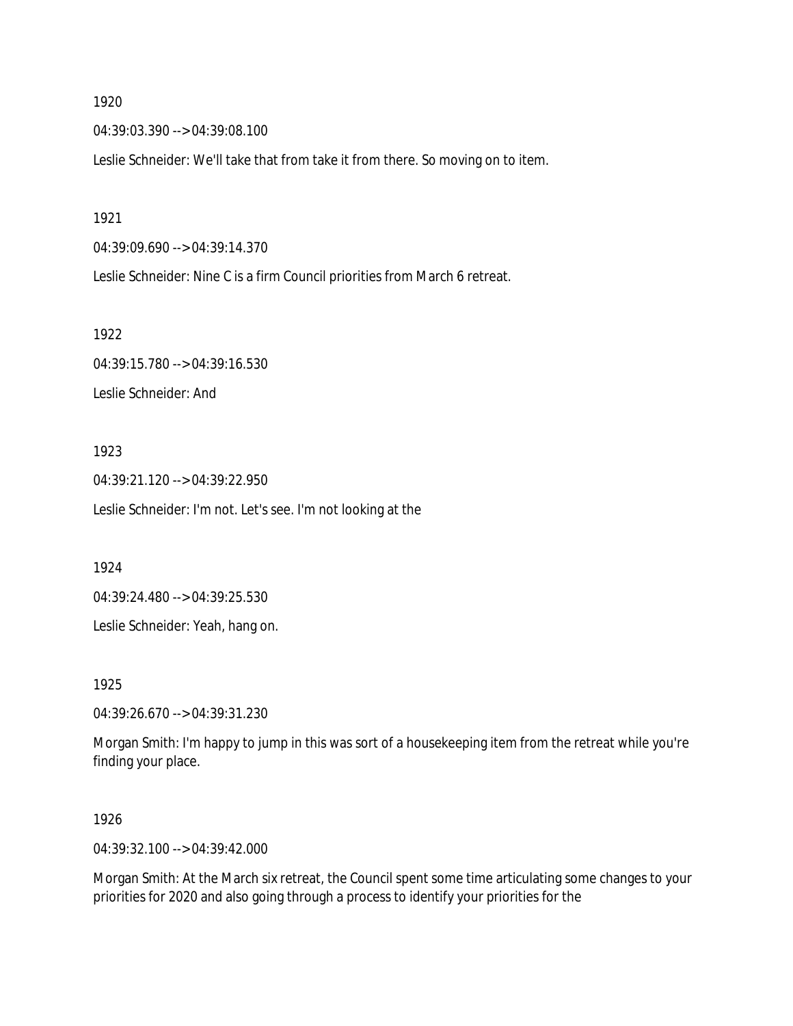04:39:03.390 --> 04:39:08.100

Leslie Schneider: We'll take that from take it from there. So moving on to item.

1921

04:39:09.690 --> 04:39:14.370

Leslie Schneider: Nine C is a firm Council priorities from March 6 retreat.

1922

04:39:15.780 --> 04:39:16.530 Leslie Schneider: And

1923

04:39:21.120 --> 04:39:22.950 Leslie Schneider: I'm not. Let's see. I'm not looking at the

1924

04:39:24.480 --> 04:39:25.530

Leslie Schneider: Yeah, hang on.

1925

04:39:26.670 --> 04:39:31.230

Morgan Smith: I'm happy to jump in this was sort of a housekeeping item from the retreat while you're finding your place.

1926

04:39:32.100 --> 04:39:42.000

Morgan Smith: At the March six retreat, the Council spent some time articulating some changes to your priorities for 2020 and also going through a process to identify your priorities for the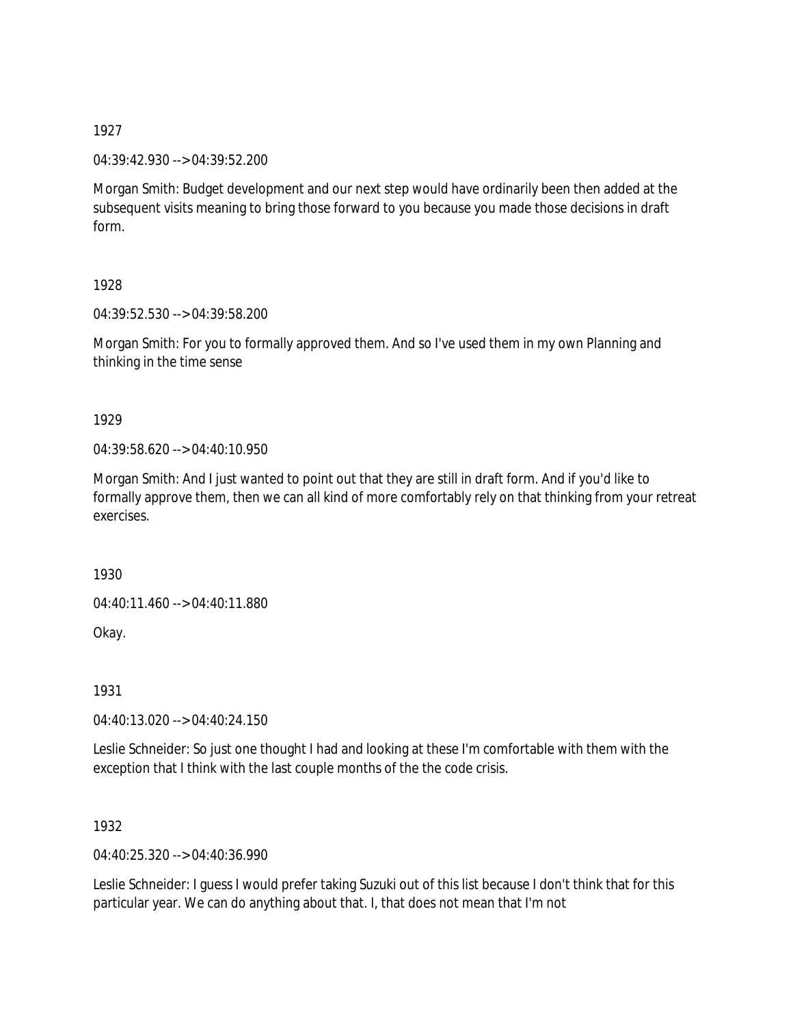04:39:42.930 --> 04:39:52.200

Morgan Smith: Budget development and our next step would have ordinarily been then added at the subsequent visits meaning to bring those forward to you because you made those decisions in draft form.

1928

04:39:52.530 --> 04:39:58.200

Morgan Smith: For you to formally approved them. And so I've used them in my own Planning and thinking in the time sense

1929

04:39:58.620 --> 04:40:10.950

Morgan Smith: And I just wanted to point out that they are still in draft form. And if you'd like to formally approve them, then we can all kind of more comfortably rely on that thinking from your retreat exercises.

1930

04:40:11.460 --> 04:40:11.880

Okay.

1931

04:40:13.020 --> 04:40:24.150

Leslie Schneider: So just one thought I had and looking at these I'm comfortable with them with the exception that I think with the last couple months of the the code crisis.

1932

04:40:25.320 --> 04:40:36.990

Leslie Schneider: I guess I would prefer taking Suzuki out of this list because I don't think that for this particular year. We can do anything about that. I, that does not mean that I'm not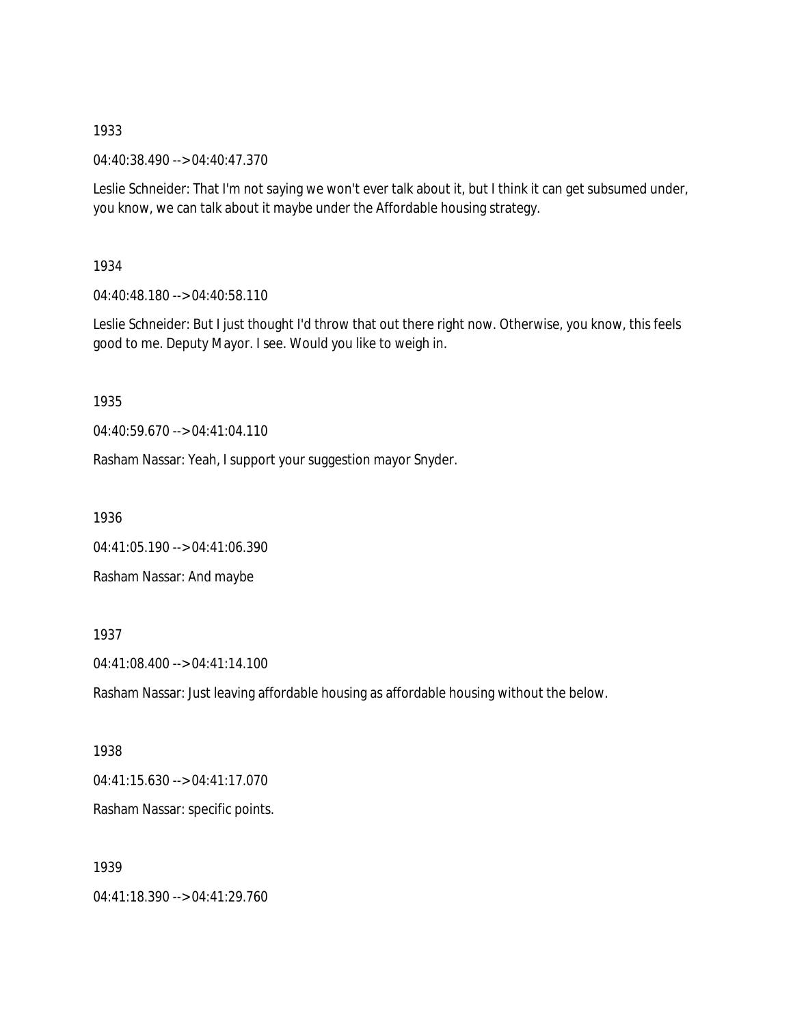04:40:38.490 --> 04:40:47.370

Leslie Schneider: That I'm not saying we won't ever talk about it, but I think it can get subsumed under, you know, we can talk about it maybe under the Affordable housing strategy.

## 1934

04:40:48.180 --> 04:40:58.110

Leslie Schneider: But I just thought I'd throw that out there right now. Otherwise, you know, this feels good to me. Deputy Mayor. I see. Would you like to weigh in.

## 1935

04:40:59.670 --> 04:41:04.110

Rasham Nassar: Yeah, I support your suggestion mayor Snyder.

1936

04:41:05.190 --> 04:41:06.390

Rasham Nassar: And maybe

# 1937

04:41:08.400 --> 04:41:14.100

Rasham Nassar: Just leaving affordable housing as affordable housing without the below.

## 1938

04:41:15.630 --> 04:41:17.070

Rasham Nassar: specific points.

## 1939

04:41:18.390 --> 04:41:29.760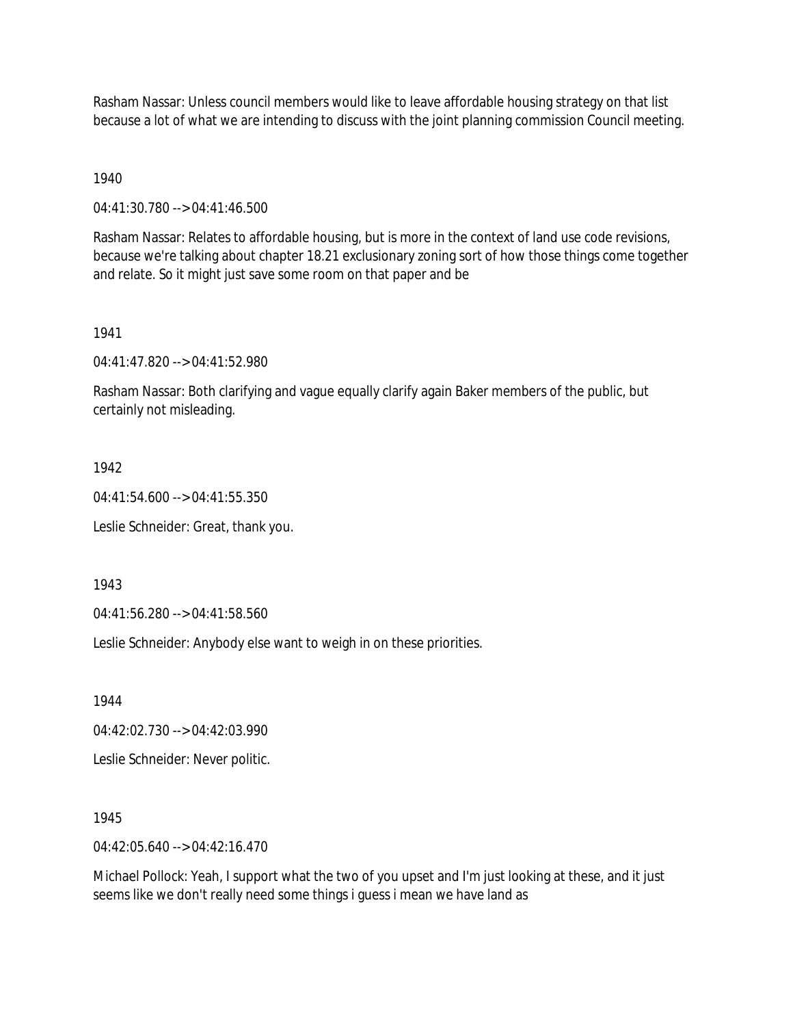Rasham Nassar: Unless council members would like to leave affordable housing strategy on that list because a lot of what we are intending to discuss with the joint planning commission Council meeting.

1940

04:41:30.780 --> 04:41:46.500

Rasham Nassar: Relates to affordable housing, but is more in the context of land use code revisions, because we're talking about chapter 18.21 exclusionary zoning sort of how those things come together and relate. So it might just save some room on that paper and be

1941

04:41:47.820 --> 04:41:52.980

Rasham Nassar: Both clarifying and vague equally clarify again Baker members of the public, but certainly not misleading.

1942

04:41:54.600 --> 04:41:55.350

Leslie Schneider: Great, thank you.

1943

04:41:56.280 --> 04:41:58.560

Leslie Schneider: Anybody else want to weigh in on these priorities.

1944

04:42:02.730 --> 04:42:03.990

Leslie Schneider: Never politic.

1945

04:42:05.640 --> 04:42:16.470

Michael Pollock: Yeah, I support what the two of you upset and I'm just looking at these, and it just seems like we don't really need some things i guess i mean we have land as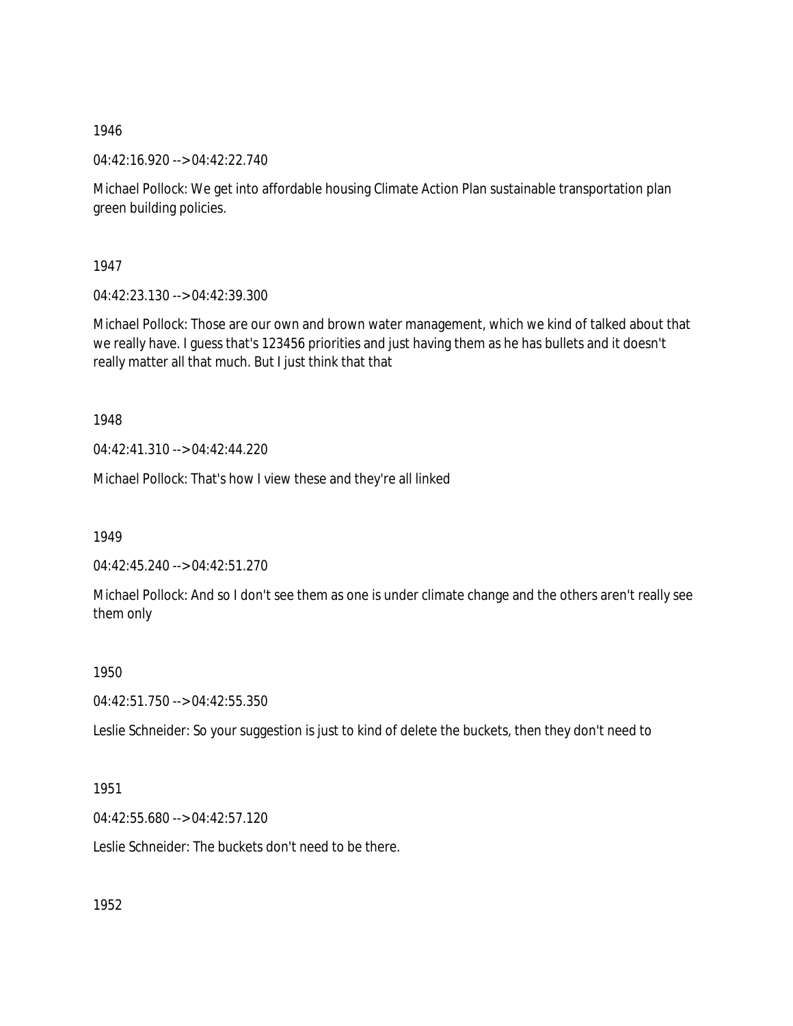04:42:16.920 --> 04:42:22.740

Michael Pollock: We get into affordable housing Climate Action Plan sustainable transportation plan green building policies.

1947

04:42:23.130 --> 04:42:39.300

Michael Pollock: Those are our own and brown water management, which we kind of talked about that we really have. I guess that's 123456 priorities and just having them as he has bullets and it doesn't really matter all that much. But I just think that that

1948

04:42:41.310 --> 04:42:44.220

Michael Pollock: That's how I view these and they're all linked

1949

04:42:45.240 --> 04:42:51.270

Michael Pollock: And so I don't see them as one is under climate change and the others aren't really see them only

1950

04:42:51.750 --> 04:42:55.350

Leslie Schneider: So your suggestion is just to kind of delete the buckets, then they don't need to

1951

04:42:55.680 --> 04:42:57.120

Leslie Schneider: The buckets don't need to be there.

1952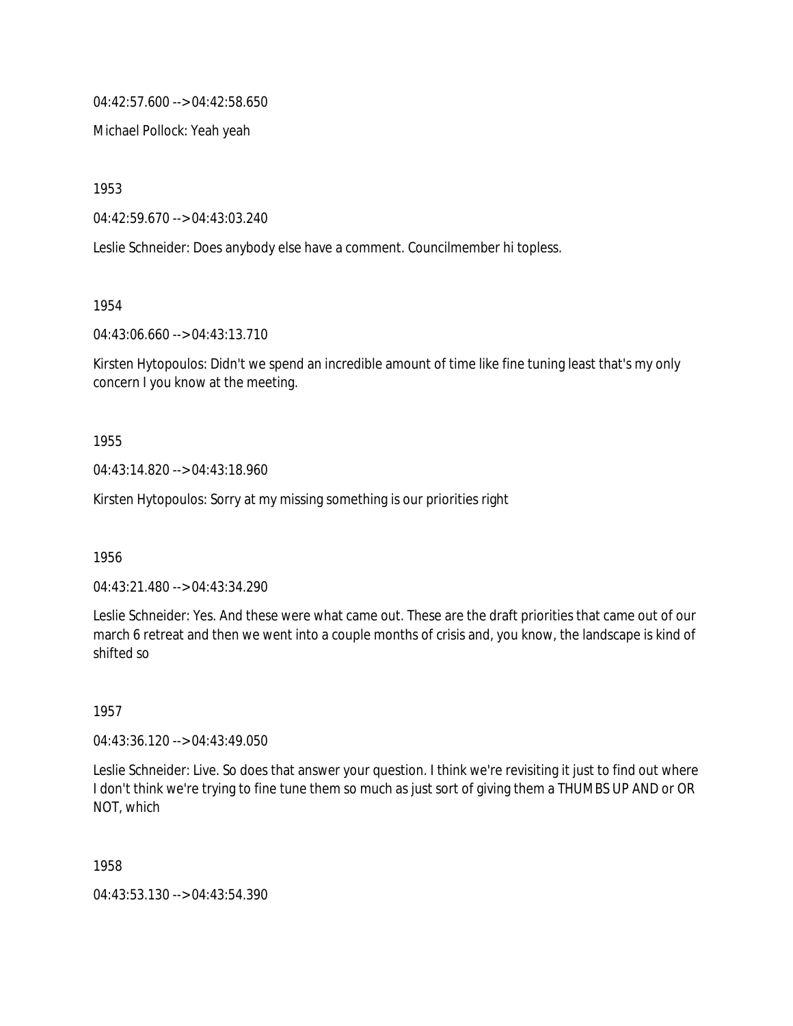04:42:57.600 --> 04:42:58.650

Michael Pollock: Yeah yeah

1953

04:42:59.670 --> 04:43:03.240

Leslie Schneider: Does anybody else have a comment. Councilmember hi topless.

1954

04:43:06.660 --> 04:43:13.710

Kirsten Hytopoulos: Didn't we spend an incredible amount of time like fine tuning least that's my only concern I you know at the meeting.

1955

04:43:14.820 --> 04:43:18.960

Kirsten Hytopoulos: Sorry at my missing something is our priorities right

1956

04:43:21.480 --> 04:43:34.290

Leslie Schneider: Yes. And these were what came out. These are the draft priorities that came out of our march 6 retreat and then we went into a couple months of crisis and, you know, the landscape is kind of shifted so

1957

04:43:36.120 --> 04:43:49.050

Leslie Schneider: Live. So does that answer your question. I think we're revisiting it just to find out where I don't think we're trying to fine tune them so much as just sort of giving them a THUMBS UP AND or OR NOT, which

1958

04:43:53.130 --> 04:43:54.390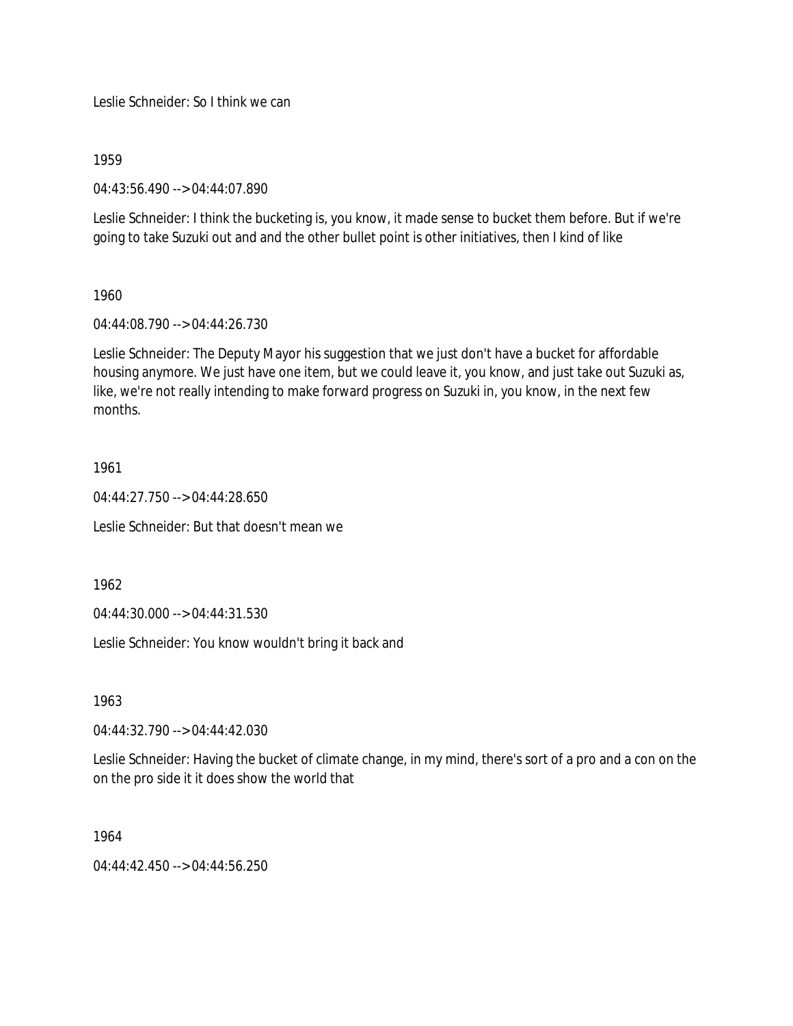Leslie Schneider: So I think we can

1959

04:43:56.490 --> 04:44:07.890

Leslie Schneider: I think the bucketing is, you know, it made sense to bucket them before. But if we're going to take Suzuki out and and the other bullet point is other initiatives, then I kind of like

## 1960

04:44:08.790 --> 04:44:26.730

Leslie Schneider: The Deputy Mayor his suggestion that we just don't have a bucket for affordable housing anymore. We just have one item, but we could leave it, you know, and just take out Suzuki as, like, we're not really intending to make forward progress on Suzuki in, you know, in the next few months.

## 1961

04:44:27.750 --> 04:44:28.650

Leslie Schneider: But that doesn't mean we

1962

04:44:30.000 --> 04:44:31.530

Leslie Schneider: You know wouldn't bring it back and

1963

04:44:32.790 --> 04:44:42.030

Leslie Schneider: Having the bucket of climate change, in my mind, there's sort of a pro and a con on the on the pro side it it does show the world that

## 1964

 $04.44.42.450 \rightarrow 04.44.56.250$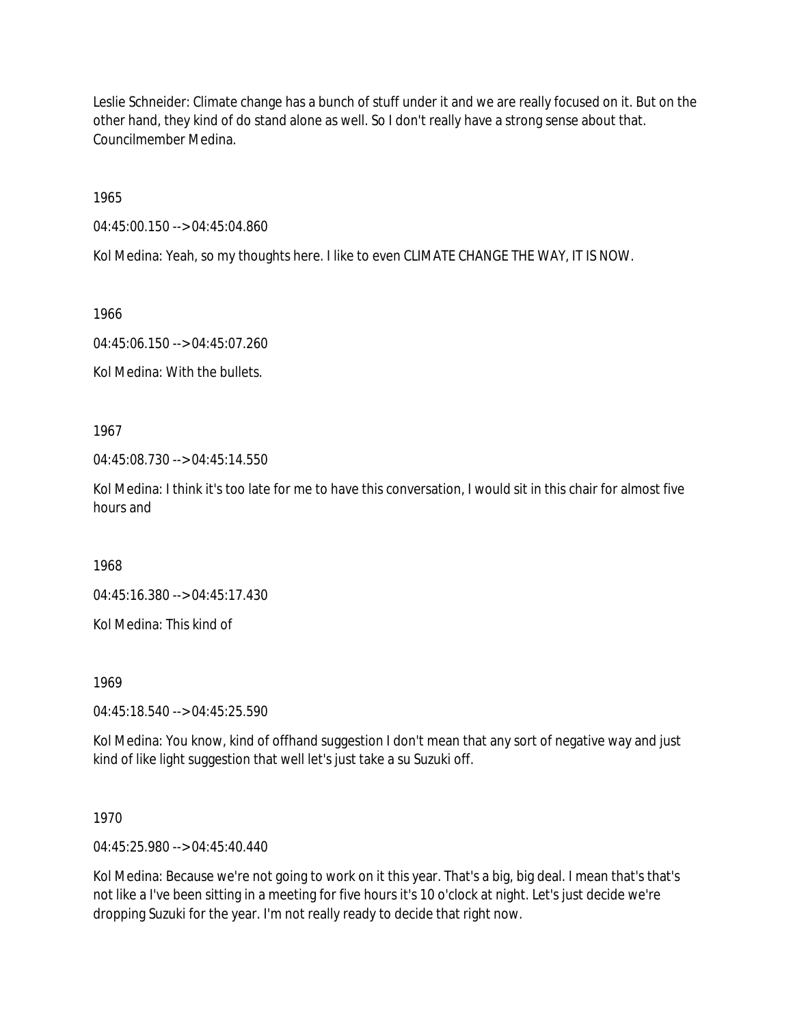Leslie Schneider: Climate change has a bunch of stuff under it and we are really focused on it. But on the other hand, they kind of do stand alone as well. So I don't really have a strong sense about that. Councilmember Medina.

1965

04:45:00.150 --> 04:45:04.860

Kol Medina: Yeah, so my thoughts here. I like to even CLIMATE CHANGE THE WAY, IT IS NOW.

1966

04:45:06.150 --> 04:45:07.260

Kol Medina: With the bullets.

1967

04:45:08.730 --> 04:45:14.550

Kol Medina: I think it's too late for me to have this conversation, I would sit in this chair for almost five hours and

1968

04:45:16.380 --> 04:45:17.430

Kol Medina: This kind of

1969

04:45:18.540 --> 04:45:25.590

Kol Medina: You know, kind of offhand suggestion I don't mean that any sort of negative way and just kind of like light suggestion that well let's just take a su Suzuki off.

1970

04:45:25.980 --> 04:45:40.440

Kol Medina: Because we're not going to work on it this year. That's a big, big deal. I mean that's that's not like a I've been sitting in a meeting for five hours it's 10 o'clock at night. Let's just decide we're dropping Suzuki for the year. I'm not really ready to decide that right now.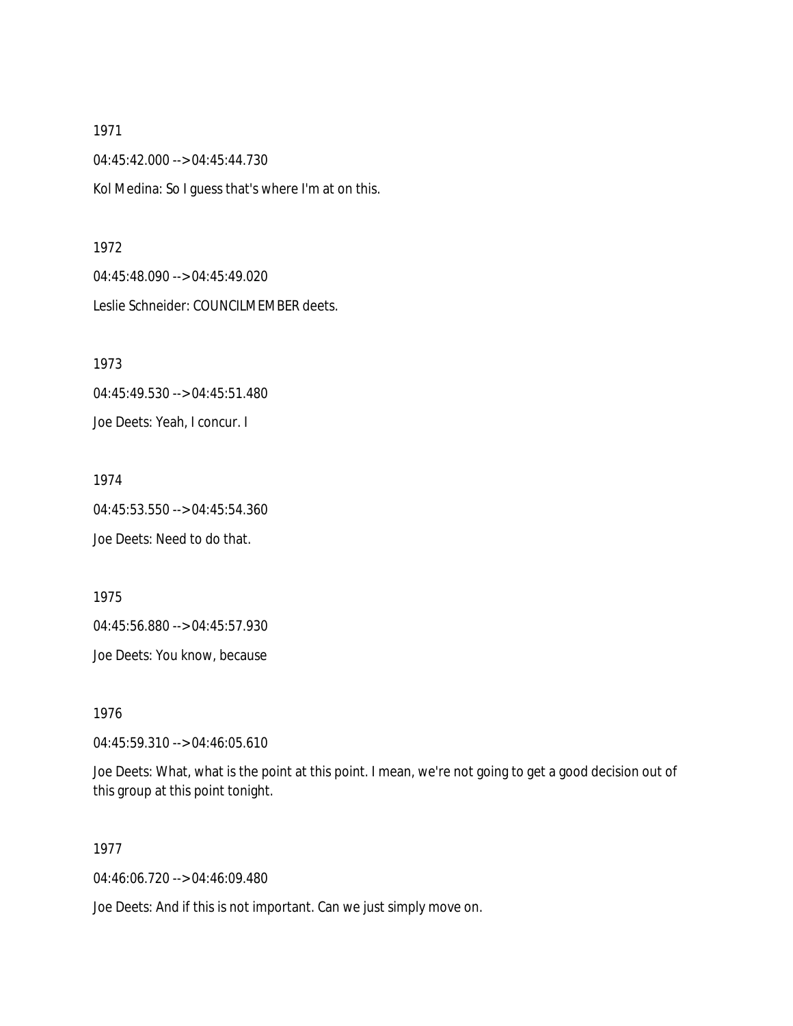04:45:42.000 --> 04:45:44.730 Kol Medina: So I guess that's where I'm at on this.

#### 1972

04:45:48.090 --> 04:45:49.020 Leslie Schneider: COUNCILMEMBER deets.

1973 04:45:49.530 --> 04:45:51.480 Joe Deets: Yeah, I concur. I

1974 04:45:53.550 --> 04:45:54.360 Joe Deets: Need to do that.

1975 04:45:56.880 --> 04:45:57.930

Joe Deets: You know, because

1976

04:45:59.310 --> 04:46:05.610

Joe Deets: What, what is the point at this point. I mean, we're not going to get a good decision out of this group at this point tonight.

## 1977

04:46:06.720 --> 04:46:09.480

Joe Deets: And if this is not important. Can we just simply move on.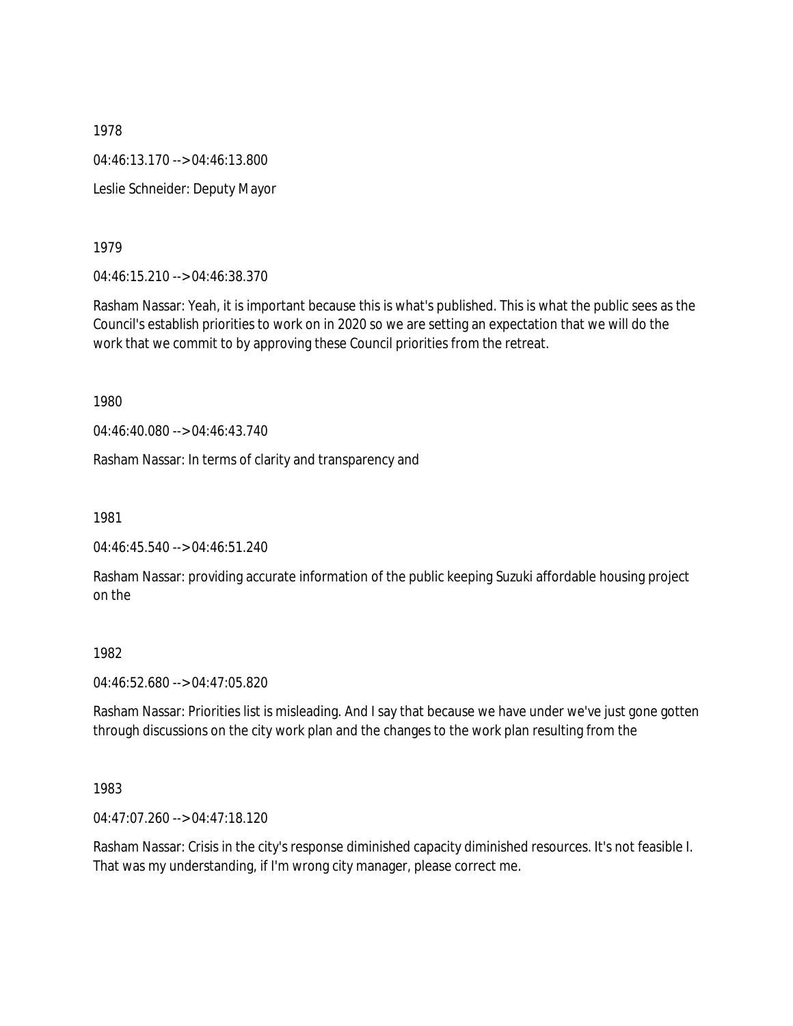1978 04:46:13.170 --> 04:46:13.800 Leslie Schneider: Deputy Mayor

1979

04:46:15.210 --> 04:46:38.370

Rasham Nassar: Yeah, it is important because this is what's published. This is what the public sees as the Council's establish priorities to work on in 2020 so we are setting an expectation that we will do the work that we commit to by approving these Council priorities from the retreat.

1980

04:46:40.080 --> 04:46:43.740

Rasham Nassar: In terms of clarity and transparency and

1981

04:46:45.540 --> 04:46:51.240

Rasham Nassar: providing accurate information of the public keeping Suzuki affordable housing project on the

1982

04:46:52.680 --> 04:47:05.820

Rasham Nassar: Priorities list is misleading. And I say that because we have under we've just gone gotten through discussions on the city work plan and the changes to the work plan resulting from the

1983

04:47:07.260 --> 04:47:18.120

Rasham Nassar: Crisis in the city's response diminished capacity diminished resources. It's not feasible I. That was my understanding, if I'm wrong city manager, please correct me.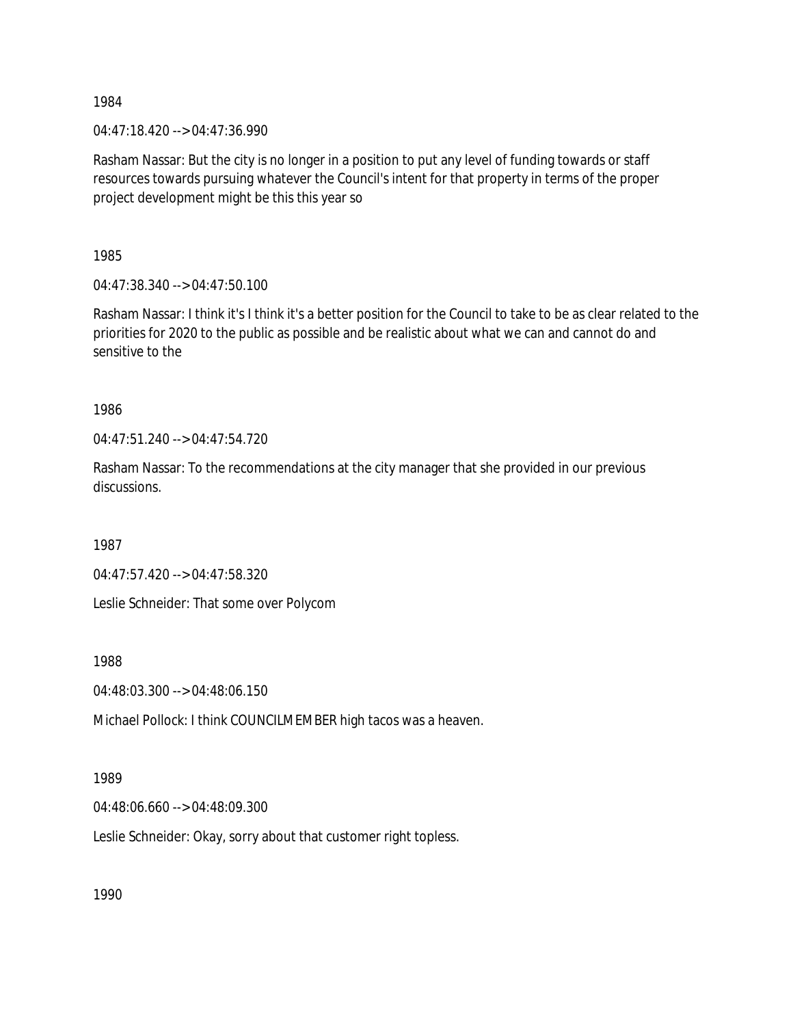04:47:18.420 --> 04:47:36.990

Rasham Nassar: But the city is no longer in a position to put any level of funding towards or staff resources towards pursuing whatever the Council's intent for that property in terms of the proper project development might be this this year so

1985

04:47:38.340 --> 04:47:50.100

Rasham Nassar: I think it's I think it's a better position for the Council to take to be as clear related to the priorities for 2020 to the public as possible and be realistic about what we can and cannot do and sensitive to the

1986

04:47:51.240 --> 04:47:54.720

Rasham Nassar: To the recommendations at the city manager that she provided in our previous discussions.

1987

04:47:57.420 --> 04:47:58.320

Leslie Schneider: That some over Polycom

1988

04:48:03.300 --> 04:48:06.150

Michael Pollock: I think COUNCILMEMBER high tacos was a heaven.

1989

04:48:06.660 --> 04:48:09.300

Leslie Schneider: Okay, sorry about that customer right topless.

1990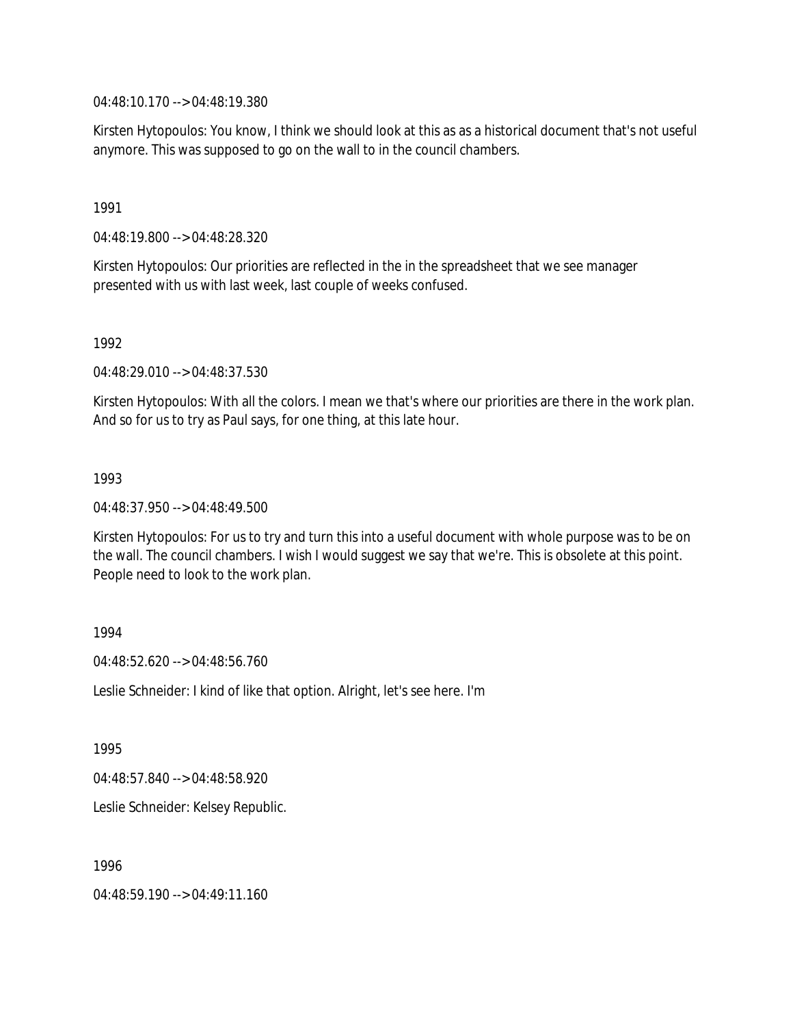04:48:10.170 --> 04:48:19.380

Kirsten Hytopoulos: You know, I think we should look at this as as a historical document that's not useful anymore. This was supposed to go on the wall to in the council chambers.

1991

04:48:19.800 --> 04:48:28.320

Kirsten Hytopoulos: Our priorities are reflected in the in the spreadsheet that we see manager presented with us with last week, last couple of weeks confused.

1992

04:48:29.010 --> 04:48:37.530

Kirsten Hytopoulos: With all the colors. I mean we that's where our priorities are there in the work plan. And so for us to try as Paul says, for one thing, at this late hour.

1993

04:48:37.950 --> 04:48:49.500

Kirsten Hytopoulos: For us to try and turn this into a useful document with whole purpose was to be on the wall. The council chambers. I wish I would suggest we say that we're. This is obsolete at this point. People need to look to the work plan.

1994

 $04.48.52.620 -> 04.48.56.760$ 

Leslie Schneider: I kind of like that option. Alright, let's see here. I'm

1995

04:48:57.840 --> 04:48:58.920

Leslie Schneider: Kelsey Republic.

1996

04:48:59.190 --> 04:49:11.160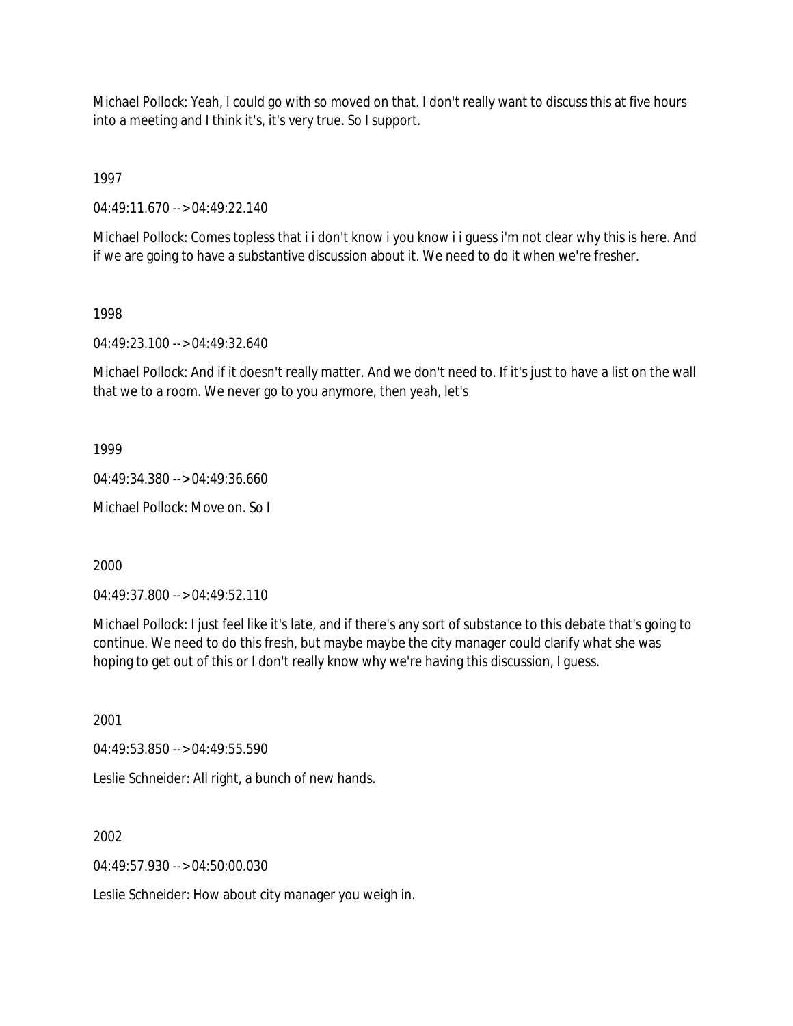Michael Pollock: Yeah, I could go with so moved on that. I don't really want to discuss this at five hours into a meeting and I think it's, it's very true. So I support.

1997

04:49:11.670 --> 04:49:22.140

Michael Pollock: Comes topless that i i don't know i you know i i guess i'm not clear why this is here. And if we are going to have a substantive discussion about it. We need to do it when we're fresher.

1998

04:49:23.100 --> 04:49:32.640

Michael Pollock: And if it doesn't really matter. And we don't need to. If it's just to have a list on the wall that we to a room. We never go to you anymore, then yeah, let's

1999

04:49:34.380 --> 04:49:36.660

Michael Pollock: Move on. So I

2000

04:49:37.800 --> 04:49:52.110

Michael Pollock: I just feel like it's late, and if there's any sort of substance to this debate that's going to continue. We need to do this fresh, but maybe maybe the city manager could clarify what she was hoping to get out of this or I don't really know why we're having this discussion, I guess.

2001

04:49:53.850 --> 04:49:55.590

Leslie Schneider: All right, a bunch of new hands.

2002

 $04.49.57.930 -> 04.50.00.030$ 

Leslie Schneider: How about city manager you weigh in.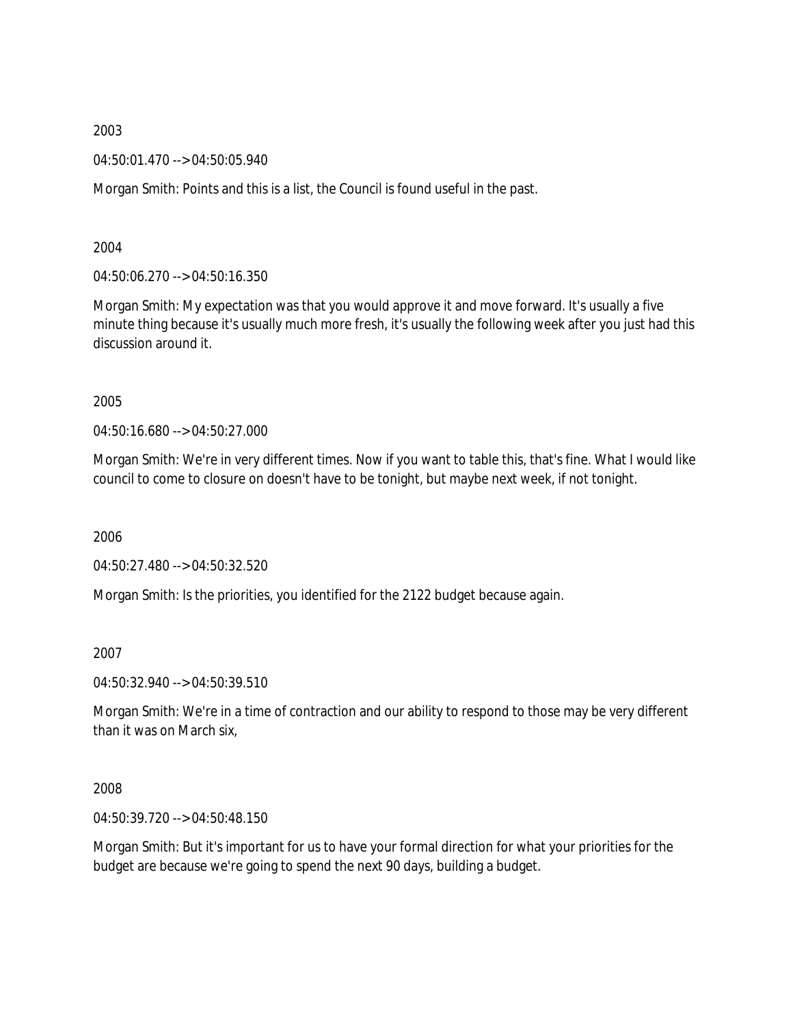04:50:01.470 --> 04:50:05.940

Morgan Smith: Points and this is a list, the Council is found useful in the past.

2004

04:50:06.270 --> 04:50:16.350

Morgan Smith: My expectation was that you would approve it and move forward. It's usually a five minute thing because it's usually much more fresh, it's usually the following week after you just had this discussion around it.

2005

04:50:16.680 --> 04:50:27.000

Morgan Smith: We're in very different times. Now if you want to table this, that's fine. What I would like council to come to closure on doesn't have to be tonight, but maybe next week, if not tonight.

2006

04:50:27.480 --> 04:50:32.520

Morgan Smith: Is the priorities, you identified for the 2122 budget because again.

2007

04:50:32.940 --> 04:50:39.510

Morgan Smith: We're in a time of contraction and our ability to respond to those may be very different than it was on March six,

2008

04:50:39.720 --> 04:50:48.150

Morgan Smith: But it's important for us to have your formal direction for what your priorities for the budget are because we're going to spend the next 90 days, building a budget.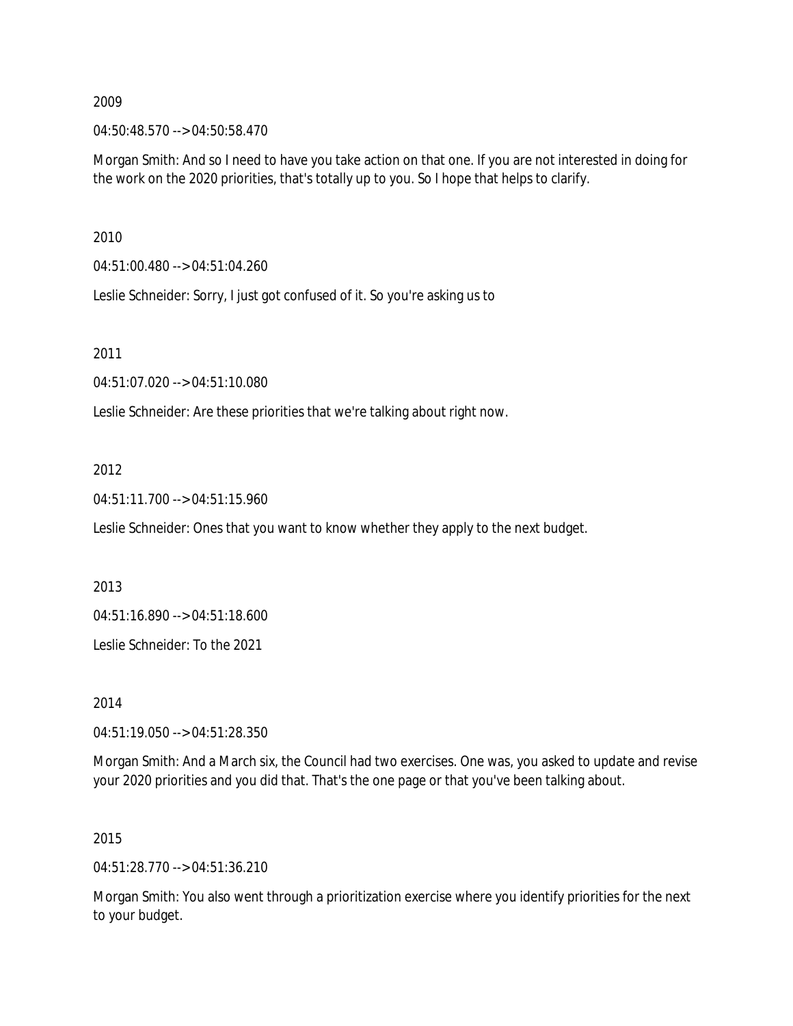04:50:48.570 --> 04:50:58.470

Morgan Smith: And so I need to have you take action on that one. If you are not interested in doing for the work on the 2020 priorities, that's totally up to you. So I hope that helps to clarify.

2010

04:51:00.480 --> 04:51:04.260

Leslie Schneider: Sorry, I just got confused of it. So you're asking us to

2011

04:51:07.020 --> 04:51:10.080

Leslie Schneider: Are these priorities that we're talking about right now.

# 2012

04:51:11.700 --> 04:51:15.960

Leslie Schneider: Ones that you want to know whether they apply to the next budget.

2013

04:51:16.890 --> 04:51:18.600

Leslie Schneider: To the 2021

2014

04:51:19.050 --> 04:51:28.350

Morgan Smith: And a March six, the Council had two exercises. One was, you asked to update and revise your 2020 priorities and you did that. That's the one page or that you've been talking about.

## 2015

04:51:28.770 --> 04:51:36.210

Morgan Smith: You also went through a prioritization exercise where you identify priorities for the next to your budget.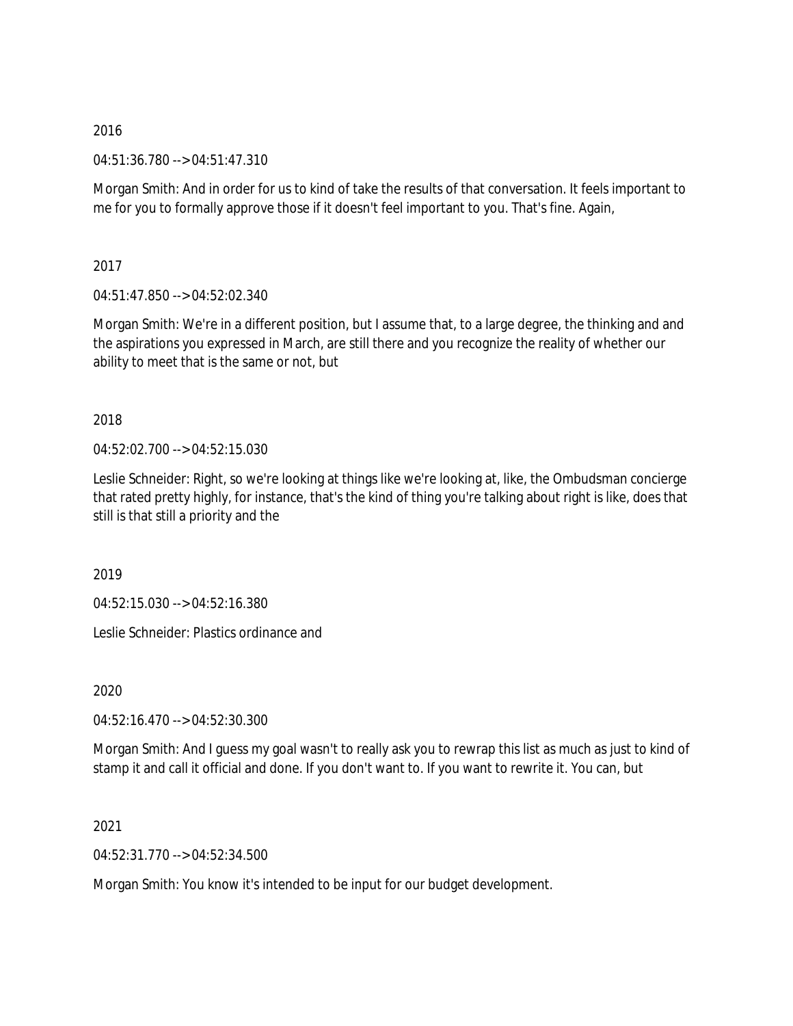04:51:36.780 --> 04:51:47.310

Morgan Smith: And in order for us to kind of take the results of that conversation. It feels important to me for you to formally approve those if it doesn't feel important to you. That's fine. Again,

2017

04:51:47.850 --> 04:52:02.340

Morgan Smith: We're in a different position, but I assume that, to a large degree, the thinking and and the aspirations you expressed in March, are still there and you recognize the reality of whether our ability to meet that is the same or not, but

2018

04:52:02.700 --> 04:52:15.030

Leslie Schneider: Right, so we're looking at things like we're looking at, like, the Ombudsman concierge that rated pretty highly, for instance, that's the kind of thing you're talking about right is like, does that still is that still a priority and the

2019

04:52:15.030 --> 04:52:16.380

Leslie Schneider: Plastics ordinance and

2020

04:52:16.470 --> 04:52:30.300

Morgan Smith: And I guess my goal wasn't to really ask you to rewrap this list as much as just to kind of stamp it and call it official and done. If you don't want to. If you want to rewrite it. You can, but

2021

04:52:31.770 --> 04:52:34.500

Morgan Smith: You know it's intended to be input for our budget development.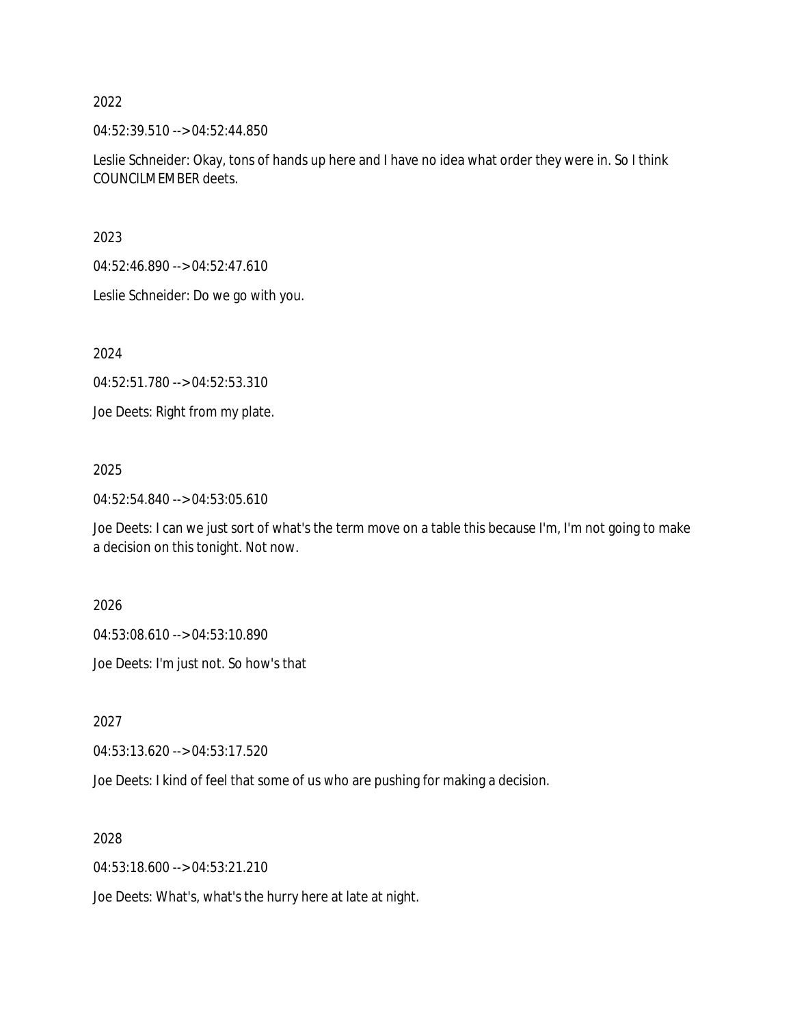04:52:39.510 --> 04:52:44.850

Leslie Schneider: Okay, tons of hands up here and I have no idea what order they were in. So I think COUNCILMEMBER deets.

2023

04:52:46.890 --> 04:52:47.610

Leslie Schneider: Do we go with you.

2024

04:52:51.780 --> 04:52:53.310

Joe Deets: Right from my plate.

# 2025

04:52:54.840 --> 04:53:05.610

Joe Deets: I can we just sort of what's the term move on a table this because I'm, I'm not going to make a decision on this tonight. Not now.

2026

04:53:08.610 --> 04:53:10.890

Joe Deets: I'm just not. So how's that

2027

04:53:13.620 --> 04:53:17.520

Joe Deets: I kind of feel that some of us who are pushing for making a decision.

2028

04:53:18.600 --> 04:53:21.210

Joe Deets: What's, what's the hurry here at late at night.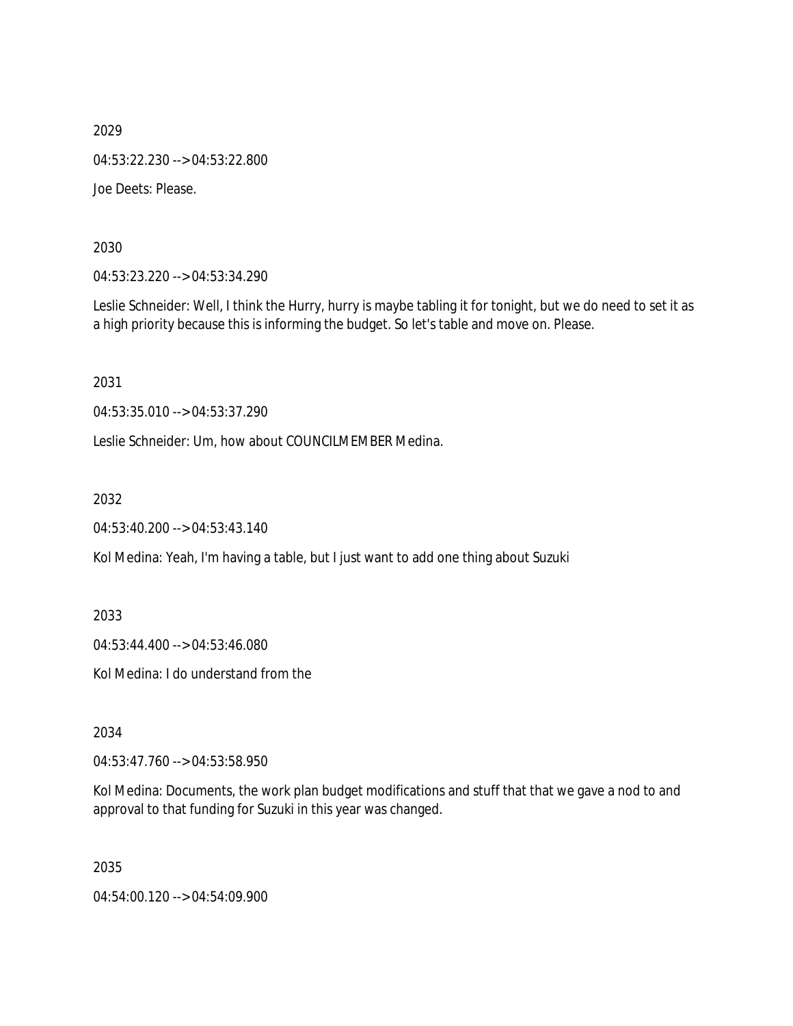2029 04:53:22.230 --> 04:53:22.800 Joe Deets: Please.

2030

04:53:23.220 --> 04:53:34.290

Leslie Schneider: Well, I think the Hurry, hurry is maybe tabling it for tonight, but we do need to set it as a high priority because this is informing the budget. So let's table and move on. Please.

2031

04:53:35.010 --> 04:53:37.290

Leslie Schneider: Um, how about COUNCILMEMBER Medina.

2032

04:53:40.200 --> 04:53:43.140

Kol Medina: Yeah, I'm having a table, but I just want to add one thing about Suzuki

2033

04:53:44.400 --> 04:53:46.080

Kol Medina: I do understand from the

2034

04:53:47.760 --> 04:53:58.950

Kol Medina: Documents, the work plan budget modifications and stuff that that we gave a nod to and approval to that funding for Suzuki in this year was changed.

2035

04:54:00.120 --> 04:54:09.900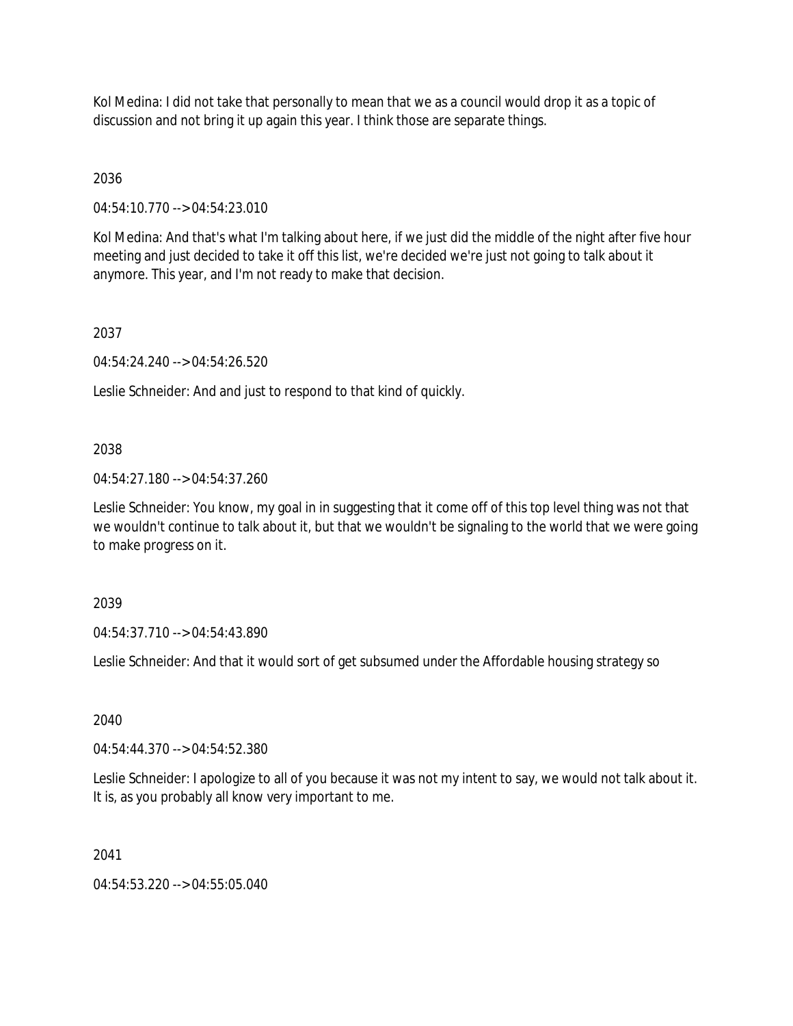Kol Medina: I did not take that personally to mean that we as a council would drop it as a topic of discussion and not bring it up again this year. I think those are separate things.

2036

04:54:10.770 --> 04:54:23.010

Kol Medina: And that's what I'm talking about here, if we just did the middle of the night after five hour meeting and just decided to take it off this list, we're decided we're just not going to talk about it anymore. This year, and I'm not ready to make that decision.

2037

04:54:24.240 --> 04:54:26.520

Leslie Schneider: And and just to respond to that kind of quickly.

# 2038

04:54:27.180 --> 04:54:37.260

Leslie Schneider: You know, my goal in in suggesting that it come off of this top level thing was not that we wouldn't continue to talk about it, but that we wouldn't be signaling to the world that we were going to make progress on it.

2039

04:54:37.710 --> 04:54:43.890

Leslie Schneider: And that it would sort of get subsumed under the Affordable housing strategy so

2040

04:54:44.370 --> 04:54:52.380

Leslie Schneider: I apologize to all of you because it was not my intent to say, we would not talk about it. It is, as you probably all know very important to me.

2041

04:54:53.220 --> 04:55:05.040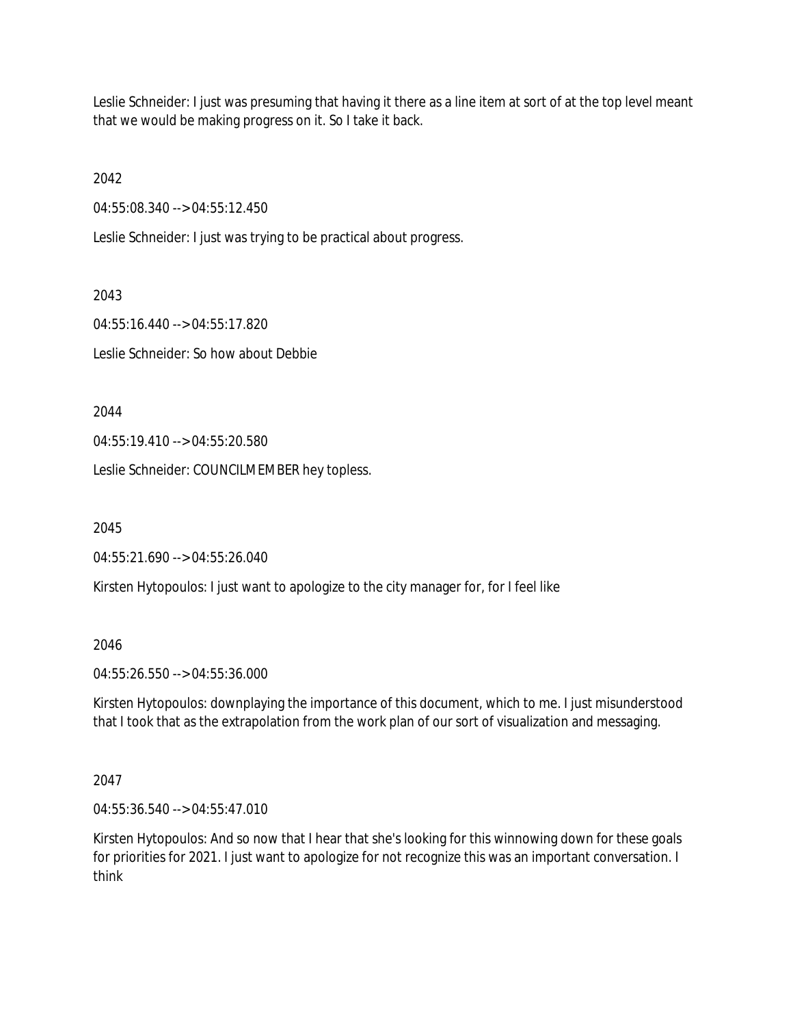Leslie Schneider: I just was presuming that having it there as a line item at sort of at the top level meant that we would be making progress on it. So I take it back.

2042

04:55:08.340 --> 04:55:12.450

Leslie Schneider: I just was trying to be practical about progress.

2043

04:55:16.440 --> 04:55:17.820 Leslie Schneider: So how about Debbie

2044

04:55:19.410 --> 04:55:20.580

Leslie Schneider: COUNCILMEMBER hey topless.

2045

04:55:21.690 --> 04:55:26.040

Kirsten Hytopoulos: I just want to apologize to the city manager for, for I feel like

2046

04:55:26.550 --> 04:55:36.000

Kirsten Hytopoulos: downplaying the importance of this document, which to me. I just misunderstood that I took that as the extrapolation from the work plan of our sort of visualization and messaging.

2047

04:55:36.540 --> 04:55:47.010

Kirsten Hytopoulos: And so now that I hear that she's looking for this winnowing down for these goals for priorities for 2021. I just want to apologize for not recognize this was an important conversation. I think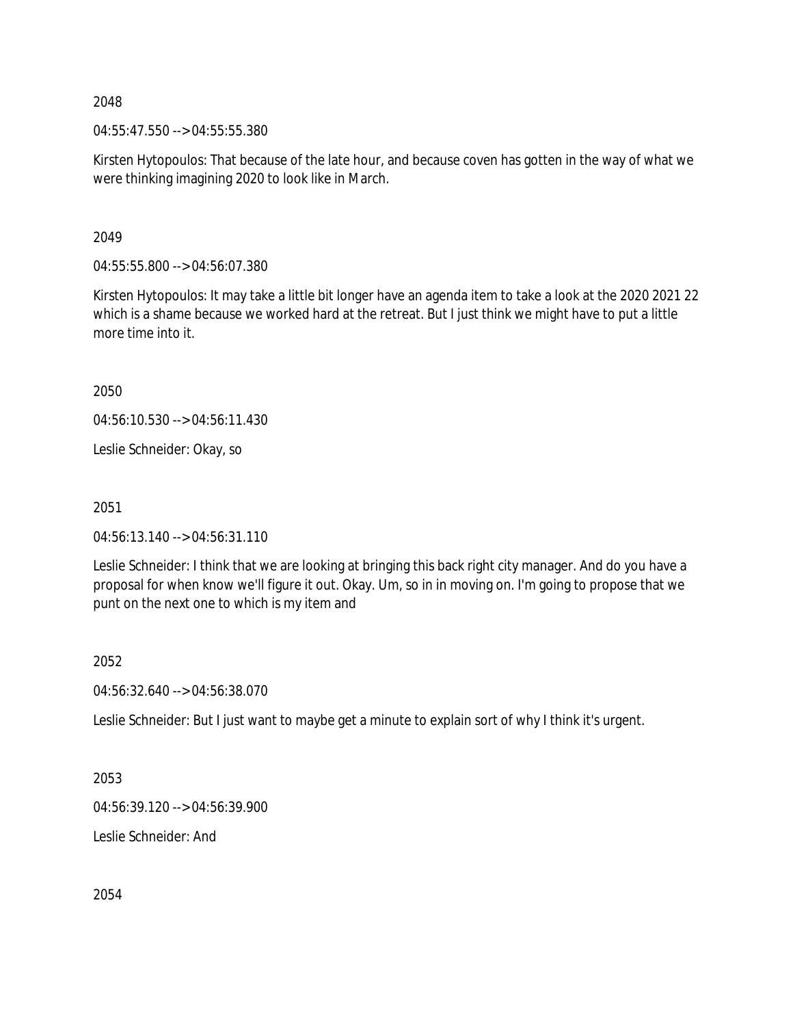2048

04:55:47.550 --> 04:55:55.380

Kirsten Hytopoulos: That because of the late hour, and because coven has gotten in the way of what we were thinking imagining 2020 to look like in March.

## 2049

04:55:55.800 --> 04:56:07.380

Kirsten Hytopoulos: It may take a little bit longer have an agenda item to take a look at the 2020 2021 22 which is a shame because we worked hard at the retreat. But I just think we might have to put a little more time into it.

2050

04:56:10.530 --> 04:56:11.430

Leslie Schneider: Okay, so

2051

04:56:13.140 --> 04:56:31.110

Leslie Schneider: I think that we are looking at bringing this back right city manager. And do you have a proposal for when know we'll figure it out. Okay. Um, so in in moving on. I'm going to propose that we punt on the next one to which is my item and

### 2052

04:56:32.640 --> 04:56:38.070

Leslie Schneider: But I just want to maybe get a minute to explain sort of why I think it's urgent.

2053

04:56:39.120 --> 04:56:39.900

Leslie Schneider: And

2054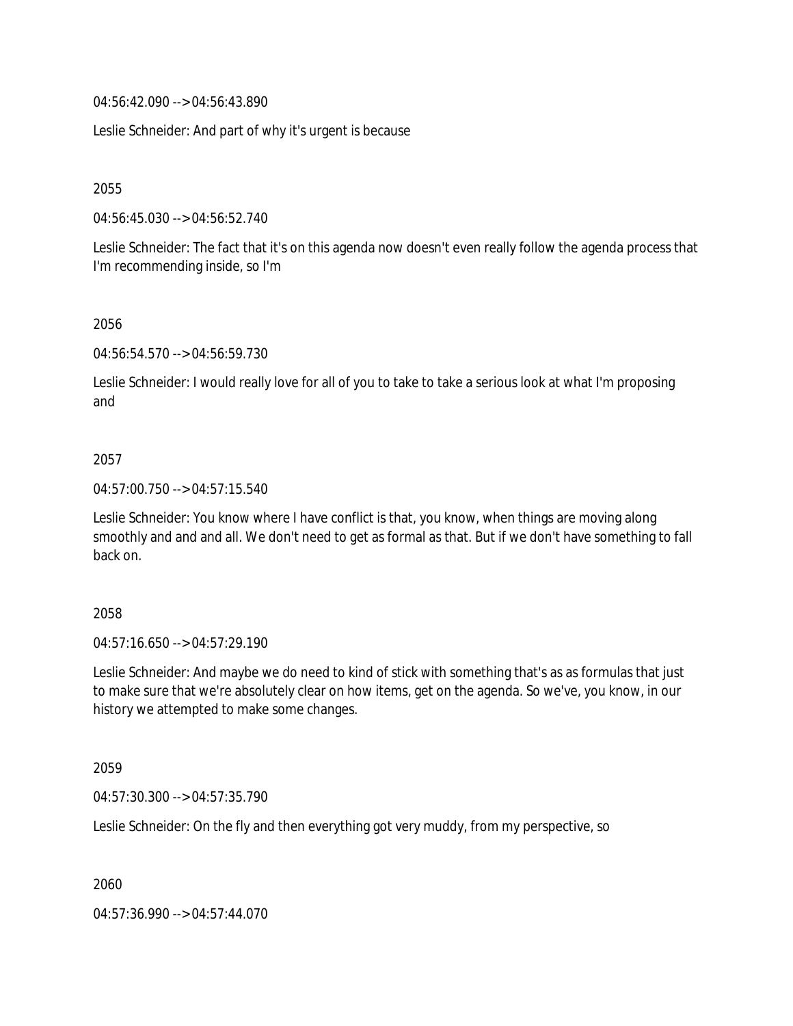04:56:42.090 --> 04:56:43.890

Leslie Schneider: And part of why it's urgent is because

2055

04:56:45.030 --> 04:56:52.740

Leslie Schneider: The fact that it's on this agenda now doesn't even really follow the agenda process that I'm recommending inside, so I'm

### 2056

04:56:54.570 --> 04:56:59.730

Leslie Schneider: I would really love for all of you to take to take a serious look at what I'm proposing and

### 2057

04:57:00.750 --> 04:57:15.540

Leslie Schneider: You know where I have conflict is that, you know, when things are moving along smoothly and and and all. We don't need to get as formal as that. But if we don't have something to fall back on.

### 2058

04:57:16.650 --> 04:57:29.190

Leslie Schneider: And maybe we do need to kind of stick with something that's as as formulas that just to make sure that we're absolutely clear on how items, get on the agenda. So we've, you know, in our history we attempted to make some changes.

2059

04:57:30.300 --> 04:57:35.790

Leslie Schneider: On the fly and then everything got very muddy, from my perspective, so

2060

04:57:36.990 --> 04:57:44.070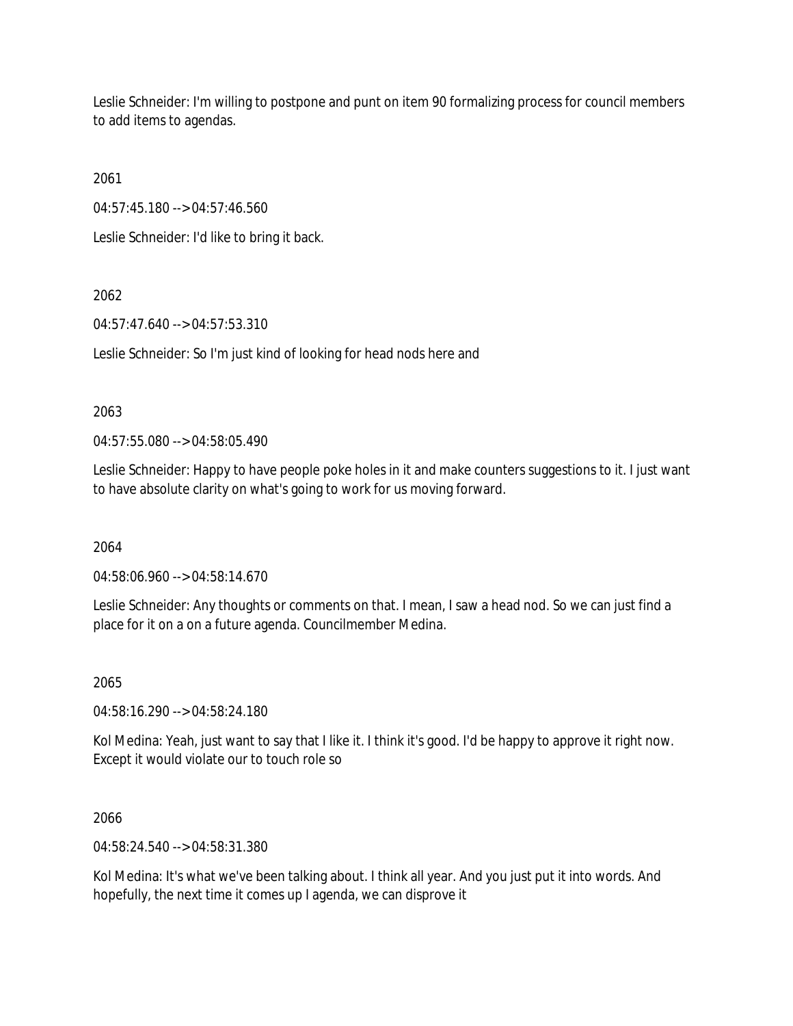Leslie Schneider: I'm willing to postpone and punt on item 90 formalizing process for council members to add items to agendas.

2061

04:57:45.180 --> 04:57:46.560

Leslie Schneider: I'd like to bring it back.

2062

04:57:47.640 --> 04:57:53.310

Leslie Schneider: So I'm just kind of looking for head nods here and

# 2063

04:57:55.080 --> 04:58:05.490

Leslie Schneider: Happy to have people poke holes in it and make counters suggestions to it. I just want to have absolute clarity on what's going to work for us moving forward.

2064

04:58:06.960 --> 04:58:14.670

Leslie Schneider: Any thoughts or comments on that. I mean, I saw a head nod. So we can just find a place for it on a on a future agenda. Councilmember Medina.

2065

04:58:16.290 --> 04:58:24.180

Kol Medina: Yeah, just want to say that I like it. I think it's good. I'd be happy to approve it right now. Except it would violate our to touch role so

2066

04:58:24.540 --> 04:58:31.380

Kol Medina: It's what we've been talking about. I think all year. And you just put it into words. And hopefully, the next time it comes up I agenda, we can disprove it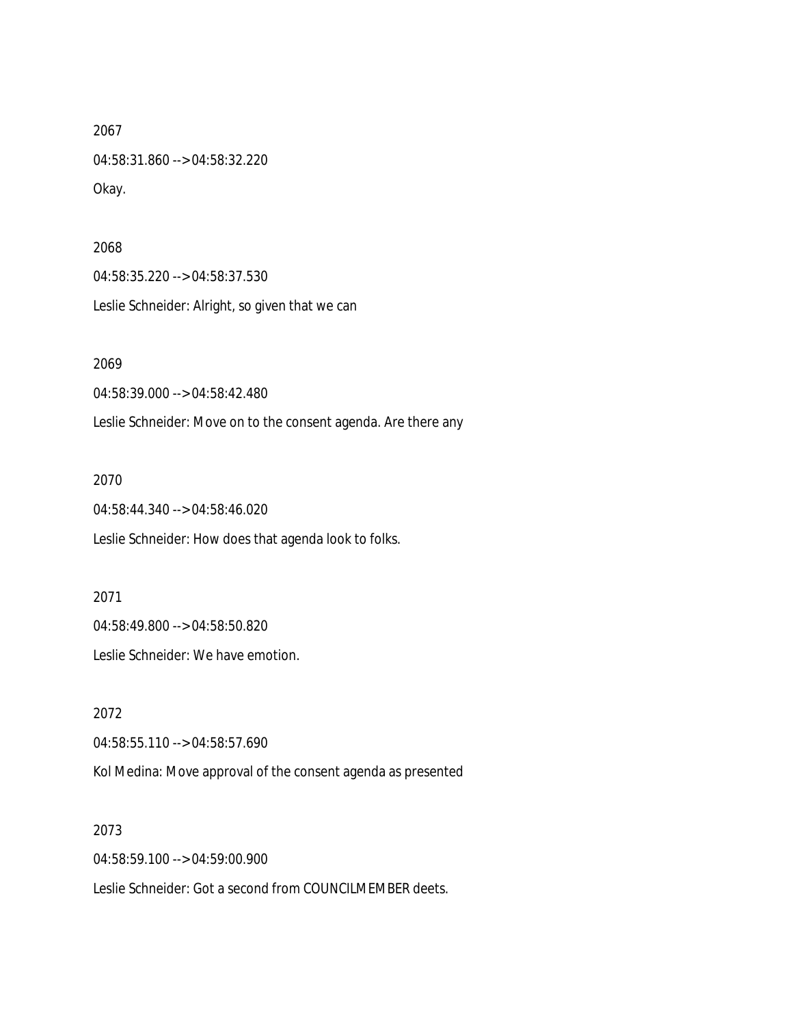2067 04:58:31.860 --> 04:58:32.220 Okay.

2068 04:58:35.220 --> 04:58:37.530 Leslie Schneider: Alright, so given that we can

2069 04:58:39.000 --> 04:58:42.480

Leslie Schneider: Move on to the consent agenda. Are there any

2070

04:58:44.340 --> 04:58:46.020

Leslie Schneider: How does that agenda look to folks.

2071 04:58:49.800 --> 04:58:50.820

Leslie Schneider: We have emotion.

2072 04:58:55.110 --> 04:58:57.690 Kol Medina: Move approval of the consent agenda as presented

2073 04:58:59.100 --> 04:59:00.900 Leslie Schneider: Got a second from COUNCILMEMBER deets.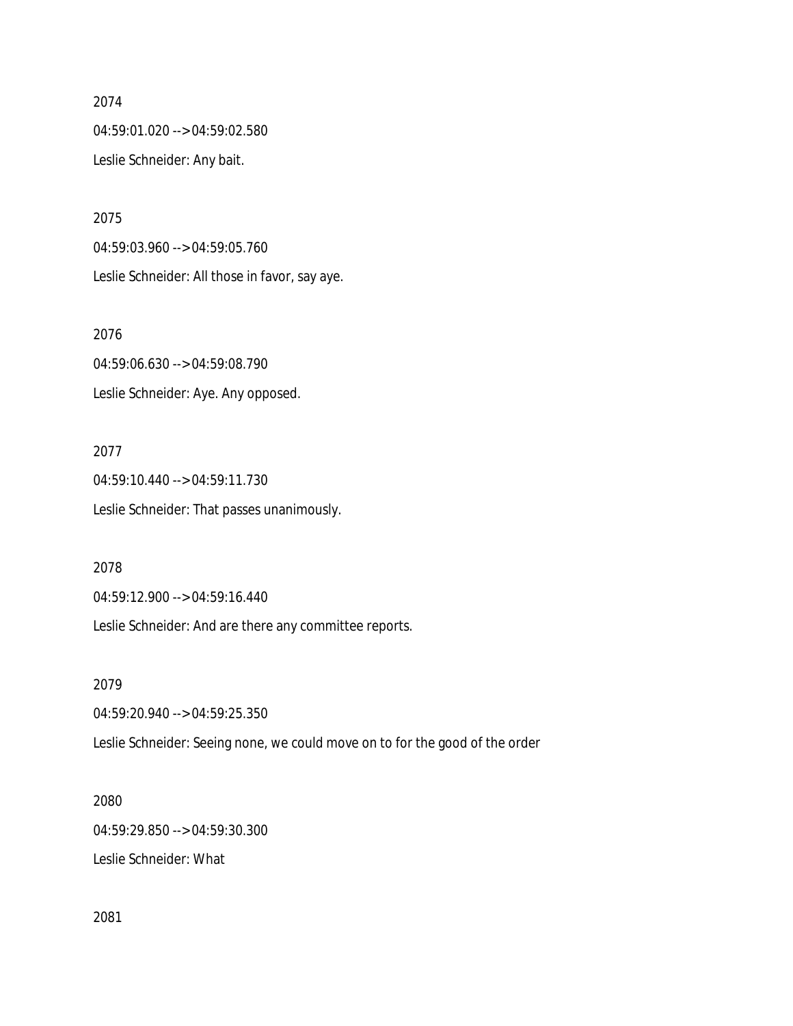#### 2074

04:59:01.020 --> 04:59:02.580 Leslie Schneider: Any bait.

2075 04:59:03.960 --> 04:59:05.760 Leslie Schneider: All those in favor, say aye.

2076 04:59:06.630 --> 04:59:08.790 Leslie Schneider: Aye. Any opposed.

2077 04:59:10.440 --> 04:59:11.730 Leslie Schneider: That passes unanimously.

2078

04:59:12.900 --> 04:59:16.440

Leslie Schneider: And are there any committee reports.

2079

04:59:20.940 --> 04:59:25.350

Leslie Schneider: Seeing none, we could move on to for the good of the order

2080

04:59:29.850 --> 04:59:30.300

Leslie Schneider: What

2081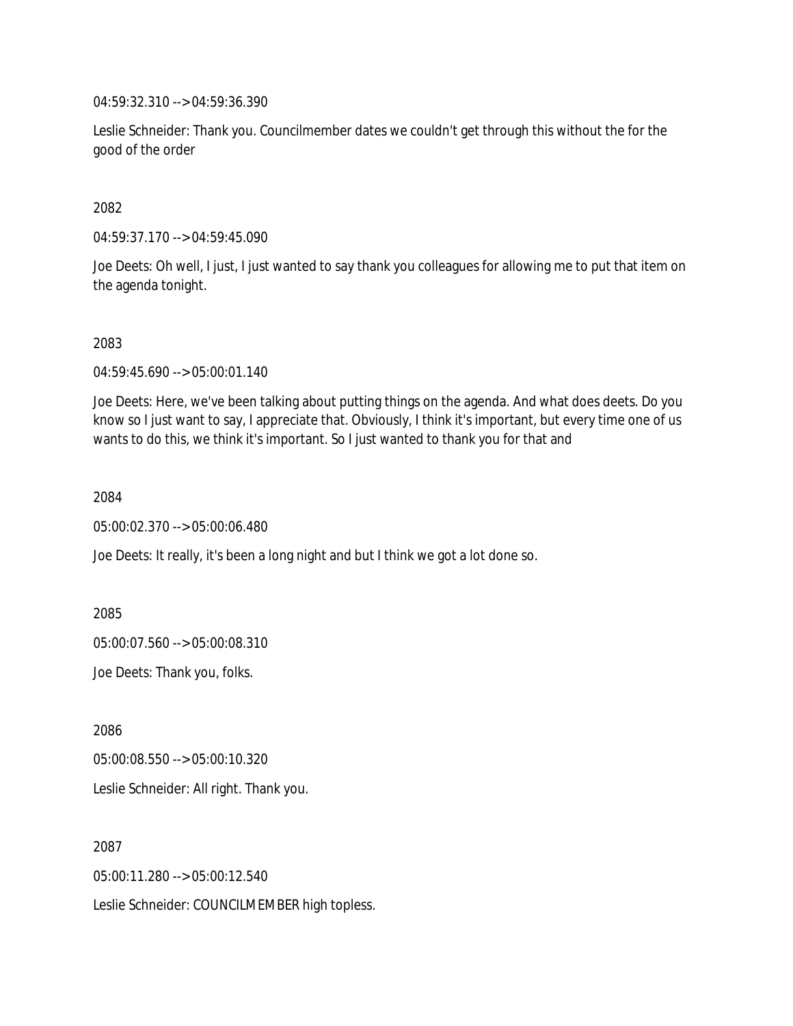04:59:32.310 --> 04:59:36.390

Leslie Schneider: Thank you. Councilmember dates we couldn't get through this without the for the good of the order

## 2082

04:59:37.170 --> 04:59:45.090

Joe Deets: Oh well, I just, I just wanted to say thank you colleagues for allowing me to put that item on the agenda tonight.

### 2083

04:59:45.690 --> 05:00:01.140

Joe Deets: Here, we've been talking about putting things on the agenda. And what does deets. Do you know so I just want to say, I appreciate that. Obviously, I think it's important, but every time one of us wants to do this, we think it's important. So I just wanted to thank you for that and

### 2084

05:00:02.370 --> 05:00:06.480

Joe Deets: It really, it's been a long night and but I think we got a lot done so.

2085

05:00:07.560 --> 05:00:08.310

Joe Deets: Thank you, folks.

2086

05:00:08.550 --> 05:00:10.320

Leslie Schneider: All right. Thank you.

2087

05:00:11.280 --> 05:00:12.540

Leslie Schneider: COUNCILMEMBER high topless.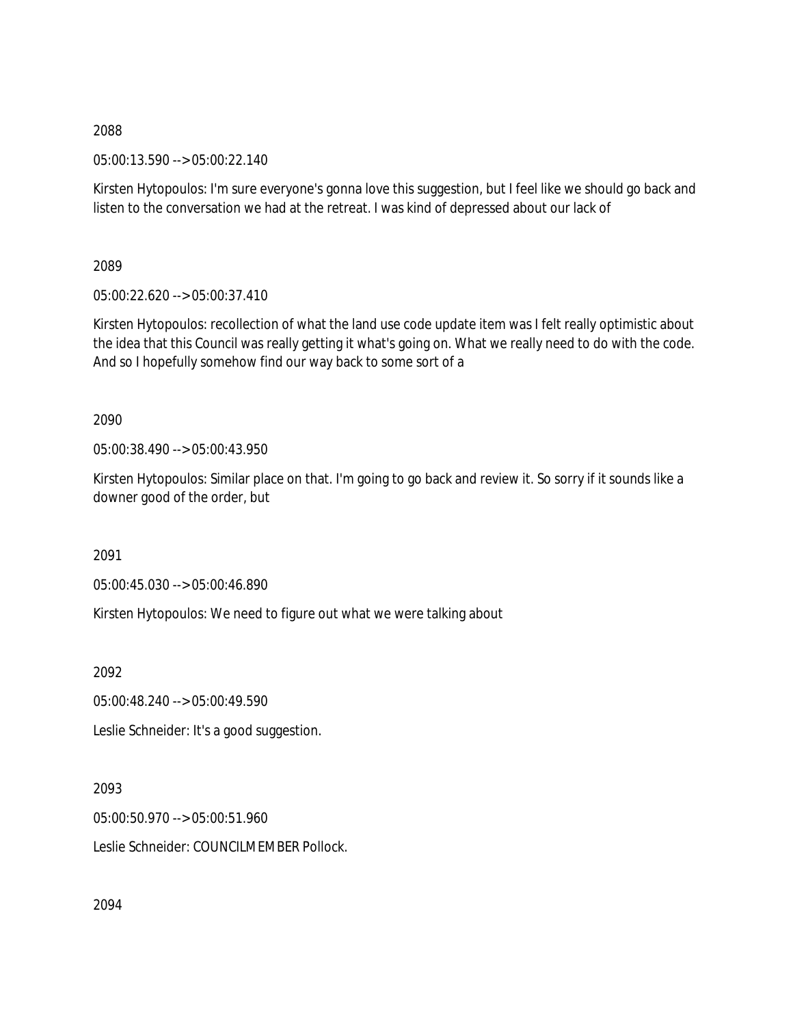2088

05:00:13.590 --> 05:00:22.140

Kirsten Hytopoulos: I'm sure everyone's gonna love this suggestion, but I feel like we should go back and listen to the conversation we had at the retreat. I was kind of depressed about our lack of

2089

05:00:22.620 --> 05:00:37.410

Kirsten Hytopoulos: recollection of what the land use code update item was I felt really optimistic about the idea that this Council was really getting it what's going on. What we really need to do with the code. And so I hopefully somehow find our way back to some sort of a

2090

05:00:38.490 --> 05:00:43.950

Kirsten Hytopoulos: Similar place on that. I'm going to go back and review it. So sorry if it sounds like a downer good of the order, but

2091

05:00:45.030 --> 05:00:46.890

Kirsten Hytopoulos: We need to figure out what we were talking about

2092

05:00:48.240 --> 05:00:49.590

Leslie Schneider: It's a good suggestion.

2093

05:00:50.970 --> 05:00:51.960

Leslie Schneider: COUNCILMEMBER Pollock.

2094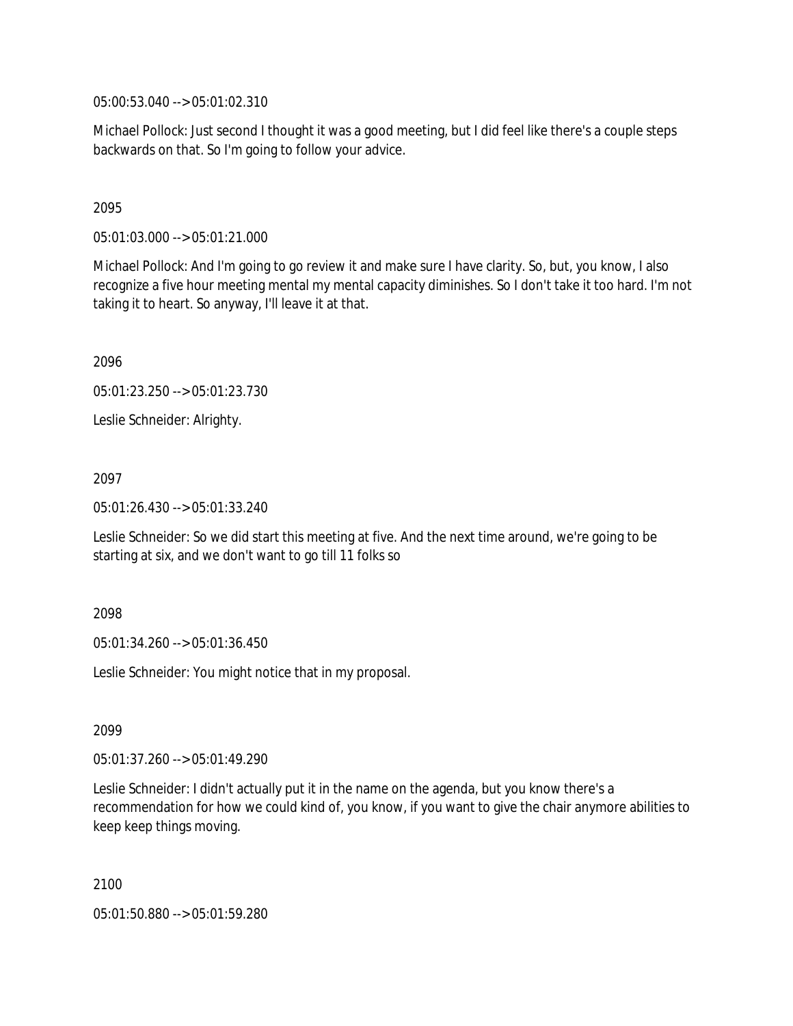05:00:53.040 --> 05:01:02.310

Michael Pollock: Just second I thought it was a good meeting, but I did feel like there's a couple steps backwards on that. So I'm going to follow your advice.

### 2095

05:01:03.000 --> 05:01:21.000

Michael Pollock: And I'm going to go review it and make sure I have clarity. So, but, you know, I also recognize a five hour meeting mental my mental capacity diminishes. So I don't take it too hard. I'm not taking it to heart. So anyway, I'll leave it at that.

2096

05:01:23.250 --> 05:01:23.730

Leslie Schneider: Alrighty.

2097

05:01:26.430 --> 05:01:33.240

Leslie Schneider: So we did start this meeting at five. And the next time around, we're going to be starting at six, and we don't want to go till 11 folks so

### 2098

05:01:34.260 --> 05:01:36.450

Leslie Schneider: You might notice that in my proposal.

2099

05:01:37.260 --> 05:01:49.290

Leslie Schneider: I didn't actually put it in the name on the agenda, but you know there's a recommendation for how we could kind of, you know, if you want to give the chair anymore abilities to keep keep things moving.

2100

05:01:50.880 --> 05:01:59.280